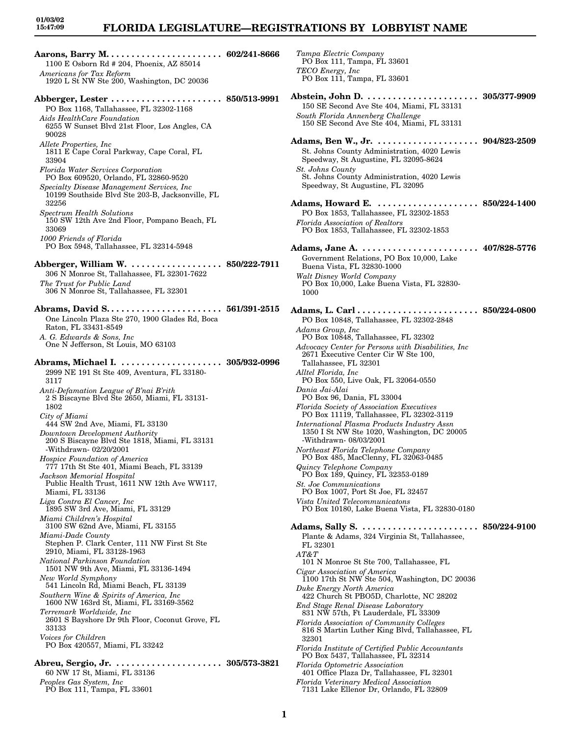# **FLORIDA LEGISLATURE—REGISTRATIONS BY LOBBYIST NAME**

**Aarons, Barry M. . . . . . . . . . . . . . . . . . . . . . . 602/241-8666** 1100 E Osborn Rd # 204, Phoenix, AZ 85014 *Americans for Tax Reform* 1920 L St NW Ste 200, Washington, DC 20036 **Abberger, Lester . . . . . . . . . . . . . . . . . . . . . . 850/513-9991** PO Box 1168, Tallahassee, FL 32302-1168 *Aids HealthCare Foundation* 6255 W Sunset Blvd 21st Floor, Los Angles, CA 90028 *Allete Properties, Inc* 1811 E Cape Coral Parkway, Cape Coral, FL 33904 *Florida Water Services Corporation* PO Box 609520, Orlando, FL 32860-9520 *Specialty Disease Management Services, Inc* 10199 Southside Blvd Ste 203-B, Jacksonville, FL 32256 *Spectrum Health Solutions* 150 SW 12th Ave 2nd Floor, Pompano Beach, FL 33069 *1000 Friends of Florida* PO Box 5948, Tallahassee, FL 32314-5948 **Abberger, William W. . . . . . . . . . . . . . . . . . . 850/222-7911** 306 N Monroe St, Tallahassee, FL 32301-7622 *The Trust for Public Land* 306 N Monroe St, Tallahassee, FL 32301 **Abrams, David S. . . . . . . . . . . . . . . . . . . . . . . 561/391-2515** One Lincoln Plaza Ste 270, 1900 Glades Rd, Boca Raton, FL 33431-8549 *A. G. Edwards & Sons, Inc* One N Jefferson, St Louis, MO 63103 **Abrams, Michael I. . . . . . . . . . . . . . . . . . . . . 305/932-0996** 2999 NE 191 St Ste 409, Aventura, FL 33180- 3117 *Anti-Defamation League of B'nai B'rith* 2 S Biscayne Blvd Ste 2650, Miami, FL 33131- 1802 *City of Miami* 444 SW 2nd Ave, Miami, FL 33130 *Downtown Development Authority* 200 S Biscayne Blvd Ste 1818, Miami, FL 33131 -Withdrawn- 02/20/2001 *Hospice Foundation of America* 777 17th St Ste 401, Miami Beach, FL 33139 *Jackson Memorial Hospital* Public Health Trust, 1611 NW 12th Ave WW117, Miami, FL 33136 *Liga Contra El Cancer, Inc* 1895 SW 3rd Ave, Miami, FL 33129 *Miami Children's Hospital* 3100 SW 62nd Ave, Miami, FL 33155 *Miami-Dade County* Stephen P. Clark Center, 111 NW First St Ste 2910, Miami, FL 33128-1963 *National Parkinson Foundation* 1501 NW 9th Ave, Miami, FL 33136-1494 *New World Symphony* 541 Lincoln Rd, Miami Beach, FL 33139 *Southern Wine & Spirits of America, Inc* 1600 NW 163rd St, Miami, FL 33169-3562 *Terremark Worldwide, Inc* 2601 S Bayshore Dr 9th Floor, Coconut Grove, FL 33133 *Voices for Children* PO Box 420557, Miami, FL 33242 **Abreu, Sergio, Jr. . . . . . . . . . . . . . . . . . . . . . 305/573-3821** 60 NW 17 St, Miami, FL 33136 *Peoples Gas System, Inc*

PO Box 111, Tampa, FL 33601

*Tampa Electric Company* PO Box 111, Tampa, FL 33601 *TECO Energy, Inc* PO Box 111, Tampa, FL 33601 **Abstein, John D. . . . . . . . . . . . . . . . . . . . . . . 305/377-9909** 150 SE Second Ave Ste 404, Miami, FL 33131 *South Florida Annenberg Challenge* 150 SE Second Ave Ste 404, Miami, FL 33131 **Adams, Ben W., Jr. . . . . . . . . . . . . . . . . . . . . 904/823-2509** St. Johns County Administration, 4020 Lewis Speedway, St Augustine, FL 32095-8624 *St. Johns County* St. Johns County Administration, 4020 Lewis Speedway, St Augustine, FL 32095 **Adams, Howard E. . . . . . . . . . . . . . . . . . . . . 850/224-1400** PO Box 1853, Tallahassee, FL 32302-1853 *Florida Association of Realtors* PO Box 1853, Tallahassee, FL 32302-1853 **Adams, Jane A. . . . . . . . . . . . . . . . . . . . . . . . 407/828-5776** Government Relations, PO Box 10,000, Lake Buena Vista, FL 32830-1000 *Walt Disney World Company* PO Box 10,000, Lake Buena Vista, FL 32830- 1000 **Adams, L. Carl . . . . . . . . . . . . . . . . . . . . . . . . 850/224-0800** PO Box 10848, Tallahassee, FL 32302-2848 *Adams Group, Inc* PO Box 10848, Tallahassee, FL 32302 *Advocacy Center for Persons with Disabilities, Inc* 2671 Executive Center Cir W Ste 100, Tallahassee, FL 32301 *Alltel Florida, Inc* PO Box 550, Live Oak, FL 32064-0550 *Dania Jai-Alai* PO Box 96, Dania, FL 33004 *Florida Society of Association Executives* PO Box 11119, Tallahassee, FL 32302-3119 *International Plasma Products Industry Assn* 1350 I St NW Ste 1020, Washington, DC 20005 -Withdrawn- 08/03/2001 *Northeast Florida Telephone Company* PO Box 485, MacClenny, FL 32063-0485 *Quincy Telephone Company* PO Box 189, Quincy, FL 32353-0189 *St. Joe Communications* PO Box 1007, Port St Joe, FL 32457 *Vista United Telecommunicatons* PO Box 10180, Lake Buena Vista, FL 32830-0180 **Adams, Sally S. . . . . . . . . . . . . . . . . . . . . . . . 850/224-9100** Plante & Adams, 324 Virginia St, Tallahassee, FL 32301 *AT&T* 101 N Monroe St Ste 700, Tallahassee, FL *Cigar Association of America* 1100 17th St NW Ste 504, Washington, DC 20036 *Duke Energy North America* 422 Church St PBO5D, Charlotte, NC 28202 *End Stage Renal Disease Laboratory* 831 NW 57th, Ft Lauderdale, FL 33309 *Florida Association of Community Colleges* 816 S Martin Luther King Blvd, Tallahassee, FL 32301 *Florida Institute of Certified Public Accountants* PO Box 5437, Tallahassee, FL 32314 *Florida Optometric Association* 401 Office Plaza Dr, Tallahassee, FL 32301 *Florida Veterinary Medical Association* 7131 Lake Ellenor Dr, Orlando, FL 32809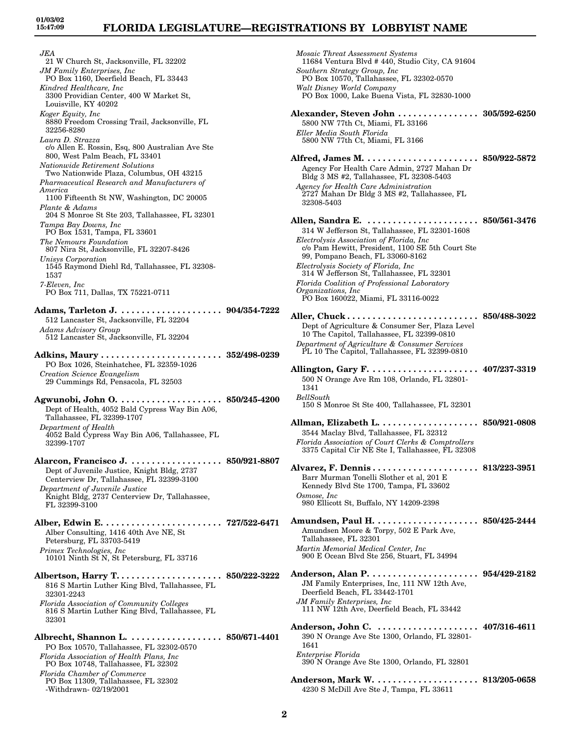*JEA* 21 W Church St, Jacksonville, FL 32202 *JM Family Enterprises, Inc* PO Box 1160, Deerfield Beach, FL 33443 *Kindred Healthcare, Inc* 3300 Providian Center, 400 W Market St, Louisville, KY 40202 *Koger Equity, Inc* 8880 Freedom Crossing Trail, Jacksonville, FL 32256-8280 *Laura D. Strazza* c/o Allen E. Rossin, Esq, 800 Australian Ave Ste 800, West Palm Beach, FL 33401 *Nationwide Retirement Solutions* Two Nationwide Plaza, Columbus, OH 43215 *Pharmaceutical Research and Manufacturers of America* 1100 Fifteenth St NW, Washington, DC 20005 *Plante & Adams* 204 S Monroe St Ste 203, Tallahassee, FL 32301 *Tampa Bay Downs, Inc* PO Box 1531, Tampa, FL 33601 *The Nemours Foundation* 807 Nira St, Jacksonville, FL 32207-8426 *Unisys Corporation* 1545 Raymond Diehl Rd, Tallahassee, FL 32308- 1537 *7-Eleven, Inc* PO Box 711, Dallas, TX 75221-0711 **Adams, Tarleton J. . . . . . . . . . . . . . . . . . . . . 904/354-7222** 512 Lancaster St, Jacksonville, FL 32204 *Adams Advisory Group* 512 Lancaster St, Jacksonville, FL 32204 **Adkins, Maury . . . . . . . . . . . . . . . . . . . . . . . . 352/498-0239** PO Box 1026, Steinhatchee, FL 32359-1026 *Creation Science Evangelism* 29 Cummings Rd, Pensacola, FL 32503 **Agwunobi, John O. . . . . . . . . . . . . . . . . . . . . 850/245-4200** Dept of Health, 4052 Bald Cypress Way Bin A06, Tallahassee, FL 32399-1707 *Department of Health* 4052 Bald Cypress Way Bin A06, Tallahassee, FL 32399-1707 **Alarcon, Francisco J. . . . . . . . . . . . . . . . . . . 850/921-8807** Dept of Juvenile Justice, Knight Bldg, 2737 Centerview Dr, Tallahassee, FL 32399-3100 *Department of Juvenile Justice* Knight Bldg, 2737 Centerview Dr, Tallahassee, FL 32399-3100 **Alber, Edwin E. . . . . . . . . . . . . . . . . . . . . . . . 727/522-6471** Alber Consulting, 1416 40th Ave NE, St Petersburg, FL 33703-5419 *Primex Technologies, Inc* 10101 Ninth St N, St Petersburg, FL 33716 **Albertson, Harry T. . . . . . . . . . . . . . . . . . . . . 850/222-3222** 816 S Martin Luther King Blvd, Tallahassee, FL 32301-2243 *Florida Association of Community Colleges* 816 S Martin Luther King Blvd, Tallahassee, FL 32301 **Albrecht, Shannon L. . . . . . . . . . . . . . . . . . . 850/671-4401** PO Box 10570, Tallahassee, FL 32302-0570 *Florida Association of Health Plans, Inc* PO Box 10748, Tallahassee, FL 32302

*Florida Chamber of Commerce*

-Withdrawn- 02/19/2001

PO Box 11309, Tallahassee, FL 32302

*Mosaic Threat Assessment Systems* 11684 Ventura Blvd # 440, Studio City, CA 91604 *Southern Strategy Group, Inc* PO Box 10570, Tallahassee, FL 32302-0570 *Walt Disney World Company* PO Box 1000, Lake Buena Vista, FL 32830-1000 **Alexander, Steven John . . . . . . . . . . . . . . . . 305/592-6250** 5800 NW 77th Ct, Miami, FL 33166 *Eller Media South Florida* 5800 NW 77th Ct, Miami, FL 3166 **Alfred, James M. . . . . . . . . . . . . . . . . . . . . . . 850/922-5872** Agency For Health Care Admin, 2727 Mahan Dr Bldg 3 MS #2, Tallahassee, FL 32308-5403 *Agency for Health Care Administration* 2727 Mahan Dr Bldg 3 MS #2, Tallahassee, FL 32308-5403 **Allen, Sandra E. . . . . . . . . . . . . . . . . . . . . . . 850/561-3476** 314 W Jefferson St, Tallahassee, FL 32301-1608 *Electrolysis Association of Florida, Inc* c/o Pam Hewitt, President, 1100 SE 5th Court Ste 99, Pompano Beach, FL 33060-8162 *Electrolysis Society of Florida, Inc* 314 W Jefferson St, Tallahassee, FL 32301 *Florida Coalition of Professional Laboratory Organizations, Inc* PO Box 160022, Miami, FL 33116-0022 **Aller, Chuck . . . . . . . . . . . . . . . . . . . . . . . . . . 850/488-3022** Dept of Agriculture & Consumer Ser, Plaza Level 10 The Capitol, Tallahassee, FL 32399-0810 *Department of Agriculture & Consumer Services* PL 10 The Capitol, Tallahassee, FL 32399-0810 **Allington, Gary F. . . . . . . . . . . . . . . . . . . . . . 407/237-3319** 500 N Orange Ave Rm 108, Orlando, FL 32801- 1341 *BellSouth* 150 S Monroe St Ste 400, Tallahassee, FL 32301 **Allman, Elizabeth L. . . . . . . . . . . . . . . . . . . . 850/921-0808** 3544 Maclay Blvd, Tallahassee, FL 32312 *Florida Association of Court Clerks & Comptrollers* 3375 Capital Cir NE Ste I, Tallahassee, FL 32308 **Alvarez, F. Dennis . . . . . . . . . . . . . . . . . . . . . 813/223-3951** Barr Murman Tonelli Slother et al, 201 E Kennedy Blvd Ste 1700, Tampa, FL 33602 *Osmose, Inc* 980 Ellicott St, Buffalo, NY 14209-2398 **Amundsen, Paul H. . . . . . . . . . . . . . . . . . . . . 850/425-2444** Amundsen Moore & Torpy, 502 E Park Ave, Tallahassee, FL 32301 *Martin Memorial Medical Center, Inc* 900 E Ocean Blvd Ste 256, Stuart, FL 34994 **Anderson, Alan P. . . . . . . . . . . . . . . . . . . . . . 954/429-2182** JM Family Enterprises, Inc, 111 NW 12th Ave, Deerfield Beach, FL 33442-1701 *JM Family Enterprises, Inc* 111 NW 12th Ave, Deerfield Beach, FL 33442 **Anderson, John C. . . . . . . . . . . . . . . . . . . . . 407/316-4611** 390 N Orange Ave Ste 1300, Orlando, FL 32801- 1641 *Enterprise Florida* 390 N Orange Ave Ste 1300, Orlando, FL 32801 **Anderson, Mark W. . . . . . . . . . . . . . . . . . . . . 813/205-0658**

4230 S McDill Ave Ste J, Tampa, FL 33611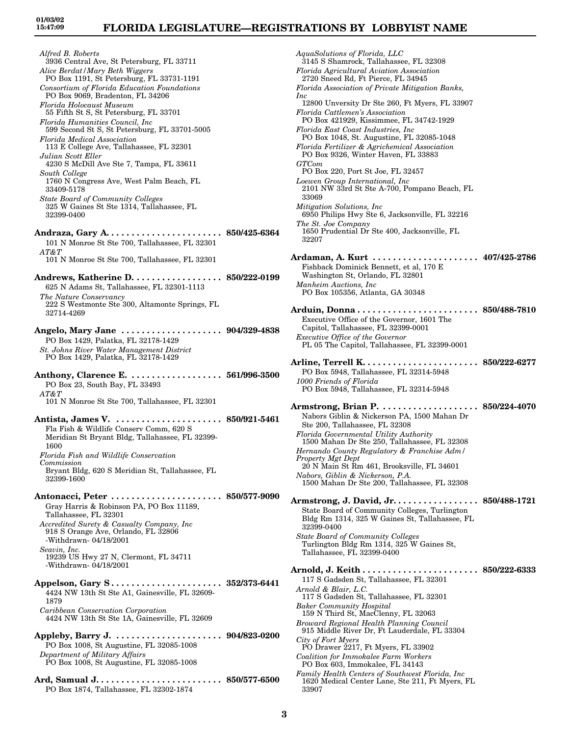*Alfred B. Roberts* 3936 Central Ave, St Petersburg, FL 33711 *Alice Berdat/Mary Beth Wiggers* PO Box 1191, St Petersburg, FL 33731-1191 *Consortium of Florida Education Foundations* PO Box 9069, Bradenton, FL 34206 *Florida Holocaust Museum* 55 Fifth St S, St Petersburg, FL 33701 *Florida Humanities Council, Inc* 599 Second St S, St Petersburg, FL 33701-5005 *Florida Medical Association* 113 E College Ave, Tallahassee, FL 32301 *Julian Scott Eller* 4230 S McDill Ave Ste 7, Tampa, FL 33611 *South College* 1760 N Congress Ave, West Palm Beach, FL 33409-5178 *State Board of Community Colleges* 325 W Gaines St Ste 1314, Tallahassee, FL 32399-0400 **Andraza, Gary A. . . . . . . . . . . . . . . . . . . . . . . 850/425-6364** 101 N Monroe St Ste 700, Tallahassee, FL 32301 *AT&T* 101 N Monroe St Ste 700, Tallahassee, FL 32301 **Andrews, Katherine D. . . . . . . . . . . . . . . . . . 850/222-0199** 625 N Adams St, Tallahassee, FL 32301-1113 *The Nature Conservancy* 222 S Westmonte Ste 300, Altamonte Springs, FL 32714-4269 **Angelo, Mary Jane . . . . . . . . . . . . . . . . . . . . 904/329-4838** PO Box 1429, Palatka, FL 32178-1429 *St. Johns River Water Management District* PO Box 1429, Palatka, FL 32178-1429 **Anthony, Clarence E. . . . . . . . . . . . . . . . . . . 561/996-3500** PO Box 23, South Bay, FL 33493 *AT&T* 101 N Monroe St Ste 700, Tallahassee, FL 32301 **Antista, James V. . . . . . . . . . . . . . . . . . . . . . 850/921-5461** Fla Fish & Wildlife Conserv Comm, 620 S Meridian St Bryant Bldg, Tallahassee, FL 32399- 1600 *Florida Fish and Wildlife Conservation Commission* Bryant Bldg, 620 S Meridian St, Tallahassee, FL 32399-1600 **Antonacci, Peter . . . . . . . . . . . . . . . . . . . . . . 850/577-9090** Gray Harris & Robinson PA, PO Box 11189, Tallahassee, FL 32301 *Accredited Surety & Casualty Company, Inc* 918 S Orange Ave, Orlando, FL 32806 -Withdrawn- 04/18/2001 *Seavin, Inc.* 19239 US Hwy 27 N, Clermont, FL 34711 -Withdrawn- 04/18/2001 **Appelson, Gary S . . . . . . . . . . . . . . . . . . . . . . 352/373-6441** 4424 NW 13th St Ste A1, Gainesville, FL 32609- 1879 *Caribbean Conservation Corporation* 4424 NW 13th St Ste 1A, Gainesville, FL 32609 **Appleby, Barry J. . . . . . . . . . . . . . . . . . . . . . 904/823-0200** PO Box 1008, St Augustine, FL 32085-1008 *Department of Military Affairs* PO Box 1008, St Augustine, FL 32085-1008

**Ard, Samual J. . . . . . . . . . . . . . . . . . . . . . . . . 850/577-6500** PO Box 1874, Tallahassee, FL 32302-1874

*AquaSolutions of Florida, LLC* 3145 S Shamrock, Tallahassee, FL 32308 *Florida Agricultural Aviation Association* 2720 Sneed Rd, Ft Pierce, FL 34945 *Florida Association of Private Mitigation Banks, Inc* 12800 Unversity Dr Ste 260, Ft Myers, FL 33907 *Florida Cattlemen's Association* PO Box 421929, Kissimmee, FL 34742-1929 *Florida East Coast Industries, Inc* PO Box 1048, St. Augustine, FL 32085-1048 *Florida Fertilizer & Agrichemical Association* PO Box 9326, Winter Haven, FL 33883 *GTCom* PO Box 220, Port St Joe, FL 32457 *Loewen Group International, Inc* 2101 NW 33rd St Ste A-700, Pompano Beach, FL 33069 *Mitigation Solutions, Inc* 6950 Philips Hwy Ste 6, Jacksonville, FL 32216 *The St. Joe Company* 1650 Prudential Dr Ste 400, Jacksonville, FL 32207 **Ardaman, A. Kurt . . . . . . . . . . . . . . . . . . . . . 407/425-2786** Fishback Dominick Bennett, et al, 170 E Washington St, Orlando, FL 32801 *Manheim Auctions, Inc* PO Box 105356, Atlanta, GA 30348 **Arduin, Donna . . . . . . . . . . . . . . . . . . . . . . . . 850/488-7810** Executive Office of the Governor, 1601 The Capitol, Tallahassee, FL 32399-0001 *Executive Office of the Governor* PL 05 The Capitol, Tallahassee, FL 32399-0001 **Arline, Terrell K. . . . . . . . . . . . . . . . . . . . . . . 850/222-6277** PO Box 5948, Tallahassee, FL 32314-5948 *1000 Friends of Florida* PO Box 5948, Tallahassee, FL 32314-5948 **Armstrong, Brian P. . . . . . . . . . . . . . . . . . . . 850/224-4070** Nabors Giblin & Nickerson PA, 1500 Mahan Dr Ste 200, Tallahassee, FL 32308 *Florida Governmental Utility Authority* 1500 Mahan Dr Ste 250, Tallahassee, FL 32308 *Hernando County Regulatory & Franchise Adm/ Property Mgt Dept* 20 N Main St Rm 461, Brooksville, FL 34601 *Nabors, Giblin & Nickerson, P.A.* 1500 Mahan Dr Ste 200, Tallahassee, FL 32308 **Armstrong, J. David, Jr. . . . . . . . . . . . . . . . . 850/488-1721** State Board of Community Colleges, Turlington Bldg Rm 1314, 325 W Gaines St, Tallahassee, FL 32399-0400 *State Board of Community Colleges* Turlington Bldg Rm 1314, 325 W Gaines St, Tallahassee, FL 32399-0400 **Arnold, J. Keith . . . . . . . . . . . . . . . . . . . . . . . 850/222-6333** 117 S Gadsden St, Tallahassee, FL 32301 *Arnold & Blair, L.C.* 117 S Gadsden St, Tallahassee, FL 32301 *Baker Community Hospital* 159 N Third St, MacClenny, FL 32063 *Broward Regional Health Planning Council* 915 Middle River Dr, Ft Lauderdale, FL 33304 *City of Fort Myers* PO Drawer 2217, Ft Myers, FL 33902 *Coalition for Immokalee Farm Workers* PO Box 603, Immokalee, FL 34143 *Family Health Centers of Southwest Florida, Inc* 1620 Medical Center Lane, Ste 211, Ft Myers, FL 33907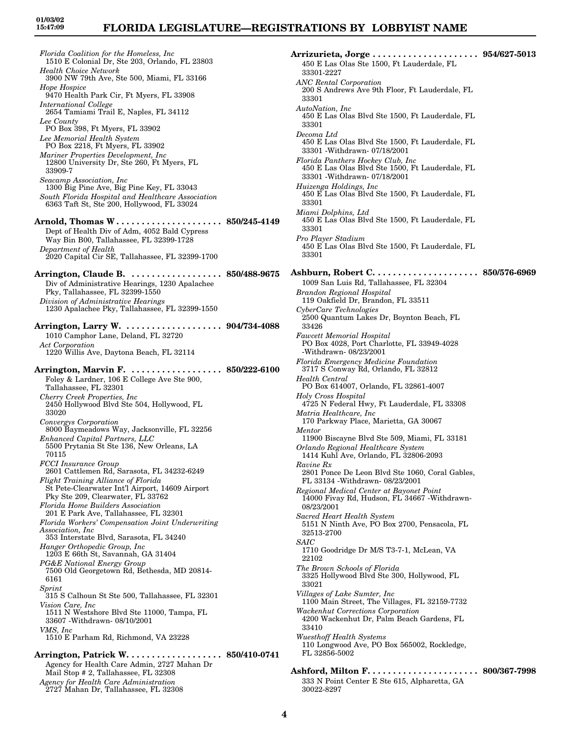*Florida Coalition for the Homeless, Inc* 1510 E Colonial Dr, Ste 203, Orlando, FL 23803 *Health Choice Network* 3900 NW 79th Ave, Ste 500, Miami, FL 33166 *Hope Hospice* 9470 Health Park Cir, Ft Myers, FL 33908 *International College* 2654 Tamiami Trail E, Naples, FL 34112 *Lee County* PO Box 398, Ft Myers, FL 33902 *Lee Memorial Health System* PO Box 2218, Ft Myers, FL 33902 *Mariner Properties Development, Inc* 12800 University Dr, Ste 260, Ft Myers, FL 33909-7 *Seacamp Association, Inc* 1300 Big Pine Ave, Big Pine Key, FL 33043 *South Florida Hospital and Healthcare Association* 6363 Taft St, Ste 200, Hollywood, FL 33024 **Arnold, Thomas W . . . . . . . . . . . . . . . . . . . . . 850/245-4149** Dept of Health Div of Adm, 4052 Bald Cypress Way Bin B00, Tallahassee, FL 32399-1728 *Department of Health* 2020 Capital Cir SE, Tallahassee, FL 32399-1700 **Arrington, Claude B. . . . . . . . . . . . . . . . . . . 850/488-9675** Div of Administrative Hearings, 1230 Apalachee Pky, Tallahassee, FL 32399-1550 *Division of Administrative Hearings* 1230 Apalachee Pky, Tallahassee, FL 32399-1550 **Arrington, Larry W. . . . . . . . . . . . . . . . . . . . 904/734-4088** 1010 Camphor Lane, Deland, FL 32720 *Act Corporation* 1220 Willis Ave, Daytona Beach, FL 32114 **Arrington, Marvin F. . . . . . . . . . . . . . . . . . . 850/222-6100** Foley & Lardner, 106 E College Ave Ste 900, Tallahassee, FL 32301 *Cherry Creek Properties, Inc* 2450 Hollywood Blvd Ste 504, Hollywood, FL 33020 *Convergys Corporation* 8000 Baymeadows Way, Jacksonville, FL 32256 *Enhanced Capital Partners, LLC* 5500 Prytania St Ste 136, New Orleans, LA 70115 *FCCI Insurance Group* 2601 Cattlemen Rd, Sarasota, FL 34232-6249 *Flight Training Alliance of Florida* St Pete-Clearwater Int'l Airport, 14609 Airport Pky Ste 209, Clearwater, FL 33762 *Florida Home Builders Association* 201 E Park Ave, Tallahassee, FL 32301 *Florida Workers' Compensation Joint Underwriting Association, Inc* 353 Interstate Blvd, Sarasota, FL 34240 *Hanger Orthopedic Group, Inc* 1203 E 66th St, Savannah, GA 31404 *PG&E National Energy Group* 7500 Old Georgetown Rd, Bethesda, MD 20814- 6161 *Sprint* 315 S Calhoun St Ste 500, Tallahassee, FL 32301 *Vision Care, Inc* 1511 N Westshore Blvd Ste 11000, Tampa, FL 33607 -Withdrawn- 08/10/2001 *VMS, Inc* 1510 E Parham Rd, Richmond, VA 23228 **Arrington, Patrick W. . . . . . . . . . . . . . . . . . . 850/410-0741** Agency for Health Care Admin, 2727 Mahan Dr

Mail Stop # 2, Tallahassee, FL 32308 *Agency for Health Care Administration* 2727 Mahan Dr, Tallahassee, FL 32308

**Arrizurieta, Jorge . . . . . . . . . . . . . . . . . . . . . 954/627-5013** 450 E Las Olas Ste 1500, Ft Lauderdale, FL 33301-2227 *ANC Rental Corporation* 200 S Andrews Ave 9th Floor, Ft Lauderdale, FL 33301 *AutoNation, Inc* 450 E Las Olas Blvd Ste 1500, Ft Lauderdale, FL 33301 *Decoma Ltd* 450 E Las Olas Blvd Ste 1500, Ft Lauderdale, FL 33301 -Withdrawn- 07/18/2001 *Florida Panthers Hockey Club, Inc* 450 E Las Olas Blvd Ste 1500, Ft Lauderdale, FL 33301 -Withdrawn- 07/18/2001 *Huizenga Holdings, Inc* 450 E Las Olas Blvd Ste 1500, Ft Lauderdale, FL 33301 *Miami Dolphins, Ltd* 450 E Las Olas Blvd Ste 1500, Ft Lauderdale, FL 33301 *Pro Player Stadium* 450 E Las Olas Blvd Ste 1500, Ft Lauderdale, FL 33301 **Ashburn, Robert C. . . . . . . . . . . . . . . . . . . . . 850/576-6969** 1009 San Luis Rd, Tallahassee, FL 32304 *Brandon Regional Hospital* 119 Oakfield Dr, Brandon, FL 33511 *CyberCare Technologies* 2500 Quantum Lakes Dr, Boynton Beach, FL 33426 *Fawcett Memorial Hospital* PO Box 4028, Port Charlotte, FL 33949-4028 -Withdrawn- 08/23/2001 *Florida Emergency Medicine Foundation* 3717 S Conway Rd, Orlando, FL 32812 *Health Central* PO Box 614007, Orlando, FL 32861-4007 *Holy Cross Hospital* 4725 N Federal Hwy, Ft Lauderdale, FL 33308 *Matria Healthcare, Inc* 170 Parkway Place, Marietta, GA 30067 *Mentor* 11900 Biscayne Blvd Ste 509, Miami, FL 33181 *Orlando Regional Healthcare System* 1414 Kuhl Ave, Orlando, FL 32806-2093 *Ravine Rx* 2801 Ponce De Leon Blvd Ste 1060, Coral Gables, FL 33134 -Withdrawn- 08/23/2001 *Regional Medical Center at Bayonet Point* 14000 Fivay Rd, Hudson, FL 34667 -Withdrawn-08/23/2001 *Sacred Heart Health System* 5151 N Ninth Ave, PO Box 2700, Pensacola, FL 32513-2700 *SAIC* 1710 Goodridge Dr M/S T3-7-1, McLean, VA 22102 *The Brown Schools of Florida* 3325 Hollywood Blvd Ste 300, Hollywood, FL 33021 *Villages of Lake Sumter, Inc* 1100 Main Street, The Villages, FL 32159-7732 *Wackenhut Corrections Corporation* 4200 Wackenhut Dr, Palm Beach Gardens, FL 33410 *Wuesthoff Health Systems* 110 Longwood Ave, PO Box 565002, Rockledge, FL 32856-5002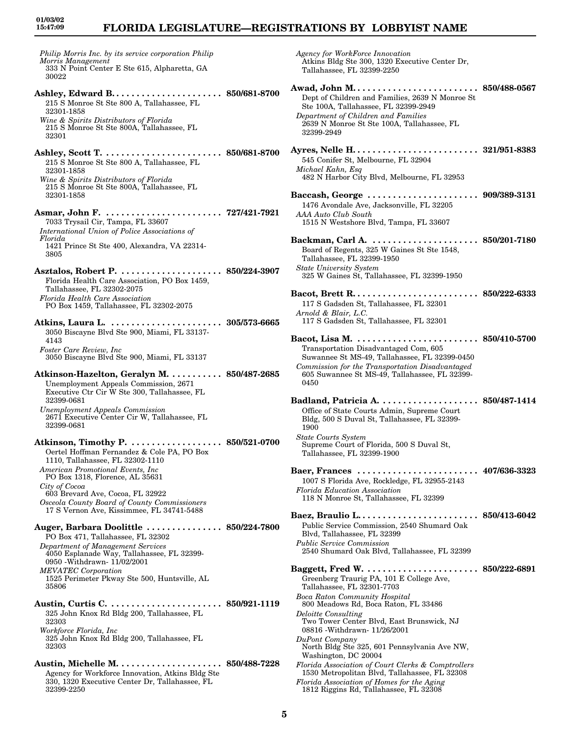*Philip Morris Inc. by its service corporation Philip Morris Management* 333 N Point Center E Ste 615, Alpharetta, GA 30022 **Ashley, Edward B. . . . . . . . . . . . . . . . . . . . . . 850/681-8700** 215 S Monroe St Ste 800 A, Tallahassee, FL 32301-1858 *Wine & Spirits Distributors of Florida* 215 S Monroe St Ste 800A, Tallahassee, FL 32301 **Ashley, Scott T. . . . . . . . . . . . . . . . . . . . . . . . 850/681-8700** 215 S Monroe St Ste 800 A, Tallahassee, FL 32301-1858 *Wine & Spirits Distributors of Florida* 215 S Monroe St Ste 800A, Tallahassee, FL 32301-1858 **Asmar, John F. . . . . . . . . . . . . . . . . . . . . . . . 727/421-7921** 7033 Trysail Cir, Tampa, FL 33607 *International Union of Police Associations of Florida* 1421 Prince St Ste 400, Alexandra, VA 22314- 3805 **Asztalos, Robert P. . . . . . . . . . . . . . . . . . . . . 850/224-3907** Florida Health Care Association, PO Box 1459, Tallahassee, FL 32302-2075 *Florida Health Care Association* PO Box 1459, Tallahassee, FL 32302-2075 **Atkins, Laura L. . . . . . . . . . . . . . . . . . . . . . . 305/573-6665** 3050 Biscayne Blvd Ste 900, Miami, FL 33137- 4143 *Foster Care Review, Inc* 3050 Biscayne Blvd Ste 900, Miami, FL 33137 **Atkinson-Hazelton, Geralyn M. . . . . . . . . . . 850/487-2685** Unemployment Appeals Commission, 2671 Executive Ctr Cir W Ste 300, Tallahassee, FL 32399-0681 *Unemployment Appeals Commission* 2671 Executive Center Cir W, Tallahassee, FL 32399-0681 **Atkinson, Timothy P. . . . . . . . . . . . . . . . . . . 850/521-0700** Oertel Hoffman Fernandez & Cole PA, PO Box 1110, Tallahassee, FL 32302-1110 *American Promotional Events, Inc* PO Box 1318, Florence, AL 35631 *City of Cocoa* 603 Brevard Ave, Cocoa, FL 32922 *Osceola County Board of County Commissioners* 17 S Vernon Ave, Kissimmee, FL 34741-5488 **Auger, Barbara Doolittle . . . . . . . . . . . . . . . 850/224-7800** PO Box 471, Tallahassee, FL 32302 *Department of Management Services* 4050 Esplanade Way, Tallahassee, FL 32399- 0950 -Withdrawn- 11/02/2001 *MEVATEC Corporation* 1525 Perimeter Pkway Ste 500, Huntsville, AL 35806 **Austin, Curtis C. . . . . . . . . . . . . . . . . . . . . . . 850/921-1119** 325 John Knox Rd Bldg 200, Tallahassee, FL 32303 *Workforce Florida, Inc* 325 John Knox Rd Bldg 200, Tallahassee, FL 32303 **Austin, Michelle M. . . . . . . . . . . . . . . . . . . . . 850/488-7228** Agency for Workforce Innovation, Atkins Bldg Ste 330, 1320 Executive Center Dr, Tallahassee, FL 32399-2250

*Agency for WorkForce Innovation* Atkins Bldg Ste 300, 1320 Executive Center Dr, Tallahassee, FL 32399-2250 **Awad, John M. . . . . . . . . . . . . . . . . . . . . . . . . 850/488-0567** Dept of Children and Families, 2639 N Monroe St Ste 100A, Tallahassee, FL 32399-2949 *Department of Children and Families* 2639 N Monroe St Ste 100A, Tallahassee, FL 32399-2949 **Ayres, Nelle H. . . . . . . . . . . . . . . . . . . . . . . . . 321/951-8383** 545 Conifer St, Melbourne, FL 32904 *Michael Kahn, Esq* 482 N Harbor City Blvd, Melbourne, FL 32953 **Baccash, George . . . . . . . . . . . . . . . . . . . . . . 909/389-3131** 1476 Avondale Ave, Jacksonville, FL 32205 *AAA Auto Club South* 1515 N Westshore Blvd, Tampa, FL 33607 **Backman, Carl A. . . . . . . . . . . . . . . . . . . . . . 850/201-7180** Board of Regents, 325 W Gaines St Ste 1548, Tallahassee, FL 32399-1950 *State University System* 325 W Gaines St, Tallahassee, FL 32399-1950 **Bacot, Brett R. . . . . . . . . . . . . . . . . . . . . . . . . 850/222-6333** 117 S Gadsden St, Tallahassee, FL 32301 *Arnold & Blair, L.C.* 117 S Gadsden St, Tallahassee, FL 32301 **Bacot, Lisa M. . . . . . . . . . . . . . . . . . . . . . . . . 850/410-5700** Transportation Disadvantaged Com, 605 Suwannee St MS-49, Tallahassee, FL 32399-0450 *Commission for the Transportation Disadvantaged* 605 Suwannee St MS-49, Tallahassee, FL 32399- 0450 **Badland, Patricia A. . . . . . . . . . . . . . . . . . . . 850/487-1414** Office of State Courts Admin, Supreme Court Bldg, 500 S Duval St, Tallahassee, FL 32399- 1900 *State Courts System* Supreme Court of Florida, 500 S Duval St, Tallahassee, FL 32399-1900 **Baer, Frances . . . . . . . . . . . . . . . . . . . . . . . . 407/636-3323** 1007 S Florida Ave, Rockledge, FL 32955-2143 *Florida Education Association* 118 N Monroe St, Tallahassee, FL 32399 **Baez, Braulio L. . . . . . . . . . . . . . . . . . . . . . . . 850/413-6042** Public Service Commission, 2540 Shumard Oak Blvd, Tallahassee, FL 32399 *Public Service Commission* 2540 Shumard Oak Blvd, Tallahassee, FL 32399 **Baggett, Fred W. . . . . . . . . . . . . . . . . . . . . . . 850/222-6891** Greenberg Traurig PA, 101 E College Ave, Tallahassee, FL 32301-7703 *Boca Raton Community Hospital* 800 Meadows Rd, Boca Raton, FL 33486 *Deloitte Consulting* Two Tower Center Blvd, East Brunswick, NJ 08816 -Withdrawn- 11/26/2001 *DuPont Company* North Bldg Ste 325, 601 Pennsylvania Ave NW, Washington, DC 20004 *Florida Association of Court Clerks & Comptrollers* 1530 Metropolitan Blvd, Tallahassee, FL 32308 *Florida Association of Homes for the Aging* 1812 Riggins Rd, Tallahassee, FL 32308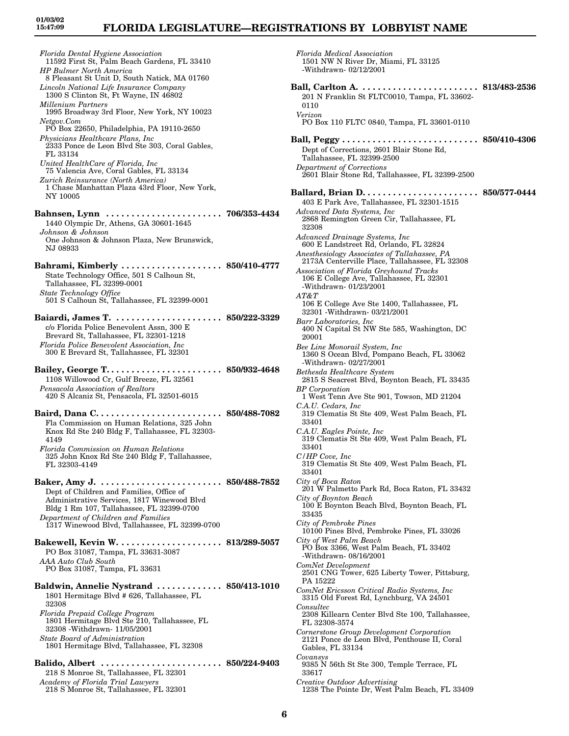# **FLORIDA LEGISLATURE—REGISTRATIONS BY LOBBYIST NAME**

*Florida Medical Association*

*Florida Dental Hygiene Association* 11592 First St, Palm Beach Gardens, FL 33410 *HP Bulmer North America* 8 Pleasant St Unit D, South Natick, MA 01760 *Lincoln National Life Insurance Company* 1300 S Clinton St, Ft Wayne, IN 46802 *Millenium Partners* 1995 Broadway 3rd Floor, New York, NY 10023 *Netgov.Com* PO Box 22650, Philadelphia, PA 19110-2650 *Physicians Healthcare Plans, Inc* 2333 Ponce de Leon Blvd Ste 303, Coral Gables, FL 33134 *United HealthCare of Florida, Inc* 75 Valencia Ave, Coral Gables, FL 33134 *Zurich Reinsurance (North America)* 1 Chase Manhattan Plaza 43rd Floor, New York, NY 10005 **Bahnsen, Lynn . . . . . . . . . . . . . . . . . . . . . . . 706/353-4434** 1440 Olympic Dr, Athens, GA 30601-1645 *Johnson & Johnson* One Johnson & Johnson Plaza, New Brunswick, NJ 08933 **Bahrami, Kimberly . . . . . . . . . . . . . . . . . . . . 850/410-4777** State Technology Office, 501 S Calhoun St, Tallahassee, FL 32399-0001 *State Technology Office* 501 S Calhoun St, Tallahassee, FL 32399-0001 **Baiardi, James T. . . . . . . . . . . . . . . . . . . . . . 850/222-3329** c/o Florida Police Benevolent Assn, 300 E Brevard St, Tallahassee, FL 32301-1218 *Florida Police Benevolent Association, Inc* 300 E Brevard St, Tallahassee, FL 32301 **Bailey, George T. . . . . . . . . . . . . . . . . . . . . . . 850/932-4648** 1108 Willowood Cr, Gulf Breeze, FL 32561 *Pensacola Association of Realtors* 420 S Alcaniz St, Pensacola, FL 32501-6015 **Baird, Dana C. . . . . . . . . . . . . . . . . . . . . . . . . 850/488-7082** Fla Commission on Human Relations, 325 John Knox Rd Ste 240 Bldg F, Tallahassee, FL 32303- 4149 *Florida Commission on Human Relations* 325 John Knox Rd Ste 240 Bldg F, Tallahassee, FL 32303-4149 **Baker, Amy J. . . . . . . . . . . . . . . . . . . . . . . . . 850/488-7852** Dept of Children and Families, Office of Administrative Services, 1817 Winewood Blvd Bldg 1 Rm 107, Tallahassee, FL 32399-0700 *Department of Children and Families* 1317 Winewood Blvd, Tallahassee, FL 32399-0700 **Bakewell, Kevin W. . . . . . . . . . . . . . . . . . . . . 813/289-5057** PO Box 31087, Tampa, FL 33631-3087 *AAA Auto Club South* PO Box 31087, Tampa, FL 33631 **Baldwin, Annelie Nystrand . . . . . . . . . . . . . 850/413-1010** 1801 Hermitage Blvd # 626, Tallahassee, FL 32308 *Florida Prepaid College Program* 1801 Hermitage Blvd Ste 210, Tallahassee, FL 32308 -Withdrawn- 11/05/2001 *State Board of Administration* 1801 Hermitage Blvd, Tallahassee, FL 32308 **Balido, Albert . . . . . . . . . . . . . . . . . . . . . . . . 850/224-9403** 218 S Monroe St, Tallahassee, FL 32301 *Academy of Florida Trial Lawyers* 218 S Monroe St, Tallahassee, FL 32301

1501 NW N River Dr, Miami, FL 33125 -Withdrawn- 02/12/2001 **Ball, Carlton A. . . . . . . . . . . . . . . . . . . . . . . . 813/483-2536** 201 N Franklin St FLTC0010, Tampa, FL 33602- 0110 *Verizon* PO Box 110 FLTC 0840, Tampa, FL 33601-0110 **Ball, Peggy . . . . . . . . . . . . . . . . . . . . . . . . . . . 850/410-4306** Dept of Corrections, 2601 Blair Stone Rd, Tallahassee, FL 32399-2500 *Department of Corrections* 2601 Blair Stone Rd, Tallahassee, FL 32399-2500 **Ballard, Brian D. . . . . . . . . . . . . . . . . . . . . . . 850/577-0444** 403 E Park Ave, Tallahassee, FL 32301-1515 *Advanced Data Systems, Inc* 2868 Remington Green Cir, Tallahassee, FL 32308 *Advanced Drainage Systems, Inc* 600 E Landstreet Rd, Orlando, FL 32824 *Anesthesiology Associates of Tallahassee, PA* 2173A Centerville Place, Tallahassee, FL 32308 *Association of Florida Greyhound Tracks* 106 E College Ave, Tallahassee, FL 32301 -Withdrawn- 01/23/2001 *AT&T* 106 E College Ave Ste 1400, Tallahassee, FL 32301 -Withdrawn- 03/21/2001 *Barr Laboratories, Inc* 400 N Capital St NW Ste 585, Washington, DC 20001 *Bee Line Monorail System, Inc* 1360 S Ocean Blvd, Pompano Beach, FL 33062 -Withdrawn- 02/27/2001 *Bethesda Healthcare System* 2815 S Seacrest Blvd, Boynton Beach, FL 33435 *BP Corporation* 1 West Tenn Ave Ste 901, Towson, MD 21204 *C.A.U. Cedars, Inc* 319 Clematis St Ste 409, West Palm Beach, FL 33401 *C.A.U. Eagles Pointe, Inc* 319 Clematis St Ste 409, West Palm Beach, FL 33401 *C/HP Cove, Inc* 319 Clematis St Ste 409, West Palm Beach, FL 33401 *City of Boca Raton* 201 W Palmetto Park Rd, Boca Raton, FL 33432 *City of Boynton Beach* 100 E Boynton Beach Blvd, Boynton Beach, FL 33435 *City of Pembroke Pines* 10100 Pines Blvd, Pembroke Pines, FL 33026 *City of West Palm Beach* PO Box 3366, West Palm Beach, FL 33402 -Withdrawn- 08/16/2001 *ComNet Development* 2501 CNG Tower, 625 Liberty Tower, Pittsburg, PA 15222 *ComNet Ericsson Critical Radio Systems, Inc* 3315 Old Forest Rd, Lynchburg, VA 24501 *Consultec* 2308 Killearn Center Blvd Ste 100, Tallahassee, FL 32308-3574 *Cornerstone Group Development Corporation* 2121 Ponce de Leon Blvd, Penthouse II, Coral Gables, FL 33134 *Covansys* 9385 N 56th St Ste 300, Temple Terrace, FL 33617 *Creative Outdoor Advertising* 1238 The Pointe Dr, West Palm Beach, FL 33409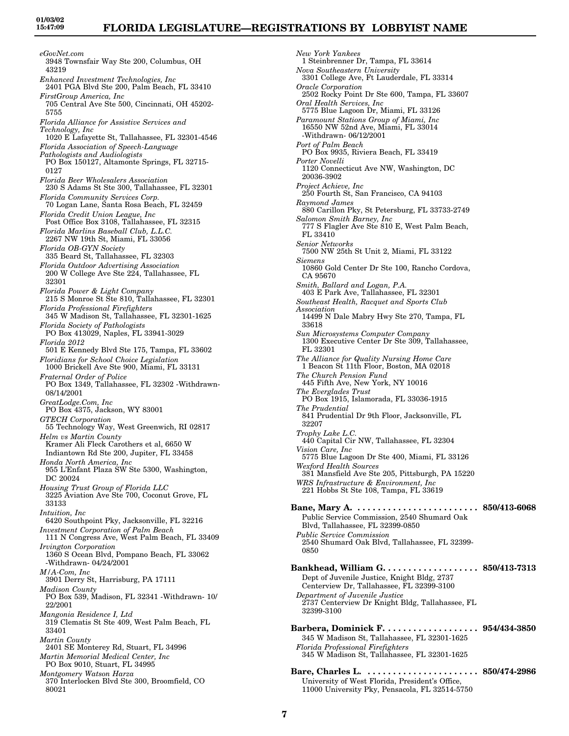*eGovNet.com* 3948 Townsfair Way Ste 200, Columbus, OH 43219 *Enhanced Investment Technologies, Inc* 2401 PGA Blvd Ste 200, Palm Beach, FL 33410 *FirstGroup America, Inc* 705 Central Ave Ste 500, Cincinnati, OH 45202- 5755 *Florida Alliance for Assistive Services and Technology, Inc* 1020 E Lafayette St, Tallahassee, FL 32301-4546 *Florida Association of Speech-Language Pathologists and Audiologists* PO Box 150127, Altamonte Springs, FL 32715- 0127 *Florida Beer Wholesalers Association* 230 S Adams St Ste 300, Tallahassee, FL 32301 *Florida Community Services Corp.* 70 Logan Lane, Santa Rosa Beach, FL 32459 *Florida Credit Union League, Inc* Post Office Box 3108, Tallahassee, FL 32315 *Florida Marlins Baseball Club, L.L.C.* 2267 NW 19th St, Miami, FL 33056 *Florida OB-GYN Society* 335 Beard St, Tallahassee, FL 32303 *Florida Outdoor Advertising Association* 200 W College Ave Ste 224, Tallahassee, FL 32301 *Florida Power & Light Company* 215 S Monroe St Ste 810, Tallahassee, FL 32301 *Florida Professional Firefighters* 345 W Madison St, Tallahassee, FL 32301-1625 *Florida Society of Pathologists* PO Box 413029, Naples, FL 33941-3029 *Florida 2012* 501 E Kennedy Blvd Ste 175, Tampa, FL 33602 *Floridians for School Choice Legislation* 1000 Brickell Ave Ste 900, Miami, FL 33131 *Fraternal Order of Police* PO Box 1349, Tallahassee, FL 32302 -Withdrawn-08/14/2001 *GreatLodge.Com, Inc* PO Box 4375, Jackson, WY 83001 *GTECH Corporation* 55 Technology Way, West Greenwich, RI 02817 *Helm vs Martin County* Kramer Ali Fleck Carothers et al, 6650 W Indiantown Rd Ste 200, Jupiter, FL 33458 *Honda North America, Inc* 955 L'Enfant Plaza SW Ste 5300, Washington, DC 20024 *Housing Trust Group of Florida LLC* 3225 Aviation Ave Ste 700, Coconut Grove, FL 33133 *Intuition, Inc* 6420 Southpoint Pky, Jacksonville, FL 32216 *Investment Corporation of Palm Beach* 111 N Congress Ave, West Palm Beach, FL 33409 *Irvington Corporation* 1360 S Ocean Blvd, Pompano Beach, FL 33062 -Withdrawn- 04/24/2001 *M/A-Com, Inc* 3901 Derry St, Harrisburg, PA 17111 *Madison County* PO Box 539, Madison, FL 32341 -Withdrawn- 10/ 22/2001 *Mangonia Residence I, Ltd* 319 Clematis St Ste 409, West Palm Beach, FL 33401 *Martin County* 2401 SE Monterey Rd, Stuart, FL 34996 *Martin Memorial Medical Center, Inc* PO Box 9010, Stuart, FL 34995 *Montgomery Watson Harza* 370 Interlocken Blvd Ste 300, Broomfield, CO 80021

*New York Yankees* 1 Steinbrenner Dr, Tampa, FL 33614 *Nova Southeastern University* 3301 College Ave, Ft Lauderdale, FL 33314 *Oracle Corporation* 2502 Rocky Point Dr Ste 600, Tampa, FL 33607 *Oral Health Services, Inc* 5775 Blue Lagoon Dr, Miami, FL 33126 *Paramount Stations Group of Miami, Inc* 16550 NW 52nd Ave, Miami, FL 33014 -Withdrawn- 06/12/2001 *Port of Palm Beach* PO Box 9935, Riviera Beach, FL 33419 *Porter Novelli* 1120 Connecticut Ave NW, Washington, DC 20036-3902 *Project Achieve, Inc* 250 Fourth St, San Francisco, CA 94103 *Raymond James* 880 Carillon Pky, St Petersburg, FL 33733-2749 *Salomon Smith Barney, Inc* 777 S Flagler Ave Ste 810 E, West Palm Beach, FL 33410 *Senior Networks* 7500 NW 25th St Unit 2, Miami, FL 33122 *Siemens* 10860 Gold Center Dr Ste 100, Rancho Cordova, CA 95670 *Smith, Ballard and Logan, P.A.* 403 E Park Ave, Tallahassee, FL 32301 *Southeast Health, Racquet and Sports Club Association* 14499 N Dale Mabry Hwy Ste 270, Tampa, FL 33618 *Sun Microsystems Computer Company* 1300 Executive Center Dr Ste 309, Tallahassee, FL 32301 *The Alliance for Quality Nursing Home Care* 1 Beacon St 11th Floor, Boston, MA 02018 *The Church Pension Fund* 445 Fifth Ave, New York, NY 10016 *The Everglades Trust* PO Box 1915, Islamorada, FL 33036-1915 *The Prudential* 841 Prudential Dr 9th Floor, Jacksonville, FL 32207 *Trophy Lake L.C.* 440 Capital Cir NW, Tallahassee, FL 32304 *Vision Care, Inc* 5775 Blue Lagoon Dr Ste 400, Miami, FL 33126 *Wexford Health Sources* 381 Mansfield Ave Ste 205, Pittsburgh, PA 15220 *WRS Infrastructure & Environment, Inc* 221 Hobbs St Ste 108, Tampa, FL 33619 **Bane, Mary A. . . . . . . . . . . . . . . . . . . . . . . . . 850/413-6068** Public Service Commission, 2540 Shumard Oak Blvd, Tallahassee, FL 32399-0850 *Public Service Commission* 2540 Shumard Oak Blvd, Tallahassee, FL 32399- 0850 **Bankhead, William G. . . . . . . . . . . . . . . . . . . 850/413-7313** Dept of Juvenile Justice, Knight Bldg, 2737 Centerview Dr, Tallahassee, FL 32399-3100 *Department of Juvenile Justice* 2737 Centerview Dr Knight Bldg, Tallahassee, FL 32399-3100 **Barbera, Dominick F. . . . . . . . . . . . . . . . . . . 954/434-3850** 345 W Madison St, Tallahassee, FL 32301-1625 *Florida Professional Firefighters* 345 W Madison St, Tallahassee, FL 32301-1625 **Bare, Charles L. . . . . . . . . . . . . . . . . . . . . . . 850/474-2986** University of West Florida, President's Office, 11000 University Pky, Pensacola, FL 32514-5750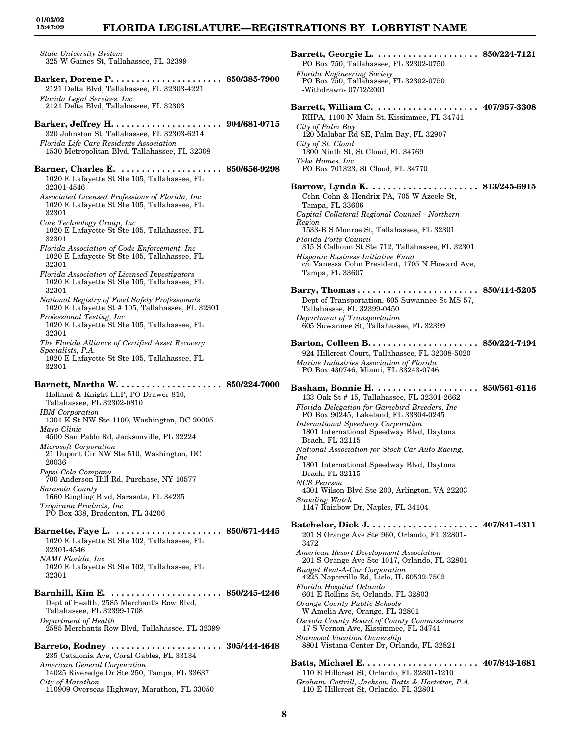*State University System* 325 W Gaines St, Tallahassee, FL 32399 **Barker, Dorene P. . . . . . . . . . . . . . . . . . . . . . 850/385-7900** 2121 Delta Blvd, Tallahassee, FL 32303-4221 *Florida Legal Services, Inc* 2121 Delta Blvd, Tallahassee, FL 32303 **Barker, Jeffrey H. . . . . . . . . . . . . . . . . . . . . . 904/681-0715** 320 Johnston St, Tallahassee, FL 32303-6214 *Florida Life Care Residents Association* 1530 Metropolitan Blvd, Tallahassee, FL 32308 **Barner, Charles E. . . . . . . . . . . . . . . . . . . . . 850/656-9298** 1020 E Lafayette St Ste 105, Tallahassee, FL 32301-4546 *Associated Licensed Professions of Florida, Inc* 1020 E Lafayette St Ste 105, Tallahassee, FL 32301 *Core Technology Group, Inc* 1020 E Lafayette St Ste 105, Tallahassee, FL 32301 *Florida Association of Code Enforcement, Inc* 1020 E Lafayette St Ste 105, Tallahassee, FL 32301 *Florida Association of Licensed Investigators* 1020 E Lafayette St Ste 105, Tallahassee, FL 32301 *National Registry of Food Safety Professionals* 1020 E Lafayette St # 105, Tallahassee, FL 32301 *Professional Testing, Inc* 1020 E Lafayette St Ste 105, Tallahassee, FL 32301 *The Florida Alliance of Certified Asset Recovery Specialists, P.A.* 1020 E Lafayette St Ste 105, Tallahassee, FL 32301 **Barnett, Martha W. . . . . . . . . . . . . . . . . . . . . 850/224-7000** Holland & Knight LLP, PO Drawer 810, Tallahassee, FL 32302-0810 *IBM Corporation* 1301 K St NW Ste 1100, Washington, DC 20005 *Mayo Clinic* 4500 San Pablo Rd, Jacksonville, FL 32224 *Microsoft Corporation* 21 Dupont Cir NW Ste 510, Washington, DC 20036 *Pepsi-Cola Company* 700 Anderson Hill Rd, Purchase, NY 10577 *Sarasota County* 1660 Ringling Blvd, Sarasota, FL 34235 *Tropicana Products, Inc* PO Box 338, Bradenton, FL 34206 **Barnette, Faye L. . . . . . . . . . . . . . . . . . . . . . 850/671-4445** 1020 E Lafayette St Ste 102, Tallahassee, FL 32301-4546 *NAMI Florida, Inc* 1020 E Lafayette St Ste 102, Tallahassee, FL 32301 **Barnhill, Kim E. . . . . . . . . . . . . . . . . . . . . . . 850/245-4246** Dept of Health, 2585 Merchant's Row Blvd, Tallahassee, FL 32399-1708 *Department of Health* 2585 Merchants Row Blvd, Tallahassee, FL 32399 **Barreto, Rodney . . . . . . . . . . . . . . . . . . . . . . 305/444-4648** 235 Catalonia Ave, Coral Gables, FL 33134 *American General Corporation* 14025 Riveredge Dr Ste 250, Tampa, FL 33637

**01/03/02 15:47:09**

*City of Marathon*

110909 Overseas Highway, Marathon, FL 33050

**Barrett, Georgie L. . . . . . . . . . . . . . . . . . . . . 850/224-7121** PO Box 750, Tallahassee, FL 32302-0750 *Florida Engineering Society* PO Box 750, Tallahassee, FL 32302-0750 -Withdrawn- 07/12/2001 **Barrett, William C. . . . . . . . . . . . . . . . . . . . . 407/957-3308** RHPA, 1100 N Main St, Kissimmee, FL 34741 *City of Palm Bay* 120 Malabar Rd SE, Palm Bay, FL 32907 *City of St. Cloud* 1300 Ninth St, St Cloud, FL 34769 *Teka Homes, Inc* PO Box 701323, St Cloud, FL 34770 **Barrow, Lynda K. . . . . . . . . . . . . . . . . . . . . . 813/245-6915** Cohn Cohn & Hendrix PA, 705 W Azeele St, Tampa, FL 33606 *Capital Collateral Regional Counsel - Northern Region* 1533-B S Monroe St, Tallahassee, FL 32301 *Florida Ports Council* 315 S Calhoun St Ste 712, Tallahassee, FL 32301 *Hispanic Business Initiative Fund* c/o Vanessa Cohn President, 1705 N Howard Ave, Tampa, FL 33607 **Barry, Thomas . . . . . . . . . . . . . . . . . . . . . . . . 850/414-5205** Dept of Transportation, 605 Suwannee St MS 57, Tallahassee, FL 32399-0450 *Department of Transportation* 605 Suwannee St, Tallahassee, FL 32399 **Barton, Colleen B. . . . . . . . . . . . . . . . . . . . . . 850/224-7494** 924 Hillcrest Court, Tallahassee, FL 32308-5020 *Marine Industries Association of Florida* PO Box 430746, Miami, FL 33243-0746 **Basham, Bonnie H. . . . . . . . . . . . . . . . . . . . . 850/561-6116** 133 Oak St # 15, Tallahassee, FL 32301-2662 *Florida Delegation for Gamebird Breeders, Inc* PO Box 90245, Lakeland, FL 33804-0245 *International Speedway Corporation* 1801 International Speedway Blvd, Daytona Beach, FL 32115 *National Association for Stock Car Auto Racing, Inc* 1801 International Speedway Blvd, Daytona Beach, FL 32115 *NCS Pearson* 4301 Wilson Blvd Ste 200, Arlington, VA 22203 *Standing Watch* 1147 Rainbow Dr, Naples, FL 34104 **Batchelor, Dick J. . . . . . . . . . . . . . . . . . . . . . 407/841-4311** 201 S Orange Ave Ste 960, Orlando, FL 32801- 3472 *American Resort Development Association* 201 S Orange Ave Ste 1017, Orlando, FL 32801 *Budget Rent-A-Car Corporation* 4225 Naperville Rd, Lisle, IL 60532-7502 *Florida Hospital Orlando* 601 E Rollins St, Orlando, FL 32803 *Orange County Public Schools* W Amelia Ave, Orange, FL 32801 *Osceola County Board of County Commissioners* 17 S Vernon Ave, Kissimmee, FL 34741 *Starwood Vacation Ownership* 8801 Vistana Center Dr, Orlando, FL 32821 **Batts, Michael E. . . . . . . . . . . . . . . . . . . . . . . 407/843-1681** 110 E Hillcrest St, Orlando, FL 32801-1210

*Graham, Cottrill, Jackson, Batts & Hostetter, P.A.* 110 E Hillcrest St, Orlando, FL 32801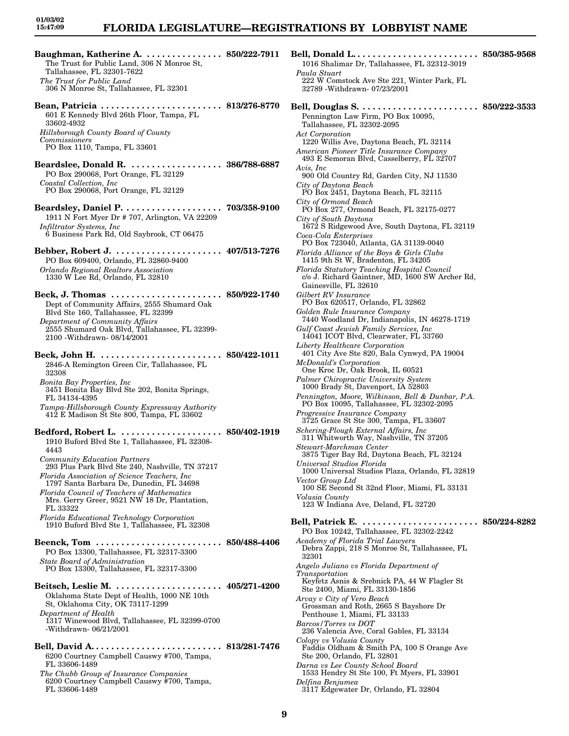# **FLORIDA LEGISLATURE—REGISTRATIONS BY LOBBYIST NAME**

**Baughman, Katherine A. . . . . . . . . . . . . . . . 850/222-7911 Bell, Donald L. . . . . . . . . . . . . . . . . . . . . . . . . 850/385-9568** The Trust for Public Land, 306 N Monroe St, Tallahassee, FL 32301-7622 *The Trust for Public Land* 306 N Monroe St, Tallahassee, FL 32301 **Bean, Patricia . . . . . . . . . . . . . . . . . . . . . . . . 813/276-8770** 601 E Kennedy Blvd 26th Floor, Tampa, FL 33602-4932 *Hillsborough County Board of County Commissioners* PO Box 1110, Tampa, FL 33601 **Beardslee, Donald R. . . . . . . . . . . . . . . . . . . 386/788-6887** PO Box 290068, Port Orange, FL 32129 *Coastal Collection, Inc* PO Box 290068, Port Orange, FL 32129 **Beardsley, Daniel P. . . . . . . . . . . . . . . . . . . . 703/358-9100** 1911 N Fort Myer Dr # 707, Arlington, VA 22209 *Infiltrator Systems, Inc* 6 Business Park Rd, Old Saybrook, CT 06475 **Bebber, Robert J. . . . . . . . . . . . . . . . . . . . . . 407/513-7276** PO Box 609400, Orlando, FL 32860-9400 *Orlando Regional Realtors Association* 1330 W Lee Rd, Orlando, FL 32810 **Beck, J. Thomas . . . . . . . . . . . . . . . . . . . . . . 850/922-1740** Dept of Community Affairs, 2555 Shumard Oak Blvd Ste 160, Tallahassee, FL 32399 *Department of Community Affairs* 2555 Shumard Oak Blvd, Tallahassee, FL 32399- 2100 -Withdrawn- 08/14/2001 **Beck, John H. . . . . . . . . . . . . . . . . . . . . . . . . 850/422-1011** 2846-A Remington Green Cir, Tallahassee, FL 32308 *Bonita Bay Properties, Inc* 3451 Bonita Bay Blvd Ste 202, Bonita Springs, FL 34134-4395 *Tampa-Hillsborough County Expressway Authority* 412 E Madison St Ste 800, Tampa, FL 33602 **Bedford, Robert L. . . . . . . . . . . . . . . . . . . . . 850/402-1919** 1910 Buford Blvd Ste 1, Tallahassee, FL 32308- 4443 *Community Education Partners* 293 Plus Park Blvd Ste 240, Nashville, TN 37217 *Florida Association of Science Teachers, Inc* 1797 Santa Barbara De, Dunedin, FL 34698 *Florida Council of Teachers of Mathematics* Mrs. Gerry Greer, 9521 NW 18 Dr, Plantation, FL 33322 *Florida Educational Technology Corporation* 1910 Buford Blvd Ste 1, Tallahassee, FL 32308 **Beenck, Tom . . . . . . . . . . . . . . . . . . . . . . . . . 850/488-4406** PO Box 13300, Tallahassee, FL 32317-3300 *State Board of Administration* PO Box 13300, Tallahassee, FL 32317-3300 **Beitsch, Leslie M. . . . . . . . . . . . . . . . . . . . . . 405/271-4200** Oklahoma State Dept of Health, 1000 NE 10th St, Oklahoma City, OK 73117-1299 *Department of Health* 1317 Winewood Blvd, Tallahassee, FL 32399-0700 -Withdrawn- 06/21/2001 **Bell, David A. . . . . . . . . . . . . . . . . . . . . . . . . . 813/281-7476**

6200 Courtney Campbell Causwy #700, Tampa, FL 33606-1489 *The Chubb Group of Insurance Companies*

6200 Courtney Campbell Causwy #700, Tampa, FL 33606-1489

1016 Shalimar Dr, Tallahassee, FL 32312-3019 *Paula Stuart* 222 W Comstock Ave Ste 221, Winter Park, FL 32789 -Withdrawn- 07/23/2001 **Bell, Douglas S. . . . . . . . . . . . . . . . . . . . . . . . 850/222-3533** Pennington Law Firm, PO Box 10095, Tallahassee, FL 32302-2095 *Act Corporation* 1220 Willis Ave, Daytona Beach, FL 32114 *American Pioneer Title Insurance Company* 493 E Semoran Blvd, Casselberry, FL 32707 *Avis, Inc* 900 Old Country Rd, Garden City, NJ 11530 *City of Daytona Beach* PO Box 2451, Daytona Beach, FL 32115 *City of Ormond Beach* PO Box 277, Ormond Beach, FL 32175-0277 *City of South Daytona* 1672 S Ridgewood Ave, South Daytona, FL 32119 *Coca-Cola Enterprises* PO Box 723040, Atlanta, GA 31139-0040 *Florida Alliance of the Boys & Girls Clubs* 1415 9th St W, Bradenton, FL 34205 *Florida Statutory Teaching Hospital Council* c/o J. Richard Gaintner, MD, 1600 SW Archer Rd, Gainesville, FL 32610 *Gilbert RV Insurance* PO Box 620517, Orlando, FL 32862 *Golden Rule Insurance Company* 7440 Woodland Dr, Indianapolis, IN 46278-1719 *Gulf Coast Jewish Family Services, Inc* 14041 ICOT Blvd, Clearwater, FL 33760 *Liberty Healthcare Corporation* 401 City Ave Ste 820, Bala Cynwyd, PA 19004 *McDonald's Corporation* One Kroc Dr, Oak Brook, IL 60521 *Palmer Chiropractic University System* 1000 Brady St, Davenport, IA 52803 *Pennington, Moore, Wilkinson, Bell & Dunbar, P.A.* PO Box 10095, Tallahassee, FL 32302-2095 *Progressive Insurance Company* 3725 Grace St Ste 300, Tampa, FL 33607 *Schering-Plough External Affairs, Inc* 311 Whitworth Way, Nashville, TN 37205 *Stewart-Marchman Center* 3875 Tiger Bay Rd, Daytona Beach, FL 32124 *Universal Studios Florida* 1000 Universal Studios Plaza, Orlando, FL 32819 *Vector Group Ltd* 100 SE Second St 32nd Floor, Miami, FL 33131 *Volusia County* 123 W Indiana Ave, Deland, FL 32720 **Bell, Patrick E. . . . . . . . . . . . . . . . . . . . . . . . 850/224-8282** PO Box 10242, Tallahassee, FL 32302-2242 *Academy of Florida Trial Lawyers* Debra Zappi, 218 S Monroe St, Tallahassee, FL 32301 *Angelo Juliano vs Florida Department of Transportation* Keyfetz Asnis & Srebnick PA, 44 W Flagler St Ste 2400, Miami, FL 33130-1856 *Arvay v City of Vero Beach* Grossman and Roth, 2665 S Bayshore Dr Penthouse 1, Miami, FL 33133 *Barcos/Torres vs DOT* 236 Valencia Ave, Coral Gables, FL 33134 *Colopy vs Volusia County* Faddis Oldham & Smith PA, 100 S Orange Ave Ste 200, Orlando, FL 32801 *Darna vs Lee County School Board* 1533 Hendry St Ste 100, Ft Myers, FL 33901

*Delfina Benjumea*

3117 Edgewater Dr, Orlando, FL 32804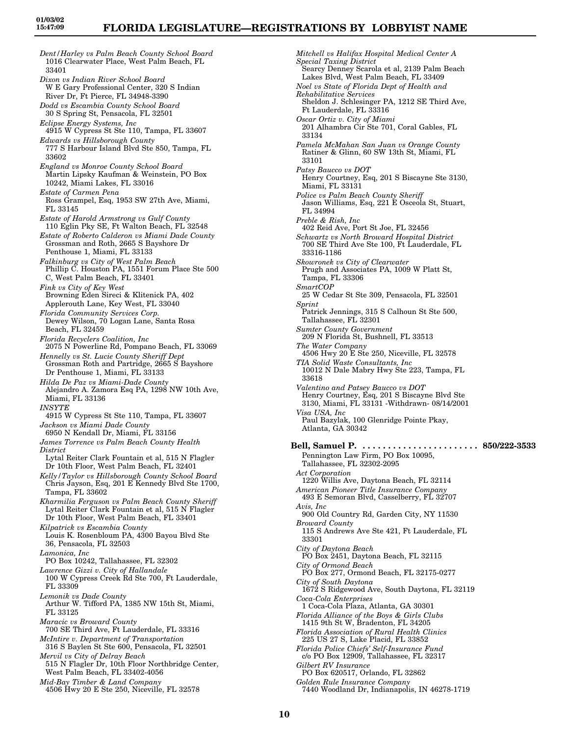*Dent/Harley vs Palm Beach County School Board* 1016 Clearwater Place, West Palm Beach, FL 33401 *Dixon vs Indian River School Board* W E Gary Professional Center, 320 S Indian River Dr, Ft Pierce, FL 34948-3390 *Dodd vs Escambia County School Board* 30 S Spring St, Pensacola, FL 32501 *Eclipse Energy Systems, Inc* 4915 W Cypress St Ste 110, Tampa, FL 33607 *Edwards vs Hillsborough County* 777 S Harbour Island Blvd Ste 850, Tampa, FL 33602 *England vs Monroe County School Board* Martin Lipsky Kaufman & Weinstein, PO Box 10242, Miami Lakes, FL 33016 *Estate of Carmen Pena* Ross Grampel, Esq, 1953 SW 27th Ave, Miami, FL 33145 *Estate of Harold Armstrong vs Gulf County* 110 Eglin Pky SE, Ft Walton Beach, FL 32548 *Estate of Roberto Calderon vs Miami Dade County* Grossman and Roth, 2665 S Bayshore Dr Penthouse 1, Miami, FL 33133 *Falkinburg vs City of West Palm Beach* Phillip C. Houston PA, 1551 Forum Place Ste 500 C, West Palm Beach, FL 33401 *Fink vs City of Key West* Browning Eden Sireci & Klitenick PA, 402 Applerouth Lane, Key West, FL 33040 *Florida Community Services Corp.* Dewey Wilson, 70 Logan Lane, Santa Rosa Beach, FL 32459 *Florida Recyclers Coalition, Inc* 2075 N Powerline Rd, Pompano Beach, FL 33069 *Hennelly vs St. Lucie County Sheriff Dept* Grossman Roth and Partridge, 2665 S Bayshore Dr Penthouse 1, Miami, FL 33133 *Hilda De Paz vs Miami-Dade County* Alejandro A. Zamora Esq PA, 1298 NW 10th Ave, Miami, FL 33136 *INSYTE* 4915 W Cypress St Ste 110, Tampa, FL 33607 *Jackson vs Miami Dade County* 6950 N Kendall Dr, Miami, FL 33156 *James Torrence vs Palm Beach County Health District* Lytal Reiter Clark Fountain et al, 515 N Flagler Dr 10th Floor, West Palm Beach, FL 32401 *Kelly/Taylor vs Hillsborough County School Board* Chris Jayson, Esq, 201 E Kennedy Blvd Ste 1700, Tampa, FL 33602 *Kharmilia Ferguson vs Palm Beach County Sheriff* Lytal Reiter Clark Fountain et al, 515 N Flagler Dr 10th Floor, West Palm Beach, FL 33401 *Kilpatrick vs Escambia County* Louis K. Rosenbloum PA, 4300 Bayou Blvd Ste 36, Pensacola, FL 32503 *Lamonica, Inc* PO Box 10242, Tallahassee, FL 32302 *Lawrence Gizzi v. City of Hallandale* 100 W Cypress Creek Rd Ste 700, Ft Lauderdale, FL 33309 *Lemonik vs Dade County* Arthur W. Tifford PA, 1385 NW 15th St, Miami, FL 33125 *Maracic vs Broward County* 700 SE Third Ave, Ft Lauderdale, FL 33316 *McIntire v. Department of Transportation* 316 S Baylen St Ste 600, Pensacola, FL 32501 *Mervil vs City of Delray Beach* 515 N Flagler Dr, 10th Floor Northbridge Center, West Palm Beach, FL 33402-4056 *Mid-Bay Timber & Land Company*

4506 Hwy 20 E Ste 250, Niceville, FL 32578

*Mitchell vs Halifax Hospital Medical Center A Special Taxing District* Searcy Denney Scarola et al, 2139 Palm Beach Lakes Blvd, West Palm Beach, FL 33409 *Noel vs State of Florida Dept of Health and Rehabilitative Services* Sheldon J. Schlesinger PA, 1212 SE Third Ave, Ft Lauderdale, FL 33316 *Oscar Ortiz v. City of Miami* 201 Alhambra Cir Ste 701, Coral Gables, FL 33134 *Pamela McMahan San Juan vs Orange County* Ratiner & Glinn, 60 SW 13th St, Miami, FL 33101 *Patsy Baucco vs DOT* Henry Courtney, Esq, 201 S Biscayne Ste 3130, Miami, FL 33131 *Police vs Palm Beach County Sheriff* Jason Williams, Esq, 221 E Osceola St, Stuart, FL 34994 *Preble & Rish, Inc* 402 Reid Ave, Port St Joe, FL 32456 *Schwartz vs North Broward Hospital District* 700 SE Third Ave Ste 100, Ft Lauderdale, FL 33316-1186 *Skowronek vs City of Clearwater* Prugh and Associates PA, 1009 W Platt St, Tampa, FL 33306 *SmartCOP* 25 W Cedar St Ste 309, Pensacola, FL 32501 *Sprint* Patrick Jennings, 315 S Calhoun St Ste 500, Tallahassee, FL 32301 *Sumter County Government* 209 N Florida St, Bushnell, FL 33513 *The Water Company* 4506 Hwy 20 E Ste 250, Niceville, FL 32578 *TIA Solid Waste Consultants, Inc* 10012 N Dale Mabry Hwy Ste 223, Tampa, FL 33618 *Valentino and Patsey Baucco vs DOT* Henry Courtney, Esq, 201 S Biscayne Blvd Ste 3130, Miami, FL 33131 -Withdrawn- 08/14/2001 *Visa USA, Inc* Paul Bazylak, 100 Glenridge Pointe Pkay, Atlanta, GA 30342 **Bell, Samuel P. . . . . . . . . . . . . . . . . . . . . . . . 850/222-3533** Pennington Law Firm, PO Box 10095, Tallahassee, FL 32302-2095 *Act Corporation* 1220 Willis Ave, Daytona Beach, FL 32114 *American Pioneer Title Insurance Company* 493 E Semoran Blvd, Casselberry, FL 32707 *Avis, Inc* 900 Old Country Rd, Garden City, NY 11530 *Broward County* 115 S Andrews Ave Ste 421, Ft Lauderdale, FL 33301 *City of Daytona Beach* PO Box 2451, Daytona Beach, FL 32115 *City of Ormond Beach* PO Box 277, Ormond Beach, FL 32175-0277 *City of South Daytona* 1672 S Ridgewood Ave, South Daytona, FL 32119 *Coca-Cola Enterprises* 1 Coca-Cola Plaza, Atlanta, GA 30301 *Florida Alliance of the Boys & Girls Clubs* 1415 9th St W, Bradenton, FL 34205 *Florida Association of Rural Health Clinics* 225 US 27 S, Lake Placid, FL 33852 *Florida Police Chiefs' Self-Insurance Fund* c/o PO Box 12909, Tallahassee, FL 32317 *Gilbert RV Insurance* PO Box 620517, Orlando, FL 32862 *Golden Rule Insurance Company* 7440 Woodland Dr, Indianapolis, IN 46278-1719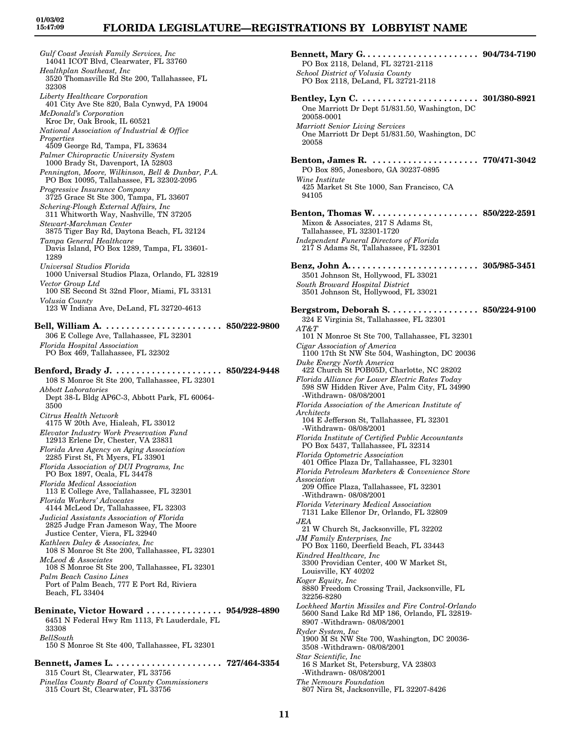*Gulf Coast Jewish Family Services, Inc* 14041 ICOT Blvd, Clearwater, FL 33760 *Healthplan Southeast, Inc* 3520 Thomasville Rd Ste 200, Tallahassee, FL 32308 *Liberty Healthcare Corporation* 401 City Ave Ste 820, Bala Cynwyd, PA 19004 *McDonald's Corporation* Kroc Dr, Oak Brook, IL 60521 *National Association of Industrial & Office Properties* 4509 George Rd, Tampa, FL 33634 *Palmer Chiropractic University System* 1000 Brady St, Davenport, IA 52803 *Pennington, Moore, Wilkinson, Bell & Dunbar, P.A.* PO Box 10095, Tallahassee, FL 32302-2095 *Progressive Insurance Company* 3725 Grace St Ste 300, Tampa, FL 33607 *Schering-Plough External Affairs, Inc* 311 Whitworth Way, Nashville, TN 37205 *Stewart-Marchman Center* 3875 Tiger Bay Rd, Daytona Beach, FL 32124 *Tampa General Healthcare* Davis Island, PO Box 1289, Tampa, FL 33601- 1289 *Universal Studios Florida* 1000 Universal Studios Plaza, Orlando, FL 32819 *Vector Group Ltd* 100 SE Second St 32nd Floor, Miami, FL 33131 *Volusia County* 123 W Indiana Ave, DeLand, FL 32720-4613 **Bell, William A. . . . . . . . . . . . . . . . . . . . . . . . 850/222-9800** 306 E College Ave, Tallahassee, FL 32301 *Florida Hospital Association* PO Box 469, Tallahassee, FL 32302 **Benford, Brady J. . . . . . . . . . . . . . . . . . . . . . 850/224-9448** 108 S Monroe St Ste 200, Tallahassee, FL 32301 *Abbott Laboratories* Dept 38-L Bldg AP6C-3, Abbott Park, FL 60064- 3500 *Citrus Health Network* 4175 W 20th Ave, Hialeah, FL 33012 *Elevator Industry Work Preservation Fund* 12913 Erlene Dr, Chester, VA 23831 *Florida Area Agency on Aging Association* 2285 First St, Ft Myers, FL 33901 *Florida Association of DUI Programs, Inc* PO Box 1897, Ocala, FL 34478 *Florida Medical Association* 113 E College Ave, Tallahassee, FL 32301 *Florida Workers' Advocates* 4144 McLeod Dr, Tallahassee, FL 32303 *Judicial Assistants Association of Florida* 2825 Judge Fran Jameson Way, The Moore Justice Center, Viera, FL 32940 *Kathleen Daley & Associates, Inc* 108 S Monroe St Ste 200, Tallahassee, FL 32301 *McLeod & Associates* 108 S Monroe St Ste 200, Tallahassee, FL 32301 *Palm Beach Casino Lines* Port of Palm Beach, 777 E Port Rd, Riviera Beach, FL 33404 **Beninate, Victor Howard . . . . . . . . . . . . . . . 954/928-4890** 6451 N Federal Hwy Rm 1113, Ft Lauderdale, FL 33308 *BellSouth* 150 S Monroe St Ste 400, Tallahassee, FL 32301

**Bennett, James L. . . . . . . . . . . . . . . . . . . . . . 727/464-3354** 315 Court St, Clearwater, FL 33756 *Pinellas County Board of County Commissioners*

315 Court St, Clearwater, FL 33756

| PO Box 2118, Deland, FL 32721-2118                                                                                                    |  |
|---------------------------------------------------------------------------------------------------------------------------------------|--|
| School District of Volusia County<br>PO Box 2118, DeLand, FL 32721-2118                                                               |  |
| One Marriott Dr Dept 51/831.50, Washington, DC<br>20058-0001                                                                          |  |
| <b>Marriott Senior Living Services</b><br>One Marriott Dr Dept 51/831.50, Washington, DC<br>20058                                     |  |
| PO Box 895, Jonesboro, GA 30237-0895<br>Wine Institute                                                                                |  |
| 425 Market St Ste 1000, San Francisco, CA<br>94105                                                                                    |  |
| Benton, Thomas W 850/222-2591<br>Mixon & Associates, 217 S Adams St,<br>Tallahassee, FL 32301-1720                                    |  |
| Independent Funeral Directors of Florida<br>217 S Adams St, Tallahassee, FL 32301                                                     |  |
| 3501 Johnson St, Hollywood, FL 33021<br>South Broward Hospital District<br>3501 Johnson St, Hollywood, FL 33021                       |  |
| Bergstrom, Deborah S. 850/224-9100<br>324 E Virginia St, Tallahassee, FL 32301                                                        |  |
| $AT\&T$<br>101 N Monroe St Ste 700, Tallahassee, FL 32301<br>Cigar Association of America                                             |  |
| 1100 17th St NW Ste 504, Washington, DC 20036<br>Duke Energy North America<br>422 Church St POB05D, Charlotte, NC 28202               |  |
| Florida Alliance for Lower Electric Rates Today<br>598 SW Hidden River Ave, Palm City, FL 34990<br>-Withdrawn- 08/08/2001             |  |
| Florida Association of the American Institute of<br>Architects<br>104 E Jefferson St, Tallahassee, FL 32301<br>-Withdrawn- 08/08/2001 |  |
| Florida Institute of Certified Public Accountants<br>PO Box 5437, Tallahassee, FL 32314                                               |  |
| Florida Optometric Association<br>401 Office Plaza Dr, Tallahassee, FL 32301<br>Florida Petroleum Marketers & Convenience Store       |  |
| Association<br>209 Office Plaza, Tallahassee, FL 32301<br>-Withdrawn- 08/08/2001                                                      |  |
| Florida Veterinary Medical Association<br>7131 Lake Ellenor Dr, Orlando, FL 32809                                                     |  |
| JEA<br>21 W Church St, Jacksonville, FL 32202<br><b>JM Family Enterprises, Inc.</b>                                                   |  |
| PO Box 1160, Deerfield Beach, FL 33443<br>Kindred Healthcare, Inc<br>3300 Providian Center, 400 W Market St,<br>Louisville, KY 40202  |  |
| Koger Equity, Inc<br>8880 Freedom Crossing Trail, Jacksonville, FL<br>32256-8280                                                      |  |
| Lockheed Martin Missiles and Fire Control-Orlando<br>5600 Sand Lake Rd MP 186, Orlando, FL 32819-<br>8907 - Withdrawn - 08/08/2001    |  |
| Ryder System, Inc.<br>1900 M St NW Ste 700, Washington, DC 20036-<br>3508 - Withdrawn- 08/08/2001                                     |  |
| Star Scientific, Inc<br>16 S Market St, Petersburg, VA 23803<br>-Withdrawn- 08/08/2001                                                |  |
| The Nemours Foundation<br>807 Nira St, Jacksonville, FL 32207-8426                                                                    |  |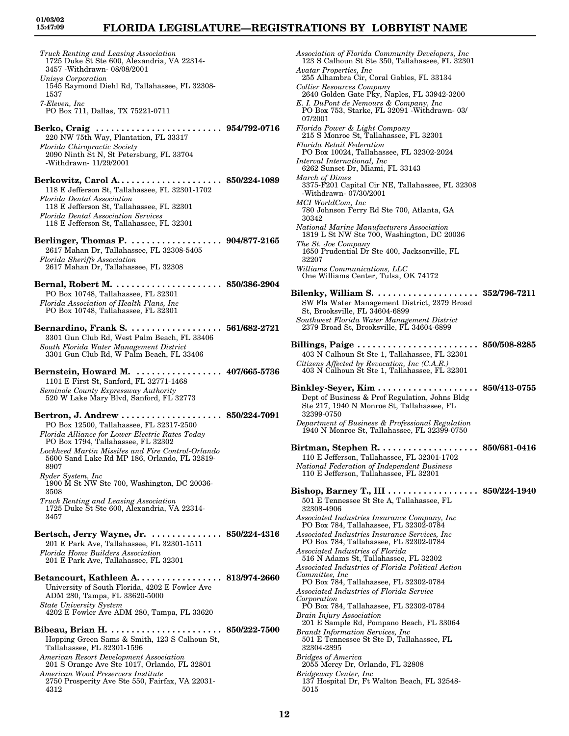*Truck Renting and Leasing Association* 1725 Duke St Ste 600, Alexandria, VA 22314- 3457 -Withdrawn- 08/08/2001 *Unisys Corporation* 1545 Raymond Diehl Rd, Tallahassee, FL 32308- 1537 *7-Eleven, Inc* PO Box 711, Dallas, TX 75221-0711 **Berko, Craig . . . . . . . . . . . . . . . . . . . . . . . . . 954/792-0716** 220 NW 75th Way, Plantation, FL 33317 *Florida Chiropractic Society* 2090 Ninth St N, St Petersburg, FL 33704 -Withdrawn- 11/29/2001 **Berkowitz, Carol A. . . . . . . . . . . . . . . . . . . . . 850/224-1089** 118 E Jefferson St, Tallahassee, FL 32301-1702 *Florida Dental Association* 118 E Jefferson St, Tallahassee, FL 32301 *Florida Dental Association Services* 118 E Jefferson St, Tallahassee, FL 32301 **Berlinger, Thomas P. . . . . . . . . . . . . . . . . . . 904/877-2165** 2617 Mahan Dr, Tallahassee, FL 32308-5405 *Florida Sheriffs Association* 2617 Mahan Dr, Tallahassee, FL 32308 **Bernal, Robert M. . . . . . . . . . . . . . . . . . . . . . 850/386-2904** PO Box 10748, Tallahassee, FL 32301 *Florida Association of Health Plans, Inc* PO Box 10748, Tallahassee, FL 32301 **Bernardino, Frank S. . . . . . . . . . . . . . . . . . . 561/682-2721** 3301 Gun Club Rd, West Palm Beach, FL 33406 *South Florida Water Management District* 3301 Gun Club Rd, W Palm Beach, FL 33406 **Bernstein, Howard M. . . . . . . . . . . . . . . . . . 407/665-5736** 1101 E First St, Sanford, FL 32771-1468 *Seminole County Expressway Authority* 520 W Lake Mary Blvd, Sanford, FL 32773 **Bertron, J. Andrew . . . . . . . . . . . . . . . . . . . . 850/224-7091** PO Box 12500, Tallahassee, FL 32317-2500 *Florida Alliance for Lower Electric Rates Today* PO Box 1794, Tallahassee, FL 32302 *Lockheed Martin Missiles and Fire Control-Orlando* 5600 Sand Lake Rd MP 186, Orlando, FL 32819- 8907 *Ryder System, Inc* 1900 M St NW Ste 700, Washington, DC 20036- 3508 *Truck Renting and Leasing Association* 1725 Duke St Ste 600, Alexandria, VA 22314- 3457 **Bertsch, Jerry Wayne, Jr. . . . . . . . . . . . . . . 850/224-4316** 201 E Park Ave, Tallahassee, FL 32301-1511 *Florida Home Builders Association* 201 E Park Ave, Tallahassee, FL 32301 **Betancourt, Kathleen A. . . . . . . . . . . . . . . . . 813/974-2660** University of South Florida, 4202 E Fowler Ave ADM 280, Tampa, FL 33620-5000 *State University System* 4202 E Fowler Ave ADM 280, Tampa, FL 33620 **Bibeau, Brian H. . . . . . . . . . . . . . . . . . . . . . . 850/222-7500** Hopping Green Sams & Smith, 123 S Calhoun St, Tallahassee, FL 32301-1596 *American Resort Development Association* 201 S Orange Ave Ste 1017, Orlando, FL 32801 *American Wood Preservers Institute*

2750 Prosperity Ave Ste 550, Fairfax, VA 22031- 4312

*Association of Florida Community Developers, Inc* 123 S Calhoun St Ste 350, Tallahassee, FL 32301 *Avatar Properties, Inc* 255 Alhambra Cir, Coral Gables, FL 33134 *Collier Resources Company* 2640 Golden Gate Pky, Naples, FL 33942-3200 *E. I. DuPont de Nemours & Company, Inc* PO Box 753, Starke, FL 32091 -Withdrawn- 03/ 07/2001 *Florida Power & Light Company* 215 S Monroe St, Tallahassee, FL 32301 *Florida Retail Federation* PO Box 10024, Tallahassee, FL 32302-2024 *Interval International, Inc* 6262 Sunset Dr, Miami, FL 33143 *March of Dimes* 3375-F201 Capital Cir NE, Tallahassee, FL 32308 -Withdrawn- 07/30/2001 *MCI WorldCom, Inc* 780 Johnson Ferry Rd Ste 700, Atlanta, GA 30342 *National Marine Manufacturers Association* 1819 L St NW Ste 700, Washington, DC 20036 *The St. Joe Company* 1650 Prudential Dr Ste 400, Jacksonville, FL 32207 *Williams Communications, LLC* One Williams Center, Tulsa, OK 74172 **Bilenky, William S. . . . . . . . . . . . . . . . . . . . . 352/796-7211** SW Fla Water Management District, 2379 Broad St, Brooksville, FL 34604-6899 *Southwest Florida Water Management District* 2379 Broad St, Brooksville, FL 34604-6899 **Billings, Paige . . . . . . . . . . . . . . . . . . . . . . . . 850/508-8285** 403 N Calhoun St Ste 1, Tallahassee, FL 32301 *Citizens Affected by Revocation, Inc (C.A.R.)* 403 N Calhoun St Ste 1, Tallahassee, FL 32301 **Binkley-Seyer, Kim . . . . . . . . . . . . . . . . . . . . 850/413-0755** Dept of Business & Prof Regulation, Johns Bldg Ste 217, 1940 N Monroe St, Tallahassee, FL 32399-0750 *Department of Business & Professional Regulation* 1940 N Monroe St, Tallahassee, FL 32399-0750 **Birtman, Stephen R. . . . . . . . . . . . . . . . . . . . 850/681-0416** 110 E Jefferson, Tallahassee, FL 32301-1702 *National Federation of Independent Business* 110 E Jefferson, Tallahassee, FL 32301 **Bishop, Barney T., III . . . . . . . . . . . . . . . . . . 850/224-1940** 501 E Tennessee St Ste A, Tallahassee, FL 32308-4906 *Associated Industries Insurance Company, Inc* PO Box 784, Tallahassee, FL 32302-0784 *Associated Industries Insurance Services, Inc* PO Box 784, Tallahassee, FL 32302-0784 *Associated Industries of Florida* 516 N Adams St, Tallahassee, FL 32302 *Associated Industries of Florida Political Action Committee, Inc* PO Box 784, Tallahassee, FL 32302-0784 *Associated Industries of Florida Service Corporation* PO Box 784, Tallahassee, FL 32302-0784 *Brain Injury Association* 201 E Sample Rd, Pompano Beach, FL 33064 *Brandt Information Services, Inc* 501 E Tennessee St Ste D, Tallahassee, FL 32304-2895 *Bridges of America* 2055 Mercy Dr, Orlando, FL 32808 *Bridgeway Center, Inc* 137 Hospital Dr, Ft Walton Beach, FL 32548-

5015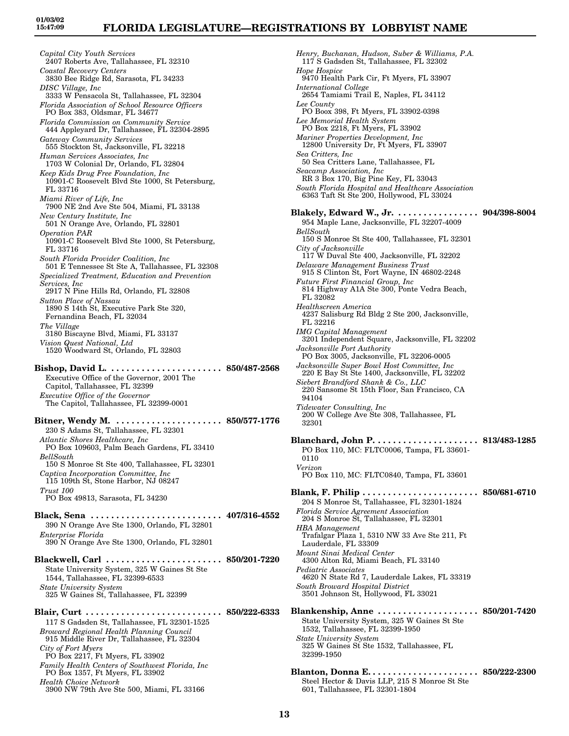*Capital City Youth Services* 2407 Roberts Ave, Tallahassee, FL 32310 *Coastal Recovery Centers* 3830 Bee Ridge Rd, Sarasota, FL 34233 *DISC Village, Inc* 3333 W Pensacola St, Tallahassee, FL 32304 *Florida Association of School Resource Officers* PO Box 383, Oldsmar, FL 34677 *Florida Commission on Community Service* 444 Appleyard Dr, Tallahassee, FL 32304-2895 *Gateway Community Services* 555 Stockton St, Jacksonville, FL 32218 *Human Services Associates, Inc* 1703 W Colonial Dr, Orlando, FL 32804 *Keep Kids Drug Free Foundation, Inc* 10901-C Roosevelt Blvd Ste 1000, St Petersburg, FL 33716 *Miami River of Life, Inc* 7900 NE 2nd Ave Ste 504, Miami, FL 33138 *New Century Institute, Inc* 501 N Orange Ave, Orlando, FL 32801 *Operation PAR* 10901-C Roosevelt Blvd Ste 1000, St Petersburg, FL 33716 *South Florida Provider Coalition, Inc* 501 E Tennessee St Ste A, Tallahassee, FL 32308 *Specialized Treatment, Education and Prevention Services, Inc* 2917 N Pine Hills Rd, Orlando, FL 32808 *Sutton Place of Nassau* 1890 S 14th St, Executive Park Ste 320, Fernandina Beach, FL 32034 *The Village* 3180 Biscayne Blvd, Miami, FL 33137 *Vision Quest National, Ltd* 1520 Woodward St, Orlando, FL 32803 **Bishop, David L. . . . . . . . . . . . . . . . . . . . . . . 850/487-2568** Executive Office of the Governor, 2001 The Capitol, Tallahassee, FL 32399 *Executive Office of the Governor* The Capitol, Tallahassee, FL 32399-0001 **Bitner, Wendy M. . . . . . . . . . . . . . . . . . . . . . 850/577-1776** 230 S Adams St, Tallahassee, FL 32301 *Atlantic Shores Healthcare, Inc* PO Box 109603, Palm Beach Gardens, FL 33410 *BellSouth* 150 S Monroe St Ste 400, Tallahassee, FL 32301 *Captiva Incorporation Committee, Inc* 115 109th St, Stone Harbor, NJ 08247 *Trust 100* PO Box 49813, Sarasota, FL 34230 **Black, Sena . . . . . . . . . . . . . . . . . . . . . . . . . . 407/316-4552** 390 N Orange Ave Ste 1300, Orlando, FL 32801 *Enterprise Florida* 390 N Orange Ave Ste 1300, Orlando, FL 32801 **Blackwell, Carl . . . . . . . . . . . . . . . . . . . . . . . 850/201-7220** State University System, 325 W Gaines St Ste 1544, Tallahassee, FL 32399-6533 *State University System* 325 W Gaines St, Tallahassee, FL 32399 **Blair, Curt . . . . . . . . . . . . . . . . . . . . . . . . . . . 850/222-6333** 117 S Gadsden St, Tallahassee, FL 32301-1525 *Broward Regional Health Planning Council* 915 Middle River Dr, Tallahassee, FL 32304 *City of Fort Myers* PO Box 2217, Ft Myers, FL 33902 *Family Health Centers of Southwest Florida, Inc* PO Box 1357, Ft Myers, FL 33902 *Health Choice Network* 3900 NW 79th Ave Ste 500, Miami, FL 33166

*Henry, Buchanan, Hudson, Suber & Williams, P.A.* 117 S Gadsden St, Tallahassee, FL 32302 *Hope Hospice* 9470 Health Park Cir, Ft Myers, FL 33907 *International College* 2654 Tamiami Trail E, Naples, FL 34112 *Lee County* PO Boox 398, Ft Myers, FL 33902-0398 *Lee Memorial Health System* PO Box 2218, Ft Myers, FL 33902 *Mariner Properties Development, Inc* 12800 University Dr, Ft Myers, FL 33907 *Sea Critters, Inc* 50 Sea Critters Lane, Tallahassee, FL *Seacamp Association, Inc* RR 3 Box 170, Big Pine Key, FL 33043 *South Florida Hospital and Healthcare Association* 6363 Taft St Ste 200, Hollywood, FL 33024 **Blakely, Edward W., Jr. . . . . . . . . . . . . . . . . 904/398-8004** 954 Maple Lane, Jacksonville, FL 32207-4009 *BellSouth* 150 S Monroe St Ste 400, Tallahassee, FL 32301 *City of Jacksonville* 117 W Duval Ste 400, Jacksonville, FL 32202 *Delaware Management Business Trust* 915 S Clinton St, Fort Wayne, IN 46802-2248 *Future First Financial Group, Inc* 814 Highway A1A Ste 300, Ponte Vedra Beach, FL 32082 *Healthscreen America* 4237 Salisburg Rd Bldg 2 Ste 200, Jacksonville, FL 32216 *IMG Capital Management* 3201 Independent Square, Jacksonville, FL 32202 *Jacksonville Port Authority* PO Box 3005, Jacksonville, FL 32206-0005 *Jacksonville Super Bowl Host Committee, Inc* 220 E Bay St Ste 1400, Jacksonville, FL 32202 *Siebert Brandford Shank & Co., LLC* 220 Sansome St 15th Floor, San Francisco, CA 94104 *Tidewater Consulting, Inc* 200 W College Ave Ste 308, Tallahassee, FL 32301 **Blanchard, John P. . . . . . . . . . . . . . . . . . . . . 813/483-1285** PO Box 110, MC: FLTC0006, Tampa, FL 33601- 0110 *Verizon* PO Box 110, MC: FLTC0840, Tampa, FL 33601 **Blank, F. Philip . . . . . . . . . . . . . . . . . . . . . . . 850/681-6710** 204 S Monroe St, Tallahassee, FL 32301-1824 *Florida Service Agreement Association* 204 S Monroe St, Tallahassee, FL 32301 *HBA Management* Trafalgar Plaza 1, 5310 NW 33 Ave Ste 211, Ft Lauderdale, FL 33309 *Mount Sinai Medical Center* 4300 Alton Rd, Miami Beach, FL 33140 *Pediatric Associates* 4620 N State Rd 7, Lauderdale Lakes, FL 33319 *South Broward Hospital District* 3501 Johnson St, Hollywood, FL 33021 **Blankenship, Anne . . . . . . . . . . . . . . . . . . . . 850/201-7420** State University System, 325 W Gaines St Ste 1532, Tallahassee, FL 32399-1950 *State University System* 325 W Gaines St Ste 1532, Tallahassee, FL 32399-1950 **Blanton, Donna E. . . . . . . . . . . . . . . . . . . . . . 850/222-2300** Steel Hector & Davis LLP, 215 S Monroe St Ste 601, Tallahassee, FL 32301-1804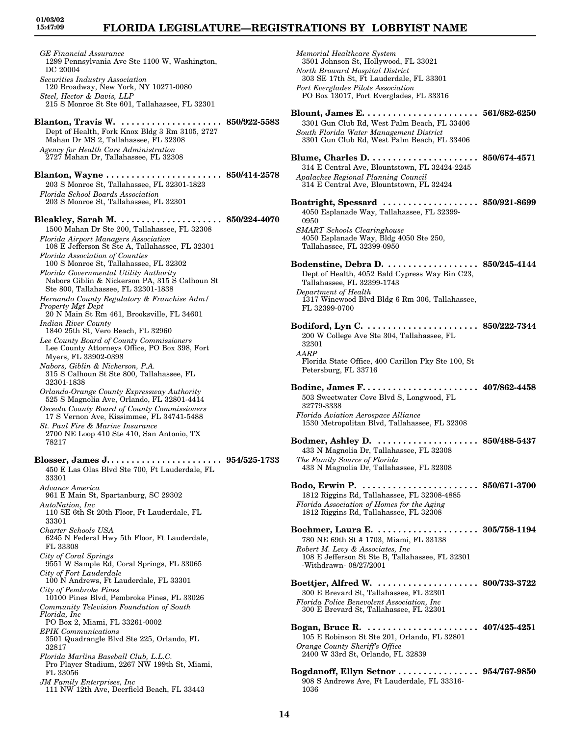*GE Financial Assurance* 1299 Pennsylvania Ave Ste 1100 W, Washington, DC 20004 *Securities Industry Association* 120 Broadway, New York, NY 10271-0080 *Steel, Hector & Davis, LLP* 215 S Monroe St Ste 601, Tallahassee, FL 32301 **Blanton, Travis W. . . . . . . . . . . . . . . . . . . . . 850/922-5583** Dept of Health, Fork Knox Bldg 3 Rm 3105, 2727 Mahan Dr MS 2, Tallahassee, FL 32308 *Agency for Health Care Administration* 2727 Mahan Dr, Tallahassee, FL 32308 **Blanton, Wayne . . . . . . . . . . . . . . . . . . . . . . . 850/414-2578** 203 S Monroe St, Tallahassee, FL 32301-1823 *Florida School Boards Association* 203 S Monroe St, Tallahassee, FL 32301 **Bleakley, Sarah M. . . . . . . . . . . . . . . . . . . . . 850/224-4070** 1500 Mahan Dr Ste 200, Tallahassee, FL 32308 *Florida Airport Managers Association* 108 E Jefferson St Ste A, Tallahassee, FL 32301 *Florida Association of Counties* 100 S Monroe St, Tallahassee, FL 32302 *Florida Governmental Utility Authority* Nabors Giblin & Nickerson PA, 315 S Calhoun St Ste 800, Tallahassee, FL 32301-1838 *Hernando County Regulatory & Franchise Adm/ Property Mgt Dept* 20 N Main St Rm 461, Brooksville, FL 34601 *Indian River County* 1840 25th St, Vero Beach, FL 32960 *Lee County Board of County Commissioners* Lee County Attorneys Office, PO Box 398, Fort Myers, FL 33902-0398 *Nabors, Giblin & Nickerson, P.A.* 315 S Calhoun St Ste 800, Tallahassee, FL 32301-1838 *Orlando-Orange County Expressway Authority* 525 S Magnolia Ave, Orlando, FL 32801-4414 *Osceola County Board of County Commissioners* 17 S Vernon Ave, Kissimmee, FL 34741-5488 *St. Paul Fire & Marine Insurance* 2700 NE Loop 410 Ste 410, San Antonio, TX 78217 **Blosser, James J. . . . . . . . . . . . . . . . . . . . . . . 954/525-1733** 450 E Las Olas Blvd Ste 700, Ft Lauderdale, FL 33301 *Advance America* 961 E Main St, Spartanburg, SC 29302 *AutoNation, Inc* 110 SE 6th St 20th Floor, Ft Lauderdale, FL 33301 *Charter Schools USA* 6245 N Federal Hwy 5th Floor, Ft Lauderdale, FL 33308 *City of Coral Springs* 9551 W Sample Rd, Coral Springs, FL 33065 *City of Fort Lauderdale* 100 N Andrews, Ft Lauderdale, FL 33301 *City of Pembroke Pines* 10100 Pines Blvd, Pembroke Pines, FL 33026 *Community Television Foundation of South Florida, Inc* PO Box 2, Miami, FL 33261-0002 *EPIK Communications* 3501 Quadrangle Blvd Ste 225, Orlando, FL 32817 *Florida Marlins Baseball Club, L.L.C.* Pro Player Stadium, 2267 NW 199th St, Miami, FL 33056 *JM Family Enterprises, Inc* 111 NW 12th Ave, Deerfield Beach, FL 33443

*Memorial Healthcare System* 3501 Johnson St, Hollywood, FL 33021 *North Broward Hospital District* 303 SE 17th St, Ft Lauderdale, FL 33301 *Port Everglades Pilots Association* PO Box 13017, Port Everglades, FL 33316 **Blount, James E. . . . . . . . . . . . . . . . . . . . . . . 561/682-6250** 3301 Gun Club Rd, West Palm Beach, FL 33406 *South Florida Water Management District* 3301 Gun Club Rd, West Palm Beach, FL 33406 **Blume, Charles D. . . . . . . . . . . . . . . . . . . . . . 850/674-4571** 314 E Central Ave, Blountstown, FL 32424-2245 *Apalachee Regional Planning Council* 314 E Central Ave, Blountstown, FL 32424 **Boatright, Spessard . . . . . . . . . . . . . . . . . . . 850/921-8699** 4050 Esplanade Way, Tallahassee, FL 32399- 0950 *SMART Schools Clearinghouse* 4050 Esplanade Way, Bldg 4050 Ste 250, Tallahassee, FL 32399-0950 **Bodenstine, Debra D. . . . . . . . . . . . . . . . . . . 850/245-4144** Dept of Health, 4052 Bald Cypress Way Bin C23, Tallahassee, FL 32399-1743 *Department of Health* 1317 Winewood Blvd Bldg 6 Rm 306, Tallahassee, FL 32399-0700 **Bodiford, Lyn C. . . . . . . . . . . . . . . . . . . . . . . 850/222-7344** 200 W College Ave Ste 304, Tallahassee, FL 32301 *AARP* Florida State Office, 400 Carillon Pky Ste 100, St Petersburg, FL 33716 **Bodine, James F. . . . . . . . . . . . . . . . . . . . . . . 407/862-4458** 503 Sweetwater Cove Blvd S, Longwood, FL 32779-3338 *Florida Aviation Aerospace Alliance* 1530 Metropolitan Blvd, Tallahassee, FL 32308 **Bodmer, Ashley D. . . . . . . . . . . . . . . . . . . . . 850/488-5437** 433 N Magnolia Dr, Tallahassee, FL 32308 *The Family Source of Florida* 433 N Magnolia Dr, Tallahassee, FL 32308 **Bodo, Erwin P. . . . . . . . . . . . . . . . . . . . . . . . 850/671-3700** 1812 Riggins Rd, Tallahassee, FL 32308-4885 *Florida Association of Homes for the Aging* 1812 Riggins Rd, Tallahassee, FL 32308 **Boehmer, Laura E. . . . . . . . . . . . . . . . . . . . . 305/758-1194** 780 NE 69th St # 1703, Miami, FL 33138 *Robert M. Levy & Associates, Inc* 108 E Jefferson St Ste B, Tallahassee, FL 32301 -Withdrawn- 08/27/2001 **Boettjer, Alfred W. . . . . . . . . . . . . . . . . . . . . 800/733-3722** 300 E Brevard St, Tallahassee, FL 32301 *Florida Police Benevolent Association, Inc* 300 E Brevard St, Tallahassee, FL 32301 **Bogan, Bruce R. . . . . . . . . . . . . . . . . . . . . . . 407/425-4251** 105 E Robinson St Ste 201, Orlando, FL 32801 *Orange County Sheriff's Office* 2400 W 33rd St, Orlando, FL 32839 **Bogdanoff, Ellyn Setnor . . . . . . . . . . . . . . . . 954/767-9850** 908 S Andrews Ave, Ft Lauderdale, FL 33316-

1036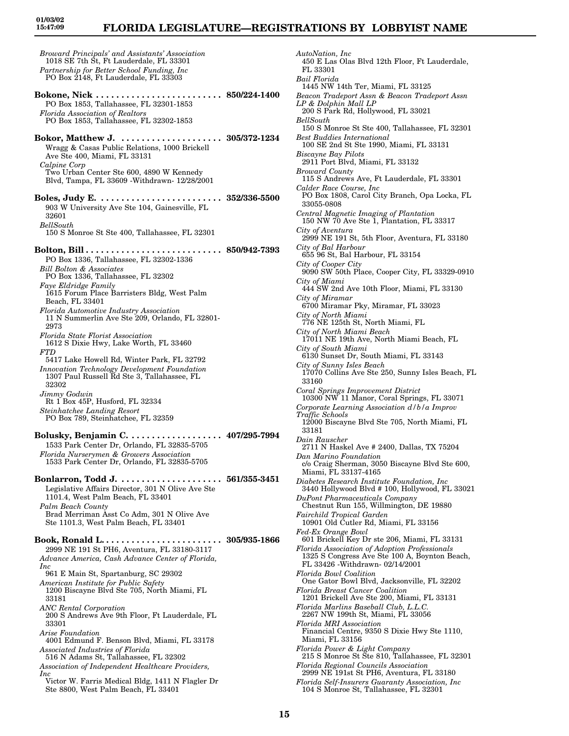*AutoNation, Inc*

FL 33301

450 E Las Olas Blvd 12th Floor, Ft Lauderdale,

*Broward Principals' and Assistants' Association* 1018 SE 7th St, Ft Lauderdale, FL 33301 *Partnership for Better School Funding, Inc* PO Box 2148, Ft Lauderdale, FL 33303 **Bokone, Nick . . . . . . . . . . . . . . . . . . . . . . . . . 850/224-1400** PO Box 1853, Tallahassee, FL 32301-1853 *Florida Association of Realtors* PO Box 1853, Tallahassee, FL 32302-1853 **Bokor, Matthew J. . . . . . . . . . . . . . . . . . . . . 305/372-1234** Wragg & Casas Public Relations, 1000 Brickell Ave Ste 400, Miami, FL 33131 *Calpine Corp* Two Urban Center Ste 600, 4890 W Kennedy Blvd, Tampa, FL 33609 -Withdrawn- 12/28/2001 **Boles, Judy E. . . . . . . . . . . . . . . . . . . . . . . . . 352/336-5500** 903 W University Ave Ste 104, Gainesville, FL 32601 *BellSouth* 150 S Monroe St Ste 400, Tallahassee, FL 32301 **Bolton, Bill . . . . . . . . . . . . . . . . . . . . . . . . . . . 850/942-7393** PO Box 1336, Tallahassee, FL 32302-1336 *Bill Bolton & Associates* PO Box 1336, Tallahassee, FL 32302 *Faye Eldridge Family* 1615 Forum Place Barristers Bldg, West Palm Beach, FL 33401 *Florida Automotive Industry Association* 11 N Summerlin Ave Ste 209, Orlando, FL 32801- 2973 *Florida State Florist Association* 1612 S Dixie Hwy, Lake Worth, FL 33460 *FTD* 5417 Lake Howell Rd, Winter Park, FL 32792 *Innovation Technology Development Foundation* 1307 Paul Russell Rd Ste 3, Tallahassee, FL 32302 *Jimmy Godwin* Rt 1 Box 45P, Husford, FL 32334 *Steinhatchee Landing Resort* PO Box 789, Steinhatchee, FL 32359 **Bolusky, Benjamin C. . . . . . . . . . . . . . . . . . . 407/295-7994** 1533 Park Center Dr, Orlando, FL 32835-5705 *Florida Nurserymen & Growers Association* 1533 Park Center Dr, Orlando, FL 32835-5705 **Bonlarron, Todd J. . . . . . . . . . . . . . . . . . . . . 561/355-3451** Legislative Affairs Director, 301 N Olive Ave Ste 1101.4, West Palm Beach, FL 33401 *Palm Beach County* Brad Merriman Asst Co Adm, 301 N Olive Ave Ste 1101.3, West Palm Beach, FL 33401 **Book, Ronald L. . . . . . . . . . . . . . . . . . . . . . . . 305/935-1866** 2999 NE 191 St PH6, Aventura, FL 33180-3117 *Advance America, Cash Advance Center of Florida, Inc* 961 E Main St, Spartanburg, SC 29302 *American Institute for Public Safety* 1200 Biscayne Blvd Ste 705, North Miami, FL 33181 *ANC Rental Corporation* 200 S Andrews Ave 9th Floor, Ft Lauderdale, FL 33301 *Arise Foundation* 4001 Edmund F. Benson Blvd, Miami, FL 33178 *Associated Industries of Florida* 516 N Adams St, Tallahassee, FL 32302 *Association of Independent Healthcare Providers, Inc* Victor W. Farris Medical Bldg, 1411 N Flagler Dr Ste 8800, West Palm Beach, FL 33401

*Bail Florida* 1445 NW 14th Ter, Miami, FL 33125 *Beacon Tradeport Assn & Beacon Tradeport Assn LP & Dolphin Mall LP* 200 S Park Rd, Hollywood, FL 33021 *BellSouth* 150 S Monroe St Ste 400, Tallahassee, FL 32301 *Best Buddies International* 100 SE 2nd St Ste 1990, Miami, FL 33131 *Biscayne Bay Pilots* 2911 Port Blvd, Miami, FL 33132 *Broward County* 115 S Andrews Ave, Ft Lauderdale, FL 33301 *Calder Race Course, Inc* PO Box 1808, Carol City Branch, Opa Locka, FL 33055-0808 *Central Magnetic Imaging of Plantation* 150 NW 70 Ave Ste 1, Plantation, FL 33317 *City of Aventura* 2999 NE 191 St, 5th Floor, Aventura, FL 33180 *City of Bal Harbour* 655 96 St, Bal Harbour, FL 33154 *City of Cooper City* 9090 SW 50th Place, Cooper City, FL 33329-0910 *City of Miami* 444 SW 2nd Ave 10th Floor, Miami, FL 33130 *City of Miramar* 6700 Miramar Pky, Miramar, FL 33023 *City of North Miami* 776 NE 125th St, North Miami, FL *City of North Miami Beach* 17011 NE 19th Ave, North Miami Beach, FL *City of South Miami* 6130 Sunset Dr, South Miami, FL 33143 *City of Sunny Isles Beach* 17070 Collins Ave Ste 250, Sunny Isles Beach, FL 33160 *Coral Springs Improvement District* 10300 NW 11 Manor, Coral Springs, FL 33071 *Corporate Learning Association d/b/a Improv Traffic Schools* 12000 Biscayne Blvd Ste 705, North Miami, FL 33181 *Dain Rauscher* 2711 N Haskel Ave # 2400, Dallas, TX 75204 *Dan Marino Foundation* c/o Craig Sherman, 3050 Biscayne Blvd Ste 600, Miami, FL 33137-4165 *Diabetes Research Institute Foundation, Inc* 3440 Hollywood Blvd # 100, Hollywood, FL 33021 *DuPont Pharmaceuticals Company* Chestnut Run 155, Willmington, DE 19880 *Fairchild Tropical Garden* 10901 Old Cutler Rd, Miami, FL 33156 *Fed-Ex Orange Bowl* 601 Brickell Key Dr ste 206, Miami, FL 33131 *Florida Association of Adoption Professionals* 1325 S Congress Ave Ste 100 A, Boynton Beach, FL 33426 -Withdrawn- 02/14/2001 *Florida Bowl Coalition* One Gator Bowl Blvd, Jacksonville, FL 32202 *Florida Breast Cancer Coalition* 1201 Brickell Ave Ste 200, Miami, FL 33131 *Florida Marlins Baseball Club, L.L.C.* 2267 NW 199th St, Miami, FL 33056 *Florida MRI Association* Financial Centre, 9350 S Dixie Hwy Ste 1110, Miami, FL 33156 *Florida Power & Light Company* 215 S Monroe St Ste 810, Tallahassee, FL 32301 *Florida Regional Councils Association* 2999 NE 191st St PH6, Aventura, FL 33180 *Florida Self-Insurers Guaranty Association, Inc* 104 S Monroe St, Tallahassee, FL 32301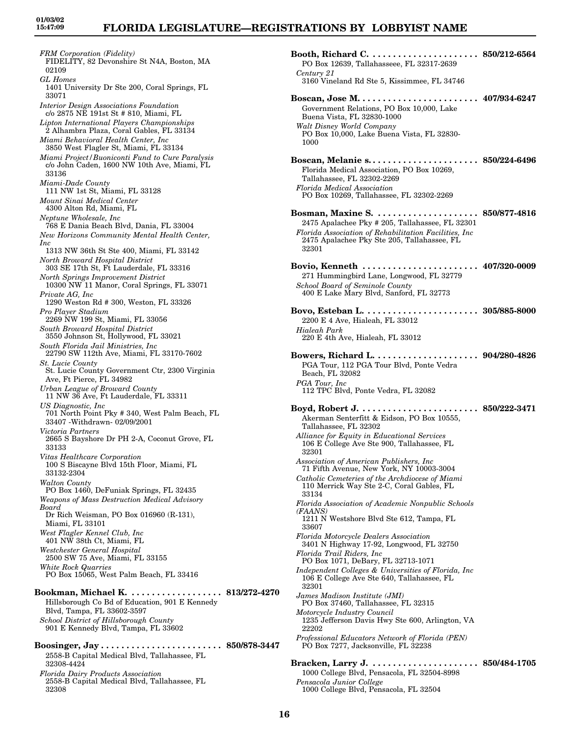*FRM Corporation (Fidelity)* FIDELITY, 82 Devonshire St N4A, Boston, MA 02109 *GL Homes* 1401 University Dr Ste 200, Coral Springs, FL 33071 *Interior Design Associations Foundation* c/o 2875 NE 191st St # 810, Miami, FL *Lipton International Players Championships* 2 Alhambra Plaza, Coral Gables, FL 33134 *Miami Behavioral Health Center, Inc* 3850 West Flagler St, Miami, FL 33134 *Miami Project/Buoniconti Fund to Cure Paralysis* c/o John Caden, 1600 NW 10th Ave, Miami, FL 33136 *Miami-Dade County* 111 NW 1st St, Miami, FL 33128 *Mount Sinai Medical Center* 4300 Alton Rd, Miami, FL *Neptune Wholesale, Inc* 768 E Dania Beach Blvd, Dania, FL 33004 *New Horizons Community Mental Health Center, Inc* 1313 NW 36th St Ste 400, Miami, FL 33142 *North Broward Hospital District* 303 SE 17th St, Ft Lauderdale, FL 33316 *North Springs Improvement District* 10300 NW 11 Manor, Coral Springs, FL 33071 *Private AG, Inc* 1290 Weston Rd # 300, Weston, FL 33326 *Pro Player Stadium* 2269 NW 199 St, Miami, FL 33056 *South Broward Hospital District* 3550 Johnson St, Hollywood, FL 33021 *South Florida Jail Ministries, Inc* 22790 SW 112th Ave, Miami, FL 33170-7602 *St. Lucie County* St. Lucie County Government Ctr, 2300 Virginia Ave, Ft Pierce, FL 34982 *Urban League of Broward County* 11 NW 36 Ave, Ft Lauderdale, FL 33311 *US Diagnostic, Inc* 701 North Point Pky # 340, West Palm Beach, FL 33407 -Withdrawn- 02/09/2001 *Victoria Partners* 2665 S Bayshore Dr PH 2-A, Coconut Grove, FL 33133 *Vitas Healthcare Corporation* 100 S Biscayne Blvd 15th Floor, Miami, FL 33132-2304 *Walton County* PO Box 1460, DeFuniak Springs, FL 32435 *Weapons of Mass Destruction Medical Advisory Board* Dr Rich Weisman, PO Box 016960 (R-131), Miami, FL 33101 *West Flagler Kennel Club, Inc* 401 NW 38th Ct, Miami, FL *Westchester General Hospital* 2500 SW 75 Ave, Miami, FL 33155 *White Rock Quarries* PO Box 15065, West Palm Beach, FL 33416 **Bookman, Michael K. . . . . . . . . . . . . . . . . . . 813/272-4270** Hillsborough Co Bd of Education, 901 E Kennedy Blvd, Tampa, FL 33602-3597 *School District of Hillsborough County* 901 E Kennedy Blvd, Tampa, FL 33602 **Boosinger, Jay . . . . . . . . . . . . . . . . . . . . . . . . 850/878-3447** 2558-B Capital Medical Blvd, Tallahassee, FL 32308-4424 *Florida Dairy Products Association* 2558-B Capital Medical Blvd, Tallahassee, FL 32308

**Booth, Richard C. . . . . . . . . . . . . . . . . . . . . . 850/212-6564** PO Box 12639, Tallahasseee, FL 32317-2639 *Century 21* 3160 Vineland Rd Ste 5, Kissimmee, FL 34746 **Boscan, Jose M. . . . . . . . . . . . . . . . . . . . . . . . 407/934-6247** Government Relations, PO Box 10,000, Lake Buena Vista, FL 32830-1000 *Walt Disney World Company* PO Box 10,000, Lake Buena Vista, FL 32830-1000 **Boscan, Melanie s. . . . . . . . . . . . . . . . . . . . . . 850/224-6496** Florida Medical Association, PO Box 10269, Tallahassee, FL 32302-2269 *Florida Medical Association* PO Box 10269, Tallahassee, FL 32302-2269 **Bosman, Maxine S. . . . . . . . . . . . . . . . . . . . . 850/877-4816** 2475 Apalachee Pky # 205, Tallahassee, FL 32301 *Florida Association of Rehabilitation Facilities, Inc* 2475 Apalachee Pky Ste 205, Tallahassee, FL 32301 **Bovio, Kenneth . . . . . . . . . . . . . . . . . . . . . . . 407/320-0009** 271 Hummingbird Lane, Longwood, FL 32779 *School Board of Seminole County* 400 E Lake Mary Blvd, Sanford, FL 32773 **Bovo, Esteban L. . . . . . . . . . . . . . . . . . . . . . . 305/885-8000** 2200 E 4 Ave, Hialeah, FL 33012 *Hialeah Park* 220 E 4th Ave, Hialeah, FL 33012 **Bowers, Richard L. . . . . . . . . . . . . . . . . . . . . 904/280-4826** PGA Tour, 112 PGA Tour Blvd, Ponte Vedra Beach, FL 32082 *PGA Tour, Inc* 112 TPC Blvd, Ponte Vedra, FL 32082 **Boyd, Robert J. . . . . . . . . . . . . . . . . . . . . . . . 850/222-3471** Akerman Senterfitt & Eidson, PO Box 10555, Tallahassee, FL 32302 *Alliance for Equity in Educational Services* 106 E College Ave Ste 900, Tallahassee, FL 32301 *Association of American Publishers, Inc* 71 Fifth Avenue, New York, NY 10003-3004 *Catholic Cemeteries of the Archdiocese of Miami* 110 Merrick Way Ste 2-C, Coral Gables, FL 33134 *Florida Association of Academic Nonpublic Schools (FAANS)* 1211 N Westshore Blvd Ste 612, Tampa, FL 33607 *Florida Motorcycle Dealers Association* 3401 N Highway 17-92, Longwood, FL 32750 *Florida Trail Riders, Inc* PO Box 1071, DeBary, FL 32713-1071 *Independent Colleges & Universities of Florida, Inc* 106 E College Ave Ste 640, Tallahassee, FL 32301 *James Madison Institute (JMI)* PO Box 37460, Tallahassee, FL 32315 *Motorcycle Industry Council* 1235 Jefferson Davis Hwy Ste 600, Arlington, VA 22202 *Professional Educators Network of Florida (PEN)* PO Box 7277, Jacksonville, FL 32238 **Bracken, Larry J. . . . . . . . . . . . . . . . . . . . . . 850/484-1705** 1000 College Blvd, Pensacola, FL 32504-8998 *Pensacola Junior College*

1000 College Blvd, Pensacola, FL 32504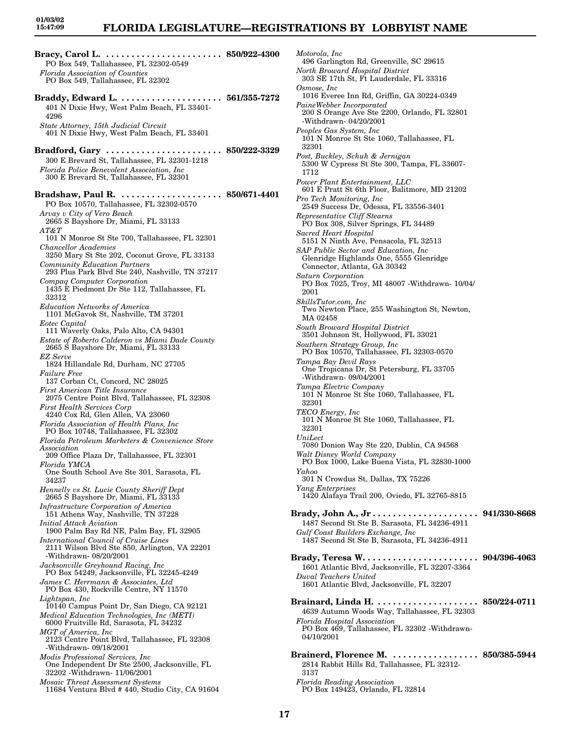# **FLORIDA LEGISLATURE—REGISTRATIONS BY LOBBYIST NAME**

**Bracy, Carol L. . . . . . . . . . . . . . . . . . . . . . . . 850/922-4300** PO Box 549, Tallahassee, FL 32302-0549 *Florida Association of Counties* PO Box 549, Tallahassee, FL 32302 **Braddy, Edward L. . . . . . . . . . . . . . . . . . . . . 561/355-7272** 401 N Dixie Hwy, West Palm Beach, FL 33401- 4296 *State Attorney, 15th Judicial Circuit* 401 N Dixie Hwy, West Palm Beach, FL 33401 **Bradford, Gary . . . . . . . . . . . . . . . . . . . . . . . 850/222-3329** 300 E Brevard St, Tallahassee, FL 32301-1218 *Florida Police Benevolent Association, Inc* 300 E Brevard St, Tallahassee, FL 32301 **Bradshaw, Paul R. . . . . . . . . . . . . . . . . . . . . 850/671-4401** PO Box 10570, Tallahassee, FL 32302-0570 *Arvay v City of Vero Beach* 2665 S Bayshore Dr, Miami, FL 33133 *AT&T* 101 N Monroe St Ste 700, Tallahassee, FL 32301 *Chancellor Academies* 3250 Mary St Ste 202, Coconut Grove, FL 33133 *Community Education Partners* 293 Plus Park Blvd Ste 240, Nashville, TN 37217 *Compaq Computer Corporation* 1435 E Piedmont Dr Ste 112, Tallahassee, FL 32312 *Education Networks of America* 1101 McGavok St, Nashville, TM 37201 *Eotec Capital* 111 Waverly Oaks, Palo Alto, CA 94301 *Estate of Roberto Calderon vs Miami Dade County* 2665 S Bayshore Dr, Miami, FL 33133 *EZ Serve* 1824 Hillandale Rd, Durham, NC 27705 *Failure Free* 137 Corban Ct, Concord, NC 28025 *First American Title Insurance* 2075 Centre Point Blvd, Tallahassee, FL 32308 *First Health Services Corp* 4240 Cox Rd, Glen Allen, VA 23060 *Florida Association of Health Plans, Inc* PO Box 10748, Tallahassee, FL 32302 *Florida Petroleum Marketers & Convenience Store Association* 209 Office Plaza Dr, Tallahassee, FL 32301 *Florida YMCA* One South School Ave Ste 301, Sarasota, FL 34237 *Hennelly vs St. Lucie County Sheriff Dept* 2665 S Bayshore Dr, Miami, FL 33133 *Infrastructure Corporation of America* 151 Athens Way, Nashville, TN 37228 *Initial Attack Aviation* 1900 Palm Bay Rd NE, Palm Bay, FL 32905 *International Council of Cruise Lines* 2111 Wilson Blvd Ste 850, Arlington, VA 22201 -Withdrawn- 08/20/2001 *Jacksonville Greyhound Racing, Inc* PO Box 54249, Jacksonville, FL 32245-4249 *James C. Herrmann & Associates, Ltd* PO Box 430, Rockville Centre, NY 11570 *Lightspan, Inc* 10140 Campus Point Dr, San Diego, CA 92121 *Medical Education Technologies, Inc (METI)* 6000 Fruitville Rd, Sarasota, FL 34232 *MGT of America, Inc* 2123 Centre Point Blvd, Tallahassee, FL 32308 -Withdrawn- 09/18/2001 *Modis Professional Services, Inc* One Independent Dr Ste 2500, Jacksonville, FL 32202 -Withdrawn- 11/06/2001 *Mosaic Threat Assessment Systems* 11684 Ventura Blvd # 440, Studio City, CA 91604

*Motorola, Inc* 496 Garlington Rd, Greenville, SC 29615 *North Broward Hospital District* 303 SE 17th St, Ft Lauderdale, FL 33316 *Osmose, Inc* 1016 Everee Inn Rd, Griffin, GA 30224-0349 *PaineWebber Incorporated* 200 S Orange Ave Ste 2200, Orlando, FL 32801 -Withdrawn- 04/20/2001 *Peoples Gas System, Inc* 101 N Monroe St Ste 1060, Tallahassee, FL 32301 *Post, Buckley, Schuh & Jernigan* 5300 W Cypress St Ste 300, Tampa, FL 33607- 1712 *Power Plant Entertainment, LLC* 601 E Pratt St 6th Floor, Balitmore, MD 21202 *Pro Tech Monitoring, Inc* 2549 Success Dr, Odessa, FL 33556-3401 *Representative Cliff Stearns* PO Box 308, Silver Springs, FL 34489 *Sacred Heart Hospital* 5151 N Ninth Ave, Pensacola, FL 32513 *SAP Public Sector and Education, Inc* Glenridge Highlands One, 5555 Glenridge Connector, Atlanta, GA 30342 *Saturn Corporation* PO Box 7025, Troy, MI 48007 -Withdrawn- 10/04/ 2001 *SkillsTutor.com, Inc* Two Newton Place, 255 Washington St, Newton, MA 02458 *South Broward Hospital District* 3501 Johnson St, Hollywood, FL 33021 *Southern Strategy Group, Inc* PO Box 10570, Tallahassee, FL 32303-0570 *Tampa Bay Devil Rays* One Tropicana Dr, St Petersburg, FL 33705 -Withdrawn- 09/04/2001 *Tampa Electric Company* 101 N Monroe St Ste 1060, Tallahassee, FL 32301 *TECO Energy, Inc* 101 N Monroe St Ste 1060, Tallahassee, FL 32301 *UniLect* 7080 Donion Way Ste 220, Dublin, CA 94568 *Walt Disney World Company* PO Box 1000, Lake Buena Vista, FL 32830-1000 *Yahoo* 301 N Crowdus St, Dallas, TX 75226 *Yang Enterprises* 1420 Alafaya Trail 200, Oviedo, FL 32765-8815 **Brady, John A., Jr . . . . . . . . . . . . . . . . . . . . . 941/330-8668** 1487 Second St Ste B, Sarasota, FL 34236-4911 *Gulf Coast Builders Exchange, Inc* 1487 Second St Ste B, Sarasota, FL 34236-4911 **Brady, Teresa W. . . . . . . . . . . . . . . . . . . . . . . 904/396-4063** 1601 Atlantic Blvd, Jacksonville, FL 32207-3364 *Duval Teachers United* 1601 Atlantic Blvd, Jacksonville, FL 32207 **Brainard, Linda H. . . . . . . . . . . . . . . . . . . . . 850/224-0711** 4639 Autumn Woods Way, Tallahassee, FL 32303 *Florida Hospital Association* PO Box 469, Tallahassee, FL 32302 -Withdrawn-04/10/2001 **Brainerd, Florence M. . . . . . . . . . . . . . . . . . 850/385-5944** 2814 Rabbit Hills Rd, Tallahassee, FL 32312- 3137

*Florida Reading Association* PO Box 149423, Orlando, FL 32814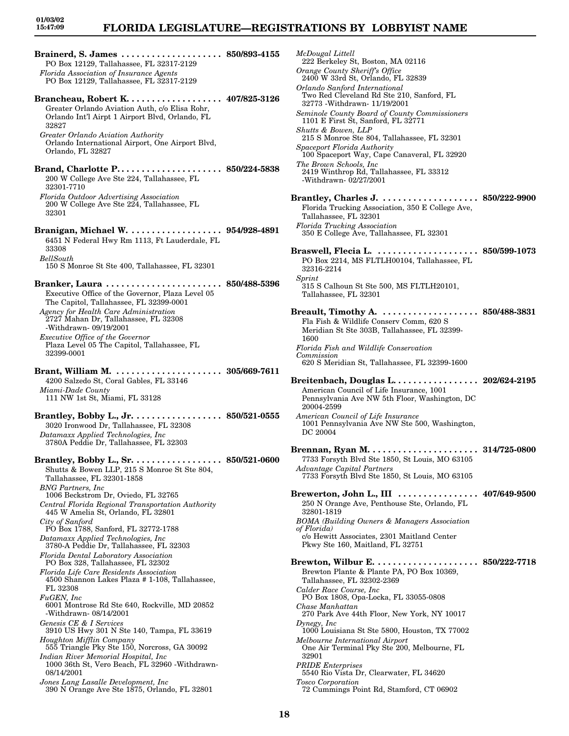# **FLORIDA LEGISLATURE—REGISTRATIONS BY LOBBYIST NAME**

**Brainerd, S. James . . . . . . . . . . . . . . . . . . . . 850/893-4155** PO Box 12129, Tallahassee, FL 32317-2129 *Florida Association of Insurance Agents* PO Box 12129, Tallahassee, FL 32317-2129 **Brancheau, Robert K. . . . . . . . . . . . . . . . . . . 407/825-3126** Greater Orlando Aviation Auth, c/o Elisa Rohr, Orlando Int'l Airpt 1 Airport Blvd, Orlando, FL 32827 *Greater Orlando Aviation Authority* Orlando International Airport, One Airport Blvd, Orlando, FL 32827 **Brand, Charlotte P. . . . . . . . . . . . . . . . . . . . . 850/224-5838** 200 W College Ave Ste 224, Tallahassee, FL 32301-7710 *Florida Outdoor Advertising Association* 200 W College Ave Ste 224, Tallahassee, FL 32301 **Branigan, Michael W. . . . . . . . . . . . . . . . . . . 954/928-4891** 6451 N Federal Hwy Rm 1113, Ft Lauderdale, FL 33308 *BellSouth* 150 S Monroe St Ste 400, Tallahassee, FL 32301 **Branker, Laura . . . . . . . . . . . . . . . . . . . . . . . 850/488-5396** Executive Office of the Governor, Plaza Level 05 The Capitol, Tallahassee, FL 32399-0001 *Agency for Health Care Administration* 2727 Mahan Dr, Tallahassee, FL 32308 -Withdrawn- 09/19/2001 *Executive Office of the Governor* Plaza Level 05 The Capitol, Tallahassee, FL 32399-0001 **Brant, William M. . . . . . . . . . . . . . . . . . . . . . 305/669-7611** 4200 Salzedo St, Coral Gables, FL 33146 *Miami-Dade County* 111 NW 1st St, Miami, FL 33128 **Brantley, Bobby L., Jr. . . . . . . . . . . . . . . . . . 850/521-0555** 3020 Ironwood Dr, Tallahassee, FL 32308 *Datamaxx Applied Technologies, Inc* 3780A Peddie Dr, Tallahassee, FL 32303 **Brantley, Bobby L., Sr. . . . . . . . . . . . . . . . . . 850/521-0600** Shutts & Bowen LLP, 215 S Monroe St Ste 804, Tallahassee, FL 32301-1858 *BNG Partners, Inc* 1006 Beckstrom Dr, Oviedo, FL 32765 *Central Florida Regional Transportation Authority* 445 W Amelia St, Orlando, FL 32801 *City of Sanford* PO Box 1788, Sanford, FL 32772-1788 *Datamaxx Applied Technologies, Inc* 3780-A Peddie Dr, Tallahassee, FL 32303 *Florida Dental Laboratory Association* PO Box 328, Tallahassee, FL 32302 *Florida Life Care Residents Association* 4500 Shannon Lakes Plaza # 1-108, Tallahassee, FL 32308 *FuGEN, Inc* 6001 Montrose Rd Ste 640, Rockville, MD 20852 -Withdrawn- 08/14/2001 *Genesis CE & I Services* 3910 US Hwy 301 N Ste 140, Tampa, FL 33619 *Houghton Mifflin Company* 555 Triangle Pky Ste 150, Norcross, GA 30092 *Indian River Memorial Hospital, Inc* 1000 36th St, Vero Beach, FL 32960 -Withdrawn-08/14/2001 *Jones Lang Lasalle Development, Inc* 390 N Orange Ave Ste 1875, Orlando, FL 32801

*McDougal Littell* 222 Berkeley St, Boston, MA 02116 *Orange County Sheriff's Office* 2400 W 33rd St, Orlando, FL 32839 *Orlando Sanford International* Two Red Cleveland Rd Ste 210, Sanford, FL 32773 -Withdrawn- 11/19/2001 *Seminole County Board of County Commissioners* 1101 E First St, Sanford, FL 32771 *Shutts & Bowen, LLP* 215 S Monroe Ste 804, Tallahassee, FL 32301 *Spaceport Florida Authority* 100 Spaceport Way, Cape Canaveral, FL 32920 *The Brown Schools, Inc* 2419 Winthrop Rd, Tallahassee, FL 33312 -Withdrawn- 02/27/2001 **Brantley, Charles J. . . . . . . . . . . . . . . . . . . . 850/222-9900** Florida Trucking Association, 350 E College Ave, Tallahassee, FL 32301 *Florida Trucking Association* 350 E College Ave, Tallahassee, FL 32301 **Braswell, Flecia L. . . . . . . . . . . . . . . . . . . . . 850/599-1073** PO Box 2214, MS FLTLH00104, Tallahassee, FL 32316-2214 *Sprint* 315 S Calhoun St Ste 500, MS FLTLH20101, Tallahassee, FL 32301 **Breault, Timothy A. . . . . . . . . . . . . . . . . . . . 850/488-3831** Fla Fish & Wildlife Conserv Comm, 620 S Meridian St Ste 303B, Tallahassee, FL 32399- 1600 *Florida Fish and Wildlife Conservation Commission* 620 S Meridian St, Tallahassee, FL 32399-1600 **Breitenbach, Douglas L. . . . . . . . . . . . . . . . . 202/624-2195** American Council of Life Insurance, 1001 Pennsylvania Ave NW 5th Floor, Washington, DC 20004-2599 *American Council of Life Insurance* 1001 Pennsylvania Ave NW Ste 500, Washington, DC 20004 **Brennan, Ryan M. . . . . . . . . . . . . . . . . . . . . . 314/725-0800** 7733 Forsyth Blvd Ste 1850, St Louis, MO 63105 *Advantage Capital Partners* 7733 Forsyth Blvd Ste 1850, St Louis, MO 63105 **Brewerton, John L., III . . . . . . . . . . . . . . . . 407/649-9500** 250 N Orange Ave, Penthouse Ste, Orlando, FL 32801-1819 *BOMA (Building Owners & Managers Association of Florida)* c/o Hewitt Associates, 2301 Maitland Center Pkwy Ste 160, Maitland, FL 32751 **Brewton, Wilbur E. . . . . . . . . . . . . . . . . . . . . 850/222-7718** Brewton Plante & Plante PA, PO Box 10369, Tallahassee, FL 32302-2369 *Calder Race Course, Inc* PO Box 1808, Opa-Locka, FL 33055-0808 *Chase Manhattan* 270 Park Ave 44th Floor, New York, NY 10017 *Dynegy, Inc* 1000 Louisiana St Ste 5800, Houston, TX 77002 *Melbourne International Airport* One Air Terminal Pky Ste 200, Melbourne, FL 32901 *PRIDE Enterprises* 5540 Rio Vista Dr, Clearwater, FL 34620 *Tosco Corporation* 72 Cummings Point Rd, Stamford, CT 06902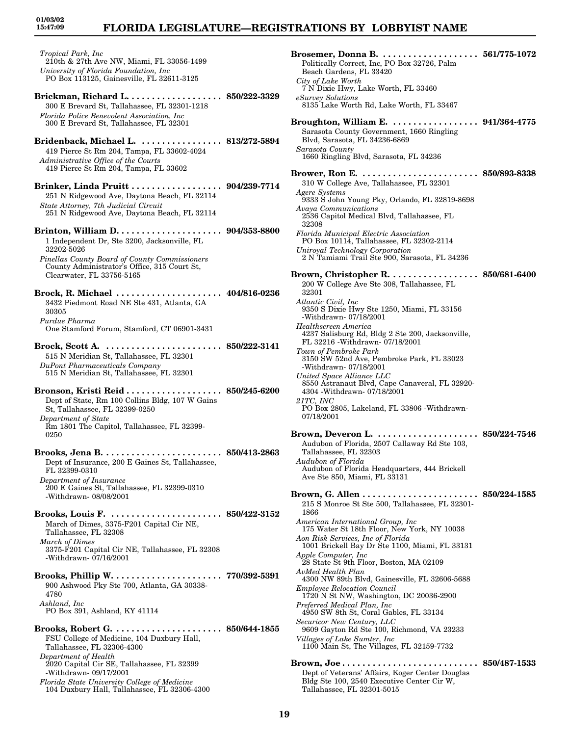# **FLORIDA LEGISLATURE—REGISTRATIONS BY LOBBYIST NAME**

*Tropical Park, Inc* 210th & 27th Ave NW, Miami, FL 33056-1499 *University of Florida Foundation, Inc* PO Box 113125, Gainesville, FL 32611-3125 **Brickman, Richard L. . . . . . . . . . . . . . . . . . . 850/222-3329** 300 E Brevard St, Tallahassee, FL 32301-1218 *Florida Police Benevolent Association, Inc* 300 E Brevard St, Tallahassee, FL 32301 **Bridenback, Michael L. . . . . . . . . . . . . . . . . 813/272-5894** 419 Pierce St Rm 204, Tampa, FL 33602-4024 *Administrative Office of the Courts* 419 Pierce St Rm 204, Tampa, FL 33602 **Brinker, Linda Pruitt . . . . . . . . . . . . . . . . . . 904/239-7714** 251 N Ridgewood Ave, Daytona Beach, FL 32114 *State Attorney, 7th Judicial Circuit* 251 N Ridgewood Ave, Daytona Beach, FL 32114 **Brinton, William D. . . . . . . . . . . . . . . . . . . . . 904/353-8800** 1 Independent Dr, Ste 3200, Jacksonville, FL 32202-5026 *Pinellas County Board of County Commissioners* County Administrator's Office, 315 Court St, Clearwater, FL 33756-5165 **Brock, R. Michael . . . . . . . . . . . . . . . . . . . . . 404/816-0236** 3432 Piedmont Road NE Ste 431, Atlanta, GA 30305 *Purdue Pharma* One Stamford Forum, Stamford, CT 06901-3431 **Brock, Scott A. . . . . . . . . . . . . . . . . . . . . . . . 850/222-3141** 515 N Meridian St, Tallahassee, FL 32301 *DuPont Pharmaceuticals Company* 515 N Meridian St, Tallahassee, FL 32301 **Bronson, Kristi Reid . . . . . . . . . . . . . . . . . . . 850/245-6200** Dept of State, Rm 100 Collins Bldg, 107 W Gains St, Tallahassee, FL 32399-0250 *Department of State* Rm 1801 The Capitol, Tallahassee, FL 32399- 0250 **Brooks, Jena B. . . . . . . . . . . . . . . . . . . . . . . . 850/413-2863** Dept of Insurance, 200 E Gaines St, Tallahassee, FL 32399-0310 *Department of Insurance* 200 E Gaines St, Tallahassee, FL 32399-0310 -Withdrawn- 08/08/2001 **Brooks, Louis F. . . . . . . . . . . . . . . . . . . . . . . 850/422-3152** March of Dimes, 3375-F201 Capital Cir NE, Tallahassee, FL 32308 *March of Dimes* 3375-F201 Capital Cir NE, Tallahassee, FL 32308 -Withdrawn- 07/16/2001 **Brooks, Phillip W. . . . . . . . . . . . . . . . . . . . . . 770/392-5391** 900 Ashwood Pky Ste 700, Atlanta, GA 30338- 4780 *Ashland, Inc* PO Box 391, Ashland, KY 41114 **Brooks, Robert G. . . . . . . . . . . . . . . . . . . . . . 850/644-1855** FSU College of Medicine, 104 Duxbury Hall, Tallahassee, FL 32306-4300 *Department of Health* 2020 Capital Cir SE, Tallahassee, FL 32399 -Withdrawn- 09/17/2001 *Florida State University College of Medicine* 104 Duxbury Hall, Tallahassee, FL 32306-4300

**Brosemer, Donna B. . . . . . . . . . . . . . . . . . . . 561/775-1072** Politically Correct, Inc, PO Box 32726, Palm Beach Gardens, FL 33420 *City of Lake Worth* 7 N Dixie Hwy, Lake Worth, FL 33460 *eSurvey Solutions* 8135 Lake Worth Rd, Lake Worth, FL 33467 **Broughton, William E. . . . . . . . . . . . . . . . . . 941/364-4775** Sarasota County Government, 1660 Ringling Blvd, Sarasota, FL 34236-6869 *Sarasota County* 1660 Ringling Blvd, Sarasota, FL 34236 **Brower, Ron E. . . . . . . . . . . . . . . . . . . . . . . . 850/893-8338** 310 W College Ave, Tallahassee, FL 32301 *Agere Systems* 9333 S John Young Pky, Orlando, FL 32819-8698 *Avaya Communications* 2536 Capitol Medical Blvd, Tallahassee, FL 32308 *Florida Municipal Electric Association* PO Box 10114, Tallahassee, FL 32302-2114 *Uniroyal Technology Corporation* 2 N Tamiami Trail Ste 900, Sarasota, FL 34236 **Brown, Christopher R. . . . . . . . . . . . . . . . . . 850/681-6400** 200 W College Ave Ste 308, Tallahassee, FL 32301 *Atlantic Civil, Inc* 9350 S Dixie Hwy Ste 1250, Miami, FL 33156 -Withdrawn- 07/18/2001 *Healthscreen America* 4237 Salisburg Rd, Bldg 2 Ste 200, Jacksonville, FL 32216 -Withdrawn- 07/18/2001 *Town of Pembroke Park* 3150 SW 52nd Ave, Pembroke Park, FL 33023 -Withdrawn- 07/18/2001 *United Space Alliance LLC* 8550 Astranaut Blvd, Cape Canaveral, FL 32920- 4304 -Withdrawn- 07/18/2001 *21TC, INC* PO Box 2805, Lakeland, FL 33806 -Withdrawn-07/18/2001 **Brown, Deveron L. . . . . . . . . . . . . . . . . . . . . 850/224-7546** Audubon of Florida, 2507 Callaway Rd Ste 103, Tallahassee, FL 32303 *Audubon of Florida* Audubon of Florida Headquarters, 444 Brickell Ave Ste 850, Miami, FL 33131 **Brown, G. Allen . . . . . . . . . . . . . . . . . . . . . . . 850/224-1585** 215 S Monroe St Ste 500, Tallahassee, FL 32301- 1866 *American International Group, Inc* 175 Water St 18th Floor, New York, NY 10038 *Aon Risk Services, Inc of Florida* 1001 Brickell Bay Dr Ste 1100, Miami, FL 33131 *Apple Computer, Inc* 28 State St 9th Floor, Boston, MA 02109 *AvMed Health Plan* 4300 NW 89th Blvd, Gainesville, FL 32606-5688 *Employee Relocation Council* 1720 N St NW, Washington, DC 20036-2900 *Preferred Medical Plan, Inc* 4950 SW 8th St, Coral Gables, FL 33134 *Securicor New Century, LLC* 9609 Gayton Rd Ste 100, Richmond, VA 23233 *Villages of Lake Sumter, Inc* 1100 Main St, The Villages, FL 32159-7732 **Brown, Joe . . . . . . . . . . . . . . . . . . . . . . . . . . . 850/487-1533** Dept of Veterans' Affairs, Koger Center Douglas Bldg Ste 100, 2540 Executive Center Cir W, Tallahassee, FL 32301-5015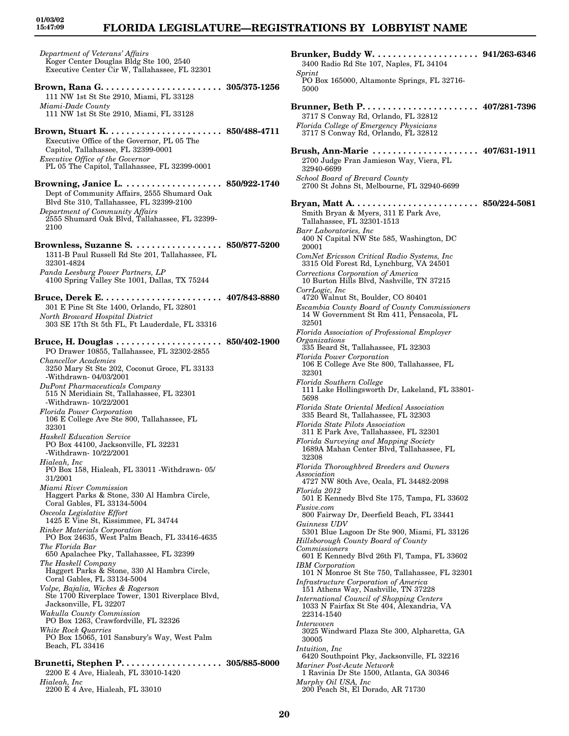**01/03/02 15:47:09**

*Department of Veterans' Affairs* Koger Center Douglas Bldg Ste 100, 2540 Executive Center Cir W, Tallahassee, FL 32301 **Brown, Rana G. . . . . . . . . . . . . . . . . . . . . . . . 305/375-1256** 111 NW 1st St Ste 2910, Miami, FL 33128 *Miami-Dade County* 111 NW 1st St Ste 2910, Miami, FL 33128

**Brown, Stuart K. . . . . . . . . . . . . . . . . . . . . . . 850/488-4711** Executive Office of the Governor, PL 05 The Capitol, Tallahassee, FL 32399-0001 *Executive Office of the Governor* PL 05 The Capitol, Tallahassee, FL 32399-0001

**Browning, Janice L. . . . . . . . . . . . . . . . . . . . 850/922-1740** Dept of Community Affairs, 2555 Shumard Oak Blvd Ste 310, Tallahassee, FL 32399-2100 *Department of Community Affairs* 2555 Shumard Oak Blvd, Tallahassee, FL 32399- 2100

**Brownless, Suzanne S. . . . . . . . . . . . . . . . . . 850/877-5200** 1311-B Paul Russell Rd Ste 201, Tallahassee, FL 32301-4824 *Panda Leesburg Power Partners, LP* 4100 Spring Valley Ste 1001, Dallas, TX 75244

**Bruce, Derek E. . . . . . . . . . . . . . . . . . . . . . . . 407/843-8880** 301 E Pine St Ste 1400, Orlando, FL 32801 *North Broward Hospital District* 303 SE 17th St 5th FL, Ft Lauderdale, FL 33316

**Bruce, H. Douglas . . . . . . . . . . . . . . . . . . . . . 850/402-1900** PO Drawer 10855, Tallahassee, FL 32302-2855 *Chancellor Academies* 3250 Mary St Ste 202, Coconut Groce, FL 33133 -Withdrawn- 04/03/2001 *DuPont Pharmaceuticals Company* 515 N Meridiain St, Tallahassee, FL 32301 -Withdrawn- 10/22/2001 *Florida Power Corporation* 106 E College Ave Ste 800, Tallahassee, FL 32301 *Haskell Education Service* PO Box 44100, Jacksonville, FL 32231 -Withdrawn- 10/22/2001 *Hialeah, Inc* PO Box 158, Hialeah, FL 33011 -Withdrawn- 05/ 31/2001 *Miami River Commission* Haggert Parks & Stone, 330 Al Hambra Circle, Coral Gables, FL 33134-5004 *Osceola Legislative Effort* 1425 E Vine St, Kissimmee, FL 34744 *Rinker Materials Corporation* PO Box 24635, West Palm Beach, FL 33416-4635 *The Florida Bar* 650 Apalachee Pky, Tallahassee, FL 32399 *The Haskell Company* Haggert Parks & Stone, 330 Al Hambra Circle, Coral Gables, FL 33134-5004 *Volpe, Bajalia, Wickes & Rogerson* Ste 1700 Riverplace Tower, 1301 Riverplace Blvd, Jacksonville, FL 32207 *Wakulla County Commission* PO Box 1263, Crawfordville, FL 32326 *White Rock Quarries* PO Box 15065, 101 Sansbury's Way, West Palm Beach, FL 33416 **Brunetti, Stephen P. . . . . . . . . . . . . . . . . . . . 305/885-8000**

2200 E 4 Ave, Hialeah, FL 33010-1420 *Hialeah, Inc* 2200 E 4 Ave, Hialeah, FL 33010

**Brunker, Buddy W. . . . . . . . . . . . . . . . . . . . . 941/263-6346** 3400 Radio Rd Ste 107, Naples, FL 34104 *Sprint* PO Box 165000, Altamonte Springs, FL 32716- 5000 **Brunner, Beth P. . . . . . . . . . . . . . . . . . . . . . . 407/281-7396** 3717 S Conway Rd, Orlando, FL 32812 *Florida College of Emergency Physicians* 3717 S Conway Rd, Orlando, FL 32812 **Brush, Ann-Marie . . . . . . . . . . . . . . . . . . . . . 407/631-1911** 2700 Judge Fran Jamieson Way, Viera, FL 32940-6699 *School Board of Brevard County* 2700 St Johns St, Melbourne, FL 32940-6699 **Bryan, Matt A. . . . . . . . . . . . . . . . . . . . . . . . . 850/224-5081** Smith Bryan & Myers, 311 E Park Ave, Tallahassee, FL 32301-1513 *Barr Laboratories, Inc* 400 N Capital NW Ste 585, Washington, DC 20001 *ComNet Ericsson Critical Radio Systems, Inc* 3315 Old Forest Rd, Lynchburg, VA 24501 *Corrections Corporation of America* 10 Burton Hills Blvd, Nashville, TN 37215 *CorrLogic, Inc* 4720 Walnut St, Boulder, CO 80401 *Escambia County Board of County Commissioners* 14 W Government St Rm 411, Pensacola, FL 32501 *Florida Association of Professional Employer Organizations* 335 Beard St, Tallahassee, FL 32303 *Florida Power Corporation* 106 E College Ave Ste 800, Tallahassee, FL 32301 *Florida Southern College* 111 Lake Hollingsworth Dr, Lakeland, FL 33801- 5698 *Florida State Oriental Medical Association* 335 Beard St, Tallahassee, FL 32303 *Florida State Pilots Association* 311 E Park Ave, Tallahassee, FL 32301 *Florida Surveying and Mapping Society* 1689A Mahan Center Blvd, Tallahassee, FL 32308 *Florida Thoroughbred Breeders and Owners Association* 4727 NW 80th Ave, Ocala, FL 34482-2098 *Florida 2012* 501 E Kennedy Blvd Ste 175, Tampa, FL 33602 *Fusive.com* 800 Fairway Dr, Deerfield Beach, FL 33441 *Guinness UDV* 5301 Blue Lagoon Dr Ste 900, Miami, FL 33126 *Hillsborough County Board of County Commissioners* 601 E Kennedy Blvd 26th Fl, Tampa, FL 33602 *IBM Corporation* 101 N Monroe St Ste 750, Tallahassee, FL 32301 *Infrastructure Corporation of America* 151 Athens Way, Nashville, TN 37228 *International Council of Shopping Centers* 1033 N Fairfax St Ste 404, Alexandria, VA 22314-1540 *Interwoven* 3025 Windward Plaza Ste 300, Alpharetta, GA 30005 *Intuition, Inc* 6420 Southpoint Pky, Jacksonville, FL 32216 *Mariner Post-Acute Network* 1 Ravinia Dr Ste 1500, Atlanta, GA 30346 *Murphy Oil USA, Inc* 200 Peach St, El Dorado, AR 71730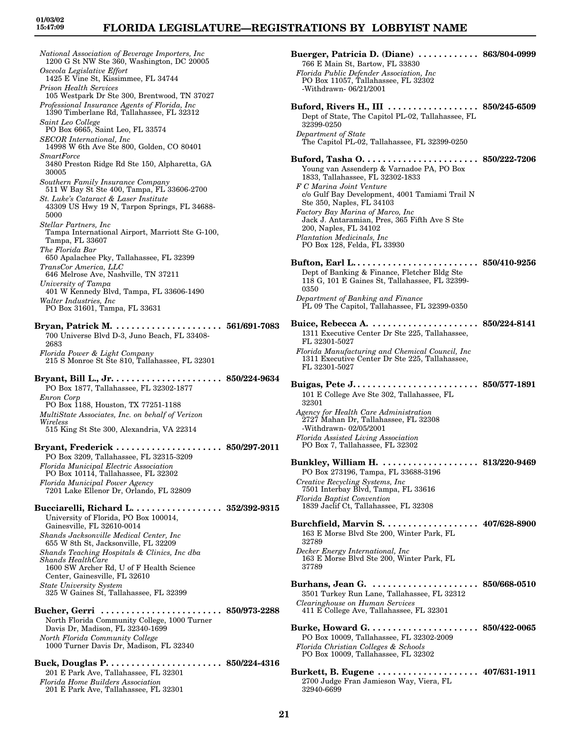*National Association of Beverage Importers, Inc* 1200 G St NW Ste 360, Washington, DC 20005 *Osceola Legislative Effort* 1425 E Vine St, Kissimmee, FL 34744 *Prison Health Services* 105 Westpark Dr Ste 300, Brentwood, TN 37027 *Professional Insurance Agents of Florida, Inc* 1390 Timberlane Rd, Tallahassee, FL 32312 *Saint Leo College* PO Box 6665, Saint Leo, FL 33574 *SECOR International, Inc* 14998 W 6th Ave Ste 800, Golden, CO 80401 *SmartForce* 3480 Preston Ridge Rd Ste 150, Alpharetta, GA 30005 *Southern Family Insurance Company* 511 W Bay St Ste 400, Tampa, FL 33606-2700 *St. Luke's Cataract & Laser Institute* 43309 US Hwy 19 N, Tarpon Springs, FL 34688- 5000 *Stellar Partners, Inc* Tampa International Airport, Marriott Ste G-100, Tampa, FL 33607 *The Florida Bar* 650 Apalachee Pky, Tallahassee, FL 32399 *TransCor America, LLC* 646 Melrose Ave, Nashville, TN 37211 *University of Tampa* 401 W Kennedy Blvd, Tampa, FL 33606-1490 *Walter Industries, Inc* PO Box 31601, Tampa, FL 33631 **Bryan, Patrick M. . . . . . . . . . . . . . . . . . . . . . 561/691-7083** 700 Universe Blvd D-3, Juno Beach, FL 33408- 2683 *Florida Power & Light Company* 215 S Monroe St Ste 810, Tallahassee, FL 32301 **Bryant, Bill L., Jr. . . . . . . . . . . . . . . . . . . . . . 850/224-9634** PO Box 1877, Tallahassee, FL 32302-1877 *Enron Corp* PO Box 1188, Houston, TX 77251-1188 *MultiState Associates, Inc. on behalf of Verizon Wireless* 515 King St Ste 300, Alexandria, VA 22314 **Bryant, Frederick . . . . . . . . . . . . . . . . . . . . . 850/297-2011** PO Box 3209, Tallahassee, FL 32315-3209 *Florida Municipal Electric Association* PO Box 10114, Tallahassee, FL 32302 *Florida Municipal Power Agency* 7201 Lake Ellenor Dr, Orlando, FL 32809 **Bucciarelli, Richard L. . . . . . . . . . . . . . . . . . 352/392-9315** University of Florida, PO Box 100014, Gainesville, FL 32610-0014 *Shands Jacksonville Medical Center, Inc* 655 W 8th St, Jacksonville, FL 32209 *Shands Teaching Hospitals & Clinics, Inc dba Shands HealthCare* 1600 SW Archer Rd, U of F Health Science Center, Gainesville, FL 32610 *State University System* 325 W Gaines St, Tallahassee, FL 32399 **Bucher, Gerri . . . . . . . . . . . . . . . . . . . . . . . . 850/973-2288** North Florida Community College, 1000 Turner Davis Dr, Madison, FL 32340-1699 *North Florida Community College* 1000 Turner Davis Dr, Madison, FL 32340 **Buck, Douglas P. . . . . . . . . . . . . . . . . . . . . . . 850/224-4316** 201 E Park Ave, Tallahassee, FL 32301

*Florida Home Builders Association* 201 E Park Ave, Tallahassee, FL 32301 **Buerger, Patricia D. (Diane) . . . . . . . . . . . . 863/804-0999** 766 E Main St, Bartow, FL 33830 *Florida Public Defender Association, Inc* PO Box 11057, Tallahassee, FL 32302 -Withdrawn- 06/21/2001 **Buford, Rivers H., III . . . . . . . . . . . . . . . . . . 850/245-6509** Dept of State, The Capitol PL-02, Tallahassee, FL 32399-0250 *Department of State* The Capitol PL-02, Tallahassee, FL 32399-0250 **Buford, Tasha O. . . . . . . . . . . . . . . . . . . . . . . 850/222-7206** Young van Assenderp & Varnadoe PA, PO Box 1833, Tallahassee, FL 32302-1833 *F C Marina Joint Venture* c/o Gulf Bay Development, 4001 Tamiami Trail N Ste 350, Naples, FL 34103 *Factory Bay Marina of Marco, Inc* Jack J. Antaramian, Pres, 365 Fifth Ave S Ste 200, Naples, FL 34102 *Plantation Medicinals, Inc* PO Box 128, Felda, FL 33930 **Bufton, Earl L. . . . . . . . . . . . . . . . . . . . . . . . . 850/410-9256** Dept of Banking & Finance, Fletcher Bldg Ste 118 G, 101 E Gaines St, Tallahassee, FL 32399- 0350 *Department of Banking and Finance* PL 09 The Capitol, Tallahassee, FL 32399-0350 **Buice, Rebecca A. . . . . . . . . . . . . . . . . . . . . . 850/224-8141** 1311 Executive Center Dr Ste 225, Tallahassee, FL 32301-5027 *Florida Manufacturing and Chemical Council, Inc* 1311 Executive Center Dr Ste 225, Tallahassee, FL 32301-5027 **Buigas, Pete J. . . . . . . . . . . . . . . . . . . . . . . . . 850/577-1891** 101 E College Ave Ste 302, Tallahassee, FL 32301 *Agency for Health Care Administration* 2727 Mahan Dr, Tallahassee, FL 32308 -Withdrawn- 02/05/2001 *Florida Assisted Living Association* PO Box 7, Tallahassee, FL 32302 **Bunkley, William H. . . . . . . . . . . . . . . . . . . . 813/220-9469** PO Box 273196, Tampa, FL 33688-3196 *Creative Recycling Systems, Inc* 7501 Interbay Blvd, Tampa, FL 33616 *Florida Baptist Convention* 1839 Jaclif Ct, Tallahassee, FL 32308 **Burchfield, Marvin S. . . . . . . . . . . . . . . . . . . 407/628-8900** 163 E Morse Blvd Ste 200, Winter Park, FL 32789 *Decker Energy International, Inc* 163 E Morse Blvd Ste 200, Winter Park, FL 37789 **Burhans, Jean G. . . . . . . . . . . . . . . . . . . . . . 850/668-0510** 3501 Turkey Run Lane, Tallahassee, FL 32312 *Clearinghouse on Human Services* 411 E College Ave, Tallahassee, FL 32301 **Burke, Howard G. . . . . . . . . . . . . . . . . . . . . . 850/422-0065** PO Box 10009, Tallahassee, FL 32302-2009 *Florida Christian Colleges & Schools* PO Box 10009, Tallahassee, FL 32302 **Burkett, B. Eugene . . . . . . . . . . . . . . . . . . . . 407/631-1911** 2700 Judge Fran Jamieson Way, Viera, FL 32940-6699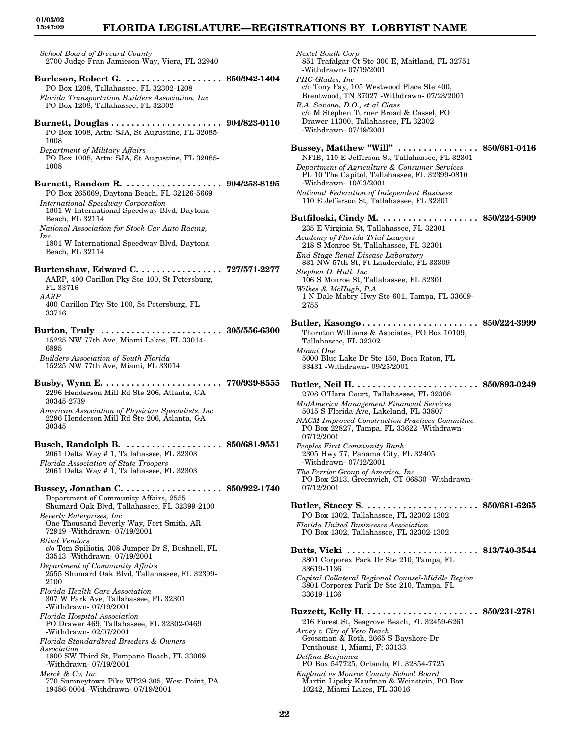## **FLORIDA LEGISLATURE—REGISTRATIONS BY LOBBYIST NAME**

*School Board of Brevard County* 2700 Judge Fran Jamieson Way, Viera, FL 32940

- **Burleson, Robert G. . . . . . . . . . . . . . . . . . . . 850/942-1404** PO Box 1208, Tallahassee, FL 32302-1208 *Florida Transportation Builders Association, Inc* PO Box 1208, Tallahassee, FL 32302
- **Burnett, Douglas . . . . . . . . . . . . . . . . . . . . . . 904/823-0110** PO Box 1008, Attn: SJA, St Augustine, FL 32085- 1008 *Department of Military Affairs*

PO Box 1008, Attn: SJA, St Augustine, FL 32085- 1008

- **Burnett, Random R. . . . . . . . . . . . . . . . . . . . 904/253-8195** PO Box 265669, Daytona Beach, FL 32126-5669
- *International Speedway Corporation* 1801 W International Speedway Blvd, Daytona Beach, FL 32114 *National Association for Stock Car Auto Racing,*
- *Inc* 1801 W International Speedway Blvd, Daytona Beach, FL 32114
- **Burtenshaw, Edward C. . . . . . . . . . . . . . . . . 727/571-2277** AARP, 400 Carillon Pky Ste 100, St Petersburg, FL 33716 *AARP*
- 400 Carillon Pky Ste 100, St Petersburg, FL 33716
- **Burton, Truly . . . . . . . . . . . . . . . . . . . . . . . . 305/556-6300** 15225 NW 77th Ave, Miami Lakes, FL 33014- 6895 *Builders Association of South Florida* 15225 NW 77th Ave, Miami, FL 33014
- **Busby, Wynn E. . . . . . . . . . . . . . . . . . . . . . . . 770/939-8555** 2296 Henderson Mill Rd Ste 206, Atlanta, GA 30345-2739
- *American Association of Physician Specialists, Inc* 2296 Henderson Mill Rd Ste 206, Atlanta, GA 30345
- **Busch, Randolph B. . . . . . . . . . . . . . . . . . . . 850/681-9551** 2061 Delta Way # 1, Tallahassee, FL 32303 *Florida Association of State Troopers* 2061 Delta Way # 1, Tallahassee, FL 32303

**Bussey, Jonathan C. . . . . . . . . . . . . . . . . . . . 850/922-1740** Department of Community Affairs, 2555 Shumard Oak Blvd, Tallahassee, FL 32399-2100 *Beverly Enterprises, Inc* One Thousand Beverly Way, Fort Smith, AR 72919 -Withdrawn- 07/19/2001 *Blind Vendors* c/o Tom Spiliotis, 308 Jumper Dr S, Bushnell, FL 33513 -Withdrawn- 07/19/2001 *Department of Community Affairs* 2555 Shumard Oak Blvd, Tallahassee, FL 32399- 2100 *Florida Health Care Association* 307 W Park Ave, Tallahassee, FL 32301 -Withdrawn- 07/19/2001 *Florida Hospital Association* PO Drawer 469, Tallahassee, FL 32302-0469 -Withdrawn- 02/07/2001 *Florida Standardbred Breeders & Owners Association* 1800 SW Third St, Pompano Beach, FL 33069 -Withdrawn- 07/19/2001 *Merck & Co, Inc* 770 Sumneytown Pike WP39-305, West Point, PA

19486-0004 -Withdrawn- 07/19/2001

- *Nextel South Corp* 851 Trafalgar Ct Ste 300 E, Maitland, FL 32751 -Withdrawn- 07/19/2001 *PHC-Glades, Inc* c/o Tony Fay, 105 Westwood Place Ste 400, Brentwood, TN 37027 -Withdrawn- 07/23/2001 *R.A. Savona, D.O., et al Class* c/o M Stephen Turner Broad & Cassel, PO Drawer 11300, Tallahassee, FL 32302 -Withdrawn- 07/19/2001 **Bussey, Matthew "Will" . . . . . . . . . . . . . . . . 850/681-0416** NFIB, 110 E Jefferson St, Tallahassee, FL 32301 *Department of Agriculture & Consumer Services* PL 10 The Capitol, Tallahassee, FL 32399-0810 -Withdrawn- 10/03/2001 *National Federation of Independent Business* 110 E Jefferson St, Tallahassee, FL 32301 **Butfiloski, Cindy M. . . . . . . . . . . . . . . . . . . . 850/224-5909** 235 E Virginia St, Tallahassee, FL 32301 *Academy of Florida Trial Lawyers* 218 S Monroe St, Tallahassee, FL 32301 *End Stage Renal Disease Laboratory* 831 NW 57th St, Ft Lauderdale, FL 33309 *Stephen D. Hull, Inc* 106 S Monroe St, Tallahassee, FL 32301 *Wilkes & McHugh, P.A.* 1 N Dale Mabry Hwy Ste 601, Tampa, FL 33609- 2755 **Butler, Kasongo . . . . . . . . . . . . . . . . . . . . . . . 850/224-3999** Thornton Williams & Asociates, PO Box 10109, Tallahassee, FL 32302 *Miami One* 5000 Blue Lake Dr Ste 150, Boca Raton, FL 33431 -Withdrawn- 09/25/2001 **Butler, Neil H. . . . . . . . . . . . . . . . . . . . . . . . . 850/893-0249** 2708 O'Hara Court, Tallahassee, FL 32308 *MidAmerica Management Financial Services* 5015 S Florida Ave, Lakeland, FL 33807 *NACM Improved Construction Practices Committee* PO Box 22827, Tampa, FL 33622 -Withdrawn-07/12/2001 *Peoples First Community Bank* 2305 Hwy 77, Panama City, FL 32405 -Withdrawn- 07/12/2001 *The Perrier Group of America, Inc* PO Box 2313, Greenwich, CT 06830 -Withdrawn-07/12/2001 **Butler, Stacey S. . . . . . . . . . . . . . . . . . . . . . . 850/681-6265** PO Box 1302, Tallahassee, FL 32302-1302 *Florida United Businesses Association* PO Box 1302, Tallahassee, FL 32302-1302 **Butts, Vicki . . . . . . . . . . . . . . . . . . . . . . . . . . 813/740-3544** 3801 Corporex Park Dr Ste 210, Tampa, FL 33619-1136 *Capital Collateral Regional Counsel-Middle Region* 3801 Corporex Park Dr Ste 210, Tampa, FL 33619-1136 **Buzzett, Kelly H. . . . . . . . . . . . . . . . . . . . . . . 850/231-2781** 216 Forest St, Seagrove Beach, FL 32459-6261 *Arvay v City of Vero Beach* Grossman & Roth, 2665 S Bayshore Dr Penthouse 1, Miami, F; 33133 *Delfina Benjumea* PO Box 547725, Orlando, FL 32854-7725
- *England vs Monroe County School Board* Martin Lipsky Kaufman & Weinstein, PO Box 10242, Miami Lakes, FL 33016
- **22**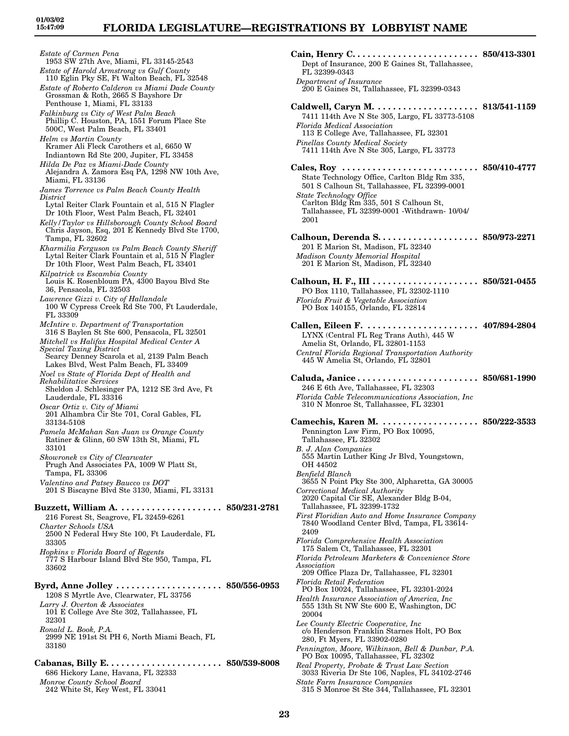*Estate of Carmen Pena* 1953 SW 27th Ave, Miami, FL 33145-2543 *Estate of Harold Armstrong vs Gulf County* 110 Eglin Pky SE, Ft Walton Beach, FL 32548 *Estate of Roberto Calderon vs Miami Dade County* Grossman & Roth, 2665 S Bayshore Dr Penthouse 1, Miami, FL 33133 *Falkinburg vs City of West Palm Beach* Phillip C. Houston, PA, 1551 Forum Place Ste 500C, West Palm Beach, FL 33401 *Helm vs Martin County* Kramer Ali Fleck Carothers et al, 6650 W Indiantown Rd Ste 200, Jupiter, FL 33458 *Hilda De Paz vs Miami-Dade County* Alejandra A. Zamora Esq PA, 1298 NW 10th Ave, Miami, FL 33136 *James Torrence vs Palm Beach County Health District* Lytal Reiter Clark Fountain et al, 515 N Flagler Dr 10th Floor, West Palm Beach, FL 32401 *Kelly/Taylor vs Hillsborough County School Board* Chris Jayson, Esq, 201 E Kennedy Blvd Ste 1700, Tampa, FL 32602 *Kharmilia Ferguson vs Palm Beach County Sheriff* Lytal Reiter Clark Fountain et al, 515 N Flagler Dr 10th Floor, West Palm Beach, FL 33401 *Kilpatrick vs Escambia County* Louis K. Rosenbloum PA, 4300 Bayou Blvd Ste 36, Pensacola, FL 32503 *Lawrence Gizzi v. City of Hallandale* 100 W Cypress Creek Rd Ste 700, Ft Lauderdale, FL 33309 *McIntire v. Department of Transportation* 316 S Baylen St Ste 600, Pensacola, FL 32501 *Mitchell vs Halifax Hospital Medical Center A Special Taxing District* Searcy Denney Scarola et al, 2139 Palm Beach Lakes Blvd, West Palm Beach, FL 33409 *Noel vs State of Florida Dept of Health and Rehabilitative Services* Sheldon J. Schlesinger PA, 1212 SE 3rd Ave, Ft Lauderdale, FL 33316 *Oscar Ortiz v. City of Miami* 201 Alhambra Cir Ste 701, Coral Gables, FL 33134-5108 *Pamela McMahan San Juan vs Orange County* Ratiner & Glinn, 60 SW 13th St, Miami, FL 33101 *Skowronek vs City of Clearwater* Prugh And Associates PA, 1009 W Platt St, Tampa, FL 33306 *Valentino and Patsey Baucco vs DOT* 201 S Biscayne Blvd Ste 3130, Miami, FL 33131 **Buzzett, William A. . . . . . . . . . . . . . . . . . . . . 850/231-2781** 216 Forest St, Seagrove, FL 32459-6261 *Charter Schools USA* 2500 N Federal Hwy Ste 100, Ft Lauderdale, FL 33305 *Hopkins v Florida Board of Regents* 777 S Harbour Island Blvd Ste 950, Tampa, FL 33602 **Byrd, Anne Jolley . . . . . . . . . . . . . . . . . . . . . 850/556-0953** 1208 S Myrtle Ave, Clearwater, FL 33756 *Larry J. Overton & Associates* 101 E College Ave Ste 302, Tallahassee, FL 32301 *Ronald L. Book, P.A.* 2999 NE 191st St PH 6, North Miami Beach, FL 33180 **Cabanas, Billy E. . . . . . . . . . . . . . . . . . . . . . . 850/539-8008** 686 Hickory Lane, Havana, FL 32333

*Monroe County School Board* 242 White St, Key West, FL 33041 OH 44502 *Benfield Blanch* 2409 *Association* 20004

**Cain, Henry C. . . . . . . . . . . . . . . . . . . . . . . . . 850/413-3301** Dept of Insurance, 200 E Gaines St, Tallahassee, FL 32399-0343 *Department of Insurance* 200 E Gaines St, Tallahassee, FL 32399-0343 **Caldwell, Caryn M. . . . . . . . . . . . . . . . . . . . . 813/541-1159** 7411 114th Ave N Ste 305, Largo, FL 33773-5108 *Florida Medical Association* 113 E College Ave, Tallahassee, FL 32301 *Pinellas County Medical Society* 7411 114th Ave N Ste 305, Largo, FL 33773 **Cales, Roy . . . . . . . . . . . . . . . . . . . . . . . . . . . 850/410-4777** State Technology Office, Carlton Bldg Rm 335, 501 S Calhoun St, Tallahassee, FL 32399-0001 *State Technology Office* Carlton Bldg Rm 335, 501 S Calhoun St, Tallahassee, FL 32399-0001 -Withdrawn- 10/04/ 2001 **Calhoun, Derenda S. . . . . . . . . . . . . . . . . . . . 850/973-2271** 201 E Marion St, Madison, FL 32340 *Madison County Memorial Hospital* 201 E Marion St, Madison, FL 32340 **Calhoun, H. F., III . . . . . . . . . . . . . . . . . . . . . 850/521-0455** PO Box 1110, Tallahassee, FL 32302-1110 *Florida Fruit & Vegetable Association* PO Box 140155, Orlando, FL 32814 **Callen, Eileen F. . . . . . . . . . . . . . . . . . . . . . . 407/894-2804** LYNX (Central FL Reg Trans Auth), 445 W Amelia St, Orlando, FL 32801-1153 *Central Florida Regional Transportation Authority* 445 W Amelia St, Orlando, FL 32801 **Caluda, Janice . . . . . . . . . . . . . . . . . . . . . . . . 850/681-1990** 246 E 6th Ave, Tallahassee, FL 32303 *Florida Cable Telecommunications Association, Inc* 310 N Monroe St, Tallahassee, FL 32301 **Camechis, Karen M. . . . . . . . . . . . . . . . . . . . 850/222-3533** Pennington Law Firm, PO Box 10095, Tallahassee, FL 32302 *B. J. Alan Companies* 555 Martin Luther King Jr Blvd, Youngstown, 3655 N Point Pky Ste 300, Alpharetta, GA 30005 *Correctional Medical Authority* 2020 Capital Cir SE, Alexander Bldg B-04, Tallahassee, FL 32399-1732 *First Floridian Auto and Home Insurance Company* 7840 Woodland Center Blvd, Tampa, FL 33614- *Florida Comprehensive Health Association* 175 Salem Ct, Tallahassee, FL 32301 *Florida Petroleum Marketers & Convenience Store* 209 Office Plaza Dr, Tallahassee, FL 32301 *Florida Retail Federation* PO Box 10024, Tallahassee, FL 32301-2024 *Health Insurance Association of America, Inc* 555 13th St NW Ste 600 E, Washington, DC *Lee County Electric Cooperative, Inc* c/o Henderson Franklin Starnes Holt, PO Box 280, Ft Myers, FL 33902-0280 *Pennington, Moore, Wilkinson, Bell & Dunbar, P.A.* PO Box 10095, Tallahassee, FL 32302 *Real Property, Probate & Trust Law Section* 3033 Riveria Dr Ste 106, Naples, FL 34102-2746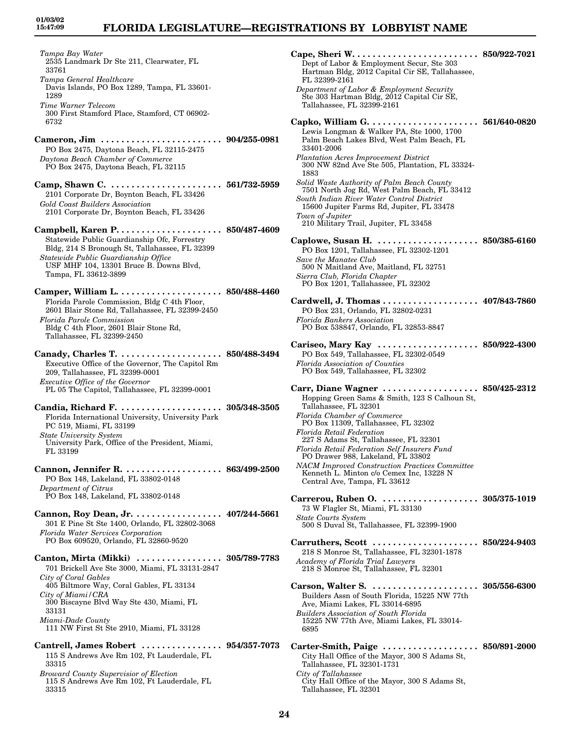*Tampa Bay Water* 2535 Landmark Dr Ste 211, Clearwater, FL 33761 *Tampa General Healthcare* Davis Islands, PO Box 1289, Tampa, FL 33601- 1289 *Time Warner Telecom* 300 First Stamford Place, Stamford, CT 06902- 6732 **Cameron, Jim . . . . . . . . . . . . . . . . . . . . . . . . 904/255-0981** PO Box 2475, Daytona Beach, FL 32115-2475 *Daytona Beach Chamber of Commerce* PO Box 2475, Daytona Beach, FL 32115 **Camp, Shawn C. . . . . . . . . . . . . . . . . . . . . . . 561/732-5959** 2101 Corporate Dr, Boynton Beach, FL 33426 *Gold Coast Builders Association* 2101 Corporate Dr, Boynton Beach, FL 33426 **Campbell, Karen P. . . . . . . . . . . . . . . . . . . . . 850/487-4609** Statewide Public Guardianship Ofc, Forrestry Bldg, 214 S Bronough St, Tallahassee, FL 32399 *Statewide Public Guardianship Office* USF MHF 104, 13301 Bruce B. Downs Blvd, Tampa, FL 33612-3899 **Camper, William L. . . . . . . . . . . . . . . . . . . . . 850/488-4460** Florida Parole Commission, Bldg C 4th Floor, 2601 Blair Stone Rd, Tallahassee, FL 32399-2450 *Florida Parole Commission* Bldg C 4th Floor, 2601 Blair Stone Rd, Tallahassee, FL 32399-2450 **Canady, Charles T. . . . . . . . . . . . . . . . . . . . . 850/488-3494** Executive Office of the Governor, The Capitol Rm 209, Tallahassee, FL 32399-0001 *Executive Office of the Governor* PL 05 The Capitol, Tallahassee, FL 32399-0001 **Candia, Richard F. . . . . . . . . . . . . . . . . . . . . 305/348-3505** Florida International University, University Park PC 519, Miami, FL 33199 *State University System* University Park, Office of the President, Miami, FL 33199 **Cannon, Jennifer R. . . . . . . . . . . . . . . . . . . . 863/499-2500** PO Box 148, Lakeland, FL 33802-0148 *Department of Citrus* PO Box 148, Lakeland, FL 33802-0148 **Cannon, Roy Dean, Jr. . . . . . . . . . . . . . . . . . 407/244-5661** 301 E Pine St Ste 1400, Orlando, FL 32802-3068 *Florida Water Services Corporation* PO Box 609520, Orlando, FL 32860-9520 **Canton, Mirta (Mikki) . . . . . . . . . . . . . . . . . 305/789-7783** 701 Brickell Ave Ste 3000, Miami, FL 33131-2847 *City of Coral Gables* 405 Biltmore Way, Coral Gables, FL 33134 *City of Miami/CRA* 300 Biscayne Blvd Way Ste 430, Miami, FL 33131 *Miami-Dade County* 111 NW First St Ste 2910, Miami, FL 33128 **Cantrell, James Robert . . . . . . . . . . . . . . . . 954/357-7073** 115 S Andrews Ave Rm 102, Ft Lauderdale, FL

33315 *Broward County Supervisior of Election* 115 S Andrews Ave Rm 102, Ft Lauderdale, FL 33315

| $\emph{Cape},$ Sheri W $\ldots \ldots \ldots \ldots \ldots$<br>Dept of Labor & Employment Secur, Ste 303<br>Hartman Bldg, 2012 Capital Cir SE, Tallahassee,<br>FL 32399-2161         | $\ldots$ 850/922-7021       |
|--------------------------------------------------------------------------------------------------------------------------------------------------------------------------------------|-----------------------------|
| Department of Labor & Employment Security<br>Ste 303 Hartman Bldg, 2012 Capital Cir SE,<br>Tallahassee, FL 32399-2161                                                                |                             |
| Capko, William G.<br>Lewis Longman & Walker PA, Ste 1000, 1700<br>Palm Beach Lakes Blvd, West Palm Beach, FL<br>33401-2006                                                           | $\ldots \,\, 561/640$ -0820 |
| <b>Plantation Acres Improvement District</b><br>300 NW 82nd Ave Ste 505, Plantation, FL 33324-<br>1883                                                                               |                             |
| Solid Waste Authority of Palm Beach County<br>7501 North Jog Rd, West Palm Beach, FL 33412<br>South Indian River Water Control District<br>15600 Jupiter Farms Rd, Jupiter, FL 33478 |                             |
| Town of Jupiter<br>210 Military Trail, Jupiter, FL 33458                                                                                                                             |                             |
| Caplowe, Susan H.<br>PO Box 1201, Tallahassee, FL 32302-1201                                                                                                                         | 850/385-6160                |
| Save the Manatee Club<br>500 N Maitland Ave, Maitland, FL 32751<br>Sierra Club, Florida Chapter<br>PO Box 1201, Tallahassee, FL 32302                                                |                             |
| Cardwell, J. Thomas                                                                                                                                                                  | 407/843-7860                |
| PO Box 231, Orlando, FL 32802-0231<br>Florida Bankers Association<br>PO Box 538847, Orlando, FL 32853-8847                                                                           |                             |
| Cariseo, Mary Kay<br>PO Box 549, Tallahassee, FL 32302-0549                                                                                                                          | 850/922-4300                |
| Florida Association of Counties<br>PO Box 549, Tallahassee, FL 32302                                                                                                                 |                             |
| Carr, Diane Wagner<br>850/425-2312<br>Hopping Green Sams & Smith, 123 S Calhoun St,<br>Tallahassee, FL 32301                                                                         |                             |
| Florida Chamber of Commerce<br>PO Box 11309, Tallahassee, FL 32302                                                                                                                   |                             |
| Florida Retail Federation<br>227 S Adams St, Tallahassee, FL 32301<br>Florida Retail Federation Self Insurers Fund                                                                   |                             |
| PO Drawer 988, Lakeland, FL 33802<br><b>NACM</b> Improved Construction Practices Committee                                                                                           |                             |
| Kenneth L. Minton c/o Cemex Inc, 13228 N<br>Central Ave, Tampa, FL 33612                                                                                                             |                             |
| Carrerou, Ruben O.  305/375-1019<br>73 W Flagler St, Miami, FL 33130<br><b>State Courts System</b>                                                                                   |                             |
| 500 S Duval St, Tallahassee, FL 32399-1900                                                                                                                                           |                             |
| Carruthers, Scott  850/224-9403<br>218 S Monroe St, Tallahassee, FL 32301-1878                                                                                                       |                             |
| Academy of Florida Trial Lawyers<br>218 S Monroe St, Tallahassee, FL 32301                                                                                                           |                             |
| Carson, Walter S.   305/556-6300<br>Builders Assn of South Florida, 15225 NW 77th<br>Ave, Miami Lakes, FL 33014-6895                                                                 |                             |
| <b>Builders Association of South Florida</b><br>15225 NW 77th Ave, Miami Lakes, FL 33014-<br>6895                                                                                    |                             |
| Carter-Smith, Paige  850/891-2000<br>City Hall Office of the Mayor, 300 S Adams St,                                                                                                  |                             |
| Tallahassee, FL 32301-1731<br>City of Tallahassee                                                                                                                                    |                             |
| City Hall Office of the Mayor, 300 S Adams St.                                                                                                                                       |                             |

Tallahassee, FL 32301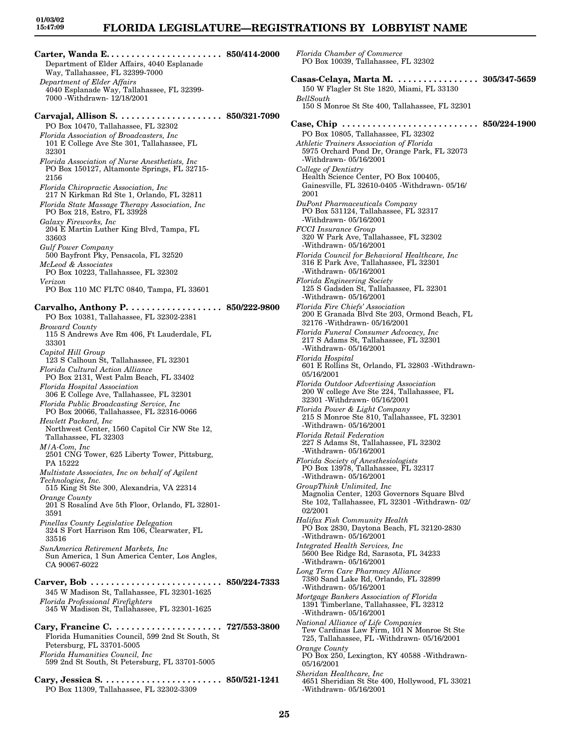### **FLORIDA LEGISLATURE—REGISTRATIONS BY LOBBYIST NAME**

*Florida Chamber of Commerce*

**Carter, Wanda E. . . . . . . . . . . . . . . . . . . . . . . 850/414-2000** Department of Elder Affairs, 4040 Esplanade Way, Tallahassee, FL 32399-7000 *Department of Elder Affairs* 4040 Esplanade Way, Tallahassee, FL 32399- 7000 -Withdrawn- 12/18/2001 **Carvajal, Allison S. . . . . . . . . . . . . . . . . . . . . 850/321-7090** PO Box 10470, Tallahassee, FL 32302 *Florida Association of Broadcasters, Inc* 101 E College Ave Ste 301, Tallahassee, FL 32301 *Florida Association of Nurse Anesthetists, Inc* PO Box 150127, Altamonte Springs, FL 32715- 2156 *Florida Chiropractic Association, Inc* 217 N Kirkman Rd Ste 1, Orlando, FL 32811 *Florida State Massage Therapy Association, Inc* PO Box 218, Estro, FL 33928 *Galaxy Fireworks, Inc* 204 E Martin Luther King Blvd, Tampa, FL 33603 *Gulf Power Company* 500 Bayfront Pky, Pensacola, FL 32520 *McLeod & Associates* PO Box 10223, Tallahassee, FL 32302 *Verizon* PO Box 110 MC FLTC 0840, Tampa, FL 33601 **Carvalho, Anthony P. . . . . . . . . . . . . . . . . . . 850/222-9800** PO Box 10381, Tallahassee, FL 32302-2381 *Broward County* 115 S Andrews Ave Rm 406, Ft Lauderdale, FL 33301 *Capitol Hill Group* 123 S Calhoun St, Tallahassee, FL 32301 *Florida Cultural Action Alliance* PO Box 2131, West Palm Beach, FL 33402 *Florida Hospital Association* 306 E College Ave, Tallahassee, FL 32301 *Florida Public Broadcasting Service, Inc* PO Box 20066, Tallahassee, FL 32316-0066 *Hewlett Packard, Inc* Northwest Center, 1560 Capitol Cir NW Ste 12, Tallahassee, FL 32303 *M/A-Com, Inc* 2501 CNG Tower, 625 Liberty Tower, Pittsburg, PA 15222 *Multistate Associates, Inc on behalf of Agilent Technologies, Inc.* 515 King St Ste 300, Alexandria, VA 22314 *Orange County* 201 S Rosalind Ave 5th Floor, Orlando, FL 32801- 3591 *Pinellas County Legislative Delegation* 324 S Fort Harrison Rm 106, Clearwater, FL 33516 *SunAmerica Retirement Markets, Inc* Sun America, 1 Sun America Center, Los Angles, CA 90067-6022 **Carver, Bob . . . . . . . . . . . . . . . . . . . . . . . . . . 850/224-7333** 345 W Madison St, Tallahassee, FL 32301-1625 *Florida Professional Firefighters* 345 W Madison St, Tallahassee, FL 32301-1625 **Cary, Francine C. . . . . . . . . . . . . . . . . . . . . . 727/553-3800** Florida Humanities Council, 599 2nd St South, St Petersburg, FL 33701-5005 *Florida Humanities Council, Inc* 599 2nd St South, St Petersburg, FL 33701-5005 **Cary, Jessica S. . . . . . . . . . . . . . . . . . . . . . . . 850/521-1241**

PO Box 11309, Tallahassee, FL 32302-3309

PO Box 10039, Tallahassee, FL 32302 **Casas-Celaya, Marta M. . . . . . . . . . . . . . . . . 305/347-5659** 150 W Flagler St Ste 1820, Miami, FL 33130 *BellSouth* 150 S Monroe St Ste 400, Tallahassee, FL 32301 **Case, Chip . . . . . . . . . . . . . . . . . . . . . . . . . . . 850/224-1900** PO Box 10805, Tallahassee, FL 32302 *Athletic Trainers Association of Florida* 5975 Orchard Pond Dr, Orange Park, FL 32073 -Withdrawn- 05/16/2001 *College of Dentistry* Health Science Center, PO Box 100405, Gainesville, FL 32610-0405 -Withdrawn- 05/16/ 2001 *DuPont Pharmaceuticals Company* PO Box 531124, Tallahassee, FL 32317 -Withdrawn- 05/16/2001 *FCCI Insurance Group* 320 W Park Ave, Tallahassee, FL 32302 -Withdrawn- 05/16/2001 *Florida Council for Behavioral Healthcare, Inc* 316 E Park Ave, Tallahassee, FL 32301 -Withdrawn- 05/16/2001 *Florida Engineering Society* 125 S Gadsden St, Tallahassee, FL 32301 -Withdrawn- 05/16/2001 *Florida Fire Chiefs' Association* 200 E Granada Blvd Ste 203, Ormond Beach, FL 32176 -Withdrawn- 05/16/2001 *Florida Funeral Consumer Advocacy, Inc* 217 S Adams St, Tallahassee, FL 32301 -Withdrawn- 05/16/2001 *Florida Hospital* 601 E Rollins St, Orlando, FL 32803 -Withdrawn-05/16/2001 *Florida Outdoor Advertising Association* 200 W college Ave Ste 224, Tallahassee, FL 32301 -Withdrawn- 05/16/2001 *Florida Power & Light Company* 215 S Monroe Ste 810, Tallahassee, FL 32301 -Withdrawn- 05/16/2001 *Florida Retail Federation* 227 S Adams St, Tallahassee, FL 32302 -Withdrawn- 05/16/2001 *Florida Society of Anesthesiologists* PO Box 13978, Tallahassee, FL 32317 -Withdrawn- 05/16/2001 *GroupThink Unlimited, Inc* Magnolia Center, 1203 Governors Square Blvd Ste 102, Tallahassee, FL 32301 -Withdrawn- 02/ 02/2001 *Halifax Fish Community Health* PO Box 2830, Daytona Beach, FL 32120-2830 -Withdrawn- 05/16/2001 *Integrated Health Services, Inc* 5600 Bee Ridge Rd, Sarasota, FL 34233 -Withdrawn- 05/16/2001 *Long Term Care Pharmacy Alliance* 7380 Sand Lake Rd, Orlando, FL 32899 -Withdrawn- 05/16/2001 *Mortgage Bankers Association of Florida* 1391 Timberlane, Tallahassee, FL 32312 -Withdrawn- 05/16/2001 *National Alliance of Life Companies* Tew Cardinas Law Firm, 101 N Monroe St Ste 725, Tallahassee, FL -Withdrawn- 05/16/2001 *Orange County* PO Box 250, Lexington, KY 40588 -Withdrawn-05/16/2001 *Sheridan Healthcare, Inc* 4651 Sheridian St Ste 400, Hollywood, FL 33021

-Withdrawn- 05/16/2001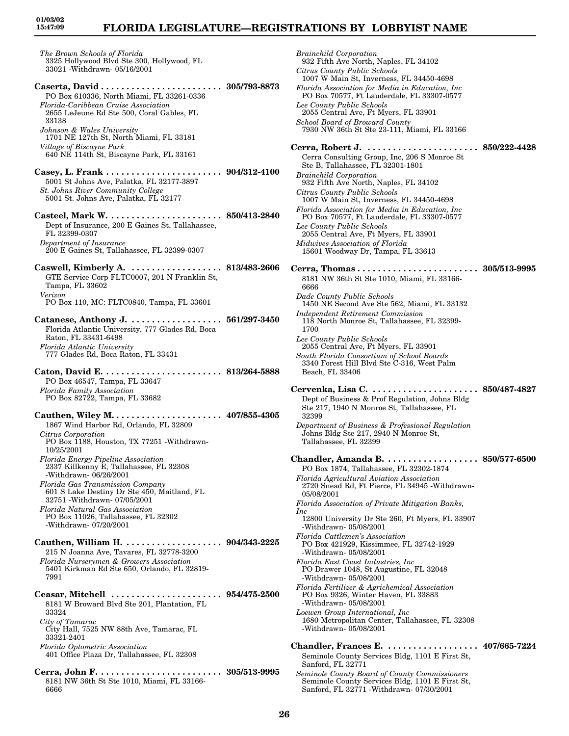## **FLORIDA LEGISLATURE—REGISTRATIONS BY LOBBYIST NAME**

*The Brown Schools of Florida* 3325 Hollywood Blvd Ste 300, Hollywood, FL 33021 -Withdrawn- 05/16/2001

- **Caserta, David . . . . . . . . . . . . . . . . . . . . . . . . 305/793-8873** PO Box 610336, North Miami, FL 33261-0336 *Florida-Caribbean Cruise Association* 2655 LeJeune Rd Ste 500, Coral Gables, FL 33138 *Johnson & Wales University* 1701 NE 127th St, North Miami, FL 33181 *Village of Biscayne Park* 640 NE 114th St, Biscayne Park, FL 33161
- **Casey, L. Frank . . . . . . . . . . . . . . . . . . . . . . . 904/312-4100** 5001 St Johns Ave, Palatka, FL 32177-3897 *St. Johns River Community College* 5001 St. Johns Ave, Palatka, FL 32177
- **Casteel, Mark W. . . . . . . . . . . . . . . . . . . . . . . 850/413-2840** Dept of Insurance, 200 E Gaines St, Tallahassee, FL 32399-0307 *Department of Insurance* 200 E Gaines St, Tallahassee, FL 32399-0307
- **Caswell, Kimberly A. . . . . . . . . . . . . . . . . . . 813/483-2606** GTE Service Corp FLTC0007, 201 N Franklin St, Tampa, FL 33602 *Verizon* PO Box 110, MC: FLTC0840, Tampa, FL 33601
- **Catanese, Anthony J. . . . . . . . . . . . . . . . . . . 561/297-3450** Florida Atlantic University, 777 Glades Rd, Boca Raton, FL 33431-6498 *Florida Atlantic University* 777 Glades Rd, Boca Raton, FL 33431
- **Caton, David E. . . . . . . . . . . . . . . . . . . . . . . . 813/264-5888** PO Box 46547, Tampa, FL 33647 *Florida Family Association* PO Box 82722, Tampa, FL 33682
- **Cauthen, Wiley M. . . . . . . . . . . . . . . . . . . . . . 407/855-4305** 1867 Wind Harbor Rd, Orlando, FL 32809 *Citrus Corporation* PO Box 1188, Houston, TX 77251 -Withdrawn-10/25/2001
- *Florida Energy Pipeline Association* 2337 Killkenny E, Tallahassee, FL 32308 -Withdrawn- 06/26/2001
- *Florida Gas Transmission Company* 601 S Lake Destiny Dr Ste 450, Maitland, FL 32751 -Withdrawn- 07/05/2001 *Florida Natural Gas Association*
- PO Box 11026, Tallahassee, FL 32302 -Withdrawn- 07/20/2001
- **Cauthen, William H. . . . . . . . . . . . . . . . . . . . 904/343-2225** 215 N Joanna Ave, Tavares, FL 32778-3200 *Florida Nurserymen & Growers Association* 5401 Kirkman Rd Ste 650, Orlando, FL 32819- 7991
- **Ceasar, Mitchell . . . . . . . . . . . . . . . . . . . . . . 954/475-2500** 8181 W Broward Blvd Ste 201, Plantation, FL 33324 *City of Tamarac* City Hall, 7525 NW 88th Ave, Tamarac, FL 33321-2401 *Florida Optometric Association* 401 Office Plaza Dr, Tallahassee, FL 32308
- **Cerra, John F. . . . . . . . . . . . . . . . . . . . . . . . . 305/513-9995** 8181 NW 36th St Ste 1010, Miami, FL 33166- 6666

*Brainchild Corporation* 932 Fifth Ave North, Naples, FL 34102 *Citrus County Public Schools* 1007 W Main St, Inverness, FL 34450-4698 *Florida Association for Media in Education, Inc* PO Box 70577, Ft Lauderdale, FL 33307-0577 *Lee County Public Schools* 2055 Central Ave, Ft Myers, FL 33901 *School Board of Broward County* 7930 NW 36th St Ste 23-111, Miami, FL 33166 **Cerra, Robert J. . . . . . . . . . . . . . . . . . . . . . . 850/222-4428** Cerra Consulting Group, Inc, 206 S Monroe St Ste B, Tallahassee, FL 32301-1801 *Brainchild Corporation* 932 Fifth Ave North, Naples, FL 34102 *Citrus County Public Schools* 1007 W Main St, Inverness, FL 34450-4698 *Florida Association for Media in Education, Inc* PO Box 70577, Ft Lauderdale, FL 33307-0577 *Lee County Public Schools* 2055 Central Ave, Ft Myers, FL 33901 *Midwives Association of Florida* 15601 Woodway Dr, Tampa, FL 33613 **Cerra, Thomas . . . . . . . . . . . . . . . . . . . . . . . . 305/513-9995** 8181 NW 36th St Ste 1010, Miami, FL 33166- 6666 *Dade County Public Schools* 1450 NE Second Ave Ste 562, Miami, FL 33132 *Independent Retirement Commission* 118 North Monroe St, Tallahassee, FL 32399- 1700 *Lee County Public Schools* 2055 Central Ave, Ft Myers, FL 33901 *South Florida Consortium of School Boards* 3340 Forest Hill Blvd Ste C-316, West Palm Beach, FL 33406 **Cervenka, Lisa C. . . . . . . . . . . . . . . . . . . . . . 850/487-4827** Dept of Business & Prof Regulation, Johns Bldg Ste 217, 1940 N Monroe St, Tallahassee, FL 32399 *Department of Business & Professional Regulation* Johns Bldg Ste 217, 2940 N Monroe St, Tallahassee, FL 32399 **Chandler, Amanda B. . . . . . . . . . . . . . . . . . . 850/577-6500** PO Box 1874, Tallahassee, FL 32302-1874 *Florida Agricultural Aviation Association* 2720 Snead Rd, Ft Pierce, FL 34945 -Withdrawn-05/08/2001 *Florida Association of Private Mitigation Banks, Inc* 12800 University Dr Ste 260, Ft Myers, FL 33907 -Withdrawn- 05/08/2001 *Florida Cattlemen's Association* PO Box 421929, Kissimmee, FL 32742-1929 -Withdrawn- 05/08/2001 *Florida East Coast Industries, Inc* PO Drawer 1048, St Augustine, FL 32048 -Withdrawn- 05/08/2001 *Florida Fertilizer & Agrichemical Association* PO Box 9326, Winter Haven, FL 33883 -Withdrawn- 05/08/2001 *Loewen Group International, Inc* 1680 Metropolitan Center, Tallahassee, FL 32308 -Withdrawn- 05/08/2001 **Chandler, Frances E. . . . . . . . . . . . . . . . . . . 407/665-7224** Seminole County Services Bldg, 1101 E First St, Sanford, FL 32771 *Seminole County Board of County Commissioners* Seminole County Services Bldg, 1101 E First St, Sanford, FL 32771 -Withdrawn- 07/30/2001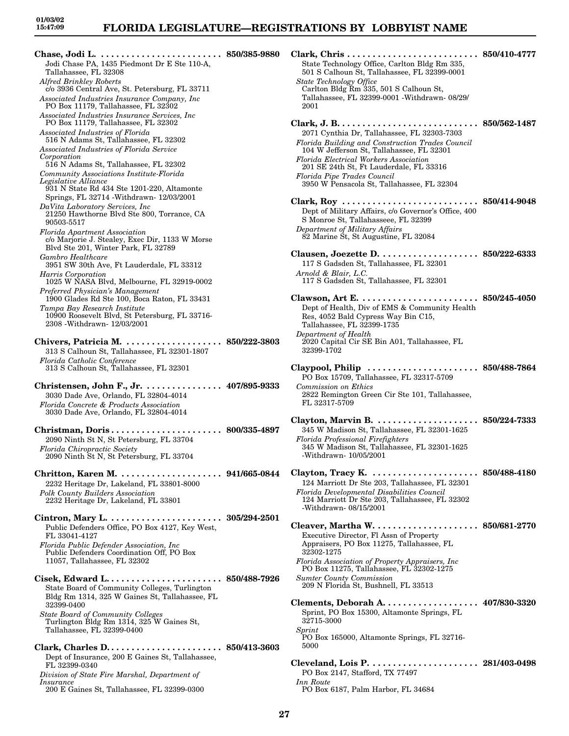*Insurance*

200 E Gaines St, Tallahassee, FL 32399-0300

**Chase, Jodi L. . . . . . . . . . . . . . . . . . . . . . . . . 850/385-9880** Jodi Chase PA, 1435 Piedmont Dr E Ste 110-A, Tallahassee, FL 32308 *Alfred Brinkley Roberts* c/o 3936 Central Ave, St. Petersburg, FL 33711 *Associated Industries Insurance Company, Inc* PO Box 11179, Tallahassee, FL 32302 *Associated Industries Insurance Services, Inc* PO Box 11179, Tallahassee, FL 32302 *Associated Industries of Florida* 516 N Adams St, Tallahassee, FL 32302 *Associated Industries of Florida Service Corporation* 516 N Adams St, Tallahassee, FL 32302 *Community Associations Institute-Florida Legislative Alliance* 931 N State Rd 434 Ste 1201-220, Altamonte Springs, FL 32714 -Withdrawn- 12/03/2001 *DaVita Laboratory Services, Inc* 21250 Hawthorne Blvd Ste 800, Torrance, CA 90503-5517 *Florida Apartment Association* c/o Marjorie J. Stealey, Exec Dir, 1133 W Morse Blvd Ste 201, Winter Park, FL 32789 *Gambro Healthcare* 3951 SW 30th Ave, Ft Lauderdale, FL 33312 *Harris Corporation* 1025 W NASA Blvd, Melbourne, FL 32919-0002 *Preferred Physician's Management* 1900 Glades Rd Ste 100, Boca Raton, FL 33431 *Tampa Bay Research Institute* 10900 Roosevelt Blvd, St Petersburg, FL 33716- 2308 -Withdrawn- 12/03/2001 **Chivers, Patricia M. . . . . . . . . . . . . . . . . . . . 850/222-3803** 313 S Calhoun St, Tallahassee, FL 32301-1807 *Florida Catholic Conference* 313 S Calhoun St, Tallahassee, FL 32301 **Christensen, John F., Jr. . . . . . . . . . . . . . . . 407/895-9333** 3030 Dade Ave, Orlando, FL 32804-4014 *Florida Concrete & Products Association* 3030 Dade Ave, Orlando, FL 32804-4014 **Christman, Doris . . . . . . . . . . . . . . . . . . . . . . 800/335-4897** 2090 Ninth St N, St Petersburg, FL 33704 *Florida Chiropractic Society* 2090 Ninth St N, St Petersburg, FL 33704 **Chritton, Karen M. . . . . . . . . . . . . . . . . . . . . 941/665-0844** 2232 Heritage Dr, Lakeland, FL 33801-8000 *Polk County Builders Association* 2232 Heritage Dr, Lakeland, FL 33801 **Cintron, Mary L. . . . . . . . . . . . . . . . . . . . . . . 305/294-2501** Public Defenders Office, PO Box 4127, Key West, FL 33041-4127 *Florida Public Defender Association, Inc* Public Defenders Coordination Off, PO Box 11057, Tallahassee, FL 32302 **Cisek, Edward L. . . . . . . . . . . . . . . . . . . . . . . 850/488-7926** State Board of Community Colleges, Turlington Bldg Rm 1314, 325 W Gaines St, Tallahassee, FL 32399-0400 *State Board of Community Colleges* Turlington Bldg Rm 1314, 325 W Gaines St, Tallahassee, FL 32399-0400 **Clark, Charles D. . . . . . . . . . . . . . . . . . . . . . . 850/413-3603** Dept of Insurance, 200 E Gaines St, Tallahassee, FL 32399-0340 *Division of State Fire Marshal, Department of*

501 S Calhoun St, Tallahassee, FL 32399-0001 *State Technology Office* Carlton Bldg Rm 335, 501 S Calhoun St, Tallahassee, FL 32399-0001 -Withdrawn- 08/29/ 2001 **Clark, J. B. . . . . . . . . . . . . . . . . . . . . . . . . . . . 850/562-1487** 2071 Cynthia Dr, Tallahassee, FL 32303-7303 *Florida Building and Construction Trades Council* 104 W Jefferson St, Tallahassee, FL 32301 *Florida Electrical Workers Association* 201 SE 24th St, Ft Lauderdale, FL 33316 *Florida Pipe Trades Council* 3950 W Pensacola St, Tallahassee, FL 32304 **Clark, Roy . . . . . . . . . . . . . . . . . . . . . . . . . . . 850/414-9048** Dept of Military Affairs, c/o Governor's Office, 400 S Monroe St, Tallahasseee, FL 32399 *Department of Military Affairs* 82 Marine St, St Augustine, FL 32084 **Clausen, Joezette D. . . . . . . . . . . . . . . . . . . . 850/222-6333** 117 S Gadsden St, Tallahassee, FL 32301 *Arnold & Blair, L.C.* 117 S Gadsden St, Tallahassee, FL 32301 **Clawson, Art E. . . . . . . . . . . . . . . . . . . . . . . . 850/245-4050** Dept of Health, Div of EMS & Community Health Res, 4052 Bald Cypress Way Bin C15, Tallahassee, FL 32399-1735 *Department of Health* 2020 Capital Cir SE Bin A01, Tallahassee, FL 32399-1702 **Claypool, Philip . . . . . . . . . . . . . . . . . . . . . . 850/488-7864** PO Box 15709, Tallahassee, FL 32317-5709 *Commission on Ethics* 2822 Remington Green Cir Ste 101, Tallahassee, FL 32317-5709 **Clayton, Marvin B. . . . . . . . . . . . . . . . . . . . . 850/224-7333** 345 W Madison St, Tallahassee, FL 32301-1625 *Florida Professional Firefighters* 345 W Madison St, Tallahassee, FL 32301-1625 -Withdrawn- 10/05/2001 **Clayton, Tracy K. . . . . . . . . . . . . . . . . . . . . . 850/488-4180** 124 Marriott Dr Ste 203, Tallahassee, FL 32301 *Florida Developmental Disabilities Council* 124 Marriott Dr Ste 203, Tallahassee, FL 32302 -Withdrawn- 08/15/2001 **Cleaver, Martha W. . . . . . . . . . . . . . . . . . . . . 850/681-2770** Executive Director, Fl Assn of Property Appraisers, PO Box 11275, Tallahassee, FL 32302-1275 *Florida Association of Property Appraisers, Inc* PO Box 11275, Tallahassee, FL 32302-1275 *Sumter County Commission* 209 N Florida St, Bushnell, FL 33513 **Clements, Deborah A. . . . . . . . . . . . . . . . . . . 407/830-3320** Sprint, PO Box 15300, Altamonte Springs, FL 32715-3000 *Sprint* PO Box 165000, Altamonte Springs, FL 32716- 5000 **Cleveland, Lois P. . . . . . . . . . . . . . . . . . . . . . 281/403-0498** PO Box 2147, Stafford, TX 77497 *Inn Route* PO Box 6187, Palm Harbor, FL 34684

**Clark, Chris . . . . . . . . . . . . . . . . . . . . . . . . . . 850/410-4777**

State Technology Office, Carlton Bldg Rm 335,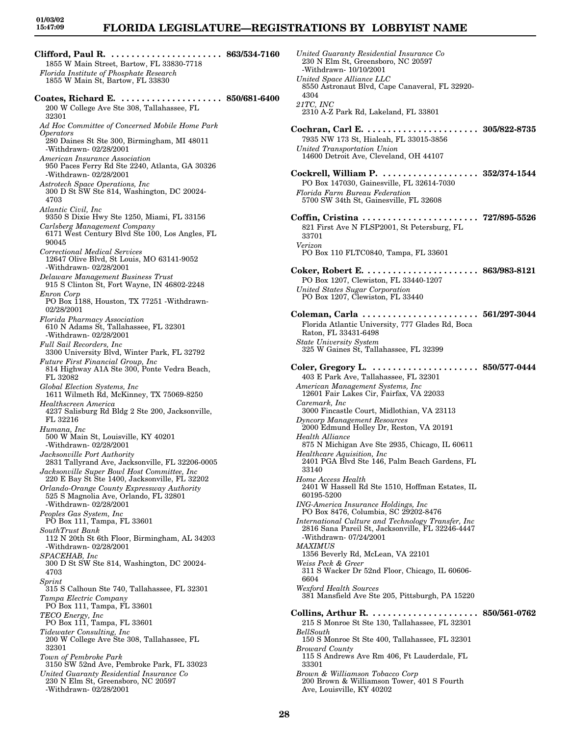# **FLORIDA LEGISLATURE—REGISTRATIONS BY LOBBYIST NAME**

**Clifford, Paul R. . . . . . . . . . . . . . . . . . . . . . . 863/534-7160** 1855 W Main Street, Bartow, FL 33830-7718 *Florida Institute of Phosphate Research* 1855 W Main St, Bartow, FL 33830 **Coates, Richard E. . . . . . . . . . . . . . . . . . . . . 850/681-6400** 200 W College Ave Ste 308, Tallahassee, FL 32301 *Ad Hoc Committee of Concerned Mobile Home Park Operators* 280 Daines St Ste 300, Birmingham, MI 48011 -Withdrawn- 02/28/2001 *American Insurance Association* 950 Paces Ferry Rd Ste 2240, Atlanta, GA 30326 -Withdrawn- 02/28/2001 *Astrotech Space Operations, Inc* 300 D St SW Ste 814, Washington, DC 20024- 4703 *Atlantic Civil, Inc* 9350 S Dixie Hwy Ste 1250, Miami, FL 33156 *Carlsberg Management Company* 6171 West Century Blvd Ste 100, Los Angles, FL 90045 *Correctional Medical Services* 12647 Olive Blvd, St Louis, MO 63141-9052 -Withdrawn- 02/28/2001 *Delaware Management Business Trust* 915 S Clinton St, Fort Wayne, IN 46802-2248 *Enron Corp* PO Box 1188, Houston, TX 77251 -Withdrawn-02/28/2001 *Florida Pharmacy Association* 610 N Adams St, Tallahassee, FL 32301 -Withdrawn- 02/28/2001 *Full Sail Recorders, Inc* 3300 University Blvd, Winter Park, FL 32792 *Future First Financial Group, Inc* 814 Highway A1A Ste 300, Ponte Vedra Beach, FL 32082 *Global Election Systems, Inc* 1611 Wilmeth Rd, McKinney, TX 75069-8250 *Healthscreen America* 4237 Salisburg Rd Bldg 2 Ste 200, Jacksonville, FL 32216 *Humana, Inc* 500 W Main St, Louisville, KY 40201 -Withdrawn- 02/28/2001 *Jacksonville Port Authority* 2831 Tallyrand Ave, Jacksonville, FL 32206-0005 *Jacksonville Super Bowl Host Committee, Inc* 220 E Bay St Ste 1400, Jacksonville, FL 32202 *Orlando-Orange County Expressway Authority* 525 S Magnolia Ave, Orlando, FL 32801 -Withdrawn- 02/28/2001 *Peoples Gas System, Inc* PO Box 111, Tampa, FL 33601 *SouthTrust Bank* 112 N 20th St 6th Floor, Birmingham, AL 34203 -Withdrawn- 02/28/2001 *SPACEHAB, Inc* 300 D St SW Ste 814, Washington, DC 20024- 4703 *Sprint* 315 S Calhoun Ste 740, Tallahassee, FL 32301 *Tampa Electric Company* PO Box 111, Tampa, FL 33601 *TECO Energy, Inc* PO Box 111, Tampa, FL 33601 *Tidewater Consulting, Inc* 200 W College Ave Ste 308, Tallahassee, FL 32301 *Town of Pembroke Park* 3150 SW 52nd Ave, Pembroke Park, FL 33023 *United Guaranty Residential Insurance Co* 230 N Elm St, Greensboro, NC 20597 -Withdrawn- 02/28/2001

*United Guaranty Residential Insurance Co* 230 N Elm St, Greensboro, NC 20597 -Withdrawn- 10/10/2001 *United Space Alliance LLC* 8550 Astronaut Blvd, Cape Canaveral, FL 32920- 4304 *21TC, INC* 2310 A-Z Park Rd, Lakeland, FL 33801 **Cochran, Carl E. . . . . . . . . . . . . . . . . . . . . . . 305/822-8735** 7935 NW 173 St, Hialeah, FL 33015-3856 *United Transportation Union* 14600 Detroit Ave, Cleveland, OH 44107 **Cockrell, William P. . . . . . . . . . . . . . . . . . . . 352/374-1544** PO Box 147030, Gainesville, FL 32614-7030 *Florida Farm Bureau Federation* 5700 SW 34th St, Gainesville, FL 32608 **Coffin, Cristina . . . . . . . . . . . . . . . . . . . . . . . 727/895-5526** 821 First Ave N FLSP2001, St Petersburg, FL 33701 *Verizon* PO Box 110 FLTC0840, Tampa, FL 33601 **Coker, Robert E. . . . . . . . . . . . . . . . . . . . . . . 863/983-8121** PO Box 1207, Clewiston, FL 33440-1207 *United States Sugar Corporation* PO Box 1207, Clewiston, FL 33440 **Coleman, Carla . . . . . . . . . . . . . . . . . . . . . . . 561/297-3044** Florida Atlantic University, 777 Glades Rd, Boca Raton, FL 33431-6498 *State University System* 325 W Gaines St, Tallahassee, FL 32399 **Coler, Gregory L. . . . . . . . . . . . . . . . . . . . . . 850/577-0444** 403 E Park Ave, Tallahassee, FL 32301 *American Management Systems, Inc* 12601 Fair Lakes Cir, Fairfax, VA 22033 *Caremark, Inc* 3000 Fincastle Court, Midlothian, VA 23113 *Dyncorp Management Resources* 2000 Edmund Holley Dr, Reston, VA 20191 *Health Alliance* 875 N Michigan Ave Ste 2935, Chicago, IL 60611 *Healthcare Aquisition, Inc* 2401 PGA Blvd Ste 146, Palm Beach Gardens, FL 33140 *Home Access Health* 2401 W Hassell Rd Ste 1510, Hoffman Estates, IL 60195-5200 *ING-America Insurance Holdings, Inc* PO Box 8476, Columbia, SC 29202-8476 *International Culture and Technology Transfer, Inc* 2816 Sana Pareil St, Jacksonville, FL 32246-4447 -Withdrawn- 07/24/2001 *MAXIMUS* 1356 Beverly Rd, McLean, VA 22101 *Weiss Peck & Greer* 311 S Wacker Dr 52nd Floor, Chicago, IL 60606- 6604 *Wexford Health Sources* 381 Mansfield Ave Ste 205, Pittsburgh, PA 15220 **Collins, Arthur R. . . . . . . . . . . . . . . . . . . . . . 850/561-0762** 215 S Monroe St Ste 130, Tallahassee, FL 32301 *BellSouth* 150 S Monroe St Ste 400, Tallahassee, FL 32301 *Broward County* 115 S Andrews Ave Rm 406, Ft Lauderdale, FL 33301 *Brown & Williamson Tobacco Corp* 200 Brown & Williamson Tower, 401 S Fourth Ave, Louisville, KY 40202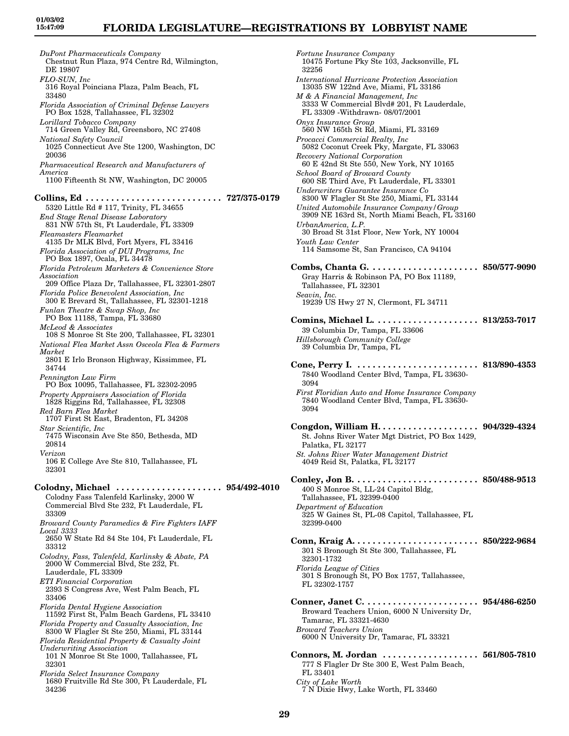34236

# **FLORIDA LEGISLATURE—REGISTRATIONS BY LOBBYIST NAME**

*DuPont Pharmaceuticals Company* Chestnut Run Plaza, 974 Centre Rd, Wilmington, DE 19807 *FLO-SUN, Inc* 316 Royal Poinciana Plaza, Palm Beach, FL 33480 *Florida Association of Criminal Defense Lawyers* PO Box 1528, Tallahassee, FL 32302 *Lorillard Tobacco Company* 714 Green Valley Rd, Greensboro, NC 27408 *National Safety Council* 1025 Connecticut Ave Ste 1200, Washington, DC 20036 *Pharmaceutical Research and Manufacturers of America* 1100 Fifteenth St NW, Washington, DC 20005 **Collins, Ed . . . . . . . . . . . . . . . . . . . . . . . . . . . 727/375-0179** 5320 Little Rd # 117, Trinity, FL 34655 *End Stage Renal Disease Laboratory* 831 NW 57th St, Ft Lauderdale, FL 33309 *Fleamasters Fleamarket* 4135 Dr MLK Blvd, Fort Myers, FL 33416 *Florida Association of DUI Programs, Inc* PO Box 1897, Ocala, FL 34478 *Florida Petroleum Marketers & Convenience Store Association* 209 Office Plaza Dr, Tallahassee, FL 32301-2807 *Florida Police Benevolent Association, Inc* 300 E Brevard St, Tallahassee, FL 32301-1218 *Funlan Theatre & Swap Shop, Inc* PO Box 11188, Tampa, FL 33680 *McLeod & Associates* 108 S Monroe St Ste 200, Tallahassee, FL 32301 *National Flea Market Assn Osceola Flea & Farmers Market* 2801 E Irlo Bronson Highway, Kissimmee, FL 34744 *Pennington Law Firm* PO Box 10095, Tallahassee, FL 32302-2095 *Property Appraisers Association of Florida* 1828 Riggins Rd, Tallahassee, FL 32308 *Red Barn Flea Market* 1707 First St East, Bradenton, FL 34208 *Star Scientific, Inc* 7475 Wisconsin Ave Ste 850, Bethesda, MD 20814 *Verizon* 106 E College Ave Ste 810, Tallahassee, FL 32301 **Colodny, Michael . . . . . . . . . . . . . . . . . . . . . 954/492-4010** Colodny Fass Talenfeld Karlinsky, 2000 W Commercial Blvd Ste 232, Ft Lauderdale, FL 33309 *Broward County Paramedics & Fire Fighters IAFF Local 3333* 2650 W State Rd 84 Ste 104, Ft Lauderdale, FL 33312 *Colodny, Fass, Talenfeld, Karlinsky & Abate, PA* 2000 W Commercial Blvd, Ste 232, Ft. Lauderdale, FL 33309 *ETI Financial Corporation* 2393 S Congress Ave, West Palm Beach, FL 33406 *Florida Dental Hygiene Association* 11592 First St, Palm Beach Gardens, FL 33410 *Florida Property and Casualty Association, Inc* 8300 W Flagler St Ste 250, Miami, FL 33144 *Florida Residential Property & Casualty Joint Underwriting Association* 101 N Monroe St Ste 1000, Tallahassee, FL 32301 *Florida Select Insurance Company* 1680 Fruitville Rd Ste 300, Ft Lauderdale, FL

*Fortune Insurance Company* 10475 Fortune Pky Ste 103, Jacksonville, FL 32256 *International Hurricane Protection Association* 13035 SW 122nd Ave, Miami, FL 33186 *M & A Financial Management, Inc* 3333 W Commercial Blvd# 201, Ft Lauderdale, FL 33309 -Withdrawn- 08/07/2001 *Onyx Insurance Group* 560 NW 165th St Rd, Miami, FL 33169 *Procacci Commercial Realty, Inc* 5082 Coconut Creek Pky, Margate, FL 33063 *Recovery National Corporation* 60 E 42nd St Ste 550, New York, NY 10165 *School Board of Broward County* 600 SE Third Ave, Ft Lauderdale, FL 33301 *Underwriters Guarantee Insurance Co* 8300 W Flagler St Ste 250, Miami, FL 33144 *United Automobile Insurance Company/Group* 3909 NE 163rd St, North Miami Beach, FL 33160 *UrbanAmerica, L.P.* 30 Broad St 31st Floor, New York, NY 10004 *Youth Law Center* 114 Samsome St, San Francisco, CA 94104 **Combs, Chanta G. . . . . . . . . . . . . . . . . . . . . . 850/577-9090** Gray Harris & Robinson PA, PO Box 11189, Tallahassee, FL 32301 *Seavin, Inc.* 19239 US Hwy 27 N, Clermont, FL 34711 **Comins, Michael L. . . . . . . . . . . . . . . . . . . . . 813/253-7017** 39 Columbia Dr, Tampa, FL 33606 *Hillsborough Community College* 39 Columbia Dr, Tampa, FL **Cone, Perry I. . . . . . . . . . . . . . . . . . . . . . . . . 813/890-4353** 7840 Woodland Center Blvd, Tampa, FL 33630- 3094 *First Floridian Auto and Home Insurance Company* 7840 Woodland Center Blvd, Tampa, FL 33630- 3094 **Congdon, William H. . . . . . . . . . . . . . . . . . . . 904/329-4324** St. Johns River Water Mgt District, PO Box 1429, Palatka, FL 32177 *St. Johns River Water Management District* 4049 Reid St, Palatka, FL 32177 **Conley, Jon B. . . . . . . . . . . . . . . . . . . . . . . . . 850/488-9513** 400 S Monroe St, LL-24 Capitol Bldg, Tallahassee, FL 32399-0400 *Department of Education* 325 W Gaines St, PL-08 Capitol, Tallahassee, FL 32399-0400 **Conn, Kraig A. . . . . . . . . . . . . . . . . . . . . . . . . 850/222-9684** 301 S Bronough St Ste 300, Tallahassee, FL 32301-1732 *Florida League of Cities* 301 S Bronough St, PO Box 1757, Tallahassee, FL 32302-1757 **Conner, Janet C. . . . . . . . . . . . . . . . . . . . . . . 954/486-6250** Broward Teachers Union, 6000 N University Dr, Tamarac, FL 33321-4630 *Broward Teachers Union* 6000 N University Dr, Tamarac, FL 33321 **Connors, M. Jordan . . . . . . . . . . . . . . . . . . . 561/805-7810** 777 S Flagler Dr Ste 300 E, West Palm Beach, FL 33401 *City of Lake Worth* 7 N Dixie Hwy, Lake Worth, FL 33460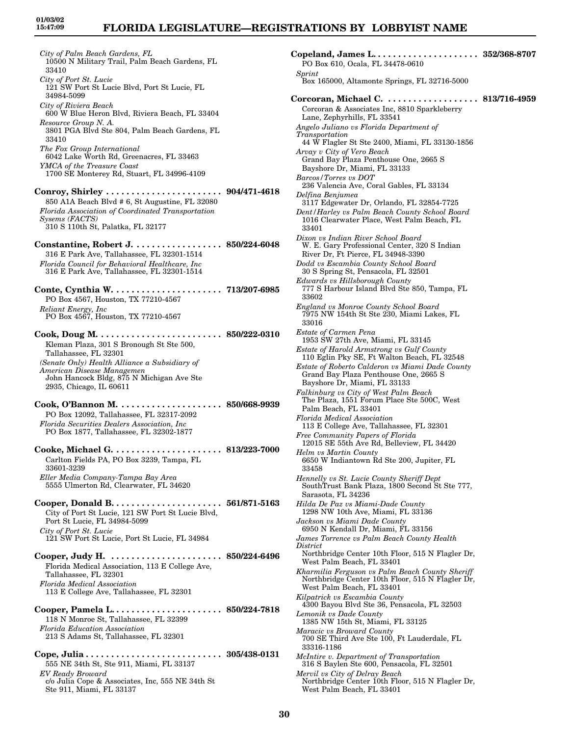*City of Palm Beach Gardens, FL* 10500 N Military Trail, Palm Beach Gardens, FL 33410 *City of Port St. Lucie* 121 SW Port St Lucie Blvd, Port St Lucie, FL 34984-5099 *City of Riviera Beach* 600 W Blue Heron Blvd, Riviera Beach, FL 33404 *Resource Group N. A.* 3801 PGA Blvd Ste 804, Palm Beach Gardens, FL 33410 *The Fox Group International* 6042 Lake Worth Rd, Greenacres, FL 33463 *YMCA of the Treasure Coast* 1700 SE Monterey Rd, Stuart, FL 34996-4109 **Conroy, Shirley . . . . . . . . . . . . . . . . . . . . . . . 904/471-4618** 850 A1A Beach Blvd # 6, St Augustine, FL 32080 *Florida Association of Coordinated Transportation Sysems (FACTS)* 310 S 110th St, Palatka, FL 32177 **Constantine, Robert J. . . . . . . . . . . . . . . . . . 850/224-6048** 316 E Park Ave, Tallahassee, FL 32301-1514 *Florida Council for Behavioral Healthcare, Inc* 316 E Park Ave, Tallahassee, FL 32301-1514 **Conte, Cynthia W. . . . . . . . . . . . . . . . . . . . . . 713/207-6985** PO Box 4567, Houston, TX 77210-4567 *Reliant Energy, Inc* PO Box 4567, Houston, TX 77210-4567 **Cook, Doug M. . . . . . . . . . . . . . . . . . . . . . . . . 850/222-0310** Kleman Plaza, 301 S Bronough St Ste 500, Tallahassee, FL 32301 *(Senate Only) Health Alliance a Subsidiary of American Disease Managemen* John Hancock Bldg, 875 N Michigan Ave Ste 2935, Chicago, IL 60611 **Cook, O'Bannon M. . . . . . . . . . . . . . . . . . . . . 850/668-9939** PO Box 12092, Tallahassee, FL 32317-2092 *Florida Securities Dealers Association, Inc* PO Box 1877, Tallahassee, FL 32302-1877 **Cooke, Michael G. . . . . . . . . . . . . . . . . . . . . . 813/223-7000** Carlton Fields PA, PO Box 3239, Tampa, FL 33601-3239 *Eller Media Company-Tampa Bay Area* 5555 Ulmerton Rd, Clearwater, FL 34620 **Cooper, Donald B. . . . . . . . . . . . . . . . . . . . . . 561/871-5163** City of Port St Lucie, 121 SW Port St Lucie Blvd, Port St Lucie, FL 34984-5099 *City of Port St. Lucie* 121 SW Port St Lucie, Port St Lucie, FL 34984 **Cooper, Judy H. . . . . . . . . . . . . . . . . . . . . . . 850/224-6496** Florida Medical Association, 113 E College Ave, Tallahassee, FL 32301 *Florida Medical Association* 113 E College Ave, Tallahassee, FL 32301 **Cooper, Pamela L. . . . . . . . . . . . . . . . . . . . . . 850/224-7818** 118 N Monroe St, Tallahassee, FL 32399 *Florida Education Association* 213 S Adams St, Tallahassee, FL 32301 **Cope, Julia . . . . . . . . . . . . . . . . . . . . . . . . . . . 305/438-0131** 555 NE 34th St, Ste 911, Miami, FL 33137 *EV Ready Broward* c/o Julia Cope & Associates, Inc, 555 NE 34th St

Ste 911, Miami, FL 33137

*Sprint* Box 165000, Altamonte Springs, FL 32716-5000 **Corcoran, Michael C. . . . . . . . . . . . . . . . . . . 813/716-4959** Corcoran & Associates Inc, 8810 Sparkleberry Lane, Zephyrhills, FL 33541 *Angelo Juliano vs Florida Department of Transportation* 44 W Flagler St Ste 2400, Miami, FL 33130-1856 *Arvay v City of Vero Beach* Grand Bay Plaza Penthouse One, 2665 S Bayshore Dr, Miami, FL 33133 *Barcos/Torres vs DOT* 236 Valencia Ave, Coral Gables, FL 33134 *Delfina Benjumea* 3117 Edgewater Dr, Orlando, FL 32854-7725 *Dent/Harley vs Palm Beach County School Board* 1016 Clearwater Place, West Palm Beach, FL 33401 *Dixon vs Indian River School Board* W. E. Gary Professional Center, 320 S Indian River Dr, Ft Pierce, FL 34948-3390 *Dodd vs Escambia County School Board* 30 S Spring St, Pensacola, FL 32501 *Edwards vs Hillsborough County* 777 S Harbour Island Blvd Ste 850, Tampa, FL 33602 *England vs Monroe County School Board* 7975 NW 154th St Ste 230, Miami Lakes, FL 33016 *Estate of Carmen Pena* 1953 SW 27th Ave, Miami, FL 33145 *Estate of Harold Armstrong vs Gulf County* 110 Eglin Pky SE, Ft Walton Beach, FL 32548 *Estate of Roberto Calderon vs Miami Dade County* Grand Bay Plaza Penthouse One, 2665 S Bayshore Dr, Miami, FL 33133 *Falkinburg vs City of West Palm Beach* The Plaza, 1551 Forum Place Ste 500C, West Palm Beach, FL 33401 *Florida Medical Association* 113 E College Ave, Tallahassee, FL 32301 *Free Community Papers of Florida* 12015 SE 55th Ave Rd, Belleview, FL 34420 *Helm vs Martin County* 6650 W Indiantown Rd Ste 200, Jupiter, FL 33458 *Hennelly vs St. Lucie County Sheriff Dept* SouthTrust Bank Plaza, 1800 Second St Ste 777, Sarasota, FL 34236 *Hilda De Paz vs Miami-Dade County* 1298 NW 10th Ave, Miami, FL 33136 *Jackson vs Miami Dade County* 6950 N Kendall Dr, Miami, FL 33156 *James Torrence vs Palm Beach County Health District* Northbridge Center 10th Floor, 515 N Flagler Dr, West Palm Beach, FL 33401 *Kharmilia Ferguson vs Palm Beach County Sheriff* Northbridge Center 10th Floor, 515 N Flagler Dr, West Palm Beach, FL 33401 *Kilpatrick vs Escambia County* 4300 Bayou Blvd Ste 36, Pensacola, FL 32503 *Lemonik vs Dade County* 1385 NW 15th St, Miami, FL 33125 *Maracic vs Broward County* 700 SE Third Ave Ste 100, Ft Lauderdale, FL 33316-1186 *McIntire v. Department of Transportation* 316 S Baylen Ste 600, Pensacola, FL 32501 *Mervil vs City of Delray Beach* Northbridge Center 10th Floor, 515 N Flagler Dr, West Palm Beach, FL 33401

**Copeland, James L. . . . . . . . . . . . . . . . . . . . . 352/368-8707**

PO Box 610, Ocala, FL 34478-0610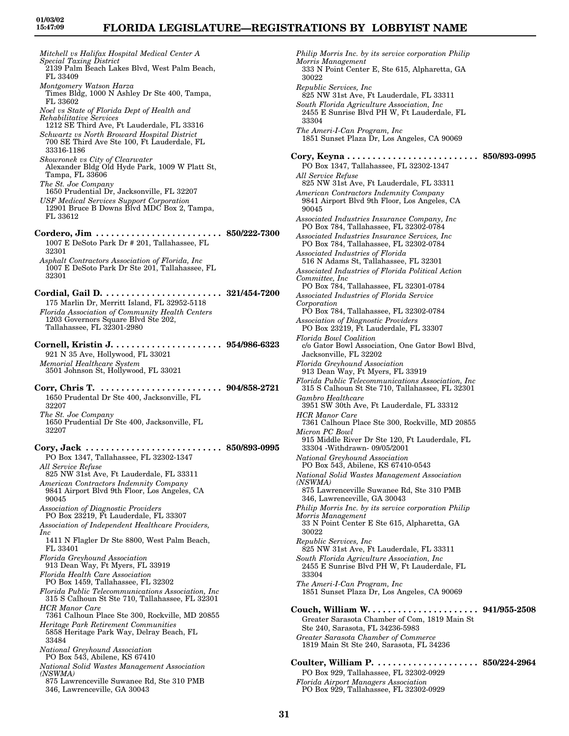## **FLORIDA LEGISLATURE—REGISTRATIONS BY LOBBYIST NAME**

*Mitchell vs Halifax Hospital Medical Center A Special Taxing District* 2139 Palm Beach Lakes Blvd, West Palm Beach, FL 33409 *Montgomery Watson Harza* Times Bldg, 1000 N Ashley Dr Ste 400, Tampa, FL 33602 *Noel vs State of Florida Dept of Health and Rehabilitative Services* 1212 SE Third Ave, Ft Lauderdale, FL 33316 *Schwartz vs North Broward Hospital District* 700 SE Third Ave Ste 100, Ft Lauderdale, FL 33316-1186 *Skowronek vs City of Clearwater* Alexander Bldg Old Hyde Park, 1009 W Platt St, Tampa, FL 33606 *The St. Joe Company* 1650 Prudential Dr, Jacksonville, FL 32207 *USF Medical Services Support Corporation* 12901 Bruce B Downs Blvd MDC Box 2, Tampa, FL 33612 **Cordero, Jim . . . . . . . . . . . . . . . . . . . . . . . . . 850/222-7300** 1007 E DeSoto Park Dr # 201, Tallahassee, FL 32301 *Asphalt Contractors Association of Florida, Inc* 1007 E DeSoto Park Dr Ste 201, Tallahassee, FL 32301 **Cordial, Gail D. . . . . . . . . . . . . . . . . . . . . . . . 321/454-7200** 175 Marlin Dr, Merritt Island, FL 32952-5118 *Florida Association of Community Health Centers* 1203 Governors Square Blvd Ste 202. Tallahassee, FL 32301-2980 **Cornell, Kristin J. . . . . . . . . . . . . . . . . . . . . . 954/986-6323** 921 N 35 Ave, Hollywood, FL 33021 *Memorial Healthcare System* 3501 Johnson St, Hollywood, FL 33021 **Corr, Chris T. . . . . . . . . . . . . . . . . . . . . . . . . 904/858-2721** 1650 Prudental Dr Ste 400, Jacksonville, FL 32207 *The St. Joe Company* 1650 Prudential Dr Ste 400, Jacksonville, FL 32207 **Cory, Jack . . . . . . . . . . . . . . . . . . . . . . . . . . . 850/893-0995** PO Box 1347, Tallahassee, FL 32302-1347 *All Service Refuse* 825 NW 31st Ave, Ft Lauderdale, FL 33311 *American Contractors Indemnity Company* 9841 Airport Blvd 9th Floor, Los Angeles, CA 90045 *Association of Diagnostic Providers* PO Box 23219, Ft Lauderdale, FL 33307 *Association of Independent Healthcare Providers, Inc* 1411 N Flagler Dr Ste 8800, West Palm Beach, FL 33401 *Florida Greyhound Association* 913 Dean Way, Ft Myers, FL 33919 *Florida Health Care Association* PO Box 1459, Tallahassee, FL 32302 *Florida Public Telecommunications Association, Inc* 315 S Calhoun St Ste 710, Tallahassee, FL 32301 *HCR Manor Care* 7361 Calhoun Place Ste 300, Rockville, MD 20855 *Heritage Park Retirement Communities* 5858 Heritage Park Way, Delray Beach, FL 33484 *National Greyhound Association* PO Box 543, Abilene, KS 67410 *National Solid Wastes Management Association (NSWMA)* 875 Lawrenceville Suwanee Rd, Ste 310 PMB 346, Lawrenceville, GA 30043

*Philip Morris Inc. by its service corporation Philip Morris Management* 333 N Point Center E, Ste 615, Alpharetta, GA 30022 *Republic Services, Inc* 825 NW 31st Ave, Ft Lauderdale, FL 33311 *South Florida Agriculture Association, Inc* 2455 E Sunrise Blvd PH W, Ft Lauderdale, FL 33304 *The Ameri-I-Can Program, Inc* 1851 Sunset Plaza Dr, Los Angeles, CA 90069 **Cory, Keyna . . . . . . . . . . . . . . . . . . . . . . . . . . 850/893-0995** PO Box 1347, Tallahassee, FL 32302-1347 *All Service Refuse* 825 NW 31st Ave, Ft Lauderdale, FL 33311 *American Contractors Indemnity Company* 9841 Airport Blvd 9th Floor, Los Angeles, CA 90045 *Associated Industries Insurance Company, Inc* PO Box 784, Tallahassee, FL 32302-0784 *Associated Industries Insurance Services, Inc* PO Box 784, Tallahassee, FL 32302-0784 *Associated Industries of Florida* 516 N Adams St, Tallahassee, FL 32301 *Associated Industries of Florida Political Action Committee, Inc* PO Box 784, Tallahassee, FL 32301-0784 *Associated Industries of Florida Service Corporation* PO Box 784, Tallahassee, FL 32302-0784 *Association of Diagnostic Providers* PO Box 23219, Ft Lauderdale, FL 33307 *Florida Bowl Coalition* c/o Gator Bowl Association, One Gator Bowl Blvd, Jacksonville, FL 32202 *Florida Greyhound Association* 913 Dean Way, Ft Myers, FL 33919 *Florida Public Telecommunications Association, Inc* 315 S Calhoun St Ste 710, Tallahassee, FL 32301 *Gambro Healthcare* 3951 SW 30th Ave, Ft Lauderdale, FL 33312 *HCR Manor Care* 7361 Calhoun Place Ste 300, Rockville, MD 20855 *Micron PC Bowl* 915 Middle River Dr Ste 120, Ft Lauderdale, FL 33304 -Withdrawn- 09/05/2001 *National Greyhound Association* PO Box 543, Abilene, KS 67410-0543 *National Solid Wastes Management Association (NSWMA)* 875 Lawrenceville Suwanee Rd, Ste 310 PMB 346, Lawrenceville, GA 30043 *Philip Morris Inc. by its service corporation Philip Morris Management* 33 N Point Center E Ste 615, Alpharetta, GA 30022 *Republic Services, Inc* 825 NW 31st Ave, Ft Lauderdale, FL 33311 *South Florida Agriculture Association, Inc* 2455 E Sunrise Blvd PH W, Ft Lauderdale, FL 33304 *The Ameri-I-Can Program, Inc* 1851 Sunset Plaza Dr, Los Angeles, CA 90069 **Couch, William W. . . . . . . . . . . . . . . . . . . . . . 941/955-2508** Greater Sarasota Chamber of Com, 1819 Main St Ste 240, Sarasota, FL 34236-5983 *Greater Sarasota Chamber of Commerce* 1819 Main St Ste 240, Sarasota, FL 34236 **Coulter, William P. . . . . . . . . . . . . . . . . . . . . 850/224-2964** PO Box 929, Tallahassee, FL 32302-0929 *Florida Airport Managers Association* PO Box 929, Tallahassee, FL 32302-0929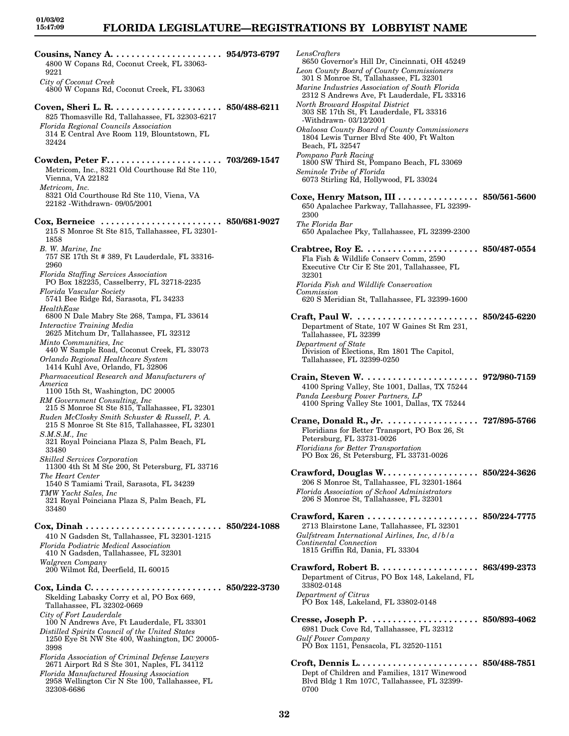32308-6686

## **FLORIDA LEGISLATURE—REGISTRATIONS BY LOBBYIST NAME**

**Cousins, Nancy A. . . . . . . . . . . . . . . . . . . . . . 954/973-6797** 4800 W Copans Rd, Coconut Creek, FL 33063- 9221 *City of Coconut Creek* 4800 W Copans Rd, Coconut Creek, FL 33063 **Coven, Sheri L. R. . . . . . . . . . . . . . . . . . . . . . 850/488-6211** 825 Thomasville Rd, Tallahassee, FL 32303-6217 *Florida Regional Councils Association* 314 E Central Ave Room 119, Blountstown, FL 32424 **Cowden, Peter F. . . . . . . . . . . . . . . . . . . . . . . 703/269-1547** Metricom, Inc., 8321 Old Courthouse Rd Ste 110, Vienna, VA 22182 *Metricom, Inc.* 8321 Old Courthouse Rd Ste 110, Viena, VA 22182 -Withdrawn- 09/05/2001 **Cox, Berneice . . . . . . . . . . . . . . . . . . . . . . . . 850/681-9027** 215 S Monroe St Ste 815, Tallahassee, FL 32301- 1858 *B. W. Marine, Inc* 757 SE 17th St # 389, Ft Lauderdale, FL 33316- 2960 *Florida Staffing Services Association* PO Box 182235, Casselberry, FL 32718-2235 *Florida Vascular Society* 5741 Bee Ridge Rd, Sarasota, FL 34233 *HealthEase* 6800 N Dale Mabry Ste 268, Tampa, FL 33614 *Interactive Training Media* 2625 Mitchum Dr, Tallahassee, FL 32312 *Minto Communities, Inc* 440 W Sample Road, Coconut Creek, FL 33073 *Orlando Regional Healthcare System* 1414 Kuhl Ave, Orlando, FL 32806 *Pharmaceutical Research and Manufacturers of America* 1100 15th St, Washington, DC 20005 *RM Government Consulting, Inc* 215 S Monroe St Ste 815, Tallahassee, FL 32301 *Ruden McClosky Smith Schuster & Russell, P. A.* 215 S Monroe St Ste 815, Tallahassee, FL 32301 *S.M.S.M., Inc* 321 Royal Poinciana Plaza S, Palm Beach, FL 33480 *Skilled Services Corporation* 11300 4th St M Ste 200, St Petersburg, FL 33716 *The Heart Center* 1540 S Tamiami Trail, Sarasota, FL 34239 *TMW Yacht Sales, Inc* 321 Royal Poinciana Plaza S, Palm Beach, FL 33480 **Cox, Dinah . . . . . . . . . . . . . . . . . . . . . . . . . . . 850/224-1088** 410 N Gadsden St, Tallahassee, FL 32301-1215 *Florida Podiatric Medical Association* 410 N Gadsden, Tallahassee, FL 32301 *Walgreen Company* 200 Wilmot Rd, Deerfield, IL 60015 **Cox, Linda C. . . . . . . . . . . . . . . . . . . . . . . . . . 850/222-3730** Skelding Labasky Corry et al, PO Box 669, Tallahassee, FL 32302-0669 *City of Fort Lauderdale* 100 N Andrews Ave, Ft Lauderdale, FL 33301 *Distilled Spirits Council of the United States* 1250 Eye St NW Ste 400, Washington, DC 20005- 3998 *Florida Association of Criminal Defense Lawyers* 2671 Airport Rd S Ste 301, Naples, FL 34112 *Florida Manufactured Housing Association* 2958 Wellington Cir N Ste 100, Tallahassee, FL

*LensCrafters* 8650 Governor's Hill Dr, Cincinnati, OH 45249 *Leon County Board of County Commissioners* 301 S Monroe St, Tallahassee, FL 32301 *Marine Industries Association of South Florida* 2312 S Andrews Ave, Ft Lauderdale, FL 33316 *North Broward Hospital District* 303 SE 17th St, Ft Lauderdale, FL 33316 -Withdrawn- 03/12/2001 *Okaloosa County Board of County Commissioners* 1804 Lewis Turner Blvd Ste 400, Ft Walton Beach, FL 32547 *Pompano Park Racing* 1800 SW Third St, Pompano Beach, FL 33069 *Seminole Tribe of Florida* 6073 Stirling Rd, Hollywood, FL 33024 **Coxe, Henry Matson, III . . . . . . . . . . . . . . . . 850/561-5600** 650 Apalachee Parkway, Tallahassee, FL 32399- 2300 *The Florida Bar* 650 Apalachee Pky, Tallahassee, FL 32399-2300 **Crabtree, Roy E. . . . . . . . . . . . . . . . . . . . . . . 850/487-0554** Fla Fish & Wildlife Conserv Comm, 2590 Executive Ctr Cir E Ste 201, Tallahassee, FL 32301 *Florida Fish and Wildlife Conservation Commission* 620 S Meridian St, Tallahassee, FL 32399-1600 **Craft, Paul W. . . . . . . . . . . . . . . . . . . . . . . . . 850/245-6220** Department of State, 107 W Gaines St Rm 231, Tallahassee, FL 32399 *Department of State* Division of Elections, Rm 1801 The Capitol, Tallahassee, FL 32399-0250 **Crain, Steven W. . . . . . . . . . . . . . . . . . . . . . . 972/980-7159** 4100 Spring Valley, Ste 1001, Dallas, TX 75244 *Panda Leesburg Power Partners, LP* 4100 Spring Valley Ste 1001, Dallas, TX 75244 **Crane, Donald R., Jr. . . . . . . . . . . . . . . . . . . 727/895-5766** Floridians for Better Transport, PO Box 26, St Petersburg, FL 33731-0026 *Floridians for Better Transportation* PO Box 26, St Petersburg, FL 33731-0026 **Crawford, Douglas W. . . . . . . . . . . . . . . . . . . 850/224-3626** 206 S Monroe St, Tallahassee, FL 32301-1864 *Florida Association of School Administrators* 206 S Monroe St, Tallahassee, FL 32301 **Crawford, Karen . . . . . . . . . . . . . . . . . . . . . . 850/224-7775** 2713 Blairstone Lane, Tallahassee, FL 32301 *Gulfstream International Airlines, Inc, d/b/a Continental Connection* 1815 Griffin Rd, Dania, FL 33304 **Crawford, Robert B. . . . . . . . . . . . . . . . . . . . 863/499-2373** Department of Citrus, PO Box 148, Lakeland, FL 33802-0148 *Department of Citrus* PO Box 148, Lakeland, FL 33802-0148 **Cresse, Joseph P. . . . . . . . . . . . . . . . . . . . . . 850/893-4062** 6981 Duck Cove Rd, Tallahassee, FL 32312 *Gulf Power Company* PO Box 1151, Pensacola, FL 32520-1151

**Croft, Dennis L. . . . . . . . . . . . . . . . . . . . . . . . 850/488-7851** Dept of Children and Families, 1317 Winewood Blvd Bldg 1 Rm 107C, Tallahassee, FL 32399- 0700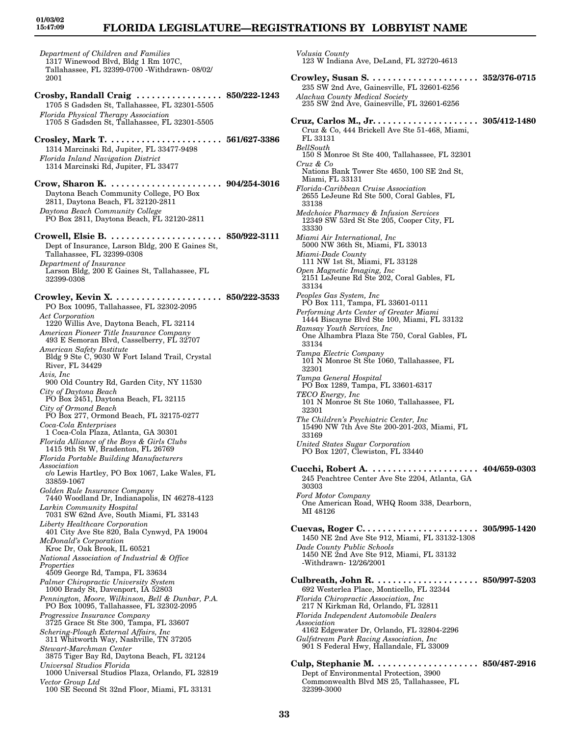## **FLORIDA LEGISLATURE—REGISTRATIONS BY LOBBYIST NAME**

*Volusia County*

*Department of Children and Families* 1317 Winewood Blvd, Bldg 1 Rm 107C, Tallahassee, FL 32399-0700 -Withdrawn- 08/02/ 2001 **Crosby, Randall Craig . . . . . . . . . . . . . . . . . 850/222-1243** 1705 S Gadsden St, Tallahassee, FL 32301-5505 *Florida Physical Therapy Association* 1705 S Gadsden St, Tallahassee, FL 32301-5505 **Crosley, Mark T. . . . . . . . . . . . . . . . . . . . . . . 561/627-3386** 1314 Marcinski Rd, Jupiter, FL 33477-9498 *Florida Inland Navigation District* 1314 Marcinski Rd, Jupiter, FL 33477 **Crow, Sharon K. . . . . . . . . . . . . . . . . . . . . . . 904/254-3016** Daytona Beach Community College, PO Box 2811, Daytona Beach, FL 32120-2811 *Daytona Beach Community College* PO Box 2811, Daytona Beach, FL 32120-2811 **Crowell, Elsie B. . . . . . . . . . . . . . . . . . . . . . . 850/922-3111** Dept of Insurance, Larson Bldg, 200 E Gaines St, Tallahassee, FL 32399-0308 *Department of Insurance* Larson Bldg, 200 E Gaines St, Tallahassee, FL 32399-0308 **Crowley, Kevin X. . . . . . . . . . . . . . . . . . . . . . 850/222-3533** PO Box 10095, Tallahassee, FL 32302-2095 *Act Corporation* 1220 Willis Ave, Daytona Beach, FL 32114 *American Pioneer Title Insurance Company* 493 E Semoran Blvd, Casselberry, FL 32707 *American Safety Institute* Bldg 9 Ste C, 9030 W Fort Island Trail, Crystal River, FL 34429 *Avis, Inc* 900 Old Country Rd, Garden City, NY 11530 *City of Daytona Beach* PO Box 2451, Daytona Beach, FL 32115 *City of Ormond Beach* PO Box 277, Ormond Beach, FL 32175-0277 *Coca-Cola Enterprises* 1 Coca-Cola Plaza, Atlanta, GA 30301 *Florida Alliance of the Boys & Girls Clubs* 1415 9th St W, Bradenton, FL 26769 *Florida Portable Building Manufacturers Association* c/o Lewis Hartley, PO Box 1067, Lake Wales, FL 33859-1067 *Golden Rule Insurance Company* 7440 Woodland Dr, Indianapolis, IN 46278-4123 *Larkin Community Hospital* 7031 SW 62nd Ave, South Miami, FL 33143 *Liberty Healthcare Corporation* 401 City Ave Ste 820, Bala Cynwyd, PA 19004 *McDonald's Corporation* Kroc Dr, Oak Brook, IL 60521 *National Association of Industrial & Office Properties* 4509 George Rd, Tampa, FL 33634 *Palmer Chiropractic University System* 1000 Brady St, Davenport, IA 52803 *Pennington, Moore, Wilkinson, Bell & Dunbar, P.A.* PO Box 10095, Tallahassee, FL 32302-2095 *Progressive Insurance Company* 3725 Grace St Ste 300, Tampa, FL 33607 *Schering-Plough External Affairs, Inc* 311 Whitworth Way, Nashville, TN 37205 *Stewart-Marchman Center* 3875 Tiger Bay Rd, Daytona Beach, FL 32124 *Universal Studios Florida* 1000 Universal Studios Plaza, Orlando, FL 32819 *Vector Group Ltd* 100 SE Second St 32nd Floor, Miami, FL 33131

123 W Indiana Ave, DeLand, FL 32720-4613 **Crowley, Susan S. . . . . . . . . . . . . . . . . . . . . . 352/376-0715** 235 SW 2nd Ave, Gainesville, FL 32601-6256 *Alachua County Medical Society* 235 SW 2nd Ave, Gainesville, FL 32601-6256 **Cruz, Carlos M., Jr. . . . . . . . . . . . . . . . . . . . . 305/412-1480** Cruz & Co, 444 Brickell Ave Ste 51-468, Miami, FL 33131 *BellSouth* 150 S Monroe St Ste 400, Tallahassee, FL 32301 *Cruz & Co* Nations Bank Tower Ste 4650, 100 SE 2nd St, Miami, FL 33131 *Florida-Caribbean Cruise Association* 2655 LeJeune Rd Ste 500, Coral Gables, FL 33138 *Medchoice Pharmacy & Infusion Services* 12349 SW 53rd St Ste 205, Cooper City, FL 33330 *Miami Air International, Inc* 5000 NW 36th St, Miami, FL 33013 *Miami-Dade County* 111 NW 1st St, Miami, FL 33128 *Open Magnetic Imaging, Inc* 2151 LeJeune Rd Ste 202, Coral Gables, FL 33134 *Peoples Gas System, Inc* PO Box 111, Tampa, FL 33601-0111 *Performing Arts Center of Greater Miami* 1444 Biscayne Blvd Ste 100, Miami, FL 33132 *Ramsay Youth Services, Inc* One Alhambra Plaza Ste 750, Coral Gables, FL 33134 *Tampa Electric Company* 101 N Monroe St Ste 1060, Tallahassee, FL 32301 *Tampa General Hospital* PO Box 1289, Tampa, FL 33601-6317 *TECO Energy, Inc* 101 N Monroe St Ste 1060, Tallahassee, FL 32301 *The Children's Psychiatric Center, Inc* 15490 NW 7th Ave Ste 200-201-203, Miami, FL 33169 *United States Sugar Corporation* PO Box 1207, Clewiston, FL 33440 **Cucchi, Robert A. . . . . . . . . . . . . . . . . . . . . . 404/659-0303** 245 Peachtree Center Ave Ste 2204, Atlanta, GA 30303 *Ford Motor Company* One American Road, WHQ Room 338, Dearborn, MI 48126 **Cuevas, Roger C. . . . . . . . . . . . . . . . . . . . . . . 305/995-1420** 1450 NE 2nd Ave Ste 912, Miami, FL 33132-1308 *Dade County Public Schools* 1450 NE 2nd Ave Ste 912, Miami, FL 33132 -Withdrawn- 12/26/2001 **Culbreath, John R. . . . . . . . . . . . . . . . . . . . . 850/997-5203** 692 Westerlea Place, Monticello, FL 32344 *Florida Chiropractic Association, Inc* 217 N Kirkman Rd, Orlando, FL 32811 *Florida Independent Automobile Dealers Association* 4162 Edgewater Dr, Orlando, FL 32804-2296 *Gulfstream Park Racing Association, Inc* 901 S Federal Hwy, Hallandale, FL 33009 **Culp, Stephanie M. . . . . . . . . . . . . . . . . . . . . 850/487-2916** Dept of Environmental Protection, 3900

Commonwealth Blvd MS 25, Tallahassee, FL

32399-3000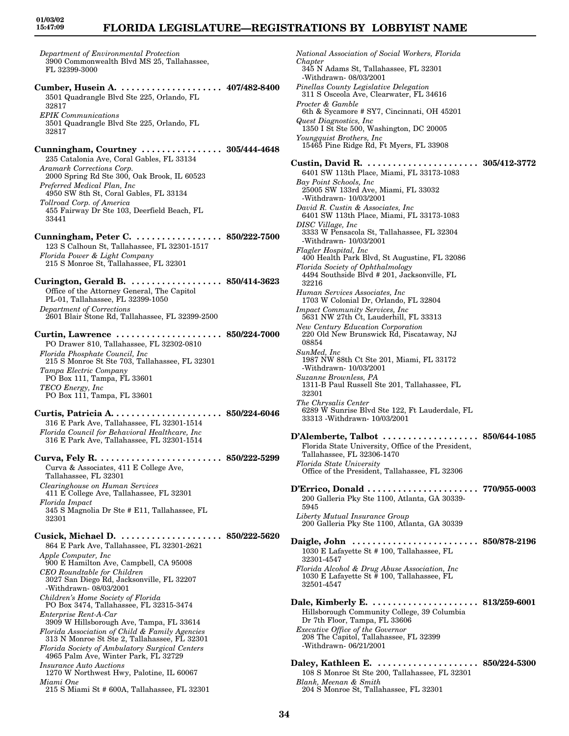## **FLORIDA LEGISLATURE—REGISTRATIONS BY LOBBYIST NAME**

*Department of Environmental Protection* 3900 Commonwealth Blvd MS 25, Tallahassee, FL 32399-3000

**Cumber, Husein A. . . . . . . . . . . . . . . . . . . . . 407/482-8400** 3501 Quadrangle Blvd Ste 225, Orlando, FL 32817 *EPIK Communications* 3501 Quadrangle Blvd Ste 225, Orlando, FL 32817

**Cunningham, Courtney . . . . . . . . . . . . . . . . 305/444-4648** 235 Catalonia Ave, Coral Gables, FL 33134 *Aramark Corrections Corp.* 2000 Spring Rd Ste 300, Oak Brook, IL 60523 *Preferred Medical Plan, Inc* 4950 SW 8th St, Coral Gables, FL 33134 *Tollroad Corp. of America*

455 Fairway Dr Ste 103, Deerfield Beach, FL 33441

**Cunningham, Peter C. . . . . . . . . . . . . . . . . . 850/222-7500** 123 S Calhoun St, Tallahassee, FL 32301-1517 *Florida Power & Light Company* 215 S Monroe St, Tallahassee, FL 32301

**Curington, Gerald B. . . . . . . . . . . . . . . . . . . 850/414-3623** Office of the Attorney General, The Capitol PL-01, Tallahassee, FL 32399-1050 *Department of Corrections* 2601 Blair Stone Rd, Tallahassee, FL 32399-2500

**Curtin, Lawrence . . . . . . . . . . . . . . . . . . . . . 850/224-7000** PO Drawer 810, Tallahassee, FL 32302-0810 *Florida Phosphate Council, Inc* 215 S Monroe St Ste 703, Tallahassee, FL 32301 *Tampa Electric Company* PO Box 111, Tampa, FL 33601 *TECO Energy, Inc* PO Box 111, Tampa, FL 33601

**Curtis, Patricia A. . . . . . . . . . . . . . . . . . . . . . 850/224-6046** 316 E Park Ave, Tallahassee, FL 32301-1514 *Florida Council for Behavioral Healthcare, Inc* 316 E Park Ave, Tallahassee, FL 32301-1514

**Curva, Fely R. . . . . . . . . . . . . . . . . . . . . . . . . 850/222-5299** Curva & Associates, 411 E College Ave, Tallahassee, FL 32301 *Clearinghouse on Human Services* 411 E College Ave, Tallahassee, FL 32301 *Florida Impact*

345 S Magnolia Dr Ste # E11, Tallahassee, FL 32301

**Cusick, Michael D. . . . . . . . . . . . . . . . . . . . . 850/222-5620** 864 E Park Ave, Tallahassee, FL 32301-2621 *Apple Computer, Inc* 900 E Hamilton Ave, Campbell, CA 95008 *CEO Roundtable for Children* 3027 San Diego Rd, Jacksonville, FL 32207 -Withdrawn- 08/03/2001 *Children's Home Society of Florida* PO Box 3474, Tallahassee, FL 32315-3474 *Enterprise Rent-A-Car* 3909 W Hillsborough Ave, Tampa, FL 33614 *Florida Association of Child & Family Agencies* 313 N Monroe St Ste 2, Tallahassee, FL 32301 *Florida Society of Ambulatory Surgical Centers* 4965 Palm Ave, Winter Park, FL 32729 *Insurance Auto Auctions*

- 1270 W Northwest Hwy, Palotine, IL 60067 *Miami One*
- 215 S Miami St # 600A, Tallahassee, FL 32301

*National Association of Social Workers, Florida Chapter* 345 N Adams St, Tallahassee, FL 32301 -Withdrawn- 08/03/2001 *Pinellas County Legislative Delegation* 311 S Osceola Ave, Clearwater, FL 34616 *Procter & Gamble* 6th & Sycamore # SY7, Cincinnati, OH 45201 *Quest Diagnostics, Inc* 1350 I St Ste 500, Washington, DC 20005 *Youngquist Brothers, Inc* 15465 Pine Ridge Rd, Ft Myers, FL 33908 **Custin, David R. . . . . . . . . . . . . . . . . . . . . . . 305/412-3772** 6401 SW 113th Place, Miami, FL 33173-1083 *Bay Point Schools, Inc* 25005 SW 133rd Ave, Miami, FL 33032 -Withdrawn- 10/03/2001 *David R. Custin & Associates, Inc* 6401 SW 113th Place, Miami, FL 33173-1083 *DISC Village, Inc* 3333 W Pensacola St, Tallahassee, FL 32304 -Withdrawn- 10/03/2001 *Flagler Hospital, Inc* 400 Health Park Blvd, St Augustine, FL 32086 *Florida Society of Ophthalmology* 4494 Southside Blvd # 201, Jacksonville, FL 32216 *Human Services Associates, Inc* 1703 W Colonial Dr, Orlando, FL 32804 *Impact Community Services, Inc* 5631 NW 27th Ct, Lauderhill, FL 33313 *New Century Education Corporation* 220 Old New Brunswick Rd, Piscataway, NJ 08854 *SunMed, Inc* 1987 NW 88th Ct Ste 201, Miami, FL 33172 -Withdrawn- 10/03/2001 *Suzanne Brownless, PA* 1311-B Paul Russell Ste 201, Tallahassee, FL 32301 *The Chrysalis Center* 6289 W Sunrise Blvd Ste 122, Ft Lauderdale, FL 33313 -Withdrawn- 10/03/2001 **D'Alemberte, Talbot . . . . . . . . . . . . . . . . . . . 850/644-1085** Florida State University, Office of the President, Tallahassee, FL 32306-1470 *Florida State University* Office of the President, Tallahassee, FL 32306 **D'Errico, Donald . . . . . . . . . . . . . . . . . . . . . . 770/955-0003** 200 Galleria Pky Ste 1100, Atlanta, GA 30339- 5945 *Liberty Mutual Insurance Group* 200 Galleria Pky Ste 1100, Atlanta, GA 30339 **Daigle, John . . . . . . . . . . . . . . . . . . . . . . . . . 850/878-2196** 1030 E Lafayette St # 100, Tallahassee, FL 32301-4547 *Florida Alcohol & Drug Abuse Association, Inc* 1030 E Lafayette St # 100, Tallahassee, FL 32501-4547 **Dale, Kimberly E. . . . . . . . . . . . . . . . . . . . . . 813/259-6001** Hillsborough Community College, 39 Columbia Dr 7th Floor, Tampa, FL 33606 *Executive Office of the Governor* 208 The Capitol, Tallahassee, FL 32399 -Withdrawn- 06/21/2001 **Daley, Kathleen E. . . . . . . . . . . . . . . . . . . . . 850/224-5300** 108 S Monroe St Ste 200, Tallahassee, FL 32301 *Blank, Meenan & Smith*

**34**

204 S Monroe St, Tallahassee, FL 32301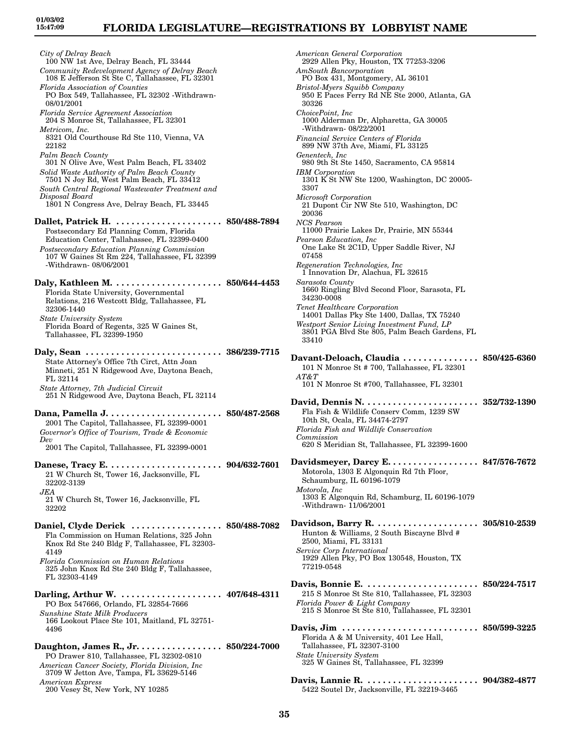## **FLORIDA LEGISLATURE—REGISTRATIONS BY LOBBYIST NAME**

*City of Delray Beach* 100 NW 1st Ave, Delray Beach, FL 33444 *Community Redevelopment Agency of Delray Beach* 108 E Jefferson St Ste C, Tallahassee, FL 32301 *Florida Association of Counties* PO Box 549, Tallahassee, FL 32302 -Withdrawn-08/01/2001 *Florida Service Agreement Association* 204 S Monroe St, Tallahassee, FL 32301 *Metricom, Inc.* 8321 Old Courthouse Rd Ste 110, Vienna, VA 22182 *Palm Beach County* 301 N Olive Ave, West Palm Beach, FL 33402 *Solid Waste Authority of Palm Beach County* 7501 N Joy Rd, West Palm Beach, FL 33412 *South Central Regional Wastewater Treatment and Disposal Board* 1801 N Congress Ave, Delray Beach, FL 33445 **Dallet, Patrick H. . . . . . . . . . . . . . . . . . . . . . 850/488-7894** Postsecondary Ed Planning Comm, Florida Education Center, Tallahassee, FL 32399-0400 *Postsecondary Education Planning Commission* 107 W Gaines St Rm 224, Tallahassee, FL 32399 -Withdrawn- 08/06/2001 **Daly, Kathleen M. . . . . . . . . . . . . . . . . . . . . . 850/644-4453** Florida State University, Governmental Relations, 216 Westcott Bldg, Tallahassee, FL 32306-1440 *State University System* Florida Board of Regents, 325 W Gaines St, Tallahassee, FL 32399-1950 **Daly, Sean . . . . . . . . . . . . . . . . . . . . . . . . . . . 386/239-7715** State Attorney's Office 7th Circt, Attn Joan Minneti, 251 N Ridgewood Ave, Daytona Beach, FL 32114 *State Attorney, 7th Judicial Circuit* 251 N Ridgewood Ave, Daytona Beach, FL 32114 **Dana, Pamella J. . . . . . . . . . . . . . . . . . . . . . . 850/487-2568** 2001 The Capitol, Tallahassee, FL 32399-0001 *Governor's Office of Tourism, Trade & Economic Dev* 2001 The Capitol, Tallahassee, FL 32399-0001 **Danese, Tracy E. . . . . . . . . . . . . . . . . . . . . . . 904/632-7601** 21 W Church St, Tower 16, Jacksonville, FL 32202-3139 *JEA* 21 W Church St, Tower 16, Jacksonville, FL 32202 **Daniel, Clyde Derick . . . . . . . . . . . . . . . . . . 850/488-7082** Fla Commission on Human Relations, 325 John Knox Rd Ste 240 Bldg F, Tallahassee, FL 32303- 4149 *Florida Commission on Human Relations* 325 John Knox Rd Ste 240 Bldg F, Tallahassee, FL 32303-4149 **Darling, Arthur W. . . . . . . . . . . . . . . . . . . . . 407/648-4311** PO Box 547666, Orlando, FL 32854-7666 *Sunshine State Milk Producers* 166 Lookout Place Ste 101, Maitland, FL 32751- 4496 **Daughton, James R., Jr. . . . . . . . . . . . . . . . . 850/224-7000** PO Drawer 810, Tallahassee, FL 32302-0810 *American Cancer Society, Florida Division, Inc* 3709 W Jetton Ave, Tampa, FL 33629-5146 *American Express* 200 Vesey St, New York, NY 10285

*American General Corporation* 2929 Allen Pky, Houston, TX 77253-3206 *AmSouth Bancorporation* PO Box 431, Montgomery, AL 36101 *Bristol-Myers Squibb Company* 950 E Paces Ferry Rd NE Ste 2000, Atlanta, GA 30326 *ChoicePoint, Inc* 1000 Alderman Dr, Alpharetta, GA 30005 -Withdrawn- 08/22/2001 *Financial Service Centers of Florida* 899 NW 37th Ave, Miami, FL 33125 *Genentech, Inc* 980 9th St Ste 1450, Sacramento, CA 95814 *IBM Corporation* 1301 K St NW Ste 1200, Washington, DC 20005- 3307 *Microsoft Corporation* 21 Dupont Cir NW Ste 510, Washington, DC 20036 *NCS Pearson* 11000 Prairie Lakes Dr, Prairie, MN 55344 *Pearson Education, Inc* One Lake St 2C1D, Upper Saddle River, NJ 07458 *Regeneration Technologies, Inc* 1 Innovation Dr, Alachua, FL 32615 *Sarasota County* 1660 Ringling Blvd Second Floor, Sarasota, FL 34230-0008 *Tenet Healthcare Corporation* 14001 Dallas Pky Ste 1400, Dallas, TX 75240 *Westport Senior Living Investment Fund, LP* 3801 PGA Blvd Ste 805, Palm Beach Gardens, FL 33410 **Davant-Deloach, Claudia . . . . . . . . . . . . . . . 850/425-6360** 101 N Monroe St # 700, Tallahassee, FL 32301 *AT&T* 101 N Monroe St #700, Tallahassee, FL 32301 **David, Dennis N. . . . . . . . . . . . . . . . . . . . . . . 352/732-1390** Fla Fish & Wildlife Conserv Comm, 1239 SW 10th St, Ocala, FL 34474-2797 *Florida Fish and Wildlife Conservation Commission* 620 S Meridian St, Tallahassee, FL 32399-1600 **Davidsmeyer, Darcy E. . . . . . . . . . . . . . . . . . 847/576-7672** Motorola, 1303 E Algonquin Rd 7th Floor, Schaumburg, IL 60196-1079 *Motorola, Inc* 1303 E Algonquin Rd, Schamburg, IL 60196-1079 -Withdrawn- 11/06/2001 **Davidson, Barry R. . . . . . . . . . . . . . . . . . . . . 305/810-2539** Hunton & Williams, 2 South Biscayne Blvd # 2500, Miami, FL 33131 *Service Corp International* 1929 Allen Pky, PO Box 130548, Houston, TX 77219-0548 **Davis, Bonnie E. . . . . . . . . . . . . . . . . . . . . . . 850/224-7517** 215 S Monroe St Ste 810, Tallahassee, FL 32303 *Florida Power & Light Company* 215 S Monroe St Ste 810, Tallahassee, FL 32301 **Davis, Jim . . . . . . . . . . . . . . . . . . . . . . . . . . . 850/599-3225** Florida A & M University, 401 Lee Hall, Tallahassee, FL 32307-3100 *State University System* 325 W Gaines St, Tallahassee, FL 32399 **Davis, Lannie R. . . . . . . . . . . . . . . . . . . . . . . 904/382-4877** 5422 Soutel Dr, Jacksonville, FL 32219-3465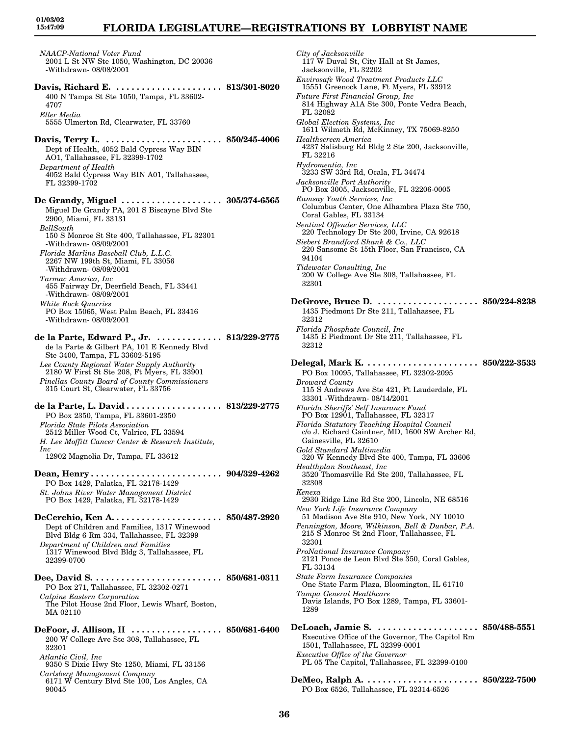## **FLORIDA LEGISLATURE—REGISTRATIONS BY LOBBYIST NAME**

*NAACP-National Voter Fund* 2001 L St NW Ste 1050, Washington, DC 20036 -Withdrawn- 08/08/2001 **Davis, Richard E. . . . . . . . . . . . . . . . . . . . . . 813/301-8020** 400 N Tampa St Ste 1050, Tampa, FL 33602- 4707 *Eller Media* 5555 Ulmerton Rd, Clearwater, FL 33760 **Davis, Terry L. . . . . . . . . . . . . . . . . . . . . . . . 850/245-4006** Dept of Health, 4052 Bald Cypress Way BIN AO1, Tallahassee, FL 32399-1702 *Department of Health* 4052 Bald Cypress Way BIN A01, Tallahassee, FL 32399-1702 **De Grandy, Miguel . . . . . . . . . . . . . . . . . . . . 305/374-6565** Miguel De Grandy PA, 201 S Biscayne Blvd Ste 2900, Miami, FL 33131 *BellSouth* 150 S Monroe St Ste 400, Tallahassee, FL 32301 -Withdrawn- 08/09/2001 *Florida Marlins Baseball Club, L.L.C.* 2267 NW 199th St, Miami, FL 33056 -Withdrawn- 08/09/2001 *Tarmac America, Inc* 455 Fairway Dr, Deerfield Beach, FL 33441 -Withdrawn- 08/09/2001 *White Rock Quarries* PO Box 15065, West Palm Beach, FL 33416 -Withdrawn- 08/09/2001 **de la Parte, Edward P., Jr. . . . . . . . . . . . . . 813/229-2775** de la Parte & Gilbert PA, 101 E Kennedy Blvd Ste 3400, Tampa, FL 33602-5195 *Lee County Regional Water Supply Authority* 2180 W First St Ste 208, Ft Myers, FL 33901 *Pinellas County Board of County Commissioners* 315 Court St, Clearwater, FL 33756 **de la Parte, L. David . . . . . . . . . . . . . . . . . . . 813/229-2775** PO Box 2350, Tampa, FL 33601-2350 *Florida State Pilots Association* 2512 Miller Wood Ct, Valrico, FL 33594 *H. Lee Moffitt Cancer Center & Research Institute, Inc* 12902 Magnolia Dr, Tampa, FL 33612 **Dean, Henry . . . . . . . . . . . . . . . . . . . . . . . . . . 904/329-4262** PO Box 1429, Palatka, FL 32178-1429 *St. Johns River Water Management District* PO Box 1429, Palatka, FL 32178-1429 **DeCerchio, Ken A. . . . . . . . . . . . . . . . . . . . . . 850/487-2920** Dept of Children and Families, 1317 Winewood Blvd Bldg 6 Rm 334, Tallahassee, FL 32399 *Department of Children and Families* 1317 Winewood Blvd Bldg 3, Tallahassee, FL 32399-0700 **Dee, David S. . . . . . . . . . . . . . . . . . . . . . . . . . 850/681-0311** PO Box 271, Tallahassee, FL 32302-0271 *Calpine Eastern Corporation* The Pilot House 2nd Floor, Lewis Wharf, Boston, MA 02110

**DeFoor, J. Allison, II . . . . . . . . . . . . . . . . . . 850/681-6400** 200 W College Ave Ste 308, Tallahassee, FL 32301 *Atlantic Civil, Inc* 9350 S Dixie Hwy Ste 1250, Miami, FL 33156

*Carlsberg Management Company* 6171 W Century Blvd Ste 100, Los Angles, CA 90045

*City of Jacksonville* 117 W Duval St, City Hall at St James, Jacksonville, FL 32202 *Envirosafe Wood Treatment Products LLC* 15551 Greenock Lane, Ft Myers, FL 33912 *Future First Financial Group, Inc* 814 Highway A1A Ste 300, Ponte Vedra Beach, FL 32082 *Global Election Systems, Inc* 1611 Wilmeth Rd, McKinney, TX 75069-8250 *Healthscreen America* 4237 Salisburg Rd Bldg 2 Ste 200, Jacksonville, FL 32216 *Hydromentia, Inc* 3233 SW 33rd Rd, Ocala, FL 34474 *Jacksonville Port Authority* PO Box 3005, Jacksonville, FL 32206-0005 *Ramsay Youth Services, Inc* Columbus Center, One Alhambra Plaza Ste 750, Coral Gables, FL 33134 *Sentinel Offender Services, LLC* 220 Technology Dr Ste 200, Irvine, CA 92618 *Siebert Brandford Shank & Co., LLC* 220 Sansome St 15th Floor, San Francisco, CA 94104 *Tidewater Consulting, Inc* 200 W College Ave Ste 308, Tallahassee, FL 32301 **DeGrove, Bruce D. . . . . . . . . . . . . . . . . . . . . 850/224-8238** 1435 Piedmont Dr Ste 211, Tallahassee, FL 32312 *Florida Phosphate Council, Inc* 1435 E Piedmont Dr Ste 211, Tallahassee, FL 32312 **Delegal, Mark K. . . . . . . . . . . . . . . . . . . . . . . 850/222-3533** PO Box 10095, Tallahassee, FL 32302-2095 *Broward County* 115 S Andrews Ave Ste 421, Ft Lauderdale, FL 33301 -Withdrawn- 08/14/2001 *Florida Sheriffs' Self Insurance Fund* PO Box 12901, Tallahassee, FL 32317 *Florida Statutory Teaching Hospital Council* c/o J. Richard Gaintner, MD, 1600 SW Archer Rd, Gainesville, FL 32610 *Gold Standard Multimedia* 320 W Kennedy Blvd Ste 400, Tampa, FL 33606 *Healthplan Southeast, Inc* 3520 Thomasville Rd Ste 200, Tallahassee, FL 32308 *Kenexa* 2930 Ridge Line Rd Ste 200, Lincoln, NE 68516 *New York Life Insurance Company* 51 Madison Ave Ste 910, New York, NY 10010 *Pennington, Moore, Wilkinson, Bell & Dunbar, P.A.* 215 S Monroe St 2nd Floor, Tallahassee, FL 32301 *ProNational Insurance Company* 2121 Ponce de Leon Blvd Ste 350, Coral Gables, FL 33134 *State Farm Insurance Companies* One State Farm Plaza, Bloomington, IL 61710 *Tampa General Healthcare* Davis Islands, PO Box 1289, Tampa, FL 33601- 1289 **DeLoach, Jamie S. . . . . . . . . . . . . . . . . . . . . 850/488-5551** Executive Office of the Governor, The Capitol Rm 1501, Tallahassee, FL 32399-0001 *Executive Office of the Governor* PL 05 The Capitol, Tallahassee, FL 32399-0100

**DeMeo, Ralph A. . . . . . . . . . . . . . . . . . . . . . . 850/222-7500** PO Box 6526, Tallahassee, FL 32314-6526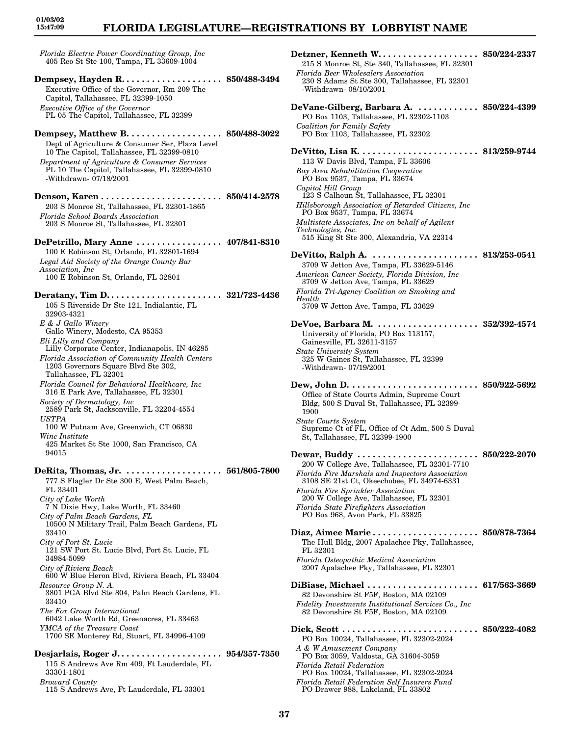# **FLORIDA LEGISLATURE—REGISTRATIONS BY LOBBYIST NAME**

*Florida Electric Power Coordinating Group, Inc* 405 Reo St Ste 100, Tampa, FL 33609-1004 **Dempsey, Hayden R. . . . . . . . . . . . . . . . . . . . 850/488-3494** Executive Office of the Governor, Rm 209 The Capitol, Tallahassee, FL 32399-1050 *Executive Office of the Governor* PL 05 The Capitol, Tallahassee, FL 32399 **Dempsey, Matthew B. . . . . . . . . . . . . . . . . . . 850/488-3022** Dept of Agriculture & Consumer Ser, Plaza Level 10 The Capitol, Tallahassee, FL 32399-0810 *Department of Agriculture & Consumer Services* PL 10 The Capitol, Tallahassee, FL 32399-0810 -Withdrawn- 07/18/2001 **Denson, Karen . . . . . . . . . . . . . . . . . . . . . . . . 850/414-2578** 203 S Monroe St, Tallahassee, FL 32301-1865 *Florida School Boards Association* 203 S Monroe St, Tallahassee, FL 32301 **DePetrillo, Mary Anne . . . . . . . . . . . . . . . . . 407/841-8310** 100 E Robinson St, Orlando, FL 32801-1694 *Legal Aid Society of the Orange County Bar Association, Inc* 100 E Robinson St, Orlando, FL 32801 **Deratany, Tim D. . . . . . . . . . . . . . . . . . . . . . . 321/723-4436** 105 S Riverside Dr Ste 121, Indialantic, FL 32903-4321 *E & J Gallo Winery* Gallo Winery, Modesto, CA 95353 *Eli Lilly and Company* Lilly Corporate Center, Indianapolis, IN 46285 *Florida Association of Community Health Centers* 1203 Governors Square Blvd Ste 302, Tallahassee, FL 32301 *Florida Council for Behavioral Healthcare, Inc* 316 E Park Ave, Tallahassee, FL 32301 *Society of Dermatology, Inc* 2589 Park St, Jacksonville, FL 32204-4554 *USTPA* 100 W Putnam Ave, Greenwich, CT 06830 *Wine Institute* 425 Market St Ste 1000, San Francisco, CA 94015 **DeRita, Thomas, Jr. . . . . . . . . . . . . . . . . . . . 561/805-7800** 777 S Flagler Dr Ste 300 E, West Palm Beach, FL 33401 *City of Lake Worth* 7 N Dixie Hwy, Lake Worth, FL 33460 *City of Palm Beach Gardens, FL* 10500 N Military Trail, Palm Beach Gardens, FL 33410 *City of Port St. Lucie* 121 SW Port St. Lucie Blvd, Port St. Lucie, FL 34984-5099 *City of Riviera Beach* 600 W Blue Heron Blvd, Riviera Beach, FL 33404 *Resource Group N. A.* 3801 PGA Blvd Ste 804, Palm Beach Gardens, FL 33410 *The Fox Group International* 6042 Lake Worth Rd, Greenacres, FL 33463 *YMCA of the Treasure Coast* 1700 SE Monterey Rd, Stuart, FL 34996-4109 **Desjarlais, Roger J. . . . . . . . . . . . . . . . . . . . . 954/357-7350** 115 S Andrews Ave Rm 409, Ft Lauderdale, FL 33301-1801 *Broward County*

115 S Andrews Ave, Ft Lauderdale, FL 33301

| Detzner, Kenneth W 850/224-2337                                                                                                                                                       |                             |
|---------------------------------------------------------------------------------------------------------------------------------------------------------------------------------------|-----------------------------|
| 215 S Monroe St, Ste 340, Tallahassee, FL 32301<br>Florida Beer Wholesalers Association                                                                                               |                             |
| 230 S Adams St Ste 300, Tallahassee, FL 32301<br>-Withdrawn- 08/10/2001                                                                                                               |                             |
| DeVane-Gilberg, Barbara A.  850/224-4399<br>PO Box 1103, Tallahassee, FL 32302-1103                                                                                                   |                             |
| Coalition for Family Safety<br>PO Box 1103, Tallahassee, FL 32302                                                                                                                     |                             |
| 113 W Davis Blvd, Tampa, FL 33606<br>Bay Area Rehabilitation Cooperative                                                                                                              |                             |
| PO Box 9537, Tampa, FL 33674<br>Capitol Hill Group                                                                                                                                    |                             |
| 123 S Calhoun St, Tallahassee, FL 32301<br>Hillsborough Association of Retarded Citizens, Inc<br>PO Box 9537, Tampa, FL 33674                                                         |                             |
| Multistate Associates, Inc on behalf of Agilent<br><i>Technologies, Inc.</i><br>515 King St Ste 300, Alexandria, VA 22314                                                             |                             |
| DeVitto, Ralph A.  813/253-0541<br>3709 W Jetton Ave, Tampa, FL 33629-5146                                                                                                            |                             |
| American Cancer Society, Florida Division, Inc.<br>3709 W Jetton Ave, Tampa, FL 33629<br>Florida Tri-Agency Coalition on Smoking and<br>Health                                        |                             |
| 3709 W Jetton Ave, Tampa, FL 33629                                                                                                                                                    |                             |
| University of Florida, PO Box 113157,<br>Gainesville, FL 32611-3157                                                                                                                   |                             |
| <b>State University System</b><br>325 W Gaines St, Tallahassee, FL 32399<br>-Withdrawn-07/19/2001                                                                                     |                             |
| Office of State Courts Admin, Supreme Court<br>Bldg, 500 S Duval St, Tallahassee, FL 32399-<br>1900                                                                                   |                             |
| <b>State Courts System</b><br>Supreme Ct of FL, Office of Ct Adm, 500 S Duval<br>St, Tallahassee, FL 32399-1900                                                                       |                             |
| Dewar, Buddy  850/222-2070<br>200 W College Ave, Tallahassee, FL 32301-7710<br>Florida Fire Marshals and Inspectors Association<br>3108 SE 21st Ct, Okeechobee, FL 34974-6331         |                             |
| Florida Fire Sprinkler Association<br>200 W College Ave, Tallahassee, FL 32301<br>Florida State Firefighters Association<br>PO Box 968, Avon Park, FL 33825                           |                             |
| Diaz, Aimee Marie 850/878-7364<br>The Hull Bldg, 2007 Apalachee Pky, Tallahassee,<br>FL 32301<br>Florida Osteopathic Medical Association<br>2007 Apalachee Pky, Tallahassee, FL 32301 |                             |
| DiBiase, Michael<br>82 Devonshire St F5F, Boston, MA 02109<br>Fidelity Investments Institutional Services Co., Inc.                                                                   | $\ldots$ 617/563-3669       |
| 82 Devonshire St F5F, Boston, MA 02109                                                                                                                                                |                             |
| Dick, Scott $\dots \dots \dots \dots$<br>PO Box 10024, Tallahassee, FL 32302-2024<br>A & W Amusement Company<br>PO Box 3059, Valdosta, GA 31604-3059                                  | $\ldots \,\, 850/222$ -4082 |
| Florida Retail Federation<br>PO Box 10024, Tallahassee, FL 32302-2024<br>Florida Retail Federation Self Insurers Fund                                                                 |                             |
| PO Drawer 988, Lakeland, FL 33802                                                                                                                                                     |                             |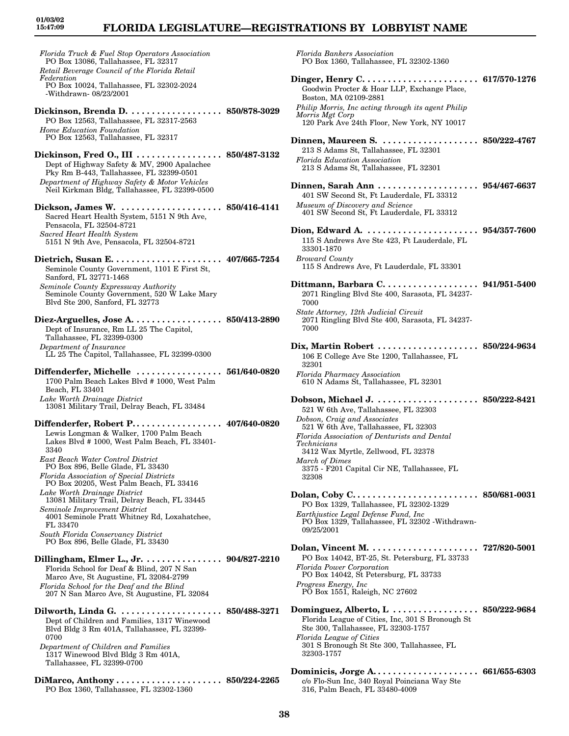# **FLORIDA LEGISLATURE—REGISTRATIONS BY LOBBYIST NAME**

*Florida Truck & Fuel Stop Operators Association* PO Box 13086, Tallahassee, FL 32317 *Retail Beverage Council of the Florida Retail Federation* PO Box 10024, Tallahassee, FL 32302-2024 -Withdrawn- 08/23/2001 **Dickinson, Brenda D. . . . . . . . . . . . . . . . . . . 850/878-3029** PO Box 12563, Tallahassee, FL 32317-2563 *Home Education Foundation* PO Box 12563, Tallahassee, FL 32317 **Dickinson, Fred O., III . . . . . . . . . . . . . . . . . 850/487-3132** Dept of Highway Safety & MV, 2900 Apalachee Pky Rm B-443, Tallahassee, FL 32399-0501 *Department of Highway Safety & Motor Vehicles* Neil Kirkman Bldg, Tallahassee, FL 32399-0500 **Dickson, James W. . . . . . . . . . . . . . . . . . . . . 850/416-4141** Sacred Heart Health System, 5151 N 9th Ave, Pensacola, FL 32504-8721 *Sacred Heart Health System* 5151 N 9th Ave, Pensacola, FL 32504-8721 **Dietrich, Susan E. . . . . . . . . . . . . . . . . . . . . . 407/665-7254** Seminole County Government, 1101 E First St, Sanford, FL 32771-1468 *Seminole County Expressway Authority* Seminole County Government, 520 W Lake Mary Blvd Ste 200, Sanford, FL 32773 **Diez-Arguelles, Jose A. . . . . . . . . . . . . . . . . . 850/413-2890** Dept of Insurance, Rm LL 25 The Capitol, Tallahassee, FL 32399-0300 *Department of Insurance* LL 25 The Capitol, Tallahassee, FL 32399-0300 **Diffenderfer, Michelle . . . . . . . . . . . . . . . . . 561/640-0820** 1700 Palm Beach Lakes Blvd # 1000, West Palm Beach, FL 33401 *Lake Worth Drainage District* 13081 Military Trail, Delray Beach, FL 33484 **Diffenderfer, Robert P. . . . . . . . . . . . . . . . . . 407/640-0820** Lewis Longman & Walker, 1700 Palm Beach Lakes Blvd # 1000, West Palm Beach, FL 33401- 3340 *East Beach Water Control District* PO Box 896, Belle Glade, FL 33430 *Florida Association of Special Districts* PO Box 20205, West Palm Beach, FL 33416 *Lake Worth Drainage District* 13081 Military Trail, Delray Beach, FL 33445 *Seminole Improvement District* 4001 Seminole Pratt Whitney Rd, Loxahatchee, FL 33470 *South Florida Conservancy District* PO Box 896, Belle Glade, FL 33430 **Dillingham, Elmer L., Jr. . . . . . . . . . . . . . . . 904/827-2210** Florida School for Deaf & Blind, 207 N San Marco Ave, St Augustine, FL 32084-2799 *Florida School for the Deaf and the Blind* 207 N San Marco Ave, St Augustine, FL 32084 **Dilworth, Linda G. . . . . . . . . . . . . . . . . . . . . 850/488-3271** Dept of Children and Families, 1317 Winewood Blvd Bldg 3 Rm 401A, Tallahassee, FL 32399- 0700 *Department of Children and Families* 1317 Winewood Blvd Bldg 3 Rm 401A, Tallahassee, FL 32399-0700 **DiMarco, Anthony . . . . . . . . . . . . . . . . . . . . . 850/224-2265** PO Box 1360, Tallahassee, FL 32302-1360

*Florida Bankers Association* PO Box 1360, Tallahassee, FL 32302-1360 **Dinger, Henry C. . . . . . . . . . . . . . . . . . . . . . . 617/570-1276** Goodwin Procter & Hoar LLP, Exchange Place, Boston, MA 02109-2881 *Philip Morris, Inc acting through its agent Philip Morris Mgt Corp* 120 Park Ave 24th Floor, New York, NY 10017 **Dinnen, Maureen S. . . . . . . . . . . . . . . . . . . . 850/222-4767** 213 S Adams St, Tallahassee, FL 32301 *Florida Education Association* 213 S Adams St, Tallahassee, FL 32301 **Dinnen, Sarah Ann . . . . . . . . . . . . . . . . . . . . 954/467-6637** 401 SW Second St, Ft Lauderdale, FL 33312 *Museum of Discovery and Science* 401 SW Second St, Ft Lauderdale, FL 33312 **Dion, Edward A. . . . . . . . . . . . . . . . . . . . . . . 954/357-7600** 115 S Andrews Ave Ste 423, Ft Lauderdale, FL 33301-1870 *Broward County* 115 S Andrews Ave, Ft Lauderdale, FL 33301 **Dittmann, Barbara C. . . . . . . . . . . . . . . . . . . 941/951-5400** 2071 Ringling Blvd Ste 400, Sarasota, FL 34237- 7000 *State Attorney, 12th Judicial Circuit* 2071 Ringling Blvd Ste 400, Sarasota, FL 34237- 7000 **Dix, Martin Robert . . . . . . . . . . . . . . . . . . . . 850/224-9634** 106 E College Ave Ste 1200, Tallahassee, FL 32301 *Florida Pharmacy Association* 610 N Adams St, Tallahassee, FL 32301 **Dobson, Michael J. . . . . . . . . . . . . . . . . . . . . 850/222-8421** 521 W 6th Ave, Tallahassee, FL 32303 *Dobson, Craig and Associates* 521 W 6th Ave, Tallahassee, FL 32303 *Florida Association of Denturists and Dental Technicians* 3412 Wax Myrtle, Zellwood, FL 32378 *March of Dimes* 3375 - F201 Capital Cir NE, Tallahassee, FL 32308 **Dolan, Coby C. . . . . . . . . . . . . . . . . . . . . . . . . 850/681-0031** PO Box 1329, Tallahassee, FL 32302-1329 *Earthjustice Legal Defense Fund, Inc* PO Box 1329, Tallahassee, FL 32302 -Withdrawn-09/25/2001 **Dolan, Vincent M. . . . . . . . . . . . . . . . . . . . . . 727/820-5001** PO Box 14042, BT-25, St. Petersburg, FL 33733 *Florida Power Corporation* PO Box 14042, St Petersburg, FL 33733 *Progress Energy, Inc* PO Box 1551, Raleigh, NC 27602 **Dominguez, Alberto, L . . . . . . . . . . . . . . . . . 850/222-9684** Florida League of Cities, Inc, 301 S Bronough St Ste 300, Tallahassee, FL 32303-1757 *Florida League of Cities* 301 S Bronough St Ste 300, Tallahassee, FL 32303-1757 **Dominicis, Jorge A. . . . . . . . . . . . . . . . . . . . . 661/655-6303** c/o Flo-Sun Inc, 340 Royal Poinciana Way Ste

316, Palm Beach, FL 33480-4009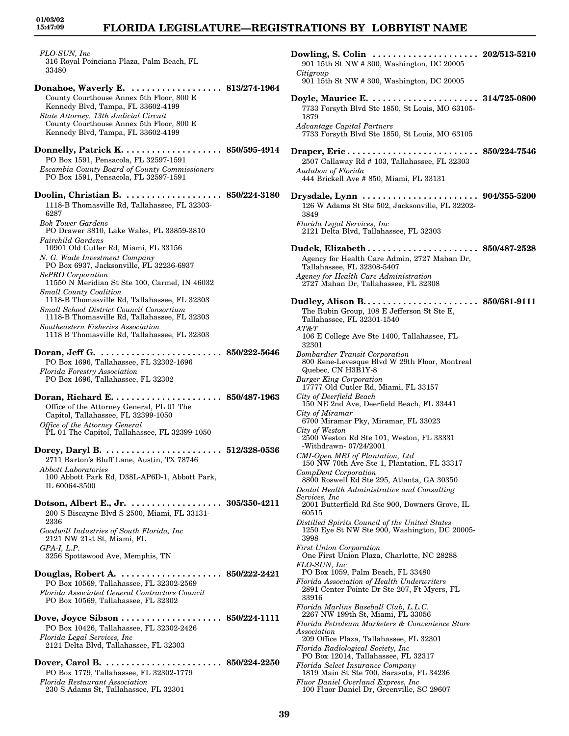**01/03/02 15:47:09**

*FLO-SUN, Inc* 316 Royal Poinciana Plaza, Palm Beach, FL 33480

**Donahoe, Waverly E. . . . . . . . . . . . . . . . . . . 813/274-1964** County Courthouse Annex 5th Floor, 800 E Kennedy Blvd, Tampa, FL 33602-4199 *State Attorney, 13th Judicial Circuit* County Courthouse Annex 5th Floor, 800 E Kennedy Blvd, Tampa, FL 33602-4199

**Donnelly, Patrick K. . . . . . . . . . . . . . . . . . . . 850/595-4914** PO Box 1591, Pensacola, FL 32597-1591 *Escambia County Board of County Commissioners* PO Box 1591, Pensacola, FL 32597-1591

**Doolin, Christian B. . . . . . . . . . . . . . . . . . . . 850/224-3180** 1118-B Thomasville Rd, Tallahassee, FL 32303- 6287 *Bok Tower Gardens* PO Drawer 3810, Lake Wales, FL 33859-3810 *Fairchild Gardens* 10901 Old Cutler Rd, Miami, FL 33156 *N. G. Wade Investment Company* PO Box 6937, Jacksonville, FL 32236-6937 *SePRO Corporation* 11550 N Meridian St Ste 100, Carmel, IN 46032 *Small County Coalition* 1118-B Thomasville Rd, Tallahassee, FL 32303 *Small School District Council Consortium*

1118-B Thomasville Rd, Tallahassee, FL 32303 *Southeastern Fisheries Association* 1118 B Thomasville Rd, Tallahassee, FL 32303

**Doran, Jeff G. . . . . . . . . . . . . . . . . . . . . . . . . 850/222-5646** PO Box 1696, Tallahassee, FL 32302-1696 *Florida Forestry Association* PO Box 1696, Tallahassee, FL 32302

**Doran, Richard E. . . . . . . . . . . . . . . . . . . . . . 850/487-1963** Office of the Attorney General, PL 01 The Capitol, Tallahassee, FL 32399-1050 *Office of the Attorney General* PL 01 The Capitol, Tallahassee, FL 32399-1050

**Dorcy, Daryl B. . . . . . . . . . . . . . . . . . . . . . . . 512/328-0536** 2711 Barton's Bluff Lane, Austin, TX 78746 *Abbott Laboratories* 100 Abbott Park Rd, D38L-AP6D-1, Abbott Park, IL 60064-3500

**Dotson, Albert E., Jr. . . . . . . . . . . . . . . . . . . 305/350-4211** 200 S Biscayne Blvd S 2500, Miami, FL 33131- 2336 *Goodwill Industries of South Florida, Inc* 2121 NW 21st St, Miami, FL *GPA-I, L.P.* 3256 Spottswood Ave, Memphis, TN

**Douglas, Robert A. . . . . . . . . . . . . . . . . . . . . 850/222-2421** PO Box 10569, Tallahassee, FL 32302-2569 *Florida Associated General Contractors Council* PO Box 10569, Tallahassee, FL 32302

**Dove, Joyce Sibson . . . . . . . . . . . . . . . . . . . . 850/224-1111** PO Box 10426, Tallahassee, FL 32302-2426 *Florida Legal Services, Inc* 2121 Delta Blvd, Tallahassee, FL 32303

**Dover, Carol B. . . . . . . . . . . . . . . . . . . . . . . . 850/224-2250** PO Box 1779, Tallahassee, FL 32302-1779 *Florida Restaurant Association* 230 S Adams St, Tallahassee, FL 32301

901 15th St NW # 300, Washington, DC 20005 *Citigroup* 901 15th St NW # 300, Washington, DC 20005 **Doyle, Maurice E. . . . . . . . . . . . . . . . . . . . . . 314/725-0800** 7733 Forsyth Blvd Ste 1850, St Louis, MO 63105- 1879 *Advantage Capital Partners* 7733 Forsyth Blvd Ste 1850, St Louis, MO 63105 **Draper, Eric . . . . . . . . . . . . . . . . . . . . . . . . . . 850/224-7546** 2507 Callaway Rd # 103, Tallahassee, FL 32303 *Audubon of Florida* 444 Brickell Ave # 850, Miami, FL 33131 **Drysdale, Lynn . . . . . . . . . . . . . . . . . . . . . . . 904/355-5200** 126 W Adams St Ste 502, Jacksonville, FL 32202- 3849 *Florida Legal Services, Inc* 2121 Delta Blvd, Tallahassee, FL 32303 **Dudek, Elizabeth . . . . . . . . . . . . . . . . . . . . . . 850/487-2528** Agency for Health Care Admin, 2727 Mahan Dr, Tallahassee, FL 32308-5407 *Agency for Health Care Administration* 2727 Mahan Dr, Tallahassee, FL 32308 **Dudley, Alison B. . . . . . . . . . . . . . . . . . . . . . . 850/681-9111** The Rubin Group, 108 E Jefferson St Ste E, Tallahassee, FL 32301-1540 *AT&T* 106 E College Ave Ste 1400, Tallahassee, FL 32301 *Bombardier Transit Corporation* 800 Rene-Levesque Blvd W 29th Floor, Montreal Quebec, CN H3B1Y-8 *Burger King Corporation* 17777 Old Cutler Rd, Miami, FL 33157 *City of Deerfield Beach* 150 NE 2nd Ave, Deerfield Beach, FL 33441 *City of Miramar* 6700 Miramar Pky, Miramar, FL 33023 *City of Weston* 2500 Weston Rd Ste 101, Weston, FL 33331 -Withdrawn- 07/24/2001 *CMI-Open MRI of Plantation, Ltd* 150 NW 70th Ave Ste 1, Plantation, FL 33317 *CompDent Corporation* 8800 Roswell Rd Ste 295, Atlanta, GA 30350 *Dental Health Administrative and Consulting Services, Inc* 2001 Butterfield Rd Ste 900, Downers Grove, IL 60515 *Distilled Spirits Council of the United States* 1250 Eye St NW Ste 900, Washington, DC 20005- 3998 *First Union Corporation* One First Union Plaza, Charlotte, NC 28288 *FLO-SUN, Inc* PO Box 1059, Palm Beach, FL 33480 *Florida Association of Health Underwriters* 2891 Center Pointe Dr Ste 207, Ft Myers, FL 33916 *Florida Marlins Baseball Club, L.L.C.* 2267 NW 199th St, Miami, FL 33056 *Florida Petroleum Marketers & Convenience Store Association* 209 Office Plaza, Tallahassee, FL 32301 *Florida Radiological Society, Inc* PO Box 12014, Tallahassee, FL 32317 *Florida Select Insurance Company* 1819 Main St Ste 700, Sarasota, FL 34236 *Fluor Daniel Overland Express, Inc*

**Dowling, S. Colin . . . . . . . . . . . . . . . . . . . . . 202/513-5210**

100 Fluor Daniel Dr, Greenville, SC 29607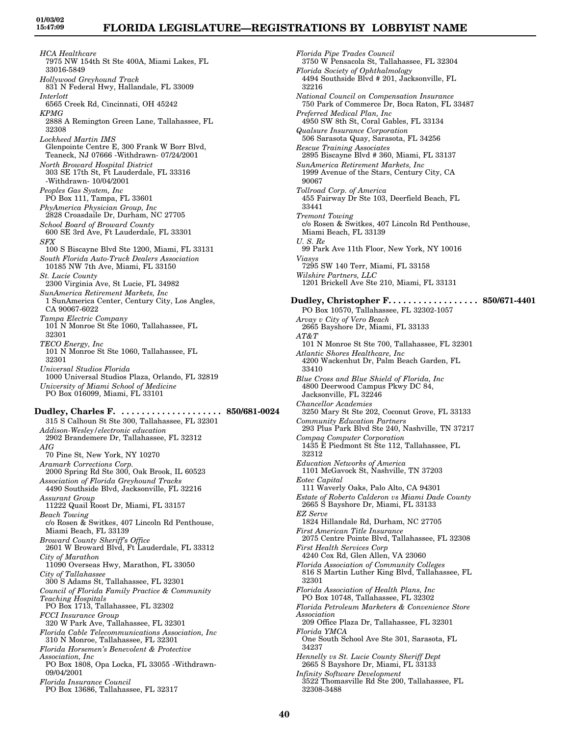*HCA Healthcare* 7975 NW 154th St Ste 400A, Miami Lakes, FL 33016-5849 *Hollywood Greyhound Track* 831 N Federal Hwy, Hallandale, FL 33009 *Interlott* 6565 Creek Rd, Cincinnati, OH 45242 *KPMG* 2888 A Remington Green Lane, Tallahassee, FL 32308 *Lockheed Martin IMS* Glenpointe Centre E, 300 Frank W Borr Blvd, Teaneck, NJ 07666 -Withdrawn- 07/24/2001 *North Broward Hospital District* 303 SE 17th St, Ft Lauderdale, FL 33316 -Withdrawn- 10/04/2001 *Peoples Gas System, Inc* PO Box 111, Tampa, FL 33601 *PhyAmerica Physician Group, Inc* 2828 Croasdaile Dr, Durham, NC 27705 *School Board of Broward County* 600 SE 3rd Ave, Ft Lauderdale, FL 33301 *SFX* 100 S Biscayne Blvd Ste 1200, Miami, FL 33131 *South Florida Auto-Truck Dealers Association* 10185 NW 7th Ave, Miami, FL 33150 *St. Lucie County* 2300 Virginia Ave, St Lucie, FL 34982 *SunAmerica Retirement Markets, Inc* 1 SunAmerica Center, Century City, Los Angles, CA 90067-6022 *Tampa Electric Company* 101 N Monroe St Ste 1060, Tallahassee, FL 32301 *TECO Energy, Inc* 101 N Monroe St Ste 1060, Tallahassee, FL 32301 *Universal Studios Florida* 1000 Universal Studios Plaza, Orlando, FL 32819 *University of Miami School of Medicine* PO Box 016099, Miami, FL 33101 **Dudley, Charles F. . . . . . . . . . . . . . . . . . . . . 850/681-0024** 315 S Calhoun St Ste 300, Tallahassee, FL 32301 *Addison-Wesley/electronic education* 2902 Brandemere Dr, Tallahassee, FL 32312 *AIG* 70 Pine St, New York, NY 10270 *Aramark Corrections Corp.* 2000 Spring Rd Ste 300, Oak Brook, IL 60523 *Association of Florida Greyhound Tracks* 4490 Southside Blvd, Jacksonville, FL 32216 *Assurant Group* 11222 Quail Roost Dr, Miami, FL 33157 *Beach Towing* c/o Rosen & Switkes, 407 Lincoln Rd Penthouse, Miami Beach, FL 33139 *Broward County Sheriff's Office* 2601 W Broward Blvd, Ft Lauderdale, FL 33312 *City of Marathon* 11090 Overseas Hwy, Marathon, FL 33050 *City of Tallahassee* 300 S Adams St, Tallahassee, FL 32301 *Council of Florida Family Practice & Community Teaching Hospitals* PO Box 1713, Tallahassee, FL 32302 *FCCI Insurance Group* 320 W Park Ave, Tallahassee, FL 32301 *Florida Cable Telecommunications Association, Inc* 310 N Monroe, Tallahassee, FL 32301 *Florida Horsemen's Benevolent & Protective Association, Inc* PO Box 1808, Opa Locka, FL 33055 -Withdrawn-09/04/2001 *Florida Insurance Council* PO Box 13686, Tallahassee, FL 32317

*Florida Pipe Trades Council* 3750 W Pensacola St, Tallahassee, FL 32304 *Florida Society of Ophthalmology* 4494 Southside Blvd # 201, Jacksonville, FL 32216 *National Council on Compensation Insurance* 750 Park of Commerce Dr, Boca Raton, FL 33487 *Preferred Medical Plan, Inc* 4950 SW 8th St, Coral Gables, FL 33134 *Qualsure Insurance Corporation* 506 Sarasota Quay, Sarasota, FL 34256 *Rescue Training Associates* 2895 Biscayne Blvd # 360, Miami, FL 33137 *SunAmerica Retirement Markets, Inc* 1999 Avenue of the Stars, Century City, CA 90067 *Tollroad Corp. of America* 455 Fairway Dr Ste 103, Deerfield Beach, FL 33441 *Tremont Towing* c/o Rosen & Switkes, 407 Lincoln Rd Penthouse, Miami Beach, FL 33139 *U. S. Re* 99 Park Ave 11th Floor, New York, NY 10016 *Viasys* 7295 SW 140 Terr, Miami, FL 33158 *Wilshire Partners, LLC* 1201 Brickell Ave Ste 210, Miami, FL 33131 **Dudley, Christopher F. . . . . . . . . . . . . . . . . . 850/671-4401** PO Box 10570, Tallahassee, FL 32302-1057 *Arvay v City of Vero Beach* 2665 Bayshore Dr, Miami, FL 33133 *AT&T* 101 N Monroe St Ste 700, Tallahassee, FL 32301 *Atlantic Shores Healthcare, Inc* 4200 Wackenhut Dr, Palm Beach Garden, FL 33410 *Blue Cross and Blue Shield of Florida, Inc* 4800 Deerwood Campus Pkwy DC 84, Jacksonville, FL 32246 *Chancellor Academies* 3250 Mary St Ste 202, Coconut Grove, FL 33133 *Community Education Partners* 293 Plus Park Blvd Ste 240, Nashville, TN 37217 *Compaq Computer Corporation* 1435 E Piedmont St Ste 112, Tallahassee, FL 32312 *Education Networks of America* 1101 McGavock St, Nashville, TN 37203 *Eotec Capital* 111 Waverly Oaks, Palo Alto, CA 94301 *Estate of Roberto Calderon vs Miami Dade County* 2665 S Bayshore Dr, Miami, FL 33133 *EZ Serve* 1824 Hillandale Rd, Durham, NC 27705 *First American Title Insurance* 2075 Centre Pointe Blvd, Tallahassee, FL 32308 *First Health Services Corp* 4240 Cox Rd, Glen Allen, VA 23060 *Florida Association of Community Colleges* 816 S Martin Luther King Blvd, Tallahassee, FL 32301 *Florida Association of Health Plans, Inc* PO Box 10748, Tallahassee, FL 32302 *Florida Petroleum Marketers & Convenience Store Association* 209 Office Plaza Dr, Tallahassee, FL 32301 *Florida YMCA* One South School Ave Ste 301, Sarasota, FL 34237 *Hennelly vs St. Lucie County Sheriff Dept* 2665 S Bayshore Dr, Miami, FL 33133 *Infinity Software Development* 3522 Thomasville Rd Ste 200, Tallahassee, FL 32308-3488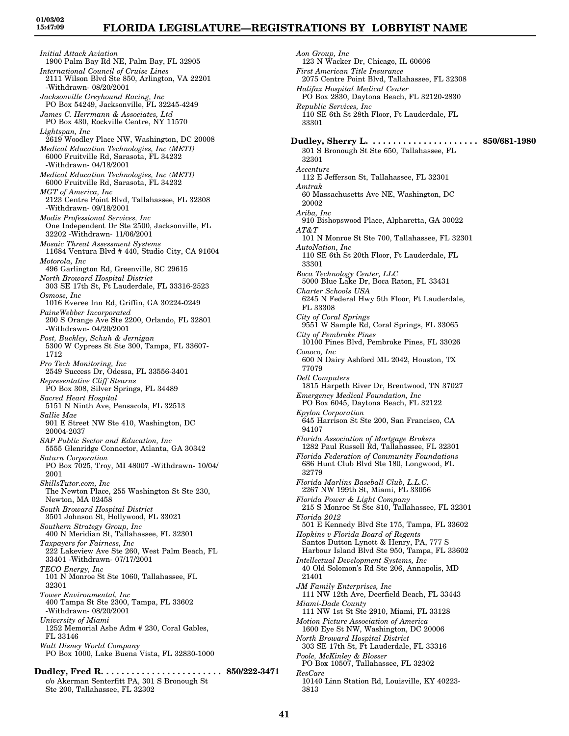*Initial Attack Aviation* 1900 Palm Bay Rd NE, Palm Bay, FL 32905 *International Council of Cruise Lines* 2111 Wilson Blvd Ste 850, Arlington, VA 22201 -Withdrawn- 08/20/2001 *Jacksonville Greyhound Racing, Inc* PO Box 54249, Jacksonville, FL 32245-4249 *James C. Herrmann & Associates, Ltd* PO Box 430, Rockville Centre, NY 11570 *Lightspan, Inc* 2619 Woodley Place NW, Washington, DC 20008 *Medical Education Technologies, Inc (METI)* 6000 Fruitville Rd, Sarasota, FL 34232 -Withdrawn- 04/18/2001 *Medical Education Technologies, Inc (METI)* 6000 Fruitville Rd, Sarasota, FL 34232 *MGT of America, Inc* 2123 Centre Point Blvd, Tallahassee, FL 32308 -Withdrawn- 09/18/2001 *Modis Professional Services, Inc* One Independent Dr Ste 2500, Jacksonville, FL 32202 -Withdrawn- 11/06/2001 *Mosaic Threat Assessment Systems* 11684 Ventura Blvd # 440, Studio City, CA 91604 *Motorola, Inc* 496 Garlington Rd, Greenville, SC 29615 *North Broward Hospital District* 303 SE 17th St, Ft Lauderdale, FL 33316-2523 *Osmose, Inc* 1016 Everee Inn Rd, Griffin, GA 30224-0249 *PaineWebber Incorporated* 200 S Orange Ave Ste 2200, Orlando, FL 32801 -Withdrawn- 04/20/2001 *Post, Buckley, Schuh & Jernigan* 5300 W Cypress St Ste 300, Tampa, FL 33607- 1712 *Pro Tech Monitoring, Inc* 2549 Success Dr, Odessa, FL 33556-3401 *Representative Cliff Stearns* PO Box 308, Silver Springs, FL 34489 *Sacred Heart Hospital* 5151 N Ninth Ave, Pensacola, FL 32513 *Sallie Mae* 901 E Street NW Ste 410, Washington, DC 20004-2037 *SAP Public Sector and Education, Inc* 5555 Glenridge Connector, Atlanta, GA 30342 *Saturn Corporation* PO Box 7025, Troy, MI 48007 -Withdrawn- 10/04/ 2001 *SkillsTutor.com, Inc* The Newton Place, 255 Washington St Ste 230, Newton, MA 02458 *South Broward Hospital District* 3501 Johnson St, Hollywood, FL 33021 *Southern Strategy Group, Inc* 400 N Meridian St, Tallahassee, FL 32301 *Taxpayers for Fairness, Inc* 222 Lakeview Ave Ste 260, West Palm Beach, FL 33401 -Withdrawn- 07/17/2001 *TECO Energy, Inc* 101 N Monroe St Ste 1060, Tallahassee, FL 32301 *Tower Environmental, Inc* 400 Tampa St Ste 2300, Tampa, FL 33602 -Withdrawn- 08/20/2001 *University of Miami* 1252 Memorial Ashe Adm # 230, Coral Gables, FL 33146 *Walt Disney World Company* PO Box 1000, Lake Buena Vista, FL 32830-1000 **Dudley, Fred R. . . . . . . . . . . . . . . . . . . . . . . . 850/222-3471**

c/o Akerman Senterfitt PA, 301 S Bronough St Ste 200, Tallahassee, FL 32302

*Aon Group, Inc* 123 N Wacker Dr, Chicago, IL 60606 *First American Title Insurance* 2075 Centre Point Blvd, Tallahassee, FL 32308 *Halifax Hospital Medical Center* PO Box 2830, Daytona Beach, FL 32120-2830 *Republic Services, Inc* 110 SE 6th St 28th Floor, Ft Lauderdale, FL 33301 **Dudley, Sherry L. . . . . . . . . . . . . . . . . . . . . . 850/681-1980** 301 S Bronough St Ste 650, Tallahassee, FL 32301 *Accenture* 112 E Jefferson St, Tallahassee, FL 32301 *Amtrak* 60 Massachusetts Ave NE, Washington, DC 20002 *Ariba, Inc* 910 Bishopswood Place, Alpharetta, GA 30022 *AT&T* 101 N Monroe St Ste 700, Tallahassee, FL 32301 *AutoNation, Inc* 110 SE 6th St 20th Floor, Ft Lauderdale, FL 33301 *Boca Technology Center, LLC* 5000 Blue Lake Dr, Boca Raton, FL 33431 *Charter Schools USA* 6245 N Federal Hwy 5th Floor, Ft Lauderdale, FL 33308 *City of Coral Springs* 9551 W Sample Rd, Coral Springs, FL 33065 *City of Pembroke Pines* 10100 Pines Blvd, Pembroke Pines, FL 33026 *Conoco, Inc* 600 N Dairy Ashford ML 2042, Houston, TX 77079 *Dell Computers* 1815 Harpeth River Dr, Brentwood, TN 37027 *Emergency Medical Foundation, Inc* PO Box 6045, Daytona Beach, FL 32122 *Epylon Corporation* 645 Harrison St Ste 200, San Francisco, CA 94107 *Florida Association of Mortgage Brokers* 1282 Paul Russell Rd, Tallahassee, FL 32301 *Florida Federation of Community Foundations* 686 Hunt Club Blvd Ste 180, Longwood, FL 32779 *Florida Marlins Baseball Club, L.L.C.* 2267 NW 199th St, Miami, FL 33056 *Florida Power & Light Company* 215 S Monroe St Ste 810, Tallahassee, FL 32301 *Florida 2012* 501 E Kennedy Blvd Ste 175, Tampa, FL 33602 *Hopkins v Florida Board of Regents* Santos Dutton Lynott & Henry, PA, 777 S Harbour Island Blvd Ste 950, Tampa, FL 33602 *Intellectual Development Systems, Inc* 40 Old Solomon's Rd Ste 206, Annapolis, MD 21401 *JM Family Enterprises, Inc* 111 NW 12th Ave, Deerfield Beach, FL 33443 *Miami-Dade County* 111 NW 1st St Ste 2910, Miami, FL 33128 *Motion Picture Association of America* 1600 Eye St NW, Washington, DC 20006 *North Broward Hospital District* 303 SE 17th St, Ft Lauderdale, FL 33316 *Poole, McKinley & Blosser* PO Box 10507, Tallahassee, FL 32302 *ResCare* 10140 Linn Station Rd, Louisville, KY 40223- 3813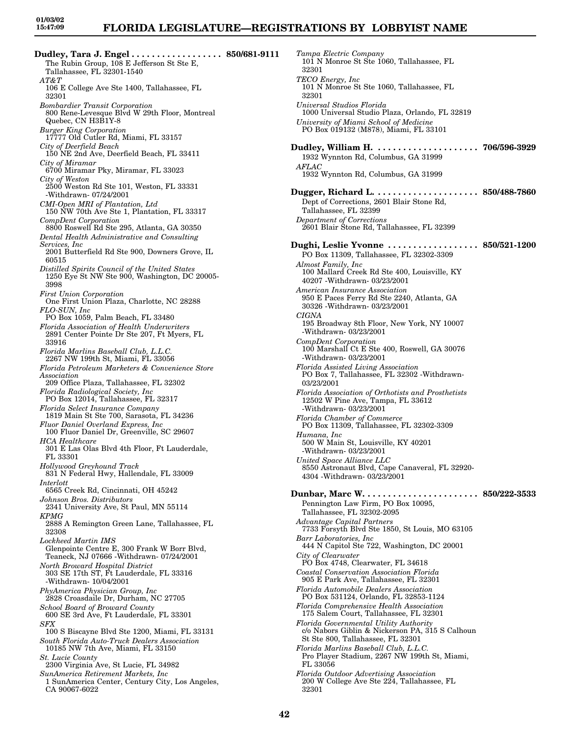**Dudley, Tara J. Engel . . . . . . . . . . . . . . . . . . 850/681-9111** The Rubin Group, 108 E Jefferson St Ste E, Tallahassee, FL 32301-1540 *AT&T* 106 E College Ave Ste 1400, Tallahassee, FL 32301 *Bombardier Transit Corporation* 800 Rene-Levesque Blvd W 29th Floor, Montreal Quebec, CN H3B1Y-8 *Burger King Corporation* 17777 Old Cutler Rd, Miami, FL 33157 *City of Deerfield Beach* 150 NE 2nd Ave, Deerfield Beach, FL 33411 *City of Miramar* 6700 Miramar Pky, Miramar, FL 33023 *City of Weston* 2500 Weston Rd Ste 101, Weston, FL 33331 -Withdrawn- 07/24/2001 *CMI-Open MRI of Plantation, Ltd* 150 NW 70th Ave Ste 1, Plantation, FL 33317 *CompDent Corporation* 8800 Roswell Rd Ste 295, Atlanta, GA 30350 *Dental Health Administrative and Consulting Services, Inc* 2001 Butterfield Rd Ste 900, Downers Grove, IL 60515 *Distilled Spirits Council of the United States* 1250 Eye St NW Ste 900, Washington, DC 20005- 3998 *First Union Corporation* One First Union Plaza, Charlotte, NC 28288 *FLO-SUN, Inc* PO Box 1059, Palm Beach, FL 33480 *Florida Association of Health Underwriters* 2891 Center Pointe Dr Ste 207, Ft Myers, FL 33916 *Florida Marlins Baseball Club, L.L.C.* 2267 NW 199th St, Miami, FL 33056 *Florida Petroleum Marketers & Convenience Store Association* 209 Office Plaza, Tallahassee, FL 32302 *Florida Radiological Society, Inc* PO Box 12014, Tallahassee, FL 32317 *Florida Select Insurance Company* 1819 Main St Ste 700, Sarasota, FL 34236 *Fluor Daniel Overland Express, Inc* 100 Fluor Daniel Dr, Greenville, SC 29607 *HCA Healthcare* 301 E Las Olas Blvd 4th Floor, Ft Lauderdale, FL 33301 *Hollywood Greyhound Track* 831 N Federal Hwy, Hallendale, FL 33009 *Interlott* 6565 Creek Rd, Cincinnati, OH 45242 *Johnson Bros. Distributors* 2341 University Ave, St Paul, MN 55114 *KPMG* 2888 A Remington Green Lane, Tallahassee, FL 32308 *Lockheed Martin IMS* Glenpointe Centre E, 300 Frank W Borr Blvd, Teaneck, NJ 07666 -Withdrawn- 07/24/2001 *North Broward Hospital District* 303 SE 17th ST, Ft Lauderdale, FL 33316 -Withdrawn- 10/04/2001 *PhyAmerica Physician Group, Inc* 2828 Croasdaile Dr, Durham, NC 27705 *School Board of Broward County* 600 SE 3rd Ave, Ft Lauderdale, FL 33301 *SFX* 100 S Biscayne Blvd Ste 1200, Miami, FL 33131 *South Florida Auto-Truck Dealers Association* 10185 NW 7th Ave, Miami, FL 33150 *St. Lucie County* 2300 Virginia Ave, St Lucie, FL 34982 *SunAmerica Retirement Markets, Inc* 1 SunAmerica Center, Century City, Los Angeles, CA 90067-6022

*Tampa Electric Company* 101 N Monroe St Ste 1060, Tallahassee, FL 32301 *TECO Energy, Inc* 101 N Monroe St Ste 1060, Tallahassee, FL 32301 *Universal Studios Florida* 1000 Universal Studio Plaza, Orlando, FL 32819 *University of Miami School of Medicine* PO Box 019132 (M878), Miami, FL 33101 **Dudley, William H. . . . . . . . . . . . . . . . . . . . . 706/596-3929** 1932 Wynnton Rd, Columbus, GA 31999 *AFLAC* 1932 Wynnton Rd, Columbus, GA 31999 **Dugger, Richard L. . . . . . . . . . . . . . . . . . . . . 850/488-7860** Dept of Corrections, 2601 Blair Stone Rd, Tallahassee, FL 32399 *Department of Corrections* 2601 Blair Stone Rd, Tallahassee, FL 32399 **Dughi, Leslie Yvonne . . . . . . . . . . . . . . . . . . 850/521-1200** PO Box 11309, Tallahassee, FL 32302-3309 *Almost Family, Inc* 100 Mallard Creek Rd Ste 400, Louisville, KY 40207 -Withdrawn- 03/23/2001 *American Insurance Association* 950 E Paces Ferry Rd Ste 2240, Atlanta, GA 30326 -Withdrawn- 03/23/2001 *CIGNA* 195 Broadway 8th Floor, New York, NY 10007 -Withdrawn- 03/23/2001 *CompDent Corporation* 100 Marshall Ct E Ste 400, Roswell, GA 30076 -Withdrawn- 03/23/2001 *Florida Assisted Living Association* PO Box 7, Tallahassee, FL 32302 -Withdrawn-03/23/2001 *Florida Association of Orthotists and Prosthetists* 12502 W Pine Ave, Tampa, FL 33612 -Withdrawn- 03/23/2001 *Florida Chamber of Commerce* PO Box 11309, Tallahassee, FL 32302-3309 *Humana, Inc* 500 W Main St, Louisville, KY 40201 -Withdrawn- 03/23/2001 *United Space Alliance LLC* 8550 Astronaut Blvd, Cape Canaveral, FL 32920- 4304 -Withdrawn- 03/23/2001 **Dunbar, Marc W. . . . . . . . . . . . . . . . . . . . . . . 850/222-3533** Pennington Law Firm, PO Box 10095, Tallahassee, FL 32302-2095 *Advantage Capital Partners* 7733 Forsyth Blvd Ste 1850, St Louis, MO 63105 *Barr Laboratories, Inc* 444 N Capitol Ste 722, Washington, DC 20001 *City of Clearwater* PO Box 4748, Clearwater, FL 34618 *Coastal Conservation Association Florida* 905 E Park Ave, Tallahassee, FL 32301 *Florida Automobile Dealers Association* PO Box 531124, Orlando, FL 32853-1124 *Florida Comprehensive Health Association* 175 Salem Court, Tallahassee, FL 32301 *Florida Governmental Utility Authority* c/o Nabors Giblin & Nickerson PA, 315 S Calhoun St Ste 800, Tallahassee, FL 32301 *Florida Marlins Baseball Club, L.L.C.* Pro Player Stadium, 2267 NW 199th St, Miami, FL 33056 *Florida Outdoor Advertising Association* 200 W College Ave Ste 224, Tallahassee, FL 32301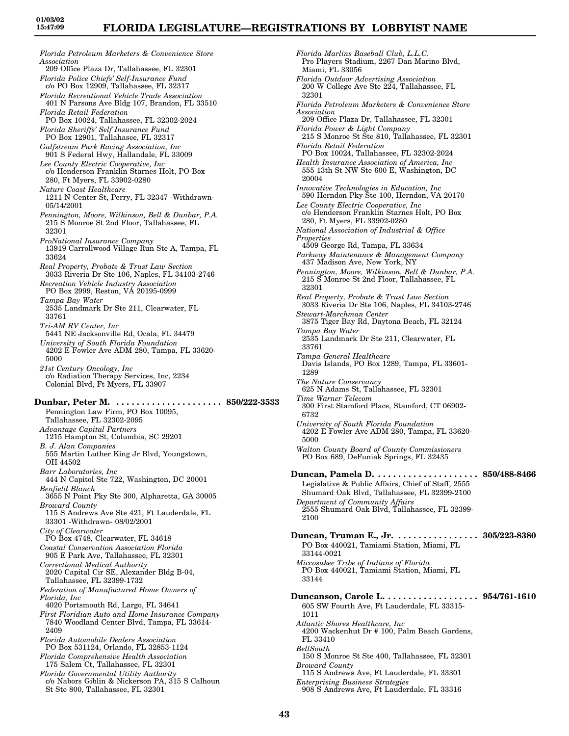*Florida Petroleum Marketers & Convenience Store Association* 209 Office Plaza Dr, Tallahassee, FL 32301 *Florida Police Chiefs' Self-Insurance Fund* c/o PO Box 12909, Tallahassee, FL 32317 *Florida Recreational Vehicle Trade Association* 401 N Parsons Ave Bldg 107, Brandon, FL 33510 *Florida Retail Federation* PO Box 10024, Tallahassee, FL 32302-2024 *Florida Sheriffs' Self Insurance Fund* PO Box 12901, Tallahasee, FL 32317 *Gulfstream Park Racing Association, Inc* 901 S Federal Hwy, Hallandale, FL 33009 *Lee County Electric Cooperative, Inc* c/o Henderson Franklin Starnes Holt, PO Box 280, Ft Myers, FL 33902-0280 *Nature Coast Healthcare* 1211 N Center St, Perry, FL 32347 -Withdrawn-05/14/2001 *Pennington, Moore, Wilkinson, Bell & Dunbar, P.A.* 215 S Monroe St 2nd Floor, Tallahassee, FL 32301 *ProNational Insurance Company* 13919 Carrollwood Village Run Ste A, Tampa, FL 33624 *Real Property, Probate & Trust Law Section* 3033 Riveria Dr Ste 106, Naples, FL 34103-2746 *Recreation Vehicle Industry Association* PO Box 2999, Reston, VA 20195-0999 *Tampa Bay Water* 2535 Landmark Dr Ste 211, Clearwater, FL 33761 *Tri-AM RV Center, Inc* 5441 NE Jacksonville Rd, Ocala, FL 34479 *University of South Florida Foundation* 4202 E Fowler Ave ADM 280, Tampa, FL 33620- 5000 *21st Century Oncology, Inc* c/o Radiation Therapy Services, Inc, 2234 Colonial Blvd, Ft Myers, FL 33907 **Dunbar, Peter M. . . . . . . . . . . . . . . . . . . . . . 850/222-3533** Pennington Law Firm, PO Box 10095, Tallahassee, FL 32302-2095 *Advantage Capital Partners* 1215 Hampton St, Columbia, SC 29201 *B. J. Alan Companies* 555 Martin Luther King Jr Blvd, Youngstown, OH 44502 *Barr Laboratories, Inc* 444 N Capitol Ste 722, Washington, DC 20001 *Benfield Blanch* 3655 N Point Pky Ste 300, Alpharetta, GA 30005 *Broward County* 115 S Andrews Ave Ste 421, Ft Lauderdale, FL 33301 -Withdrawn- 08/02/2001 *City of Clearwater* PO Box 4748, Clearwater, FL 34618 *Coastal Conservation Association Florida* 905 E Park Ave, Tallahassee, FL 32301 *Correctional Medical Authority* 2020 Capital Cir SE, Alexander Bldg B-04, Tallahassee, FL 32399-1732 *Federation of Manufactured Home Owners of Florida, Inc* 4020 Portsmouth Rd, Largo, FL 34641 *First Floridian Auto and Home Insurance Company* 7840 Woodland Center Blvd, Tampa, FL 33614- 2409 *Florida Automobile Dealers Association* PO Box 531124, Orlando, FL 32853-1124 *Florida Comprehensive Health Association* 175 Salem Ct, Tallahassee, FL 32301 *Florida Governmental Utility Authority* c/o Nabors Giblin & Nickerson PA, 315 S Calhoun

St Ste 800, Tallahassee, FL 32301

*Florida Marlins Baseball Club, L.L.C.* Pro Players Stadium, 2267 Dan Marino Blvd, Miami, FL 33056 *Florida Outdoor Advertising Association* 200 W College Ave Ste 224, Tallahassee, FL 32301 *Florida Petroleum Marketers & Convenience Store Association* 209 Office Plaza Dr, Tallahassee, FL 32301 *Florida Power & Light Company* 215 S Monroe St Ste 810, Tallahassee, FL 32301 *Florida Retail Federation* PO Box 10024, Tallahassee, FL 32302-2024 *Health Insurance Association of America, Inc* 555 13th St NW Ste 600 E, Washington, DC 20004 *Innovative Technologies in Education, Inc* 590 Herndon Pky Ste 100, Herndon, VA 20170 *Lee County Electric Cooperative, Inc* c/o Henderson Franklin Starnes Holt, PO Box 280, Ft Myers, FL 33902-0280 *National Association of Industrial & Office Properties* 4509 George Rd, Tampa, FL 33634 *Parkway Maintenance & Management Company* 437 Madison Ave, New York, NY *Pennington, Moore, Wilkinson, Bell & Dunbar, P.A.* 215 S Monroe St 2nd Floor, Tallahassee, FL 32301 *Real Property, Probate & Trust Law Section* 3033 Riveria Dr Ste 106, Naples, FL 34103-2746 *Stewart-Marchman Center* 3875 Tiger Bay Rd, Daytona Beach, FL 32124 *Tampa Bay Water* 2535 Landmark Dr Ste 211, Clearwater, FL 33761 *Tampa General Healthcare* Davis Islands, PO Box 1289, Tampa, FL 33601- 1289 *The Nature Conservancy* 625 N Adams St, Tallahassee, FL 32301 *Time Warner Telecom* 300 First Stamford Place, Stamford, CT 06902- 6732 *University of South Florida Foundation* 4202 E Fowler Ave ADM 280, Tampa, FL 33620- 5000 *Walton County Board of County Commissioners* PO Box 689, DeFuniak Springs, FL 32435 **Duncan, Pamela D. . . . . . . . . . . . . . . . . . . . . 850/488-8466** Legislative & Public Affairs, Chief of Staff, 2555 Shumard Oak Blvd, Tallahassee, FL 32399-2100 *Department of Community Affairs* 2555 Shumard Oak Blvd, Tallahassee, FL 32399- 2100 **Duncan, Truman E., Jr. . . . . . . . . . . . . . . . . 305/223-8380** PO Box 440021, Tamiami Station, Miami, FL 33144-0021 *Miccosukee Tribe of Indians of Florida* PO Box 440021, Tamiami Station, Miami, FL 33144 **Duncanson, Carole L. . . . . . . . . . . . . . . . . . . 954/761-1610** 605 SW Fourth Ave, Ft Lauderdale, FL 33315- 1011 *Atlantic Shores Healthcare, Inc* 4200 Wackenhut Dr # 100, Palm Beach Gardens, FL 33410 *BellSouth* 150 S Monroe St Ste 400, Tallahassee, FL 32301 *Broward County* 115 S Andrews Ave, Ft Lauderdale, FL 33301 *Enterprising Business Strategies* 908 S Andrews Ave, Ft Lauderdale, FL 33316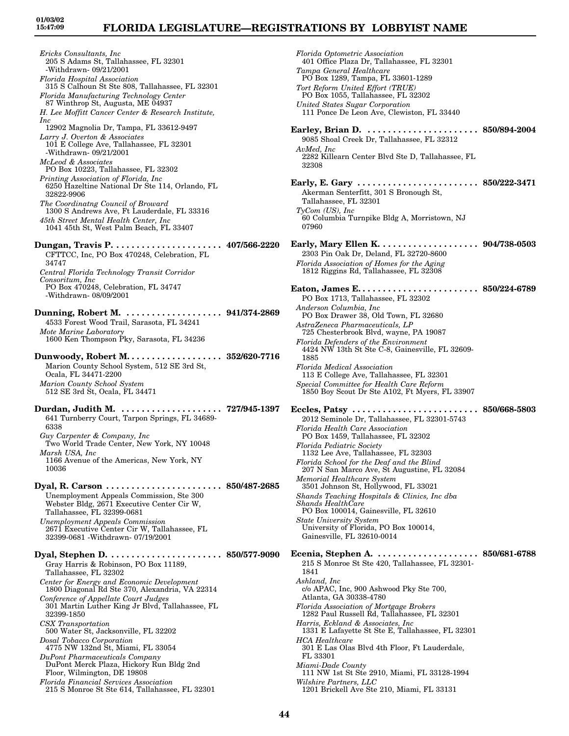*Ericks Consultants, Inc* 205 S Adams St, Tallahassee, FL 32301 -Withdrawn- 09/21/2001 *Florida Hospital Association* 315 S Calhoun St Ste 808, Tallahassee, FL 32301 *Florida Manufacturing Technology Center* 87 Winthrop St, Augusta, ME 04937 *H. Lee Moffitt Cancer Center & Research Institute, Inc* 12902 Magnolia Dr, Tampa, FL 33612-9497 *Larry J. Overton & Associates* 101 E College Ave, Tallahassee, FL 32301 -Withdrawn- 09/21/2001 *McLeod & Associates* PO Box 10223, Tallahassee, FL 32302 *Printing Association of Florida, Inc* 6250 Hazeltine National Dr Ste 114, Orlando, FL 32822-9906 *The Coordinatng Council of Broward* 1300 S Andrews Ave, Ft Lauderdale, FL 33316 *45th Street Mental Health Center, Inc* 1041 45th St, West Palm Beach, FL 33407 **Dungan, Travis P. . . . . . . . . . . . . . . . . . . . . . 407/566-2220** CFTTCC, Inc, PO Box 470248, Celebration, FL 34747 *Central Florida Technology Transit Corridor Consoritum, Inc* PO Box 470248, Celebration, FL 34747 -Withdrawn- 08/09/2001 **Dunning, Robert M. . . . . . . . . . . . . . . . . . . . 941/374-2869** 4533 Forest Wood Trail, Sarasota, FL 34241 *Mote Marine Laboratory* 1600 Ken Thompson Pky, Sarasota, FL 34236 **Dunwoody, Robert M. . . . . . . . . . . . . . . . . . . 352/620-7716** Marion County School System, 512 SE 3rd St, Ocala, FL 34471-2200 *Marion County School System* 512 SE 3rd St, Ocala, FL 34471 **Durdan, Judith M. . . . . . . . . . . . . . . . . . . . . 727/945-1397** 641 Turnberry Court, Tarpon Springs, FL 34689- 6338 *Guy Carpenter & Company, Inc* Two World Trade Center, New York, NY 10048 *Marsh USA, Inc* 1166 Avenue of the Americas, New York, NY 10036 **Dyal, R. Carson . . . . . . . . . . . . . . . . . . . . . . . 850/487-2685** Unemployment Appeals Commission, Ste 300 Webster Bldg, 2671 Executive Center Cir W, Tallahassee, FL 32399-0681 *Unemployment Appeals Commission* 2671 Executive Center Cir W, Tallahassee, FL 32399-0681 -Withdrawn- 07/19/2001 **Dyal, Stephen D. . . . . . . . . . . . . . . . . . . . . . . 850/577-9090** Gray Harris & Robinson, PO Box 11189, Tallahassee, FL 32302 *Center for Energy and Economic Development* 1800 Diagonal Rd Ste 370, Alexandria, VA 22314 *Conference of Appellate Court Judges* 301 Martin Luther King Jr Blvd, Tallahassee, FL 32399-1850 *CSX Transportation* 500 Water St, Jacksonville, FL 32202 *Dosal Tobacco Corporation* 4775 NW 132nd St, Miami, FL 33054 *DuPont Pharmaceuticals Company* DuPont Merck Plaza, Hickory Run Bldg 2nd Floor, Wilmington, DE 19808

*Florida Financial Services Association* 215 S Monroe St Ste 614, Tallahassee, FL 32301

*Florida Optometric Association* 401 Office Plaza Dr, Tallahassee, FL 32301 *Tampa General Healthcare* PO Box 1289, Tampa, FL 33601-1289 *Tort Reform United Effort (TRUE)* PO Box 1055, Tallahassee, FL 32302 *United States Sugar Corporation* 111 Ponce De Leon Ave, Clewiston, FL 33440 **Earley, Brian D. . . . . . . . . . . . . . . . . . . . . . . 850/894-2004** 9085 Shoal Creek Dr, Tallahassee, FL 32312 *AvMed, Inc* 2282 Killearn Center Blvd Ste D, Tallahassee, FL 32308 **Early, E. Gary . . . . . . . . . . . . . . . . . . . . . . . . 850/222-3471** Akerman Senterfitt, 301 S Bronough St, Tallahassee, FL 32301 *TyCom (US), Inc* 60 Columbia Turnpike Bldg A, Morristown, NJ 07960 **Early, Mary Ellen K. . . . . . . . . . . . . . . . . . . . 904/738-0503** 2303 Pin Oak Dr, Deland, FL 32720-8600 *Florida Association of Homes for the Aging* 1812 Riggins Rd, Tallahassee, FL 32308 **Eaton, James E. . . . . . . . . . . . . . . . . . . . . . . . 850/224-6789** PO Box 1713, Tallahassee, FL 32302 *Anderson Columbia, Inc* PO Box Drawer 38, Old Town, FL 32680 *AstraZeneca Pharmaceuticals, LP* 725 Chesterbrook Blvd, wayne, PA 19087 *Florida Defenders of the Environment* 4424 NW 13th St Ste C-8, Gainesville, FL 32609- 1885 *Florida Medical Association* 113 E College Ave, Tallahassee, FL 32301 *Special Committee for Health Care Reform* 1850 Boy Scout Dr Ste A102, Ft Myers, FL 33907 **Eccles, Patsy . . . . . . . . . . . . . . . . . . . . . . . . . 850/668-5803** 2012 Seminole Dr, Tallahassee, FL 32301-5743 *Florida Health Care Association* PO Box 1459, Tallahassee, FL 32302 *Florida Pediatric Society* 1132 Lee Ave, Tallahassee, FL 32303 *Florida School for the Deaf and the Blind* 207 N San Marco Ave, St Augustine, FL 32084 *Memorial Healthcare System* 3501 Johnson St, Hollywood, FL 33021 *Shands Teaching Hospitals & Clinics, Inc dba Shands HealthCare* PO Box 100014, Gainesville, FL 32610 *State University System* University of Florida, PO Box 100014, Gainesville, FL 32610-0014 **Ecenia, Stephen A. . . . . . . . . . . . . . . . . . . . . 850/681-6788** 215 S Monroe St Ste 420, Tallahassee, FL 32301- 1841 *Ashland, Inc* c/o APAC, Inc, 900 Ashwood Pky Ste 700, Atlanta, GA 30338-4780 *Florida Association of Mortgage Brokers* 1282 Paul Russell Rd, Tallahassee, FL 32301 *Harris, Eckland & Associates, Inc* 1331 E Lafayette St Ste E, Tallahassee, FL 32301 *HCA Healthcare* 301 E Las Olas Blvd 4th Floor, Ft Lauderdale, FL 33301 *Miami-Dade County* 111 NW 1st St Ste 2910, Miami, FL 33128-1994 *Wilshire Partners, LLC* 1201 Brickell Ave Ste 210, Miami, FL 33131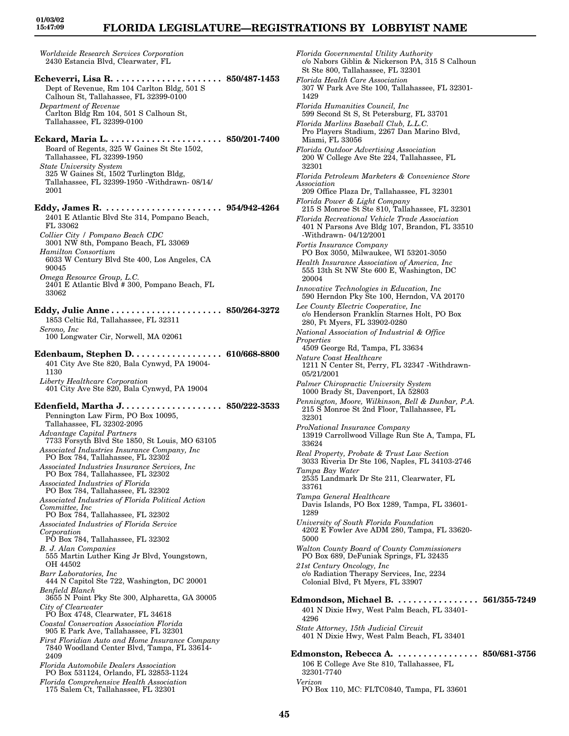# **FLORIDA LEGISLATURE—REGISTRATIONS BY LOBBYIST NAME**

*Worldwide Research Services Corporation* 2430 Estancia Blvd, Clearwater, FL **Echeverri, Lisa R. . . . . . . . . . . . . . . . . . . . . . 850/487-1453** Dept of Revenue, Rm 104 Carlton Bldg, 501 S Calhoun St, Tallahassee, FL 32399-0100 *Department of Revenue* Carlton Bldg Rm 104, 501 S Calhoun St, Tallahassee, FL 32399-0100 **Eckard, Maria L. . . . . . . . . . . . . . . . . . . . . . . 850/201-7400** Board of Regents, 325 W Gaines St Ste 1502, Tallahassee, FL 32399-1950 *State University System* 325 W Gaines St, 1502 Turlington Bldg, Tallahassee, FL 32399-1950 -Withdrawn- 08/14/ 2001 **Eddy, James R. . . . . . . . . . . . . . . . . . . . . . . . 954/942-4264** 2401 E Atlantic Blvd Ste 314, Pompano Beach, FL 33062 *Collier City / Pompano Beach CDC* 3001 NW 8th, Pompano Beach, FL 33069 *Hamilton Consortium* 6033 W Century Blvd Ste 400, Los Angeles, CA 90045 *Omega Resource Group, L.C.*  $2401$  E Atlantic Blvd # 300, Pompano Beach, FL 33062 **Eddy, Julie Anne . . . . . . . . . . . . . . . . . . . . . . 850/264-3272** 1853 Celtic Rd, Tallahassee, FL 32311 *Serono, Inc* 100 Longwater Cir, Norwell, MA 02061 **Edenbaum, Stephen D. . . . . . . . . . . . . . . . . . 610/668-8800** 401 City Ave Ste 820, Bala Cynwyd, PA 19004- 1130 *Liberty Healthcare Corporation* 401 City Ave Ste 820, Bala Cynwyd, PA 19004 **Edenfield, Martha J. . . . . . . . . . . . . . . . . . . . 850/222-3533** Pennington Law Firm, PO Box 10095, Tallahassee, FL 32302-2095 *Advantage Capital Partners* 7733 Forsyth Blvd Ste 1850, St Louis, MO 63105 *Associated Industries Insurance Company, Inc* PO Box 784, Tallahassee, FL 32302 *Associated Industries Insurance Services, Inc* PO Box 784, Tallahassee, FL 32302 *Associated Industries of Florida* PO Box 784, Tallahassee, FL 32302 *Associated Industries of Florida Political Action Committee, Inc* PO Box 784, Tallahassee, FL 32302 *Associated Industries of Florida Service Corporation* PO Box 784, Tallahassee, FL 32302 *B. J. Alan Companies* 555 Martin Luther King Jr Blvd, Youngstown, OH 44502 *Barr Laboratories, Inc* 444 N Capitol Ste 722, Washington, DC 20001 *Benfield Blanch* 3655 N Point Pky Ste 300, Alpharetta, GA 30005 *City of Clearwater* PO Box 4748, Clearwater, FL 34618 *Coastal Conservation Association Florida* 905 E Park Ave, Tallahassee, FL 32301 *First Floridian Auto and Home Insurance Company* 7840 Woodland Center Blvd, Tampa, FL 33614- 2409 *Florida Automobile Dealers Association* PO Box 531124, Orlando, FL 32853-1124

*Florida Comprehensive Health Association* 175 Salem Ct, Tallahassee, FL 32301

*Florida Governmental Utility Authority* c/o Nabors Giblin & Nickerson PA, 315 S Calhoun St Ste 800, Tallahassee, FL 32301 *Florida Health Care Association* 307 W Park Ave Ste 100, Tallahassee, FL 32301- 1429 *Florida Humanities Council, Inc* 599 Second St S, St Petersburg, FL 33701 *Florida Marlins Baseball Club, L.L.C.* Pro Players Stadium, 2267 Dan Marino Blvd, Miami, FL 33056 *Florida Outdoor Advertising Association* 200 W College Ave Ste 224, Tallahassee, FL 32301 *Florida Petroleum Marketers & Convenience Store Association* 209 Office Plaza Dr, Tallahassee, FL 32301 *Florida Power & Light Company* 215 S Monroe St Ste 810, Tallahassee, FL 32301 *Florida Recreational Vehicle Trade Association* 401 N Parsons Ave Bldg 107, Brandon, FL 33510 -Withdrawn- 04/12/2001 *Fortis Insurance Company* PO Box 3050, Milwaukee, WI 53201-3050 *Health Insurance Association of America, Inc* 555 13th St NW Ste 600 E, Washington, DC 20004 *Innovative Technologies in Education, Inc* 590 Herndon Pky Ste 100, Herndon, VA 20170 *Lee County Electric Cooperative, Inc* c/o Henderson Franklin Starnes Holt, PO Box 280, Ft Myers, FL 33902-0280 *National Association of Industrial & Office Properties* 4509 George Rd, Tampa, FL 33634 *Nature Coast Healthcare* 1211 N Center St, Perry, FL 32347 -Withdrawn-05/21/2001 *Palmer Chiropractic University System* 1000 Brady St, Davenport, IA 52803 *Pennington, Moore, Wilkinson, Bell & Dunbar, P.A.* 215 S Monroe St 2nd Floor, Tallahassee, FL 32301 *ProNational Insurance Company* 13919 Carrollwood Village Run Ste A, Tampa, FL 33624 *Real Property, Probate & Trust Law Section* 3033 Riveria Dr Ste 106, Naples, FL 34103-2746 *Tampa Bay Water* 2535 Landmark Dr Ste 211, Clearwater, FL 33761 *Tampa General Healthcare* Davis Islands, PO Box 1289, Tampa, FL 33601- 1289 *University of South Florida Foundation* 4202 E Fowler Ave ADM 280, Tampa, FL 33620- 5000 *Walton County Board of County Commissioners* PO Box 689, DeFuniak Springs, FL 32435 *21st Century Oncology, Inc* c/o Radiation Therapy Services, Inc, 2234 Colonial Blvd, Ft Myers, FL 33907 **Edmondson, Michael B. . . . . . . . . . . . . . . . . 561/355-7249** 401 N Dixie Hwy, West Palm Beach, FL 33401- 4296 *State Attorney, 15th Judicial Circuit* 401 N Dixie Hwy, West Palm Beach, FL 33401 **Edmonston, Rebecca A. . . . . . . . . . . . . . . . . 850/681-3756** 106 E College Ave Ste 810, Tallahassee, FL 32301-7740 *Verizon* PO Box 110, MC: FLTC0840, Tampa, FL 33601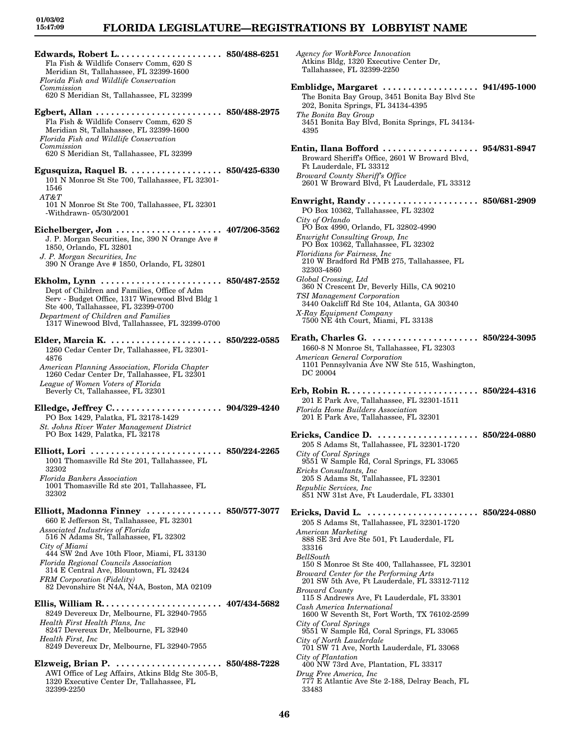# **FLORIDA LEGISLATURE—REGISTRATIONS BY LOBBYIST NAME**

**Edwards, Robert L. . . . . . . . . . . . . . . . . . . . . 850/488-6251** Fla Fish & Wildlife Conserv Comm, 620 S Meridian St, Tallahassee, FL 32399-1600 *Florida Fish and Wildlife Conservation Commission* 620 S Meridian St, Tallahassee, FL 32399 **Egbert, Allan . . . . . . . . . . . . . . . . . . . . . . . . . 850/488-2975** Fla Fish & Wildlife Conserv Comm, 620 S Meridian St, Tallahassee, FL 32399-1600 *Florida Fish and Wildlife Conservation Commission* 620 S Meridian St, Tallahassee, FL 32399 **Egusquiza, Raquel B. . . . . . . . . . . . . . . . . . . 850/425-6330** 101 N Monroe St Ste 700, Tallahassee, FL 32301- 1546 *AT&T* 101 N Monroe St Ste 700, Tallahassee, FL 32301 -Withdrawn- 05/30/2001 **Eichelberger, Jon . . . . . . . . . . . . . . . . . . . . . 407/206-3562** J. P. Morgan Securities, Inc, 390 N Orange Ave # 1850, Orlando, FL 32801 *J. P. Morgan Securities, Inc* 390 N Orange Ave # 1850, Orlando, FL 32801 **Ekholm, Lynn . . . . . . . . . . . . . . . . . . . . . . . . 850/487-2552** Dept of Children and Families, Office of Adm Serv - Budget Office, 1317 Winewood Blvd Bldg 1 Ste 400, Tallahassee, FL 32399-0700 *Department of Children and Families* 1317 Winewood Blvd, Tallahassee, FL 32399-0700 **Elder, Marcia K. . . . . . . . . . . . . . . . . . . . . . . 850/222-0585** 1260 Cedar Center Dr, Tallahassee, FL 32301- 4876 *American Planning Association, Florida Chapter* 1260 Cedar Center Dr, Tallahassee, FL 32301 *League of Women Voters of Florida* Beverly Ct, Tallahassee, FL 32301 **Elledge, Jeffrey C. . . . . . . . . . . . . . . . . . . . . . 904/329-4240** PO Box 1429, Palatka, FL 32178-1429 *St. Johns River Water Management District* PO Box 1429, Palatka, FL 32178 **Elliott, Lori . . . . . . . . . . . . . . . . . . . . . . . . . . 850/224-2265** 1001 Thomasville Rd Ste 201, Tallahassee, FL 32302 *Florida Bankers Association* 1001 Thomasville Rd ste 201, Tallahassee, FL 32302 **Elliott, Madonna Finney . . . . . . . . . . . . . . . 850/577-3077** 660 E Jefferson St, Tallahassee, FL 32301 *Associated Industries of Florida* 516 N Adams St, Tallahassee, FL 32302 *City of Miami* 444 SW 2nd Ave 10th Floor, Miami, FL 33130 *Florida Regional Councils Association* 314 E Central Ave, Blountown, FL 32424 *FRM Corporation (Fidelity)* 82 Devonshire St N4A, N4A, Boston, MA 02109 **Ellis, William R. . . . . . . . . . . . . . . . . . . . . . . . 407/434-5682** 8249 Devereux Dr, Melbourne, FL 32940-7955 *Health First Health Plans, Inc* 8247 Devereux Dr, Melbourne, FL 32940 *Health First, Inc* 8249 Devereux Dr, Melbourne, FL 32940-7955 **Elzweig, Brian P. . . . . . . . . . . . . . . . . . . . . . 850/488-7228**

AWI Office of Leg Affairs, Atkins Bldg Ste 305-B, 1320 Executive Center Dr, Tallahassee, FL 32399-2250

*Agency for WorkForce Innovation* Atkins Bldg, 1320 Executive Center Dr, Tallahassee, FL 32399-2250 **Emblidge, Margaret . . . . . . . . . . . . . . . . . . . 941/495-1000** The Bonita Bay Group, 3451 Bonita Bay Blvd Ste 202, Bonita Springs, FL 34134-4395 *The Bonita Bay Group* 3451 Bonita Bay Blvd, Bonita Springs, FL 34134- 4395 **Entin, Ilana Bofford . . . . . . . . . . . . . . . . . . . 954/831-8947** Broward Sheriff's Office, 2601 W Broward Blvd, Ft Lauderdale, FL 33312 *Broward County Sheriff's Office* 2601 W Broward Blvd, Ft Lauderdale, FL 33312 **Enwright, Randy . . . . . . . . . . . . . . . . . . . . . . 850/681-2909** PO Box 10362, Tallahassee, FL 32302 *City of Orlando* PO Box 4990, Orlando, FL 32802-4990 *Enwright Consulting Group, Inc* PO Box 10362, Tallahassee, FL 32302 *Floridians for Fairness, Inc* 210 W Bradford Rd PMB 275, Tallahassee, FL 32303-4860 *Global Crossing, Ltd* 360 N Crescent Dr, Beverly Hills, CA 90210 *TSI Management Corporation* 3440 Oakcliff Rd Ste 104, Atlanta, GA 30340 *X-Ray Equipment Company* 7500 NE 4th Court, Miami, FL 33138 **Erath, Charles G. . . . . . . . . . . . . . . . . . . . . . 850/224-3095** 1660-8 N Monroe St, Tallahassee, FL 32303 *American General Corporation* 1101 Pennsylvania Ave NW Ste 515, Washington, DC 20004 **Erb, Robin R. . . . . . . . . . . . . . . . . . . . . . . . . . 850/224-4316** 201 E Park Ave, Tallahassee, FL 32301-1511 *Florida Home Builders Association* 201 E Park Ave, Tallahassee, FL 32301 **Ericks, Candice D. . . . . . . . . . . . . . . . . . . . . 850/224-0880** 205 S Adams St, Tallahassee, FL 32301-1720 *City of Coral Springs* 9551 W Sample Rd, Coral Springs, FL 33065 *Ericks Consultants, Inc* 205 S Adams St, Tallahassee, FL 32301 *Republic Services, Inc* 851 NW 31st Ave, Ft Lauderdale, FL 33301 **Ericks, David L. . . . . . . . . . . . . . . . . . . . . . . 850/224-0880** 205 S Adams St, Tallahassee, FL 32301-1720 *American Marketing* 888 SE 3rd Ave Ste 501, Ft Lauderdale, FL 33316 *BellSouth* 150 S Monroe St Ste 400, Tallahassee, FL 32301 *Broward Center for the Performing Arts* 201 SW 5th Ave, Ft Lauderdale, FL 33312-7112 *Broward County* 115 S Andrews Ave, Ft Lauderdale, FL 33301 *Cash America International* 1600 W Seventh St, Fort Worth, TX 76102-2599 *City of Coral Springs* 9551 W Sample Rd, Coral Springs, FL 33065 *City of North Lauderdale* 701 SW 71 Ave, North Lauderdale, FL 33068 *City of Plantation* 400 NW 73rd Ave, Plantation, FL 33317 *Drug Free America, Inc* 777 E Atlantic Ave Ste 2-188, Delray Beach, FL 33483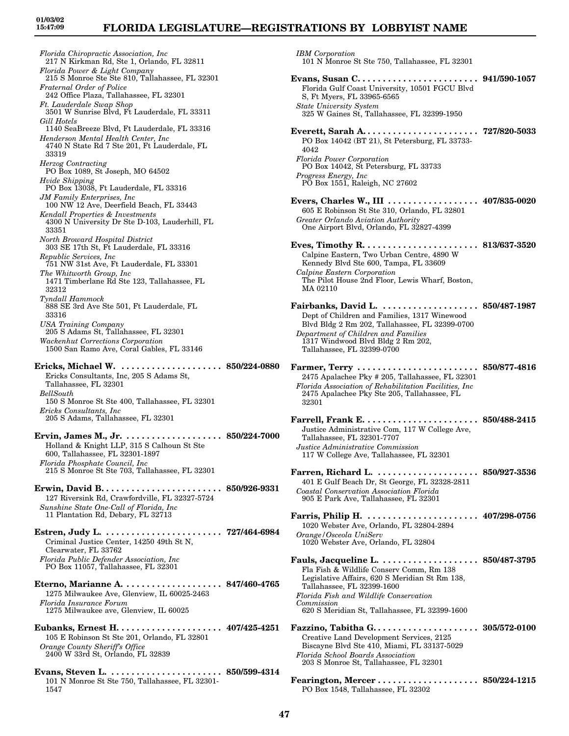### **FLORIDA LEGISLATURE—REGISTRATIONS BY LOBBYIST NAME**

*Florida Chiropractic Association, Inc* 217 N Kirkman Rd, Ste 1, Orlando, FL 32811 *Florida Power & Light Company* 215 S Monroe Ste Ste 810, Tallahassee, FL 32301 *Fraternal Order of Police* 242 Office Plaza, Tallahassee, FL 32301 *Ft. Lauderdale Swap Shop* 3501 W Sunrise Blvd, Ft Lauderdale, FL 33311 *Gill Hotels* 1140 SeaBreeze Blvd, Ft Lauderdale, FL 33316 *Henderson Mental Health Center, Inc* 4740 N State Rd 7 Ste 201, Ft Lauderdale, FL 33319 *Herzog Contracting* PO Box 1089, St Joseph, MO 64502 *Hvide Shipping* PO Box 13038, Ft Lauderdale, FL 33316 *JM Family Enterprises, Inc* 100 NW 12 Ave, Deerfield Beach, FL 33443 *Kendall Properties & Investments* 4300 N University Dr Ste D-103, Lauderhill, FL 33351 *North Broward Hospital District* 303 SE 17th St, Ft Lauderdale, FL 33316 *Republic Services, Inc* 751 NW 31st Ave, Ft Lauderdale, FL 33301 *The Whitworth Group, Inc* 1471 Timberlane Rd Ste 123, Tallahassee, FL 32312 *Tyndall Hammock* 888 SE 3rd Ave Ste 501, Ft Lauderdale, FL 33316 *USA Training Company* 205 S Adams St, Tallahassee, FL 32301 *Wackenhut Corrections Corporation* 1500 San Ramo Ave, Coral Gables, FL 33146 **Ericks, Michael W. . . . . . . . . . . . . . . . . . . . . 850/224-0880** Ericks Consultants, Inc, 205 S Adams St, Tallahassee, FL 32301 *BellSouth* 150 S Monroe St Ste 400, Tallahassee, FL 32301 *Ericks Consultants, Inc* 205 S Adams, Tallahassee, FL 32301 **Ervin, James M., Jr. . . . . . . . . . . . . . . . . . . . 850/224-7000** Holland & Knight LLP, 315 S Calhoun St Ste 600, Tallahassee, FL 32301-1897 *Florida Phosphate Council, Inc* 215 S Monroe St Ste 703, Tallahassee, FL 32301 **Erwin, David B. . . . . . . . . . . . . . . . . . . . . . . . 850/926-9331** 127 Riversink Rd, Crawfordville, FL 32327-5724 *Sunshine State One-Call of Florida, Inc* 11 Plantation Rd, Debary, FL 32713 **Estren, Judy L. . . . . . . . . . . . . . . . . . . . . . . . 727/464-6984** Criminal Justice Center, 14250 49th St N, Clearwater, FL 33762 *Florida Public Defender Association, Inc* PO Box 11057, Tallahassee, FL 32301 **Eterno, Marianne A. . . . . . . . . . . . . . . . . . . . 847/460-4765** 1275 Milwaukee Ave, Glenview, IL 60025-2463 *Florida Insurance Forum* 1275 Milwaukee ave, Glenview, IL 60025 **Eubanks, Ernest H. . . . . . . . . . . . . . . . . . . . . 407/425-4251** 105 E Robinson St Ste 201, Orlando, FL 32801 *Orange County Sheriff's Office* 2400 W 33rd St, Orlando, FL 32839

**Evans, Steven L. . . . . . . . . . . . . . . . . . . . . . . 850/599-4314** 101 N Monroe St Ste 750, Tallahassee, FL 32301- 1547

*IBM Corporation*

- 101 N Monroe St Ste 750, Tallahassee, FL 32301 **Evans, Susan C. . . . . . . . . . . . . . . . . . . . . . . . 941/590-1057** Florida Gulf Coast University, 10501 FGCU Blvd S, Ft Myers, FL 33965-6565 *State University System* 325 W Gaines St, Tallahassee, FL 32399-1950 **Everett, Sarah A. . . . . . . . . . . . . . . . . . . . . . . 727/820-5033** PO Box 14042 (BT 21), St Petersburg, FL 33733- 4042 *Florida Power Corporation* PO Box 14042, St Petersburg, FL 33733 *Progress Energy, Inc* PO Box 1551, Raleigh, NC 27602 **Evers, Charles W., III . . . . . . . . . . . . . . . . . . 407/835-0020** 605 E Robinson St Ste 310, Orlando, FL 32801 *Greater Orlando Aviation Authority* One Airport Blvd, Orlando, FL 32827-4399 **Eves, Timothy R. . . . . . . . . . . . . . . . . . . . . . . 813/637-3520** Calpine Eastern, Two Urban Centre, 4890 W Kennedy Blvd Ste 600, Tampa, FL 33609 *Calpine Eastern Corporation* The Pilot House 2nd Floor, Lewis Wharf, Boston, MA 02110 **Fairbanks, David L. . . . . . . . . . . . . . . . . . . . 850/487-1987** Dept of Children and Families, 1317 Winewood Blvd Bldg 2 Rm 202, Tallahassee, FL 32399-0700 *Department of Children and Families* 1317 Windwood Blvd Bldg 2 Rm 202, Tallahassee, FL 32399-0700 **Farmer, Terry . . . . . . . . . . . . . . . . . . . . . . . . 850/877-4816** 2475 Apalachee Pky # 205, Tallahassee, FL 32301 *Florida Association of Rehabilitation Facilities, Inc* 2475 Apalachee Pky Ste 205, Tallahassee, FL 32301 **Farrell, Frank E. . . . . . . . . . . . . . . . . . . . . . . 850/488-2415** Justice Administrative Com, 117 W College Ave, Tallahassee, FL 32301-7707 *Justice Administrative Commission* 117 W College Ave, Tallahassee, FL 32301 **Farren, Richard L. . . . . . . . . . . . . . . . . . . . . 850/927-3536** 401 E Gulf Beach Dr, St George, FL 32328-2811 *Coastal Conservation Association Florida* 905 E Park Ave, Tallahassee, FL 32301 **Farris, Philip H. . . . . . . . . . . . . . . . . . . . . . . 407/298-0756** 1020 Webster Ave, Orlando, FL 32804-2894 *Orange/Osceola UniServ* 1020 Webster Ave, Orlando, FL 32804 **Fauls, Jacqueline L. . . . . . . . . . . . . . . . . . . . 850/487-3795** Fla Fish & Wildlife Conserv Comm, Rm 138 Legislative Affairs, 620 S Meridian St Rm 138, Tallahassee, FL 32399-1600 *Florida Fish and Wildlife Conservation Commission* 620 S Meridian St, Tallahassee, FL 32399-1600 **Fazzino, Tabitha G. . . . . . . . . . . . . . . . . . . . . 305/572-0100**
	- Creative Land Development Services, 2125 Biscayne Blvd Ste 410, Miami, FL 33137-5029 *Florida School Boards Association* 203 S Monroe St, Tallahassee, FL 32301
	- **Fearington, Mercer . . . . . . . . . . . . . . . . . . . . 850/224-1215** PO Box 1548, Tallahassee, FL 32302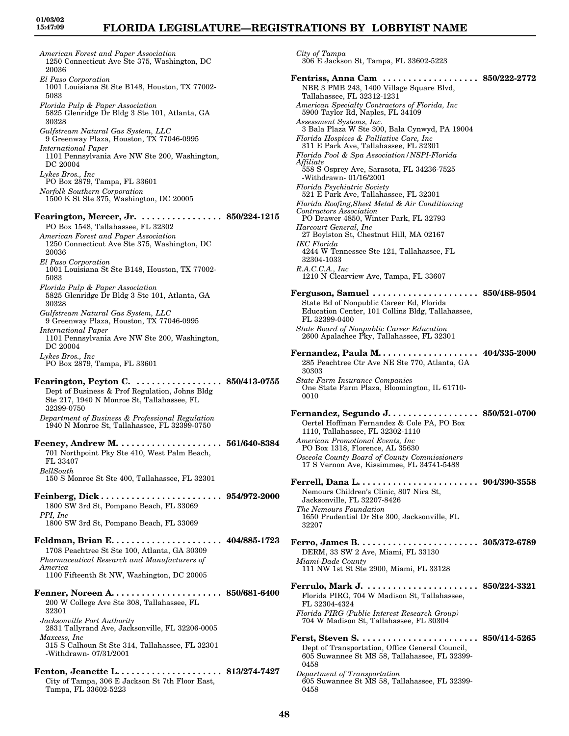*American Forest and Paper Association* 1250 Connecticut Ave Ste 375, Washington, DC 20036 *El Paso Corporation* 1001 Louisiana St Ste B148, Houston, TX 77002- 5083 *Florida Pulp & Paper Association* 5825 Glenridge Dr Bldg 3 Ste 101, Atlanta, GA 30328 *Gulfstream Natural Gas System, LLC* 9 Greenway Plaza, Houston, TX 77046-0995 *International Paper* 1101 Pennsylvania Ave NW Ste 200, Washington, DC 20004 *Lykes Bros., Inc* PO Box 2879, Tampa, FL 33601 *Norfolk Southern Corporation* 1500 K St Ste 375, Washington, DC 20005 **Fearington, Mercer, Jr. . . . . . . . . . . . . . . . . 850/224-1215** PO Box 1548, Tallahassee, FL 32302 *American Forest and Paper Association* 1250 Connecticut Ave Ste 375, Washington, DC 20036 *El Paso Corporation* 1001 Louisiana St Ste B148, Houston, TX 77002- 5083 *Florida Pulp & Paper Association* 5825 Glenridge Dr Bldg 3 Ste 101, Atlanta, GA 30328 *Gulfstream Natural Gas System, LLC* 9 Greenway Plaza, Houston, TX 77046-0995 *International Paper* 1101 Pennsylvania Ave NW Ste 200, Washington, DC 20004 *Lykes Bros., Inc* PO Box 2879, Tampa, FL 33601 **Fearington, Peyton C. . . . . . . . . . . . . . . . . . 850/413-0755** Dept of Business & Prof Regulation, Johns Bldg Ste 217, 1940 N Monroe St, Tallahassee, FL 32399-0750 *Department of Business & Professional Regulation* 1940 N Monroe St, Tallahassee, FL 32399-0750 **Feeney, Andrew M. . . . . . . . . . . . . . . . . . . . . 561/640-8384** 701 Northpoint Pky Ste 410, West Palm Beach, FL 33407 *BellSouth* 150 S Monroe St Ste 400, Tallahassee, FL 32301 **Feinberg, Dick . . . . . . . . . . . . . . . . . . . . . . . . 954/972-2000** 1800 SW 3rd St, Pompano Beach, FL 33069 *PPI, Inc* 1800 SW 3rd St, Pompano Beach, FL 33069 **Feldman, Brian E. . . . . . . . . . . . . . . . . . . . . . 404/885-1723** 1708 Peachtree St Ste 100, Atlanta, GA 30309 *Pharmaceutical Research and Manufacturers of America* 1100 Fifteenth St NW, Washington, DC 20005 **Fenner, Noreen A. . . . . . . . . . . . . . . . . . . . . . 850/681-6400** 200 W College Ave Ste 308, Tallahassee, FL 32301 *Jacksonville Port Authority* 2831 Tallyrand Ave, Jacksonville, FL 32206-0005 *Maxcess, Inc* 315 S Calhoun St Ste 314, Tallahassee, FL 32301 -Withdrawn- 07/31/2001 **Fenton, Jeanette L. . . . . . . . . . . . . . . . . . . . . 813/274-7427** City of Tampa, 306 E Jackson St 7th Floor East, Tampa, FL 33602-5223

*City of Tampa* 306 E Jackson St, Tampa, FL 33602-5223 **Fentriss, Anna Cam . . . . . . . . . . . . . . . . . . . 850/222-2772** NBR 3 PMB 243, 1400 Village Square Blvd, Tallahassee, FL 32312-1231 *American Specialty Contractors of Florida, Inc* 5900 Taylor Rd, Naples, FL 34109 *Assessment Systems, Inc.* 3 Bala Plaza W Ste 300, Bala Cynwyd, PA 19004 *Florida Hospices & Palliative Care, Inc* 311 E Park Ave, Tallahassee, FL 32301 *Florida Pool & Spa Association/NSPI-Florida Affiliate* 558 S Osprey Ave, Sarasota, FL 34236-7525 -Withdrawn- 01/16/2001 *Florida Psychiatric Society* 521 E Park Ave, Tallahassee, FL 32301 *Florida Roofing,Sheet Metal & Air Conditioning Contractors Association* PO Drawer 4850, Winter Park, FL 32793 *Harcourt General, Inc* 27 Boylston St, Chestnut Hill, MA 02167 *IEC Florida* 4244 W Tennessee Ste 121, Tallahassee, FL 32304-1033 *R.A.C.C.A., Inc* 1210 N Clearview Ave, Tampa, FL 33607 **Ferguson, Samuel . . . . . . . . . . . . . . . . . . . . . 850/488-9504** State Bd of Nonpublic Career Ed, Florida Education Center, 101 Collins Bldg, Tallahassee, FL 32399-0400 *State Board of Nonpublic Career Education* 2600 Apalachee Pky, Tallahassee, FL 32301 **Fernandez, Paula M. . . . . . . . . . . . . . . . . . . . 404/335-2000** 285 Peachtree Ctr Ave NE Ste 770, Atlanta, GA 30303 *State Farm Insurance Companies* One State Farm Plaza, Bloomington, IL 61710- 0010 **Fernandez, Segundo J. . . . . . . . . . . . . . . . . . 850/521-0700** Oertel Hoffman Fernandez & Cole PA, PO Box 1110, Tallahassee, FL 32302-1110 *American Promotional Events, Inc* PO Box 1318, Florence, AL 35630 *Osceola County Board of County Commissioners* 17 S Vernon Ave, Kissimmee, FL 34741-5488 **Ferrell, Dana L. . . . . . . . . . . . . . . . . . . . . . . . 904/390-3558** Nemours Children's Clinic, 807 Nira St, Jacksonville, FL 32207-8426 *The Nemours Foundation* 1650 Prudential Dr Ste 300, Jacksonville, FL 32207 **Ferro, James B. . . . . . . . . . . . . . . . . . . . . . . . 305/372-6789** DERM, 33 SW 2 Ave, Miami, FL 33130 *Miami-Dade County* 111 NW 1st St Ste 2900, Miami, FL 33128 **Ferrulo, Mark J. . . . . . . . . . . . . . . . . . . . . . . 850/224-3321** Florida PIRG, 704 W Madison St, Tallahassee, FL 32304-4324 *Florida PIRG (Public Interest Research Group)* 704 W Madison St, Tallahassee, FL 30304 **Ferst, Steven S. . . . . . . . . . . . . . . . . . . . . . . . 850/414-5265** Dept of Transportation, Office General Council, 605 Suwannee St MS 58, Tallahassee, FL 32399- 0458 *Department of Transportation* 605 Suwannee St MS 58, Tallahassee, FL 32399- 0458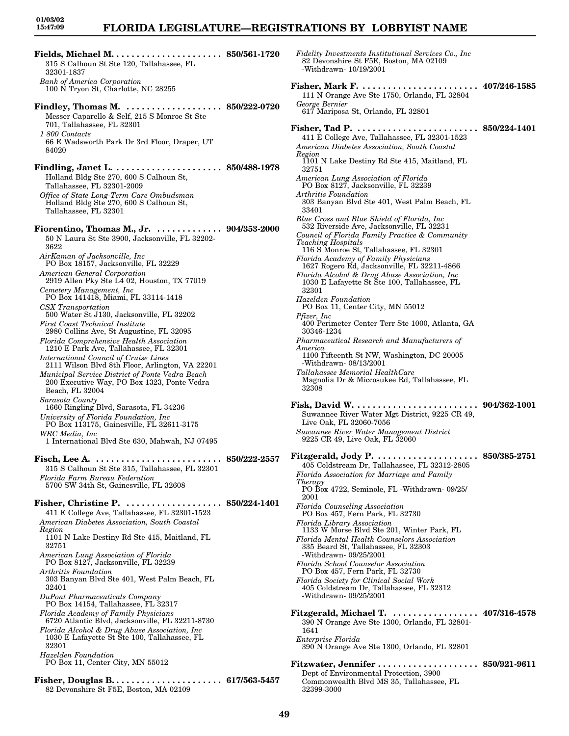| 315 S Calhoun St Ste 120, Tallahassee, FL<br>32301-1837                                                                                              | <b>Fidelity Investments Institutional Services Co., Inc.</b><br>82 Devonshire St F5E, Boston, MA 02109<br>-Withdrawn- 10/19/2001                                                      |
|------------------------------------------------------------------------------------------------------------------------------------------------------|---------------------------------------------------------------------------------------------------------------------------------------------------------------------------------------|
| <b>Bank of America Corporation</b><br>100 N Tryon St, Charlotte, NC 28255                                                                            | 111 N Orange Ave Ste 1750, Orlando, FL 32804                                                                                                                                          |
| Findley, Thomas M.  850/222-0720<br>Messer Caparello & Self, 215 S Monroe St Ste<br>701, Tallahassee, FL 32301                                       | George Bernier<br>617 Mariposa St, Orlando, FL 32801<br>Fisher, Tad P.                                                                                                                |
| 1 800 Contacts<br>66 E Wadsworth Park Dr 3rd Floor, Draper, UT<br>84020                                                                              | 411 E College Ave, Tallahassee, FL 32301-1523<br>American Diabetes Association, South Coastal<br>Region                                                                               |
| Holland Bldg Ste 270, 600 S Calhoun St,                                                                                                              | 1101 N Lake Destiny Rd Ste 415, Maitland, FL<br>32751<br>American Lung Association of Florida                                                                                         |
| Tallahassee, FL 32301-2009<br>Office of State Long-Term Care Ombudsman<br>Holland Bldg Ste 270, 600 S Calhoun St,                                    | PO Box 8127, Jacksonville, FL 32239<br>Arthritis Foundation<br>303 Banyan Blvd Ste 401, West Palm Beach, FL                                                                           |
| Tallahassee, FL 32301                                                                                                                                | 33401<br>Blue Cross and Blue Shield of Florida, Inc.<br>532 Riverside Ave, Jacksonville, FL 32231                                                                                     |
| Fiorentino, Thomas M., Jr. $\dots\dots\dots\dots$ 904/353-2000<br>50 N Laura St Ste 3900, Jacksonville, FL 32202-<br>3622                            | Council of Florida Family Practice & Community<br><b>Teaching Hospitals</b><br>116 S Monroe St, Tallahassee, FL 32301                                                                 |
| AirKaman of Jacksonville, Inc<br>PO Box 18157, Jacksonville, FL 32229<br>American General Corporation<br>2919 Allen Pky Ste L4 02, Houston, TX 77019 | Florida Academy of Family Physicians<br>1627 Rogero Rd, Jacksonville, FL 32211-4866<br>Florida Alcohol & Drug Abuse Association, Inc.<br>1030 E Lafayette St Ste 100, Tallahassee, FL |
| Cemetery Management, Inc.<br>PO Box 141418, Miami, FL 33114-1418                                                                                     | 32301<br>Hazelden Foundation                                                                                                                                                          |
| CSX Transportation<br>500 Water St J130, Jacksonville, FL 32202<br><b>First Coast Technical Institute</b>                                            | PO Box 11, Center City, MN 55012<br><i>Pfizer</i> , <i>Inc</i><br>400 Perimeter Center Terr Ste 1000, Atlanta, GA                                                                     |
| 2980 Collins Ave, St Augustine, FL 32095<br>Florida Comprehensive Health Association                                                                 | 30346-1234<br>Pharmaceutical Research and Manufacturers of                                                                                                                            |
| 1210 E Park Ave, Tallahassee, FL 32301<br>International Council of Cruise Lines<br>2111 Wilson Blvd 8th Floor, Arlington, VA 22201                   | America<br>1100 Fifteenth St NW, Washington, DC 20005<br>-Withdrawn- 08/13/2001                                                                                                       |
| Municipal Service District of Ponte Vedra Beach<br>200 Executive Way, PO Box 1323, Ponte Vedra<br>Beach, FL 32004                                    | Tallahassee Memorial HealthCare<br>Magnolia Dr & Miccosukee Rd, Tallahassee, FL<br>32308                                                                                              |
| Sarasota County<br>1660 Ringling Blvd, Sarasota, FL 34236<br>University of Florida Foundation, Inc.                                                  | Fisk, David W.<br>Suwannee River Water Mgt District, 9225 CR 49<br>Live Oak, FL 32060-7056                                                                                            |
| PO Box 113175, Gainesville, FL 32611-3175<br>WRC Media, Inc.<br>1 International Blvd Ste 630, Mahwah, NJ 07495                                       | Suwannee River Water Management District<br>9225 CR 49, Live Oak, FL 32060                                                                                                            |
| $315$ S Calhoun St<br>Ste $315,$ Tallahassee, FL $32301$<br>Florida Farm Bureau Federation                                                           | Fitzgerald, Jody P.<br>405 Coldstream Dr, Tallahassee, FL 32312-2805<br>Florida Association for Marriage and Family                                                                   |
| 5700 SW 34th St, Gainesville, FL 32608                                                                                                               | Therapy<br>PO Box 4722, Seminole, FL -Withdrawn-09/25/<br>2001                                                                                                                        |
| Fisher, Christine P.  850/224-1401<br>411 E College Ave, Tallahassee, FL 32301-1523                                                                  | <b>Florida Counseling Association</b><br>PO Box 457, Fern Park, FL 32730                                                                                                              |
| American Diabetes Association, South Coastal<br>Region<br>1101 N Lake Destiny Rd Ste 415, Maitland, FL                                               | Florida Library Association<br>1133 W Morse Blvd Ste 201, Winter Park, FL<br>Florida Mental Health Counselors Association                                                             |
| 32751<br>American Lung Association of Florida<br>PO Box 8127, Jacksonville, FL 32239                                                                 | 335 Beard St, Tallahassee, FL 32303<br>-Withdrawn-09/25/2001<br><b>Florida School Counselor Association</b>                                                                           |
| Arthritis Foundation<br>303 Banyan Blvd Ste 401, West Palm Beach, FL                                                                                 | PO Box 457, Fern Park, FL 32730<br>Florida Society for Clinical Social Work                                                                                                           |
| 32401<br>DuPont Pharmaceuticals Company<br>PO Box 14154, Tallahassee, FL 32317                                                                       | 405 Coldstream Dr, Tallahassee, FL 32312<br>-Withdrawn- $09/25/2001$                                                                                                                  |
| Florida Academy of Family Physicians<br>6720 Atlantic Blvd, Jacksonville, FL 32211-8730                                                              | Fitzgerald, Michael T.<br>390 N Orange Ave Ste 1300, Orlando, FL 32801-                                                                                                               |
| Florida Alcohol & Drug Abuse Association, Inc.<br>1030 E Lafayette St Ste 100, Tallahassee, FL<br>32301                                              | 1641<br><i>Enterprise Florida</i><br>390 N Orange Ave Ste 1300, Orlando, FL 32801                                                                                                     |
| Hazelden Foundation<br>PO Box 11, Center City, MN 55012                                                                                              | Fitzwater, Jennifer                                                                                                                                                                   |
| 82 Devonshire St F5E, Boston, MA 02109                                                                                                               | Dept of Environmental Protection, 3900<br>Commonwealth Blvd MS 35, Tallahassee, FL<br>32399-3000                                                                                      |

-Withdrawn- 10/19/2001 **Fisher, Mark F. . . . . . . . . . . . . . . . . . . . . . . . 407/246-1585** 111 N Orange Ave Ste 1750, Orlando, FL 32804 *George Bernier* 617 Mariposa St, Orlando, FL 32801 **Fisher, Tad P. . . . . . . . . . . . . . . . . . . . . . . . . 850/224-1401** 411 E College Ave, Tallahassee, FL 32301-1523 *American Diabetes Association, South Coastal Region* 1101 N Lake Destiny Rd Ste 415, Maitland, FL 32751 *American Lung Association of Florida* PO Box 8127, Jacksonville, FL 32239 *Arthritis Foundation* 303 Banyan Blvd Ste 401, West Palm Beach, FL 33401 *Blue Cross and Blue Shield of Florida, Inc* 532 Riverside Ave, Jacksonville, FL 32231 *Council of Florida Family Practice & Community Teaching Hospitals* 116 S Monroe St, Tallahassee, FL 32301 *Florida Academy of Family Physicians* 1627 Rogero Rd, Jacksonville, FL 32211-4866 *Florida Alcohol & Drug Abuse Association, Inc* 1030 E Lafayette St Ste 100, Tallahassee, FL 32301 *Hazelden Foundation* PO Box 11, Center City, MN 55012 *Pfizer, Inc* 400 Perimeter Center Terr Ste 1000, Atlanta, GA 30346-1234 *Pharmaceutical Research and Manufacturers of America* 1100 Fifteenth St NW, Washington, DC 20005 -Withdrawn- 08/13/2001 *Tallahassee Memorial HealthCare* Magnolia Dr & Miccosukee Rd, Tallahassee, FL 32308 **Fisk, David W. . . . . . . . . . . . . . . . . . . . . . . . . 904/362-1001** Suwannee River Water Mgt District, 9225 CR 49, Live Oak, FL 32060-7056 *Suwannee River Water Management District* 9225 CR 49, Live Oak, FL 32060 **Fitzgerald, Jody P. . . . . . . . . . . . . . . . . . . . . 850/385-2751** 405 Coldstream Dr, Tallahassee, FL 32312-2805 *Florida Association for Marriage and Family Therapy* PO Box 4722, Seminole, FL -Withdrawn- 09/25/ 2001 *Florida Counseling Association* PO Box 457, Fern Park, FL 32730 *Florida Library Association* 1133 W Morse Blvd Ste 201, Winter Park, FL *Florida Mental Health Counselors Association* 335 Beard St, Tallahassee, FL 32303 -Withdrawn- 09/25/2001 *Florida School Counselor Association* PO Box 457, Fern Park, FL 32730 *Florida Society for Clinical Social Work* 405 Coldstream Dr, Tallahassee, FL 32312 -Withdrawn- 09/25/2001 **Fitzgerald, Michael T. . . . . . . . . . . . . . . . . . 407/316-4578** 390 N Orange Ave Ste 1300, Orlando, FL 32801- 1641 *Enterprise Florida* 390 N Orange Ave Ste 1300, Orlando, FL 32801 **Fitzwater, Jennifer . . . . . . . . . . . . . . . . . . . . 850/921-9611** Dept of Environmental Protection, 3900 Commonwealth Blvd MS 35, Tallahassee, FL 32399-3000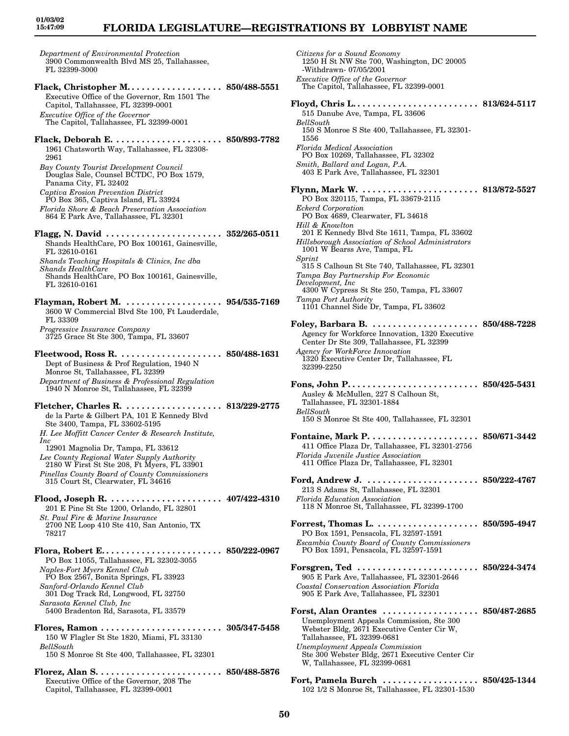### **FLORIDA LEGISLATURE—REGISTRATIONS BY LOBBYIST NAME**

*Department of Environmental Protection* 3900 Commonwealth Blvd MS 25, Tallahassee, FL 32399-3000

- **Flack, Christopher M. . . . . . . . . . . . . . . . . . . 850/488-5551** Executive Office of the Governor, Rm 1501 The Capitol, Tallahassee, FL 32399-0001 *Executive Office of the Governor* The Capitol, Tallahassee, FL 32399-0001
- **Flack, Deborah E. . . . . . . . . . . . . . . . . . . . . . 850/893-7782** 1961 Chatsworth Way, Tallahassee, FL 32308- 2961
- *Bay County Tourist Development Council* Douglas Sale, Counsel BCTDC, PO Box 1579, Panama City, FL 32402
- *Captiva Erosion Prevention District* PO Box 365, Captiva Island, FL 33924 *Florida Shore & Beach Preservation Association*
- 864 E Park Ave, Tallahassee, FL 32301
- **Flagg, N. David . . . . . . . . . . . . . . . . . . . . . . . 352/265-0511** Shands HealthCare, PO Box 100161, Gainesville, FL 32610-0161 *Shands Teaching Hospitals & Clinics, Inc dba Shands HealthCare* Shands HealthCare, PO Box 100161, Gainesville,
- FL 32610-0161
- **Flayman, Robert M. . . . . . . . . . . . . . . . . . . . 954/535-7169** 3600 W Commercial Blvd Ste 100, Ft Lauderdale, FL 33309 *Progressive Insurance Company*
- 3725 Grace St Ste 300, Tampa, FL 33607 **Fleetwood, Ross R. . . . . . . . . . . . . . . . . . . . . 850/488-1631**
- Dept of Business & Prof Regulation, 1940 N Monroe St, Tallahassee, FL 32399 *Department of Business & Professional Regulation* 1940 N Monroe St, Tallahassee, FL 32399
- **Fletcher, Charles R. . . . . . . . . . . . . . . . . . . . 813/229-2775** de la Parte & Gilbert PA, 101 E Kennedy Blvd Ste 3400, Tampa, FL 33602-5195 *H. Lee Moffitt Cancer Center & Research Institute, Inc* 12901 Magnolia Dr, Tampa, FL 33612 *Lee County Regional Water Supply Authority*
- 2180 W First St Ste 208, Ft Myers, FL 33901 *Pinellas County Board of County Commissioners* 315 Court St, Clearwater, FL 34616
- **Flood, Joseph R. . . . . . . . . . . . . . . . . . . . . . . 407/422-4310** 201 E Pine St Ste 1200, Orlando, FL 32801 *St. Paul Fire & Marine Insurance* 2700 NE Loop 410 Ste 410, San Antonio, TX 78217
- **Flora, Robert E. . . . . . . . . . . . . . . . . . . . . . . . 850/222-0967** PO Box 11055, Tallahassee, FL 32302-3055 *Naples-Fort Myers Kennel Club* PO Box 2567, Bonita Springs, FL 33923 *Sanford-Orlando Kennel Club* 301 Dog Track Rd, Longwood, FL 32750 *Sarasota Kennel Club, Inc* 5400 Bradenton Rd, Sarasota, FL 33579
- **Flores, Ramon . . . . . . . . . . . . . . . . . . . . . . . . 305/347-5458** 150 W Flagler St Ste 1820, Miami, FL 33130 *BellSouth* 150 S Monroe St Ste 400, Tallahassee, FL 32301
- **Florez, Alan S. . . . . . . . . . . . . . . . . . . . . . . . . 850/488-5876** Executive Office of the Governor, 208 The Capitol, Tallahassee, FL 32399-0001

*Citizens for a Sound Economy* 1250 H St NW Ste 700, Washington, DC 20005 -Withdrawn- 07/05/2001 *Executive Office of the Governor* The Capitol, Tallahassee, FL 32399-0001 **Floyd, Chris L. . . . . . . . . . . . . . . . . . . . . . . . . 813/624-5117** 515 Danube Ave, Tampa, FL 33606 *BellSouth* 150 S Monroe S Ste 400, Tallahassee, FL 32301- 1556 *Florida Medical Association* PO Box 10269, Tallahassee, FL 32302 *Smith, Ballard and Logan, P.A.* 403 E Park Ave, Tallahassee, FL 32301 **Flynn, Mark W. . . . . . . . . . . . . . . . . . . . . . . . 813/872-5527** PO Box 320115, Tampa, FL 33679-2115 *Eckerd Corporation* PO Box 4689, Clearwater, FL 34618 *Hill & Knowlton* 201 E Kennedy Blvd Ste 1611, Tampa, FL 33602 *Hillsborough Association of School Administrators* 1001 W Bearss Ave, Tampa, FL *Sprint* 315 S Calhoun St Ste 740, Tallahassee, FL 32301 *Tampa Bay Partnership For Economic Development, Inc* 4300 W Cypress St Ste 250, Tampa, FL 33607 *Tampa Port Authority* 1101 Channel Side Dr, Tampa, FL 33602 **Foley, Barbara B. . . . . . . . . . . . . . . . . . . . . . 850/488-7228** Agency for Workforce Innovation, 1320 Executive Center Dr Ste 309, Tallahassee, FL 32399 *Agency for WorkForce Innovation* 1320 Executive Center Dr, Tallahassee, FL 32399-2250 **Fons, John P. . . . . . . . . . . . . . . . . . . . . . . . . . 850/425-5431** Ausley & McMullen, 227 S Calhoun St, Tallahassee, FL 32301-1884 *BellSouth* 150 S Monroe St Ste 400, Tallahassee, FL 32301 **Fontaine, Mark P. . . . . . . . . . . . . . . . . . . . . . 850/671-3442** 411 Office Plaza Dr, Tallahassee, FL 32301-2756 *Florida Juvenile Justice Association* 411 Office Plaza Dr, Tallahassee, FL 32301 **Ford, Andrew J. . . . . . . . . . . . . . . . . . . . . . . 850/222-4767** 213 S Adams St, Tallahassee, FL 32301 *Florida Education Association* 118 N Monroe St, Tallahassee, FL 32399-1700 **Forrest, Thomas L. . . . . . . . . . . . . . . . . . . . . 850/595-4947** PO Box 1591, Pensacola, FL 32597-1591 *Escambia County Board of County Commissioners* PO Box 1591, Pensacola, FL 32597-1591 **Forsgren, Ted . . . . . . . . . . . . . . . . . . . . . . . . 850/224-3474** 905 E Park Ave, Tallahassee, FL 32301-2646 *Coastal Conservation Association Florida* 905 E Park Ave, Tallahassee, FL 32301 **Forst, Alan Orantes . . . . . . . . . . . . . . . . . . . 850/487-2685** Unemployment Appeals Commission, Ste 300 Webster Bldg, 2671 Executive Center Cir W, Tallahassee, FL 32399-0681 *Unemployment Appeals Commission* Ste 300 Webster Bldg, 2671 Executive Center Cir W, Tallahassee, FL 32399-0681 **Fort, Pamela Burch . . . . . . . . . . . . . . . . . . . 850/425-1344**

102 1/2 S Monroe St, Tallahassee, FL 32301-1530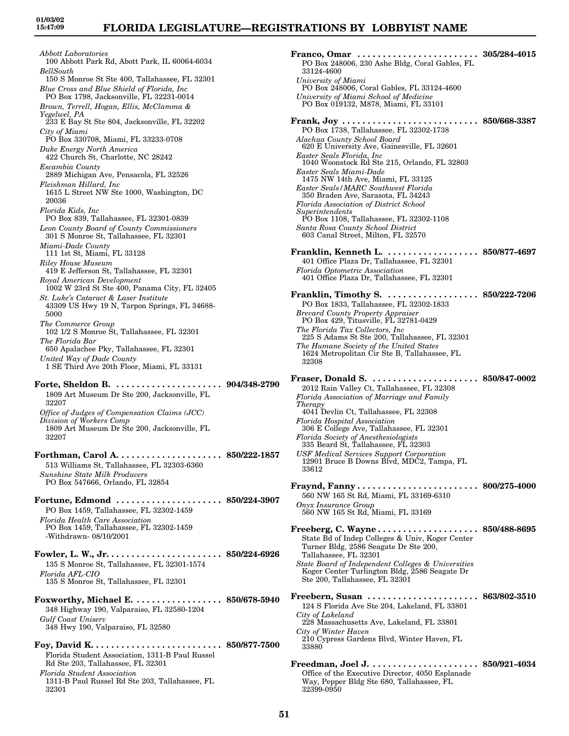*Abbott Laboratories* 100 Abbott Park Rd, Abott Park, IL 60064-6034 *BellSouth* 150 S Monroe St Ste 400, Tallahassee, FL 32301 *Blue Cross and Blue Shield of Florida, Inc* PO Box 1798, Jacksonville, FL 32231-0014 *Brown, Terrell, Hogan, Ellis, McClamma & Yegelwel, PA* 233 E Bay St Ste 804, Jacksonville, FL 32202 *City of Miami* PO Box 330708, Miami, FL 33233-0708 *Duke Energy North America* 422 Church St, Charlotte, NC 28242 *Escambia County* 2889 Michigan Ave, Pensacola, FL 32526 *Fleishman Hillard, Inc* 1615 L Street NW Ste 1000, Washington, DC 20036 *Florida Kids, Inc* PO Box 839, Tallahassee, FL 32301-0839 *Leon County Board of County Commissioners* 301 S Monroe St, Tallahassee, FL 32301 *Miami-Dade County* 111 1st St, Miami, FL 33128 *Riley House Museum* 419 E Jefferson St, Tallahassee, FL 32301 *Royal American Development* 1002 W 23rd St Ste 400, Panama City, FL 32405 *St. Luke's Cataract & Laser Institute* 43309 US Hwy 19 N, Tarpon Springs, FL 34688- 5000 *The Commerce Group* 102 1/2 S Monroe St, Tallahassee, FL 32301 *The Florida Bar* 650 Apalachee Pky, Tallahassee, FL 32301 *United Way of Dade County* 1 SE Third Ave 20th Floor, Miami, FL 33131 **Forte, Sheldon B. . . . . . . . . . . . . . . . . . . . . . 904/348-2790** 1809 Art Museum Dr Ste 200, Jacksonville, FL 32207 *Office of Judges of Compensation Claims (JCC) Division of Workers Comp* 1809 Art Museum Dr Ste 200, Jacksonville, FL 32207 **Forthman, Carol A. . . . . . . . . . . . . . . . . . . . . 850/222-1857** 513 Williams St, Tallahassee, FL 32303-6360 *Sunshine State Milk Producers* PO Box 547666, Orlando, FL 32854 **Fortune, Edmond . . . . . . . . . . . . . . . . . . . . . 850/224-3907** PO Box 1459, Tallahassee, FL 32302-1459 *Florida Health Care Association* PO Box 1459, Tallahassee, FL 32302-1459 -Withdrawn- 08/10/2001 **Fowler, L. W., Jr. . . . . . . . . . . . . . . . . . . . . . . 850/224-6926** 135 S Monroe St, Tallahassee, FL 32301-1574 *Florida AFL-CIO* 135 S Monroe St, Tallahassee, FL 32301 **Foxworthy, Michael E. . . . . . . . . . . . . . . . . . 850/678-5940** 348 Highway 190, Valparaiso, FL 32580-1204 *Gulf Coast Uniserv* 348 Hwy 190, Valparaiso, FL 32580 **Foy, David K. . . . . . . . . . . . . . . . . . . . . . . . . . 850/877-7500**

Florida Student Association, 1311-B Paul Russel Rd Ste 203, Tallahassee, FL 32301 *Florida Student Association*

1311-B Paul Russel Rd Ste 203, Tallahassee, FL 32301

| Franco, Omar  305/284-4015                                                                          |                             |
|-----------------------------------------------------------------------------------------------------|-----------------------------|
| PO Box 248006, 230 Ashe Bldg, Coral Gables, FL<br>33124-4600                                        |                             |
| University of Miami                                                                                 |                             |
| PO Box 248006, Coral Gables, FL 33124-4600<br>University of Miami School of Medicine                |                             |
| PO Box 019132, M878, Miami, FL 33101                                                                |                             |
| PO Box 1738, Tallahassee, FL 32302-1738                                                             |                             |
| Alachua County School Board                                                                         |                             |
| 620 E University Ave, Gainesville, FL 32601<br>Easter Seals Florida, Inc                            |                             |
| 1040 Woonstock Rd Ste 215, Orlando, FL 32803                                                        |                             |
| Easter Seals Miami-Dade<br>1475 NW 14th Ave, Miami, FL 33125                                        |                             |
| Easter Seals/MARC Southwest Florida<br>350 Braden Ave, Sarasota, FL 34243                           |                             |
| <b>Florida Association of District School</b>                                                       |                             |
| Superintendents<br>PO Box 1108, Tallahassee, FL 32302-1108                                          |                             |
| Santa Rosa County School District<br>603 Canal Street, Milton, FL 32570                             |                             |
|                                                                                                     | 850/877-4697                |
| 401 Office Plaza Dr, Tallahassee, FL 32301                                                          |                             |
| <b>Florida Optometric Association</b><br>401 Office Plaza Dr, Tallahassee, FL 32301                 |                             |
| Franklin, Timothy S.  850/222-7206                                                                  |                             |
| PO Box 1833, Tallahassee, FL 32302-1833                                                             |                             |
| Brevard County Property Appraiser<br>PO Box 429, Titusville, FL 32781-0429                          |                             |
| The Florida Tax Collectors, Inc.<br>225 S Adams St Ste 200, Tallahassee, FL 32301                   |                             |
| The Humane Society of the United States                                                             |                             |
| 1624 Metropolitan Cir Ste B, Tallahassee, FL<br>32308                                               |                             |
| Fraser, Donald S.                                                                                   | $\ldots \,\, 850/847$ -0002 |
| 2012 Rain Valley Ct, Tallahassee, FL 32308                                                          |                             |
| Florida Association of Marriage and Family<br>Therapy                                               |                             |
| 4041 Devlin Ct, Tallahassee, FL 32308<br><b>Florida Hospital Association</b>                        |                             |
| 306 E College Ave, Tallahassee, FL 32301                                                            |                             |
| Florida Society of Anesthesiologists<br>335 Beard St, Tallahassee, FL 32303                         |                             |
| <b>USF Medical Services Support Corporation</b><br>12901 Bruce B Downs Blvd, MDC2, Tampa, FL        |                             |
| 33612                                                                                               |                             |
|                                                                                                     |                             |
| 560 NW 165 St Rd, Miami, FL 33169-6310                                                              |                             |
| Onyx Insurance Group<br>560 NW 165 St Rd, Miami, FL 33169                                           |                             |
| Freeberg, C. Wayne 850/488-8695                                                                     |                             |
| State Bd of Indep Colleges & Univ, Koger Center<br>Turner Bldg, 2586 Seagate Dr Ste 200,            |                             |
| Tallahassee, FL 32301                                                                               |                             |
| State Board of Independent Colleges & Universities<br>Koger Center Turlington Bldg, 2586 Seagate Dr |                             |
| Ste 200, Tallahassee, FL 32301                                                                      |                             |
| Freebern, Susan                                                                                     | $\dots \,\, 863/802$ -3510  |
| 124 S Florida Ave Ste 204, Lakeland, FL 33801<br>City of Lakeland                                   |                             |
| 228 Massachusetts Ave, Lakeland, FL 33801                                                           |                             |
| City of Winter Haven<br>210 Cypress Gardens Blvd, Winter Haven, FL                                  |                             |
| 33880                                                                                               |                             |
| Freedman, Joel J.                                                                                   | . . 850/921-4034            |
| Office of the Executive Director, 4050 Esplanade<br>Way, Pepper Bldg Ste 680, Tallahassee, FL       |                             |
| 32399-0950                                                                                          |                             |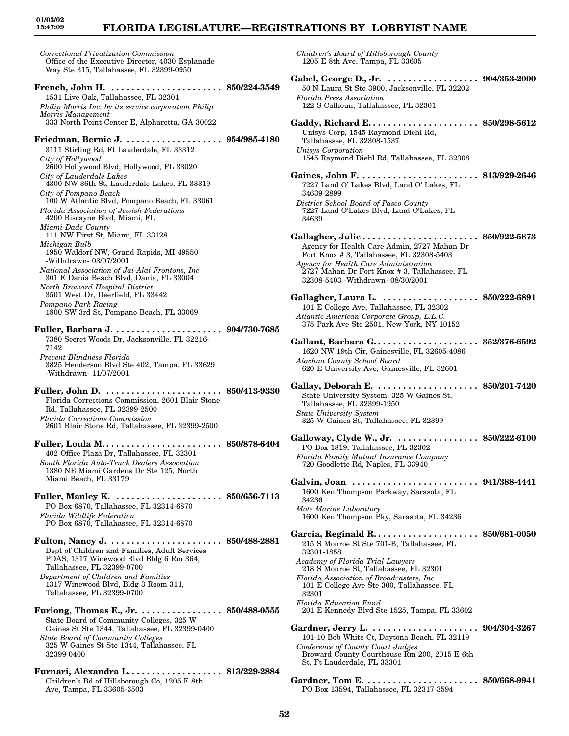*Correctional Privatization Commission* Office of the Executive Director, 4030 Esplanade Way Ste 315, Tallahassee, FL 32399-0950 **French, John H. . . . . . . . . . . . . . . . . . . . . . . 850/224-3549** 1531 Live Oak, Tallahassee, FL 32301 *Philip Morris Inc. by its service corporation Philip Morris Management* 333 North Point Center E, Alpharetta, GA 30022 **Friedman, Bernie J. . . . . . . . . . . . . . . . . . . . 954/985-4180** 3111 Stirling Rd, Ft Lauderdale, FL 33312 *City of Hollywood* 2600 Hollywood Blvd, Hollywood, FL 33020 *City of Lauderdale Lakes* 4300 NW 36th St, Lauderdale Lakes, FL 33319 *City of Pompano Beach* 100 W Atlantic Blvd, Pompano Beach, FL 33061 *Florida Association of Jewish Federations* 4200 Biscayne Blvd, Miami, FL *Miami-Dade County* 111 NW First St, Miami, FL 33128 *Michigan Bulb* 1950 Waldorf NW, Grand Rapids, MI 49550 -Withdrawn- 03/07/2001 *National Association of Jai-Alai Frontons, Inc* 301 E Dania Beach Blvd, Dania, FL 33004 *North Broward Hospital District* 3501 West Dr, Deerfield, FL 33442 *Pompano Park Racing* 1800 SW 3rd St, Pompano Beach, FL 33069 **Fuller, Barbara J. . . . . . . . . . . . . . . . . . . . . . 904/730-7685** 7380 Secret Woods Dr, Jacksonville, FL 32216- 7142 *Prevent Blindness Florida* 3825 Henderson Blvd Ste 402, Tampa, FL 33629 -Withdrawn- 11/07/2001 **Fuller, John D. . . . . . . . . . . . . . . . . . . . . . . . 850/413-9330** Florida Corrections Commission, 2601 Blair Stone Rd, Tallahassee, FL 32399-2500 *Florida Corrections Commission* 2601 Blair Stone Rd, Tallahassee, FL 32399-2500 **Fuller, Loula M. . . . . . . . . . . . . . . . . . . . . . . . 850/878-6404** 402 Office Plaza Dr, Tallahassee, FL 32301 *South Florida Auto-Truck Dealers Association* 1380 NE Miami Gardens Dr Ste 125, North Miami Beach, FL 33179 **Fuller, Manley K. . . . . . . . . . . . . . . . . . . . . . 850/656-7113** PO Box 6870, Tallahassee, FL 32314-6870 *Florida Wildlife Federation* PO Box 6870, Tallahassee, FL 32314-6870 **Fulton, Nancy J. . . . . . . . . . . . . . . . . . . . . . . 850/488-2881** Dept of Children and Families, Adult Services PDAS, 1317 Winewood Blvd Bldg 6 Rm 364, Tallahassee, FL 32399-0700 *Department of Children and Families* 1317 Winewood Blvd, Bldg 3 Room 311, Tallahassee, FL 32399-0700 **Furlong, Thomas E., Jr. . . . . . . . . . . . . . . . . 850/488-0555** State Board of Community Colleges, 325 W Gaines St Ste 1344, Tallahassee, FL 32399-0400 *State Board of Community Colleges* 325 W Gaines St Ste 1344, Tallahassee, FL 32399-0400 **Furnari, Alexandra L. . . . . . . . . . . . . . . . . . . 813/229-2884** Children's Bd of Hillsborough Co, 1205 E 8th Ave, Tampa, FL 33605-3503

**01/03/02 15:47:09**

> *Children's Board of Hillsborough County* 1205 E 8th Ave, Tampa, FL 33605

**Gabel, George D., Jr. . . . . . . . . . . . . . . . . . . 904/353-2000** 50 N Laura St Ste 3900, Jacksonville, FL 32202 *Florida Press Association* 122 S Calhoun, Tallahassee, FL 32301 **Gaddy, Richard E. . . . . . . . . . . . . . . . . . . . . . 850/298-5612** Unisys Corp, 1545 Raymond Diehl Rd, Tallahassee, FL 32308-1537 *Unisys Corporation* 1545 Raymond Diehl Rd, Tallahassee, FL 32308 **Gaines, John F. . . . . . . . . . . . . . . . . . . . . . . . 813/929-2646** 7227 Land O' Lakes Blvd, Land O' Lakes, FL 34639-2899 *District School Board of Pasco County* 7227 Land O'Lakes Blvd, Land O'Lakes, FL 34639 **Gallagher, Julie . . . . . . . . . . . . . . . . . . . . . . . 850/922-5873** Agency for Health Care Admin, 2727 Mahan Dr Fort Knox # 3, Tallahassee, FL 32308-5403 *Agency for Health Care Administration* 2727 Mahan Dr Fort Knox # 3, Tallahassee, FL 32308-5403 -Withdrawn- 08/30/2001 **Gallagher, Laura L. . . . . . . . . . . . . . . . . . . . 850/222-6891** 101 E College Ave, Tallahassee, FL 32302 *Atlantic American Corporate Group, L.L.C.* 375 Park Ave Ste 2501, New York, NY 10152 **Gallant, Barbara G. . . . . . . . . . . . . . . . . . . . . 352/376-6592** 1620 NW 19th Cir, Gainesville, FL 32605-4086 *Alachua County School Board* 620 E University Ave, Gainesville, FL 32601 **Gallay, Deborah E. . . . . . . . . . . . . . . . . . . . . 850/201-7420** State University System, 325 W Gaines St, Tallahassee, FL 32399-1950 *State University System* 325 W Gaines St, Tallahassee, FL 32399 **Galloway, Clyde W., Jr. . . . . . . . . . . . . . . . . 850/222-6100** PO Box 1819, Tallahassee, FL 32302 *Florida Family Mutual Insurance Company* 720 Goodlette Rd, Naples, FL 33940 **Galvin, Joan . . . . . . . . . . . . . . . . . . . . . . . . . 941/388-4441** 1600 Ken Thompson Parkway, Sarasota, FL 34236 *Mote Marine Laboratory* 1600 Ken Thompson Pky, Sarasota, FL 34236 **Garcia, Reginald R. . . . . . . . . . . . . . . . . . . . . 850/681-0050** 215 S Monroe St Ste 701-B, Tallahassee, FL 32301-1858 *Academy of Florida Trial Lawyers* 218 S Monroe St, Tallahassee, FL 32301 *Florida Association of Broadcasters, Inc* 101 E College Ave Ste 300, Tallahassee, FL 32301 *Florida Education Fund* 201 E Kennedy Blvd Ste 1525, Tampa, FL 33602 **Gardner, Jerry L. . . . . . . . . . . . . . . . . . . . . . 904/304-3267** 101-10 Bob White Ct, Daytona Beach, FL 32119 *Conference of County Court Judges* Broward County Courthouse Rm 200, 2015 E 6th St, Ft Lauderdale, FL 33301 **Gardner, Tom E. . . . . . . . . . . . . . . . . . . . . . . 850/668-9941** PO Box 13594, Tallahassee, FL 32317-3594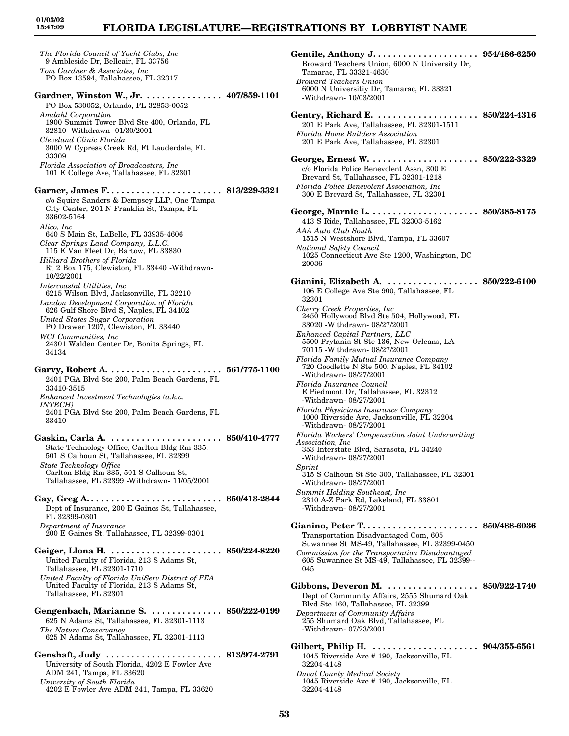# **FLORIDA LEGISLATURE—REGISTRATIONS BY LOBBYIST NAME**

*The Florida Council of Yacht Clubs, Inc* 9 Ambleside Dr, Belleair, FL 33756 *Tom Gardner & Associates, Inc* PO Box 13594, Tallahassee, FL 32317 **Gardner, Winston W., Jr. . . . . . . . . . . . . . . . 407/859-1101** PO Box 530052, Orlando, FL 32853-0052 *Amdahl Corporation* 1900 Summit Tower Blvd Ste 400, Orlando, FL 32810 -Withdrawn- 01/30/2001 *Cleveland Clinic Florida* 3000 W Cypress Creek Rd, Ft Lauderdale, FL 33309 *Florida Association of Broadcasters, Inc* 101 E College Ave, Tallahassee, FL 32301 **Garner, James F. . . . . . . . . . . . . . . . . . . . . . . 813/229-3321** c/o Squire Sanders & Dempsey LLP, One Tampa City Center, 201 N Franklin St, Tampa, FL 33602-5164 *Alico, Inc* 640 S Main St, LaBelle, FL 33935-4606 *Clear Springs Land Company, L.L.C.* 115 E Van Fleet Dr, Bartow, FL 33830 *Hilliard Brothers of Florida* Rt 2 Box 175, Clewiston, FL 33440 -Withdrawn-10/22/2001 *Intercoastal Utilities, Inc* 6215 Wilson Blvd, Jacksonville, FL 32210 *Landon Development Corporation of Florida* 626 Gulf Shore Blvd S, Naples, FL 34102 *United States Sugar Corporation* PO Drawer 1207, Clewiston, FL 33440 *WCI Communities, Inc* 24301 Walden Center Dr, Bonita Springs, FL 34134 **Garvy, Robert A. . . . . . . . . . . . . . . . . . . . . . . 561/775-1100** 2401 PGA Blvd Ste 200, Palm Beach Gardens, FL 33410-3515 *Enhanced Investment Technologies (a.k.a. INTECH)* 2401 PGA Blvd Ste 200, Palm Beach Gardens, FL 33410 **Gaskin, Carla A. . . . . . . . . . . . . . . . . . . . . . . 850/410-4777** State Technology Office, Carlton Bldg Rm 335, 501 S Calhoun St, Tallahassee, FL 32399 *State Technology Office* Carlton Bldg Rm 335, 501 S Calhoun St, Tallahassee, FL 32399 -Withdrawn- 11/05/2001 **Gay, Greg A. . . . . . . . . . . . . . . . . . . . . . . . . . . 850/413-2844** Dept of Insurance, 200 E Gaines St, Tallahassee, FL 32399-0301 *Department of Insurance* 200 E Gaines St, Tallahassee, FL 32399-0301 **Geiger, Llona H. . . . . . . . . . . . . . . . . . . . . . . 850/224-8220** United Faculty of Florida, 213 S Adams St, Tallahassee, FL 32301-1710 *United Faculty of Florida UniServ District of FEA* United Faculty of Florida, 213 S Adams St, Tallahassee, FL 32301 **Gengenbach, Marianne S. . . . . . . . . . . . . . . 850/222-0199** 625 N Adams St, Tallahassee, FL 32301-1113 *The Nature Conservancy* 625 N Adams St, Tallahassee, FL 32301-1113 **Genshaft, Judy . . . . . . . . . . . . . . . . . . . . . . . 813/974-2791** University of South Florida, 4202 E Fowler Ave ADM 241, Tampa, FL 33620 *University of South Florida* 4202 E Fowler Ave ADM 241, Tampa, FL 33620

**Gentile, Anthony J. . . . . . . . . . . . . . . . . . . . . 954/486-6250** Broward Teachers Union, 6000 N University Dr, Tamarac, FL 33321-4630 *Broward Teachers Union* 6000 N Universitiy Dr, Tamarac, FL 33321 -Withdrawn- 10/03/2001 **Gentry, Richard E. . . . . . . . . . . . . . . . . . . . . 850/224-4316** 201 E Park Ave, Tallahassee, FL 32301-1511 *Florida Home Builders Association* 201 E Park Ave, Tallahassee, FL 32301 **George, Ernest W. . . . . . . . . . . . . . . . . . . . . . 850/222-3329** c/o Florida Police Benevolent Assn, 300 E Brevard St, Tallahassee, FL 32301-1218 *Florida Police Benevolent Association, Inc* 300 E Brevard St, Tallahassee, FL 32301 **George, Marnie L. . . . . . . . . . . . . . . . . . . . . . 850/385-8175** 413 S Ride, Tallahassee, FL 32303-5162 *AAA Auto Club South* 1515 N Westshore Blvd, Tampa, FL 33607 *National Safety Council* 1025 Connecticut Ave Ste 1200, Washington, DC 20036 **Gianini, Elizabeth A. . . . . . . . . . . . . . . . . . . 850/222-6100** 106 E College Ave Ste 900, Tallahassee, FL 32301 *Cherry Creek Properties, Inc* 2450 Hollywood Blvd Ste 504, Hollywood, FL 33020 -Withdrawn- 08/27/2001 *Enhanced Capital Partners, LLC* 5500 Prytania St Ste 136, New Orleans, LA 70115 -Withdrawn- 08/27/2001 *Florida Family Mutual Insurance Company* 720 Goodlette N Ste 500, Naples, FL 34102 -Withdrawn- 08/27/2001 *Florida Insurance Council* E Piedmont Dr, Tallahassee, FL 32312 -Withdrawn- 08/27/2001 *Florida Physicians Insurance Company* 1000 Riverside Ave, Jacksonville, FL 32204 -Withdrawn- 08/27/2001 *Florida Workers' Compensation Joint Underwriting Association, Inc* 353 Interstate Blvd, Sarasota, FL 34240 -Withdrawn- 08/27/2001 *Sprint* 315 S Calhoun St Ste 300, Tallahassee, FL 32301 -Withdrawn- 08/27/2001 *Summit Holding Southeast, Inc* 2310 A-Z Park Rd, Lakeland, FL 33801 -Withdrawn- 08/27/2001 **Gianino, Peter T. . . . . . . . . . . . . . . . . . . . . . . 850/488-6036** Transportation Disadvantaged Com, 605 Suwannee St MS-49, Tallahassee, FL 32399-0450 *Commission for the Transportation Disadvantaged* 605 Suwannee St MS-49, Tallahassee, FL 32399-- 045 **Gibbons, Deveron M. . . . . . . . . . . . . . . . . . . 850/922-1740** Dept of Community Affairs, 2555 Shumard Oak Blvd Ste 160, Tallahassee, FL 32399 *Department of Community Affairs* 255 Shumard Oak Blvd, Tallahassee, FL -Withdrawn- 07/23/2001 **Gilbert, Philip H. . . . . . . . . . . . . . . . . . . . . . 904/355-6561** 1045 Riverside Ave # 190, Jacksonville, FL 32204-4148 *Duval County Medical Society* 1045 Riverside Ave # 190, Jacksonville, FL

32204-4148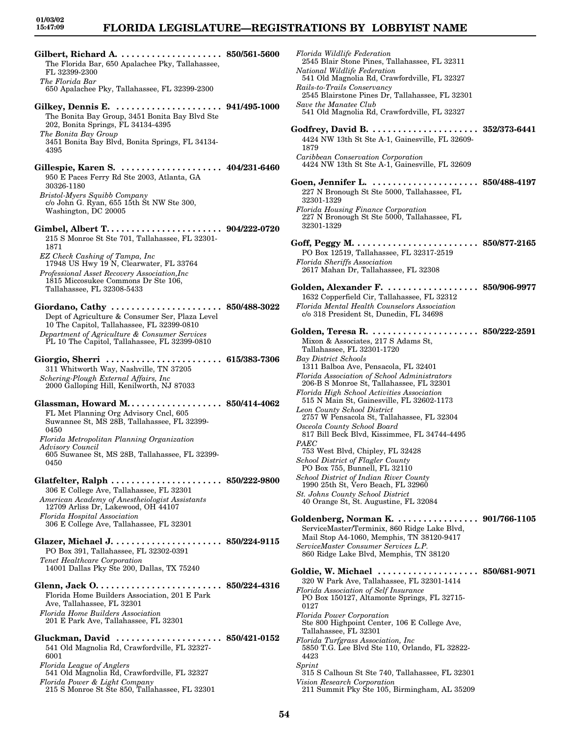| The Florida Bar, 650 Apalachee Pky, Tallahassee,                                            |                                     |
|---------------------------------------------------------------------------------------------|-------------------------------------|
| FL 32399-2300<br>The Florida Bar                                                            |                                     |
| 650 Apalachee Pky, Tallahassee, FL 32399-2300                                               |                                     |
|                                                                                             |                                     |
| The Bonita Bay Group, 3451 Bonita Bay Blvd Ste                                              |                                     |
| 202, Bonita Springs, FL 34134-4395                                                          |                                     |
| The Bonita Bay Group                                                                        |                                     |
| 3451 Bonita Bay Blvd, Bonita Springs, FL 34134-<br>4395                                     |                                     |
|                                                                                             |                                     |
|                                                                                             |                                     |
| 950 E Paces Ferry Rd Ste 2003, Atlanta, GA<br>30326-1180                                    |                                     |
| Bristol-Myers Squibb Company                                                                |                                     |
| c/o John G. Ryan, 655 15th Št NW Ste 300,                                                   |                                     |
| Washington, DC 20005                                                                        |                                     |
|                                                                                             |                                     |
| 215 S Monroe St Ste 701, Tallahassee, FL 32301-                                             |                                     |
| 1871                                                                                        |                                     |
| EZ Check Cashing of Tampa, Inc<br>17948 US Hwy 19 N, Clearwater, FL 33764                   |                                     |
| Professional Asset Recovery Association, Inc                                                |                                     |
| 1815 Miccosukee Commons Dr Ste 106,                                                         |                                     |
| Tallahassee, FL 32308-5433                                                                  |                                     |
| Giordano, Cathy  850/488-3022                                                               |                                     |
| Dept of Agriculture & Consumer Ser, Plaza Level                                             |                                     |
| 10 The Capitol, Tallahassee, FL 32399-0810<br>Department of Agriculture & Consumer Services |                                     |
| PL 10 The Capitol, Tallahassee, FL 32399-0810                                               |                                     |
|                                                                                             |                                     |
| Giorgio, Sherri $\ldots \ldots \ldots \ldots$<br>311 Whitworth Way, Nashville, TN 37205     | $\dots\dots\ 615/383$ -7306         |
| Schering-Plough External Affairs, Inc.                                                      |                                     |
| 2000 Galloping Hill, Kenilworth, NJ 87033                                                   |                                     |
| Glassman, Howard M. 850/414-4062                                                            |                                     |
| FL Met Planning Org Advisory Cncl, 605                                                      |                                     |
| Suwannee St, MS 28B, Tallahassee, FL 32399-                                                 |                                     |
| 0450<br>Florida Metropolitan Planning Organization                                          |                                     |
| <i><b>Advisory Council</b></i>                                                              |                                     |
| 605 Suwanee St, MS 28B, Tallahassee, FL 32399-<br>0450                                      |                                     |
|                                                                                             |                                     |
| Glatfelter, Ralph  850/222-9800                                                             |                                     |
| 306 E College Ave, Tallahassee, FL 32301                                                    |                                     |
| American Academy of Anestheiologist Assistants<br>12709 Arliss Dr, Lakewood, OH 44107       |                                     |
| <b>Florida Hospital Association</b>                                                         |                                     |
| 306 E College Ave, Tallahassee, FL 32301                                                    |                                     |
|                                                                                             |                                     |
| PO Box 391, Tallahassee, FL 32302-0391                                                      |                                     |
| <b>Tenet Healthcare Corporation</b><br>14001 Dallas Pky Ste 200, Dallas, TX 75240           |                                     |
|                                                                                             |                                     |
| Glenn, Jack O.                                                                              | $\cdots \cdots \cdots$ 850/224-4316 |
| Florida Home Builders Association, 201 E Park                                               |                                     |
| Ave, Tallahassee, FL 32301<br><b>Florida Home Builders Association</b>                      |                                     |
| 201 E Park Ave, Tallahassee, FL 32301                                                       |                                     |
| Gluckman, David  850/421-0152                                                               |                                     |
| 541 Old Magnolia Rd, Crawfordville, FL 32327-                                               |                                     |
| 6001                                                                                        |                                     |
|                                                                                             |                                     |
| Florida League of Anglers                                                                   |                                     |
| 541 Old Magnolia Rd, Crawfordville, FL 32327<br>Florida Power & Light Company               |                                     |

| Florida Wildlife Federation<br>2545 Blair Stone Pines, Tallahassee, FL 32311                       |                             |
|----------------------------------------------------------------------------------------------------|-----------------------------|
| National Wildlife Federation<br>541 Old Magnolia Rd, Crawfordville, FL 32327                       |                             |
| Rails-to-Trails Conservancy<br>2545 Blairstone Pines Dr, Tallahassee, FL 32301                     |                             |
| Save the Manatee Club<br>541 Old Magnolia Rd, Crawfordville, FL 32327                              |                             |
|                                                                                                    |                             |
| 4424 NW 13th St Ste A-1, Gainesville, FL 32609-<br>1879                                            |                             |
| Caribbean Conservation Corporation<br>4424 NW 13th St Ste A-1, Gainesville, FL 32609               |                             |
| Goen, Jennifer L.                                                                                  | $\ldots \,\, 850/488$ -4197 |
| 227 N Bronough St Ste 5000, Tallahassee, FL<br>32301-1329                                          |                             |
| Florida Housing Finance Corporation<br>227 N Bronough St Ste 5000, Tallahassee, FL<br>32301-1329   |                             |
|                                                                                                    |                             |
| PO Box 12519, Tallahassee, FL 32317-2519<br><b>Florida Sheriffs Association</b>                    |                             |
| 2617 Mahan Dr, Tallahassee, FL 32308                                                               |                             |
| Golden, Alexander F. 850/906-9977                                                                  |                             |
| 1632 Copperfield Cir, Tallahassee, FL 32312<br>Florida Mental Health Counselors Association        |                             |
| c/o 318 President St, Dunedin, FL 34698                                                            |                             |
| Mixon & Associates, 217 S Adams St,                                                                |                             |
| Tallahassee, FL 32301-1720<br>Bay District Schools                                                 |                             |
| 1311 Balboa Ave, Pensacola, FL 32401<br>Florida Association of School Administrators               |                             |
| 206-B S Monroe St, Tallahassee, FL 32301<br>Florida High School Activities Association             |                             |
| 515 N Main St, Gainesville, FL 32602-1173                                                          |                             |
| Leon County School District<br>2757 W Pensacola St, Tallahassee, FL 32304                          |                             |
| Osceola County School Board<br>817 Bill Beck Blvd, Kissimmee, FL 34744-4495                        |                             |
| PAEC<br>753 West Blvd, Chipley, FL 32428                                                           |                             |
| School District of Flagler County<br>PO Box 755, Bunnell, FL 32110                                 |                             |
| School District of Indian River County<br>1990 25th St, Vero Beach, FL 32960                       |                             |
| St. Johns County School District<br>40 Orange St, St. Augustine, FL 32084                          |                             |
| Goldenberg, Norman K. 901/766-1105                                                                 |                             |
| ServiceMaster/Terminix, 860 Ridge Lake Blvd,<br>Mail Stop A4-1060, Memphis, TN 38120-9417          |                             |
| ServiceMaster Consumer Services L.P.<br>860 Ridge Lake Blvd, Memphis, TN 38120                     |                             |
| Goldie, W. Michael   850/681-9071                                                                  |                             |
| 320 W Park Ave, Tallahassee, FL 32301-1414<br>Florida Association of Self Insurance                |                             |
| PO Box 150127, Altamonte Springs, FL 32715-<br>0127                                                |                             |
| Florida Power Corporation<br>Ste 800 Highpoint Center, 106 E College Ave,<br>Tallahassee, FL 32301 |                             |
| Florida Turfgrass Association, Inc.<br>5850 T.G. Lee Blvd Ste 110, Orlando, FL 32822-<br>4423      |                             |
| Sprint<br>315 S Calhoun St Ste 740, Tallahassee, FL 32301                                          |                             |
| Vision Research Corporation<br>211 Summit Pky Ste 105, Birmingham, AL 35209                        |                             |
|                                                                                                    |                             |

<sup>215</sup> S Monroe St Ste 850, Tallahassee, FL 32301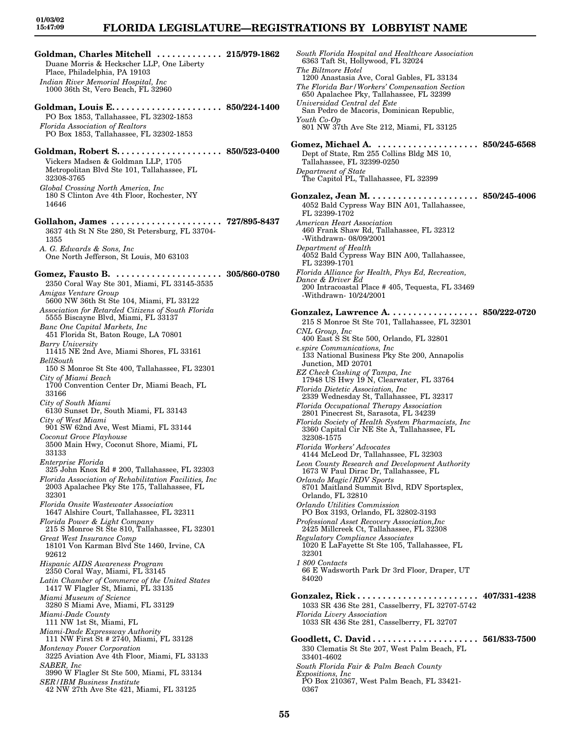### **FLORIDA LEGISLATURE—REGISTRATIONS BY LOBBYIST NAME**

**Goldman, Charles Mitchell . . . . . . . . . . . . . 215/979-1862** Duane Morris & Heckscher LLP, One Liberty Place, Philadelphia, PA 19103 *Indian River Memorial Hospital, Inc* 1000 36th St, Vero Beach, FL 32960 **Goldman, Louis E. . . . . . . . . . . . . . . . . . . . . . 850/224-1400** PO Box 1853, Tallahassee, FL 32302-1853 *Florida Association of Realtors*

PO Box 1853, Tallahassee, FL 32302-1853

- **Goldman, Robert S. . . . . . . . . . . . . . . . . . . . . 850/523-0400** Vickers Madsen & Goldman LLP, 1705 Metropolitan Blvd Ste 101, Tallahassee, FL 32308-3765 *Global Crossing North America, Inc* 180 S Clinton Ave 4th Floor, Rochester, NY 14646
- **Gollahon, James . . . . . . . . . . . . . . . . . . . . . . 727/895-8437** 3637 4th St N Ste 280, St Petersburg, FL 33704- 1355

*A. G. Edwards & Sons, Inc* One North Jefferson, St Louis, M0 63103

**Gomez, Fausto B. . . . . . . . . . . . . . . . . . . . . . 305/860-0780** 2350 Coral Way Ste 301, Miami, FL 33145-3535 *Amigas Venture Group* 5600 NW 36th St Ste 104, Miami, FL 33122 *Association for Retarded Citizens of South Florida* 5555 Biscayne Blvd, Miami, FL 33137 *Banc One Capital Markets, Inc*

- 451 Florida St, Baton Rouge, LA 70801 *Barry University*
- 11415 NE 2nd Ave, Miami Shores, FL 33161 *BellSouth*
- 150 S Monroe St Ste 400, Tallahassee, FL 32301 *City of Miami Beach*
- 1700 Convention Center Dr, Miami Beach, FL 33166
- *City of South Miami* 6130 Sunset Dr, South Miami, FL 33143 *City of West Miami*
- 901 SW 62nd Ave, West Miami, FL 33144 *Coconut Grove Playhouse*
- 3500 Main Hwy, Coconut Shore, Miami, FL 33133
- *Enterprise Florida*
- 325 John Knox Rd # 200, Tallahassee, FL 32303
- *Florida Association of Rehabilitation Facilities, Inc* 2003 Apalachee Pky Ste 175, Tallahassee, FL 32301

*Florida Onsite Wastewater Association* 1647 Alshire Court, Tallahassee, FL 32311

- *Florida Power & Light Company*
- 215 S Monroe St Ste 810, Tallahassee, FL 32301 *Great West Insurance Comp*
- 18101 Von Karman Blvd Ste 1460, Irvine, CA 92612
- *Hispanic AIDS Awareness Program*
- 2350 Coral Way, Miami, FL 33145
- *Latin Chamber of Commerce of the United States* 1417 W Flagler St, Miami, FL 33135
- *Miami Museum of Science*
- 3280 S Miami Ave, Miami, FL 33129
- *Miami-Dade County*
- 111 NW 1st St, Miami, FL
- *Miami-Dade Expressway Authority* 111 NW First St # 2740, Miami, FL 33128
- *Montenay Power Corporation* 3225 Aviation Ave 4th Floor, Miami, FL 33133
- *SABER, Inc* 3990 W Flagler St Ste 500, Miami, FL 33134
- *SER/IBM Business Institute* 42 NW 27th Ave Ste 421, Miami, FL 33125
- *South Florida Hospital and Healthcare Association* 6363 Taft St, Hollywood, FL 32024 *The Biltmore Hotel* 1200 Anastasia Ave, Coral Gables, FL 33134 *The Florida Bar/Workers' Compensation Section* 650 Apalachee Pky, Tallahassee, FL 32399 *Universidad Central del Este* San Pedro de Macoris, Dominican Republic, *Youth Co-Op* 801 NW 37th Ave Ste 212, Miami, FL 33125 **Gomez, Michael A. . . . . . . . . . . . . . . . . . . . . 850/245-6568** Dept of State, Rm 255 Collins Bldg MS 10, Tallahassee, FL 32399-0250 *Department of State* The Capitol PL, Tallahassee, FL 32399 **Gonzalez, Jean M. . . . . . . . . . . . . . . . . . . . . . 850/245-4006** 4052 Bald Cypress Way BIN A01, Tallahassee, FL 32399-1702 *American Heart Association* 460 Frank Shaw Rd, Tallahassee, FL 32312 -Withdrawn- 08/09/2001 *Department of Health* 4052 Bald Cypress Way BIN A00, Tallahassee, FL 32399-1701 *Florida Alliance for Health, Phys Ed, Recreation, Dance & Driver Ed* 200 Intracoastal Place # 405, Tequesta, FL 33469 -Withdrawn- 10/24/2001 **Gonzalez, Lawrence A. . . . . . . . . . . . . . . . . . 850/222-0720** 215 S Monroe St Ste 701, Tallahassee, FL 32301 *CNL Group, Inc* 400 East S St Ste 500, Orlando, FL 32801 *e.spire Communications, Inc* 133 National Business Pky Ste 200, Annapolis Junction, MD 20701 *EZ Check Cashing of Tampa, Inc* 17948 US Hwy 19 N, Clearwater, FL 33764 *Florida Dietetic Association, Inc* 2339 Wednesday St, Tallahassee, FL 32317 *Florida Occupational Therapy Association* 2801 Pinecrest St, Sarasota, FL 34239 *Florida Society of Health System Pharmacists, Inc* 3360 Capital Cir NE Ste A, Tallahassee, FL 32308-1575 *Florida Workers' Advocates* 4144 McLeod Dr, Tallahassee, FL 32303 *Leon County Research and Development Authority* 1673 W Paul Dirac Dr, Tallahassee, FL *Orlando Magic/RDV Sports* 8701 Maitland Summit Blvd, RDV Sportsplex, Orlando, FL 32810 *Orlando Utilities Commission* PO Box 3193, Orlando, FL 32802-3193 *Professional Asset Recovery Association,Inc* 2425 Millcreek Ct, Tallahassee, FL 32308 *Regulatory Compliance Associates* 1020 E LaFayette St Ste 105, Tallahassee, FL 32301 *1 800 Contacts* 66 E Wadsworth Park Dr 3rd Floor, Draper, UT 84020 **Gonzalez, Rick . . . . . . . . . . . . . . . . . . . . . . . . 407/331-4238** 1033 SR 436 Ste 281, Casselberry, FL 32707-5742 *Florida Livery Association* 1033 SR 436 Ste 281, Casselberry, FL 32707 **Goodlett, C. David . . . . . . . . . . . . . . . . . . . . . 561/833-7500** 330 Clematis St Ste 207, West Palm Beach, FL 33401-4602 *South Florida Fair & Palm Beach County Expositions, Inc* PO Box 210367, West Palm Beach, FL 33421-
	- 0367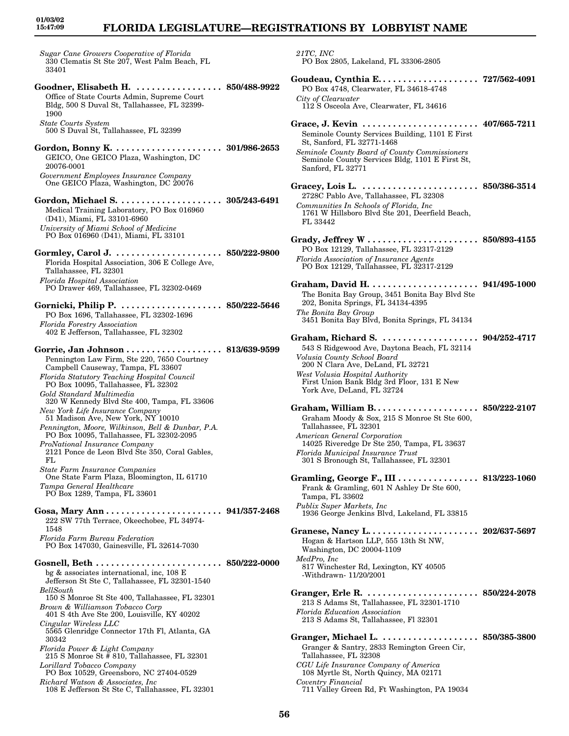## **FLORIDA LEGISLATURE—REGISTRATIONS BY LOBBYIST NAME**

*Sugar Cane Growers Cooperative of Florida* 330 Clematis St Ste 207, West Palm Beach, FL 33401

**Goodner, Elisabeth H. . . . . . . . . . . . . . . . . . 850/488-9922** Office of State Courts Admin, Supreme Court Bldg, 500 S Duval St, Tallahassee, FL 32399- 1900 *State Courts System* 500 S Duval St, Tallahassee, FL 32399 **Gordon, Bonny K. . . . . . . . . . . . . . . . . . . . . . 301/986-2653** GEICO, One GEICO Plaza, Washington, DC 20076-0001 *Government Employees Insurance Company* One GEICO Plaza, Washington, DC 20076 **Gordon, Michael S. . . . . . . . . . . . . . . . . . . . . 305/243-6491** Medical Training Laboratory, PO Box 016960 (D41), Miami, FL 33101-6960 *University of Miami School of Medicine* PO Box 016960 (D41), Miami, FL 33101 **Gormley, Carol J. . . . . . . . . . . . . . . . . . . . . . 850/222-9800** Florida Hospital Association, 306 E College Ave, Tallahassee, FL 32301 *Florida Hospital Association* PO Drawer 469, Tallahassee, FL 32302-0469 **Gornicki, Philip P. . . . . . . . . . . . . . . . . . . . . 850/222-5646** PO Box 1696, Tallahassee, FL 32302-1696 *Florida Forestry Association* 402 E Jefferson, Tallahassee, FL 32302 **Gorrie, Jan Johnson . . . . . . . . . . . . . . . . . . . 813/639-9599** Pennington Law Firm, Ste 220, 7650 Courtney Campbell Causeway, Tampa, FL 33607 *Florida Statutory Teaching Hospital Council* PO Box 10095, Tallahassee, FL 32302 *Gold Standard Multimedia* 320 W Kennedy Blvd Ste 400, Tampa, FL 33606 *New York Life Insurance Company* 51 Madison Ave, New York, NY 10010 *Pennington, Moore, Wilkinson, Bell & Dunbar, P.A.* PO Box 10095, Tallahassee, FL 32302-2095 *ProNational Insurance Company* 2121 Ponce de Leon Blvd Ste 350, Coral Gables, FL *State Farm Insurance Companies* One State Farm Plaza, Bloomington, IL 61710 *Tampa General Healthcare* PO Box 1289, Tampa, FL 33601 **Gosa, Mary Ann . . . . . . . . . . . . . . . . . . . . . . . 941/357-2468** 222 SW 77th Terrace, Okeechobee, FL 34974- 1548 *Florida Farm Bureau Federation* PO Box 147030, Gainesville, FL 32614-7030 **Gosnell, Beth . . . . . . . . . . . . . . . . . . . . . . . . . 850/222-0000** bg & associates international, inc, 108 E Jefferson St Ste C, Tallahassee, FL 32301-1540 *BellSouth* 150 S Monroe St Ste 400, Tallahassee, FL 32301 *Brown & Williamson Tobacco Corp* 401 S 4th Ave Ste 200, Louisville, KY 40202 *Cingular Wireless LLC* 5565 Glenridge Connector 17th Fl, Atlanta, GA 30342 *Florida Power & Light Company* 215 S Monroe St # 810, Tallahassee, FL 32301 *Lorillard Tobacco Company* PO Box 10529, Greensboro, NC 27404-0529

*Richard Watson & Associates, Inc* 108 E Jefferson St Ste C, Tallahassee, FL 32301 *21TC, INC*

PO Box 2805, Lakeland, FL 33306-2805 **Goudeau, Cynthia E. . . . . . . . . . . . . . . . . . . . 727/562-4091** PO Box 4748, Clearwater, FL 34618-4748 *City of Clearwater* 112 S Osceola Ave, Clearwater, FL 34616 **Grace, J. Kevin . . . . . . . . . . . . . . . . . . . . . . . 407/665-7211** Seminole County Services Building, 1101 E First St, Sanford, FL 32771-1468 *Seminole County Board of County Commissioners* Seminole County Services Bldg, 1101 E First St, Sanford, FL 32771 **Gracey, Lois L. . . . . . . . . . . . . . . . . . . . . . . . 850/386-3514** 2728C Pablo Ave, Tallahassee, FL 32308 *Communities In Schools of Florida, Inc* 1761 W Hillsboro Blvd Ste 201, Deerfield Beach, FL 33442 **Grady, Jeffrey W . . . . . . . . . . . . . . . . . . . . . . 850/893-4155** PO Box 12129, Tallahassee, FL 32317-2129 *Florida Association of Insurance Agents* PO Box 12129, Tallahassee, FL 32317-2129 **Graham, David H. . . . . . . . . . . . . . . . . . . . . . 941/495-1000** The Bonita Bay Group, 3451 Bonita Bay Blvd Ste 202, Bonita Springs, FL 34134-4395 *The Bonita Bay Group* 3451 Bonita Bay Blvd, Bonita Springs, FL 34134 **Graham, Richard S. . . . . . . . . . . . . . . . . . . . 904/252-4717** 543 S Ridgewood Ave, Daytona Beach, FL 32114 *Volusia County School Board* 200 N Clara Ave, DeLand, FL 32721 *West Volusia Hospital Authority* First Union Bank Bldg 3rd Floor, 131 E New York Ave, DeLand, FL 32724 **Graham, William B. . . . . . . . . . . . . . . . . . . . . 850/222-2107** Graham Moody & Sox, 215 S Monroe St Ste 600, Tallahassee, FL 32301 *American General Corporation* 14025 Riveredge Dr Ste 250, Tampa, FL 33637 *Florida Municipal Insurance Trust* 301 S Bronough St, Tallahassee, FL 32301 **Gramling, George F., III . . . . . . . . . . . . . . . . 813/223-1060** Frank & Gramling, 601 N Ashley Dr Ste 600, Tampa, FL 33602 *Publix Super Markets, Inc* 1936 George Jenkins Blvd, Lakeland, FL 33815 **Granese, Nancy L. . . . . . . . . . . . . . . . . . . . . . 202/637-5697** Hogan & Hartson LLP, 555 13th St NW, Washington, DC 20004-1109 *MedPro, Inc* 817 Winchester Rd, Lexington, KY 40505 -Withdrawn- 11/20/2001 **Granger, Erle R. . . . . . . . . . . . . . . . . . . . . . . 850/224-2078** 213 S Adams St, Tallahassee, FL 32301-1710 *Florida Education Association* 213 S Adams St, Tallahassee, Fl 32301 **Granger, Michael L. . . . . . . . . . . . . . . . . . . . 850/385-3800** Granger & Santry, 2833 Remington Green Cir, Tallahassee, FL 32308 *CGU Life Insurance Company of America* 108 Myrtle St, North Quincy, MA 02171 *Coventry Financial* 711 Valley Green Rd, Ft Washington, PA 19034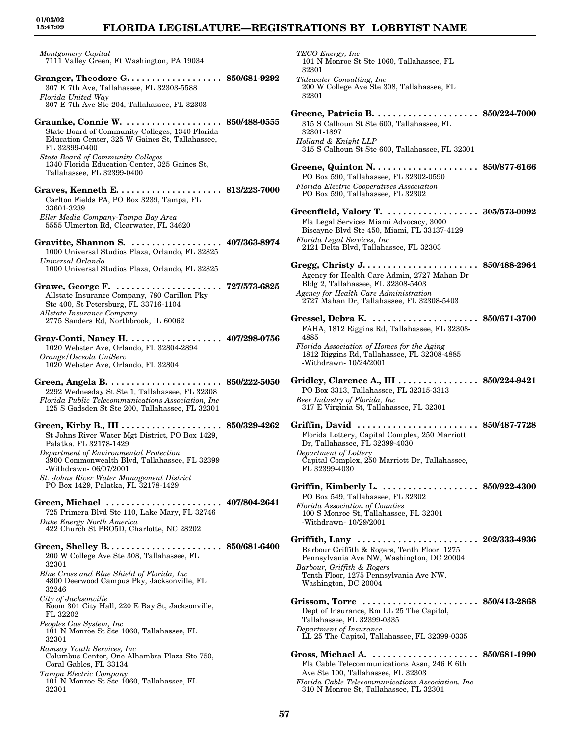# **FLORIDA LEGISLATURE—REGISTRATIONS BY LOBBYIST NAME**

*Montgomery Capital* 7111 Valley Green, Ft Washington, PA 19034

- **Granger, Theodore G. . . . . . . . . . . . . . . . . . . 850/681-9292** 307 E 7th Ave, Tallahassee, FL 32303-5588 *Florida United Way* 307 E 7th Ave Ste 204, Tallahassee, FL 32303
- **Graunke, Connie W. . . . . . . . . . . . . . . . . . . . 850/488-0555** State Board of Community Colleges, 1340 Florida Education Center, 325 W Gaines St, Tallahassee, FL 32399-0400 *State Board of Community Colleges*
- 1340 Florida Education Center, 325 Gaines St, Tallahassee, FL 32399-0400
- **Graves, Kenneth E. . . . . . . . . . . . . . . . . . . . . 813/223-7000** Carlton Fields PA, PO Box 3239, Tampa, FL 33601-3239 *Eller Media Company-Tampa Bay Area* 5555 Ulmerton Rd, Clearwater, FL 34620
- **Gravitte, Shannon S. . . . . . . . . . . . . . . . . . . 407/363-8974** 1000 Universal Studios Plaza, Orlando, FL 32825 *Universal Orlando* 1000 Universal Studios Plaza, Orlando, FL 32825
- **Grawe, George F. . . . . . . . . . . . . . . . . . . . . . 727/573-6825** Allstate Insurance Company, 780 Carillon Pky Ste 400, St Petersburg, FL 33716-1104 *Allstate Insurance Company* 2775 Sanders Rd, Northbrook, IL 60062
- **Gray-Conti, Nancy H. . . . . . . . . . . . . . . . . . . 407/298-0756** 1020 Webster Ave, Orlando, FL 32804-2894 *Orange/Osceola UniServ* 1020 Webster Ave, Orlando, FL 32804
- **Green, Angela B. . . . . . . . . . . . . . . . . . . . . . . 850/222-5050** 2292 Wednesday St Ste 1, Tallahassee, FL 32308 *Florida Public Telecommunications Association, Inc* 125 S Gadsden St Ste 200, Tallahassee, FL 32301
- **Green, Kirby B., III . . . . . . . . . . . . . . . . . . . . 850/329-4262** St Johns River Water Mgt District, PO Box 1429, Palatka, FL 32178-1429 *Department of Environmental Protection* 3900 Commonwealth Blvd, Tallahassee, FL 32399 -Withdrawn- 06/07/2001 *St. Johns River Water Management District* PO Box 1429, Palatka, FL 32178-1429
- **Green, Michael . . . . . . . . . . . . . . . . . . . . . . . 407/804-2641** 725 Primera Blvd Ste 110, Lake Mary, FL 32746 *Duke Energy North America* 422 Church St PBO5D, Charlotte, NC 28202

**Green, Shelley B. . . . . . . . . . . . . . . . . . . . . . . 850/681-6400** 200 W College Ave Ste 308, Tallahassee, FL 32301

- *Blue Cross and Blue Shield of Florida, Inc* 4800 Deerwood Campus Pky, Jacksonville, FL 32246
- *City of Jacksonville* Room 301 City Hall, 220 E Bay St, Jacksonville, FL 32202
- *Peoples Gas System, Inc* 101 N Monroe St Ste 1060, Tallahassee, FL 32301

*Ramsay Youth Services, Inc* Columbus Center, One Alhambra Plaza Ste 750, Coral Gables, FL 33134

*Tampa Electric Company* 101 N Monroe St Ste 1060, Tallahassee, FL 32301

| TECO Energy, Inc<br>101 N Monroe St Ste 1060, Tallahassee, FL<br>32301                                                                                                                                                    |  |
|---------------------------------------------------------------------------------------------------------------------------------------------------------------------------------------------------------------------------|--|
| Tidewater Consulting, Inc.<br>200 W College Ave Ste 308, Tallahassee, FL<br>32301                                                                                                                                         |  |
| 315 S Calhoun St Ste 600, Tallahassee, FL<br>32301-1897<br>Holland & Knight LLP<br>315 S Calhoun St Ste 600, Tallahassee, FL 32301                                                                                        |  |
| PO Box 590, Tallahassee, FL 32302-0590<br><b>Florida Electric Cooperatives Association</b><br>PO Box 590, Tallahassee, FL 32302                                                                                           |  |
| Greenfield, Valory T. 305/573-0092<br>Fla Legal Services Miami Advocacy, 3000<br>Biscayne Blvd Ste 450, Miami, FL 33137-4129<br>Florida Legal Services, Inc.<br>2121 Delta Blvd, Tallahassee, FL 32303                    |  |
| Agency for Health Care Admin, 2727 Mahan Dr<br>Bldg 2, Tallahassee, FL 32308-5403<br>Agency for Health Care Administration<br>2727 Mahan Dr, Tallahassee, FL 32308-5403                                                   |  |
| Gressel, Debra K.  850/671-3700<br>FAHA, 1812 Riggins Rd, Tallahassee, FL 32308-<br>4885<br>Florida Association of Homes for the Aging<br>1812 Riggins Rd, Tallahassee, FL 32308-4885<br>-Withdrawn- 10/24/2001           |  |
| Gridley, Clarence A., III 850/224-9421<br>PO Box 3313, Tallahassee, FL 32315-3313<br>Beer Industry of Florida, Inc<br>317 E Virginia St, Tallahassee, FL 32301                                                            |  |
| Griffin, David  850/487-7728<br>Florida Lottery, Capital Complex, 250 Marriott<br>Dr, Tallahassee, FL 32399-4030<br>Department of Lottery<br>Capital Complex, 250 Marriott Dr, Tallahassee<br>FL 32399-4030               |  |
| Griffin, Kimberly L.  850/922-4300<br>PO Box 549, Tallahassee, FL 32302<br>Florida Association of Counties<br>100 S Monroe St, Tallahassee, FL 32301<br>-Withdrawn- 10/29/2001                                            |  |
| Griffith, Lany  202/333-4936<br>Barbour Griffith & Rogers, Tenth Floor, 1275<br>Pennsylvania Ave NW, Washington, DC 20004<br>Barbour, Griffith & Rogers<br>Tenth Floor, 1275 Pennsylvania Ave NW,<br>Washington, DC 20004 |  |
| Grissom, Torre  850/413-2868<br>Dept of Insurance, Rm LL 25 The Capitol,<br>Tallahassee, FL 32399-0335<br>Department of Insurance<br>LL 25 The Capitol, Tallahassee, FL 32399-0335                                        |  |
| Fla Cable Telecommunications Assn, 246 E 6th<br>Ave Ste 100, Tallahassee, FL 32303                                                                                                                                        |  |

*Florida Cable Telecommunications Association, Inc* 310 N Monroe St, Tallahassee, FL 32301

**57**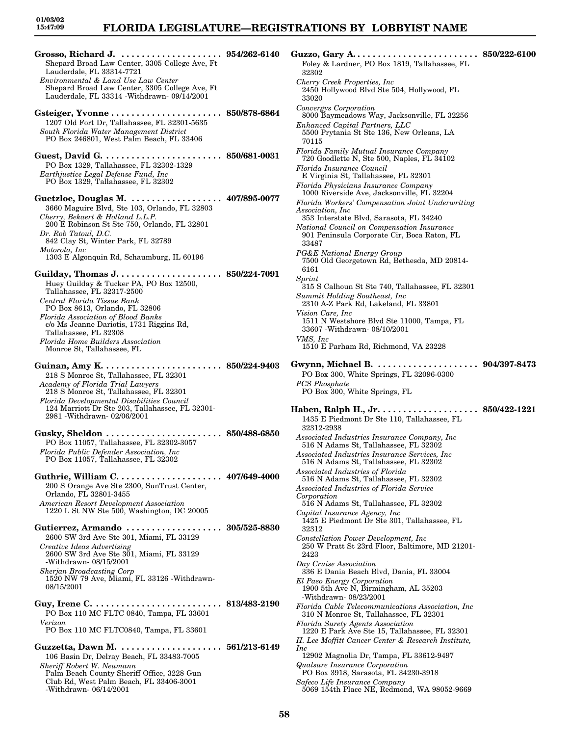**Grosso, Richard J. . . . . . . . . . . . . . . . . . . . . 954/262-6140** Shepard Broad Law Center, 3305 College Ave, Ft Lauderdale, FL 33314-7721 *Environmental & Land Use Law Center* Shepard Broad Law Center, 3305 College Ave, Ft Lauderdale, FL 33314 -Withdrawn- 09/14/2001 **Gsteiger, Yvonne . . . . . . . . . . . . . . . . . . . . . . 850/878-6864** 1207 Old Fort Dr, Tallahassee, FL 32301-5635 *South Florida Water Management District* PO Box 246801, West Palm Beach, FL 33406 **Guest, David G. . . . . . . . . . . . . . . . . . . . . . . . 850/681-0031** PO Box 1329, Tallahassee, FL 32302-1329 *Earthjustice Legal Defense Fund, Inc* PO Box 1329, Tallahassee, FL 32302 **Guetzloe, Douglas M. . . . . . . . . . . . . . . . . . . 407/895-0077** 3660 Maguire Blvd, Ste 103, Orlando, FL 32803 *Cherry, Bekaert & Holland L.L.P.* 200 E Robinson St Ste 750, Orlando, FL 32801 *Dr. Rob Tatoul, D.C.* 842 Clay St, Winter Park, FL 32789 *Motorola, Inc* 1303 E Algonquin Rd, Schaumburg, IL 60196 **Guilday, Thomas J. . . . . . . . . . . . . . . . . . . . . 850/224-7091** Huey Guilday & Tucker PA, PO Box 12500, Tallahassee, FL 32317-2500 *Central Florida Tissue Bank* PO Box 8613, Orlando, FL 32806 *Florida Association of Blood Banks* c/o Ms Jeanne Dariotis, 1731 Riggins Rd, Tallahassee, FL 32308 *Florida Home Builders Association* Monroe St, Tallahassee, FL **Guinan, Amy K. . . . . . . . . . . . . . . . . . . . . . . . 850/224-9403** 218 S Monroe St, Tallahassee, FL 32301 *Academy of Florida Trial Lawyers* 218 S Monroe St, Tallahassee, FL 32301 *Florida Developmental Disabilities Council* 124 Marriott Dr Ste 203, Tallahassee, FL 32301- 2981 -Withdrawn- 02/06/2001 **Gusky, Sheldon . . . . . . . . . . . . . . . . . . . . . . . 850/488-6850** PO Box 11057, Tallahassee, FL 32302-3057 *Florida Public Defender Association, Inc* PO Box 11057, Tallahassee, FL 32302 **Guthrie, William C. . . . . . . . . . . . . . . . . . . . . 407/649-4000** 200 S Orange Ave Ste 2300, SunTrust Center, Orlando, FL 32801-3455 *American Resort Development Association* 1220 L St NW Ste 500, Washington, DC 20005 **Gutierrez, Armando . . . . . . . . . . . . . . . . . . . 305/525-8830** 2600 SW 3rd Ave Ste 301, Miami, FL 33129 *Creative Ideas Advertising* 2600 SW 3rd Ave Ste 301, Miami, FL 33129 -Withdrawn- 08/15/2001 *Sherjan Broadcasting Corp* 1520 NW 79 Ave, Miami, FL 33126 -Withdrawn-08/15/2001 **Guy, Irene C. . . . . . . . . . . . . . . . . . . . . . . . . . 813/483-2190** PO Box 110 MC FLTC 0840, Tampa, FL 33601 *Verizon* PO Box 110 MC FLTC0840, Tampa, FL 33601 **Guzzetta, Dawn M. . . . . . . . . . . . . . . . . . . . . 561/213-6149** 106 Basin Dr, Delray Beach, FL 33483-7005

*Sheriff Robert W. Neumann* Palm Beach County Sheriff Office, 3228 Gun Club Rd, West Palm Beach, FL 33406-3001 -Withdrawn- 06/14/2001

**Guzzo, Gary A. . . . . . . . . . . . . . . . . . . . . . . . . 850/222-6100** Foley & Lardner, PO Box 1819, Tallahassee, FL 32302 *Cherry Creek Properties, Inc* 2450 Hollywood Blvd Ste 504, Hollywood, FL 33020 *Convergys Corporation* 8000 Baymeadows Way, Jacksonville, FL 32256 *Enhanced Capital Partners, LLC* 5500 Prytania St Ste 136, New Orleans, LA 70115 *Florida Family Mutual Insurance Company* 720 Goodlette N, Ste 500, Naples, FL 34102 *Florida Insurance Council* E Virginia St, Tallahassee, FL 32301 *Florida Physicians Insurance Company* 1000 Riverside Ave, Jacksonville, FL 32204 *Florida Workers' Compensation Joint Underwriting Association, Inc* 353 Interstate Blvd, Sarasota, FL 34240 *National Council on Compensation Insurance* 901 Peninsula Corporate Cir, Boca Raton, FL 33487 *PG&E National Energy Group* 7500 Old Georgetown Rd, Bethesda, MD 20814- 6161 *Sprint* 315 S Calhoun St Ste 740, Tallahassee, FL 32301 *Summit Holding Southeast, Inc* 2310 A-Z Park Rd, Lakeland, FL 33801 *Vision Care, Inc* 1511 N Westshore Blvd Ste 11000, Tampa, FL 33607 -Withdrawn- 08/10/2001 *VMS, Inc* 1510 E Parham Rd, Richmond, VA 23228 **Gwynn, Michael B. . . . . . . . . . . . . . . . . . . . . 904/397-8473** PO Box 300, White Springs, FL 32096-0300 *PCS Phosphate* PO Box 300, White Springs, FL **Haben, Ralph H., Jr. . . . . . . . . . . . . . . . . . . . 850/422-1221** 1435 E Piedmont Dr Ste 110, Tallahassee, FL 32312-2938 *Associated Industries Insurance Company, Inc* 516 N Adams St, Tallahassee, FL 32302 *Associated Industries Insurance Services, Inc* 516 N Adams St, Tallahassee, FL 32302 *Associated Industries of Florida* 516 N Adams St, Tallahassee, FL 32302 *Associated Industries of Florida Service Corporation* 516 N Adams St, Tallahassee, FL 32302 *Capital Insurance Agency, Inc* 1425 E Piedmont Dr Ste 301, Tallahassee, FL 32312 *Constellation Power Development, Inc* 250 W Pratt St 23rd Floor, Baltimore, MD 21201- 2423 *Day Cruise Association* 336 E Dania Beach Blvd, Dania, FL 33004 *El Paso Energy Corporation* 1900 5th Ave N, Birmingham, AL 35203 -Withdrawn- 08/23/2001 *Florida Cable Telecommunications Association, Inc* 310 N Monroe St, Tallahassee, FL 32301 *Florida Surety Agents Association* 1220 E Park Ave Ste 15, Tallahassee, FL 32301 *H. Lee Moffitt Cancer Center & Research Institute, Inc* 12902 Magnolia Dr, Tampa, FL 33612-9497 *Qualsure Insurance Corporation* PO Box 3918, Sarasota, FL 34230-3918 *Safeco Life Insurance Company* 5069 154th Place NE, Redmond, WA 98052-9669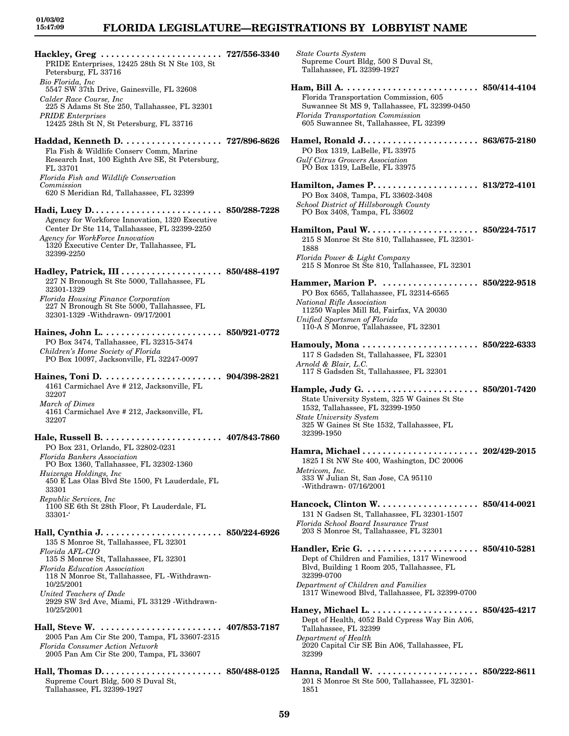### **FLORIDA LEGISLATURE—REGISTRATIONS BY LOBBYIST NAME**

*State Courts System*

**Hackley, Greg . . . . . . . . . . . . . . . . . . . . . . . . 727/556-3340** PRIDE Enterprises, 12425 28th St N Ste 103, St Petersburg, FL 33716 *Bio Florida, Inc* 5547 SW 37th Drive, Gainesville, FL 32608 *Calder Race Course, Inc* 225 S Adams St Ste 250, Tallahassee, FL 32301 *PRIDE Enterprises* 12425 28th St N, St Petersburg, FL 33716 **Haddad, Kenneth D. . . . . . . . . . . . . . . . . . . . 727/896-8626** Fla Fish & Wildlife Conserv Comm, Marine Research Inst, 100 Eighth Ave SE, St Petersburg, FL 33701 *Florida Fish and Wildlife Conservation Commission* 620 S Meridian Rd, Tallahassee, FL 32399 **Hadi, Lucy D. . . . . . . . . . . . . . . . . . . . . . . . . . 850/288-7228** Agency for Workforce Innovation, 1320 Executive Center Dr Ste 114, Tallahassee, FL 32399-2250 *Agency for WorkForce Innovation* 1320 Executive Center Dr, Tallahassee, FL 32399-2250 **Hadley, Patrick, III . . . . . . . . . . . . . . . . . . . . 850/488-4197** 227 N Bronough St Ste 5000, Tallahassee, FL 32301-1329 *Florida Housing Finance Corporation* 227 N Bronough St Ste 5000, Tallahassee, FL 32301-1329 -Withdrawn- 09/17/2001 **Haines, John L. . . . . . . . . . . . . . . . . . . . . . . . 850/921-0772** PO Box 3474, Tallahassee, FL 32315-3474 *Children's Home Society of Florida* PO Box 10097, Jacksonville, FL 32247-0097 **Haines, Toni D. . . . . . . . . . . . . . . . . . . . . . . . 904/398-2821** 4161 Carmichael Ave # 212, Jacksonville, FL 32207 *March of Dimes* 4161 Carmichael Ave # 212, Jacksonville, FL 32207 **Hale, Russell B. . . . . . . . . . . . . . . . . . . . . . . . 407/843-7860** PO Box 231, Orlando, FL 32802-0231 *Florida Bankers Association* PO Box 1360, Tallahassee, FL 32302-1360 *Huizenga Holdings, Inc* 450 E Las Olas Blvd Ste 1500, Ft Lauderdale, FL 33301 *Republic Services, Inc* 1100 SE 6th St 28th Floor, Ft Lauderdale, FL 33301-' **Hall, Cynthia J. . . . . . . . . . . . . . . . . . . . . . . . 850/224-6926** 135 S Monroe St, Tallahassee, FL 32301 *Florida AFL-CIO* 135 S Monroe St, Tallahassee, FL 32301 *Florida Education Association* 118 N Monroe St, Tallahassee, FL -Withdrawn-10/25/2001 *United Teachers of Dade* 2929 SW 3rd Ave, Miami, FL 33129 -Withdrawn-10/25/2001 **Hall, Steve W. . . . . . . . . . . . . . . . . . . . . . . . . 407/853-7187** 2005 Pan Am Cir Ste 200, Tampa, FL 33607-2315 *Florida Consumer Action Network* 2005 Pan Am Cir Ste 200, Tampa, FL 33607 **Hall, Thomas D. . . . . . . . . . . . . . . . . . . . . . . . 850/488-0125** Supreme Court Bldg, 500 S Duval St, Tallahassee, FL 32399-1927

Supreme Court Bldg, 500 S Duval St, Tallahassee, FL 32399-1927 **Ham, Bill A. . . . . . . . . . . . . . . . . . . . . . . . . . . 850/414-4104** Florida Transportation Commission, 605 Suwannee St MS 9, Tallahassee, FL 32399-0450 *Florida Transportation Commission* 605 Suwannee St, Tallahassee, FL 32399 **Hamel, Ronald J. . . . . . . . . . . . . . . . . . . . . . . 863/675-2180** PO Box 1319, LaBelle, FL 33975 *Gulf Citrus Growers Association* PO Box 1319, LaBelle, FL 33975 **Hamilton, James P. . . . . . . . . . . . . . . . . . . . . 813/272-4101** PO Box 3408, Tampa, FL 33602-3408 *School District of Hillsborough County* PO Box 3408, Tampa, FL 33602 **Hamilton, Paul W. . . . . . . . . . . . . . . . . . . . . . 850/224-7517** 215 S Monroe St Ste 810, Tallahassee, FL 32301- 1888 *Florida Power & Light Company* 215 S Monroe St Ste 810, Tallahassee, FL 32301 **Hammer, Marion P. . . . . . . . . . . . . . . . . . . . 850/222-9518** PO Box 6565, Tallahassee, FL 32314-6565 *National Rifle Association* 11250 Waples Mill Rd, Fairfax, VA 20030 *Unified Sportsmen of Florida* 110-A S Monroe, Tallahassee, FL 32301 **Hamouly, Mona . . . . . . . . . . . . . . . . . . . . . . . 850/222-6333** 117 S Gadsden St, Tallahassee, FL 32301 *Arnold & Blair, L.C.* 117 S Gadsden St, Tallahassee, FL 32301 **Hample, Judy G. . . . . . . . . . . . . . . . . . . . . . . 850/201-7420** State University System, 325 W Gaines St Ste 1532, Tallahassee, FL 32399-1950 *State University System* 325 W Gaines St Ste 1532, Tallahassee, FL 32399-1950 **Hamra, Michael . . . . . . . . . . . . . . . . . . . . . . . 202/429-2015** 1825 I St NW Ste 400, Washington, DC 20006 *Metricom, Inc.* 333 W Julian St, San Jose, CA 95110 -Withdrawn- 07/16/2001 **Hancock, Clinton W. . . . . . . . . . . . . . . . . . . . 850/414-0021** 131 N Gadsen St, Tallahassee, FL 32301-1507 *Florida School Board Insurance Trust* 203 S Monroe St, Tallahassee, FL 32301 **Handler, Eric G. . . . . . . . . . . . . . . . . . . . . . . 850/410-5281** Dept of Children and Families, 1317 Winewood Blvd, Building 1 Room 205, Tallahassee, FL 32399-0700 *Department of Children and Families* 1317 Winewood Blvd, Tallahassee, FL 32399-0700 **Haney, Michael L. . . . . . . . . . . . . . . . . . . . . . 850/425-4217** Dept of Health, 4052 Bald Cypress Way Bin A06, Tallahassee, FL 32399 *Department of Health* 2020 Capital Cir SE Bin A06, Tallahassee, FL 32399 **Hanna, Randall W. . . . . . . . . . . . . . . . . . . . . 850/222-8611** 201 S Monroe St Ste 500, Tallahassee, FL 32301-

1851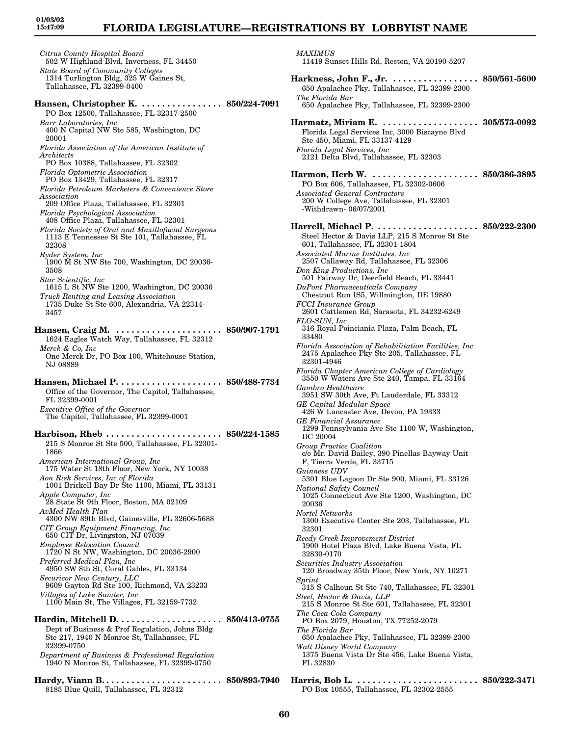### **FLORIDA LEGISLATURE—REGISTRATIONS BY LOBBYIST NAME**

*Citrus County Hospital Board* 502 W Highland Blvd, Inverness, FL 34450 *State Board of Community Colleges* 1314 Turlington Bldg, 325 W Gaines St, Tallahassee, FL 32399-0400 **Hansen, Christopher K. . . . . . . . . . . . . . . . . 850/224-7091** PO Box 12500, Tallahassee, FL 32317-2500 *Barr Laboratories, Inc* 400 N Capital NW Ste 585, Washington, DC 20001 *Florida Association of the American Institute of Architects* PO Box 10388, Tallahassee, FL 32302 *Florida Optometric Association* PO Box 13429, Tallahassee, FL 32317 *Florida Petroleum Marketers & Convenience Store Association* 209 Office Plaza, Tallahassee, FL 32301 *Florida Psychological Association* 408 Office Plaza, Tallahassee, FL 32301 *Florida Society of Oral and Maxillofacial Surgeons* 1113 E Tennessee St Ste 101, Tallahassee, FL 32308 *Ryder System, Inc* 1900 M St NW Ste 700, Washington, DC 20036- 3508 *Star Scientific, Inc* 1615 L St NW Ste 1200, Washington, DC 20036 *Truck Renting and Leasing Association* 1735 Duke St Ste 600, Alexandria, VA 22314- 3457 **Hansen, Craig M. . . . . . . . . . . . . . . . . . . . . . 850/907-1791** 1624 Eagles Watch Way, Tallahassee, FL 32312 *Merck & Co, Inc* One Merck Dr, PO Box 100, Whitehouse Station, NJ 08889 **Hansen, Michael P. . . . . . . . . . . . . . . . . . . . . 850/488-7734** Office of the Governor, The Capitol, Tallahassee, FL 32399-0001 *Executive Office of the Governor* The Capitol, Tallahassee, FL 32399-0001 **Harbison, Rheb . . . . . . . . . . . . . . . . . . . . . . . 850/224-1585** 215 S Monroe St Ste 500, Tallahassee, FL 32301- 1866 *American International Group, Inc* 175 Water St 18th Floor, New York, NY 10038 *Aon Risk Services, Inc of Florida* 1001 Brickell Bay Dr Ste 1100, Miami, FL 33131 *Apple Computer, Inc* 28 State St 9th Floor, Boston, MA 02109 *AvMed Health Plan* 4300 NW 89th Blvd, Gainesville, FL 32606-5688 *CIT Group Equipment Financing, Inc* 650 CIT Dr, Livingston, NJ 07039 *Employee Relocation Council* 1720 N St NW, Washington, DC 20036-2900 *Preferred Medical Plan, Inc* 4950 SW 8th St, Coral Gables, FL 33134 *Securicor New Century, LLC* 9609 Gayton Rd Ste 100, Richmond, VA 23233 *Villages of Lake Sumter, Inc* 1100 Main St, The Villages, FL 32159-7732 **Hardin, Mitchell D. . . . . . . . . . . . . . . . . . . . . 850/413-0755** Dept of Business & Prof Regulation, Johns Bldg Ste 217, 1940 N Monroe St, Tallahassee, FL 32399-0750

*Department of Business & Professional Regulation* 1940 N Monroe St, Tallahassee, FL 32399-0750

**Hardy, Viann B. . . . . . . . . . . . . . . . . . . . . . . . 850/893-7940** 8185 Blue Quill, Tallahassee, FL 32312

*MAXIMUS* 11419 Sunset Hills Rd, Reston, VA 20190-5207 **Harkness, John F., Jr. . . . . . . . . . . . . . . . . . 850/561-5600** 650 Apalachee Pky, Tallahassee, FL 32399-2300 *The Florida Bar*

650 Apalachee Pky, Tallahassee, FL 32399-2300

**Harmatz, Miriam E. . . . . . . . . . . . . . . . . . . . 305/573-0092** Florida Legal Services Inc, 3000 Biscayne Blvd Ste 450, Miami, FL 33137-4129 *Florida Legal Services, Inc* 2121 Delta Blvd, Tallahassee, FL 32303

**Harmon, Herb W. . . . . . . . . . . . . . . . . . . . . . 850/386-3895** PO Box 606, Tallahassee, FL 32302-0606 *Associated General Contractors* 200 W College Ave, Tallahassee, FL 32301 -Withdrawn- 06/07/2001

**Harrell, Michael P. . . . . . . . . . . . . . . . . . . . . 850/222-2300** Steel Hector & Davis LLP, 215 S Monroe St Ste 601, Tallahassee, FL 32301-1804 *Associated Marine Institutes, Inc* 2507 Callaway Rd, Tallahassee, FL 32306 *Don King Productions, Inc* 501 Fairway Dr, Deerfield Beach, FL 33441 *DuPont Pharmaceuticals Company* Chestnut Run IS5, Willmington, DE 19880 *FCCI Insurance Group* 2601 Cattlemen Rd, Sarasota, FL 34232-6249 *FLO-SUN, Inc* 316 Royal Poinciania Plaza, Palm Beach, FL 33480 *Florida Association of Rehabilitation Facilities, Inc* 2475 Apalachee Pky Ste 205, Tallahassee, FL 32301-4946 *Florida Chapter American College of Cardiology* 3550 W Waters Ave Ste 240, Tampa, FL 33164 *Gambro Healthcare* 3951 SW 30th Ave, Ft Lauderdale, FL 33312 *GE Capital Modular Space* 426 W Lancaster Ave, Devon, PA 19333 *GE Financial Assurance* 1299 Pennsylvania Ave Ste 1100 W, Washington, DC 20004 *Group Practice Coalition* c/o Mr. David Bailey, 390 Pinellas Bayway Unit F, Tierra Verde, FL 33715 *Guinness UDV* 5301 Blue Lagoon Dr Ste 900, Miami, FL 33126 *National Safety Council* 1025 Connecticut Ave Ste 1200, Washington, DC 20036 *Nortel Networks* 1300 Executive Center Ste 203, Tallahassee, FL 32301 *Reedy Creek Improvement District* 1900 Hotel Plaza Blvd, Lake Buena Vista, FL 32830-0170 *Securities Industry Association* 120 Broadway 35th Floor, New York, NY 10271 *Sprint* 315 S Calhoun St Ste 740, Tallahassee, FL 32301 *Steel, Hector & Davis, LLP* 215 S Monroe St Ste 601, Tallahassee, FL 32301 *The Coca-Cola Company* PO Box 2079, Houston, TX 77252-2079 *The Florida Bar* 650 Apalachee Pky, Tallahassee, FL 32399-2300 *Walt Disney World Company* 1375 Buena Vista Dr Ste 456, Lake Buena Vista, FL 32830 **Harris, Bob L. . . . . . . . . . . . . . . . . . . . . . . . . 850/222-3471** PO Box 10555, Tallahassee, FL 32302-2555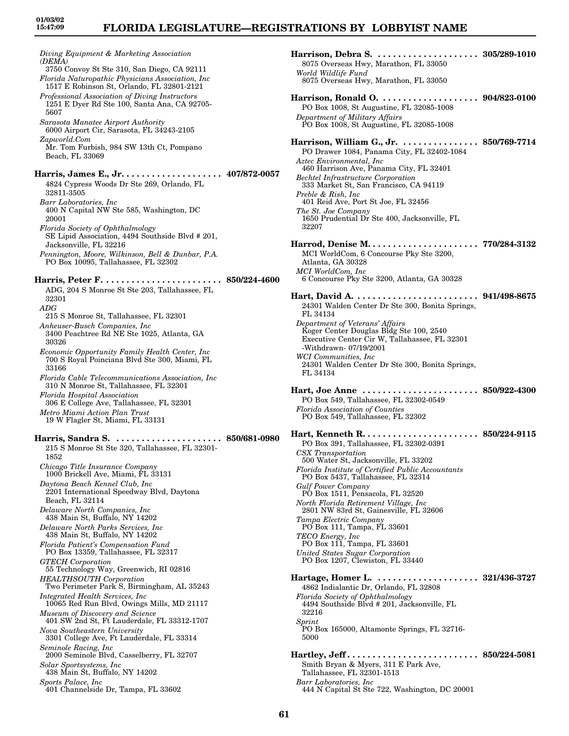*Diving Equipment & Marketing Association (DEMA)* 3750 Convoy St Ste 310, San Diego, CA 92111 *Florida Naturopathic Physicians Association, Inc* 1517 E Robinson St, Orlando, FL 32801-2121 *Professional Association of Diving Instructors* 1251 E Dyer Rd Ste 100, Santa Ana, CA 92705- 5607 *Sarasota Manatee Airport Authority* 6000 Airport Cir, Sarasota, FL 34243-2105 *Zapworld.Com* Mr. Tom Furbish, 984 SW 13th Ct, Pompano Beach, FL 33069 **Harris, James E., Jr. . . . . . . . . . . . . . . . . . . . 407/872-0057** 4824 Cypress Woods Dr Ste 269, Orlando, FL 32811-3505 *Barr Laboratories, Inc* 400 N Capital NW Ste 585, Washington, DC 20001 *Florida Society of Ophthalmology* SE Lipid Association, 4494 Southside Blvd # 201, Jacksonville, FL 32216 *Pennington, Moore, Wilkinson, Bell & Dunbar, P.A.* PO Box 10095, Tallahassee, FL 32302 **Harris, Peter F. . . . . . . . . . . . . . . . . . . . . . . . 850/224-4600** ADG, 204 S Monroe St Ste 203, Tallahassee, FL 32301 *ADG* 215 S Monroe St, Tallahassee, FL 32301 *Anheuser-Busch Companies, Inc* 3400 Peachtree Rd NE Ste 1025, Atlanta, GA 30326 *Economic Opportunity Family Health Center, Inc* 700 S Royal Poinciana Blvd Ste 300, Miami, FL 33166 *Florida Cable Telecommunications Association, Inc* 310 N Monroe St, Tallahassee, FL 32301 *Florida Hospital Association* 306 E College Ave, Tallahassee, FL 32301 *Metro Miami Action Plan Trust* 19 W Flagler St, Miami, FL 33131 **Harris, Sandra S. . . . . . . . . . . . . . . . . . . . . . 850/681-0980** 215 S Monroe St Ste 320, Tallahassee, FL 32301- 1852 *Chicago Title Insurance Company* 1000 Brickell Ave, Miami, FL 33131 *Daytona Beach Kennel Club, Inc* 2201 International Speedway Blvd, Daytona Beach, FL 32114 *Delaware North Companies, Inc* 438 Main St, Buffalo, NY 14202 *Delaware North Parks Services, Inc* 438 Main St, Buffalo, NY 14202 *Florida Patient's Compensation Fund* PO Box 13359, Tallahassee, FL 32317 *GTECH Corporation* 55 Technology Way, Greenwich, RI 02816 *HEALTHSOUTH Corporation* Two Perimeter Park S, Birmingham, AL 35243 *Integrated Health Services, Inc* 10065 Red Run Blvd, Owings Mills, MD 21117 *Museum of Discovery and Science* 401 SW 2nd St, Ft Lauderdale, FL 33312-1707 *Nova Southeastern University* 3301 College Ave, Ft Lauderdale, FL 33314 *Seminole Racing, Inc* 2000 Seminole Blvd, Casselberry, FL 32707 *Solar Sportsystems, Inc* 438 Main St, Buffalo, NY 14202 *Sports Palace, Inc* 401 Channelside Dr, Tampa, FL 33602

| 8075 Overseas Hwy, Marathon, FL 33050<br>World Wildlife Fund                                                                                                                                                                                                                                                                                                                                                                                                                                                                                                                             |                         |
|------------------------------------------------------------------------------------------------------------------------------------------------------------------------------------------------------------------------------------------------------------------------------------------------------------------------------------------------------------------------------------------------------------------------------------------------------------------------------------------------------------------------------------------------------------------------------------------|-------------------------|
| 8075 Overseas Hwy, Marathon, FL 33050                                                                                                                                                                                                                                                                                                                                                                                                                                                                                                                                                    |                         |
| Harrison, Ronald O.  904/823-0100<br>PO Box 1008, St Augustine, FL 32085-1008<br>Department of Military Affairs<br>PO Box 1008, St Augustine, FL 32085-1008                                                                                                                                                                                                                                                                                                                                                                                                                              |                         |
| Harrison, William G., Jr.  850/769-7714<br>PO Drawer 1084, Panama City, FL 32402-1084<br>Aztec Environmental, Inc.<br>460 Harrison Ave, Panama City, FL 32401<br><b>Bechtel Infrastructure Corporation</b><br>333 Market St, San Francisco, CA 94119<br>Preble & Rish, Inc.<br>401 Reid Ave, Port St Joe, FL 32456<br>The St. Joe Company<br>1650 Prudential Dr Ste 400, Jacksonville, FL<br>32207<br>MCI WorldCom, 6 Concourse Pky Ste 3200,<br>Atlanta, GA 30328<br>MCI WorldCom, Inc                                                                                                  |                         |
| 6 Concourse Pky Ste 3200, Atlanta, GA 30328                                                                                                                                                                                                                                                                                                                                                                                                                                                                                                                                              |                         |
| Hart, David A. $\dots$<br>24301 Walden Center Dr Ste 300, Bonita Springs,<br>FL 34134                                                                                                                                                                                                                                                                                                                                                                                                                                                                                                    | $\ldots\ 941/498$ -8675 |
| Department of Veterans' Affairs<br>Koger Center Douglas Bldg Ste 100, 2540<br>Executive Center Cir W, Tallahassee, FL 32301<br>-Withdrawn-07/19/2001<br>WCI Communities, Inc<br>24301 Walden Center Dr Ste 300, Bonita Springs,<br>FL 34134                                                                                                                                                                                                                                                                                                                                              |                         |
| Hart, Joe Anne $\dots\dots\dots\dots\dots\dots\dots$<br>PO Box 549, Tallahassee, FL 32302-0549<br>Florida Association of Counties<br>PO Box 549, Tallahassee, FL 32302                                                                                                                                                                                                                                                                                                                                                                                                                   | $\ldots$ 850/922-4300   |
| Hart, Kenneth $R_1, \ldots, R_n, \ldots, R_n$<br>PO Box 391, Tallahassee, FL 32302-0391<br>CSX Transportation<br>500 Water St, Jacksonville, FL 33202<br>Florida Institute of Certified Public Accountants<br>PO Box 5437, Tallahassee, FL 32314<br><b>Gulf Power Company</b><br>PÓ Box 1511, Pensacola, FL 32520<br>North Florida Retirement Village, Inc<br>2801 NW 83rd St, Gainesville, FL 32606<br>Tampa Electric Company<br>PO Box 111, Tampa, FL 33601<br>TECO Energy, Inc.<br>PO Box 111, Tampa, FL 33601<br>United States Sugar Corporation<br>PO Box 1207, Clewiston, FL 33440 | $\ldots$ 850/224-9115   |
| Hartage, Homer L.  321/436-3727<br>4862 Indialantic Dr, Orlando, FL 32808<br>Florida Society of Ophthalmology<br>4494 Southside Blvd # 201, Jacksonville, FL<br>32216<br>Sprint                                                                                                                                                                                                                                                                                                                                                                                                          |                         |
| PO Box 165000, Altamonte Springs, FL 32716-<br>5000                                                                                                                                                                                                                                                                                                                                                                                                                                                                                                                                      |                         |
| Smith Bryan & Myers, 311 E Park Ave,<br>Tallahassee, FL 32301-1513<br>Barr Laboratories, Inc.<br>444 N Capital St Ste 722, Washington, DC 20001                                                                                                                                                                                                                                                                                                                                                                                                                                          |                         |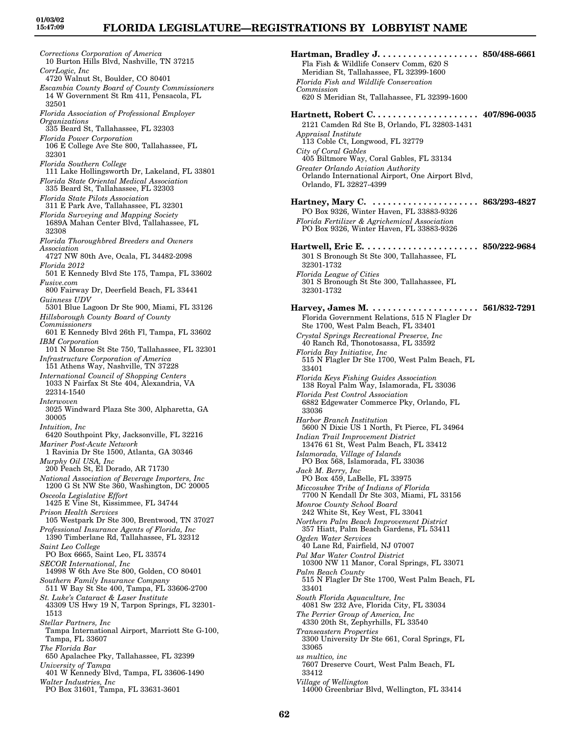*Corrections Corporation of America* 10 Burton Hills Blvd, Nashville, TN 37215 *CorrLogic, Inc* 4720 Walnut St, Boulder, CO 80401 *Escambia County Board of County Commissioners* 14 W Government St Rm 411, Pensacola, FL 32501 *Florida Association of Professional Employer Organizations* 335 Beard St, Tallahassee, FL 32303 *Florida Power Corporation* 106 E College Ave Ste 800, Tallahassee, FL 32301 *Florida Southern College* 111 Lake Hollingsworth Dr, Lakeland, FL 33801 *Florida State Oriental Medical Association* 335 Beard St, Tallahassee, FL 32303 *Florida State Pilots Association* 311 E Park Ave, Tallahassee, FL 32301 *Florida Surveying and Mapping Society* 1689A Mahan Center Blvd, Tallahassee, FL 32308 *Florida Thoroughbred Breeders and Owners Association* 4727 NW 80th Ave, Ocala, FL 34482-2098 *Florida 2012* 501 E Kennedy Blvd Ste 175, Tampa, FL 33602 *Fusive.com* 800 Fairway Dr, Deerfield Beach, FL 33441 *Guinness UDV* 5301 Blue Lagoon Dr Ste 900, Miami, FL 33126 *Hillsborough County Board of County Commissioners* 601 E Kennedy Blvd 26th Fl, Tampa, FL 33602 *IBM Corporation* 101 N Monroe St Ste 750, Tallahassee, FL 32301 *Infrastructure Corporation of America* 151 Athens Way, Nashville, TN 37228 *International Council of Shopping Centers* 1033 N Fairfax St Ste 404, Alexandria, VA 22314-1540 *Interwoven* 3025 Windward Plaza Ste 300, Alpharetta, GA 30005 *Intuition, Inc* 6420 Southpoint Pky, Jacksonville, FL 32216 *Mariner Post-Acute Network* 1 Ravinia Dr Ste 1500, Atlanta, GA 30346 *Murphy Oil USA, Inc* 200 Peach St, El Dorado, AR 71730 *National Association of Beverage Importers, Inc* 1200 G St NW Ste 360, Washington, DC 20005 *Osceola Legislative Effort* 1425 E Vine St, Kissimmee, FL 34744 *Prison Health Services* 105 Westpark Dr Ste 300, Brentwood, TN 37027 *Professional Insurance Agents of Florida, Inc* 1390 Timberlane Rd, Tallahassee, FL 32312 *Saint Leo College* PO Box 6665, Saint Leo, FL 33574 *SECOR International, Inc* 14998 W 6th Ave Ste 800, Golden, CO 80401 *Southern Family Insurance Company* 511 W Bay St Ste 400, Tampa, FL 33606-2700 *St. Luke's Cataract & Laser Institute* 43309 US Hwy 19 N, Tarpon Springs, FL 32301- 1513 *Stellar Partners, Inc* Tampa International Airport, Marriott Ste G-100, Tampa, FL 33607 *The Florida Bar* 650 Apalachee Pky, Tallahassee, FL 32399 *University of Tampa* 401 W Kennedy Blvd, Tampa, FL 33606-1490 *Walter Industries, Inc* PO Box 31601, Tampa, FL 33631-3601

**Hartman, Bradley J. . . . . . . . . . . . . . . . . . . . 850/488-6661** Fla Fish & Wildlife Conserv Comm, 620 S Meridian St, Tallahassee, FL 32399-1600 *Florida Fish and Wildlife Conservation Commission* 620 S Meridian St, Tallahassee, FL 32399-1600 **Hartnett, Robert C. . . . . . . . . . . . . . . . . . . . . 407/896-0035** 2121 Camden Rd Ste B, Orlando, FL 32803-1431 *Appraisal Institute* 113 Coble Ct, Longwood, FL 32779 *City of Coral Gables* 405 Biltmore Way, Coral Gables, FL 33134 *Greater Orlando Aviation Authority* Orlando International Airport, One Airport Blvd, Orlando, FL 32827-4399 **Hartney, Mary C. . . . . . . . . . . . . . . . . . . . . . 863/293-4827** PO Box 9326, Winter Haven, FL 33883-9326 *Florida Fertilizer & Agrichemical Association* PO Box 9326, Winter Haven, FL 33883-9326 **Hartwell, Eric E. . . . . . . . . . . . . . . . . . . . . . . 850/222-9684** 301 S Bronough St Ste 300, Tallahassee, FL 32301-1732 *Florida League of Cities* 301 S Bronough St Ste 300, Tallahassee, FL 32301-1732 **Harvey, James M. . . . . . . . . . . . . . . . . . . . . . 561/832-7291** Florida Government Relations, 515 N Flagler Dr Ste 1700, West Palm Beach, FL 33401 *Crystal Springs Recreational Preserve, Inc* 40 Ranch Rd, Thonotosassa, FL 33592 *Florida Bay Initiative, Inc* 515 N Flagler Dr Ste 1700, West Palm Beach, FL 33401 *Florida Keys Fishing Guides Association* 138 Royal Palm Way, Islamorada, FL 33036 *Florida Pest Control Association* 6882 Edgewater Commerce Pky, Orlando, FL 33036 *Harbor Branch Institution* 5600 N Dixie US 1 North, Ft Pierce, FL 34964 *Indian Trail Improvement District* 13476 61 St, West Palm Beach, FL 33412 *Islamorada, Village of Islands* PO Box 568, Islamorada, FL 33036 *Jack M. Berry, Inc* PO Box 459, LaBelle, FL 33975 *Miccosukee Tribe of Indians of Florida* 7700 N Kendall Dr Ste 303, Miami, FL 33156 *Monroe County School Board* 242 White St, Key West, FL 33041 *Northern Palm Beach Improvement District* 357 Hiatt, Palm Beach Gardens, FL 53411 *Ogden Water Services* 40 Lane Rd, Fairfield, NJ 07007 *Pal Mar Water Control District* 10300 NW 11 Manor, Coral Springs, FL 33071 *Palm Beach County* 515 N Flagler Dr Ste 1700, West Palm Beach, FL 33401 *South Florida Aquaculture, Inc* 4081 Sw 232 Ave, Florida City, FL 33034 *The Perrier Group of America, Inc* 4330 20th St, Zephyrhills, FL 33540 *Transeastern Properties* 3300 University Dr Ste 661, Coral Springs, FL 33065 *us multico, inc* 7607 Dreserve Court, West Palm Beach, FL 33412 *Village of Wellington* 14000 Greenbriar Blvd, Wellington, FL 33414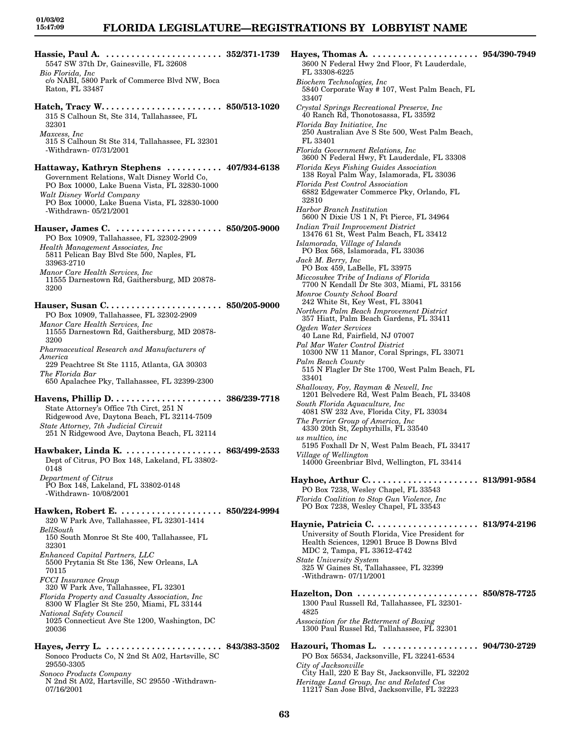| 5547 SW 37th Dr, Gainesville, FL 32608<br>Bio Florida, Inc.<br>c/o NABI, 5800 Park of Commerce Blvd NW, Boca                                                                    |  |
|---------------------------------------------------------------------------------------------------------------------------------------------------------------------------------|--|
| Raton, FL 33487                                                                                                                                                                 |  |
| 315 S Calhoun St, Ste 314, Tallahassee, FL<br>32301                                                                                                                             |  |
| Maxcess, Inc<br>315 S Calhoun St Ste 314, Tallahassee, FL 32301<br>-Withdrawn-07/31/2001                                                                                        |  |
| Hattaway, Kathryn Stephens  407/934-6138<br>Government Relations, Walt Disney World Co,<br>PO Box 10000, Lake Buena Vista, FL 32830-1000<br>Walt Disney World Company           |  |
| PO Box 10000, Lake Buena Vista, FL 32830-1000<br>-Withdrawn-05/21/2001                                                                                                          |  |
| PO Box 10909, Tallahassee, FL 32302-2909                                                                                                                                        |  |
| Health Management Associates, Inc.<br>5811 Pelican Bay Blvd Ste 500, Naples, FL<br>33963-2710                                                                                   |  |
| Manor Care Health Services, Inc<br>11555 Darnestown Rd, Gaithersburg, MD 20878-<br>3200                                                                                         |  |
| Hauser, Susan C 850/205-9000<br>PO Box 10909, Tallahassee, FL 32302-2909                                                                                                        |  |
| Manor Care Health Services, Inc<br>11555 Darnestown Rd, Gaithersburg, MD 20878-<br>3200                                                                                         |  |
| Pharmaceutical Research and Manufacturers of<br>America<br>229 Peachtree St Ste 1115, Atlanta, GA 30303                                                                         |  |
| The Florida Bar<br>650 Apalachee Pky, Tallahassee, FL 32399-2300                                                                                                                |  |
| State Attorney's Office 7th Circt, 251 N<br>Ridgewood Ave, Daytona Beach, FL 32114-7509<br>State Attorney, 7th Judicial Circuit<br>251 N Ridgewood Ave, Daytona Beach, FL 32114 |  |
| Dept of Citrus, PO Box 148, Lakeland, FL 33802-<br>0148                                                                                                                         |  |
| Department of Citrus<br>PO Box 148, Lakeland, FL 33802-0148<br>-Withdrawn-10/08/2001                                                                                            |  |
| Hawken, Robert E.  850/224-9994<br>320 W Park Ave, Tallahassee, FL 32301-1414                                                                                                   |  |
| BellSouth<br>150 South Monroe St Ste 400, Tallahassee, FL<br>32301                                                                                                              |  |
| Enhanced Capital Partners, LLC<br>5500 Prytania St Ste 136, New Orleans, LA<br>70115                                                                                            |  |
| <b>FCCI</b> Insurance Group<br>320 W Park Ave, Tallahassee, FL 32301<br>Florida Property and Casualty Association, Inc                                                          |  |
| 8300 W Flagler St Ste 250, Miami, FL 33144<br>National Safety Council<br>1025 Connecticut Ave Ste 1200, Washington, DC<br>20036                                                 |  |
|                                                                                                                                                                                 |  |
| Sonoco Products Co, N 2nd St A02, Hartsville, SC<br>29550-3305                                                                                                                  |  |
| Sonoco Products Company<br>N 2nd St A02, Hartsville, SC 29550 -Withdrawn-<br>07/16/2001                                                                                         |  |

**Hayes, Thomas A. . . . . . . . . . . . . . . . . . . . . . 954/390-7949** 3600 N Federal Hwy 2nd Floor, Ft Lauderdale, FL 33308-6225 *Biochem Technologies, Inc* 5840 Corporate Way # 107, West Palm Beach, FL 33407 *Crystal Springs Recreational Preserve, Inc* 40 Ranch Rd, Thonotosassa, FL 33592 *Florida Bay Initiative, Inc* 250 Australian Ave S Ste 500, West Palm Beach, FL 33401 *Florida Government Relations, Inc* 3600 N Federal Hwy, Ft Lauderdale, FL 33308 *Florida Keys Fishing Guides Association* 138 Royal Palm Way, Islamorada, FL 33036 *Florida Pest Control Association* 6882 Edgewater Commerce Pky, Orlando, FL 32810 *Harbor Branch Institution* 5600 N Dixie US 1 N, Ft Pierce, FL 34964 *Indian Trail Improvement District* 13476 61 St, West Palm Beach, FL 33412 *Islamorada, Village of Islands* PO Box 568, Islamorada, FL 33036 *Jack M. Berry, Inc* PO Box 459, LaBelle, FL 33975 *Miccosukee Tribe of Indians of Florida* 7700 N Kendall Dr Ste 303, Miami, FL 33156 *Monroe County School Board* 242 White St, Key West, FL 33041 *Northern Palm Beach Improvement District* 357 Hiatt, Palm Beach Gardens, FL 33411 *Ogden Water Services* 40 Lane Rd, Fairfield, NJ 07007 *Pal Mar Water Control District* 10300 NW 11 Manor, Coral Springs, FL 33071 *Palm Beach County* 515 N Flagler Dr Ste 1700, West Palm Beach, FL 33401 *Shalloway, Foy, Rayman & Newell, Inc* 1201 Belvedere Rd, West Palm Beach, FL 33408 *South Florida Aquaculture, Inc* 4081 SW 232 Ave, Florida City, FL 33034 *The Perrier Group of America, Inc* 4330 20th St, Zephyrhills, FL 33540 *us multico, inc* 5195 Foxhall Dr N, West Palm Beach, FL 33417 *Village of Wellington* 14000 Greenbriar Blvd, Wellington, FL 33414 **Hayhoe, Arthur C. . . . . . . . . . . . . . . . . . . . . . 813/991-9584** PO Box 7238, Wesley Chapel, FL 33543 *Florida Coalition to Stop Gun Violence, Inc* PO Box 7238, Wesley Chapel, FL 33543 **Haynie, Patricia C. . . . . . . . . . . . . . . . . . . . . 813/974-2196** University of South Florida, Vice President for Health Sciences, 12901 Bruce B Downs Blvd MDC 2, Tampa, FL 33612-4742 *State University System* 325 W Gaines St, Tallahassee, FL 32399 -Withdrawn- 07/11/2001 **Hazelton, Don . . . . . . . . . . . . . . . . . . . . . . . . 850/878-7725** 1300 Paul Russell Rd, Tallahassee, FL 32301- 4825 *Association for the Betterment of Boxing* 1300 Paul Russel Rd, Tallahassee, FL 32301 **Hazouri, Thomas L. . . . . . . . . . . . . . . . . . . . 904/730-2729** PO Box 56534, Jacksonville, FL 32241-6534 *City of Jacksonville* City Hall, 220 E Bay St, Jacksonville, FL 32202 *Heritage Land Group, Inc and Related Cos* 11217 San Jose Blvd, Jacksonville, FL 32223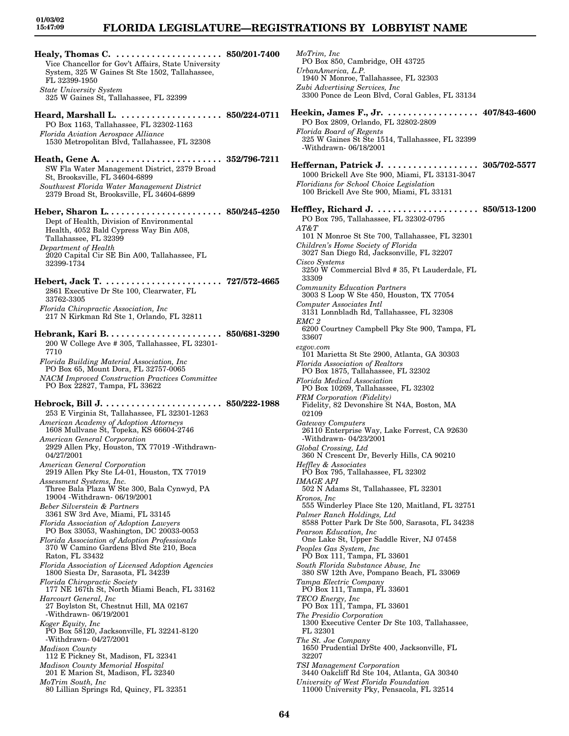# **FLORIDA LEGISLATURE—REGISTRATIONS BY LOBBYIST NAME**

**Healy, Thomas C. . . . . . . . . . . . . . . . . . . . . . 850/201-7400** Vice Chancellor for Gov't Affairs, State University System, 325 W Gaines St Ste 1502, Tallahassee, FL 32399-1950 *State University System* 325 W Gaines St, Tallahassee, FL 32399 **Heard, Marshall L. . . . . . . . . . . . . . . . . . . . . 850/224-0711** PO Box 1163, Tallahassee, FL 32302-1163 *Florida Aviation Aerospace Alliance* 1530 Metropolitan Blvd, Tallahassee, FL 32308 **Heath, Gene A. . . . . . . . . . . . . . . . . . . . . . . . 352/796-7211** SW Fla Water Management District, 2379 Broad St, Brooksville, FL 34604-6899 *Southwest Florida Water Management District* 2379 Broad St, Brooksville, FL 34604-6899 **Heber, Sharon L. . . . . . . . . . . . . . . . . . . . . . . 850/245-4250** Dept of Health, Division of Environmental Health, 4052 Bald Cypress Way Bin A08, Tallahassee, FL 32399 *Department of Health* 2020 Capital Cir SE Bin A00, Tallahassee, FL 32399-1734 **Hebert, Jack T. . . . . . . . . . . . . . . . . . . . . . . . 727/572-4665** 2861 Executive Dr Ste 100, Clearwater, FL 33762-3305 *Florida Chiropractic Association, Inc* 217 N Kirkman Rd Ste 1, Orlando, FL 32811 **Hebrank, Kari B. . . . . . . . . . . . . . . . . . . . . . . 850/681-3290** 200 W College Ave # 305, Tallahassee, FL 32301- 7710 *Florida Building Material Association, Inc* PO Box 65, Mount Dora, FL 32757-0065 *NACM Improved Construction Practices Committee* PO Box 22827, Tampa, FL 33622 **Hebrock, Bill J. . . . . . . . . . . . . . . . . . . . . . . . 850/222-1988** 253 E Virginia St, Tallahassee, FL 32301-1263 *American Academy of Adoption Attorneys* 1608 Mullvane St, Topeka, KS 66604-2746 *American General Corporation* 2929 Allen Pky, Houston, TX 77019 -Withdrawn-04/27/2001 *American General Corporation* 2919 Allen Pky Ste L4-01, Houston, TX 77019 *Assessment Systems, Inc.* Three Bala Plaza W Ste 300, Bala Cynwyd, PA 19004 -Withdrawn- 06/19/2001 *Beber Silverstein & Partners* 3361 SW 3rd Ave, Miami, FL 33145 *Florida Association of Adoption Lawyers* PO Box 33053, Washington, DC 20033-0053 *Florida Association of Adoption Professionals* 370 W Camino Gardens Blvd Ste 210, Boca Raton, FL 33432 *Florida Association of Licensed Adoption Agencies* 1800 Siesta Dr, Sarasota, FL 34239 *Florida Chiropractic Society* 177 NE 167th St, North Miami Beach, FL 33162 *Harcourt General, Inc* 27 Boylston St, Chestnut Hill, MA 02167 -Withdrawn- 06/19/2001 *Koger Equity, Inc* PO Box 58120, Jacksonville, FL 32241-8120 -Withdrawn- 04/27/2001 *Madison County* 112 E Pickney St, Madison, FL 32341 *Madison County Memorial Hospital* 201 E Marion St, Madison, FL 32340 *MoTrim South, Inc* 80 Lillian Springs Rd, Quincy, FL 32351

*MoTrim, Inc* PO Box 850, Cambridge, OH 43725 *UrbanAmerica, L.P.* 1940 N Monroe, Tallahassee, FL 32303 *Zubi Advertising Services, Inc* 3300 Ponce de Leon Blvd, Coral Gables, FL 33134 **Heekin, James F., Jr. . . . . . . . . . . . . . . . . . . 407/843-4600** PO Box 2809, Orlando, FL 32802-2809 *Florida Board of Regents* 325 W Gaines St Ste 1514, Tallahassee, FL 32399 -Withdrawn- 06/18/2001 **Heffernan, Patrick J. . . . . . . . . . . . . . . . . . . 305/702-5577** 1000 Brickell Ave Ste 900, Miami, FL 33131-3047 *Floridians for School Choice Legislation* 100 Brickell Ave Ste 900, Miami, FL 33131 **Heffley, Richard J. . . . . . . . . . . . . . . . . . . . . 850/513-1200** PO Box 795, Tallahassee, FL 32302-0795 *AT&T* 101 N Monroe St Ste 700, Tallahassee, FL 32301 *Children's Home Society of Florida* 3027 San Diego Rd, Jacksonville, FL 32207 *Cisco Systems* 3250 W Commercial Blvd # 35, Ft Lauderdale, FL 33309 *Community Education Partners* 3003 S Loop W Ste 450, Houston, TX 77054 *Computer Associates Intl* 3131 Lonnbladh Rd, Tallahassee, FL 32308 *EMC 2* 6200 Courtney Campbell Pky Ste 900, Tampa, FL 33607 *ezgov.com* 101 Marietta St Ste 2900, Atlanta, GA 30303 *Florida Association of Realtors* PO Box 1875, Tallahassee, FL 32302 *Florida Medical Association* PO Box 10269, Tallahassee, FL 32302 *FRM Corporation (Fidelity)* Fidelity, 82 Devonshire St N4A, Boston, MA 02109 *Gateway Computers* 26110 Enterprise Way, Lake Forrest, CA 92630 -Withdrawn- 04/23/2001 *Global Crossing, Ltd* 360 N Crescent Dr, Beverly Hills, CA 90210 *Heffley & Associates* PO Box 795, Tallahassee, FL 32302 *IMAGE API* 502 N Adams St, Tallahassee, FL 32301 *Kronos, Inc* 555 Winderley Place Ste 120, Maitland, FL 32751 *Palmer Ranch Holdings, Ltd* 8588 Potter Park Dr Ste 500, Sarasota, FL 34238 *Pearson Education, Inc* One Lake St, Upper Saddle River, NJ 07458 *Peoples Gas System, Inc* PO Box 111, Tampa, FL 33601 *South Florida Substance Abuse, Inc* 380 SW 12th Ave, Pompano Beach, FL 33069 *Tampa Electric Company* PO Box 111, Tampa, FL 33601 *TECO Energy, Inc* PO Box 111, Tampa, FL 33601 *The Presidio Corporation* 1300 Executive Center Dr Ste 103, Tallahassee, FL 32301 *The St. Joe Company* 1650 Prudential DrSte 400, Jacksonville, FL 32207 *TSI Management Corporation* 3440 Oakcliff Rd Ste 104, Atlanta, GA 30340 *University of West Florida Foundation* 11000 University Pky, Pensacola, FL 32514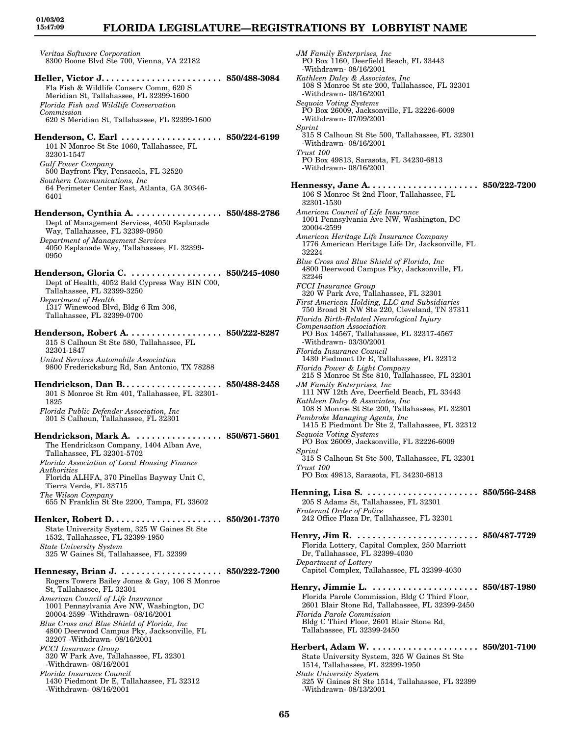# **FLORIDA LEGISLATURE—REGISTRATIONS BY LOBBYIST NAME**

*Veritas Software Corporation* 8300 Boone Blvd Ste 700, Vienna, VA 22182 **Heller, Victor J. . . . . . . . . . . . . . . . . . . . . . . . 850/488-3084** Fla Fish & Wildlife Conserv Comm, 620 S Meridian St, Tallahassee, FL 32399-1600 *Florida Fish and Wildlife Conservation Commission* 620 S Meridian St, Tallahassee, FL 32399-1600 **Henderson, C. Earl . . . . . . . . . . . . . . . . . . . . 850/224-6199** 101 N Monroe St Ste 1060, Tallahassee, FL 32301-1547 *Gulf Power Company* 500 Bayfront Pky, Pensacola, FL 32520 *Southern Communications, Inc* 64 Perimeter Center East, Atlanta, GA 30346- 6401 **Henderson, Cynthia A. . . . . . . . . . . . . . . . . . 850/488-2786** Dept of Management Services, 4050 Esplanade Way, Tallahassee, FL 32399-0950 *Department of Management Services* 4050 Esplanade Way, Tallahassee, FL 32399- 0950 **Henderson, Gloria C. . . . . . . . . . . . . . . . . . . 850/245-4080** Dept of Health, 4052 Bald Cypress Way BIN C00, Tallahassee, FL 32399-3250 *Department of Health* 1317 Winewood Blvd, Bldg 6 Rm 306, Tallahassee, FL 32399-0700 **Henderson, Robert A. . . . . . . . . . . . . . . . . . . 850/222-8287** 315 S Calhoun St Ste 580, Tallahassee, FL 32301-1847 *United Services Automobile Association* 9800 Fredericksburg Rd, San Antonio, TX 78288 **Hendrickson, Dan B. . . . . . . . . . . . . . . . . . . . 850/488-2458** 301 S Monroe St Rm 401, Tallahassee, FL 32301- 1825 *Florida Public Defender Association, Inc* 301 S Calhoun, Tallahassee, FL 32301 **Hendrickson, Mark A. . . . . . . . . . . . . . . . . . 850/671-5601** The Hendrickson Company, 1404 Alban Ave, Tallahassee, FL 32301-5702 *Florida Association of Local Housing Finance Authorities* Florida ALHFA, 370 Pinellas Bayway Unit C, Tierra Verde, FL 33715 *The Wilson Company* 655 N Franklin St Ste 2200, Tampa, FL 33602 **Henker, Robert D. . . . . . . . . . . . . . . . . . . . . . 850/201-7370** State University System, 325 W Gaines St Ste 1532, Tallahassee, FL 32399-1950 *State University System* 325 W Gaines St, Tallahassee, FL 32399 **Hennessy, Brian J. . . . . . . . . . . . . . . . . . . . . 850/222-7200** Rogers Towers Bailey Jones & Gay, 106 S Monroe St, Tallahassee, FL 32301 *American Council of Life Insurance* 1001 Pennsylvania Ave NW, Washington, DC 20004-2599 -Withdrawn- 08/16/2001 *Blue Cross and Blue Shield of Florida, Inc* 4800 Deerwood Campus Pky, Jacksonville, FL 32207 -Withdrawn- 08/16/2001 *FCCI Insurance Group* 320 W Park Ave, Tallahassee, FL 32301 -Withdrawn- 08/16/2001

*Florida Insurance Council* 1430 Piedmont Dr E, Tallahassee, FL 32312 -Withdrawn- 08/16/2001

*JM Family Enterprises, Inc* PO Box 1160, Deerfield Beach, FL 33443 -Withdrawn- 08/16/2001 *Kathleen Daley & Associates, Inc* 108 S Monroe St ste 200, Tallahassee, FL 32301 -Withdrawn- 08/16/2001 *Sequoia Voting Systems* PO Box 26009, Jacksonville, FL 32226-6009 -Withdrawn- 07/09/2001 *Sprint* 315 S Calhoun St Ste 500, Tallahassee, FL 32301 -Withdrawn- 08/16/2001 *Trust 100* PO Box 49813, Sarasota, FL 34230-6813 -Withdrawn- 08/16/2001 **Hennessy, Jane A. . . . . . . . . . . . . . . . . . . . . . 850/222-7200** 106 S Monroe St 2nd Floor, Tallahassee, FL 32301-1530 *American Council of Life Insurance* 1001 Pennsylvania Ave NW, Washington, DC 20004-2599 *American Heritage Life Insurance Company* 1776 American Heritage Life Dr, Jacksonville, FL 32224 *Blue Cross and Blue Shield of Florida, Inc* 4800 Deerwood Campus Pky, Jacksonville, FL 32246 *FCCI Insurance Group* 320 W Park Ave, Tallahassee, FL 32301 *First American Holding, LLC and Subsidiaries* 750 Broad St NW Ste 220, Cleveland, TN 37311 *Florida Birth-Related Neurological Injury Compensation Association* PO Box 14567, Tallahassee, FL 32317-4567 -Withdrawn- 03/30/2001 *Florida Insurance Council* 1430 Piedmont Dr E, Tallahassee, FL 32312 *Florida Power & Light Company* 215 S Monroe St Ste 810, Tallahassee, FL 32301 *JM Family Enterprises, Inc* 111 NW 12th Ave, Deerfield Beach, FL 33443 *Kathleen Daley & Associates, Inc* 108 S Monroe St Ste 200, Tallahassee, FL 32301 *Pembroke Managing Agents, Inc* 1415 E Piedmont Dr Ste 2, Tallahassee, FL 32312 *Sequoia Voting Systems* PO Box 26009, Jacksonville, FL 32226-6009 *Sprint* 315 S Calhoun St Ste 500, Tallahassee, FL 32301 *Trust 100* PO Box 49813, Sarasota, FL 34230-6813 **Henning, Lisa S. . . . . . . . . . . . . . . . . . . . . . . 850/566-2488** 205 S Adams St, Tallahassee, FL 32301 *Fraternal Order of Police* 242 Office Plaza Dr, Tallahassee, FL 32301 **Henry, Jim R. . . . . . . . . . . . . . . . . . . . . . . . . 850/487-7729** Florida Lottery, Capital Complex, 250 Marriott Dr, Tallahassee, FL 32399-4030 *Department of Lottery* Capitol Complex, Tallahassee, FL 32399-4030 **Henry, Jimmie L. . . . . . . . . . . . . . . . . . . . . . 850/487-1980** Florida Parole Commission, Bldg C Third Floor, 2601 Blair Stone Rd, Tallahassee, FL 32399-2450 *Florida Parole Commission* Bldg C Third Floor, 2601 Blair Stone Rd, Tallahassee, FL 32399-2450 **Herbert, Adam W. . . . . . . . . . . . . . . . . . . . . . 850/201-7100** State University System, 325 W Gaines St Ste 1514, Tallahassee, FL 32399-1950 *State University System* 325 W Gaines St Ste 1514, Tallahassee, FL 32399 -Withdrawn- 08/13/2001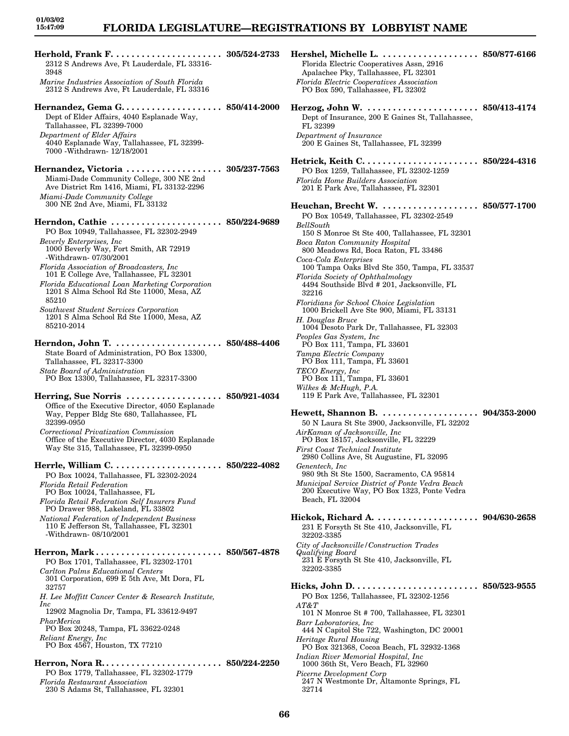| 2312 S Andrews Ave, Ft Lauderdale, FL 33316-<br>3948                                                                                                                                                                                                                                                                                                                                                                                                                                                                     |                                    |
|--------------------------------------------------------------------------------------------------------------------------------------------------------------------------------------------------------------------------------------------------------------------------------------------------------------------------------------------------------------------------------------------------------------------------------------------------------------------------------------------------------------------------|------------------------------------|
| Marine Industries Association of South Florida<br>2312 S Andrews Ave, Ft Lauderdale, FL 33316                                                                                                                                                                                                                                                                                                                                                                                                                            |                                    |
| Dept of Elder Affairs, 4040 Esplanade Way,<br>Tallahassee, FL 32399-7000<br>Department of Elder Affairs<br>4040 Esplanade Way, Tallahassee, FL 32399-<br>7000 -Withdrawn- 12/18/2001                                                                                                                                                                                                                                                                                                                                     |                                    |
| Hernandez, Victoria  305/237-7563<br>Miami-Dade Community College, 300 NE 2nd<br>Ave District Rm 1416, Miami, FL 33132-2296<br>Miami-Dade Community College<br>300 NE 2nd Ave, Miami, FL 33132                                                                                                                                                                                                                                                                                                                           |                                    |
| Herndon, Cathie<br>PO Box 10949, Tallahassee, FL 32302-2949<br><b>Beverly Enterprises, Inc.</b><br>1000 Beverly Way, Fort Smith, AR 72919<br>-Withdrawn-07/30/2001<br>$\begin{array}{c} \textit{Florida Association of Broadcasting, Inc} \\ \textit{101 E College Ave, Tallahassee, FL 32301} \end{array}$<br>Florida Educational Loan Marketing Corporation<br>1201 S Alma School Rd Ste 11000, Mesa, AZ<br>85210<br>Southwest Student Services Corporation<br>1201 S Alma School Rd Ste 11000, Mesa, AZ<br>85210-2014 | $\ldots$ . 850/224-9689            |
| State Board of Administration, PO Box 13300,                                                                                                                                                                                                                                                                                                                                                                                                                                                                             |                                    |
| Tallahassee, FL 32317-3300<br><b>State Board of Administration</b><br>PO Box 13300, Tallahassee, FL 32317-3300                                                                                                                                                                                                                                                                                                                                                                                                           |                                    |
| Herring, Sue Norris  850/921-4034<br>Office of the Executive Director, 4050 Esplanade<br>Way, Pepper Bldg Ste 680, Tallahassee, FL<br>32399-0950<br>Correctional Privatization Commission<br>Office of the Executive Director, 4030 Esplanade<br>Way Ste 315, Tallahassee, FL 32399-0950                                                                                                                                                                                                                                 |                                    |
| Herrle, William C.<br>PO Box 10024, Tallahassee, FL 32302-2024<br>Florida Retail Federation<br>PO Box 10024, Tallahassee, FL<br>Florida Retail Federation Self Insurers Fund<br>PO Drawer 988, Lakeland, FL 33802<br>National Federation of Independent Business<br>110 E Jefferson St, Tallahassee, FL 32301<br>-Withdrawn- 08/10/2001                                                                                                                                                                                  | 850/222-4082                       |
| Herron, Mark<br>PO Box 1701, Tallahassee, FL 32302-1701<br>Carlton Palms Educational Centers<br>301 Corporation, 699 E 5th Ave, Mt Dora, FL<br>32757<br>H. Lee Moffitt Cancer Center & Research Institute,<br>Inc<br>12902 Magnolia Dr, Tampa, FL 33612-9497<br>PharMerica<br>PO Box 20248, Tampa, FL 33622-0248<br>Reliant Energy, Inc                                                                                                                                                                                  | $\ldots \ldots \,\, 850/567$ -4878 |
| PO Box 4567, Houston, TX 77210<br>Herron, Nora R<br>PO Box 1779, Tallahassee, FL 32302-1779<br><b>Florida Restaurant Association</b><br>230 S Adams St, Tallahassee, FL 32301                                                                                                                                                                                                                                                                                                                                            | $\ldots \,\, 850/224$ -2250        |

| 3 | Hershel, Michelle L.  850/877-6166                                                           |                                     |
|---|----------------------------------------------------------------------------------------------|-------------------------------------|
|   | Florida Electric Cooperatives Assn, 2916                                                     |                                     |
|   | Apalachee Pky, Tallahassee, FL 32301<br><b>Florida Electric Cooperatives Association</b>     |                                     |
|   | PO Box 590, Tallahassee, FL 32302                                                            |                                     |
| 0 |                                                                                              |                                     |
|   | Dept of Insurance, 200 E Gaines St, Tallahassee,                                             |                                     |
|   | FL 32399                                                                                     |                                     |
|   | Department of Insurance<br>200 E Gaines St, Tallahassee, FL 32399                            |                                     |
|   |                                                                                              |                                     |
|   |                                                                                              |                                     |
| 3 | PO Box 1259, Tallahassee, FL 32302-1259                                                      |                                     |
|   | Florida Home Builders Association<br>201 E Park Ave, Tallahassee, FL 32301                   |                                     |
|   |                                                                                              |                                     |
|   | Heuchan, Brecht W.  850/577-1700<br>PO Box 10549, Tallahassee, FL 32302-2549                 |                                     |
| 9 | BellSouth                                                                                    |                                     |
|   | 150 S Monroe St Ste 400, Tallahassee, FL 32301                                               |                                     |
|   | Boca Raton Community Hospital<br>800 Meadows Rd, Boca Raton, FL 33486                        |                                     |
|   | Coca-Cola Enterprises                                                                        |                                     |
|   | 100 Tampa Oaks Blvd Ste 350, Tampa, FL 33537<br>Florida Society of Ophthalmology             |                                     |
|   | 4494 Southside Blvd # 201, Jacksonville, FL                                                  |                                     |
|   | 32216<br>Floridians for School Choice Legislation                                            |                                     |
|   | 1000 Brickell Ave Ste 900, Miami, FL 33131                                                   |                                     |
|   | H. Douglas Bruce<br>1004 Desoto Park Dr, Tallahassee, FL 32303                               |                                     |
|   | Peoples Gas System, Inc.                                                                     |                                     |
| 6 | PO Box 111, Tampa, FL 33601<br>Tampa Electric Company                                        |                                     |
|   | PO Box 111, Tampa, FL 33601                                                                  |                                     |
|   | TECO Energy, Inc.<br>PO Box 111, Tampa, FL 33601                                             |                                     |
|   | Wilkes & McHugh, P.A.                                                                        |                                     |
| 1 | 119 E Park Ave, Tallahassee, FL 32301                                                        |                                     |
|   | Hewett, Shannon B.                                                                           | $\cdots \cdots \cdots 904/353-2000$ |
|   | 50 N Laura St Ste 3900, Jacksonville, FL 32202<br>AirKaman of Jacksonville, Inc              |                                     |
|   | PO Box 18157, Jacksonville, FL 32229                                                         |                                     |
|   | First Coast Technical Institute<br>2980 Collins Ave, St Augustine, FL 32095                  |                                     |
|   | Genentech, Inc                                                                               |                                     |
|   | 980 9th St Ste 1500, Sacramento, CA 95814<br>Municipal Service District of Ponte Vedra Beach |                                     |
|   | 200 Executive Way, PO Box 1323, Ponte Vedra                                                  |                                     |
|   | Beach, FL 32004                                                                              |                                     |
|   | Hickok, Richard A                                                                            | $\ldots \; 904/630$ -2658           |
|   | 231 E Forsyth St Ste 410, Jacksonville, FL<br>32202-3385                                     |                                     |
|   | City of Jacksonville / Construction Trades                                                   |                                     |
| ß | Qualifying Board<br>231 E Forsyth St Ste 410, Jacksonville, FL                               |                                     |
|   | 32202-3385                                                                                   |                                     |
|   |                                                                                              |                                     |
|   | PO Box 1256, Tallahassee, FL 32302-1256                                                      |                                     |
|   | $AT\&T$<br>101 N Monroe St #700, Tallahassee, FL 32301                                       |                                     |
|   | Barr Laboratories, Inc                                                                       |                                     |
|   | 444 N Capitol Ste 722, Washington, DC 20001<br>Heritage Rural Housing                        |                                     |
|   | PO Box 321368, Cocoa Beach, FL 32932-1368                                                    |                                     |
| Ŋ | Indian River Memorial Hospital, Inc<br>1000 36th St, Vero Beach, FL 32960                    |                                     |
|   | Picerne Development Corp                                                                     |                                     |
|   | 247 N Westmonte Dr, Altamonte Springs, FL<br>32714                                           |                                     |
|   |                                                                                              |                                     |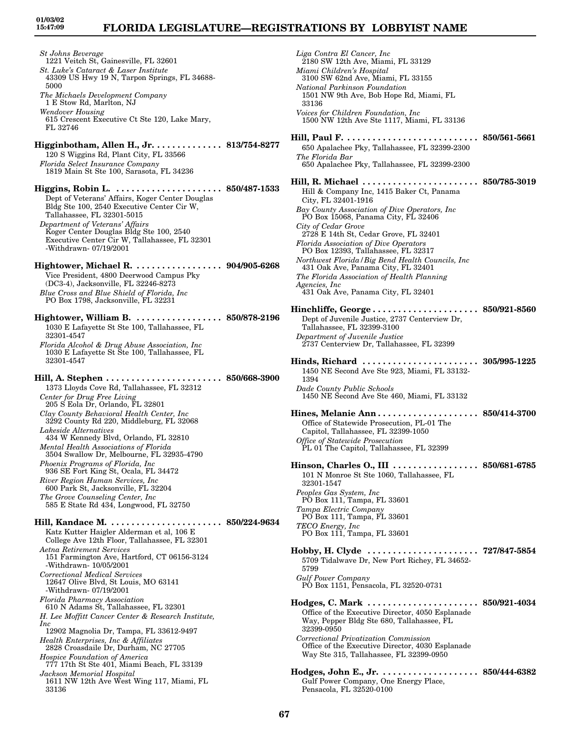*St Johns Beverage* 1221 Veitch St, Gainesville, FL 32601 *St. Luke's Cataract & Laser Institute* 43309 US Hwy 19 N, Tarpon Springs, FL 34688- 5000 *The Michaels Development Company* 1 E Stow Rd, Marlton, NJ *Wendover Housing* 615 Crescent Executive Ct Ste 120, Lake Mary, FL 32746 **Higginbotham, Allen H., Jr. . . . . . . . . . . . . . 813/754-8277** 120 S Wiggins Rd, Plant City, FL 33566 *Florida Select Insurance Company* 1819 Main St Ste 100, Sarasota, FL 34236 **Higgins, Robin L. . . . . . . . . . . . . . . . . . . . . . 850/487-1533** Dept of Veterans' Affairs, Koger Center Douglas Bldg Ste 100, 2540 Executive Center Cir W, Tallahassee, FL 32301-5015 *Department of Veterans' Affairs* Koger Center Douglas Bldg Ste 100, 2540 Executive Center Cir W, Tallahassee, FL 32301 -Withdrawn- 07/19/2001 **Hightower, Michael R. . . . . . . . . . . . . . . . . . 904/905-6268** Vice President, 4800 Deerwood Campus Pky (DC3-4), Jacksonville, FL 32246-8273 *Blue Cross and Blue Shield of Florida, Inc* PO Box 1798, Jacksonville, FL 32231 **Hightower, William B. . . . . . . . . . . . . . . . . . 850/878-2196** 1030 E Lafayette St Ste 100, Tallahassee, FL 32301-4547 *Florida Alcohol & Drug Abuse Association, Inc* 1030 E Lafayette St Ste 100, Tallahassee, FL 32301-4547 **Hill, A. Stephen . . . . . . . . . . . . . . . . . . . . . . . 850/668-3900** 1373 Lloyds Cove Rd, Tallahassee, FL 32312 *Center for Drug Free Living* 205 S Eola Dr, Orlando, FL 32801 *Clay County Behavioral Health Center, Inc* 3292 County Rd 220, Middleburg, FL 32068 *Lakeside Alternatives* 434 W Kennedy Blvd, Orlando, FL 32810 *Mental Health Associations of Florida* 3504 Swallow Dr, Melbourne, FL 32935-4790 *Phoenix Programs of Florida, Inc* 936 SE Fort King St, Ocala, FL 34472 *River Region Human Services, Inc* 600 Park St, Jacksonville, FL 32204 *The Grove Counseling Center, Inc* 585 E State Rd 434, Longwood, FL 32750 **Hill, Kandace M. . . . . . . . . . . . . . . . . . . . . . . 850/224-9634** Katz Kutter Haigler Alderman et al, 106 E College Ave 12th Floor, Tallahassee, FL 32301 *Aetna Retirement Services* 151 Farmington Ave, Hartford, CT 06156-3124 -Withdrawn- 10/05/2001 *Correctional Medical Services* 12647 Olive Blvd, St Louis, MO 63141 -Withdrawn- 07/19/2001 *Florida Pharmacy Association* 610 N Adams St, Tallahassee, FL 32301 *H. Lee Moffitt Cancer Center & Research Institute, Inc* 12902 Magnolia Dr, Tampa, FL 33612-9497 *Health Enterprises, Inc & Affiliates* 2828 Croasdaile Dr, Durham, NC 27705 *Hospice Foundation of America* 777 17th St Ste 401, Miami Beach, FL 33139 *Jackson Memorial Hospital* 1611 NW 12th Ave West Wing 117, Miami, FL 33136

*Liga Contra El Cancer, Inc* 2180 SW 12th Ave, Miami, FL 33129 *Miami Children's Hospital* 3100 SW 62nd Ave, Miami, FL 33155 *National Parkinson Foundation* 1501 NW 9th Ave, Bob Hope Rd, Miami, FL 33136 *Voices for Children Foundation, Inc* 1500 NW 12th Ave Ste 1117, Miami, FL 33136 **Hill, Paul F. . . . . . . . . . . . . . . . . . . . . . . . . . . 850/561-5661** 650 Apalachee Pky, Tallahassee, FL 32399-2300 *The Florida Bar* 650 Apalachee Pky, Tallahassee, FL 32399-2300 **Hill, R. Michael . . . . . . . . . . . . . . . . . . . . . . . 850/785-3019** Hill & Company Inc, 1415 Baker Ct, Panama City, FL 32401-1916 *Bay County Association of Dive Operators, Inc* PO Box 15068, Panama City, FL 32406 *City of Cedar Grove* 2728 E 14th St, Cedar Grove, FL 32401 *Florida Association of Dive Operators* PO Box 12393, Tallahassee, FL 32317 *Northwest Florida/Big Bend Health Councils, Inc* 431 Oak Ave, Panama City, FL 32401 *The Florida Association of Health Planning Agencies, Inc* 431 Oak Ave, Panama City, FL 32401 **Hinchliffe, George . . . . . . . . . . . . . . . . . . . . . 850/921-8560** Dept of Juvenile Justice, 2737 Centerview Dr, Tallahassee, FL 32399-3100 *Department of Juvenile Justice* 2737 Centerview Dr, Tallahassee, FL 32399 **Hinds, Richard . . . . . . . . . . . . . . . . . . . . . . . 305/995-1225** 1450 NE Second Ave Ste 923, Miami, FL 33132- 1394 *Dade County Public Schools* 1450 NE Second Ave Ste 460, Miami, FL 33132 **Hines, Melanie Ann . . . . . . . . . . . . . . . . . . . . 850/414-3700** Office of Statewide Prosecution, PL-01 The Capitol, Tallahassee, FL 32399-1050 *Office of Statewide Prosecution* PL 01 The Capitol, Tallahassee, FL 32399 **Hinson, Charles O., III . . . . . . . . . . . . . . . . . 850/681-6785** 101 N Monroe St Ste 1060, Tallahassee, FL 32301-1547 *Peoples Gas System, Inc* PO Box 111, Tampa, FL 33601 *Tampa Electric Company* PO Box 111, Tampa, FL 33601 *TECO Energy, Inc* PO Box 111, Tampa, FL 33601 **Hobby, H. Clyde . . . . . . . . . . . . . . . . . . . . . . 727/847-5854** 5709 Tidalwave Dr, New Port Richey, FL 34652- 5799 *Gulf Power Company* PO Box 1151, Pensacola, FL 32520-0731 **Hodges, C. Mark . . . . . . . . . . . . . . . . . . . . . . 850/921-4034** Office of the Executive Director, 4050 Esplanade Way, Pepper Bldg Ste 680, Tallahassee, FL 32399-0950 *Correctional Privatization Commission* Office of the Executive Director, 4030 Esplanade Way Ste 315, Tallahassee, FL 32399-0950 **Hodges, John E., Jr. . . . . . . . . . . . . . . . . . . . 850/444-6382** Gulf Power Company, One Energy Place, Pensacola, FL 32520-0100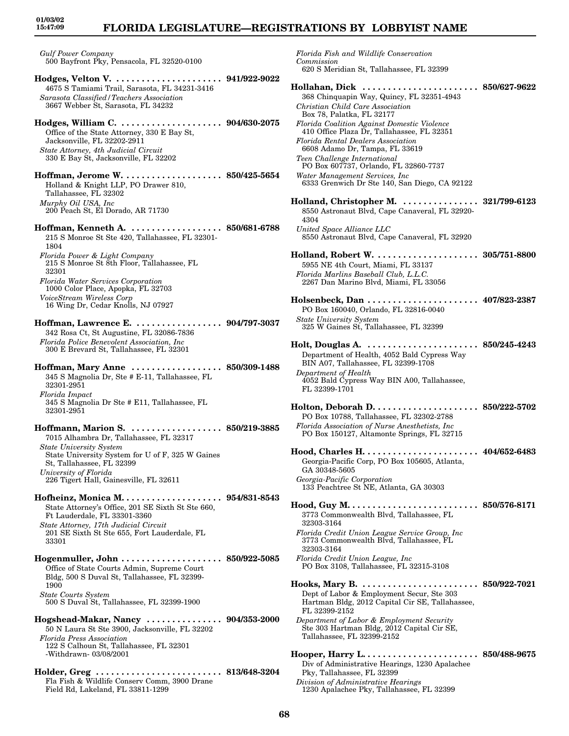### **FLORIDA LEGISLATURE—REGISTRATIONS BY LOBBYIST NAME**

*Gulf Power Company* 500 Bayfront Pky, Pensacola, FL 32520-0100

- **Hodges, Velton V. . . . . . . . . . . . . . . . . . . . . . 941/922-9022** 4675 S Tamiami Trail, Sarasota, FL 34231-3416 *Sarasota Classified/Teachers Association* 3667 Webber St, Sarasota, FL 34232
- **Hodges, William C. . . . . . . . . . . . . . . . . . . . . 904/630-2075** Office of the State Attorney, 330 E Bay St, Jacksonville, FL 32202-2911 *State Attorney, 4th Judicial Circuit* 330 E Bay St, Jacksonville, FL 32202
- **Hoffman, Jerome W. . . . . . . . . . . . . . . . . . . . 850/425-5654** Holland & Knight LLP, PO Drawer 810, Tallahassee, FL 32302 *Murphy Oil USA, Inc* 200 Peach St, El Dorado, AR 71730
- **Hoffman, Kenneth A. . . . . . . . . . . . . . . . . . . 850/681-6788** 215 S Monroe St Ste 420, Tallahassee, FL 32301- 1804 *Florida Power & Light Company* 215 S Monroe St 8th Floor, Tallahassee, FL 32301 *Florida Water Services Corporation* 1000 Color Place, Apopka, FL 32703 *VoiceStream Wireless Corp*
- 16 Wing Dr, Cedar Knolls, NJ 07927
- **Hoffman, Lawrence E. . . . . . . . . . . . . . . . . . 904/797-3037** 342 Rosa Ct, St Augustine, FL 32086-7836 *Florida Police Benevolent Association, Inc* 300 E Brevard St, Tallahassee, FL 32301
- **Hoffman, Mary Anne . . . . . . . . . . . . . . . . . . 850/309-1488** 345 S Magnolia Dr, Ste # E-11, Tallahassee, FL 32301-2951 *Florida Impact* 345 S Magnolia Dr Ste # E11, Tallahassee, FL 32301-2951
- **Hoffmann, Marion S. . . . . . . . . . . . . . . . . . . 850/219-3885** 7015 Alhambra Dr, Tallahassee, FL 32317 *State University System* State University System for U of F, 325 W Gaines St, Tallahassee, FL 32399 *University of Florida* 226 Tigert Hall, Gainesville, FL 32611
- **Hofheinz, Monica M. . . . . . . . . . . . . . . . . . . . 954/831-8543** State Attorney's Office, 201 SE Sixth St Ste 660, Ft Lauderdale, FL 33301-3360 *State Attorney, 17th Judicial Circuit* 201 SE Sixth St Ste 655, Fort Lauderdale, FL 33301
- **Hogenmuller, John . . . . . . . . . . . . . . . . . . . . 850/922-5085** Office of State Courts Admin, Supreme Court Bldg, 500 S Duval St, Tallahassee, FL 32399- 1900 *State Courts System* 500 S Duval St, Tallahassee, FL 32399-1900
- **Hogshead-Makar, Nancy . . . . . . . . . . . . . . . 904/353-2000** 50 N Laura St Ste 3900, Jacksonville, FL 32202 *Florida Press Association* 122 S Calhoun St, Tallahassee, FL 32301 -Withdrawn- 03/08/2001
- **Holder, Greg . . . . . . . . . . . . . . . . . . . . . . . . . 813/648-3204** Fla Fish & Wildlife Conserv Comm, 3900 Drane Field Rd, Lakeland, FL 33811-1299

*Florida Fish and Wildlife Conservation Commission* 620 S Meridian St, Tallahassee, FL 32399 **Hollahan, Dick . . . . . . . . . . . . . . . . . . . . . . . 850/627-9622** 368 Chinquapin Way, Quincy, FL 32351-4943 *Christian Child Care Association* Box 78, Palatka, FL 32177 *Florida Coalition Against Domestic Violence* 410 Office Plaza Dr, Tallahassee, FL 32351 *Florida Rental Dealers Association* 6608 Adamo Dr, Tampa, FL 33619 *Teen Challenge International* PO Box 607737, Orlando, FL 32860-7737 *Water Management Services, Inc* 6333 Grenwich Dr Ste 140, San Diego, CA 92122 **Holland, Christopher M. . . . . . . . . . . . . . . . 321/799-6123** 8550 Astronaut Blvd, Cape Canaveral, FL 32920- 4304 *United Space Alliance LLC* 8550 Astronaut Blvd, Cape Canaveral, FL 32920 **Holland, Robert W. . . . . . . . . . . . . . . . . . . . . 305/751-8800** 5955 NE 4th Court, Miami, FL 33137 *Florida Marlins Baseball Club, L.L.C.* 2267 Dan Marino Blvd, Miami, FL 33056 **Holsenbeck, Dan . . . . . . . . . . . . . . . . . . . . . . 407/823-2387** PO Box 160040, Orlando, FL 32816-0040 *State University System* 325 W Gaines St, Tallahassee, FL 32399 **Holt, Douglas A. . . . . . . . . . . . . . . . . . . . . . . 850/245-4243** Department of Health, 4052 Bald Cypress Way BIN A07, Tallahassee, FL 32399-1708 *Department of Health* 4052 Bald Cypress Way BIN A00, Tallahassee, FL 32399-1701 **Holton, Deborah D. . . . . . . . . . . . . . . . . . . . . 850/222-5702** PO Box 10788, Tallahassee, FL 32302-2788 *Florida Association of Nurse Anesthetists, Inc* PO Box 150127, Altamonte Springs, FL 32715 **Hood, Charles H. . . . . . . . . . . . . . . . . . . . . . . 404/652-6483** Georgia-Pacific Corp, PO Box 105605, Atlanta, GA 30348-5605 *Georgia-Pacific Corporation* 133 Peachtree St NE, Atlanta, GA 30303 **Hood, Guy M. . . . . . . . . . . . . . . . . . . . . . . . . . 850/576-8171** 3773 Commonwealth Blvd, Tallahassee, FL 32303-3164 *Florida Credit Union League Service Group, Inc* 3773 Commonwealth Blvd, Tallahassee, FL 32303-3164 *Florida Credit Union League, Inc* PO Box 3108, Tallahassee, FL 32315-3108 **Hooks, Mary B. . . . . . . . . . . . . . . . . . . . . . . . 850/922-7021** Dept of Labor & Employment Secur, Ste 303 Hartman Bldg, 2012 Capital Cir SE, Tallahassee, FL 32399-2152 *Department of Labor & Employment Security* Ste 303 Hartman Bldg, 2012 Capital Cir SE, Tallahassee, FL 32399-2152 **Hooper, Harry L. . . . . . . . . . . . . . . . . . . . . . . 850/488-9675** Div of Administrative Hearings, 1230 Apalachee Pky, Tallahassee, FL 32399 *Division of Administrative Hearings* 1230 Apalachee Pky, Tallahassee, FL 32399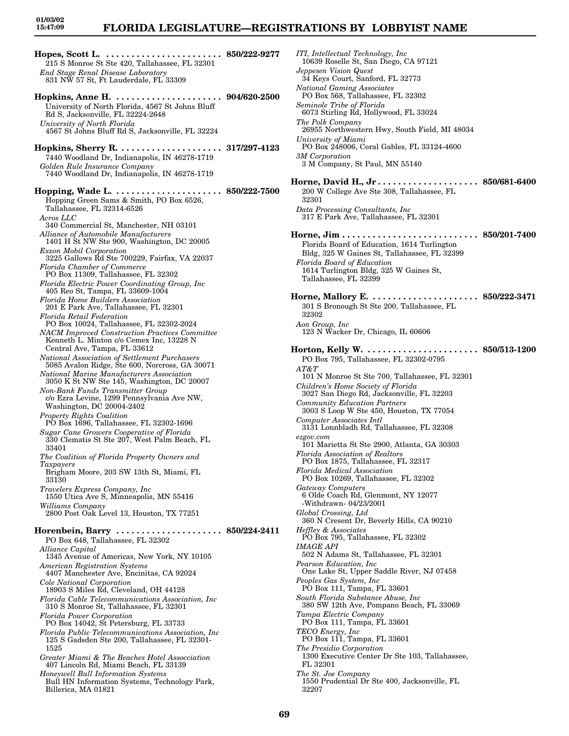# **FLORIDA LEGISLATURE—REGISTRATIONS BY LOBBYIST NAME**

**Hopes, Scott L. . . . . . . . . . . . . . . . . . . . . . . . 850/222-9277** 215 S Monroe St Ste 420, Tallahassee, FL 32301 *End Stage Renal Disease Laboratory* 831 NW 57 St, Ft Lauderdale, FL 33309 **Hopkins, Anne H. . . . . . . . . . . . . . . . . . . . . . 904/620-2500** University of North Florida, 4567 St Johns Bluff Rd S, Jacksonville, FL 32224-2648 *University of North Florida* 4567 St Johns Bluff Rd S, Jacksonville, FL 32224 **Hopkins, Sherry R. . . . . . . . . . . . . . . . . . . . . 317/297-4123** 7440 Woodland Dr, Indianapolis, IN 46278-1719 *Golden Rule Insurance Company* 7440 Woodland Dr, Indianapolis, IN 46278-1719 **Hopping, Wade L. . . . . . . . . . . . . . . . . . . . . . 850/222-7500** Hopping Green Sams & Smith, PO Box 6526, Tallahassee, FL 32314-6526 *Acros LLC* 340 Commercial St, Manchester, NH 03101 *Alliance of Automobile Manufacturers* 1401 H St NW Ste 900, Washington, DC 20005 *Exxon Mobil Corporation* 3225 Gallows Rd Ste 700229, Fairfax, VA 22037 *Florida Chamber of Commerce* PO Box 11309, Tallahassee, FL 32302 *Florida Electric Power Coordinating Group, Inc* 405 Reo St, Tampa, FL 33609-1004 *Florida Home Builders Association* 201 E Park Ave, Tallahassee, FL 32301 *Florida Retail Federation* PO Box 10024, Tallahassee, FL 32302-2024 *NACM Improved Construction Practices Committee* Kenneth L. Minton c/o Cemex Inc, 13228 N Central Ave, Tampa, FL 33612 *National Association of Settlement Purchasers* 5085 Avalon Ridge, Ste 600, Norcross, GA 30071 *National Marine Manufacturers Association* 3050 K St NW Ste 145, Washington, DC 20007 *Non-Bank Funds Transmitter Group* c/o Ezra Levine, 1299 Pennsylvania Ave NW, Washington, DC 20004-2402 *Property Rights Coalition* PO Box 1696, Tallahassee, FL 32302-1696 *Sugar Cane Growers Cooperative of Florida* 330 Clematis St Ste 207, West Palm Beach, FL 33401 *The Coalition of Florida Property Owners and Taxpayers* Brigham Moore, 203 SW 13th St, Miami, FL 33130 *Travelers Express Company, Inc* 1550 Utica Ave S, Minneapolis, MN 55416 *Williams Company* 2800 Post Oak Level 13, Houston, TX 77251 **Horenbein, Barry . . . . . . . . . . . . . . . . . . . . . 850/224-2411** PO Box 648, Tallahassee, FL 32302 *Alliance Capital* 1345 Avenue of Americas, New York, NY 10105 *American Registration Systems* 4407 Manchester Ave, Encinitas, CA 92024 *Cole National Corporation* 18903 S Miles Rd, Cleveland, OH 44128 *Florida Cable Telecommunications Association, Inc* 310 S Monroe St, Tallahassee, FL 32301 *Florida Power Corporation* PO Box 14042, St Petersburg, FL 33733 *Florida Public Telecommunications Association, Inc* 125 S Gadsden Ste 200, Tallahassee, FL 32301- 1525 *Greater Miami & The Beaches Hotel Assocciation* 407 Lincoln Rd, Miami Beach, FL 33139 *Honeywell Bull Information Systems* Bull HN Information Systems, Technology Park, Billerica, MA 01821

*ITI, Intellectual Technology, Inc* 10639 Roselle St, San Diego, CA 97121 *Jeppesen Vision Quest* 34 Keys Court, Sanford, FL 32773 *National Gaming Associates* PO Box 568, Tallahassee, FL 32302 *Seminole Tribe of Florida* 6073 Stirling Rd, Hollywood, FL 33024 *The Polk Company* 26955 Northwestern Hwy, South Field, MI 48034 *University of Miami* PO Box 248006, Coral Gables, FL 33124-4600 *3M Corporation* 3 M Company, St Paul, MN 55140 **Horne, David H., Jr . . . . . . . . . . . . . . . . . . . . 850/681-6400** 200 W College Ave Ste 308, Tallahassee, FL 32301 *Data Processing Consultants, Inc* 317 E Park Ave, Tallahassee, FL 32301 **Horne, Jim . . . . . . . . . . . . . . . . . . . . . . . . . . . 850/201-7400** Florida Board of Education, 1614 Turlington Bldg, 325 W Gaines St, Tallahassee, FL 32399 *Florida Board of Education* 1614 Turlington Bldg, 325 W Gaines St, Tallahassee, FL 32399 **Horne, Mallory E. . . . . . . . . . . . . . . . . . . . . . 850/222-3471** 301 S Bronough St Ste 200, Tallahassee, FL 32302 *Aon Group, Inc* 123 N Wacker Dr, Chicago, IL 60606 **Horton, Kelly W. . . . . . . . . . . . . . . . . . . . . . . 850/513-1200** PO Box 795, Tallahassee, FL 32302-0795 *AT&T* 101 N Monroe St Ste 700, Tallahassee, FL 32301 *Children's Home Society of Florida* 3027 San Diego Rd, Jacksonville, FL 32203 *Community Education Partners* 3003 S Loop W Ste 450, Houston, TX 77054 *Computer Associates Intl* 3131 Lonnbladh Rd, Tallahassee, FL 32308 *ezgov.com* 101 Marietta St Ste 2900, Atlanta, GA 30303 *Florida Association of Realtors* PO Box 1875, Tallahassee, FL 32317 *Florida Medical Association* PO Box 10269, Tallahassee, FL 32302 *Gateway Computers* 6 Olde Coach Rd, Glenmont, NY 12077 -Withdrawn- 04/23/2001 *Global Crossing, Ltd* 360 N Cresent Dr, Beverly Hills, CA 90210 *Heffley & Associates* PO Box 795, Tallahassee, FL 32302 *IMAGE API* 502 N Adams St, Tallahassee, FL 32301 *Pearson Education, Inc* One Lake St, Upper Saddle River, NJ 07458 *Peoples Gas System, Inc* PO Box 111, Tampa, FL 33601 *South Florida Substance Abuse, Inc* 380 SW 12th Ave, Pompano Beach, FL 33069 *Tampa Electric Company* PO Box 111, Tampa, FL 33601 *TECO Energy, Inc* PO Box 111, Tampa, FL 33601 *The Presidio Corporation* 1300 Executive Center Dr Ste 103, Tallahassee, FL 32301 *The St. Joe Company* 1550 Prudential Dr Ste 400, Jacksonville, FL

32207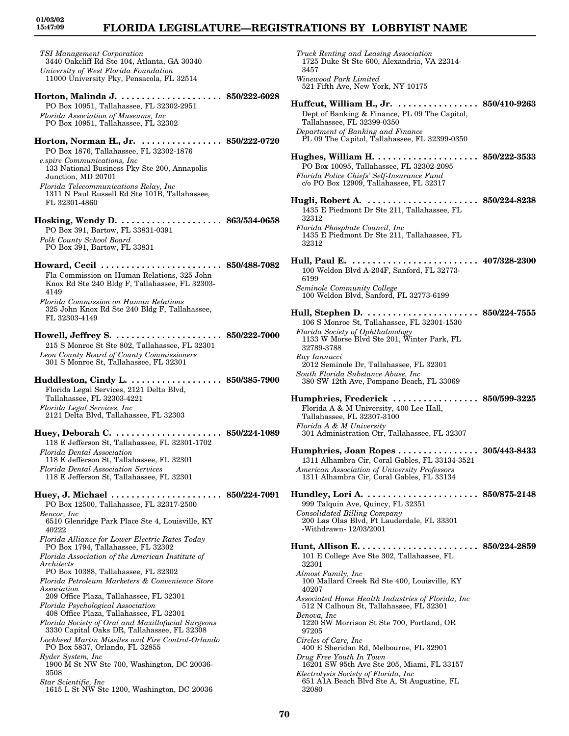# **FLORIDA LEGISLATURE—REGISTRATIONS BY LOBBYIST NAME**

*TSI Management Corporation* 3440 Oakcliff Rd Ste 104, Atlanta, GA 30340 *University of West Florida Foundation* 11000 University Pky, Pensacola, FL 32514 **Horton, Malinda J. . . . . . . . . . . . . . . . . . . . . 850/222-6028** PO Box 10951, Tallahassee, FL 32302-2951 *Florida Association of Museums, Inc* PO Box 10951, Tallahassee, FL 32302 **Horton, Norman H., Jr. . . . . . . . . . . . . . . . . 850/222-0720** PO Box 1876, Tallahassee, FL 32302-1876 *e.spire Communications, Inc* 133 National Business Pky Ste 200, Annapolis Junction, MD 20701 *Florida Telecommunications Relay, Inc* 1311 N Paul Russell Rd Ste 101B, Tallahassee, FL 32301-4860 **Hosking, Wendy D. . . . . . . . . . . . . . . . . . . . . 863/534-0658** PO Box 391, Bartow, FL 33831-0391 *Polk County School Board* PO Box 391, Bartow, FL 33831 **Howard, Cecil . . . . . . . . . . . . . . . . . . . . . . . . 850/488-7082** Fla Commission on Human Relations, 325 John Knox Rd Ste 240 Bldg F, Tallahassee, FL 32303- 4149 *Florida Commission on Human Relations* 325 John Knox Rd Ste 240 Bldg F, Tallahassee, FL 32303-4149 **Howell, Jeffrey S. . . . . . . . . . . . . . . . . . . . . . 850/222-7000** 215 S Monroe St Ste 802, Tallahassee, FL 32301 *Leon County Board of County Commissioners* 301 S Monroe St, Tallahassee, FL 32301 **Huddleston, Cindy L. . . . . . . . . . . . . . . . . . . 850/385-7900** Florida Legal Services, 2121 Delta Blvd, Tallahassee, FL 32303-4221 *Florida Legal Services, Inc* 2121 Delta Blvd, Tallahassee, FL 32303 **Huey, Deborah C. . . . . . . . . . . . . . . . . . . . . . 850/224-1089** 118 E Jefferson St, Tallahassee, FL 32301-1702 *Florida Dental Association* 118 E Jefferson St, Tallahassee, FL 32301 *Florida Dental Association Services* 118 E Jefferson St, Tallahassee, FL 32301 **Huey, J. Michael . . . . . . . . . . . . . . . . . . . . . . 850/224-7091** PO Box 12500, Tallahassee, FL 32317-2500 *Bencor, Inc* 6510 Glenridge Park Place Ste 4, Louisville, KY 40222 *Florida Alliance for Lower Electric Rates Today* PO Box 1794, Tallahassee, FL 32302 *Florida Association of the American Institute of Architects* PO Box 10388, Tallahassee, FL 32302 *Florida Petroleum Marketers & Convenience Store Association* 209 Office Plaza, Tallahassee, FL 32301 *Florida Psychological Association* 408 Office Plaza, Tallahassee, FL 32301 *Florida Society of Oral and Maxillofacial Surgeons* 3330 Capital Oaks DR, Tallahassee, FL 32308 *Lockheed Martin Missiles and Fire Control-Orlando* PO Box 5837, Orlando, FL 32855 *Ryder System, Inc* 1900 M St NW Ste 700, Washington, DC 20036- 3508 *Star Scientific, Inc* 1615 L St NW Ste 1200, Washington, DC 20036

*Truck Renting and Leasing Association* 1725 Duke St Ste 600, Alexandria, VA 22314- 3457 *Winewood Park Limited* 521 Fifth Ave, New York, NY 10175 **Huffcut, William H., Jr. . . . . . . . . . . . . . . . . 850/410-9263** Dept of Banking & Finance, PL 09 The Capitol, Tallahassee, FL 32399-0350 *Department of Banking and Finance* PL 09 The Capitol, Tallahassee, FL 32399-0350 **Hughes, William H. . . . . . . . . . . . . . . . . . . . . 850/222-3533** PO Box 10095, Tallahassee, FL 32302-2095 *Florida Police Chiefs' Self-Insurance Fund* c/o PO Box 12909, Tallahassee, FL 32317 **Hugli, Robert A. . . . . . . . . . . . . . . . . . . . . . . 850/224-8238** 1435 E Piedmont Dr Ste 211, Tallahassee, FL 32312 *Florida Phosphate Council, Inc* 1435 E Piedmont Dr Ste 211, Tallahassee, FL 32312 **Hull, Paul E. . . . . . . . . . . . . . . . . . . . . . . . . . 407/328-2300** 100 Weldon Blvd A-204F, Sanford, FL 32773- 6199 *Seminole Community College* 100 Weldon Blvd, Sanford, FL 32773-6199 **Hull, Stephen D. . . . . . . . . . . . . . . . . . . . . . . 850/224-7555** 106 S Monroe St, Tallahassee, FL 32301-1530 *Florida Society of Ophthalmology* 1133 W Morse Blvd Ste 201, Winter Park, FL 32789-3788 *Ray Iannucci* 2012 Seminole Dr, Tallahassee, FL 32301 *South Florida Substance Abuse, Inc* 380 SW 12th Ave, Pompano Beach, FL 33069 **Humphries, Frederick . . . . . . . . . . . . . . . . . 850/599-3225** Florida A & M University, 400 Lee Hall, Tallahassee, FL 32307-3100 *Florida A & M University* 301 Administration Ctr, Tallahassee, FL 32307 **Humphries, Joan Ropes . . . . . . . . . . . . . . . . 305/443-8433** 1311 Alhambra Cir, Coral Gables, FL 33134-3521 *American Association of University Professors* 1311 Alhambra Cir, Coral Gables, FL 33134 **Hundley, Lori A. . . . . . . . . . . . . . . . . . . . . . . 850/875-2148** 999 Talquin Ave, Quincy, FL 32351 *Consolidated Billing Company* 200 Las Olas Blvd, Ft Lauderdale, FL 33301 -Withdrawn- 12/03/2001 **Hunt, Allison E. . . . . . . . . . . . . . . . . . . . . . . . 850/224-2859** 101 E College Ave Ste 302, Tallahassee, FL 32301 *Almost Family, Inc* 100 Mallard Creek Rd Ste 400, Louisville, KY 40207 *Associated Home Health Industries of Florida, Inc* 512 N Calhoun St, Tallahassee, FL 32301 *Benova, Inc* 1220 SW Morrison St Ste 700, Portland, OR 97205 *Circles of Care, Inc* 400 E Sheridan Rd, Melbourne, FL 32901 *Drug Free Youth In Town* 16201 SW 95th Ave Ste 205, Miami, FL 33157 *Electrolysis Society of Florida, Inc* 651 A1A Beach Blvd Ste A, St Augustine, FL 32080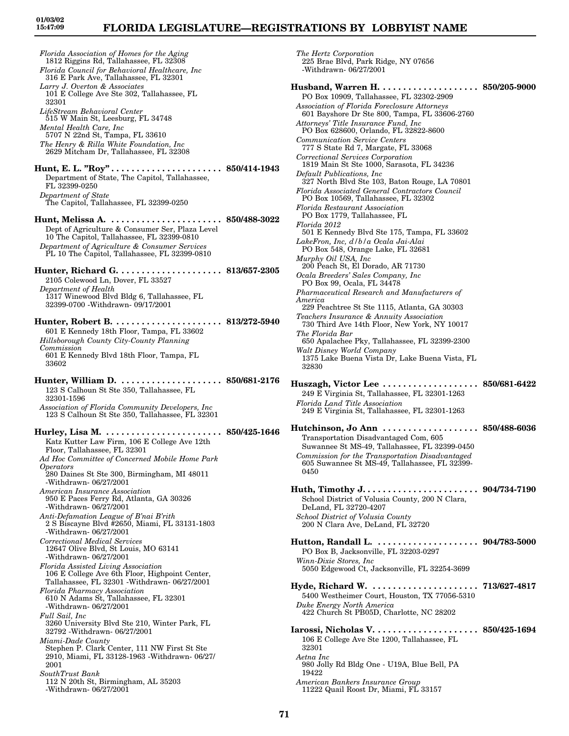*The Hertz Corporation*

225 Brae Blvd, Park Ridge, NY 07656

*Florida Association of Homes for the Aging* 1812 Riggins Rd, Tallahassee, FL 32308 *Florida Council for Behavioral Healthcare, Inc* 316 E Park Ave, Tallahassee, FL 32301 *Larry J. Overton & Associates* 101 E College Ave Ste 302, Tallahassee, FL 32301 *LifeStream Behavioral Center* 515 W Main St, Leesburg, FL 34748 *Mental Health Care, Inc* 5707 N 22nd St, Tampa, FL 33610 *The Henry & Rilla White Foundation, Inc* 2629 Mitcham Dr, Tallahassee, FL 32308 **Hunt, E. L. "Roy" . . . . . . . . . . . . . . . . . . . . . . 850/414-1943** Department of State, The Capitol, Tallahassee, FL 32399-0250 *Department of State* The Capitol, Tallahassee, FL 32399-0250 **Hunt, Melissa A. . . . . . . . . . . . . . . . . . . . . . . 850/488-3022** Dept of Agriculture & Consumer Ser, Plaza Level 10 The Capitol, Tallahassee, FL 32399-0810 *Department of Agriculture & Consumer Services* PL 10 The Capitol, Tallahassee, FL 32399-0810 **Hunter, Richard G. . . . . . . . . . . . . . . . . . . . . 813/657-2305** 2105 Colewood Ln, Dover, FL 33527 *Department of Health* 1317 Winewood Blvd Bldg 6, Tallahassee, FL 32399-0700 -Withdrawn- 09/17/2001 **Hunter, Robert B. . . . . . . . . . . . . . . . . . . . . . 813/272-5940** 601 E Kennedy 18th Floor, Tampa, FL 33602 *Hillsborough County City-County Planning Commission* 601 E Kennedy Blvd 18th Floor, Tampa, FL 33602 **Hunter, William D. . . . . . . . . . . . . . . . . . . . . 850/681-2176** 123 S Calhoun St Ste 350, Tallahassee, FL 32301-1596 *Association of Florida Community Developers, Inc* 123 S Calhoun St Ste 350, Tallahassee, FL 32301 **Hurley, Lisa M. . . . . . . . . . . . . . . . . . . . . . . . 850/425-1646** Katz Kutter Law Firm, 106 E College Ave 12th Floor, Tallahassee, FL 32301 *Ad Hoc Committee of Concerned Mobile Home Park Operators* 280 Daines St Ste 300, Birmingham, MI 48011 -Withdrawn- 06/27/2001 *American Insurance Association* 950 E Paces Ferry Rd, Atlanta, GA 30326 -Withdrawn- 06/27/2001 *Anti-Defamation League of B'nai B'rith* 2 S Biscayne Blvd #2650, Miami, FL 33131-1803 -Withdrawn- 06/27/2001 *Correctional Medical Services* 12647 Olive Blvd, St Louis, MO 63141 -Withdrawn- 06/27/2001 *Florida Assisted Living Association* 106 E College Ave 6th Floor, Highpoint Center, Tallahassee, FL 32301 -Withdrawn- 06/27/2001 *Florida Pharmacy Association* 610 N Adams St, Tallahassee, FL 32301 -Withdrawn- 06/27/2001 *Full Sail, Inc* 3260 University Blvd Ste 210, Winter Park, FL 32792 -Withdrawn- 06/27/2001 *Miami-Dade County* Stephen P. Clark Center, 111 NW First St Ste 2910, Miami, FL 33128-1963 -Withdrawn- 06/27/ 2001 *SouthTrust Bank* 112 N 20th St, Birmingham, AL 35203 -Withdrawn- 06/27/2001

-Withdrawn- 06/27/2001 **Husband, Warren H. . . . . . . . . . . . . . . . . . . . 850/205-9000** PO Box 10909, Tallahassee, FL 32302-2909 *Association of Florida Foreclosure Attorneys* 601 Bayshore Dr Ste 800, Tampa, FL 33606-2760 *Attorneys' Title Insurance Fund, Inc* PO Box 628600, Orlando, FL 32822-8600 *Communication Service Centers* 777 S State Rd 7, Margate, FL 33068 *Correctional Services Corporation* 1819 Main St Ste 1000, Sarasota, FL 34236 *Default Publications, Inc* 327 North Blvd Ste 103, Baton Rouge, LA 70801 *Florida Associated General Contractors Council* PO Box 10569, Tallahassee, FL 32302 *Florida Restaurant Association* PO Box 1779, Tallahassee, FL *Florida 2012* 501 E Kennedy Blvd Ste 175, Tampa, FL 33602 *LakeFron, Inc, d/b/a Ocala Jai-Alai* PO Box 548, Orange Lake, FL 32681 *Murphy Oil USA, Inc* 200 Peach St, El Dorado, AR 71730 *Ocala Breeders' Sales Company, Inc* PO Box 99, Ocala, FL 34478 *Pharmaceutical Research and Manufacturers of America* 229 Peachtree St Ste 1115, Atlanta, GA 30303 *Teachers Insurance & Annuity Association* 730 Third Ave 14th Floor, New York, NY 10017 *The Florida Bar* 650 Apalachee Pky, Tallahassee, FL 32399-2300 *Walt Disney World Company* 1375 Lake Buena Vista Dr, Lake Buena Vista, FL 32830 **Huszagh, Victor Lee . . . . . . . . . . . . . . . . . . . 850/681-6422** 249 E Virginia St, Tallahassee, FL 32301-1263 *Florida Land Title Association* 249 E Virginia St, Tallahassee, FL 32301-1263 **Hutchinson, Jo Ann . . . . . . . . . . . . . . . . . . . 850/488-6036** Transportation Disadvantaged Com, 605 Suwannee St MS-49, Tallahassee, FL 32399-0450 *Commission for the Transportation Disadvantaged* 605 Suwannee St MS-49, Tallahassee, FL 32399- 0450 **Huth, Timothy J. . . . . . . . . . . . . . . . . . . . . . . 904/734-7190** School District of Volusia County, 200 N Clara, DeLand, FL 32720-4207 *School District of Volusia County* 200 N Clara Ave, DeLand, FL 32720 **Hutton, Randall L. . . . . . . . . . . . . . . . . . . . . 904/783-5000** PO Box B, Jacksonville, FL 32203-0297 *Winn-Dixie Stores, Inc* 5050 Edgewood Ct, Jacksonville, FL 32254-3699 **Hyde, Richard W. . . . . . . . . . . . . . . . . . . . . . 713/627-4817** 5400 Westheimer Court, Houston, TX 77056-5310 *Duke Energy North America* 422 Church St PB05D, Charlotte, NC 28202 **Iarossi, Nicholas V. . . . . . . . . . . . . . . . . . . . . 850/425-1694** 106 E College Ave Ste 1200, Tallahassee, FL 32301 *Aetna Inc* 980 Jolly Rd Bldg One - U19A, Blue Bell, PA 19422 *American Bankers Insurance Group* 11222 Quail Roost Dr, Miami, FL 33157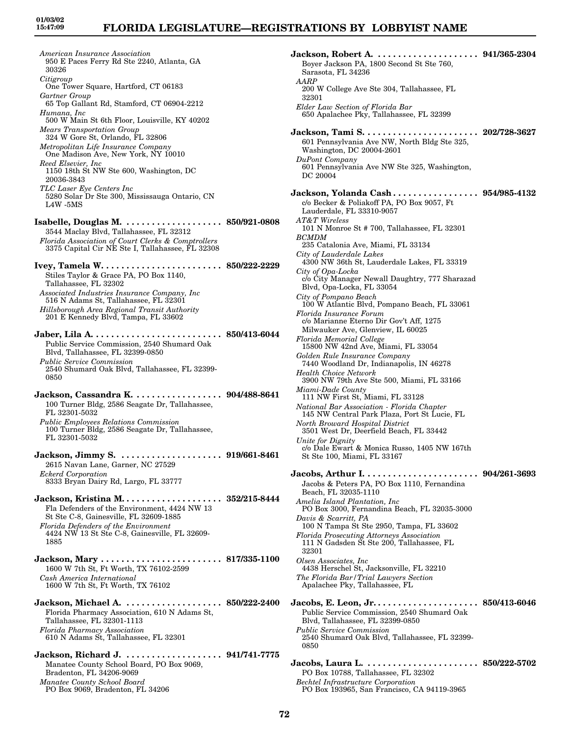*American Insurance Association* 950 E Paces Ferry Rd Ste 2240, Atlanta, GA 30326 *Citigroup* One Tower Square, Hartford, CT 06183 *Gartner Group* 65 Top Gallant Rd, Stamford, CT 06904-2212 *Humana, Inc* 500 W Main St 6th Floor, Louisville, KY 40202 *Mears Transportation Group* 324 W Gore St, Orlando, FL 32806 *Metropolitan Life Insurance Company* One Madison Ave, New York, NY 10010 *Reed Elsevier, Inc* 1150 18th St NW Ste 600, Washington, DC 20036-3843 *TLC Laser Eye Centers Inc* 5280 Solar Dr Ste 300, Mississauga Ontario, CN L4W -5MS **Isabelle, Douglas M. . . . . . . . . . . . . . . . . . . . 850/921-0808** 3544 Maclay Blvd, Tallahassee, FL 32312 *Florida Association of Court Clerks & Comptrollers* 3375 Capital Cir NE Ste I, Tallahassee, FL 32308 **Ivey, Tamela W. . . . . . . . . . . . . . . . . . . . . . . . 850/222-2229** Stiles Taylor & Grace PA, PO Box 1140, Tallahassee, FL 32302 *Associated Industries Insurance Company, Inc* 516 N Adams St, Tallahassee, FL 32301 *Hillsborough Area Regional Transit Authority* 201 E Kennedy Blvd, Tampa, FL 33602 **Jaber, Lila A. . . . . . . . . . . . . . . . . . . . . . . . . . 850/413-6044** Public Service Commission, 2540 Shumard Oak Blvd, Tallahassee, FL 32399-0850 *Public Service Commission* 2540 Shumard Oak Blvd, Tallahassee, FL 32399- 0850 **Jackson, Cassandra K. . . . . . . . . . . . . . . . . . 904/488-8641** 100 Turner Bldg, 2586 Seagate Dr, Tallahassee, FL 32301-5032 *Public Employees Relations Commission* 100 Turner Bldg, 2586 Seagate Dr, Tallahassee, FL 32301-5032 **Jackson, Jimmy S. . . . . . . . . . . . . . . . . . . . . 919/661-8461** 2615 Navan Lane, Garner, NC 27529 *Eckerd Corporation* 8333 Bryan Dairy Rd, Largo, FL 33777 **Jackson, Kristina M. . . . . . . . . . . . . . . . . . . . 352/215-8444** Fla Defenders of the Environment, 4424 NW 13 St Ste C-8, Gainesville, FL 32609-1885 *Florida Defenders of the Environment* 4424 NW 13 St Ste C-8, Gainesville, FL 32609- 1885 **Jackson, Mary . . . . . . . . . . . . . . . . . . . . . . . . 817/335-1100** 1600 W 7th St, Ft Worth, TX 76102-2599 *Cash America International* 1600 W 7th St, Ft Worth, TX 76102 **Jackson, Michael A. . . . . . . . . . . . . . . . . . . . 850/222-2400** Florida Pharmacy Association, 610 N Adams St, Tallahassee, FL 32301-1113 *Florida Pharmacy Association* 610 N Adams St, Tallahassee, FL 32301 **Jackson, Richard J. . . . . . . . . . . . . . . . . . . . 941/741-7775** Manatee County School Board, PO Box 9069, Bradenton, FL 34206-9069

*Manatee County School Board* PO Box 9069, Bradenton, FL 34206 **Jackson, Robert A. . . . . . . . . . . . . . . . . . . . . 941/365-2304** Boyer Jackson PA, 1800 Second St Ste 760, Sarasota, FL 34236 *AARP* 200 W College Ave Ste 304, Tallahassee, FL 32301 *Elder Law Section of Florida Bar* 650 Apalachee Pky, Tallahassee, FL 32399 **Jackson, Tami S. . . . . . . . . . . . . . . . . . . . . . . 202/728-3627** 601 Pennsylvania Ave NW, North Bldg Ste 325, Washington, DC 20004-2601 *DuPont Company* 601 Pennsylvania Ave NW Ste 325, Washington, DC 20004 **Jackson, Yolanda Cash . . . . . . . . . . . . . . . . . 954/985-4132** c/o Becker & Poliakoff PA, PO Box 9057, Ft Lauderdale, FL 33310-9057 *AT&T Wireless* 101 N Monroe St # 700, Tallahassee, FL 32301 *BCMDM* 235 Catalonia Ave, Miami, FL 33134 *City of Lauderdale Lakes* 4300 NW 36th St, Lauderdale Lakes, FL 33319 *City of Opa-Locka* c/o City Manager Newall Daughtry, 777 Sharazad Blvd, Opa-Locka, FL 33054 *City of Pompano Beach* 100 W Atlantic Blvd, Pompano Beach, FL 33061 *Florida Insurance Forum* c/o Marianne Eterno Dir Gov't Aff, 1275 Milwauker Ave, Glenview, IL 60025 *Florida Memorial College* 15800 NW 42nd Ave, Miami, FL 33054 *Golden Rule Insurance Company* 7440 Woodland Dr, Indianapolis, IN 46278 *Health Choice Network* 3900 NW 79th Ave Ste 500, Miami, FL 33166 *Miami-Dade County* 111 NW First St, Miami, FL 33128 *National Bar Association - Florida Chapter* 145 NW Central Park Plaza, Port St Lucie, FL *North Broward Hospital District* 3501 West Dr, Deerfield Beach, FL 33442 *Unite for Dignity* c/o Dale Ewart & Monica Russo, 1405 NW 167th St Ste 100, Miami, FL 33167 **Jacobs, Arthur I. . . . . . . . . . . . . . . . . . . . . . . 904/261-3693** Jacobs & Peters PA, PO Box 1110, Fernandina Beach, FL 32035-1110 *Amelia Island Plantation, Inc* PO Box 3000, Fernandina Beach, FL 32035-3000 *Davis & Scarritt, PA* 100 N Tampa St Ste 2950, Tampa, FL 33602 *Florida Prosecuting Attorneys Association* 111 N Gadsden St Ste 200, Tallahassee, FL 32301 *Olsen Associates, Inc* 4438 Herschel St, Jacksonville, FL 32210 *The Florida Bar/Trial Lawyers Section* Apalachee Pky, Tallahassee, FL **Jacobs, E. Leon, Jr. . . . . . . . . . . . . . . . . . . . . 850/413-6046** Public Service Commission, 2540 Shumard Oak Blvd, Tallahassee, FL 32399-0850 *Public Service Commission* 2540 Shumard Oak Blvd, Tallahassee, FL 32399- 0850 **Jacobs, Laura L. . . . . . . . . . . . . . . . . . . . . . . 850/222-5702** PO Box 10788, Tallahassee, FL 32302 *Bechtel Infrastructure Corporation* PO Box 193965, San Francisco, CA 94119-3965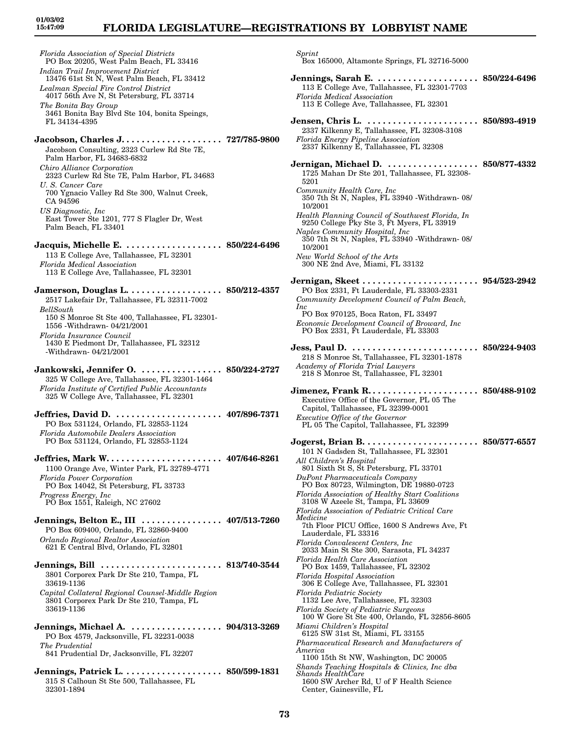*Florida Association of Special Districts*

### **FLORIDA LEGISLATURE—REGISTRATIONS BY LOBBYIST NAME**

PO Box 20205, West Palm Beach, FL 33416 *Indian Trail Improvement District* 13476 61st St N, West Palm Beach, FL 33412 *Lealman Special Fire Control District* 4017 56th Ave N, St Petersburg, FL 33714 *The Bonita Bay Group* 3461 Bonita Bay Blvd Ste 104, bonita Speings, FL 34134-4395 **Jacobson, Charles J. . . . . . . . . . . . . . . . . . . . 727/785-9800** Jacobson Consulting, 2323 Curlew Rd Ste 7E, Palm Harbor, FL 34683-6832 *Chiro Alliance Corporation* 2323 Curlew Rd Ste 7E, Palm Harbor, FL 34683 *U. S. Cancer Care* 700 Ygnacio Valley Rd Ste 300, Walnut Creek, CA 94596 *US Diagnostic, Inc* East Tower Ste 1201, 777 S Flagler Dr, West Palm Beach, FL 33401 **Jacquis, Michelle E. . . . . . . . . . . . . . . . . . . . 850/224-6496** 113 E College Ave, Tallahassee, FL 32301 *Florida Medical Association* 113 E College Ave, Tallahassee, FL 32301 **Jamerson, Douglas L. . . . . . . . . . . . . . . . . . . 850/212-4357** 2517 Lakefair Dr, Tallahassee, FL 32311-7002 *BellSouth* 150 S Monroe St Ste 400, Tallahassee, FL 32301- 1556 -Withdrawn- 04/21/2001 *Florida Insurance Council* 1430 E Piedmont Dr, Tallahassee, FL 32312 -Withdrawn- 04/21/2001 **Jankowski, Jennifer O. . . . . . . . . . . . . . . . . 850/224-2727** 325 W College Ave, Tallahassee, FL 32301-1464 *Florida Institute of Certified Public Accountants* 325 W College Ave, Tallahassee, FL 32301 **Jeffries, David D. . . . . . . . . . . . . . . . . . . . . . 407/896-7371** PO Box 531124, Orlando, FL 32853-1124 *Florida Automobile Dealers Association* PO Box 531124, Orlando, FL 32853-1124 **Jeffries, Mark W. . . . . . . . . . . . . . . . . . . . . . . 407/646-8261** 1100 Orange Ave, Winter Park, FL 32789-4771 *Florida Power Corporation* PO Box 14042, St Petersburg, FL 33733 *Progress Energy, Inc* PO Box 1551, Raleigh, NC 27602 **Jennings, Belton E., III . . . . . . . . . . . . . . . . 407/513-7260** PO Box 609400, Orlando, FL 32860-9400 *Orlando Regional Realtor Association* 621 E Central Blvd, Orlando, FL 32801 **Jennings, Bill . . . . . . . . . . . . . . . . . . . . . . . . 813/740-3544** 3801 Corporex Park Dr Ste 210, Tampa, FL 33619-1136 *Capital Collateral Regional Counsel-Middle Region* 3801 Corporex Park Dr Ste 210, Tampa, FL 33619-1136 **Jennings, Michael A. . . . . . . . . . . . . . . . . . . 904/313-3269** PO Box 4579, Jacksonville, FL 32231-0038 *The Prudential* 841 Prudential Dr, Jacksonville, FL 32207 **Jennings, Patrick L. . . . . . . . . . . . . . . . . . . . 850/599-1831** 315 S Calhoun St Ste 500, Tallahassee, FL 32301-1894

*Sprint* Box 165000, Altamonte Springs, FL 32716-5000 **Jennings, Sarah E. . . . . . . . . . . . . . . . . . . . . 850/224-6496** 113 E College Ave, Tallahassee, FL 32301-7703 *Florida Medical Association* 113 E College Ave, Tallahassee, FL 32301 **Jensen, Chris L. . . . . . . . . . . . . . . . . . . . . . . 850/893-4919** 2337 Kilkenny E, Tallahassee, FL 32308-3108 *Florida Energy Pipeline Association* 2337 Kilkenny E, Tallahassee, FL 32308 **Jernigan, Michael D. . . . . . . . . . . . . . . . . . . 850/877-4332** 1725 Mahan Dr Ste 201, Tallahassee, FL 32308- 5201 *Community Health Care, Inc* 350 7th St N, Naples, FL 33940 -Withdrawn- 08/ 10/2001 *Health Planning Council of Southwest Florida, In* 9250 College Pky Ste 3, Ft Myers, FL 33919 *Naples Community Hospital, Inc* 350 7th St N, Naples, FL 33940 -Withdrawn- 08/ 10/2001 *New World School of the Arts* 300 NE 2nd Ave, Miami, FL 33132 **Jernigan, Skeet . . . . . . . . . . . . . . . . . . . . . . . 954/523-2942** PO Box 2331, Ft Lauderdale, FL 33303-2331 *Community Development Council of Palm Beach, Inc* PO Box 970125, Boca Raton, FL 33497 *Economic Development Council of Broward, Inc* PO Box 2331, Ft Lauderdale, FL 33303 **Jess, Paul D. . . . . . . . . . . . . . . . . . . . . . . . . . 850/224-9403** 218 S Monroe St, Tallahassee, FL 32301-1878 *Academy of Florida Trial Lawyers* 218 S Monroe St, Tallahassee, FL 32301 **Jimenez, Frank R. . . . . . . . . . . . . . . . . . . . . . 850/488-9102** Executive Office of the Governor, PL 05 The Capitol, Tallahassee, FL 32399-0001 *Executive Office of the Governor* PL 05 The Capitol, Tallahassee, FL 32399 **Jogerst, Brian B. . . . . . . . . . . . . . . . . . . . . . . 850/577-6557** 101 N Gadsden St, Tallahassee, FL 32301 *All Children's Hospital* 801 Sixth St S, St Petersburg, FL 33701 *DuPont Pharmaceuticals Company* PO Box 80723, Wilmington, DE 19880-0723 *Florida Association of Healthy Start Coalitions* 3108 W Azeele St, Tampa, FL 33609 *Florida Association of Pediatric Critical Care Medicine* 7th Floor PICU Office, 1600 S Andrews Ave, Ft Lauderdale, FL 33316 *Florida Convalescent Centers, Inc* 2033 Main St Ste 300, Sarasota, FL 34237 *Florida Health Care Association* PO Box 1459, Tallahassee, FL 32302 *Florida Hospital Association* 306 E College Ave, Tallahassee, FL 32301 *Florida Pediatric Society* 1132 Lee Ave, Tallahassee, FL 32303

*Florida Society of Pediatric Surgeons* 100 W Gore St Ste 400, Orlando, FL 32856-8605 *Miami Children's Hospital*

- 6125 SW 31st St, Miami, FL 33155 *Pharmaceutical Research and Manufacturers of America*
- 1100 15th St NW, Washington, DC 20005

*Shands Teaching Hospitals & Clinics, Inc dba Shands HealthCare*

1600 SW Archer Rd, U of F Health Science Center, Gainesville, FL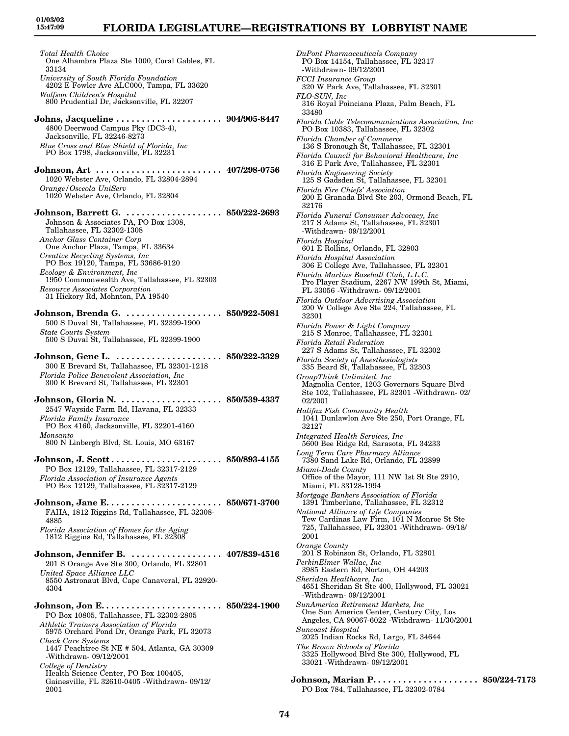# **FLORIDA LEGISLATURE—REGISTRATIONS BY LOBBYIST NAME**

*Total Health Choice* One Alhambra Plaza Ste 1000, Coral Gables, FL 33134 *University of South Florida Foundation* 4202 E Fowler Ave ALC000, Tampa, FL 33620 *Wolfson Children's Hospital* 800 Prudential Dr, Jacksonville, FL 32207 **Johns, Jacqueline . . . . . . . . . . . . . . . . . . . . . 904/905-8447** 4800 Deerwood Campus Pky (DC3-4), Jacksonville, FL 32246-8273 *Blue Cross and Blue Shield of Florida, Inc* PO Box 1798, Jacksonville, FL 32231 **Johnson, Art . . . . . . . . . . . . . . . . . . . . . . . . . 407/298-0756** 1020 Webster Ave, Orlando, FL 32804-2894 *Orange/Osceola UniServ* 1020 Webster Ave, Orlando, FL 32804 **Johnson, Barrett G. . . . . . . . . . . . . . . . . . . . 850/222-2693** Johnson & Associates PA, PO Box 1308, Tallahassee, FL 32302-1308 *Anchor Glass Container Corp* One Anchor Plaza, Tampa, FL 33634 *Creative Recycling Systems, Inc* PO Box 19120, Tampa, FL 33686-9120 *Ecology & Environment, Inc* 1950 Commonwealth Ave, Tallahassee, FL 32303 *Resource Associates Corporation* 31 Hickory Rd, Mohnton, PA 19540 **Johnson, Brenda G. . . . . . . . . . . . . . . . . . . . 850/922-5081** 500 S Duval St, Tallahassee, FL 32399-1900 *State Courts System* 500 S Duval St, Tallahassee, FL 32399-1900 **Johnson, Gene L. . . . . . . . . . . . . . . . . . . . . . 850/222-3329** 300 E Brevard St, Tallahassee, FL 32301-1218 *Florida Police Benevolent Association, Inc* 300 E Brevard St, Tallahassee, FL 32301 **Johnson, Gloria N. . . . . . . . . . . . . . . . . . . . . 850/539-4337** 2547 Wayside Farm Rd, Havana, FL 32333 *Florida Family Insurance* PO Box 4160, Jacksonville, FL 32201-4160 *Monsanto* 800 N Linbergh Blvd, St. Louis, MO 63167 **Johnson, J. Scott . . . . . . . . . . . . . . . . . . . . . . 850/893-4155** PO Box 12129, Tallahassee, FL 32317-2129 *Florida Association of Insurance Agents* PO Box 12129, Tallahassee, FL 32317-2129 **Johnson, Jane E. . . . . . . . . . . . . . . . . . . . . . . 850/671-3700** FAHA, 1812 Riggins Rd, Tallahassee, FL 32308- 4885 *Florida Association of Homes for the Aging* 1812 Riggins Rd, Tallahassee, FL 32308 **Johnson, Jennifer B. . . . . . . . . . . . . . . . . . . 407/839-4516** 201 S Orange Ave Ste 300, Orlando, FL 32801 *United Space Alliance LLC* 8550 Astronaut Blvd, Cape Canaveral, FL 32920- 4304 **Johnson, Jon E. . . . . . . . . . . . . . . . . . . . . . . . 850/224-1900** PO Box 10805, Tallahassee, FL 32302-2805 *Athletic Trainers Association of Florida* 5975 Orchard Pond Dr, Orange Park, FL 32073 *Check Care Systems* 1447 Peachtree St NE # 504, Atlanta, GA 30309 -Withdrawn- 09/12/2001 *College of Dentistry* Health Science Center, PO Box 100405,

Gainesville, FL 32610-0405 -Withdrawn- 09/12/

2001

*DuPont Pharmaceuticals Company* PO Box 14154, Tallahassee, FL 32317 -Withdrawn- 09/12/2001 *FCCI Insurance Group* 320 W Park Ave, Tallahassee, FL 32301 *FLO-SUN, Inc* 316 Royal Poinciana Plaza, Palm Beach, FL 33480 *Florida Cable Telecommunications Association, Inc* PO Box 10383, Tallahassee, FL 32302 *Florida Chamber of Commerce* 136 S Bronough St, Tallahassee, FL 32301 *Florida Council for Behavioral Healthcare, Inc* 316 E Park Ave, Tallahassee, FL 32301 *Florida Engineering Society* 125 S Gadsden St, Tallahassee, FL 32301 *Florida Fire Chiefs' Association* 200 E Granada Blvd Ste 203, Ormond Beach, FL 32176 *Florida Funeral Consumer Advocacy, Inc* 217 S Adams St, Tallahassee, FL 32301 -Withdrawn- 09/12/2001 *Florida Hospital* 601 E Rollins, Orlando, FL 32803 *Florida Hospital Association* 306 E College Ave, Tallahassee, FL 32301 *Florida Marlins Baseball Club, L.L.C.* Pro Player Stadium, 2267 NW 199th St, Miami, FL 33056 -Withdrawn- 09/12/2001 *Florida Outdoor Advertising Association* 200 W College Ave Ste 224, Tallahassee, FL 32301 *Florida Power & Light Company* 215 S Monroe, Tallahassee, FL 32301 *Florida Retail Federation* 227 S Adams St, Tallahassee, FL 32302 *Florida Society of Anesthesiologists* 335 Beard St, Tallahassee, FL 32303 *GroupThink Unlimited, Inc* Magnolia Center, 1203 Governors Square Blvd Ste 102, Tallahassee, FL 32301 -Withdrawn- 02/ 02/2001 *Halifax Fish Community Health* 1041 Dunlawlon Ave Ste 250, Port Orange, FL 32127 *Integrated Health Services, Inc* 5600 Bee Ridge Rd, Sarasota, FL 34233 *Long Term Care Pharmacy Alliance* 7380 Sand Lake Rd, Orlando, FL 32899 *Miami-Dade County* Office of the Mayor, 111 NW 1st St Ste 2910, Miami, FL 33128-1994 *Mortgage Bankers Association of Florida* 1391 Timberlane, Tallahassee, FL 32312 *National Alliance of Life Companies* Tew Cardinas Law Firm, 101 N Monroe St Ste 725, Tallahassee, FL 32301 -Withdrawn- 09/18/ 2001 *Orange County* 201 S Robinson St, Orlando, FL 32801 *PerkinElmer Wallac, Inc* 3985 Eastern Rd, Norton, OH 44203 *Sheridan Healthcare, Inc* 4651 Sheridan St Ste 400, Hollywood, FL 33021 -Withdrawn- 09/12/2001 *SunAmerica Retirement Markets, Inc* One Sun America Center, Century City, Los Angeles, CA 90067-6022 -Withdrawn- 11/30/2001 *Suncoast Hospital* 2025 Indian Rocks Rd, Largo, FL 34644 *The Brown Schools of Florida* 3325 Hollywood Blvd Ste 300, Hollywood, FL 33021 -Withdrawn- 09/12/2001 **Johnson, Marian P. . . . . . . . . . . . . . . . . . . . . 850/224-7173**

**74**

PO Box 784, Tallahassee, FL 32302-0784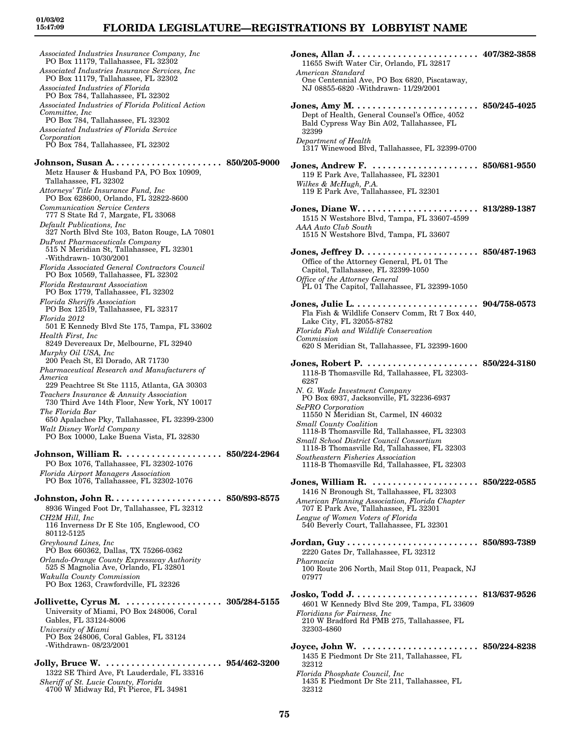## **FLORIDA LEGISLATURE—REGISTRATIONS BY LOBBYIST NAME**

*Associated Industries Insurance Company, Inc* PO Box 11179, Tallahassee, FL 32302 *Associated Industries Insurance Services, Inc* PO Box 11179, Tallahassee, FL 32302 *Associated Industries of Florida* PO Box 784, Tallahassee, FL 32302 *Associated Industries of Florida Political Action Committee, Inc* PO Box 784, Tallahassee, FL 32302 *Associated Industries of Florida Service Corporation* PO Box 784, Tallahassee, FL 32302 **Johnson, Susan A. . . . . . . . . . . . . . . . . . . . . . 850/205-9000** Metz Hauser & Husband PA, PO Box 10909, Tallahassee, FL 32302 *Attorneys' Title Insurance Fund, Inc* PO Box 628600, Orlando, FL 32822-8600 *Communication Service Centers* 777 S State Rd 7, Margate, FL 33068 *Default Publications, Inc* 327 North Blvd Ste 103, Baton Rouge, LA 70801 *DuPont Pharmaceuticals Company* 515 N Meridian St, Tallahassee, FL 32301 -Withdrawn- 10/30/2001 *Florida Associated General Contractors Council* PO Box 10569, Tallahassee, FL 32302 *Florida Restaurant Association* PO Box 1779, Tallahassee, FL 32302 *Florida Sheriffs Association* PO Box 12519, Tallahassee, FL 32317 *Florida 2012* 501 E Kennedy Blvd Ste 175, Tampa, FL 33602 *Health First, Inc* 8249 Devereaux Dr, Melbourne, FL 32940 *Murphy Oil USA, Inc* 200 Peach St, El Dorado, AR 71730 *Pharmaceutical Research and Manufacturers of America* 229 Peachtree St Ste 1115, Atlanta, GA 30303 *Teachers Insurance & Annuity Association* 730 Third Ave 14th Floor, New York, NY 10017 *The Florida Bar* 650 Apalachee Pky, Tallahassee, FL 32399-2300 *Walt Disney World Company* PO Box 10000, Lake Buena Vista, FL 32830 **Johnson, William R. . . . . . . . . . . . . . . . . . . . 850/224-2964** PO Box 1076, Tallahassee, FL 32302-1076 *Florida Airport Managers Association* PO Box 1076, Tallahassee, FL 32302-1076 **Johnston, John R. . . . . . . . . . . . . . . . . . . . . . 850/893-8575** 8936 Winged Foot Dr, Tallahassee, FL 32312 *CH2M Hill, Inc* 116 Inverness Dr E Ste 105, Englewood, CO 80112-5125 *Greyhound Lines, Inc* PO Box 660362, Dallas, TX 75266-0362 *Orlando-Orange County Expressway Authority* 525 S Magnolia Ave, Orlando, FL 32801 *Wakulla County Commission* PO Box 1263, Crawfordville, FL 32326 **Jollivette, Cyrus M. . . . . . . . . . . . . . . . . . . . 305/284-5155** University of Miami, PO Box 248006, Coral Gables, FL 33124-8006 *University of Miami* PO Box 248006, Coral Gables, FL 33124 -Withdrawn- 08/23/2001 **Jolly, Bruce W. . . . . . . . . . . . . . . . . . . . . . . . 954/462-3200** 1322 SE Third Ave, Ft Lauderdale, FL 33316 *Sheriff of St. Lucie County, Florida* 4700 W Midway Rd, Ft Pierce, FL 34981

| 11655 Swift Water Cir, Orlando, FL 32817<br>American Standard                                                                                                                                                |  |
|--------------------------------------------------------------------------------------------------------------------------------------------------------------------------------------------------------------|--|
| One Centennial Ave, PO Box 6820, Piscataway,<br>NJ 08855-6820 - Withdrawn- 11/29/2001                                                                                                                        |  |
| Dept of Health, General Counsel's Office, 4052<br>Bald Cypress Way Bin A02, Tallahassee, FL<br>32399                                                                                                         |  |
| Department of Health<br>1317 Winewood Blvd, Tallahassee, FL 32399-0700                                                                                                                                       |  |
| Jones, Andrew F.  850/681-9550<br>119 E Park Ave, Tallahassee, FL 32301<br>Wilkes & McHugh, P.A.<br>119 E Park Ave, Tallahassee, FL 32301                                                                    |  |
| 1515 N Westshore Blvd, Tampa, FL 33607-4599<br>AAA Auto Club South<br>1515 N Westshore Blvd, Tampa, FL 33607                                                                                                 |  |
| Office of the Attorney General, PL 01 The<br>Capitol, Tallahassee, FL 32399-1050<br>Office of the Attorney General                                                                                           |  |
| PL 01 The Capitol, Tallahassee, FL 32399-1050                                                                                                                                                                |  |
| Fla Fish & Wildlife Conserv Comm, Rt 7 Box 440,<br>Lake City, FL 32055-8782<br>Florida Fish and Wildlife Conservation<br>Commission<br>620 S Meridian St, Tallahassee, FL 32399-1600                         |  |
|                                                                                                                                                                                                              |  |
| 1118-B Thomasville Rd, Tallahassee, FL 32303-<br>6287<br>N. G. Wade Investment Company                                                                                                                       |  |
| PO Box 6937, Jacksonville, FL 32236-6937<br><b>SePRO</b> Corporation                                                                                                                                         |  |
| 11550 N Meridian St, Carmel, IN 46032<br><b>Small County Coalition</b>                                                                                                                                       |  |
| 1118-B Thomasville Rd, Tallahassee, FL 32303<br>Small School District Council Consortium<br>1118-B Thomasville Rd, Tallahassee, FL 32303                                                                     |  |
| Southeastern Fisheries Association<br>1118-B Thomasville Rd, Tallahassee, FL 32303                                                                                                                           |  |
| Jones, William R.  850/222-0585<br>1416 N Bronough St, Tallahassee, FL 32303<br>American Planning Association, Florida Chapter<br>707 E Park Ave, Tallahassee, FL 32301<br>League of Women Voters of Florida |  |
| 540 Beverly Court, Tallahassee, FL 32301                                                                                                                                                                     |  |
| 2220 Gates Dr, Tallahassee, FL 32312<br>Pharmacia                                                                                                                                                            |  |
| 100 Route 206 North, Mail Stop 011, Peapack, NJ<br>07977                                                                                                                                                     |  |
| 4601 W Kennedy Blvd Ste 209, Tampa, FL 33609<br>Floridians for Fairness, Inc.                                                                                                                                |  |
| 210 W Bradford Rd PMB 275, Tallahassee, FL<br>32303-4860                                                                                                                                                     |  |
| Joyce, John W. $\dots\dots$<br>850/224-8238<br>1435 E Piedmont Dr Ste 211, Tallahassee, FL<br>32312                                                                                                          |  |
| Florida Phosphate Council, Inc.<br>1435 E Piedmont Dr Ste 211, Tallahassee, FL<br>32312                                                                                                                      |  |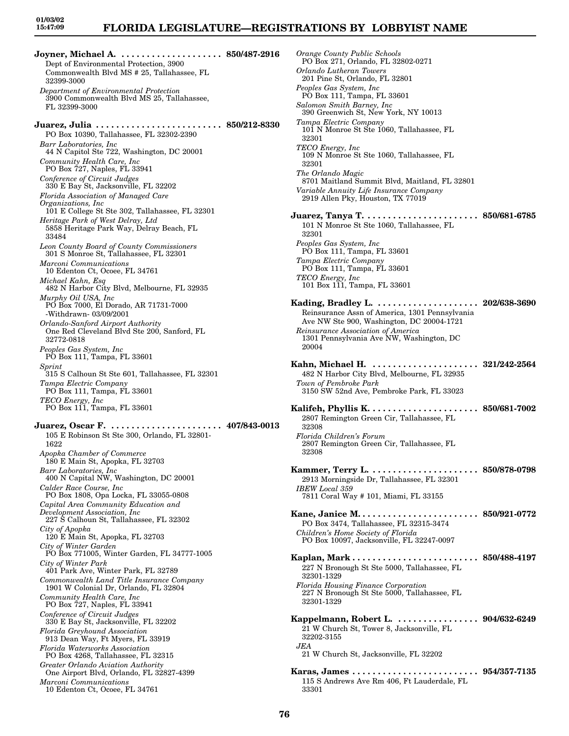# **FLORIDA LEGISLATURE—REGISTRATIONS BY LOBBYIST NAME**

**Joyner, Michael A. . . . . . . . . . . . . . . . . . . . . 850/487-2916** Dept of Environmental Protection, 3900 Commonwealth Blvd MS # 25, Tallahassee, FL 32399-3000 *Department of Environmental Protection* 3900 Commonwealth Blvd MS 25, Tallahassee, FL 32399-3000 **Juarez, Julia . . . . . . . . . . . . . . . . . . . . . . . . . 850/212-8330** PO Box 10390, Tallahassee, FL 32302-2390 *Barr Laboratories, Inc* 44 N Capitol Ste 722, Washington, DC 20001 *Community Health Care, Inc* PO Box 727, Naples, FL 33941 *Conference of Circuit Judges* 330 E Bay St, Jacksonville, FL 32202 *Florida Association of Managed Care Organizations, Inc* 101 E College St Ste 302, Tallahassee, FL 32301 *Heritage Park of West Delray, Ltd* 5858 Heritage Park Way, Delray Beach, FL 33484 *Leon County Board of County Commissioners* 301 S Monroe St, Tallahassee, FL 32301 *Marconi Communications* 10 Edenton Ct, Ocoee, FL 34761 *Michael Kahn, Esq* 482 N Harbor City Blvd, Melbourne, FL 32935 *Murphy Oil USA, Inc* PO Box 7000, El Dorado, AR 71731-7000 -Withdrawn- 03/09/2001 *Orlando-Sanford Airport Authority* One Red Cleveland Blvd Ste 200, Sanford, FL 32772-0818 *Peoples Gas System, Inc* PO Box 111, Tampa, FL 33601 *Sprint* 315 S Calhoun St Ste 601, Tallahassee, FL 32301 *Tampa Electric Company* PO Box 111, Tampa, FL 33601 *TECO Energy, Inc* PO Box 111, Tampa, FL 33601 **Juarez, Oscar F. . . . . . . . . . . . . . . . . . . . . . . 407/843-0013** 105 E Robinson St Ste 300, Orlando, FL 32801- 1622 *Apopka Chamber of Commerce* 180 E Main St, Apopka, FL 32703 *Barr Laboratories, Inc* 400 N Capital NW, Washington, DC 20001 *Calder Race Course, Inc* PO Box 1808, Opa Locka, FL 33055-0808 *Capital Area Community Education and Development Association, Inc* 227 S Calhoun St, Tallahassee, FL 32302 *City of Apopka* 120 E Main St, Apopka, FL 32703 *City of Winter Garden* PO Box 771005, Winter Garden, FL 34777-1005 *City of Winter Park* 401 Park Ave, Winter Park, FL 32789 *Commonwealth Land Title Insurance Company* 1901 W Colonial Dr, Orlando, FL 32804 *Community Health Care, Inc* PO Box 727, Naples, FL 33941 *Conference of Circuit Judges* 330 E Bay St, Jacksonville, FL 32202 *Florida Greyhound Association* 913 Dean Way, Ft Myers, FL 33919 *Florida Waterworks Association* PO Box 4268, Tallahassee, FL 32315 *Greater Orlando Aviation Authority* One Airport Blvd, Orlando, FL 32827-4399 *Marconi Communications* 10 Edenton Ct, Ocoee, FL 34761

*Orange County Public Schools* PO Box 271, Orlando, FL 32802-0271 *Orlando Lutheran Towers* 201 Pine St, Orlando, FL 32801 *Peoples Gas System, Inc* PO Box 111, Tampa, FL 33601 *Salomon Smith Barney, Inc* 390 Greenwich St, New York, NY 10013 *Tampa Electric Company* 101 N Monroe St Ste 1060, Tallahassee, FL 32301 *TECO Energy, Inc* 109 N Monroe St Ste 1060, Tallahassee, FL 32301 *The Orlando Magic* 8701 Maitland Summit Blvd, Maitland, FL 32801 *Variable Annuity Life Insurance Company* 2919 Allen Pky, Houston, TX 77019 **Juarez, Tanya T. . . . . . . . . . . . . . . . . . . . . . . 850/681-6785** 101 N Monroe St Ste 1060, Tallahassee, FL 32301 *Peoples Gas System, Inc* PO Box 111, Tampa, FL 33601 *Tampa Electric Company* PO Box 111, Tampa, FL 33601 *TECO Energy, Inc* 101 Box 111, Tampa, FL 33601 **Kading, Bradley L. . . . . . . . . . . . . . . . . . . . . 202/638-3690** Reinsurance Assn of America, 1301 Pennsylvania Ave NW Ste 900, Washington, DC 20004-1721 *Reinsurance Association of America* 1301 Pennsylvania Ave NW, Washington, DC 20004 **Kahn, Michael H. . . . . . . . . . . . . . . . . . . . . . 321/242-2564** 482 N Harbor City Blvd, Melbourne, FL 32935 *Town of Pembroke Park* 3150 SW 52nd Ave, Pembroke Park, FL 33023 **Kalifeh, Phyllis K. . . . . . . . . . . . . . . . . . . . . . 850/681-7002** 2807 Remington Green Cir, Tallahassee, FL 32308 *Florida Children's Forum* 2807 Remington Green Cir, Tallahassee, FL 32308 **Kammer, Terry L. . . . . . . . . . . . . . . . . . . . . . 850/878-0798** 2913 Morningside Dr, Tallahassee, FL 32301 *IBEW Local 359* 7811 Coral Way # 101, Miami, FL 33155 **Kane, Janice M. . . . . . . . . . . . . . . . . . . . . . . . 850/921-0772** PO Box 3474, Tallahassee, FL 32315-3474 *Children's Home Society of Florida* PO Box 10097, Jacksonville, FL 32247-0097 **Kaplan, Mark . . . . . . . . . . . . . . . . . . . . . . . . . 850/488-4197** 227 N Bronough St Ste 5000, Tallahassee, FL 32301-1329 *Florida Housing Finance Corporation* 227 N Bronough St Ste 5000, Tallahassee, FL 32301-1329 **Kappelmann, Robert L. . . . . . . . . . . . . . . . . 904/632-6249** 21 W Church St, Tower 8, Jacksonville, FL 32202-3155 *JEA* 21 W Church St, Jacksonville, FL 32202 **Karas, James . . . . . . . . . . . . . . . . . . . . . . . . . 954/357-7135** 115 S Andrews Ave Rm 406, Ft Lauderdale, FL 33301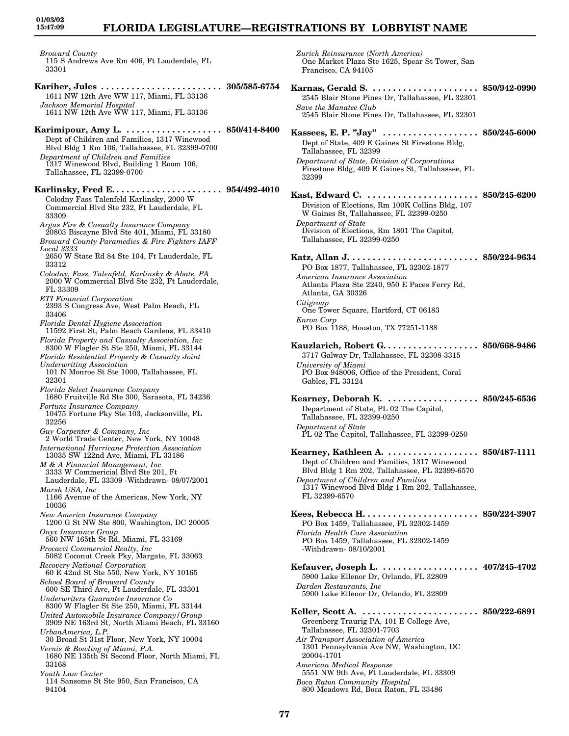# **FLORIDA LEGISLATURE—REGISTRATIONS BY LOBBYIST NAME**

*Broward County* 115 S Andrews Ave Rm 406, Ft Lauderdale, FL 33301

- **Kariher, Jules . . . . . . . . . . . . . . . . . . . . . . . . 305/585-6754** 1611 NW 12th Ave WW 117, Miami, FL 33136 *Jackson Memorial Hospital* 1611 NW 12th Ave WW 117, Miami, FL 33136
- **Karimipour, Amy L. . . . . . . . . . . . . . . . . . . . 850/414-8400** Dept of Children and Families, 1317 Winewood Blvd Bldg 1 Rm 106, Tallahassee, FL 32399-0700 *Department of Children and Families* 1317 Winewood Blvd, Building 1 Room 106, Tallahassee, FL 32399-0700

**Karlinsky, Fred E. . . . . . . . . . . . . . . . . . . . . . 954/492-4010** Colodny Fass Talenfeld Karlinsky, 2000 W Commercial Blvd Ste 232, Ft Lauderdale, FL 33309

*Argus Fire & Casualty Insurance Company* 20803 Biscayne Blvd Ste 401, Miami, FL 33180

- *Broward County Paramedics & Fire Fighters IAFF Local 3333*
- 2650 W State Rd 84 Ste 104, Ft Lauderdale, FL 33312
- *Colodny, Fass, Talenfeld, Karlinsky & Abate, PA* 2000 W Commercial Blvd Ste 232, Ft Lauderdale, FL 33309
- *ETI Financial Corporation*
- 2393 S Congress Ave, West Palm Beach, FL 33406
- *Florida Dental Hygiene Association*
- 11592 First St, Palm Beach Gardens, FL 33410 *Florida Property and Casualty Association, Inc*
- 8300 W Flagler St Ste 250, Miami, FL 33144
- *Florida Residential Property & Casualty Joint Underwriting Association*
- 101 N Monroe St Ste 1000, Tallahassee, FL
- 32301
- *Florida Select Insurance Company* 1680 Fruitville Rd Ste 300, Sarasota, FL 34236
- *Fortune Insurance Company* 10475 Fortune Pky Ste 103, Jacksonville, FL 32256
- *Guy Carpenter & Company, Inc* 2 World Trade Center, New York, NY 10048
- *International Hurricane Protection Association* 13035 SW 122nd Ave, Miami, FL 33186
- *M & A Financial Management, Inc* 3333 W Commericial Blvd Ste 201, Ft Lauderdale, FL 33309 -Withdrawn- 08/07/2001
- *Marsh USA, Inc* 1166 Avenue of the Americas, New York, NY 10036
- *New America Insurance Company*
- 1200 G St NW Ste 800, Washington, DC 20005 *Onyx Insurance Group*
- 560 NW 165th St Rd, Miami, FL 33169
- *Procacci Commercial Realty, Inc* 5082 Coconut Creek Pky, Margate, FL 33063
- *Recovery National Corporation* 60 E 42nd St Ste 550, New York, NY 10165
- *School Board of Broward County* 600 SE Third Ave, Ft Lauderdale, FL 33301
- *Underwriters Guarantee Insurance Co* 8300 W Flagler St Ste 250, Miami, FL 33144
- *United Automobile Insurance Company/Group* 3909 NE 163rd St, North Miami Beach, FL 33160
- *UrbanAmerica, L.P.* 30 Broad St 31st Floor, New York, NY 10004 *Vernis & Bowling of Miami, P.A.*
- 1680 NE 135th St Second Floor, North Miami, FL 33168
- *Youth Law Center* 114 Sansome St Ste 950, San Francisco, CA 94104

*Zurich Reinsurance (North America)* One Market Plaza Ste 1625, Spear St Tower, San Francisco, CA 94105

- **Karnas, Gerald S. . . . . . . . . . . . . . . . . . . . . . 850/942-0990** 2545 Blair Stone Pines Dr, Tallahassee, FL 32301 *Save the Manatee Club* 2545 Blair Stone Pines Dr, Tallahassee, FL 32301 **Kassees, E. P. "Jay" . . . . . . . . . . . . . . . . . . . 850/245-6000** Dept of State, 409 E Gaines St Firestone Bldg, Tallahassee, FL 32399 *Department of State, Division of Corporations* Firestone Bldg, 409 E Gaines St, Tallahassee, FL 32399 **Kast, Edward C. . . . . . . . . . . . . . . . . . . . . . . 850/245-6200** Division of Elections, Rm 100K Collins Bldg, 107 W Gaines St, Tallahassee, FL 32399-0250 *Department of State* Division of Elections, Rm 1801 The Capitol, Tallahassee, FL 32399-0250 **Katz, Allan J. . . . . . . . . . . . . . . . . . . . . . . . . . 850/224-9634** PO Box 1877, Tallahassee, FL 32302-1877 *American Insurance Association* Atlanta Plaza Ste 2240, 950 E Paces Ferry Rd, Atlanta, GA 30326 *Citigroup* One Tower Square, Hartford, CT 06183 *Enron Corp* PO Box 1188, Houston, TX 77251-1188 **Kauzlarich, Robert G. . . . . . . . . . . . . . . . . . . 850/668-9486** 3717 Galway Dr, Tallahassee, FL 32308-3315 *University of Miami* PO Box 948006, Office of the President, Coral Gables, FL 33124 **Kearney, Deborah K. . . . . . . . . . . . . . . . . . . 850/245-6536** Department of State, PL 02 The Capitol, Tallahassee, FL 32399-0250 *Department of State* PL 02 The Capitol, Tallahassee, FL 32399-0250 **Kearney, Kathleen A. . . . . . . . . . . . . . . . . . . 850/487-1111** Dept of Children and Families, 1317 Winewood Blvd Bldg 1 Rm 202, Tallahassee, FL 32399-6570 *Department of Children and Families* 1317 Winewood Blvd Bldg 1 Rm 202, Tallahassee, FL 32399-6570 **Kees, Rebecca H. . . . . . . . . . . . . . . . . . . . . . . 850/224-3907** PO Box 1459, Tallahassee, FL 32302-1459 *Florida Health Care Association* PO Box 1459, Tallahassee, FL 32302-1459 -Withdrawn- 08/10/2001 **Kefauver, Joseph L. . . . . . . . . . . . . . . . . . . . 407/245-4702** 5900 Lake Ellenor Dr, Orlando, FL 32809 *Darden Restaurants, Inc* 5900 Lake Ellenor Dr, Orlando, FL 32809 **Keller, Scott A. . . . . . . . . . . . . . . . . . . . . . . . 850/222-6891** Greenberg Traurig PA, 101 E College Ave, Tallahassee, FL 32301-7703 *Air Transport Association of America* 1301 Pennsylvania Ave NW, Washington, DC 20004-1701 *American Medical Response* 5551 NW 9th Ave, Ft Lauderdale, FL 33309 *Boca Raton Community Hospital*
- **77**

800 Meadows Rd, Boca Raton, FL 33486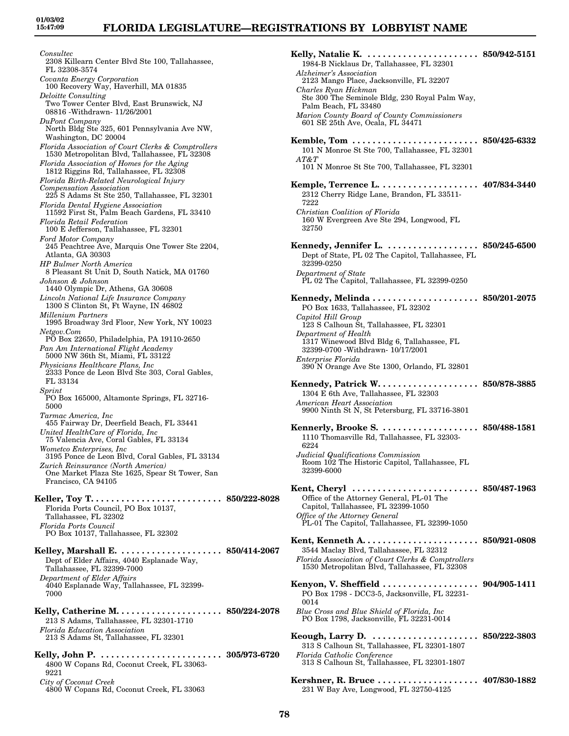## **FLORIDA LEGISLATURE—REGISTRATIONS BY LOBBYIST NAME**

*Consultec* 2308 Killearn Center Blvd Ste 100, Tallahassee, FL 32308-3574 *Covanta Energy Corporation* 100 Recovery Way, Haverhill, MA 01835 *Deloitte Consulting* Two Tower Center Blvd, East Brunswick, NJ 08816 -Withdrawn- 11/26/2001 *DuPont Company* North Bldg Ste 325, 601 Pennsylvania Ave NW, Washington, DC 20004 *Florida Association of Court Clerks & Comptrollers* 1530 Metropolitan Blvd, Tallahassee, FL 32308 *Florida Association of Homes for the Aging* 1812 Riggins Rd, Tallahassee, FL 32308 *Florida Birth-Related Neurological Injury Compensation Association* 225 S Adams St Ste 250, Tallahassee, FL 32301 *Florida Dental Hygiene Association* 11592 First St, Palm Beach Gardens, FL 33410 *Florida Retail Federation* 100 E Jefferson, Tallahassee, FL 32301 *Ford Motor Company* 245 Peachtree Ave, Marquis One Tower Ste 2204, Atlanta, GA 30303 *HP Bulmer North America* 8 Pleasant St Unit D, South Natick, MA 01760 *Johnson & Johnson* 1440 Olympic Dr, Athens, GA 30608 *Lincoln National Life Insurance Company* 1300 S Clinton St, Ft Wayne, IN 46802 *Millenium Partners* 1995 Broadway 3rd Floor, New York, NY 10023 *Netgov.Com* PO Box 22650, Philadelphia, PA 19110-2650 *Pan Am International Flight Academy* 5000 NW 36th St, Miami, FL 33122 *Physicians Healthcare Plans, Inc* 2333 Ponce de Leon Blvd Ste 303, Coral Gables, FL 33134 *Sprint* PO Box 165000, Altamonte Springs, FL 32716- 5000 *Tarmac America, Inc* 455 Fairway Dr, Deerfield Beach, FL 33441 *United HealthCare of Florida, Inc* 75 Valencia Ave, Coral Gables, FL 33134 *Wometco Enterprises, Inc* 3195 Ponce de Leon Blvd, Coral Gables, FL 33134 *Zurich Reinsurance (North America)* One Market Plaza Ste 1625, Spear St Tower, San Francisco, CA 94105 **Keller, Toy T. . . . . . . . . . . . . . . . . . . . . . . . . . 850/222-8028** Florida Ports Council, PO Box 10137, Tallahassee, FL 32302 *Florida Ports Council* PO Box 10137, Tallahassee, FL 32302 **Kelley, Marshall E. . . . . . . . . . . . . . . . . . . . . 850/414-2067** Dept of Elder Affairs, 4040 Esplanade Way, Tallahassee, FL 32399-7000 *Department of Elder Affairs* 4040 Esplanade Way, Tallahassee, FL 32399- 7000 **Kelly, Catherine M. . . . . . . . . . . . . . . . . . . . . 850/224-2078** 213 S Adams, Tallahassee, FL 32301-1710 *Florida Education Association* 213 S Adams St, Tallahassee, FL 32301 **Kelly, John P. . . . . . . . . . . . . . . . . . . . . . . . . 305/973-6720** 4800 W Copans Rd, Coconut Creek, FL 33063- 9221 *City of Coconut Creek* 4800 W Copans Rd, Coconut Creek, FL 33063

**Kelly, Natalie K. . . . . . . . . . . . . . . . . . . . . . . 850/942-5151** 1984-B Nicklaus Dr, Tallahassee, FL 32301 *Alzheimer's Association* 2123 Mango Place, Jacksonville, FL 32207 *Charles Ryan Hickman* Ste 300 The Seminole Bldg, 230 Royal Palm Way, Palm Beach, FL 33480 *Marion County Board of County Commissioners* 601 SE 25th Ave, Ocala, FL 34471 **Kemble, Tom . . . . . . . . . . . . . . . . . . . . . . . . . 850/425-6332** 101 N Monroe St Ste 700, Tallahassee, FL 32301 *AT&T* 101 N Monroe St Ste 700, Tallahassee, FL 32301 **Kemple, Terrence L. . . . . . . . . . . . . . . . . . . . 407/834-3440** 2312 Cherry Ridge Lane, Brandon, FL 33511- 7222 *Christian Coalition of Florida* 160 W Evergreen Ave Ste 294, Longwood, FL 32750 **Kennedy, Jennifer L. . . . . . . . . . . . . . . . . . . 850/245-6500** Dept of State, PL 02 The Capitol, Tallahassee, FL 32399-0250 *Department of State* PL 02 The Capitol, Tallahassee, FL 32399-0250 **Kennedy, Melinda . . . . . . . . . . . . . . . . . . . . . 850/201-2075** PO Box 1633, Tallahassee, FL 32302 *Capitol Hill Group* 123 S Calhoun St, Tallahassee, FL 32301 *Department of Health* 1317 Winewood Blvd Bldg 6, Tallahassee, FL 32399-0700 -Withdrawn- 10/17/2001 *Enterprise Florida* 390 N Orange Ave Ste 1300, Orlando, FL 32801 **Kennedy, Patrick W. . . . . . . . . . . . . . . . . . . . 850/878-3885** 1304 E 6th Ave, Tallahassee, FL 32303 *American Heart Association* 9900 Ninth St N, St Petersburg, FL 33716-3801 **Kennerly, Brooke S. . . . . . . . . . . . . . . . . . . . 850/488-1581** 1110 Thomasville Rd, Tallahassee, FL 32303- 6224 *Judicial Qualifications Commission* Room 102 The Historic Capitol, Tallahassee, FL 32399-6000 **Kent, Cheryl . . . . . . . . . . . . . . . . . . . . . . . . . 850/487-1963** Office of the Attorney General, PL-01 The Capitol, Tallahassee, FL 32399-1050 *Office of the Attorney General* PL-01 The Capitol, Tallahassee, FL 32399-1050 **Kent, Kenneth A. . . . . . . . . . . . . . . . . . . . . . . 850/921-0808** 3544 Maclay Blvd, Tallahassee, FL 32312 *Florida Association of Court Clerks & Comptrollers* 1530 Metropolitan Blvd, Tallahassee, FL 32308 **Kenyon, V. Sheffield . . . . . . . . . . . . . . . . . . . 904/905-1411** PO Box 1798 - DCC3-5, Jacksonville, FL 32231- 0014 *Blue Cross and Blue Shield of Florida, Inc* PO Box 1798, Jacksonville, FL 32231-0014 **Keough, Larry D. . . . . . . . . . . . . . . . . . . . . . 850/222-3803** 313 S Calhoun St, Tallahassee, FL 32301-1807 *Florida Catholic Conference* 313 S Calhoun St, Tallahassee, FL 32301-1807 **Kershner, R. Bruce . . . . . . . . . . . . . . . . . . . . 407/830-1882** 231 W Bay Ave, Longwood, FL 32750-4125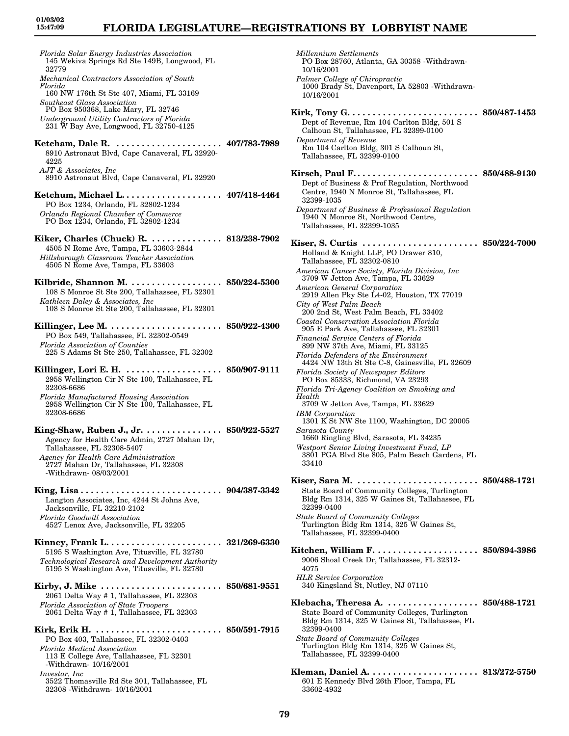# **FLORIDA LEGISLATURE—REGISTRATIONS BY LOBBYIST NAME**

| 145 Wekiva Springs Rd Ste 149B, Longwood, FL<br>32779                                                                                                                                                                                                      |  |
|------------------------------------------------------------------------------------------------------------------------------------------------------------------------------------------------------------------------------------------------------------|--|
| Mechanical Contractors Association of South<br>Florida                                                                                                                                                                                                     |  |
| 160 NW 176th St Ste 407, Miami, FL 33169<br>Southeast Glass Association<br>PO Box 950368, Lake Mary, FL 32746                                                                                                                                              |  |
| Underground Utility Contractors of Florida<br>231 W Bay Ave, Longwood, FL 32750-4125                                                                                                                                                                       |  |
| Ketcham, Dale R.  407/783-7989<br>8910 Astronaut Blvd, Cape Canaveral, FL 32920-<br>4225                                                                                                                                                                   |  |
| AJT & Associates, Inc.<br>8910 Astronaut Blvd, Cape Canaveral, FL 32920                                                                                                                                                                                    |  |
| Ketchum, Michael L 407/418-4464<br>PO Box 1234, Orlando, FL 32802-1234<br>Orlando Regional Chamber of Commerce<br>PO Box 1234, Orlando, FL 32802-1234                                                                                                      |  |
| Kiker, Charles (Chuck) R.  813/238-7902<br>4505 N Rome Ave, Tampa, FL 33603-2844<br>Hillsborough Classroom Teacher Association<br>4505 N Rome Ave, Tampa, FL 33603                                                                                         |  |
| Kilbride, Shannon M.  850/224-5300<br>108 S Monroe St Ste 200, Tallahassee, FL 32301<br>Kathleen Daley & Associates, Inc<br>108 S Monroe St Ste 200, Tallahassee, FL 32301                                                                                 |  |
| PO Box 549, Tallahassee, FL 32302-0549<br><b>Florida Association of Counties</b><br>225 S Adams St Ste 250, Tallahassee, FL 32302                                                                                                                          |  |
| 2958 Wellington Cir N Ste 100, Tallahassee, FL<br>32308-6686                                                                                                                                                                                               |  |
| Florida Manufactured Housing Association<br>2958 Wellington Cir N Ste 100, Tallahassee, FL<br>32308-6686                                                                                                                                                   |  |
| King-Shaw, Ruben J., Jr. 850/922-5527<br>Agency for Health Care Admin, 2727 Mahan Dr,<br>Tallahassee, FL 32308-5407                                                                                                                                        |  |
|                                                                                                                                                                                                                                                            |  |
| Agency for Health Care Administration<br>2727 Mahan Dr, Tallahassee, FL 32308<br>-Withdrawn-08/03/2001                                                                                                                                                     |  |
| Langton Associates, Inc, 4244 St Johns Ave,<br>Jacksonville, FL 32210-2102<br><b>Florida Goodwill Association</b>                                                                                                                                          |  |
| 4527 Lenox Ave, Jacksonville, FL 32205<br>5195 S Washington Ave, Titusville, FL 32780<br>Technological Research and Development Authority                                                                                                                  |  |
| 5195 S Washington Ave, Titusville, FL 32780<br>2061 Delta Way # 1, Tallahassee, FL 32303                                                                                                                                                                   |  |
| Florida Association of State Troopers<br>2061 Delta Way # 1, Tallahassee, FL 32303<br>PO Box 403, Tallahassee, FL 32302-0403<br><b>Florida Medical Association</b><br>113 E College Ave, Tallahassee, FL 32301<br>-Withdrawn- 10/16/2001<br>Investar, Inc. |  |

3522 Thomasville Rd Ste 301, Tallahassee, FL 32308 -Withdrawn- 10/16/2001

| Millennium Settlements<br>PO Box 28760, Atlanta, GA 30358 - Withdrawn-<br>10/16/2001                                                                                                                                                                                                                                                                                                                                                                                                                                                                                                                                                                                                                                                                                                                                                                                                                                                                                                              |                                     |
|---------------------------------------------------------------------------------------------------------------------------------------------------------------------------------------------------------------------------------------------------------------------------------------------------------------------------------------------------------------------------------------------------------------------------------------------------------------------------------------------------------------------------------------------------------------------------------------------------------------------------------------------------------------------------------------------------------------------------------------------------------------------------------------------------------------------------------------------------------------------------------------------------------------------------------------------------------------------------------------------------|-------------------------------------|
| Palmer College of Chiropractic<br>1000 Brady St, Davenport, IA 52803 - Withdrawn-<br>10/16/2001                                                                                                                                                                                                                                                                                                                                                                                                                                                                                                                                                                                                                                                                                                                                                                                                                                                                                                   |                                     |
| Kirk, Tony $G. \ldots \ldots \ldots \ldots$<br>Dept of Revenue, Rm 104 Carlton Bldg, 501 S<br>Calhoun St, Tallahassee, FL 32399-0100<br>Department of Revenue<br>Rm 104 Carlton Bldg, 301 S Calhoun St,<br>Tallahassee, FL 32399-0100                                                                                                                                                                                                                                                                                                                                                                                                                                                                                                                                                                                                                                                                                                                                                             | $\cdots \cdots \cdots$ 850/487-1453 |
| Kirsch, Paul F 850/488-9130<br>Dept of Business & Prof Regulation, Northwood<br>Centre, 1940 N Monroe St, Tallahassee, FL<br>32399-1035                                                                                                                                                                                                                                                                                                                                                                                                                                                                                                                                                                                                                                                                                                                                                                                                                                                           |                                     |
| Department of Business & Professional Regulation<br>1940 N Monroe St, Northwood Centre,<br>Tallahassee, FL 32399-1035                                                                                                                                                                                                                                                                                                                                                                                                                                                                                                                                                                                                                                                                                                                                                                                                                                                                             |                                     |
| Holland & Knight LLP, PO Drawer 810,<br>Tallahassee, FL 32302-0810<br>American Cancer Society, Florida Division, Inc<br>3709 W Jetton Ave, Tampa, FL 33629<br>American General Corporation<br>2919 Allen Pky Ste L4-02, Houston, TX 77019<br>City of West Palm Beach<br>200 2nd St, West Palm Beach, FL 33402<br>Coastal Conservation Association Florida<br>905 E Park Ave, Tallahassee, FL 32301<br>Financial Service Centers of Florida<br>899 NW 37th Ave, Miami, FL 33125<br>Florida Defenders of the Environment<br>4424 NW 13th St Ste C-8, Gainesville, FL 32609<br>Florida Society of Newspaper Editors<br>PO Box 85333, Richmond, VA 23293<br>Florida Tri-Agency Coalition on Smoking and<br>Health<br>3709 W Jetton Ave, Tampa, FL 33629<br><b>IBM</b> Corporation<br>1301 K St NW Ste 1100, Washington, DC 20005<br>Sarasota County<br>1660 Ringling Blvd, Sarasota, FL 34235<br>Westport Senior Living Investment Fund, LP<br>3801 PGA Blvd Ste 805, Palm Beach Gardens, FL<br>33410 |                                     |
| Kiser, Sara M. $\dots\dots\dots\dots\dots\dots\dots$<br>State Board of Community Colleges, Turlington<br>Bldg Rm 1314, 325 W Gaines St, Tallahassee, FL<br>32399-0400<br><b>State Board of Community Colleges</b><br>Turlington Bldg Rm 1314, 325 W Gaines St,<br>Tallahassee, FL 32399-0400                                                                                                                                                                                                                                                                                                                                                                                                                                                                                                                                                                                                                                                                                                      | . 850/488-1721                      |
| 9006 Shoal Creek Dr, Tallahassee, FL 32312-<br>4075<br><b>HLR</b> Service Corporation<br>340 Kingsland St, Nutley, NJ 07110                                                                                                                                                                                                                                                                                                                                                                                                                                                                                                                                                                                                                                                                                                                                                                                                                                                                       |                                     |
| Klebacha, Theresa A.  850/488-1721<br>State Board of Community Colleges, Turlington<br>Bldg Rm 1314, 325 W Gaines St, Tallahassee, FL<br>32399-0400<br><b>State Board of Community Colleges</b><br>Turlington Bldg Rm 1314, 325 W Gaines St,                                                                                                                                                                                                                                                                                                                                                                                                                                                                                                                                                                                                                                                                                                                                                      |                                     |
| Tallahassee, FL 32399-0400<br>Kleman, Daniel A.  813/272-5750                                                                                                                                                                                                                                                                                                                                                                                                                                                                                                                                                                                                                                                                                                                                                                                                                                                                                                                                     |                                     |

601 E Kennedy Blvd 26th Floor, Tampa, FL

33602-4932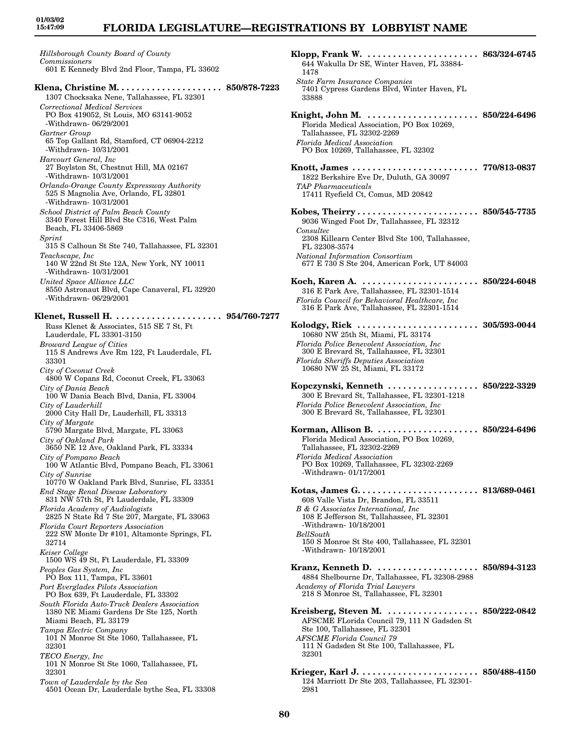## **FLORIDA LEGISLATURE—REGISTRATIONS BY LOBBYIST NAME**

*Hillsborough County Board of County Commissioners* 601 E Kennedy Blvd 2nd Floor, Tampa, FL 33602 **Klena, Christine M. . . . . . . . . . . . . . . . . . . . . 850/878-7223** 1307 Chocksaka Nene, Tallahassee, FL 32301 *Correctional Medical Services* PO Box 419052, St Louis, MO 63141-9052 -Withdrawn- 06/29/2001 *Gartner Group* 65 Top Gallant Rd, Stamford, CT 06904-2212 -Withdrawn- 10/31/2001 *Harcourt General, Inc* 27 Boylston St, Chestnut Hill, MA 02167 -Withdrawn- 10/31/2001 *Orlando-Orange County Expressway Authority* 525 S Magnolia Ave, Orlando, FL 32801 -Withdrawn- 10/31/2001 *School District of Palm Beach County* 3340 Forest Hill Blvd Ste C316, West Palm Beach, FL 33406-5869 *Sprint* 315 S Calhoun St Ste 740, Tallahassee, FL 32301 *Teachscape, Inc* 140 W 22nd St Ste 12A, New York, NY 10011 -Withdrawn- 10/31/2001 *United Space Alliance LLC* 8550 Astronaut Blvd, Cape Canaveral, FL 32920 -Withdrawn- 06/29/2001 **Klenet, Russell H. . . . . . . . . . . . . . . . . . . . . . 954/760-7277** Russ Klenet & Associates, 515 SE 7 St, Ft Lauderdale, FL 33301-3150 *Broward League of Cities* 115 S Andrews Ave Rm 122, Ft Lauderdale, FL 33301 *City of Coconut Creek* 4800 W Copans Rd, Coconut Creek, FL 33063 *City of Dania Beach* 100 W Dania Beach Blvd, Dania, FL 33004 *City of Lauderhill* 2000 City Hall Dr, Lauderhill, FL 33313 *City of Margate* 5790 Margate Blvd, Margate, FL 33063 *City of Oakland Park* 3650 NE 12 Ave, Oakland Park, FL 33334 *City of Pompano Beach* 100 W Atlantic Blvd, Pompano Beach, FL 33061 *City of Sunrise* 10770 W Oakland Park Blvd, Sunrise, FL 33351 *End Stage Renal Disease Laboratory* 831 NW 57th St, Ft Lauderdale, FL 33309 *Florida Academy of Audiologists* 2825 N State Rd 7 Ste 207, Margate, FL 33063 *Florida Court Reporters Association* 222 SW Monte Dr #101, Altamonte Springs, FL 32714 *Keiser College* 1500 WS 49 St, Ft Lauderdale, FL 33309 *Peoples Gas System, Inc* PO Box 111, Tampa, FL 33601 *Port Everglades Pilots Association* PO Box 639, Ft Lauderdale, FL 33302 *South Florida Auto-Truck Dealers Association* 1380 NE Miami Gardens Dr Ste 125, North Miami Beach, FL 33179 *Tampa Electric Company* 101 N Monroe St Ste 1060, Tallahassee, FL 32301 *TECO Energy, Inc* 101 N Monroe St Ste 1060, Tallahassee, FL 32301 *Town of Lauderdale by the Sea* 4501 Ocean Dr, Lauderdale bythe Sea, FL 33308

| Klopp, Frank W.  863/324-6745<br>644 Wakulla Dr SE, Winter Haven, FL 33884-<br>1478                                                                                                                                                           |                             |
|-----------------------------------------------------------------------------------------------------------------------------------------------------------------------------------------------------------------------------------------------|-----------------------------|
| <b>State Farm Insurance Companies</b><br>7401 Cypress Gardens Blvd, Winter Haven, FL<br>33888                                                                                                                                                 |                             |
| Knight, John M.  850/224-6496<br>Florida Medical Association, PO Box 10269,<br>Tallahassee, FL 32302-2269<br><b>Florida Medical Association</b><br>PO Box 10269, Tallahassee, FL 32302                                                        |                             |
| 1822 Berkshire Eve Dr, Duluth, GA 30097<br><b>TAP</b> Pharmaceuticals<br>17411 Ryefield Ct, Comus, MD 20842                                                                                                                                   |                             |
| 9036 Winged Foot Dr, Tallahassee, FL 32312<br>Consultec                                                                                                                                                                                       |                             |
| 2308 Killearn Center Blvd Ste 100, Tallahassee,<br>FL 32308-3574<br>National Information Consortium<br>677 E 730 S Ste 204, American Fork, UT 84003                                                                                           |                             |
| Koch, Karen A. $\dots\dots\dots\dots\dots\dots\dots$<br>316 E Park Ave, Tallahassee, FL 32301-1514<br>Florida Council for Behavioral Healthcare, Inc<br>316 E Park Ave, Tallahassee, FL 32301-1514                                            | $\ldots\  \, 850/224$ -6048 |
| 10680 NW 25th St, Miami, FL 33174<br>Florida Police Benevolent Association, Inc.<br>300 E Brevard St, Tallahassee, FL 32301<br>Florida Sheriffs Deputies Association<br>10680 NW 25 St, Miami, FL 33172                                       |                             |
| Kopczynski, Kenneth<br>300 E Brevard St, Tallahassee, FL 32301-1218<br>Florida Police Benevolent Association, Inc.<br>300 E Brevard St, Tallahassee, FL 32301                                                                                 | 850/222-3329                |
| Korman, Allison B.<br>Florida Medical Association, PO Box 10269,<br>Tallahassee, FL 32302-2269<br><b>Florida Medical Association</b><br>PO Box 10269, Tallahassee, FL 32302-2269<br>-Withdrawn-01/17/2001                                     | $\ldots$ 850/224-6496       |
| 608 Valle Vista Dr, Brandon, FL 33511<br>B & G Associates International, Inc.<br>108 E Jefferson St, Tallahassee, FL 32301<br>-Withdrawn- 10/18/2001<br>BellSouth<br>150 S Monroe St Ste 400, Tallahassee, FL 32301<br>-Withdrawn- 10/18/2001 |                             |
| Kranz, Kenneth D.  850/894-3123<br>4884 Shelbourne Dr, Tallahassee, FL 32308-2988<br>Academy of Florida Trial Lawyers<br>218 S Monroe St, Tallahassee, FL 32301                                                                               |                             |
| Kreisberg, Steven M.  850/222-0842<br>AFSCME FLorida Council 79, 111 N Gadsden St<br>Ste 100, Tallahassee, FL 32301<br>AFSCME Florida Council 79<br>111 N Gadsden St Ste 100, Tallahassee, FL<br>32301                                        |                             |
| 124 Marriott Dr Ste 203, Tallahassee, FL 32301-<br>2981                                                                                                                                                                                       |                             |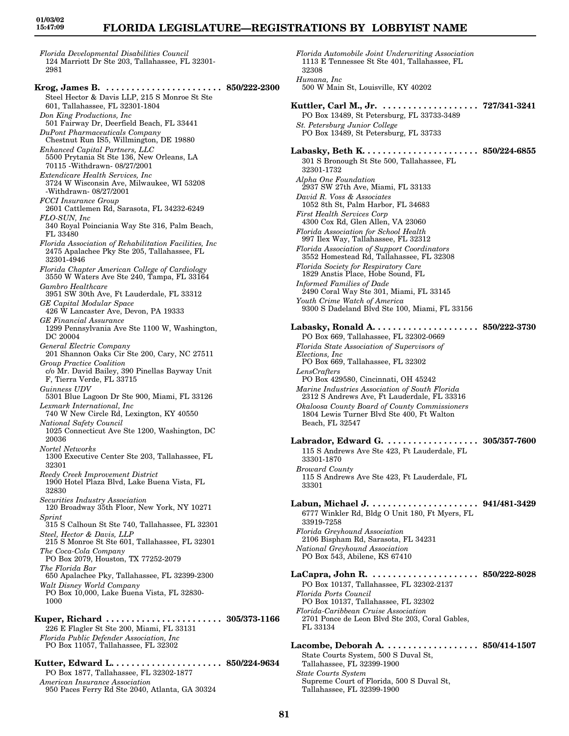# **FLORIDA LEGISLATURE—REGISTRATIONS BY LOBBYIST NAME**

32308

*Florida Developmental Disabilities Council* 124 Marriott Dr Ste 203, Tallahassee, FL 32301- 2981

**Krog, James B. . . . . . . . . . . . . . . . . . . . . . . . 850/222-2300** Steel Hector & Davis LLP, 215 S Monroe St Ste 601, Tallahassee, FL 32301-1804 *Don King Productions, Inc* 501 Fairway Dr, Deerfield Beach, FL 33441 *DuPont Pharmaceuticals Company* Chestnut Run IS5, Willmington, DE 19880 *Enhanced Capital Partners, LLC* 5500 Prytania St Ste 136, New Orleans, LA 70115 -Withdrawn- 08/27/2001 *Extendicare Health Services, Inc* 3724 W Wisconsin Ave, Milwaukee, WI 53208 -Withdrawn- 08/27/2001 *FCCI Insurance Group* 2601 Cattlemen Rd, Sarasota, FL 34232-6249 *FLO-SUN, Inc* 340 Royal Poinciania Way Ste 316, Palm Beach, FL 33480 *Florida Association of Rehabilitation Facilities, Inc* 2475 Apalachee Pky Ste 205, Tallahassee, FL 32301-4946 *Florida Chapter American College of Cardiology* 3550 W Waters Ave Ste 240, Tampa, FL 33164 *Gambro Healthcare* 3951 SW 30th Ave, Ft Lauderdale, FL 33312 *GE Capital Modular Space* 426 W Lancaster Ave, Devon, PA 19333 *GE Financial Assurance* 1299 Pennsylvania Ave Ste 1100 W, Washington, DC 20004 *General Electric Company* 201 Shannon Oaks Cir Ste 200, Cary, NC 27511 *Group Practice Coalition* c/o Mr. David Bailey, 390 Pinellas Bayway Unit F, Tierra Verde, FL 33715 *Guinness UDV* 5301 Blue Lagoon Dr Ste 900, Miami, FL 33126 *Lexmark International, Inc* 740 W New Circle Rd, Lexington, KY 40550 *National Safety Council* 1025 Connecticut Ave Ste 1200, Washington, DC 20036 *Nortel Networks* 1300 Executive Center Ste 203, Tallahassee, FL 32301 *Reedy Creek Improvement District* 1900 Hotel Plaza Blvd, Lake Buena Vista, FL 32830 *Securities Industry Association* 120 Broadway 35th Floor, New York, NY 10271 *Sprint* 315 S Calhoun St Ste 740, Tallahassee, FL 32301 *Steel, Hector & Davis, LLP* 215 S Monroe St Ste 601, Tallahassee, FL 32301 *The Coca-Cola Company* PO Box 2079, Houston, TX 77252-2079 *The Florida Bar* 650 Apalachee Pky, Tallahassee, FL 32399-2300 *Walt Disney World Company* PO Box 10,000, Lake Buena Vista, FL 32830-1000 **Kuper, Richard . . . . . . . . . . . . . . . . . . . . . . . 305/373-1166** 226 E Flagler St Ste 200, Miami, FL 33131 *Florida Public Defender Association, Inc* PO Box 11057, Tallahassee, FL 32302 **Kutter, Edward L. . . . . . . . . . . . . . . . . . . . . . 850/224-9634** PO Box 1877, Tallahassee, FL 32302-1877

*American Insurance Association*

950 Paces Ferry Rd Ste 2040, Atlanta, GA 30324

*Humana, Inc* 500 W Main St, Louisville, KY 40202 **Kuttler, Carl M., Jr. . . . . . . . . . . . . . . . . . . . 727/341-3241** PO Box 13489, St Petersburg, FL 33733-3489 *St. Petersburg Junior College* PO Box 13489, St Petersburg, FL 33733 **Labasky, Beth K. . . . . . . . . . . . . . . . . . . . . . . 850/224-6855** 301 S Bronough St Ste 500, Tallahassee, FL 32301-1732 *Alpha One Foundation* 2937 SW 27th Ave, Miami, FL 33133 *David R. Voss & Associates* 1052 8th St, Palm Harbor, FL 34683 *First Health Services Corp* 4300 Cox Rd, Glen Allen, VA 23060 *Florida Association for School Health* 997 Ilex Way, Tallahassee, FL 32312 *Florida Association of Support Coordinators* 3552 Homestead Rd, Tallahassee, FL 32308 *Florida Society for Respiratory Care* 1829 Anstis Place, Hobe Sound, FL *Informed Families of Dade* 2490 Coral Way Ste 301, Miami, FL 33145 *Youth Crime Watch of America* 9300 S Dadeland Blvd Ste 100, Miami, FL 33156 **Labasky, Ronald A. . . . . . . . . . . . . . . . . . . . . 850/222-3730** PO Box 669, Tallahassee, FL 32302-0669 *Florida State Association of Supervisors of Elections, Inc* PO Box 669, Tallahassee, FL 32302 *LensCrafters* PO Box 429580, Cincinnati, OH 45242 *Marine Industries Association of South Florida* 2312 S Andrews Ave, Ft Lauderdale, FL 33316 *Okaloosa County Board of County Commissioners* 1804 Lewis Turner Blvd Ste 400, Ft Walton Beach, FL 32547 **Labrador, Edward G. . . . . . . . . . . . . . . . . . . 305/357-7600** 115 S Andrews Ave Ste 423, Ft Lauderdale, FL 33301-1870 *Broward County* 115 S Andrews Ave Ste 423, Ft Lauderdale, FL 33301 **Labun, Michael J. . . . . . . . . . . . . . . . . . . . . . 941/481-3429** 6777 Winkler Rd, Bldg O Unit 180, Ft Myers, FL 33919-7258 *Florida Greyhound Association* 2106 Bispham Rd, Sarasota, FL 34231 *National Greyhound Association* PO Box 543, Abilene, KS 67410 **LaCapra, John R. . . . . . . . . . . . . . . . . . . . . . 850/222-8028** PO Box 10137, Tallahassee, FL 32302-2137 *Florida Ports Council* PO Box 10137, Tallahassee, FL 32302 *Florida-Caribbean Cruise Association* 2701 Ponce de Leon Blvd Ste 203, Coral Gables, FL 33134 **Lacombe, Deborah A. . . . . . . . . . . . . . . . . . . 850/414-1507** State Courts System, 500 S Duval St, Tallahassee, FL 32399-1900 *State Courts System*

*Florida Automobile Joint Underwriting Association* 1113 E Tennessee St Ste 401, Tallahassee, FL

Supreme Court of Florida, 500 S Duval St, Tallahassee, FL 32399-1900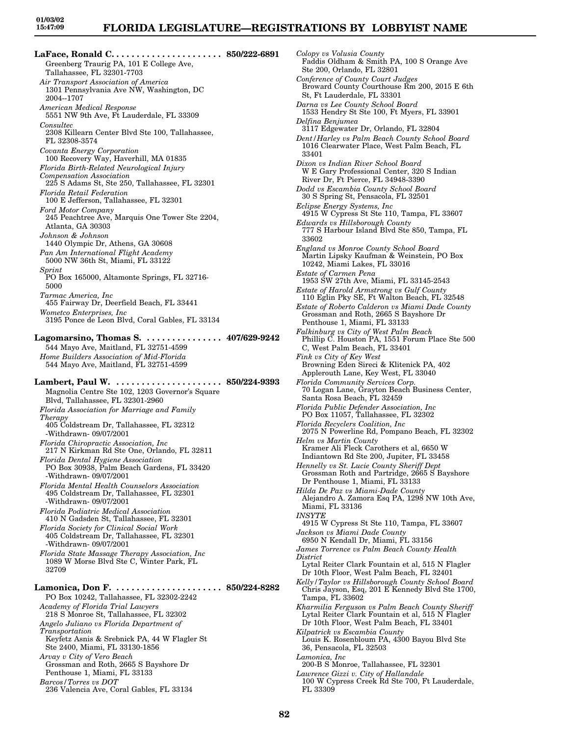*Colopy vs Volusia County*

**LaFace, Ronald C. . . . . . . . . . . . . . . . . . . . . . 850/222-6891** Greenberg Traurig PA, 101 E College Ave, Tallahassee, FL 32301-7703 *Air Transport Association of America* 1301 Pennsylvania Ave NW, Washington, DC 2004--1707 *American Medical Response* 5551 NW 9th Ave, Ft Lauderdale, FL 33309 *Consultec* 2308 Killearn Center Blvd Ste 100, Tallahassee, FL 32308-3574 *Covanta Energy Corporation* 100 Recovery Way, Haverhill, MA 01835 *Florida Birth-Related Neurological Injury Compensation Association* 225 S Adams St, Ste 250, Tallahassee, FL 32301 *Florida Retail Federation* 100 E Jefferson, Tallahassee, FL 32301 *Ford Motor Company* 245 Peachtree Ave, Marquis One Tower Ste 2204, Atlanta, GA 30303 *Johnson & Johnson* 1440 Olympic Dr, Athens, GA 30608 *Pan Am International Flight Academy* 5000 NW 36th St, Miami, FL 33122 *Sprint* PO Box 165000, Altamonte Springs, FL 32716- 5000 *Tarmac America, Inc* 455 Fairway Dr, Deerfield Beach, FL 33441 *Wometco Enterprises, Inc* 3195 Ponce de Leon Blvd, Coral Gables, FL 33134 **Lagomarsino, Thomas S. . . . . . . . . . . . . . . . 407/629-9242** 544 Mayo Ave, Maitland, FL 32751-4599 *Home Builders Association of Mid-Florida* 544 Mayo Ave, Maitland, FL 32751-4599 **Lambert, Paul W. . . . . . . . . . . . . . . . . . . . . . 850/224-9393** Magnolia Centre Ste 102, 1203 Governor's Square Blvd, Tallahassee, FL 32301-2960 *Florida Association for Marriage and Family Therapy* 405 Coldstream Dr, Tallahassee, FL 32312 -Withdrawn- 09/07/2001 *Florida Chiropractic Association, Inc* 217 N Kirkman Rd Ste One, Orlando, FL 32811 *Florida Dental Hygiene Association* PO Box 30938, Palm Beach Gardens, FL 33420 -Withdrawn- 09/07/2001 *Florida Mental Health Counselors Association* 495 Coldstream Dr, Tallahassee, FL 32301 -Withdrawn- 09/07/2001 *Florida Podiatric Medical Association* 410 N Gadsden St, Tallahassee, FL 32301 *Florida Society for Clinical Social Work* 405 Coldstream Dr, Tallahassee, FL 32301 -Withdrawn- 09/07/2001 *Florida State Massage Therapy Association, Inc* 1089 W Morse Blvd Ste C, Winter Park, FL 32709 **Lamonica, Don F. . . . . . . . . . . . . . . . . . . . . . 850/224-8282** PO Box 10242, Tallahassee, FL 32302-2242 *Academy of Florida Trial Lawyers* 218 S Monroe St, Tallahassee, FL 32302 *Angelo Juliano vs Florida Department of Transportation* Keyfetz Asnis & Srebnick PA, 44 W Flagler St Ste 2400, Miami, FL 33130-1856 *Arvay v City of Vero Beach* Grossman and Roth, 2665 S Bayshore Dr Penthouse 1, Miami, FL 33133 *Barcos/Torres vs DOT*

236 Valencia Ave, Coral Gables, FL 33134

Faddis Oldham & Smith PA, 100 S Orange Ave Ste 200, Orlando, FL 32801 *Conference of County Court Judges* Broward County Courthouse Rm 200, 2015 E 6th St, Ft Lauderdale, FL 33301 *Darna vs Lee County School Board* 1533 Hendry St Ste 100, Ft Myers, FL 33901 *Delfina Benjumea* 3117 Edgewater Dr, Orlando, FL 32804 *Dent/Harley vs Palm Beach County School Board* 1016 Clearwater Place, West Palm Beach, FL 33401 *Dixon vs Indian River School Board* W E Gary Professional Center, 320 S Indian River Dr, Ft Pierce, FL 34948-3390 *Dodd vs Escambia County School Board* 30 S Spring St, Pensacola, FL 32501 *Eclipse Energy Systems, Inc* 4915 W Cypress St Ste 110, Tampa, FL 33607 *Edwards vs Hillsborough County* 777 S Harbour Island Blvd Ste 850, Tampa, FL 33602 *England vs Monroe County School Board* Martin Lipsky Kaufman & Weinstein, PO Box 10242, Miami Lakes, FL 33016 *Estate of Carmen Pena* 1953 SW 27th Ave, Miami, FL 33145-2543 *Estate of Harold Armstrong vs Gulf County* 110 Eglin Pky SE, Ft Walton Beach, FL 32548 *Estate of Roberto Calderon vs Miami Dade County* Grossman and Roth, 2665 S Bayshore Dr Penthouse 1, Miami, FL 33133 *Falkinburg vs City of West Palm Beach* Phillip C. Houston PA, 1551 Forum Place Ste 500 C, West Palm Beach, FL 33401 *Fink vs City of Key West* Browning Eden Sireci & Klitenick PA, 402 Applerouth Lane, Key West, FL 33040 *Florida Community Services Corp.* 70 Logan Lane, Grayton Beach Business Center, Santa Rosa Beach, FL 32459 *Florida Public Defender Association, Inc* PO Box 11057, Tallahassee, FL 32302 *Florida Recyclers Coalition, Inc* 2075 N Powerline Rd, Pompano Beach, FL 32302 *Helm vs Martin County* Kramer Ali Fleck Carothers et al, 6650 W Indiantown Rd Ste 200, Jupiter, FL 33458 *Hennelly vs St. Lucie County Sheriff Dept* Grossman Roth and Partridge, 2665 S Bayshore Dr Penthouse 1, Miami, FL 33133 *Hilda De Paz vs Miami-Dade County* Alejandro A. Zamora Esq PA, 1298 NW 10th Ave, Miami, FL 33136 *INSYTE* 4915 W Cypress St Ste 110, Tampa, FL 33607 *Jackson vs Miami Dade County* 6950 N Kendall Dr, Miami, FL 33156 *James Torrence vs Palm Beach County Health District* Lytal Reiter Clark Fountain et al, 515 N Flagler Dr 10th Floor, West Palm Beach, FL 32401 *Kelly/Taylor vs Hillsborough County School Board* Chris Jayson, Esq, 201 E Kennedy Blvd Ste 1700, Tampa, FL 33602 *Kharmilia Ferguson vs Palm Beach County Sheriff* Lytal Reiter Clark Fountain et al, 515 N Flagler Dr 10th Floor, West Palm Beach, FL 33401 *Kilpatrick vs Escambia County* Louis K. Rosenbloum PA, 4300 Bayou Blvd Ste 36, Pensacola, FL 32503 *Lamonica, Inc* 200-B S Monroe, Tallahassee, FL 32301 *Lawrence Gizzi v. City of Hallandale*

100 W Cypress Creek Rd Ste 700, Ft Lauderdale, FL 33309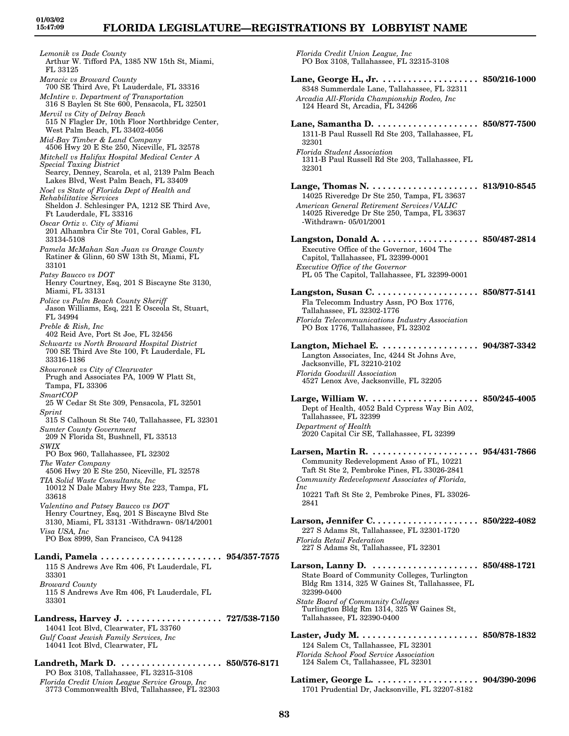*Lemonik vs Dade County* Arthur W. Tifford PA, 1385 NW 15th St, Miami, FL 33125 *Maracic vs Broward County* 700 SE Third Ave, Ft Lauderdale, FL 33316 *McIntire v. Department of Transportation* 316 S Baylen St Ste 600, Pensacola, FL 32501 *Mervil vs City of Delray Beach* 515 N Flagler Dr, 10th Floor Northbridge Center, West Palm Beach, FL 33402-4056 *Mid-Bay Timber & Land Company* 4506 Hwy 20 E Ste 250, Niceville, FL 32578 *Mitchell vs Halifax Hospital Medical Center A Special Taxing District* Searcy, Denney, Scarola, et al, 2139 Palm Beach Lakes Blvd, West Palm Beach, FL 33409 *Noel vs State of Florida Dept of Health and Rehabilitative Services* Sheldon J. Schlesinger PA, 1212 SE Third Ave, Ft Lauderdale, FL 33316 *Oscar Ortiz v. City of Miami* 201 Alhambra Cir Ste 701, Coral Gables, FL 33134-5108 *Pamela McMahan San Juan vs Orange County* Ratiner & Glinn, 60 SW 13th St, Miami, FL 33101 *Patsy Baucco vs DOT* Henry Courtney, Esq, 201 S Biscayne Ste 3130, Miami, FL 33131 *Police vs Palm Beach County Sheriff* Jason Williams, Esq, 221 E Osceola St, Stuart, FL 34994 *Preble & Rish, Inc* 402 Reid Ave, Port St Joe, FL 32456 *Schwartz vs North Broward Hospital District* 700 SE Third Ave Ste 100, Ft Lauderdale, FL 33316-1186 *Skowronek vs City of Clearwater* Prugh and Associates PA, 1009 W Platt St, Tampa, FL 33306 *SmartCOP* 25 W Cedar St Ste 309, Pensacola, FL 32501 *Sprint* 315 S Calhoun St Ste 740, Tallahassee, FL 32301 *Sumter County Government* 209 N Florida St, Bushnell, FL 33513 *SWIX* PO Box 960, Tallahassee, FL 32302 *The Water Company* 4506 Hwy 20 E Ste 250, Niceville, FL 32578 *TIA Solid Waste Consultants, Inc* 10012 N Dale Mabry Hwy Ste 223, Tampa, FL 33618 *Valentino and Patsey Baucco vs DOT* Henry Courtney, Esq, 201 S Biscayne Blvd Ste 3130, Miami, FL 33131 -Withdrawn- 08/14/2001 *Visa USA, Inc* PO Box 8999, San Francisco, CA 94128 **Landi, Pamela . . . . . . . . . . . . . . . . . . . . . . . . 954/357-7575** 115 S Andrews Ave Rm 406, Ft Lauderdale, FL 33301 *Broward County* 115 S Andrews Ave Rm 406, Ft Lauderdale, FL 33301 **Landress, Harvey J. . . . . . . . . . . . . . . . . . . . 727/538-7150** 14041 Icot Blvd, Clearwater, FL 33760 *Gulf Coast Jewish Family Services, Inc* 14041 Icot Blvd, Clearwater, FL **Landreth, Mark D. . . . . . . . . . . . . . . . . . . . . 850/576-8171** PO Box 3108, Tallahassee, FL 32315-3108

*Florida Credit Union League Service Group, Inc* 3773 Commonwealth Blvd, Tallahassee, FL 32303 *Florida Credit Union League, Inc* PO Box 3108, Tallahassee, FL 32315-3108

**Lane, George H., Jr. . . . . . . . . . . . . . . . . . . . 850/216-1000** 8348 Summerdale Lane, Tallahassee, FL 32311 *Arcadia All-Florida Championship Rodeo, Inc* 124 Heard St, Arcadia, FL 34266 **Lane, Samantha D. . . . . . . . . . . . . . . . . . . . . 850/877-7500** 1311-B Paul Russell Rd Ste 203, Tallahassee, FL 32301 *Florida Student Association* 1311-B Paul Russell Rd Ste 203, Tallahassee, FL 32301 **Lange, Thomas N. . . . . . . . . . . . . . . . . . . . . . 813/910-8545** 14025 Riveredge Dr Ste 250, Tampa, FL 33637 *American General Retirement Services/VALIC* 14025 Riveredge Dr Ste 250, Tampa, FL 33637 -Withdrawn- 05/01/2001 **Langston, Donald A. . . . . . . . . . . . . . . . . . . . 850/487-2814** Executive Office of the Governor, 1604 The Capitol, Tallahassee, FL 32399-0001 *Executive Office of the Governor* PL 05 The Capitol, Tallahassee, FL 32399-0001 **Langston, Susan C. . . . . . . . . . . . . . . . . . . . . 850/877-5141** Fla Telecomm Industry Assn, PO Box 1776, Tallahassee, FL 32302-1776 *Florida Telecommunications Industry Association* PO Box 1776, Tallahassee, FL 32302 **Langton, Michael E. . . . . . . . . . . . . . . . . . . . 904/387-3342** Langton Associates, Inc, 4244 St Johns Ave, Jacksonville, FL 32210-2102 *Florida Goodwill Association* 4527 Lenox Ave, Jacksonville, FL 32205 **Large, William W. . . . . . . . . . . . . . . . . . . . . . 850/245-4005** Dept of Health, 4052 Bald Cypress Way Bin A02, Tallahassee, FL 32399 *Department of Health* 2020 Capital Cir SE, Tallahassee, FL 32399 **Larsen, Martin R. . . . . . . . . . . . . . . . . . . . . . 954/431-7866** Community Redevelopment Asso of FL, 10221 Taft St Ste 2, Pembroke Pines, FL 33026-2841 *Community Redevelopment Associates of Florida, Inc* 10221 Taft St Ste 2, Pembroke Pines, FL 33026- 2841 **Larson, Jennifer C. . . . . . . . . . . . . . . . . . . . . 850/222-4082** 227 S Adams St, Tallahassee, FL 32301-1720 *Florida Retail Federation* 227 S Adams St, Tallahassee, FL 32301 **Larson, Lanny D. . . . . . . . . . . . . . . . . . . . . . 850/488-1721** State Board of Community Colleges, Turlington Bldg Rm 1314, 325 W Gaines St, Tallahassee, FL 32399-0400 *State Board of Community Colleges* Turlington Bldg Rm 1314, 325 W Gaines St, Tallahassee, FL 32390-0400 **Laster, Judy M. . . . . . . . . . . . . . . . . . . . . . . . 850/878-1832** 124 Salem Ct, Tallahassee, FL 32301 *Florida School Food Service Association* 124 Salem Ct, Tallahassee, FL 32301

**Latimer, George L. . . . . . . . . . . . . . . . . . . . . 904/390-2096** 1701 Prudential Dr, Jacksonville, FL 32207-8182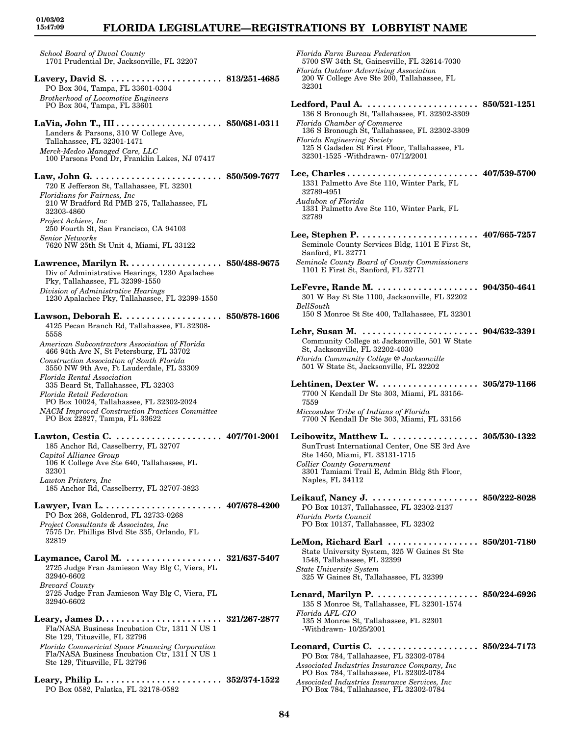# **FLORIDA LEGISLATURE—REGISTRATIONS BY LOBBYIST NAME**

*School Board of Duval County* 1701 Prudential Dr, Jacksonville, FL 32207

- **Lavery, David S. . . . . . . . . . . . . . . . . . . . . . . 813/251-4685** PO Box 304, Tampa, FL 33601-0304 *Brotherhood of Locomotive Engineers* PO Box 304, Tampa, FL 33601
- **LaVia, John T., III . . . . . . . . . . . . . . . . . . . . . 850/681-0311** Landers & Parsons, 310 W College Ave, Tallahassee, FL 32301-1471 *Merck-Medco Managed Care, LLC* 100 Parsons Pond Dr, Franklin Lakes, NJ 07417
- **Law, John G. . . . . . . . . . . . . . . . . . . . . . . . . . 850/509-7677** 720 E Jefferson St, Tallahassee, FL 32301 *Floridians for Fairness, Inc* 210 W Bradford Rd PMB 275, Tallahassee, FL 32303-4860 *Project Achieve, Inc* 250 Fourth St, San Francisco, CA 94103 *Senior Networks* 7620 NW 25th St Unit 4, Miami, FL 33122
- **Lawrence, Marilyn R. . . . . . . . . . . . . . . . . . . 850/488-9675** Div of Administrative Hearings, 1230 Apalachee Pky, Tallahassee, FL 32399-1550 *Division of Administrative Hearings* 1230 Apalachee Pky, Tallahassee, FL 32399-1550
- **Lawson, Deborah E. . . . . . . . . . . . . . . . . . . . 850/878-1606** 4125 Pecan Branch Rd, Tallahassee, FL 32308- 5558 *American Subcontractors Association of Florida*
- 466 94th Ave N, St Petersburg, FL 33702 *Construction Association of South Florida* 3550 NW 9th Ave, Ft Lauderdale, FL 33309 *Florida Rental Association*
- 335 Beard St, Tallahassee, FL 32303 *Florida Retail Federation*
- PO Box 10024, Tallahassee, FL 32302-2024 *NACM Improved Construction Practices Committee* PO Box 22827, Tampa, FL 33622
- **Lawton, Cestia C. . . . . . . . . . . . . . . . . . . . . . 407/701-2001** 185 Anchor Rd, Casselberry, FL 32707 *Capitol Alliance Group* 106 E College Ave Ste 640, Tallahassee, FL 32301 *Lawton Printers, Inc* 185 Anchor Rd, Casselberry, FL 32707-3823
- **Lawyer, Ivan L. . . . . . . . . . . . . . . . . . . . . . . . 407/678-4200** PO Box 268, Goldenrod, FL 32733-0268 *Project Consultants & Associates, Inc* 7575 Dr. Phillips Blvd Ste 335, Orlando, FL 32819
- **Laymance, Carol M. . . . . . . . . . . . . . . . . . . . 321/637-5407** 2725 Judge Fran Jamieson Way Blg C, Viera, FL 32940-6602 *Brevard County* 2725 Judge Fran Jamieson Way Blg C, Viera, FL 32940-6602
- **Leary, James D. . . . . . . . . . . . . . . . . . . . . . . . 321/267-2877** Fla/NASA Business Incubation Ctr, 1311 N US 1 Ste 129, Titusville, FL 32796 *Florida Commericial Space Financing Corporation* Fla/NASA Business Incubation Ctr, 1311 N US 1
- Ste 129, Titusville, FL 32796
- **Leary, Philip L. . . . . . . . . . . . . . . . . . . . . . . . 352/374-1522** PO Box 0582, Palatka, FL 32178-0582
- *Florida Farm Bureau Federation* 5700 SW 34th St, Gainesville, FL 32614-7030 *Florida Outdoor Advertising Association* 200 W College Ave Ste 200, Tallahassee, FL 32301 **Ledford, Paul A. . . . . . . . . . . . . . . . . . . . . . . 850/521-1251** 136 S Bronough St, Tallahassee, FL 32302-3309 *Florida Chamber of Commerce* 136 S Bronough St, Tallahassee, FL 32302-3309 *Florida Engineering Society* 125 S Gadsden St First Floor, Tallahassee, FL 32301-1525 -Withdrawn- 07/12/2001 **Lee, Charles . . . . . . . . . . . . . . . . . . . . . . . . . . 407/539-5700** 1331 Palmetto Ave Ste 110, Winter Park, FL 32789-4951 *Audubon of Florida* 1331 Palmetto Ave Ste 110, Winter Park, FL 32789 **Lee, Stephen P. . . . . . . . . . . . . . . . . . . . . . . . 407/665-7257** Seminole County Services Bldg, 1101 E First St, Sanford, FL 32771 *Seminole County Board of County Commissioners* 1101 E First St, Sanford, FL 32771 **LeFevre, Rande M. . . . . . . . . . . . . . . . . . . . . 904/350-4641** 301 W Bay St Ste 1100, Jacksonville, FL 32202 *BellSouth* 150 S Monroe St Ste 400, Tallahassee, FL 32301 **Lehr, Susan M. . . . . . . . . . . . . . . . . . . . . . . . 904/632-3391** Community College at Jacksonville, 501 W State St, Jacksonville, FL 32202-4030 *Florida Community College @ Jacksonville* 501 W State St, Jacksonville, FL 32202 **Lehtinen, Dexter W. . . . . . . . . . . . . . . . . . . . 305/279-1166** 7700 N Kendall Dr Ste 303, Miami, FL 33156- 7559 *Miccosukee Tribe of Indians of Florida* 7700 N Kendall Dr Ste 303, Miami, FL 33156 **Leibowitz, Matthew L. . . . . . . . . . . . . . . . . . 305/530-1322** SunTrust International Center, One SE 3rd Ave Ste 1450, Miami, FL 33131-1715 *Collier County Government* 3301 Tamiami Trail E, Admin Bldg 8th Floor, Naples, FL 34112 **Leikauf, Nancy J. . . . . . . . . . . . . . . . . . . . . . 850/222-8028** PO Box 10137, Tallahassee, FL 32302-2137 *Florida Ports Council* PO Box 10137, Tallahassee, FL 32302 **LeMon, Richard Earl . . . . . . . . . . . . . . . . . . 850/201-7180** State University System, 325 W Gaines St Ste 1548, Tallahassee, FL 32399 *State University System* 325 W Gaines St, Tallahassee, FL 32399 **Lenard, Marilyn P. . . . . . . . . . . . . . . . . . . . . 850/224-6926** 135 S Monroe St, Tallahassee, FL 32301-1574 *Florida AFL-CIO* 135 S Monroe St, Tallahassee, FL 32301 -Withdrawn- 10/25/2001 **Leonard, Curtis C. . . . . . . . . . . . . . . . . . . . . 850/224-7173** PO Box 784, Tallahassee, FL 32302-0784 *Associated Industries Insurance Company, Inc*
	- PO Box 784, Tallahassee, FL 32302-0784 *Associated Industries Insurance Services, Inc* PO Box 784, Tallahassee, FL 32302-0784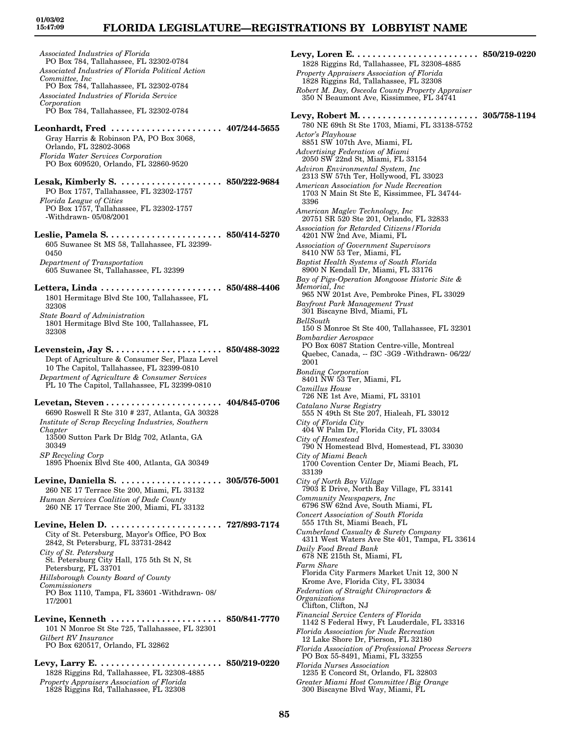# **FLORIDA LEGISLATURE—REGISTRATIONS BY LOBBYIST NAME**

*Associated Industries of Florida* PO Box 784, Tallahassee, FL 32302-0784 *Associated Industries of Florida Political Action Committee, Inc* PO Box 784, Tallahassee, FL 32302-0784 *Associated Industries of Florida Service Corporation* PO Box 784, Tallahassee, FL 32302-0784 **Leonhardt, Fred . . . . . . . . . . . . . . . . . . . . . . 407/244-5655** Gray Harris & Robinson PA, PO Box 3068, Orlando, FL 32802-3068 *Florida Water Services Corporation* PO Box 609520, Orlando, FL 32860-9520 **Lesak, Kimberly S. . . . . . . . . . . . . . . . . . . . . 850/222-9684** PO Box 1757, Tallahassee, FL 32302-1757 *Florida League of Cities* PO Box 1757, Tallahassee, FL 32302-1757 -Withdrawn- 05/08/2001 **Leslie, Pamela S. . . . . . . . . . . . . . . . . . . . . . . 850/414-5270** 605 Suwanee St MS 58, Tallahassee, FL 32399- 0450 *Department of Transportation* 605 Suwanee St, Tallahassee, FL 32399 **Lettera, Linda . . . . . . . . . . . . . . . . . . . . . . . . 850/488-4406** 1801 Hermitage Blvd Ste 100, Tallahassee, FL 32308 *State Board of Administration* 1801 Hermitage Blvd Ste 100, Tallahassee, FL 32308 **Levenstein, Jay S. . . . . . . . . . . . . . . . . . . . . . 850/488-3022** Dept of Agriculture & Consumer Ser, Plaza Level 10 The Capitol, Tallahassee, FL 32399-0810 *Department of Agriculture & Consumer Services* PL 10 The Capitol, Tallahassee, FL 32399-0810 **Levetan, Steven . . . . . . . . . . . . . . . . . . . . . . . 404/845-0706** 6690 Roswell R Ste 310 # 237, Atlanta, GA 30328 *Institute of Scrap Recycling Industries, Southern Chapter* 13500 Sutton Park Dr Bldg 702, Atlanta, GA 30349 *SP Recycling Corp* 1895 Phoenix Blvd Ste 400, Atlanta, GA 30349 **Levine, Daniella S. . . . . . . . . . . . . . . . . . . . . 305/576-5001** 260 NE 17 Terrace Ste 200, Miami, FL 33132 *Human Services Coalition of Dade County* 260 NE 17 Terrace Ste 200, Miami, FL 33132 **Levine, Helen D. . . . . . . . . . . . . . . . . . . . . . . 727/893-7174** City of St. Petersburg, Mayor's Office, PO Box 2842, St Petersburg, FL 33731-2842 *City of St. Petersburg* St. Petersburg City Hall, 175 5th St N, St Petersburg, FL 33701 *Hillsborough County Board of County Commissioners* PO Box 1110, Tampa, FL 33601 -Withdrawn- 08/ 17/2001 **Levine, Kenneth . . . . . . . . . . . . . . . . . . . . . . 850/841-7770** 101 N Monroe St Ste 725, Tallahassee, FL 32301 *Gilbert RV Insurance* PO Box 620517, Orlando, FL 32862 **Levy, Larry E. . . . . . . . . . . . . . . . . . . . . . . . . 850/219-0220** 1828 Riggins Rd, Tallahassee, FL 32308-4885

*Property Appraisers Association of Florida* 1828 Riggins Rd, Tallahassee, FL 32308

**Levy, Loren E. . . . . . . . . . . . . . . . . . . . . . . . . 850/219-0220** 1828 Riggins Rd, Tallahassee, FL 32308-4885 *Property Appraisers Association of Florida* 1828 Riggins Rd, Tallahassee, FL 32308 *Robert M. Day, Osceola County Property Appraiser* 350 N Beaumont Ave, Kissimmee, FL 34741 **Levy, Robert M. . . . . . . . . . . . . . . . . . . . . . . . 305/758-1194** 780 NE 69th St Ste 1703, Miami, FL 33138-5752 *Actor's Playhouse* 8851 SW 107th Ave, Miami, FL *Advertising Federation of Miami* 2050 SW 22nd St, Miami, FL 33154 *Adviron Environmental System, Inc* 2313 SW 57th Ter, Hollywood, FL 33023 *American Association for Nude Recreation* 1703 N Main St Ste E, Kissimmee, FL 34744- 3396 *American Maglev Technology, Inc* 20751 SR 520 Ste 201, Orlando, FL 32833 *Association for Retarded Citizens/Florida* 4201 NW 2nd Ave, Miami, FL *Association of Government Supervisors* 8410 NW 53 Ter, Miami, FL *Baptist Health Systems of South Florida* 8900 N Kendall Dr, Miami, FL 33176 *Bay of Pigs-Operation Mongoose Historic Site & Memorial, Inc* 965 NW 201st Ave, Pembroke Pines, FL 33029 *Bayfront Park Management Trust* 301 Biscayne Blvd, Miami, FL *BellSouth* 150 S Monroe St Ste 400, Tallahassee, FL 32301 *Bombardier Aerospace* PO Box 6087 Station Centre-ville, Montreal Quebec, Canada, -- f3C -3G9 -Withdrawn- 06/22/ 2001 *Bonding Corporation* 8401 NW 53 Ter, Miami, FL *Camillus House* 726 NE 1st Ave, Miami, FL 33101 *Catalano Nurse Registry* 555 N 49th St Ste 207, Hialeah, FL 33012 *City of Florida City* 404 W Palm Dr, Florida City, FL 33034 *City of Homestead* 790 N Homestead Blvd, Homestead, FL 33030 *City of Miami Beach* 1700 Covention Center Dr, Miami Beach, FL 33139 *City of North Bay Village* 7903 E Drive, North Bay Village, FL 33141 *Community Newspapers, Inc* 6796 SW 62nd Ave, South Miami, FL *Concert Association of South Florida* 555 17th St, Miami Beach, FL *Cumberland Casualty & Surety Company* 4311 West Waters Ave Ste 401, Tampa, FL 33614 *Daily Food Bread Bank* 678 NE 215th St, Miami, FL *Farm Share* Florida City Farmers Market Unit 12, 300 N Krome Ave, Florida City, FL 33034 *Federation of Straight Chiropractors & Organizations* Clifton, Clifton, NJ *Financial Service Centers of Florida* 1142 S Federal Hwy, Ft Lauderdale, FL 33316 *Florida Association for Nude Recreation* 12 Lake Shore Dr, Pierson, FL 32180 *Florida Association of Professional Process Servers* PO Box 55-8491, Miami, FL 33255 *Florida Nurses Association* 1235 E Concord St, Orlando, FL 32803 *Greater Miami Host Committee/Big Orange* 300 Biscayne Blvd Way, Miami, FL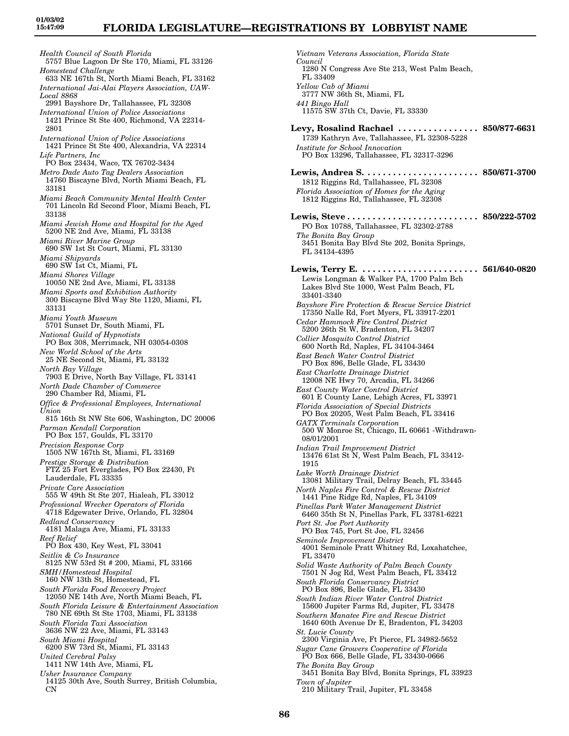*Health Council of South Florida* 5757 Blue Lagoon Dr Ste 170, Miami, FL 33126 *Homestead Challenge* 633 NE 167th St, North Miami Beach, FL 33162 *International Jai-Alai Players Association, UAW-Local 8868* 2991 Bayshore Dr, Tallahassee, FL 32308 *International Union of Police Associations* 1421 Prince St Ste 400, Richmond, VA 22314- 2801 *International Union of Police Associations* 1421 Prince St Ste 400, Alexandria, VA 22314 *Life Partners, Inc* PO Box 23434, Waco, TX 76702-3434 *Metro Dade Auto Tag Dealers Association* 14760 Biscayne Blvd, North Miami Beach, FL 33181 *Miami Beach Community Mental Health Center* 701 Lincoln Rd Second Floor, Miami Beach, FL 33138 *Miami Jewish Home and Hospital for the Aged* 5200 NE 2nd Ave, Miami, FL 33138 *Miami River Marine Group* 690 SW 1st St Court, Miami, FL 33130 *Miami Shipyards* 690 SW 1st Ct, Miami, FL *Miami Shores Village* 10050 NE 2nd Ave, Miami, FL 33138 *Miami Sports and Exhibition Authority* 300 Biscayne Blvd Way Ste 1120, Miami, FL 33131 *Miami Youth Museum* 5701 Sunset Dr, South Miami, FL *National Guild of Hypnotists* PO Box 308, Merrimack, NH 03054-0308 *New World School of the Arts* 25 NE Second St, Miami, FL 33132 *North Bay Village* 7903 E Drive, North Bay Village, FL 33141 *North Dade Chamber of Commerce* 290 Chamber Rd, Miami, FL *Office & Professional Employees, International Union* 815 16th St NW Ste 606, Washington, DC 20006 *Parman Kendall Corporation* PO Box 157, Goulds, FL 33170 *Precision Response Corp* 1505 NW 167th St, Miami, FL 33169 *Prestige Storage & Distribution* FTZ 25 Fort Everglades, PO Box 22430, Ft Lauderdale, FL 33335 *Private Care Association* 555 W 49th St Ste 207, Hialeah, FL 33012 *Professional Wrecker Operators of Florida* 4718 Edgewater Drive, Orlando, FL 32804 *Redland Conservancy* 4181 Malaga Ave, Miami, FL 33133 *Reef Relief* PO Box 430, Key West, FL 33041 *Seitlin & Co Insurance* 8125 NW 53rd St # 200, Miami, FL 33166 *SMH/Homestead Hospital* 160 NW 13th St, Homestead, FL *South Florida Food Recovery Project* 12050 NE 14th Ave, North Miami Beach, FL *South Florida Leisure & Entertainment Association* 780 NE 69th St Ste 1703, Miami, FL 33138 *South Florida Taxi Association* 3636 NW 22 Ave, Miami, FL 33143 *South Miami Hospital* 6200 SW 73rd St, Miami, FL 33143 *United Cerebral Palsy* 1411 NW 14th Ave, Miami, FL *Usher Insurance Company* 14125 30th Ave, South Surrey, British Columbia, CN

*Vietnam Veterans Association, Florida State Council* 1280 N Congress Ave Ste 213, West Palm Beach, FL 33409 *Yellow Cab of Miami* 3777 NW 36th St, Miami, FL *441 Bingo Hall* 11575 SW 37th Ct, Davie, FL 33330 **Levy, Rosalind Rachael . . . . . . . . . . . . . . . . 850/877-6631** 1739 Kathryn Ave, Tallahassee, FL 32308-5228 *Institute for School Innovation* PO Box 13296, Tallahassee, FL 32317-3296 **Lewis, Andrea S. . . . . . . . . . . . . . . . . . . . . . . 850/671-3700** 1812 Riggins Rd, Tallahassee, FL 32308 *Florida Association of Homes for the Aging* 1812 Riggins Rd, Tallahassee, FL 32308 **Lewis, Steve . . . . . . . . . . . . . . . . . . . . . . . . . . 850/222-5702** PO Box 10788, Tallahassee, FL 32302-2788 *The Bonita Bay Group* 3451 Bonita Bay Blvd Ste 202, Bonita Springs, FL 34134-4395 **Lewis, Terry E. . . . . . . . . . . . . . . . . . . . . . . . 561/640-0820** Lewis Longman & Walker PA, 1700 Palm Bch Lakes Blvd Ste 1000, West Palm Beach, FL 33401-3340 *Bayshore Fire Protection & Rescue Service District* 17350 Nalle Rd, Fort Myers, FL 33917-2201 *Cedar Hammock Fire Control District* 5200 26th St W, Bradenton, FL 34207 *Collier Mosquito Control District* 600 North Rd, Naples, FL 34104-3464 *East Beach Water Control District* PO Box 896, Belle Glade, FL 33430 *East Charlotte Drainage District* 12008 NE Hwy 70, Arcadia, FL 34266 *East County Water Control District* 601 E County Lane, Lehigh Acres, FL 33971 *Florida Association of Special Districts* PO Box 20205, West Palm Beach, FL 33416 *GATX Terminals Corporation* 500 W Monroe St, Chicago, IL 60661 -Withdrawn-08/01/2001 *Indian Trail Improvement District* 13476 61st St N, West Palm Beach, FL 33412- 1915 *Lake Worth Drainage District* 13081 Military Trail, Delray Beach, FL 33445 *North Naples Fire Control & Rescue District* 1441 Pine Ridge Rd, Naples, FL 34109 *Pinellas Park Water Management District* 6460 35th St N, Pinellas Park, FL 33781-6221 *Port St. Joe Port Authority* PO Box 745, Port St Joe, FL 32456 *Seminole Improvement District* 4001 Seminole Pratt Whitney Rd, Loxahatchee, FL 33470 *Solid Waste Authority of Palm Beach County* 7501 N Jog Rd, West Palm Beach, FL 33412 *South Florida Conservancy District* PO Box 896, Belle Glade, FL 33430 *South Indian River Water Control District* 15600 Jupiter Farms Rd, Jupiter, FL 33478 *Southern Manatee Fire and Rescue District* 1640 60th Avenue Dr E, Bradenton, FL 34203 *St. Lucie County* 2300 Virginia Ave, Ft Pierce, FL 34982-5652 *Sugar Cane Growers Cooperative of Florida* PO Box 666, Belle Glade, FL 33430-0666 *The Bonita Bay Group* 3451 Bonita Bay Blvd, Bonita Springs, FL 33923 *Town of Jupiter*

210 Military Trail, Jupiter, FL 33458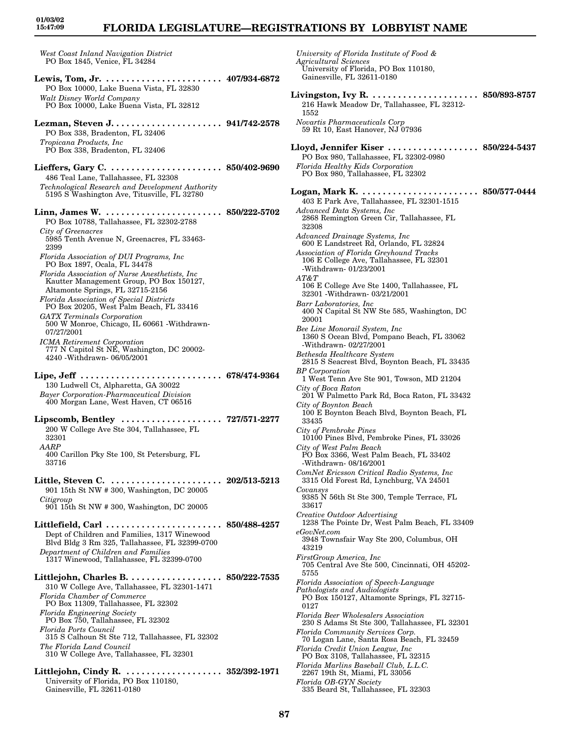33716

## **FLORIDA LEGISLATURE—REGISTRATIONS BY LOBBYIST NAME**

*West Coast Inland Navigation District* PO Box 1845, Venice, FL 34284

- **Lewis, Tom, Jr. . . . . . . . . . . . . . . . . . . . . . . . 407/934-6872** PO Box 10000, Lake Buena Vista, FL 32830 *Walt Disney World Company*
- PO Box 10000, Lake Buena Vista, FL 32812
- **Lezman, Steven J. . . . . . . . . . . . . . . . . . . . . . 941/742-2578** PO Box 338, Bradenton, FL 32406 *Tropicana Products, Inc* PO Box 338, Bradenton, FL 32406
- **Lieffers, Gary C. . . . . . . . . . . . . . . . . . . . . . . 850/402-9690** 486 Teal Lane, Tallahassee, FL 32308 *Technological Research and Development Authority* 5195 S Washington Ave, Titusville, FL 32780

**Linn, James W. . . . . . . . . . . . . . . . . . . . . . . . 850/222-5702** PO Box 10788, Tallahassee, FL 32302-2788 *City of Greenacres* 5985 Tenth Avenue N, Greenacres, FL 33463- 2399 *Florida Association of DUI Programs, Inc* PO Box 1897, Ocala, FL 34478 *Florida Association of Nurse Anesthetists, Inc* Kautter Management Group, PO Box 150127, Altamonte Springs, FL 32715-2156 *Florida Association of Special Districts* PO Box 20205, West Palm Beach, FL 33416 *GATX Terminals Corporation* 500 W Monroe, Chicago, IL 60661 -Withdrawn-07/27/2001 *ICMA Retirement Corporation* 777 N Capitol St NE, Washington, DC 20002- 4240 -Withdrawn- 06/05/2001 **Lipe, Jeff . . . . . . . . . . . . . . . . . . . . . . . . . . . . 678/474-9364** 130 Ludwell Ct, Alpharetta, GA 30022 *Bayer Corporation-Pharmaceutical Division* 400 Morgan Lane, West Haven, CT 06516

- **Lipscomb, Bentley . . . . . . . . . . . . . . . . . . . . 727/571-2277** 200 W College Ave Ste 304, Tallahassee, FL 32301 *AARP* 400 Carillon Pky Ste 100, St Petersburg, FL
- **Little, Steven C. . . . . . . . . . . . . . . . . . . . . . . 202/513-5213** 901 15th St NW # 300, Washington, DC 20005 *Citigroup* 901 15th St NW # 300, Washington, DC 20005

**Littlefield, Carl . . . . . . . . . . . . . . . . . . . . . . . 850/488-4257** Dept of Children and Families, 1317 Winewood Blvd Bldg 3 Rm 325, Tallahassee, FL 32399-0700 *Department of Children and Families* 1317 Winewood, Tallahassee, FL 32399-0700

**Littlejohn, Charles B. . . . . . . . . . . . . . . . . . . 850/222-7535** 310 W College Ave, Tallahassee, FL 32301-1471 *Florida Chamber of Commerce* PO Box 11309, Tallahassee, FL 32302 *Florida Engineering Society* PO Box 750, Tallahassee, FL 32302 *Florida Ports Council* 315 S Calhoun St Ste 712, Tallahassee, FL 32302 *The Florida Land Council* 310 W College Ave, Tallahassee, FL 32301

**Littlejohn, Cindy R. . . . . . . . . . . . . . . . . . . . 352/392-1971** University of Florida, PO Box 110180, Gainesville, FL 32611-0180

*University of Florida Institute of Food & Agricultural Sciences* University of Florida, PO Box 110180, Gainesville, FL 32611-0180 **Livingston, Ivy R. . . . . . . . . . . . . . . . . . . . . . 850/893-8757** 216 Hawk Meadow Dr, Tallahassee, FL 32312- 1552 *Novartis Pharmaceuticals Corp* 59 Rt 10, East Hanover, NJ 07936 **Lloyd, Jennifer Kiser . . . . . . . . . . . . . . . . . . 850/224-5437** PO Box 980, Tallahassee, FL 32302-0980 *Florida Healthy Kids Corporation* PO Box 980, Tallahassee, FL 32302 **Logan, Mark K. . . . . . . . . . . . . . . . . . . . . . . . 850/577-0444** 403 E Park Ave, Tallahassee, FL 32301-1515 *Advanced Data Systems, Inc* 2868 Remington Green Cir, Tallahassee, FL 32308 *Advanced Drainage Systems, Inc* 600 E Landstreet Rd, Orlando, FL 32824 *Association of Florida Greyhound Tracks* 106 E College Ave, Tallahassee, FL 32301 -Withdrawn- 01/23/2001 *AT&T* 106 E College Ave Ste 1400, Tallahassee, FL 32301 -Withdrawn- 03/21/2001 *Barr Laboratories, Inc* 400 N Capital St NW Ste 585, Washington, DC 20001 *Bee Line Monorail System, Inc* 1360 S Ocean Blvd, Pompano Beach, FL 33062 -Withdrawn- 02/27/2001 *Bethesda Healthcare System* 2815 S Seacrest Blvd, Boynton Beach, FL 33435 *BP Corporation* 1 West Tenn Ave Ste 901, Towson, MD 21204 *City of Boca Raton* 201 W Palmetto Park Rd, Boca Raton, FL 33432 *City of Boynton Beach* 100 E Boynton Beach Blvd, Boynton Beach, FL 33435 *City of Pembroke Pines* 10100 Pines Blvd, Pembroke Pines, FL 33026 *City of West Palm Beach* PO Box 3366, West Palm Beach, FL 33402 -Withdrawn- 08/16/2001 *ComNet Ericsson Critical Radio Systems, Inc* 3315 Old Forest Rd, Lynchburg, VA 24501 *Covansys* 9385 N 56th St Ste 300, Temple Terrace, FL 33617 *Creative Outdoor Advertising* 1238 The Pointe Dr, West Palm Beach, FL 33409 *eGovNet.com* 3948 Townsfair Way Ste 200, Columbus, OH 43219 *FirstGroup America, Inc* 705 Central Ave Ste 500, Cincinnati, OH 45202- 5755 *Florida Association of Speech-Language Pathologists and Audiologists* PO Box 150127, Altamonte Springs, FL 32715- 0127 *Florida Beer Wholesalers Association* 230 S Adams St Ste 300, Tallahassee, FL 32301 *Florida Community Services Corp.* 70 Logan Lane, Santa Rosa Beach, FL 32459 *Florida Credit Union League, Inc* PO Box 3108, Tallahassee, FL 32315 *Florida Marlins Baseball Club, L.L.C.* 2267 19th St, Miami, FL 33056 *Florida OB-GYN Society* 335 Beard St, Tallahassee, FL 32303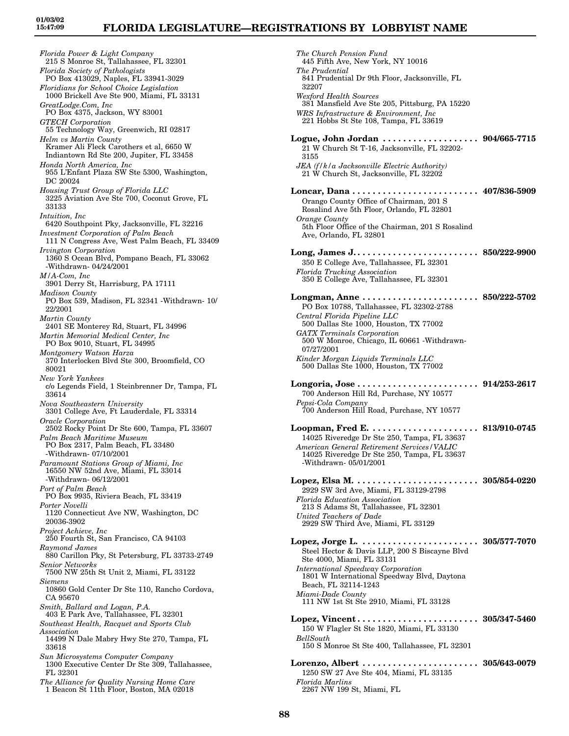*Florida Power & Light Company* 215 S Monroe St, Tallahassee, FL 32301 *Florida Society of Pathologists* PO Box 413029, Naples, FL 33941-3029 *Floridians for School Choice Legislation* 1000 Brickell Ave Ste 900, Miami, FL 33131 *GreatLodge.Com, Inc* PO Box 4375, Jackson, WY 83001 *GTECH Corporation* 55 Technology Way, Greenwich, RI 02817 *Helm vs Martin County* Kramer Ali Fleck Carothers et al, 6650 W Indiantown Rd Ste 200, Jupiter, FL 33458 *Honda North America, Inc* 955 L'Enfant Plaza SW Ste 5300, Washington, DC 20024 *Housing Trust Group of Florida LLC* 3225 Aviation Ave Ste 700, Coconut Grove, FL 33133 *Intuition, Inc* 6420 Southpoint Pky, Jacksonville, FL 32216 *Investment Corporation of Palm Beach* 111 N Congress Ave, West Palm Beach, FL 33409 *Irvington Corporation* 1360 S Ocean Blvd, Pompano Beach, FL 33062 -Withdrawn- 04/24/2001 *M/A-Com, Inc* 3901 Derry St, Harrisburg, PA 17111 *Madison County* PO Box 539, Madison, FL 32341 -Withdrawn- 10/ 22/2001 *Martin County* 2401 SE Monterey Rd, Stuart, FL 34996 *Martin Memorial Medical Center, Inc* PO Box 9010, Stuart, FL 34995 *Montgomery Watson Harza* 370 Interlocken Blvd Ste 300, Broomfield, CO 80021 *New York Yankees* c/o Legends Field, 1 Steinbrenner Dr, Tampa, FL 33614 *Nova Southeastern University* 3301 College Ave, Ft Lauderdale, FL 33314 *Oracle Corporation* 2502 Rocky Point Dr Ste 600, Tampa, FL 33607 *Palm Beach Maritime Museum* PO Box 2317, Palm Beach, FL 33480 -Withdrawn- 07/10/2001 *Paramount Stations Group of Miami, Inc* 16550 NW 52nd Ave, Miami, FL 33014 -Withdrawn- 06/12/2001 *Port of Palm Beach* PO Box 9935, Riviera Beach, FL 33419 *Porter Novelli* 1120 Connecticut Ave NW, Washington, DC 20036-3902 *Project Achieve, Inc* 250 Fourth St, San Francisco, CA 94103 *Raymond James* 880 Carillon Pky, St Petersburg, FL 33733-2749 *Senior Networks* 7500 NW 25th St Unit 2, Miami, FL 33122 *Siemens* 10860 Gold Center Dr Ste 110, Rancho Cordova, CA 95670 *Smith, Ballard and Logan, P.A.* 403 E Park Ave, Tallahassee, FL 32301 *Southeast Health, Racquet and Sports Club Association* 14499 N Dale Mabry Hwy Ste 270, Tampa, FL 33618 *Sun Microsystems Computer Company* 1300 Executive Center Dr Ste 309, Tallahassee, FL 32301 *The Alliance for Quality Nursing Home Care*

1 Beacon St 11th Floor, Boston, MA 02018

*The Church Pension Fund* 445 Fifth Ave, New York, NY 10016 *The Prudential* 841 Prudential Dr 9th Floor, Jacksonville, FL 32207 *Wexford Health Sources* 381 Mansfield Ave Ste 205, Pittsburg, PA 15220 *WRS Infrastructure & Environment, Inc* 221 Hobbs St Ste 108, Tampa, FL 33619 **Logue, John Jordan . . . . . . . . . . . . . . . . . . . 904/665-7715** 21 W Church St T-16, Jacksonville, FL 32202- 3155 *JEA (f/k/a Jacksonville Electric Authority)* 21 W Church St, Jacksonville, FL 32202 **Loncar, Dana . . . . . . . . . . . . . . . . . . . . . . . . . 407/836-5909** Orango County Office of Chairman, 201 S Rosalind Ave 5th Floor, Orlando, FL 32801 *Orange County* 5th Floor Office of the Chairman, 201 S Rosalind Ave, Orlando, FL 32801 **Long, James J. . . . . . . . . . . . . . . . . . . . . . . . . 850/222-9900** 350 E College Ave, Tallahassee, FL 32301 *Florida Trucking Association* 350 E College Ave, Tallahassee, FL 32301 **Longman, Anne . . . . . . . . . . . . . . . . . . . . . . . 850/222-5702** PO Box 10788, Tallahassee, FL 32302-2788 *Central Florida Pipeline LLC* 500 Dallas Ste 1000, Houston, TX 77002 *GATX Terminals Corporation* 500 W Monroe, Chicago, IL 60661 -Withdrawn-07/27/2001 *Kinder Morgan Liquids Terminals LLC* 500 Dallas Ste 1000, Houston, TX 77002 **Longoria, Jose . . . . . . . . . . . . . . . . . . . . . . . . 914/253-2617** 700 Anderson Hill Rd, Purchase, NY 10577 *Pepsi-Cola Company* 700 Anderson Hill Road, Purchase, NY 10577 **Loopman, Fred E. . . . . . . . . . . . . . . . . . . . . . 813/910-0745** 14025 Riveredge Dr Ste 250, Tampa, FL 33637 *American General Retirement Services/VALIC* 14025 Riveredge Dr Ste 250, Tampa, FL 33637 -Withdrawn- 05/01/2001 **Lopez, Elsa M. . . . . . . . . . . . . . . . . . . . . . . . . 305/854-0220** 2929 SW 3rd Ave, Miami, FL 33129-2798 *Florida Education Association* 213 S Adams St, Tallahassee, FL 32301 *United Teachers of Dade* 2929 SW Third Ave, Miami, FL 33129 **Lopez, Jorge L. . . . . . . . . . . . . . . . . . . . . . . . 305/577-7070** Steel Hector & Davis LLP, 200 S Biscayne Blvd Ste 4000, Miami, FL 33131 *International Speedway Corporation* 1801 W International Speedway Blvd, Daytona Beach, FL 32114-1243 *Miami-Dade County* 111 NW 1st St Ste 2910, Miami, FL 33128 **Lopez, Vincent . . . . . . . . . . . . . . . . . . . . . . . . 305/347-5460** 150 W Flagler St Ste 1820, Miami, FL 33130 *BellSouth* 150 S Monroe St Ste 400, Tallahassee, FL 32301 **Lorenzo, Albert . . . . . . . . . . . . . . . . . . . . . . . 305/643-0079** 1250 SW 27 Ave Ste 404, Miami, FL 33135 *Florida Marlins* 2267 NW 199 St, Miami, FL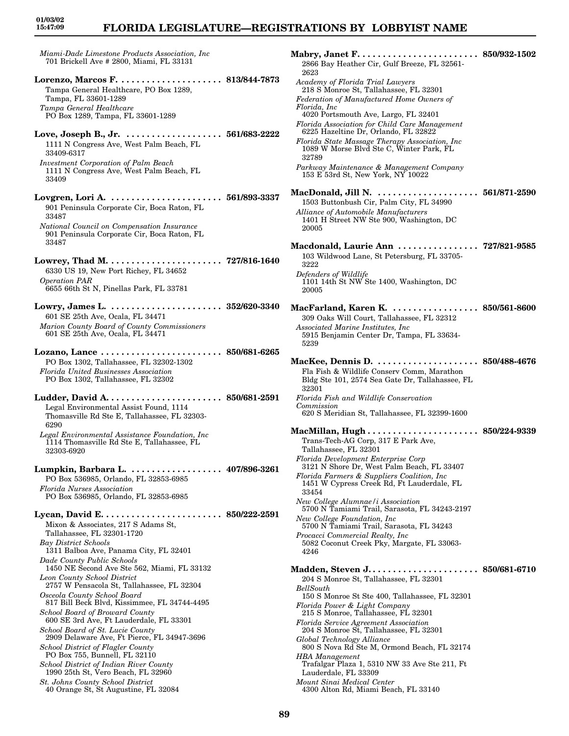### **FLORIDA LEGISLATURE—REGISTRATIONS BY LOBBYIST NAME**

*Miami-Dade Limestone Products Association, Inc* 701 Brickell Ave # 2800, Miami, FL 33131

- **Lorenzo, Marcos F. . . . . . . . . . . . . . . . . . . . . 813/844-7873** Tampa General Healthcare, PO Box 1289, Tampa, FL 33601-1289 *Tampa General Healthcare* PO Box 1289, Tampa, FL 33601-1289
- **Love, Joseph B., Jr. . . . . . . . . . . . . . . . . . . . 561/683-2222** 1111 N Congress Ave, West Palm Beach, FL 33409-6317 *Investment Corporation of Palm Beach* 1111 N Congress Ave, West Palm Beach, FL 33409
- **Lovgren, Lori A. . . . . . . . . . . . . . . . . . . . . . . 561/893-3337** 901 Peninsula Corporate Cir, Boca Raton, FL 33487 *National Council on Compensation Insurance* 901 Peninsula Corporate Cir, Boca Raton, FL 33487
- **Lowrey, Thad M. . . . . . . . . . . . . . . . . . . . . . . 727/816-1640** 6330 US 19, New Port Richey, FL 34652 *Operation PAR* 6655 66th St N, Pinellas Park, FL 33781
- **Lowry, James L. . . . . . . . . . . . . . . . . . . . . . . 352/620-3340** 601 SE 25th Ave, Ocala, FL 34471 *Marion County Board of County Commissioners* 601 SE 25th Ave, Ocala, FL 34471
- **Lozano, Lance . . . . . . . . . . . . . . . . . . . . . . . . 850/681-6265** PO Box 1302, Tallahassee, FL 32302-1302 *Florida United Businesses Association* PO Box 1302, Tallahassee, FL 32302
- **Ludder, David A. . . . . . . . . . . . . . . . . . . . . . . 850/681-2591** Legal Environmental Assist Found, 1114 Thomasville Rd Ste E, Tallahassee, FL 32303- 6290 *Legal Environmental Assistance Foundation, Inc* 1114 Thomasville Rd Ste E, Tallahassee, FL 32303-6920
- **Lumpkin, Barbara L. . . . . . . . . . . . . . . . . . . 407/896-3261** PO Box 536985, Orlando, FL 32853-6985 *Florida Nurses Association* PO Box 536985, Orlando, FL 32853-6985
- **Lycan, David E. . . . . . . . . . . . . . . . . . . . . . . . 850/222-2591** Mixon & Associates, 217 S Adams St, Tallahassee, FL 32301-1720 *Bay District Schools* 1311 Balboa Ave, Panama City, FL 32401 *Dade County Public Schools* 1450 NE Second Ave Ste 562, Miami, FL 33132 *Leon County School District* 2757 W Pensacola St, Tallahassee, FL 32304 *Osceola County School Board* 817 Bill Beck Blvd, Kissimmee, FL 34744-4495 *School Board of Broward County* 600 SE 3rd Ave, Ft Lauderdale, FL 33301 *School Board of St. Lucie County* 2909 Delaware Ave, Ft Pierce, FL 34947-3696 *School District of Flagler County* PO Box 755, Bunnell, FL 32110 *School District of Indian River County* 1990 25th St, Vero Beach, FL 32960 *St. Johns County School District* 40 Orange St, St Augustine, FL 32084

| 2866 Bay Heather Cir, Gulf Breeze, FL 32561-<br>2623                                                                        |                       |
|-----------------------------------------------------------------------------------------------------------------------------|-----------------------|
| Academy of Florida Trial Lawyers<br>218 S Monroe St, Tallahassee, FL 32301                                                  |                       |
| Federation of Manufactured Home Owners of<br>Florida, Inc<br>4020 Portsmouth Ave, Largo, FL 32401                           |                       |
| Florida Association for Child Care Management<br>6225 Hazeltine Dr, Orlando, FL 32822                                       |                       |
| Florida State Massage Therapy Association, Inc<br>1089 W Morse Blvd Ste C, Winter Park, FL<br>32789                         |                       |
| Parkway Maintenance & Management Company<br>153 E 53rd St, New York, NY 10022                                               |                       |
| MacDonald, Jill N.   561/871-2590<br>1503 Buttonbush Cir, Palm City, FL 34990                                               |                       |
| <b>Alliance of Automobile Manufacturers</b><br>1401 H Street NW Ste 900, Washington, DC<br>20005                            |                       |
| Macdonald, Laurie Ann 727/821-9585<br>103 Wildwood Lane, St Petersburg, FL 33705-<br>3222                                   |                       |
| Defenders of Wildlife<br>1101 14th St NW Ste 1400, Washington, DC<br>20005                                                  |                       |
| MacFarland, Karen K. 850/561-8600<br>309 Oaks Will Court, Tallahassee, FL 32312                                             |                       |
| Associated Marine Institutes, Inc.<br>5915 Benjamin Center Dr, Tampa, FL 33634-<br>5239                                     |                       |
| MacKee, Dennis D.<br>Fla Fish & Wildlife Conserv Comm, Marathon<br>Bldg Ste 101, 2574 Sea Gate Dr, Tallahassee, FL<br>32301 | . . 850/488-4676      |
| Florida Fish and Wildlife Conservation<br>Commission<br>620 S Meridian St, Tallahassee, FL 32399-1600                       |                       |
| $\rm MacMillan, \, Hugh \, . \, . \, . \, . \, . \, . \, . \, . \, .$                                                       | $\ldots$ 850/224-9339 |
| Trans-Tech-AG Corp, 317 E Park Ave,<br>Tallahassee, FL 32301                                                                |                       |
| Florida Development Enterprise Corp<br>3121 N Shore Dr, West Palm Beach, FL 33407                                           |                       |
| Florida Farmers & Suppliers Coalition, Inc.<br>1451 W Cypress Creek Rd, Ft Lauderdale, FL<br>33454                          |                       |
| New College Alumnae/i Association<br>5700 N Tamiami Trail, Sarasota, FL 34243-2197                                          |                       |
| New College Foundation, Inc.<br>5700 N Tamiami Trail, Sarasota, FL 34243<br>Procacci Commercial Realty, Inc                 |                       |
| 5082 Coconut Creek Pky, Margate, FL 33063-<br>4246                                                                          |                       |
| Madden, Steven J.                                                                                                           | $\ldots$ 850/681-6710 |
| 204 S Monroe St, Tallahassee, FL 32301<br>BellSouth<br>150 S Monroe St Ste 400, Tallahassee, FL 32301                       |                       |
| Florida Power & Light Company<br>215 S Monroe, Tallahassee, FL 32301                                                        |                       |
| <b>Florida Service Agreement Association</b><br>204 S Monroe St, Tallahassee, FL 32301                                      |                       |
| Global Technology Alliance<br>800 S Nova Rd Ste M, Ormond Beach, FL 32174                                                   |                       |
| <b>HBA</b> Management<br>Trafalgar Plaza 1, 5310 NW 33 Ave Ste 211, Ft<br>Lauderdale, FL 33309                              |                       |
| Mount Sinai Medical Center<br>4300 Alton Rd, Miami Beach, FL 33140                                                          |                       |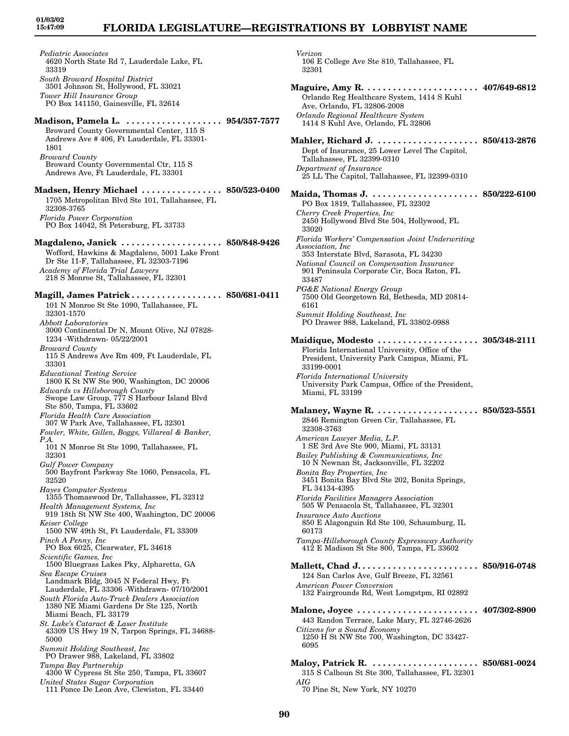## **FLORIDA LEGISLATURE—REGISTRATIONS BY LOBBYIST NAME**

*Pediatric Associates* 4620 North State Rd 7, Lauderdale Lake, FL 33319 *South Broward Hospital District* 3501 Johnson St, Hollywood, FL 33021 *Tower Hill Insurance Group* PO Box 141150, Gainesville, FL 32614 **Madison, Pamela L. . . . . . . . . . . . . . . . . . . . 954/357-7577** Broward County Governmental Center, 115 S Andrews Ave # 406, Ft Lauderdale, FL 33301- 1801 *Broward County* Broward County Governmental Ctr, 115 S Andrews Ave, Ft Lauderdale, FL 33301 **Madsen, Henry Michael . . . . . . . . . . . . . . . . 850/523-0400** 1705 Metropolitan Blvd Ste 101, Tallahassee, FL 32308-3765 *Florida Power Corporation* PO Box 14042, St Petersburg, FL 33733 **Magdaleno, Janick . . . . . . . . . . . . . . . . . . . . 850/848-9426** Wofford, Hawkins & Magdaleno, 5001 Lake Front Dr Ste 11-F, Tallahassee, FL 32303-7196 *Academy of Florida Trial Lawyers* 218 S Monroe St, Tallahassee, FL 32301 **Magill, James Patrick . . . . . . . . . . . . . . . . . . 850/681-0411** 101 N Monroe St Ste 1090, Tallahassee, FL 32301-1570 *Abbott Laboratories* 3000 Continental Dr N, Mount Olive, NJ 07828- 1234 -Withdrawn- 05/22/2001 *Broward County* 115 S Andrews Ave Rm 409, Ft Lauderdale, FL 33301 *Educational Testing Service* 1800 K St NW Ste 900, Washington, DC 20006 *Edwards vs Hillsborough County* Swope Law Group, 777 S Harbour Island Blvd Ste 850, Tampa, FL 33602 *Florida Health Care Association* 307 W Park Ave, Tallahassee, FL 32301 *Fowler, White, Gillen, Boggs, Villareal & Banker, P.A.* 101 N Monroe St Ste 1090, Tallahassee, FL 32301 *Gulf Power Company* 500 Bayfront Parkway Ste 1060, Pensacola, FL 32520 *Hayes Computer Systems* 1355 Thomaswood Dr, Tallahassee, FL 32312 *Health Management Systems, Inc* 919 18th St NW Ste 400, Washington, DC 20006 *Keiser College* 1500 NW 49th St, Ft Lauderdale, FL 33309 *Pinch A Penny, Inc* PO Box 6025, Clearwater, FL 34618 *Scientific Games, Inc* 1500 Bluegrass Lakes Pky, Alpharetta, GA *Sea Escape Cruises* Landmark Bldg, 3045 N Federal Hwy, Ft Lauderdale, FL 33306 -Withdrawn- 07/10/2001 *South Florida Auto-Truck Dealers Association* 1380 NE Miami Gardens Dr Ste 125, North Miami Beach, FL 33179 *St. Luke's Cataract & Laser Institute* 43309 US Hwy 19 N, Tarpon Springs, FL 34688- 5000 *Summit Holding Southeast, Inc* PO Drawer 988, Lakeland, FL 33802 *Tampa Bay Partnership* 4300 W Cypress St Ste 250, Tampa, FL 33607 *United States Sugar Corporation* 111 Ponce De Leon Ave, Clewiston, FL 33440

*Verizon* 106 E College Ave Ste 810, Tallahassee, FL 32301 **Maguire, Amy R. . . . . . . . . . . . . . . . . . . . . . . 407/649-6812** Orlando Reg Healthcare System, 1414 S Kuhl Ave, Orlando, FL 32806-2008 *Orlando Regional Healthcare System* 1414 S Kuhl Ave, Orlando, FL 32806 **Mahler, Richard J. . . . . . . . . . . . . . . . . . . . . 850/413-2876** Dept of Insurance, 25 Lower Level The Capitol, Tallahassee, FL 32399-0310 *Department of Insurance* 25 LL The Capitol, Tallahassee, FL 32399-0310 **Maida, Thomas J. . . . . . . . . . . . . . . . . . . . . . 850/222-6100** PO Box 1819, Tallahassee, FL 32302 *Cherry Creek Properties, Inc* 2450 Hollywood Blvd Ste 504, Hollywood, FL 33020 *Florida Workers' Compensation Joint Underwriting Association, Inc* 353 Interstate Blvd, Sarasota, FL 34230 *National Council on Compensation Insurance* 901 Peninsula Corporate Cir, Boca Raton, FL 33487 *PG&E National Energy Group* 7500 Old Georgetown Rd, Bethesda, MD 20814- 6161 *Summit Holding Southeast, Inc* PO Drawer 988, Lakeland, FL 33802-0988 **Maidique, Modesto . . . . . . . . . . . . . . . . . . . . 305/348-2111** Florida International University, Office of the President, University Park Campus, Miami, FL 33199-0001 *Florida International University* University Park Campus, Office of the President, Miami, FL 33199 **Malaney, Wayne R. . . . . . . . . . . . . . . . . . . . . 850/523-5551** 2846 Remington Green Cir, Tallahassee, FL 32308-3763 *American Lawyer Media, L.P.* 1 SE 3rd Ave Ste 900, Miami, FL 33131 *Bailey Publishing & Communications, Inc* 10 N Newnan St, Jacksonville, FL 32202 *Bonita Bay Properties, Inc* 3451 Bonita Bay Blvd Ste 202, Bonita Springs, FL 34134-4395 *Florida Facilities Managers Association* 505 W Pensacola St, Tallahassee, FL 32301 *Insurance Auto Auctions* 850 E Alagonguin Rd Ste 100, Schaumburg, IL 60173 *Tampa-Hillsborough County Expressway Authority* 412 E Madison St Ste 800, Tampa, FL 33602 **Mallett, Chad J. . . . . . . . . . . . . . . . . . . . . . . . 850/916-0748** 124 San Carlos Ave, Gulf Breeze, FL 32561 *American Power Conversion* 132 Fairgrounds Rd, West Lomgstpm, RI 02892 **Malone, Joyce . . . . . . . . . . . . . . . . . . . . . . . . 407/302-8900** 443 Randon Terrace, Lake Mary, FL 32746-2626 *Citizens for a Sound Economy* 1250 H St NW Ste 700, Washington, DC 33427- 6095 **Maloy, Patrick R. . . . . . . . . . . . . . . . . . . . . . 850/681-0024** 315 S Calhoun St Ste 300, Tallahassee, FL 32301 *AIG*

70 Pine St, New York, NY 10270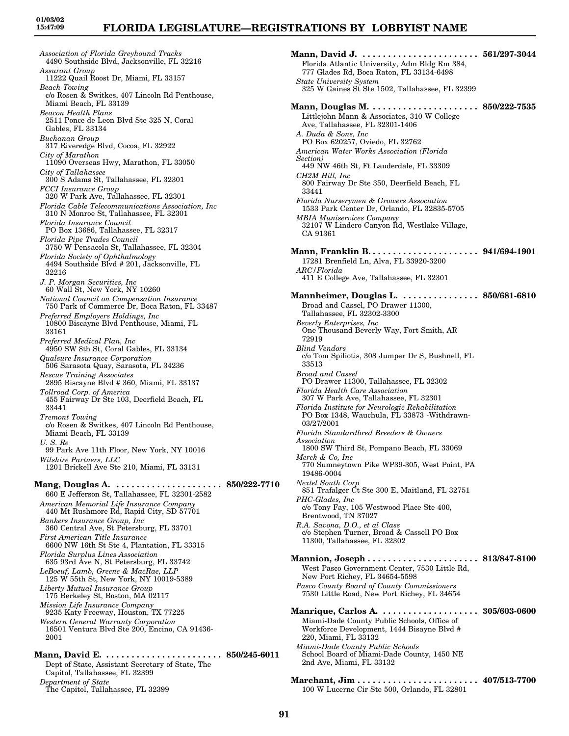*Association of Florida Greyhound Tracks* 4490 Southside Blvd, Jacksonville, FL 32216 *Assurant Group* 11222 Quail Roost Dr, Miami, FL 33157 *Beach Towing* c/o Rosen & Switkes, 407 Lincoln Rd Penthouse, Miami Beach, FL 33139 *Beacon Health Plans* 2511 Ponce de Leon Blvd Ste 325 N, Coral Gables, FL 33134 *Buchanan Group* 317 Riveredge Blvd, Cocoa, FL 32922 *City of Marathon* 11090 Overseas Hwy, Marathon, FL 33050 *City of Tallahassee* 300 S Adams St, Tallahassee, FL 32301 *FCCI Insurance Group* 320 W Park Ave, Tallahassee, FL 32301 *Florida Cable Telecommunications Association, Inc* 310 N Monroe St, Tallahassee, FL 32301 *Florida Insurance Council* PO Box 13686, Tallahassee, FL 32317 *Florida Pipe Trades Council* 3750 W Pensacola St, Tallahassee, FL 32304 *Florida Society of Ophthalmology* 4494 Southside Blvd # 201, Jacksonville, FL 32216 *J. P. Morgan Securities, Inc* 60 Wall St, New York, NY 10260 *National Council on Compensation Insurance* 750 Park of Commerce Dr, Boca Raton, FL 33487 *Preferred Employers Holdings, Inc* 10800 Biscayne Blvd Penthouse, Miami, FL 33161 *Preferred Medical Plan, Inc* 4950 SW 8th St, Coral Gables, FL 33134 *Qualsure Insurance Corporation* 506 Sarasota Quay, Sarasota, FL 34236 *Rescue Training Associates* 2895 Biscayne Blvd # 360, Miami, FL 33137 *Tollroad Corp. of America* 455 Fairway Dr Ste 103, Deerfield Beach, FL 33441 *Tremont Towing* c/o Rosen & Switkes, 407 Lincoln Rd Penthouse, Miami Beach, FL 33139 *U. S. Re* 99 Park Ave 11th Floor, New York, NY 10016 *Wilshire Partners, LLC* 1201 Brickell Ave Ste 210, Miami, FL 33131 **Mang, Douglas A. . . . . . . . . . . . . . . . . . . . . . 850/222-7710** 660 E Jefferson St, Tallahassee, FL 32301-2582 *American Memorial Life Insurance Company* 440 Mt Rushmore Rd, Rapid City, SD 57701 *Bankers Insurance Group, Inc* 360 Central Ave, St Petersburg, FL 33701 *First American Title Insurance* 6600 NW 16th St Ste 4, Plantation, FL 33315 *Florida Surplus Lines Association* 635 93rd Ave N, St Petersburg, FL 33742 *LeBoeuf, Lamb, Greene & MacRae, LLP* 125 W 55th St, New York, NY 10019-5389 *Liberty Mutual Insurance Group* 175 Berkeley St, Boston, MA 02117 *Mission Life Insurance Company* 9235 Katy Freeway, Houston, TX 77225 *Western General Warranty Corporation* 16501 Ventura Blvd Ste 200, Encino, CA 91436- 2001 **Mann, David E. . . . . . . . . . . . . . . . . . . . . . . . 850/245-6011** Dept of State, Assistant Secretary of State, The Capitol, Tallahassee, FL 32399 *Department of State*

The Capitol, Tallahassee, FL 32399

**Mann, David J. . . . . . . . . . . . . . . . . . . . . . . . 561/297-3044** Florida Atlantic University, Adm Bldg Rm 384, 777 Glades Rd, Boca Raton, FL 33134-6498 *State University System* 325 W Gaines St Ste 1502, Tallahassee, FL 32399 **Mann, Douglas M. . . . . . . . . . . . . . . . . . . . . . 850/222-7535** Littlejohn Mann & Associates, 310 W College Ave, Tallahassee, FL 32301-1406 *A. Duda & Sons, Inc* PO Box 620257, Oviedo, FL 32762 *American Water Works Association (Florida Section)* 449 NW 46th St, Ft Lauderdale, FL 33309 *CH2M Hill, Inc* 800 Fairway Dr Ste 350, Deerfield Beach, FL 33441 *Florida Nurserymen & Growers Association* 1533 Park Center Dr, Orlando, FL 32835-5705 *MBIA Muniservices Company* 32107 W Lindero Canyon Rd, Westlake Village, CA 91361 **Mann, Franklin B. . . . . . . . . . . . . . . . . . . . . . 941/694-1901** 17281 Brenfield Ln, Alva, FL 33920-3200 *ARC/Florida* 411 E College Ave, Tallahassee, FL 32301 **Mannheimer, Douglas L. . . . . . . . . . . . . . . . 850/681-6810** Broad and Cassel, PO Drawer 11300, Tallahassee, FL 32302-3300 *Beverly Enterprises, Inc* One Thousand Beverly Way, Fort Smith, AR 72919 *Blind Vendors* c/o Tom Spiliotis, 308 Jumper Dr S, Bushnell, FL 33513 *Broad and Cassel* PO Drawer 11300, Tallahassee, FL 32302 *Florida Health Care Association* 307 W Park Ave, Tallahassee, FL 32301 *Florida Institute for Neurologic Rehabilitation* PO Box 1348, Wauchula, FL 33873 -Withdrawn-03/27/2001 *Florida Standardbred Breeders & Owners Association* 1800 SW Third St, Pompano Beach, FL 33069 *Merck & Co, Inc* 770 Sumneytown Pike WP39-305, West Point, PA 19486-0004 *Nextel South Corp* 851 Trafalger Ct Ste 300 E, Maitland, FL 32751 *PHC-Glades, Inc* c/o Tony Fay, 105 Westwood Place Ste 400, Brentwood, TN 37027 *R.A. Savona, D.O., et al Class* c/o Stephen Turner, Broad & Cassell PO Box 11300, Tallahassee, FL 32302 **Mannion, Joseph . . . . . . . . . . . . . . . . . . . . . . 813/847-8100** West Pasco Government Center, 7530 Little Rd, New Port Richey, FL 34654-5598 *Pasco County Board of County Commissioners* 7530 Little Road, New Port Richey, FL 34654 **Manrique, Carlos A. . . . . . . . . . . . . . . . . . . . 305/603-0600** Miami-Dade County Public Schools, Office of Workforce Development, 1444 Bisayne Blvd # 220, Miami, FL 33132 *Miami-Dade County Public Schools* School Board of Miami-Dade County, 1450 NE 2nd Ave, Miami, FL 33132 **Marchant, Jim . . . . . . . . . . . . . . . . . . . . . . . . 407/513-7700** 100 W Lucerne Cir Ste 500, Orlando, FL 32801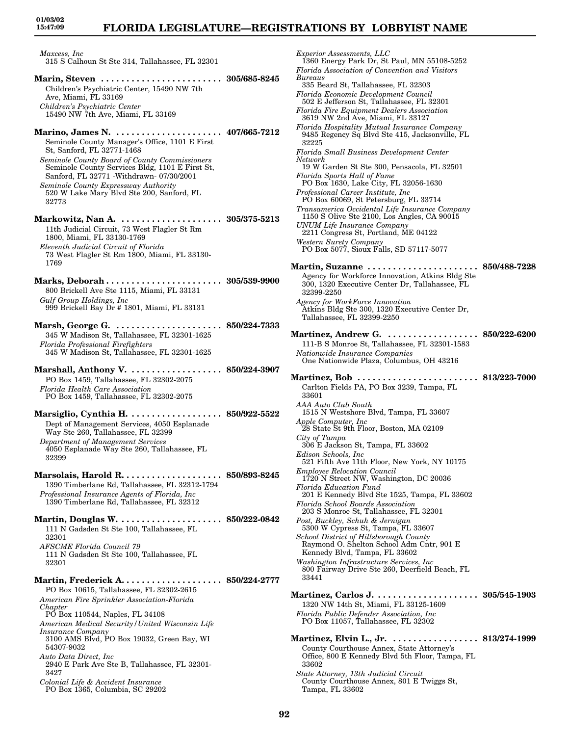*Maxcess, Inc* 315 S Calhoun St Ste 314, Tallahassee, FL 32301

- **Marin, Steven . . . . . . . . . . . . . . . . . . . . . . . . 305/685-8245** Children's Psychiatric Center, 15490 NW 7th Ave, Miami, FL 33169 *Children's Psychiatric Center* 15490 NW 7th Ave, Miami, FL 33169
- **Marino, James N. . . . . . . . . . . . . . . . . . . . . . 407/665-7212** Seminole County Manager's Office, 1101 E First St, Sanford, FL 32771-1468
- *Seminole County Board of County Commissioners* Seminole County Services Bldg, 1101 E First St, Sanford, FL 32771 -Withdrawn- 07/30/2001
- *Seminole County Expressway Authority* 520 W Lake Mary Blvd Ste 200, Sanford, FL 32773

**Markowitz, Nan A. . . . . . . . . . . . . . . . . . . . . 305/375-5213** 11th Judicial Circuit, 73 West Flagler St Rm 1800, Miami, FL 33130-1769 *Eleventh Judicial Circuit of Florida* 73 West Flagler St Rm 1800, Miami, FL 33130- 1769

- **Marks, Deborah . . . . . . . . . . . . . . . . . . . . . . . 305/539-9900** 800 Brickell Ave Ste 1115, Miami, FL 33131 *Gulf Group Holdings, Inc* 999 Brickell Bay Dr # 1801, Miami, FL 33131
- **Marsh, George G. . . . . . . . . . . . . . . . . . . . . . 850/224-7333** 345 W Madison St, Tallahassee, FL 32301-1625 *Florida Professional Firefighters* 345 W Madison St, Tallahassee, FL 32301-1625
- **Marshall, Anthony V. . . . . . . . . . . . . . . . . . . 850/224-3907** PO Box 1459, Tallahassee, FL 32302-2075 *Florida Health Care Association* PO Box 1459, Tallahassee, FL 32302-2075
- **Marsiglio, Cynthia H. . . . . . . . . . . . . . . . . . . 850/922-5522** Dept of Management Services, 4050 Esplanade Way Ste 260, Tallahassee, FL 32399 *Department of Management Services* 4050 Esplanade Way Ste 260, Tallahassee, FL 32399
- **Marsolais, Harold R. . . . . . . . . . . . . . . . . . . . 850/893-8245** 1390 Timberlane Rd, Tallahassee, FL 32312-1794 *Professional Insurance Agents of Florida, Inc* 1390 Timberlane Rd, Tallahassee, FL 32312
- **Martin, Douglas W. . . . . . . . . . . . . . . . . . . . . 850/222-0842** 111 N Gadsden St Ste 100, Tallahassee, FL 32301 *AFSCME Florida Council 79* 111 N Gadsden St Ste 100, Tallahassee, FL 32301

**Martin, Frederick A. . . . . . . . . . . . . . . . . . . . 850/224-2777** PO Box 10615, Tallahassee, FL 32302-2615 *American Fire Sprinkler Association-Florida Chapter* PO Box 110544, Naples, FL 34108 *American Medical Security/United Wisconsin Life Insurance Company* 3100 AMS Blvd, PO Box 19032, Green Bay, WI 54307-9032 *Auto Data Direct, Inc* 2940 E Park Ave Ste B, Tallahassee, FL 32301- 3427 *Colonial Life & Accident Insurance* PO Box 1365, Columbia, SC 29202

*Experior Assessments, LLC* 1360 Energy Park Dr, St Paul, MN 55108-5252 *Florida Association of Convention and Visitors Bureaus* 335 Beard St, Tallahassee, FL 32303 *Florida Economic Development Council* 502 E Jefferson St, Tallahassee, FL 32301 *Florida Fire Equipment Dealers Association* 3619 NW 2nd Ave, Miami, FL 33127 *Florida Hospitality Mutual Insurance Company* 9485 Regency Sq Blvd Ste 415, Jacksonville, FL 32225 *Florida Small Business Development Center Network* 19 W Garden St Ste 300, Pensacola, FL 32501 *Florida Sports Hall of Fame* PO Box 1630, Lake City, FL 32056-1630 *Professional Career Institute, Inc* PO Box 60069, St Petersburg, FL 33714 *Transamerica Occidental Life Insurance Company* 1150 S Olive Ste 2100, Los Angles, CA 90015 *UNUM Life Insurance Company* 2211 Congress St, Portland, ME 04122 *Western Surety Company* PO Box 5077, Sioux Falls, SD 57117-5077 **Martin, Suzanne . . . . . . . . . . . . . . . . . . . . . . 850/488-7228** Agency for Workforce Innovation, Atkins Bldg Ste 300, 1320 Executive Center Dr, Tallahassee, FL 32399-2250 *Agency for WorkForce Innovation* Atkins Bldg Ste 300, 1320 Executive Center Dr, Tallahassee, FL 32399-2250 **Martinez, Andrew G. . . . . . . . . . . . . . . . . . . 850/222-6200** 111-B S Monroe St, Tallahassee, FL 32301-1583 *Nationwide Insurance Companies* One Nationwide Plaza, Columbus, OH 43216 **Martinez, Bob . . . . . . . . . . . . . . . . . . . . . . . . 813/223-7000** Carlton Fields PA, PO Box 3239, Tampa, FL 33601 *AAA Auto Club South* 1515 N Westshore Blvd, Tampa, FL 33607 *Apple Computer, Inc* 28 State St 9th Floor, Boston, MA 02109 *City of Tampa* 306 E Jackson St, Tampa, FL 33602 *Edison Schools, Inc* 521 Fifth Ave 11th Floor, New York, NY 10175 *Employee Relocation Council* 1720 N Street NW, Washington, DC 20036 *Florida Education Fund* 201 E Kennedy Blvd Ste 1525, Tampa, FL 33602 *Florida School Boards Association* 203 S Monroe St, Tallahassee, FL 32301 *Post, Buckley, Schuh & Jernigan* 5300 W Cypress St, Tampa, FL 33607 *School District of Hillsborough County* Raymond O. Shelton School Adm Cntr, 901 E Kennedy Blvd, Tampa, FL 33602 *Washington Infrastructure Services, Inc* 800 Fairway Drive Ste 260, Deerfield Beach, FL 33441 **Martinez, Carlos J. . . . . . . . . . . . . . . . . . . . . 305/545-1903** 1320 NW 14th St, Miami, FL 33125-1609 *Florida Public Defender Association, Inc* PO Box 11057, Tallahassee, FL 32302 **Martinez, Elvin L., Jr. . . . . . . . . . . . . . . . . . 813/274-1999** County Courthouse Annex, State Attorney's Office, 800 E Kennedy Blvd 5th Floor, Tampa, FL 33602

*State Attorney, 13th Judicial Circuit* County Courthouse Annex, 801 E Twiggs St, Tampa, FL 33602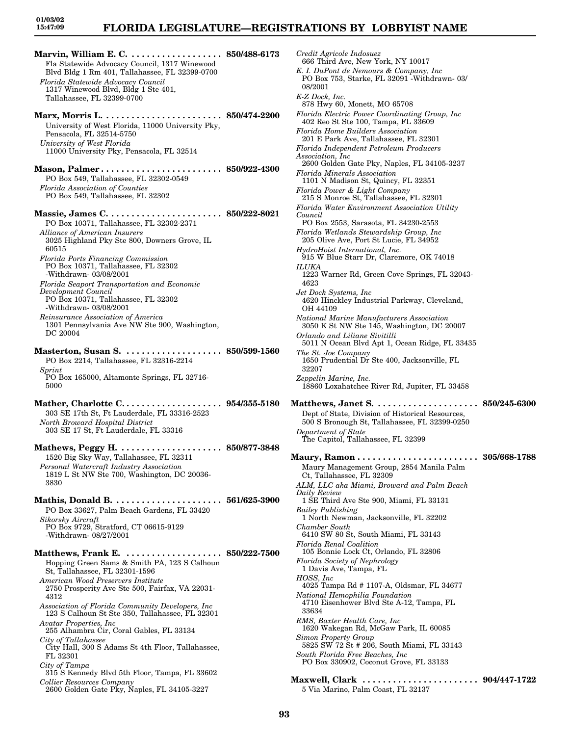## **FLORIDA LEGISLATURE—REGISTRATIONS BY LOBBYIST NAME**

**Marvin, William E. C. . . . . . . . . . . . . . . . . . . 850/488-6173** Fla Statewide Advocacy Council, 1317 Winewood Blvd Bldg 1 Rm 401, Tallahassee, FL 32399-0700 *Florida Statewide Advocacy Council* 1317 Winewood Blvd, Bldg 1 Ste 401, Tallahassee, FL 32399-0700

**Marx, Morris L. . . . . . . . . . . . . . . . . . . . . . . . 850/474-2200** University of West Florida, 11000 University Pky, Pensacola, FL 32514-5750 *University of West Florida* 11000 University Pky, Pensacola, FL 32514

**Mason, Palmer . . . . . . . . . . . . . . . . . . . . . . . . 850/922-4300** PO Box 549, Tallahassee, FL 32302-0549 *Florida Association of Counties* PO Box 549, Tallahassee, FL 32302

**Massie, James C. . . . . . . . . . . . . . . . . . . . . . . 850/222-8021** PO Box 10371, Tallahassee, FL 32302-2371 *Alliance of American Insurers* 3025 Highland Pky Ste 800, Downers Grove, IL 60515 *Florida Ports Financing Commission* PO Box 10371, Tallahassee, FL 32302

-Withdrawn- 03/08/2001 *Florida Seaport Transportation and Economic Development Council* PO Box 10371, Tallahassee, FL 32302

-Withdrawn- 03/08/2001 *Reinsurance Association of America* 1301 Pennsylvania Ave NW Ste 900, Washington, DC 20004

**Masterton, Susan S. . . . . . . . . . . . . . . . . . . . 850/599-1560** PO Box 2214, Tallahassee, FL 32316-2214 *Sprint* PO Box 165000, Altamonte Springs, FL 32716-

5000

**Mather, Charlotte C. . . . . . . . . . . . . . . . . . . . 954/355-5180** 303 SE 17th St, Ft Lauderdale, FL 33316-2523 *North Broward Hospital District* 303 SE 17 St, Ft Lauderdale, FL 33316

**Mathews, Peggy H. . . . . . . . . . . . . . . . . . . . . 850/877-3848** 1520 Big Sky Way, Tallahassee, FL 32311 *Personal Watercraft Industry Association* 1819 L St NW Ste 700, Washington, DC 20036- 3830

**Mathis, Donald B. . . . . . . . . . . . . . . . . . . . . . 561/625-3900** PO Box 33627, Palm Beach Gardens, FL 33420 *Sikorsky Aircraft* PO Box 9729, Stratford, CT 06615-9129 -Withdrawn- 08/27/2001

**Matthews, Frank E. . . . . . . . . . . . . . . . . . . . 850/222-7500** Hopping Green Sams & Smith PA, 123 S Calhoun St, Tallahassee, FL 32301-1596

*American Wood Preservers Institute* 2750 Prosperity Ave Ste 500, Fairfax, VA 22031- 4312

*Association of Florida Community Developers, Inc* 123 S Calhoun St Ste 350, Tallahassee, FL 32301

*Avatar Properties, Inc* 255 Alhambra Cir, Coral Gables, FL 33134 *City of Tallahassee*

City Hall, 300 S Adams St 4th Floor, Tallahassee, FL 32301

*City of Tampa*

315 S Kennedy Blvd 5th Floor, Tampa, FL 33602 *Collier Resources Company* 2600 Golden Gate Pky, Naples, FL 34105-3227

*Credit Agricole Indosuez* 666 Third Ave, New York, NY 10017 *E. I. DuPont de Nemours & Company, Inc* PO Box 753, Starke, FL 32091 -Withdrawn- 03/ 08/2001 *E-Z Dock, Inc.* 878 Hwy 60, Monett, MO 65708 *Florida Electric Power Coordinating Group, Inc* 402 Reo St Ste 100, Tampa, FL 33609 *Florida Home Builders Association* 201 E Park Ave, Tallahassee, FL 32301 *Florida Independent Petroleum Producers Association, Inc* 2600 Golden Gate Pky, Naples, FL 34105-3237 *Florida Minerals Association* 1101 N Madison St, Quincy, FL 32351 *Florida Power & Light Company* 215 S Monroe St, Tallahassee, FL 32301 *Florida Water Environment Association Utility Council* PO Box 2553, Sarasota, FL 34230-2553 *Florida Wetlands Stewardship Group, Inc* 205 Olive Ave, Port St Lucie, FL 34952 *HydroHoist International, Inc.* 915 W Blue Starr Dr, Claremore, OK 74018 *ILUKA* 1223 Warner Rd, Green Cove Springs, FL 32043- 4623 *Jet Dock Systems, Inc* 4620 Hinckley Industrial Parkway, Cleveland, OH 44109 *National Marine Manufacturers Association* 3050 K St NW Ste 145, Washington, DC 20007 *Orlando and Liliane Sivitilli* 5011 N Ocean Blvd Apt 1, Ocean Ridge, FL 33435 *The St. Joe Company* 1650 Prudential Dr Ste 400, Jacksonville, FL 32207 *Zeppelin Marine, Inc.* 18860 Loxahatchee River Rd, Jupiter, FL 33458 **Matthews, Janet S. . . . . . . . . . . . . . . . . . . . . 850/245-6300** Dept of State, Division of Historical Resources, 500 S Bronough St, Tallahassee, FL 32399-0250 *Department of State* The Capitol, Tallahassee, FL 32399 **Maury, Ramon . . . . . . . . . . . . . . . . . . . . . . . . 305/668-1788** Maury Management Group, 2854 Manila Palm Ct, Tallahassee, FL 32309 *ALM, LLC aka Miami, Broward and Palm Beach Daily Review* 1 SE Third Ave Ste 900, Miami, FL 33131 *Bailey Publishing* 1 North Newman, Jacksonville, FL 32202 *Chamber South* 6410 SW 80 St, South Miami, FL 33143 *Florida Renal Coalition* 105 Bonnie Lock Ct, Orlando, FL 32806 *Florida Society of Nephrology* 1 Davis Ave, Tampa, FL *HOSS, Inc* 4025 Tampa Rd # 1107-A, Oldsmar, FL 34677 *National Hemophilia Foundation* 4710 Eisenhower Blvd Ste A-12, Tampa, FL 33634 *RMS, Baxter Health Care, Inc* 1620 Wakegan Rd, McGaw Park, IL 60085 *Simon Property Group* 5825 SW 72 St # 206, South Miami, FL 33143 *South Florida Free Beaches, Inc*

**Maxwell, Clark . . . . . . . . . . . . . . . . . . . . . . . 904/447-1722** 5 Via Marino, Palm Coast, FL 32137

PO Box 330902, Coconut Grove, FL 33133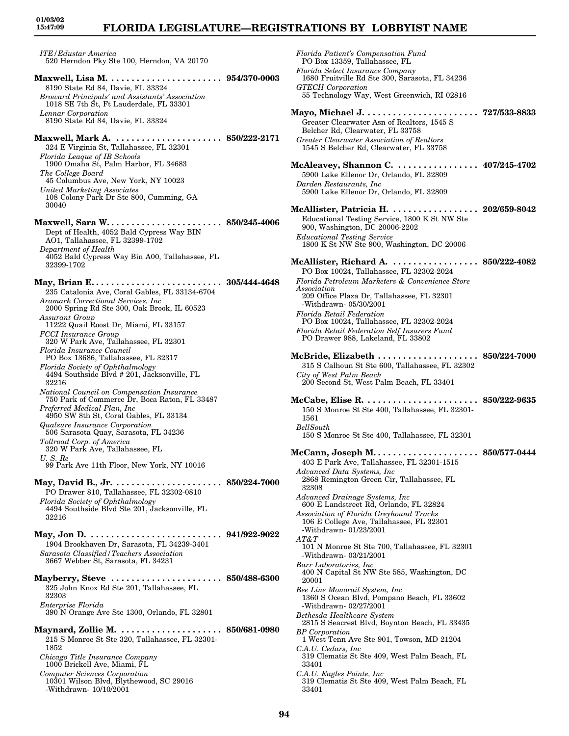# **FLORIDA LEGISLATURE—REGISTRATIONS BY LOBBYIST NAME**

*ITE/Edustar America* 520 Herndon Pky Ste 100, Herndon, VA 20170

- **Maxwell, Lisa M. . . . . . . . . . . . . . . . . . . . . . . 954/370-0003** 8190 State Rd 84, Davie, FL 33324 *Broward Principals' and Assistants' Association* 1018 SE 7th St, Ft Lauderdale, FL 33301 *Lennar Corporation* 8190 State Rd 84, Davie, FL 33324
- **Maxwell, Mark A. . . . . . . . . . . . . . . . . . . . . . 850/222-2171** 324 E Virginia St, Tallahassee, FL 32301 *Florida Leaque of IB Schools* 1900 Omaha St, Palm Harbor, FL 34683
- *The College Board* 45 Columbus Ave, New York, NY 10023 *United Marketing Associates* 108 Colony Park Dr Ste 800, Cumming, GA 30040
- **Maxwell, Sara W. . . . . . . . . . . . . . . . . . . . . . . 850/245-4006** Dept of Health, 4052 Bald Cypress Way BIN AO1, Tallahassee, FL 32399-1702 *Department of Health* 4052 Bald Cypress Way Bin A00, Tallahassee, FL 32399-1702

**May, Brian E. . . . . . . . . . . . . . . . . . . . . . . . . . 305/444-4648** 235 Catalonia Ave, Coral Gables, FL 33134-6704 *Aramark Correctional Services, Inc* 2000 Spring Rd Ste 300, Oak Brook, IL 60523 *Assurant Group* 11222 Quail Roost Dr, Miami, FL 33157 *FCCI Insurance Group* 320 W Park Ave, Tallahassee, FL 32301 *Florida Insurance Council* PO Box 13686, Tallahassee, FL 32317 *Florida Society of Ophthalmology* 4494 Southside Blvd # 201, Jacksonville, FL 32216 *National Council on Compensation Insurance* 750 Park of Commerce Dr, Boca Raton, FL 33487 *Preferred Medical Plan, Inc* 4950 SW 8th St, Coral Gables, FL 33134 *Qualsure Insurance Corporation* 506 Sarasota Quay, Sarasota, FL 34236 *Tollroad Corp. of America* 320 W Park Ave, Tallahassee, FL *U. S. Re* 99 Park Ave 11th Floor, New York, NY 10016 **May, David B., Jr. . . . . . . . . . . . . . . . . . . . . . 850/224-7000** PO Drawer 810, Tallahassee, FL 32302-0810 *Florida Society of Ophthalmology* 4494 Southside Blvd Ste 201, Jacksonville, FL 32216 **May, Jon D. . . . . . . . . . . . . . . . . . . . . . . . . . . 941/922-9022** 1904 Brookhaven Dr, Sarasota, FL 34239-3401 *Sarasota Classified/Teachers Association* 3667 Webber St, Sarasota, FL 34231 **Mayberry, Steve . . . . . . . . . . . . . . . . . . . . . . 850/488-6300** 325 John Knox Rd Ste 201, Tallahassee, FL 32303 *Enterprise Florida* 390 N Orange Ave Ste 1300, Orlando, FL 32801 **Maynard, Zollie M. . . . . . . . . . . . . . . . . . . . . 850/681-0980** 215 S Monroe St Ste 320, Tallahassee, FL 32301- 1852 *Chicago Title Insurance Company*

- 1000 Brickell Ave, Miami, FL
- *Computer Sciences Corporation*
- 10301 Wilson Blvd, Blythewood, SC 29016 -Withdrawn- 10/10/2001

*Florida Patient's Compensation Fund* PO Box 13359, Tallahassee, FL *Florida Select Insurance Company* 1680 Fruitville Rd Ste 300, Sarasota, FL 34236 *GTECH Corporation* 55 Technology Way, West Greenwich, RI 02816 **Mayo, Michael J. . . . . . . . . . . . . . . . . . . . . . . 727/533-8833** Greater Clearwater Asn of Realtors, 1545 S Belcher Rd, Clearwater, FL 33758 *Greater Clearwater Association of Realtors* 1545 S Belcher Rd, Clearwater, FL 33758 **McAleavey, Shannon C. . . . . . . . . . . . . . . . . 407/245-4702** 5900 Lake Ellenor Dr, Orlando, FL 32809 *Darden Restaurants, Inc* 5900 Lake Ellenor Dr, Orlando, FL 32809 **McAllister, Patricia H. . . . . . . . . . . . . . . . . . 202/659-8042** Educational Testing Service, 1800 K St NW Ste 900, Washington, DC 20006-2202 *Educational Testing Service* 1800 K St NW Ste 900, Washington, DC 20006 **McAllister, Richard A. . . . . . . . . . . . . . . . . . 850/222-4082** PO Box 10024, Tallahassee, FL 32302-2024 *Florida Petroleum Marketers & Convenience Store Association* 209 Office Plaza Dr, Tallahassee, FL 32301 -Withdrawn- 05/30/2001 *Florida Retail Federation* PO Box 10024, Tallahassee, FL 32302-2024 *Florida Retail Federation Self Insurers Fund* PO Drawer 988, Lakeland, FL 33802 **McBride, Elizabeth . . . . . . . . . . . . . . . . . . . . 850/224-7000** 315 S Calhoun St Ste 600, Tallahassee, FL 32302 *City of West Palm Beach* 200 Second St, West Palm Beach, FL 33401 **McCabe, Elise R. . . . . . . . . . . . . . . . . . . . . . . 850/222-9635** 150 S Monroe St Ste 400, Tallahassee, FL 32301- 1561 *BellSouth* 150 S Monroe St Ste 400, Tallahassee, FL 32301 **McCann, Joseph M. . . . . . . . . . . . . . . . . . . . . 850/577-0444** 403 E Park Ave, Tallahassee, FL 32301-1515 *Advanced Data Systems, Inc* 2868 Remington Green Cir, Tallahassee, FL 32308 *Advanced Drainage Systems, Inc* 600 E Landstreet Rd, Orlando, FL 32824 *Association of Florida Greyhound Tracks* 106 E College Ave, Tallahassee, FL 32301 -Withdrawn- 01/23/2001 *AT&T* 101 N Monroe St Ste 700, Tallahassee, FL 32301 -Withdrawn- 03/21/2001 *Barr Laboratories, Inc* 400 N Capital St NW Ste 585, Washington, DC 20001 *Bee Line Monorail System, Inc* 1360 S Ocean Blvd, Pompano Beach, FL 33602 -Withdrawn- 02/27/2001 *Bethesda Healthcare System* 2815 S Seacrest Blvd, Boynton Beach, FL 33435 *BP Corporation* 1 West Tenn Ave Ste 901, Towson, MD 21204 *C.A.U. Cedars, Inc* 319 Clematis St Ste 409, West Palm Beach, FL 33401 *C.A.U. Eagles Pointe, Inc* 319 Clematis St Ste 409, West Palm Beach, FL 33401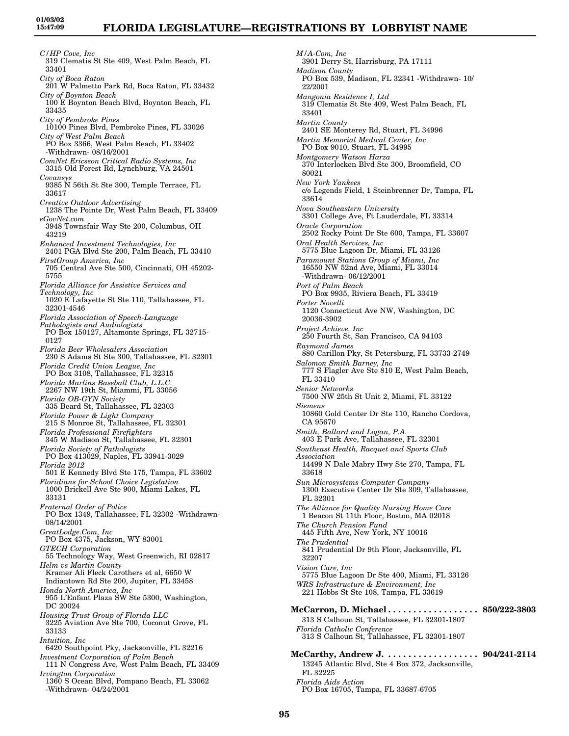*C/HP Cove, Inc* 319 Clematis St Ste 409, West Palm Beach, FL 33401 *City of Boca Raton* 201 W Palmetto Park Rd, Boca Raton, FL 33432 *City of Boynton Beach* 100 E Boynton Beach Blvd, Boynton Beach, FL 33435 *City of Pembroke Pines* 10100 Pines Blvd, Pembroke Pines, FL 33026 *City of West Palm Beach* PO Box 3366, West Palm Beach, FL 33402 -Withdrawn- 08/16/2001 *ComNet Ericsson Critical Radio Systems, Inc* 3315 Old Forest Rd, Lynchburg, VA 24501 *Covansys* 9385 N 56th St Ste 300, Temple Terrace, FL 33617 *Creative Outdoor Advertising* 1238 The Pointe Dr, West Palm Beach, FL 33409 *eGovNet.com* 3948 Townsfair Way Ste 200, Columbus, OH 43219 *Enhanced Investment Technologies, Inc* 2401 PGA Blvd Ste 200, Palm Beach, FL 33410 *FirstGroup America, Inc* 705 Central Ave Ste 500, Cincinnati, OH 45202- 5755 *Florida Alliance for Assistive Services and Technology, Inc* 1020 E Lafayette St Ste 110, Tallahassee, FL 32301-4546 *Florida Association of Speech-Language Pathologists and Audiologists* PO Box 150127, Altamonte Springs, FL 32715- 0127 *Florida Beer Wholesalers Association* 230 S Adams St Ste 300, Tallahassee, FL 32301 *Florida Credit Union League, Inc* PO Box 3108, Tallahassee, FL 32315 *Florida Marlins Baseball Club, L.L.C.* 2267 NW 19th St, Miammi, FL 33056 *Florida OB-GYN Society* 335 Beard St, Tallahassee, FL 32303 *Florida Power & Light Company* 215 S Monroe St, Tallahassee, FL 32301 *Florida Professional Firefighters* 345 W Madison St, Tallahassee, FL 32301 *Florida Society of Pathologists* PO Box 413029, Naples, FL 33941-3029 *Florida 2012* 501 E Kennedy Blvd Ste 175, Tampa, FL 33602 *Floridians for School Choice Legislation* 1000 Brickell Ave Ste 900, Miami Lakes, FL 33131 *Fraternal Order of Police* PO Box 1349, Tallahassee, FL 32302 -Withdrawn-08/14/2001 *GreatLodge.Com, Inc* PO Box 4375, Jackson, WY 83001 *GTECH Corporation* 55 Technology Way, West Greenwich, RI 02817 *Helm vs Martin County* Kramer Ali Fleck Carothers et al, 6650 W Indiantown Rd Ste 200, Jupiter, FL 33458 *Honda North America, Inc* 955 L'Enfant Plaza SW Ste 5300, Washington, DC 20024 *Housing Trust Group of Florida LLC* 3225 Aviation Ave Ste 700, Coconut Grove, FL 33133 *Intuition, Inc* 6420 Southpoint Pky, Jacksonville, FL 32216 *Investment Corporation of Palm Beach* 111 N Congress Ave, West Palm Beach, FL 33409 *Irvington Corporation* 1360 S Ocean Blvd, Pompano Beach, FL 33062 -Withdrawn- 04/24/2001

*M/A-Com, Inc* 3901 Derry St, Harrisburg, PA 17111 *Madison County* PO Box 539, Madison, FL 32341 -Withdrawn- 10/ 22/2001 *Mangonia Residence I, Ltd* 319 Clematis St Ste 409, West Palm Beach, FL 33401 *Martin County* 2401 SE Monterey Rd, Stuart, FL 34996 *Martin Memorial Medical Center, Inc* PO Box 9010, Stuart, FL 34995 *Montgomery Watson Harza* 370 Interlocken Blvd Ste 300, Broomfield, CO 80021 *New York Yankees* c/o Legends Field, 1 Steinbrenner Dr, Tampa, FL 33614 *Nova Southeastern University* 3301 College Ave, Ft Lauderdale, FL 33314 *Oracle Corporation* 2502 Rocky Point Dr Ste 600, Tampa, FL 33607 *Oral Health Services, Inc* 5775 Blue Lagoon Dr, Miami, FL 33126 *Paramount Stations Group of Miami, Inc* 16550 NW 52nd Ave, Miami, FL 33014 -Withdrawn- 06/12/2001 *Port of Palm Beach* PO Box 9935, Riviera Beach, FL 33419 *Porter Novelli* 1120 Connecticut Ave NW, Washington, DC 20036-3902 *Project Achieve, Inc* 250 Fourth St, San Francisco, CA 94103 *Raymond James* 880 Carillon Pky, St Petersburg, FL 33733-2749 *Salomon Smith Barney, Inc* 777 S Flagler Ave Ste 810 E, West Palm Beach, FL 33410 *Senior Networks* 7500 NW 25th St Unit 2, Miami, FL 33122 *Siemens* 10860 Gold Center Dr Ste 110, Rancho Cordova, CA 95670 *Smith, Ballard and Logan, P.A.* 403 E Park Ave, Tallahassee, FL 32301 *Southeast Health, Racquet and Sports Club Association* 14499 N Dale Mabry Hwy Ste 270, Tampa, FL 33618 *Sun Microsystems Computer Company* 1300 Executive Center Dr Ste 309, Tallahassee, FL 32301 *The Alliance for Quality Nursing Home Care* 1 Beacon St 11th Floor, Boston, MA 02018 *The Church Pension Fund* 445 Fifth Ave, New York, NY 10016 *The Prudential* 841 Prudential Dr 9th Floor, Jacksonville, FL 32207 *Vision Care, Inc* 5775 Blue Lagoon Dr Ste 400, Miami, FL 33126 *WRS Infrastructure & Environment, Inc* 221 Hobbs St Ste 108, Tampa, FL 33619 **McCarron, D. Michael . . . . . . . . . . . . . . . . . . 850/222-3803** 313 S Calhoun St, Tallahassee, FL 32301-1807 *Florida Catholic Conference* 313 S Calhoun St, Tallahassee, FL 32301-1807 **McCarthy, Andrew J. . . . . . . . . . . . . . . . . . . 904/241-2114** 13245 Atlantic Blvd, Ste 4 Box 372, Jacksonville, FL 32225 *Florida Aids Action* PO Box 16705, Tampa, FL 33687-6705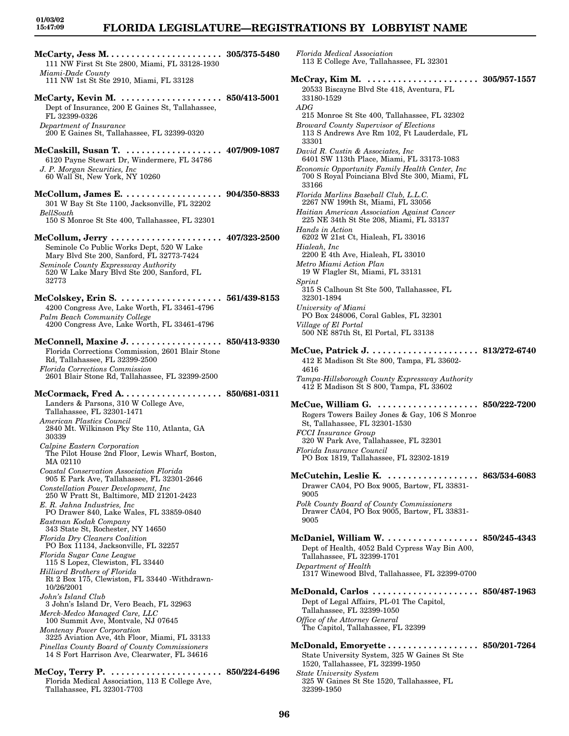### **FLORIDA LEGISLATURE—REGISTRATIONS BY LOBBYIST NAME**

*Florida Medical Association*

33180-1529

*ADG*

33301

33166

*Hands in Action*

*Metro Miami Action Plan*

*Hialeah, Inc*

32301-1894 *University of Miami*

*Village of El Portal*

*Sprint*

4616

9005

9005

**96**

113 E College Ave, Tallahassee, FL 32301

20533 Biscayne Blvd Ste 418, Aventura, FL

215 Monroe St Ste 400, Tallahassee, FL 32302

113 S Andrews Ave Rm 102, Ft Lauderdale, FL

6401 SW 113th Place, Miami, FL 33173-1083 *Economic Opportunity Family Health Center, Inc* 700 S Royal Poinciana Blvd Ste 300, Miami, FL

*Broward County Supervisor of Elections*

*David R. Custin & Associates, Inc*

*Florida Marlins Baseball Club, L.L.C.* 2267 NW 199th St, Miami, FL 33056 *Haitian American Association Against Cancer* 225 NE 34th St Ste 208, Miami, FL 33137

6202 W 21st Ct, Hialeah, FL 33016

2200 E 4th Ave, Hialeah, FL 33010

19 W Flagler St, Miami, FL 33131

315 S Calhoun St Ste 500, Tallahassee, FL

412 E Madison St Ste 800, Tampa, FL 33602-

**McCue, Patrick J. . . . . . . . . . . . . . . . . . . . . . 813/272-6740**

PO Box 248006, Coral Gables, FL 32301

500 NE 887th St, El Portal, FL 33138

**McCray, Kim M. . . . . . . . . . . . . . . . . . . . . . . 305/957-1557**

| 111 NW First St Ste 2800, Miami, FL 33128-1930                                                                                                                                                                                                                                                                                                                                                                                                                                                                                                                                                                                                                                                                                                                                                                                                                                                                                                                                                                                                    |                                   |
|---------------------------------------------------------------------------------------------------------------------------------------------------------------------------------------------------------------------------------------------------------------------------------------------------------------------------------------------------------------------------------------------------------------------------------------------------------------------------------------------------------------------------------------------------------------------------------------------------------------------------------------------------------------------------------------------------------------------------------------------------------------------------------------------------------------------------------------------------------------------------------------------------------------------------------------------------------------------------------------------------------------------------------------------------|-----------------------------------|
| Miami-Dade County<br>111 NW 1st St Ste 2910, Miami, FL 33128                                                                                                                                                                                                                                                                                                                                                                                                                                                                                                                                                                                                                                                                                                                                                                                                                                                                                                                                                                                      |                                   |
| McCarty, Kevin M.  850/413-5001<br>Dept of Insurance, 200 E Gaines St, Tallahassee,<br>FL 32399-0326<br>Department of Insurance<br>200 E Gaines St, Tallahassee, FL 32399-0320                                                                                                                                                                                                                                                                                                                                                                                                                                                                                                                                                                                                                                                                                                                                                                                                                                                                    |                                   |
| McCaskill, Susan T.  407/909-1087<br>6120 Payne Stewart Dr, Windermere, FL 34786<br>J. P. Morgan Securities, Inc.<br>60 Wall St, New York, NY 10260                                                                                                                                                                                                                                                                                                                                                                                                                                                                                                                                                                                                                                                                                                                                                                                                                                                                                               |                                   |
| McCollum, James E.  904/350-8833<br>301 W Bay St Ste 1100, Jacksonville, FL 32202<br>BellSouth<br>150 S Monroe St Ste 400, Tallahassee, FL 32301                                                                                                                                                                                                                                                                                                                                                                                                                                                                                                                                                                                                                                                                                                                                                                                                                                                                                                  |                                   |
| McCollum, Jerry  407/323-2500<br>Seminole Co Public Works Dept, 520 W Lake<br>Mary Blvd Ste 200, Sanford, FL 32773-7424<br>Seminole County Expressway Authority<br>520 W Lake Mary Blvd Ste 200, Sanford, FL<br>32773                                                                                                                                                                                                                                                                                                                                                                                                                                                                                                                                                                                                                                                                                                                                                                                                                             |                                   |
| McColskey, Erin S.  561/439-8153<br>4200 Congress Ave, Lake Worth, FL 33461-4796<br>Palm Beach Community College<br>4200 Congress Ave, Lake Worth, FL 33461-4796                                                                                                                                                                                                                                                                                                                                                                                                                                                                                                                                                                                                                                                                                                                                                                                                                                                                                  |                                   |
| McConnell, Maxine J. 850/413-9330<br>Florida Corrections Commission, 2601 Blair Stone<br>Rd, Tallahassee, FL 32399-2500<br><b>Florida Corrections Commission</b><br>2601 Blair Stone Rd, Tallahassee, FL 32399-2500                                                                                                                                                                                                                                                                                                                                                                                                                                                                                                                                                                                                                                                                                                                                                                                                                               |                                   |
| Landers & Parsons, 310 W College Ave,<br>Tallahassee, FL 32301-1471<br>American Plastics Council<br>2840 Mt. Wilkinson Pky Ste 110, Atlanta, GA<br>30339<br>Calpine Eastern Corporation<br>The Pilot House 2nd Floor, Lewis Wharf, Boston,<br>MA 02110<br>Coastal Conservation Association Florida<br>905 E Park Ave, Tallahassee, FL 32301-2646<br>Constellation Power Development, Inc<br>250 W Pratt St, Baltimore, MD 21201-2423<br>E. R. Jahna Industries, Inc.<br>PO Drawer 840, Lake Wales, FL 33859-0840<br>Eastman Kodak Company<br>343 State St, Rochester, NY 14650<br>Florida Dry Cleaners Coalition<br>PO Box 11134, Jacksonville, FL 32257<br>Florida Sugar Cane League<br>115 S Lopez, Clewiston, FL 33440<br>Hilliard Brothers of Florida<br>Rt 2 Box 175, Clewiston, FL 33440 - Withdrawn-<br>10/26/2001<br>John's Island Club<br>3 John's Island Dr, Vero Beach, FL 32963<br>Merck-Medco Managed Care, LLC<br>100 Summit Ave, Montvale, NJ 07645<br>Montenay Power Corporation<br>3225 Aviation Ave, 4th Floor, Miami, FL 33133 |                                   |
| Pinellas County Board of County Commissioners<br>14 S Fort Harrison Ave, Clearwater, FL 34616<br>McCoy, Terry P. $\dots$<br>Florida Medical Association, 113 E College Ave,<br>Tallahassee, FL 32301-7703                                                                                                                                                                                                                                                                                                                                                                                                                                                                                                                                                                                                                                                                                                                                                                                                                                         | $\,\cdot\,\cdot\,\,850/224$ -6496 |

*Tampa-Hillsborough County Expressway Authority* 412 E Madison St S 800, Tampa, FL 33602 **McCue, William G. . . . . . . . . . . . . . . . . . . . . 850/222-7200** Rogers Towers Bailey Jones & Gay, 106 S Monroe St, Tallahassee, FL 32301-1530 *FCCI Insurance Group* 320 W Park Ave, Tallahassee, FL 32301 *Florida Insurance Council* PO Box 1819, Tallahassee, FL 32302-1819 **McCutchin, Leslie K. . . . . . . . . . . . . . . . . . . 863/534-6083** Drawer CA04, PO Box 9005, Bartow, FL 33831- *Polk County Board of County Commissioners* Drawer CA04, PO Box 9005, Bartow, FL 33831- **McDaniel, William W. . . . . . . . . . . . . . . . . . . 850/245-4343** Dept of Health, 4052 Bald Cypress Way Bin A00, Tallahassee, FL 32399-1701 *Department of Health* 1317 Winewood Blvd, Tallahassee, FL 32399-0700 **McDonald, Carlos . . . . . . . . . . . . . . . . . . . . . 850/487-1963** Dept of Legal Affairs, PL-01 The Capitol, Tallahassee, FL 32399-1050 *Office of the Attorney General* The Capitol, Tallahassee, FL 32399 **McDonald, Emoryette . . . . . . . . . . . . . . . . . . 850/201-7264** State University System, 325 W Gaines St Ste 1520, Tallahassee, FL 32399-1950 *State University System* 325 W Gaines St Ste 1520, Tallahassee, FL 32399-1950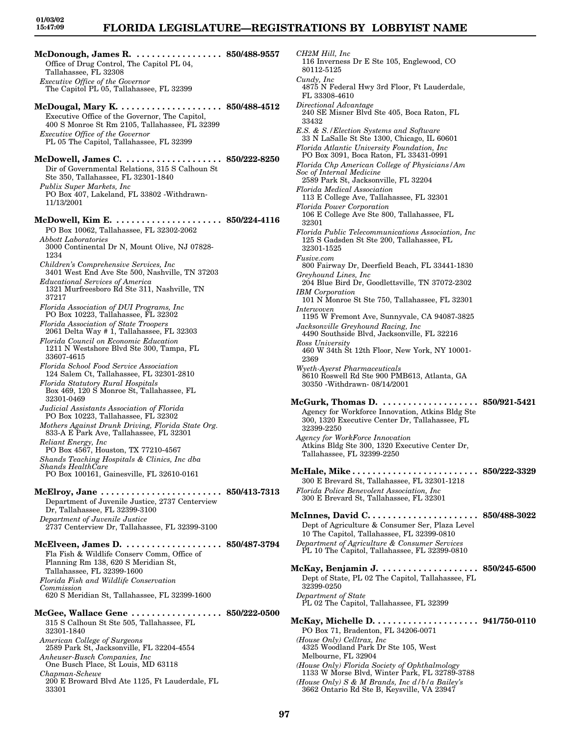### **FLORIDA LEGISLATURE—REGISTRATIONS BY LOBBYIST NAME**

**McDonough, James R. . . . . . . . . . . . . . . . . . 850/488-9557** Office of Drug Control, The Capitol PL 04, Tallahassee, FL 32308 *Executive Office of the Governor* The Capitol PL 05, Tallahassee, FL 32399 **McDougal, Mary K. . . . . . . . . . . . . . . . . . . . . 850/488-4512** Executive Office of the Governor, The Capitol, 400 S Monroe St Rm 2105, Tallahassee, FL 32399 *Executive Office of the Governor* PL 05 The Capitol, Tallahassee, FL 32399 **McDowell, James C. . . . . . . . . . . . . . . . . . . . 850/222-8250** Dir of Governmental Relations, 315 S Calhoun St Ste 350, Tallahassee, FL 32301-1840 *Publix Super Markets, Inc* PO Box 407, Lakeland, FL 33802 -Withdrawn-11/13/2001 **McDowell, Kim E. . . . . . . . . . . . . . . . . . . . . . 850/224-4116** PO Box 10062, Tallahassee, FL 32302-2062 *Abbott Laboratories* 3000 Continental Dr N, Mount Olive, NJ 07828- 1234 *Children's Comprehensive Services, Inc* 3401 West End Ave Ste 500, Nashville, TN 37203 *Educational Services of America* 1321 Murfreesboro Rd Ste 311, Nashville, TN 37217 *Florida Association of DUI Programs, Inc* PO Box 10223, Tallahassee, FL 32302 *Florida Association of State Troopers* 2061 Delta Way # 1, Tallahassee, FL 32303 *Florida Council on Economic Education* 1211 N Westshore Blvd Ste 300, Tampa, FL 33607-4615 *Florida School Food Service Association* 124 Salem Ct, Tallahassee, FL 32301-2810 *Florida Statutory Rural Hospitals* Box 469, 120 S Monroe St, Tallahassee, FL 32301-0469 *Judicial Assistants Association of Florida* PO Box 10223, Tallahassee, FL 32302 *Mothers Against Drunk Driving, Florida State Org.* 833-A E Park Ave, Tallahassee, FL 32301 *Reliant Energy, Inc* PO Box 4567, Houston, TX 77210-4567 *Shands Teaching Hospitals & Clinics, Inc dba Shands HealthCare* PO Box 100161, Gainesville, FL 32610-0161 **McElroy, Jane . . . . . . . . . . . . . . . . . . . . . . . . 850/413-7313** Department of Juvenile Justice, 2737 Centerview Dr, Tallahassee, FL 32399-3100 *Department of Juvenile Justice* 2737 Centerview Dr, Tallahassee, FL 32399-3100 **McElveen, James D. . . . . . . . . . . . . . . . . . . . 850/487-3794** Fla Fish & Wildlife Conserv Comm, Office of Planning Rm 138, 620 S Meridian St, Tallahassee, FL 32399-1600 *Florida Fish and Wildlife Conservation Commission* 620 S Meridian St, Tallahassee, FL 32399-1600 **McGee, Wallace Gene . . . . . . . . . . . . . . . . . . 850/222-0500** 315 S Calhoun St Ste 505, Tallahassee, FL 32301-1840 *American College of Surgeons* 2589 Park St, Jacksonville, FL 32204-4554 *Anheuser-Busch Companies, Inc* One Busch Place, St Louis, MD 63118 *Chapman-Schewe*

200 E Broward Blvd Ate 1125, Ft Lauderdale, FL

33301

*CH2M Hill, Inc* 116 Inverness Dr E Ste 105, Englewood, CO 80112-5125 *Cundy, Inc* 4875 N Federal Hwy 3rd Floor, Ft Lauderdale, FL 33308-4610 *Directional Advantage* 240 SE Misner Blvd Ste 405, Boca Raton, FL 33432 *E.S. & S./Election Systems and Software* 33 N LaSalle St Ste 1300, Chicago, IL 60601 *Florida Atlantic University Foundation, Inc* PO Box 3091, Boca Raton, FL 33431-0991 *Florida Chp American College of Physicians/Am Soc of Internal Medicine* 2589 Park St, Jacksonville, FL 32204 *Florida Medical Association* 113 E College Ave, Tallahassee, FL 32301 *Florida Power Corporation* 106 E College Ave Ste 800, Tallahassee, FL 32301 *Florida Public Telecommunications Association, Inc* 125 S Gadsden St Ste 200, Tallahassee, FL 32301-1525 *Fusive.com* 800 Fairway Dr, Deerfield Beach, FL 33441-1830 *Greyhound Lines, Inc* 204 Blue Bird Dr, Goodlettsville, TN 37072-2302 *IBM Corporation* 101 N Monroe St Ste 750, Tallahassee, FL 32301 *Interwoven* 1195 W Fremont Ave, Sunnyvale, CA 94087-3825 *Jacksonville Greyhound Racing, Inc* 4490 Southside Blvd, Jacksonville, FL 32216 *Ross University* 460 W 34th St 12th Floor, New York, NY 10001- 2369 *Wyeth-Ayerst Pharmaceuticals* 8610 Roswell Rd Ste 900 PMB613, Atlanta, GA 30350 -Withdrawn- 08/14/2001 **McGurk, Thomas D. . . . . . . . . . . . . . . . . . . . 850/921-5421** Agency for Workforce Innovation, Atkins Bldg Ste 300, 1320 Executive Center Dr, Tallahassee, FL 32399-2250 *Agency for WorkForce Innovation* Atkins Bldg Ste 300, 1320 Executive Center Dr, Tallahassee, FL 32399-2250 **McHale, Mike . . . . . . . . . . . . . . . . . . . . . . . . . 850/222-3329** 300 E Brevard St, Tallahassee, FL 32301-1218 *Florida Police Benevolent Association, Inc* 300 E Brevard St, Tallahassee, FL 32301 **McInnes, David C. . . . . . . . . . . . . . . . . . . . . . 850/488-3022** Dept of Agriculture & Consumer Ser, Plaza Level 10 The Capitol, Tallahassee, FL 32399-0810 *Department of Agriculture & Consumer Services* PL 10 The Capitol, Tallahassee, FL 32399-0810 **McKay, Benjamin J. . . . . . . . . . . . . . . . . . . . 850/245-6500** Dept of State, PL 02 The Capitol, Tallahassee, FL 32399-0250 *Department of State* PL 02 The Capitol, Tallahassee, FL 32399 **McKay, Michelle D. . . . . . . . . . . . . . . . . . . . . 941/750-0110** PO Box 71, Bradenton, FL 34206-0071 *(House Only) Celltrax, Inc* 4325 Woodland Park Dr Ste 105, West Melbourne, FL 32904 *(House Only) Florida Society of Ophthalmology* 1133 W Morse Blvd, Winter Park, FL 32789-3788

*(House Only) S & M Brands, Inc d/b/a Bailey's* 3662 Ontario Rd Ste B, Keysville, VA 23947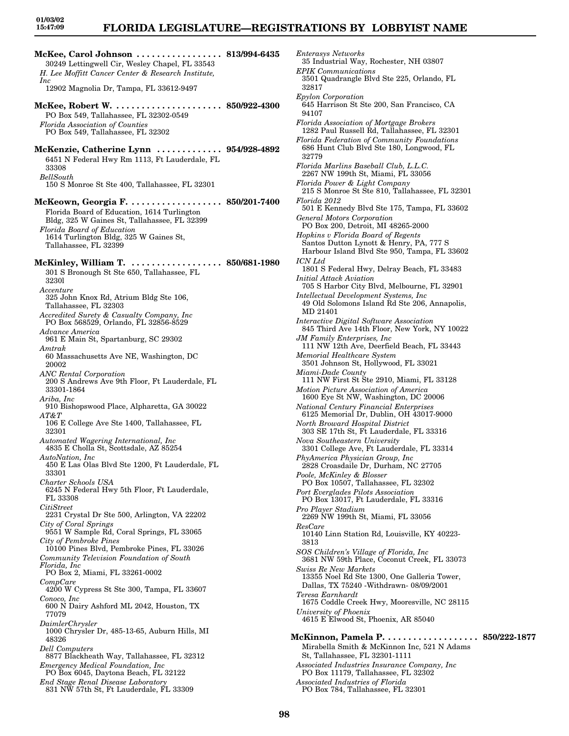*Enterasys Networks*

35 Industrial Way, Rochester, NH 03807

**McKee, Carol Johnson . . . . . . . . . . . . . . . . . 813/994-6435** 30249 Lettingwell Cir, Wesley Chapel, FL 33543 *H. Lee Moffitt Cancer Center & Research Institute, Inc* 12902 Magnolia Dr, Tampa, FL 33612-9497 **McKee, Robert W. . . . . . . . . . . . . . . . . . . . . . 850/922-4300** PO Box 549, Tallahassee, FL 32302-0549 *Florida Association of Counties* PO Box 549, Tallahassee, FL 32302 **McKenzie, Catherine Lynn . . . . . . . . . . . . . 954/928-4892** 6451 N Federal Hwy Rm 1113, Ft Lauderdale, FL 33308 *BellSouth* 150 S Monroe St Ste 400, Tallahassee, FL 32301 **McKeown, Georgia F. . . . . . . . . . . . . . . . . . . 850/201-7400** Florida Board of Education, 1614 Turlington Bldg, 325 W Gaines St, Tallahassee, FL 32399 *Florida Board of Education* 1614 Turlington Bldg, 325 W Gaines St, Tallahassee, FL 32399 **McKinley, William T. . . . . . . . . . . . . . . . . . . 850/681-1980** 301 S Bronough St Ste 650, Tallahassee, FL 3230l *Accenture* 325 John Knox Rd, Atrium Bldg Ste 106, Tallahassee, FL 32303 *Accredited Surety & Casualty Company, Inc* PO Box 568529, Orlando, FL 32856-8529 *Advance America* 961 E Main St, Spartanburg, SC 29302 *Amtrak* 60 Massachusetts Ave NE, Washington, DC 20002 *ANC Rental Corporation* 200 S Andrews Ave 9th Floor, Ft Lauderdale, FL 33301-1864 *Ariba, Inc* 910 Bishopswood Place, Alpharetta, GA 30022 *AT&T* 106 E College Ave Ste 1400, Tallahassee, FL 32301 *Automated Wagering International, Inc* 4835 E Cholla St, Scottsdale, AZ 85254 *AutoNation, Inc* 450 E Las Olas Blvd Ste 1200, Ft Lauderdale, FL 33301 *Charter Schools USA* 6245 N Federal Hwy 5th Floor, Ft Lauderdale, FL 33308 *CitiStreet* 2231 Crystal Dr Ste 500, Arlington, VA 22202 *City of Coral Springs* 9551 W Sample Rd, Coral Springs, FL 33065 *City of Pembroke Pines* 10100 Pines Blvd, Pembroke Pines, FL 33026 *Community Television Foundation of South Florida, Inc* PO Box 2, Miami, FL 33261-0002 *CompCare* 4200 W Cypress St Ste 300, Tampa, FL 33607 *Conoco, Inc* 600 N Dairy Ashford ML 2042, Houston, TX 77079 *DaimlerChrysler* 1000 Chrysler Dr, 485-13-65, Auburn Hills, MI 48326 *Dell Computers* 8877 Blackheath Way, Tallahassee, FL 32312 *Emergency Medical Foundation, Inc* PO Box 6045, Daytona Beach, FL 32122 *End Stage Renal Disease Laboratory* 831 NW 57th St, Ft Lauderdale, FL 33309

*EPIK Communications* 3501 Quadrangle Blvd Ste 225, Orlando, FL 32817 *Epylon Corporation* 645 Harrison St Ste 200, San Francisco, CA 94107 *Florida Association of Mortgage Brokers* 1282 Paul Russell Rd, Tallahassee, FL 32301 *Florida Federation of Community Foundations* 686 Hunt Club Blvd Ste 180, Longwood, FL 32779 *Florida Marlins Baseball Club, L.L.C.* 2267 NW 199th St, Miami, FL 33056 *Florida Power & Light Company* 215 S Monroe St Ste 810, Tallahassee, FL 32301 *Florida 2012* 501 E Kennedy Blvd Ste 175, Tampa, FL 33602 *General Motors Corporation* PO Box 200, Detroit, MI 48265-2000 *Hopkins v Florida Board of Regents* Santos Dutton Lynott & Henry, PA, 777 S Harbour Island Blvd Ste 950, Tampa, FL 33602 *ICN Ltd* 1801 S Federal Hwy, Delray Beach, FL 33483 *Initial Attack Aviation* 705 S Harbor City Blvd, Melbourne, FL 32901 *Intellectual Development Systems, Inc* 49 Old Solomons Island Rd Ste 206, Annapolis, MD 21401 *Interactive Digital Software Association* 845 Third Ave 14th Floor, New York, NY 10022 *JM Family Enterprises, Inc* 111 NW 12th Ave, Deerfield Beach, FL 33443 *Memorial Healthcare System* 3501 Johnson St, Hollywood, FL 33021 *Miami-Dade County* 111 NW First St Ste 2910, Miami, FL 33128 *Motion Picture Association of America* 1600 Eye St NW, Washington, DC 20006 *National Century Financial Enterprises* 6125 Memorial Dr, Dublin, OH 43017-9000 *North Broward Hospital District* 303 SE 17th St, Ft Lauderdale, FL 33316 *Nova Southeastern University* 3301 College Ave, Ft Lauderdale, FL 33314 *PhyAmerica Physician Group, Inc* 2828 Croasdaile Dr, Durham, NC 27705 *Poole, McKinley & Blosser* PO Box 10507, Tallahassee, FL 32302 *Port Everglades Pilots Association* PO Box 13017, Ft Lauderdale, FL 33316 *Pro Player Stadium* 2269 NW 199th St, Miami, FL 33056 *ResCare* 10140 Linn Station Rd, Louisville, KY 40223- 3813 *SOS Children's Village of Florida, Inc* 3681 NW 59th Place, Coconut Creek, FL 33073 *Swiss Re New Markets* 13355 Noel Rd Ste 1300, One Galleria Tower, Dallas, TX 75240 -Withdrawn- 08/09/2001 *Teresa Earnhardt* 1675 Coddle Creek Hwy, Mooresville, NC 28115 *University of Phoenix* 4615 E Elwood St, Phoenix, AR 85040 **McKinnon, Pamela P. . . . . . . . . . . . . . . . . . . 850/222-1877** Mirabella Smith & McKinnon Inc, 521 N Adams St, Tallahassee, FL 32301-1111 *Associated Industries Insurance Company, Inc* PO Box 11179, Tallahassee, FL 32302 *Associated Industries of Florida* PO Box 784, Tallahassee, FL 32301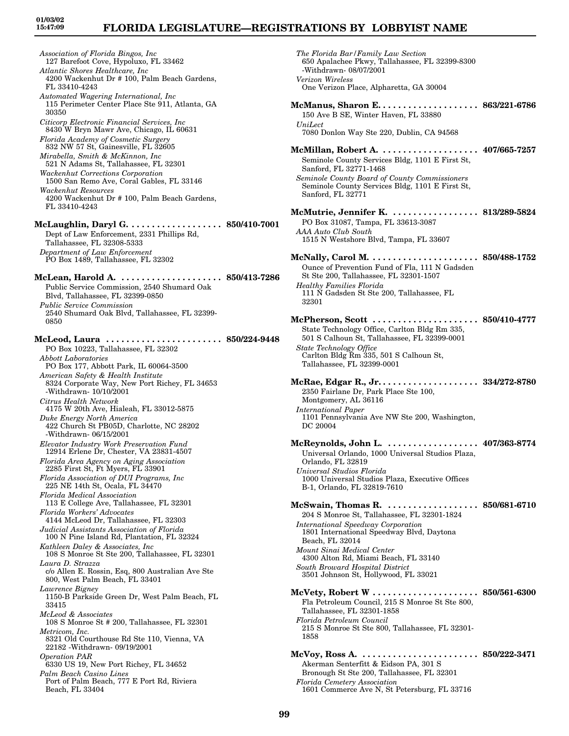# **FLORIDA LEGISLATURE—REGISTRATIONS BY LOBBYIST NAME**

*Association of Florida Bingos, Inc* 127 Barefoot Cove, Hypoluxo, FL 33462 *Atlantic Shores Healthcare, Inc* 4200 Wackenhut Dr # 100, Palm Beach Gardens, FL 33410-4243 *Automated Wagering International, Inc* 115 Perimeter Center Place Ste 911, Atlanta, GA 30350 *Citicorp Electronic Financial Services, Inc* 8430 W Bryn Mawr Ave, Chicago, IL 60631 *Florida Academy of Cosmetic Surgery* 832 NW 57 St, Gainesville, FL 32605 *Mirabella, Smith & McKinnon, Inc* 521 N Adams St, Tallahassee, FL 32301 *Wackenhut Corrections Corporation* 1500 San Remo Ave, Coral Gables, FL 33146 *Wackenhut Resources* 4200 Wackenhut Dr # 100, Palm Beach Gardens, FL 33410-4243 **McLaughlin, Daryl G. . . . . . . . . . . . . . . . . . . 850/410-7001** Dept of Law Enforcement, 2331 Phillips Rd, Tallahassee, FL 32308-5333 *Department of Law Enforcement* PO Box 1489, Tallahassee, FL 32302 **McLean, Harold A. . . . . . . . . . . . . . . . . . . . . 850/413-7286** Public Service Commission, 2540 Shumard Oak Blvd, Tallahassee, FL 32399-0850 *Public Service Commission* 2540 Shumard Oak Blvd, Tallahassee, FL 32399- 0850 **McLeod, Laura . . . . . . . . . . . . . . . . . . . . . . . 850/224-9448** PO Box 10223, Tallahassee, FL 32302 *Abbott Laboratories* PO Box 177, Abbott Park, IL 60064-3500 *American Safety & Health Institute* 8324 Corporate Way, New Port Richey, FL 34653 -Withdrawn- 10/10/2001 *Citrus Health Network* 4175 W 20th Ave, Hialeah, FL 33012-5875 *Duke Energy North America* 422 Church St PB05D, Charlotte, NC 28202 -Withdrawn- 06/15/2001 *Elevator Industry Work Preservation Fund* 12914 Erlene Dr, Chester, VA 23831-4507 *Florida Area Agency on Aging Association* 2285 First St, Ft Myers, FL 33901 *Florida Association of DUI Programs, Inc* 225 NE 14th St, Ocala, FL 34470 *Florida Medical Association* 113 E College Ave, Tallahassee, FL 32301 *Florida Workers' Advocates* 4144 McLeod Dr, Tallahassee, FL 32303 *Judicial Assistants Association of Florida* 100 N Pine Island Rd, Plantation, FL 32324 *Kathleen Daley & Associates, Inc* 108 S Monroe St Ste 200, Tallahassee, FL 32301 *Laura D. Strazza* c/o Allen E. Rossin, Esq, 800 Australian Ave Ste 800, West Palm Beach, FL 33401 *Lawrence Bigney* 1150-B Parkside Green Dr, West Palm Beach, FL 33415 *McLeod & Associates* 108 S Monroe St # 200, Tallahassee, FL 32301 *Metricom, Inc.* 8321 Old Courthouse Rd Ste 110, Vienna, VA 22182 -Withdrawn- 09/19/2001 *Operation PAR* 6330 US 19, New Port Richey, FL 34652 *Palm Beach Casino Lines* Port of Palm Beach, 777 E Port Rd, Riviera Beach, FL 33404

*The Florida Bar/Family Law Section* 650 Apalachee Pkwy, Tallahassee, FL 32399-8300 -Withdrawn- 08/07/2001 *Verizon Wireless* One Verizon Place, Alpharetta, GA 30004 **McManus, Sharon E. . . . . . . . . . . . . . . . . . . . 863/221-6786** 150 Ave B SE, Winter Haven, FL 33880 *UniLect* 7080 Donlon Way Ste 220, Dublin, CA 94568 **McMillan, Robert A. . . . . . . . . . . . . . . . . . . . 407/665-7257** Seminole County Services Bldg, 1101 E First St, Sanford, FL 32771-1468 *Seminole County Board of County Commissioners* Seminole County Services Bldg, 1101 E First St, Sanford, FL 32771 **McMutrie, Jennifer K. . . . . . . . . . . . . . . . . . 813/289-5824** PO Box 31087, Tampa, FL 33613-3087 *AAA Auto Club South* 1515 N Westshore Blvd, Tampa, FL 33607 **McNally, Carol M. . . . . . . . . . . . . . . . . . . . . . 850/488-1752** Ounce of Prevention Fund of Fla, 111 N Gadsden St Ste 200, Tallahassee, FL 32301-1507 *Healthy Families Florida* 111 N Gadsden St Ste 200, Tallahassee, FL 32301 **McPherson, Scott . . . . . . . . . . . . . . . . . . . . . 850/410-4777** State Technology Office, Carlton Bldg Rm 335, 501 S Calhoun St, Tallahassee, FL 32399-0001 *State Technology Office* Carlton Bldg Rm 335, 501 S Calhoun St, Tallahassee, FL 32399-0001 **McRae, Edgar R., Jr. . . . . . . . . . . . . . . . . . . . 334/272-8780** 2350 Fairlane Dr, Park Place Ste 100, Montgomery, AL 36116 *International Paper* 1101 Pennsylvania Ave NW Ste 200, Washington, DC 20004 **McReynolds, John L. . . . . . . . . . . . . . . . . . . 407/363-8774** Universal Orlando, 1000 Universal Studios Plaza, Orlando, FL 32819 *Universal Studios Florida* 1000 Universal Studios Plaza, Executive Offices B-1, Orlando, FL 32819-7610 **McSwain, Thomas R. . . . . . . . . . . . . . . . . . . 850/681-6710** 204 S Monroe St, Tallahassee, FL 32301-1824 *International Speedway Corporation* 1801 International Speedway Blvd, Daytona Beach, FL 32014 *Mount Sinai Medical Center* 4300 Alton Rd, Miami Beach, FL 33140 *South Broward Hospital District* 3501 Johnson St, Hollywood, FL 33021 **McVety, Robert W . . . . . . . . . . . . . . . . . . . . . 850/561-6300** Fla Petroleum Council, 215 S Monroe St Ste 800, Tallahassee, FL 32301-1858 *Florida Petroleum Council* 215 S Monroe St Ste 800, Tallahassee, FL 32301- 1858 **McVoy, Ross A. . . . . . . . . . . . . . . . . . . . . . . . 850/222-3471** Akerman Senterfitt & Eidson PA, 301 S Bronough St Ste 200, Tallahassee, FL 32301 *Florida Cemetery Association* 1601 Commerce Ave N, St Petersburg, FL 33716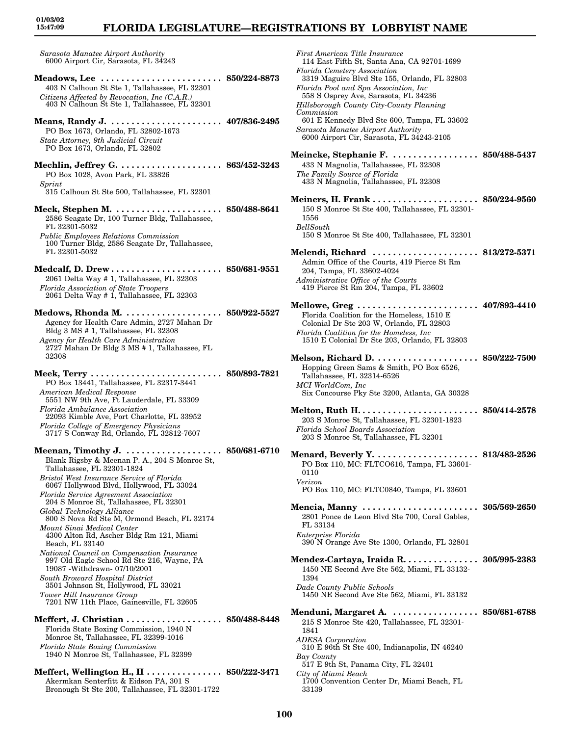# **FLORIDA LEGISLATURE—REGISTRATIONS BY LOBBYIST NAME**

**01/03/02 15:47:09**

*Sarasota Manatee Airport Authority* 6000 Airport Cir, Sarasota, FL 34243

**Meadows, Lee . . . . . . . . . . . . . . . . . . . . . . . . 850/224-8873** 403 N Calhoun St Ste 1, Tallahassee, FL 32301 *Citizens Affected by Revocation, Inc (C.A.R.)* 403 N Calhoun St Ste 1, Tallahassee, FL 32301

- **Means, Randy J. . . . . . . . . . . . . . . . . . . . . . . 407/836-2495** PO Box 1673, Orlando, FL 32802-1673 *State Attorney, 9th Judicial Circuit* PO Box 1673, Orlando, FL 32802
- **Mechlin, Jeffrey G. . . . . . . . . . . . . . . . . . . . . 863/452-3243** PO Box 1028, Avon Park, FL 33826 *Sprint* 315 Calhoun St Ste 500, Tallahassee, FL 32301
- **Meck, Stephen M. . . . . . . . . . . . . . . . . . . . . . 850/488-8641** 2586 Seagate Dr, 100 Turner Bldg, Tallahassee, FL 32301-5032
- *Public Employees Relations Commission* 100 Turner Bldg, 2586 Seagate Dr, Tallahassee, FL 32301-5032
- **Medcalf, D. Drew . . . . . . . . . . . . . . . . . . . . . . 850/681-9551** 2061 Delta Way # 1, Tallahassee, FL 32303 *Florida Association of State Troopers* 2061 Delta Way # 1, Tallahassee, FL 32303
- **Medows, Rhonda M. . . . . . . . . . . . . . . . . . . . 850/922-5527** Agency for Health Care Admin, 2727 Mahan Dr Bldg 3 MS # 1, Tallahassee, FL 32308 *Agency for Health Care Administration* 2727 Mahan Dr Bldg 3 MS # 1, Tallahassee, FL 32308
- **Meek, Terry . . . . . . . . . . . . . . . . . . . . . . . . . . 850/893-7821** PO Box 13441, Tallahassee, FL 32317-3441 *American Medical Response* 5551 NW 9th Ave, Ft Lauderdale, FL 33309 *Florida Ambulance Association*
- 22093 Kimble Ave, Port Charlotte, FL 33952 *Florida College of Emergency Physicians*
- 3717 S Conway Rd, Orlando, FL 32812-7607
- **Meenan, Timothy J. . . . . . . . . . . . . . . . . . . . 850/681-6710** Blank Rigsby & Meenan P. A., 204 S Monroe St, Tallahassee, FL 32301-1824 *Bristol West Insurance Service of Florida* 6067 Hollywood Blvd, Hollywood, FL 33024 *Florida Service Agreement Association* 204 S Monroe St, Tallahassee, FL 32301 *Global Technology Alliance* 800 S Nova Rd Ste M, Ormond Beach, FL 32174 *Mount Sinai Medical Center* 4300 Alton Rd, Ascher Bldg Rm 121, Miami Beach, FL 33140 *National Council on Compensation Insurance* 997 Old Eagle School Rd Ste 216, Wayne, PA 19087 -Withdrawn- 07/10/2001 *South Broward Hospital District* 3501 Johnson St, Hollywood, FL 33021 *Tower Hill Insurance Group* 7201 NW 11th Place, Gainesville, FL 32605
- **Meffert, J. Christian . . . . . . . . . . . . . . . . . . . 850/488-8448** Florida State Boxing Commission, 1940 N Monroe St, Tallahassee, FL 32399-1016 *Florida State Boxing Commission* 1940 N Monroe St, Tallahassee, FL 32399
- **Meffert, Wellington H., II . . . . . . . . . . . . . . . 850/222-3471** Akermkan Senterfitt & Eidson PA, 301 S Bronough St Ste 200, Tallahassee, FL 32301-1722

*First American Title Insurance* 114 East Fifth St, Santa Ana, CA 92701-1699 *Florida Cemetery Association* 3319 Maguire Blvd Ste 155, Orlando, FL 32803 *Florida Pool and Spa Association, Inc* 558 S Osprey Ave, Sarasota, FL 34236 *Hillsborough County City-County Planning Commission* 601 E Kennedy Blvd Ste 600, Tampa, FL 33602 *Sarasota Manatee Airport Authority* 6000 Airport Cir, Sarasota, FL 34243-2105 **Meincke, Stephanie F. . . . . . . . . . . . . . . . . . 850/488-5437** 433 N Magnolia, Tallahassee, FL 32308 *The Family Source of Florida* 433 N Magnolia, Tallahassee, FL 32308 **Meiners, H. Frank . . . . . . . . . . . . . . . . . . . . . 850/224-9560** 150 S Monroe St Ste 400, Tallahassee, FL 32301- 1556 *BellSouth* 150 S Monroe St Ste 400, Tallahassee, FL 32301 **Melendi, Richard . . . . . . . . . . . . . . . . . . . . . 813/272-5371** Admin Office of the Courts, 419 Pierce St Rm 204, Tampa, FL 33602-4024 *Administrative Office of the Courts* 419 Pierce St Rm 204, Tampa, FL 33602 **Mellowe, Greg . . . . . . . . . . . . . . . . . . . . . . . . 407/893-4410** Florida Coalition for the Homeless, 1510 E Colonial Dr Ste 203 W, Orlando, FL 32803 *Florida Coalition for the Homeless, Inc* 1510 E Colonial Dr Ste 203, Orlando, FL 32803 **Melson, Richard D. . . . . . . . . . . . . . . . . . . . . 850/222-7500** Hopping Green Sams & Smith, PO Box 6526, Tallahassee, FL 32314-6526 *MCI WorldCom, Inc* Six Concourse Pky Ste 3200, Atlanta, GA 30328 **Melton, Ruth H. . . . . . . . . . . . . . . . . . . . . . . . 850/414-2578** 203 S Monroe St, Tallahassee, FL 32301-1823 *Florida School Boards Association* 203 S Monroe St, Tallahassee, FL 32301 **Menard, Beverly Y. . . . . . . . . . . . . . . . . . . . . 813/483-2526** PO Box 110, MC: FLTCO616, Tampa, FL 33601- 0110 *Verizon* PO Box 110, MC: FLTC0840, Tampa, FL 33601 **Mencia, Manny . . . . . . . . . . . . . . . . . . . . . . . 305/569-2650** 2801 Ponce de Leon Blvd Ste 700, Coral Gables, FL 33134 *Enterprise Florida* 390 N Orange Ave Ste 1300, Orlando, FL 32801 **Mendez-Cartaya, Iraida R. . . . . . . . . . . . . . . 305/995-2383** 1450 NE Second Ave Ste 562, Miami, FL 33132- 1394 *Dade County Public Schools* 1450 NE Second Ave Ste 562, Miami, FL 33132 **Menduni, Margaret A. . . . . . . . . . . . . . . . . . 850/681-6788** 215 S Monroe Ste 420, Tallahassee, FL 32301- 1841 *ADESA Corporation* 310 E 96th St Ste 400, Indianapolis, IN 46240 *Bay County* 517 E 9th St, Panama City, FL 32401 *City of Miami Beach* 1700 Convention Center Dr, Miami Beach, FL 33139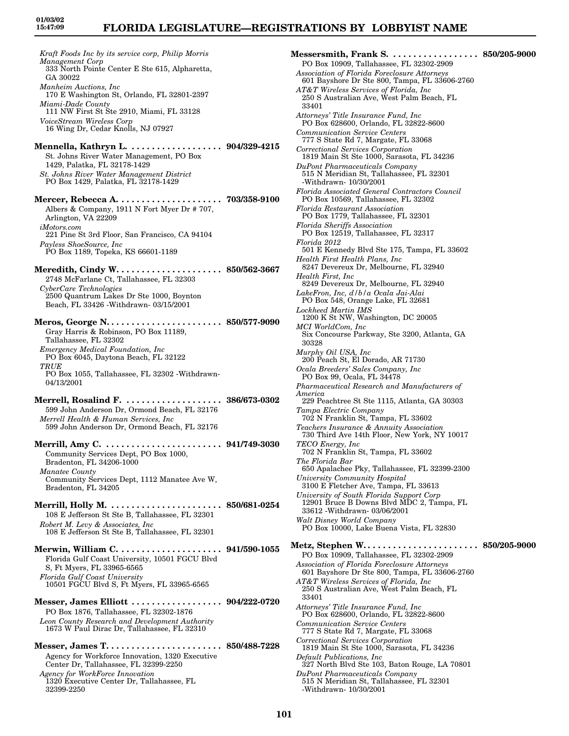# **FLORIDA LEGISLATURE—REGISTRATIONS BY LOBBYIST NAME**

*Kraft Foods Inc by its service corp, Philip Morris Management Corp* 333 North Pointe Center E Ste 615, Alpharetta, GA 30022 *Manheim Auctions, Inc* 170 E Washington St, Orlando, FL 32801-2397 *Miami-Dade County* 111 NW First St Ste 2910, Miami, FL 33128 *VoiceStream Wireless Corp* 16 Wing Dr, Cedar Knolls, NJ 07927 **Mennella, Kathryn L. . . . . . . . . . . . . . . . . . . 904/329-4215** St. Johns River Water Management, PO Box 1429, Palatka, FL 32178-1429 *St. Johns River Water Management District* PO Box 1429, Palatka, FL 32178-1429 **Mercer, Rebecca A. . . . . . . . . . . . . . . . . . . . . 703/358-9100** Albers & Company, 1911 N Fort Myer Dr # 707, Arlington, VA 22209 *iMotors.com* 221 Pine St 3rd Floor, San Francisco, CA 94104 *Payless ShoeSource, Inc* PO Box 1189, Topeka, KS 66601-1189 **Meredith, Cindy W. . . . . . . . . . . . . . . . . . . . . 850/562-3667** 2748 McFarlane Ct, Tallahassee, FL 32303 *CyberCare Technologies* 2500 Quantrum Lakes Dr Ste 1000, Boynton Beach, FL 33426 -Withdrawn- 03/15/2001 **Meros, George N. . . . . . . . . . . . . . . . . . . . . . . 850/577-9090** Gray Harris & Robinson, PO Box 11189, Tallahassee, FL 32302 *Emergency Medical Foundation, Inc* PO Box 6045, Daytona Beach, FL 32122 *TRUE* PO Box 1055, Tallahassee, FL 32302 -Withdrawn-04/13/2001 **Merrell, Rosalind F. . . . . . . . . . . . . . . . . . . . 386/673-0302** 599 John Anderson Dr, Ormond Beach, FL 32176 *Merrell Health & Human Services, Inc* 599 John Anderson Dr, Ormond Beach, FL 32176 **Merrill, Amy C. . . . . . . . . . . . . . . . . . . . . . . . 941/749-3030** Community Services Dept, PO Box 1000, Bradenton, FL 34206-1000 *Manatee County* Community Services Dept, 1112 Manatee Ave W, Bradenton, FL 34205 **Merrill, Holly M. . . . . . . . . . . . . . . . . . . . . . . 850/681-0254** 108 E Jefferson St Ste B, Tallahassee, FL 32301 *Robert M. Levy & Associates, Inc* 108 E Jefferson St Ste B, Tallahassee, FL 32301 **Merwin, William C. . . . . . . . . . . . . . . . . . . . . 941/590-1055** Florida Gulf Coast University, 10501 FGCU Blvd S, Ft Myers, FL 33965-6565 *Florida Gulf Coast University* 10501 FGCU Blvd S, Ft Myers, FL 33965-6565 **Messer, James Elliott . . . . . . . . . . . . . . . . . . 904/222-0720** PO Box 1876, Tallahassee, FL 32302-1876 *Leon County Research and Development Authority* 1673 W Paul Dirac Dr, Tallahassee, FL 32310 **Messer, James T. . . . . . . . . . . . . . . . . . . . . . . 850/488-7228** Agency for Workforce Innovation, 1320 Executive Center Dr, Tallahassee, FL 32399-2250 *Agency for WorkForce Innovation* 1320 Executive Center Dr, Tallahassee, FL 32399-2250

**Messersmith, Frank S. . . . . . . . . . . . . . . . . . 850/205-9000** PO Box 10909, Tallahassee, FL 32302-2909 *Association of Florida Foreclosure Attorneys* 601 Bayshore Dr Ste 800, Tampa, FL 33606-2760 *AT&T Wireless Services of Florida, Inc* 250 S Australian Ave, West Palm Beach, FL 33401 *Attorneys' Title Insurance Fund, Inc* PO Box 628600, Orlando, FL 32822-8600 *Communication Service Centers* 777 S State Rd 7, Margate, FL 33068 *Correctional Services Corporation* 1819 Main St Ste 1000, Sarasota, FL 34236 *DuPont Pharmaceuticals Company* 515 N Meridian St, Tallahassee, FL 32301 -Withdrawn- 10/30/2001 *Florida Associated General Contractors Council* PO Box 10569, Tallahassee, FL 32302 *Florida Restaurant Association* PO Box 1779, Tallahassee, FL 32301 *Florida Sheriffs Association* PO Box 12519, Tallahassee, FL 32317 *Florida 2012* 501 E Kennedy Blvd Ste 175, Tampa, FL 33602 *Health First Health Plans, Inc* 8247 Devereux Dr, Melbourne, FL 32940 *Health First, Inc* 8249 Devereux Dr, Melbourne, FL 32940 *LakeFron, Inc, d/b/a Ocala Jai-Alai* PO Box 548, Orange Lake, FL 32681 *Lockheed Martin IMS* 1200 K St NW, Washington, DC 20005 *MCI WorldCom, Inc* Six Concourse Parkway, Ste 3200, Atlanta, GA 30328 *Murphy Oil USA, Inc* 200 Peach St, El Dorado, AR 71730 *Ocala Breeders' Sales Company, Inc* PO Box 99, Ocala, FL 34478 *Pharmaceutical Research and Manufacturers of America* 229 Peachtree St Ste 1115, Atlanta, GA 30303 *Tampa Electric Company* 702 N Franklin St, Tampa, FL 33602 *Teachers Insurance & Annuity Association* 730 Third Ave 14th Floor, New York, NY 10017 *TECO Energy, Inc* 702 N Franklin St, Tampa, FL 33602 *The Florida Bar* 650 Apalachee Pky, Tallahassee, FL 32399-2300 *University Community Hospital* 3100 E Fletcher Ave, Tampa, FL 33613 *University of South Florida Support Corp* 12901 Bruce B Downs Blvd MDC 2, Tampa, FL 33612 -Withdrawn- 03/06/2001 *Walt Disney World Company* PO Box 10000, Lake Buena Vista, FL 32830 **Metz, Stephen W. . . . . . . . . . . . . . . . . . . . . . . 850/205-9000** PO Box 10909, Tallahassee, FL 32302-2909 *Association of Florida Foreclosure Attorneys* 601 Bayshore Dr Ste 800, Tampa, FL 33606-2760 *AT&T Wireless Services of Florida, Inc* 250 S Australian Ave, West Palm Beach, FL 33401 *Attorneys' Title Insurance Fund, Inc* PO Box 628600, Orlando, FL 32822-8600 *Communication Service Centers* 777 S State Rd 7, Margate, FL 33068 *Correctional Services Corporation* 1819 Main St Ste 1000, Sarasota, FL 34236 *Default Publications, Inc* 327 North Blvd Ste 103, Baton Rouge, LA 70801 *DuPont Pharmaceuticals Company* 515 N Meridian St, Tallahassee, FL 32301 -Withdrawn- 10/30/2001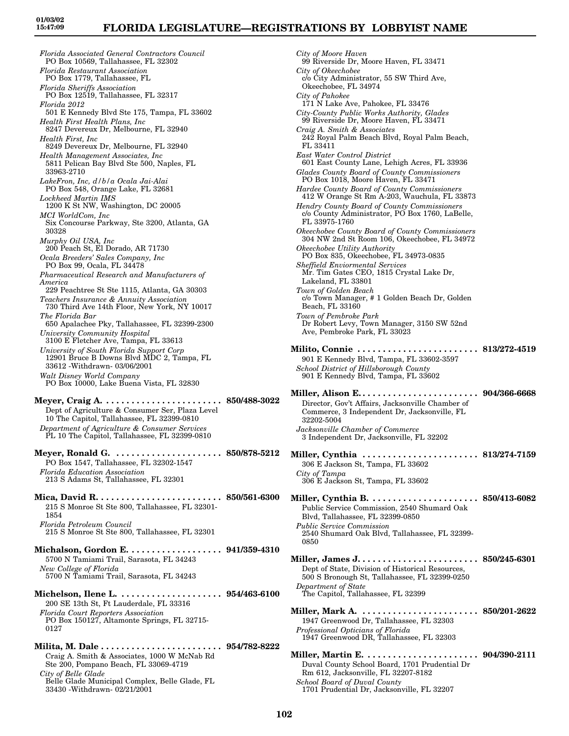*Florida Associated General Contractors Council* PO Box 10569, Tallahassee, FL 32302 *Florida Restaurant Association* PO Box 1779, Tallahassee, FL *Florida Sheriffs Association* PO Box 12519, Tallahassee, FL 32317 *Florida 2012* 501 E Kennedy Blvd Ste 175, Tampa, FL 33602 *Health First Health Plans, Inc* 8247 Devereux Dr, Melbourne, FL 32940 *Health First, Inc* 8249 Devereux Dr, Melbourne, FL 32940 *Health Management Associates, Inc* 5811 Pelican Bay Blvd Ste 500, Naples, FL 33963-2710 *LakeFron, Inc, d/b/a Ocala Jai-Alai* PO Box 548, Orange Lake, FL 32681 *Lockheed Martin IMS* 1200 K St NW, Washington, DC 20005 *MCI WorldCom, Inc* Six Concourse Parkway, Ste 3200, Atlanta, GA 30328 *Murphy Oil USA, Inc* 200 Peach St, El Dorado, AR 71730 *Ocala Breeders' Sales Company, Inc* PO Box 99, Ocala, FL 34478 *Pharmaceutical Research and Manufacturers of America* 229 Peachtree St Ste 1115, Atlanta, GA 30303 *Teachers Insurance & Annuity Association* 730 Third Ave 14th Floor, New York, NY 10017 *The Florida Bar* 650 Apalachee Pky, Tallahassee, FL 32399-2300 *University Community Hospital* 3100 E Fletcher Ave, Tampa, FL 33613 *University of South Florida Support Corp* 12901 Bruce B Downs Blvd MDC 2, Tampa, FL 33612 -Withdrawn- 03/06/2001 *Walt Disney World Company* PO Box 10000, Lake Buena Vista, FL 32830 **Meyer, Craig A. . . . . . . . . . . . . . . . . . . . . . . . 850/488-3022** Dept of Agriculture & Consumer Ser, Plaza Level 10 The Capitol, Tallahassee, FL 32399-0810 *Department of Agriculture & Consumer Services* PL 10 The Capitol, Tallahassee, FL 32399-0810 **Meyer, Ronald G. . . . . . . . . . . . . . . . . . . . . . 850/878-5212** PO Box 1547, Tallahassee, FL 32302-1547 *Florida Education Association* 213 S Adams St, Tallahassee, FL 32301 **Mica, David R. . . . . . . . . . . . . . . . . . . . . . . . . 850/561-6300** 215 S Monroe St Ste 800, Tallahassee, FL 32301- 1854 *Florida Petroleum Council* 215 S Monroe St Ste 800, Tallahassee, FL 32301 **Michalson, Gordon E. . . . . . . . . . . . . . . . . . . 941/359-4310** 5700 N Tamiami Trail, Sarasota, FL 34243 *New College of Florida* 5700 N Tamiami Trail, Sarasota, FL 34243 **Michelson, Ilene L. . . . . . . . . . . . . . . . . . . . . 954/463-6100** 200 SE 13th St, Ft Lauderdale, FL 33316 *Florida Court Reporters Association* PO Box 150127, Altamonte Springs, FL 32715- 0127 **Milita, M. Dale . . . . . . . . . . . . . . . . . . . . . . . . 954/782-8222** Craig A. Smith & Associates, 1000 W McNab Rd Ste 200, Pompano Beach, FL 33069-4719 *City of Belle Glade*

Belle Glade Municipal Complex, Belle Glade, FL 33430 -Withdrawn- 02/21/2001

*City of Moore Haven* 99 Riverside Dr, Moore Haven, FL 33471 *City of Okeechobee* c/o City Administrator, 55 SW Third Ave, Okeechobee, FL 34974 *City of Pahokee* 171 N Lake Ave, Pahokee, FL 33476 *City-County Public Works Authority, Glades* 99 Riverside Dr, Moore Haven, FL 33471 *Craig A. Smith & Associates* 242 Royal Palm Beach Blvd, Royal Palm Beach, FL 33411 *East Water Control District* 601 East County Lane, Lehigh Acres, FL 33936 *Glades County Board of County Commissioners* PO Box 1018, Moore Haven, FL 33471 *Hardee County Board of County Commissioners* 412 W Orange St Rm A-203, Wauchula, FL 33873 *Hendry County Board of County Commissioners* c/o County Administrator, PO Box 1760, LaBelle, FL 33975-1760 *Okeechobee County Board of County Commissioners* 304 NW 2nd St Room 106, Okeechobee, FL 34972 *Okeechobee Utility Authority* PO Box 835, Okeechobee, FL 34973-0835 *Sheffield Enviormental Services* Mr. Tim Gates CEO, 1815 Crystal Lake Dr, Lakeland, FL 33801 *Town of Golden Beach* c/o Town Manager, # 1 Golden Beach Dr, Golden Beach, FL 33160 *Town of Pembroke Park* Dr Robert Levy, Town Manager, 3150 SW 52nd Ave, Pembroke Park, FL 33023 **Milito, Connie . . . . . . . . . . . . . . . . . . . . . . . . 813/272-4519** 901 E Kennedy Blvd, Tampa, FL 33602-3597 *School District of Hillsborough County* 901 E Kennedy Blvd, Tampa, FL 33602 **Miller, Alison E. . . . . . . . . . . . . . . . . . . . . . . . 904/366-6668** Director, Gov't Affairs, Jacksonville Chamber of Commerce, 3 Independent Dr, Jacksonville, FL 32202-5004 *Jacksonville Chamber of Commerce* 3 Independent Dr, Jacksonville, FL 32202 **Miller, Cynthia . . . . . . . . . . . . . . . . . . . . . . . 813/274-7159** 306 E Jackson St, Tampa, FL 33602 *City of Tampa* 306 E Jackson St, Tampa, FL 33602 **Miller, Cynthia B. . . . . . . . . . . . . . . . . . . . . . 850/413-6082** Public Service Commission, 2540 Shumard Oak Blvd, Tallahassee, FL 32399-0850 *Public Service Commission* 2540 Shumard Oak Blvd, Tallahassee, FL 32399- 0850 **Miller, James J. . . . . . . . . . . . . . . . . . . . . . . . 850/245-6301** Dept of State, Division of Historical Resources, 500 S Bronough St, Tallahassee, FL 32399-0250 *Department of State* The Capitol, Tallahassee, FL 32399 **Miller, Mark A. . . . . . . . . . . . . . . . . . . . . . . . 850/201-2622** 1947 Greenwood Dr, Tallahassee, FL 32303 *Professional Opticians of Florida* 1947 Greenwood DR, Tallahassee, FL 32303 **Miller, Martin E. . . . . . . . . . . . . . . . . . . . . . . 904/390-2111** Duval County School Board, 1701 Prudential Dr Rm 612, Jacksonville, FL 32207-8182 *School Board of Duval County* 1701 Prudential Dr, Jacksonville, FL 32207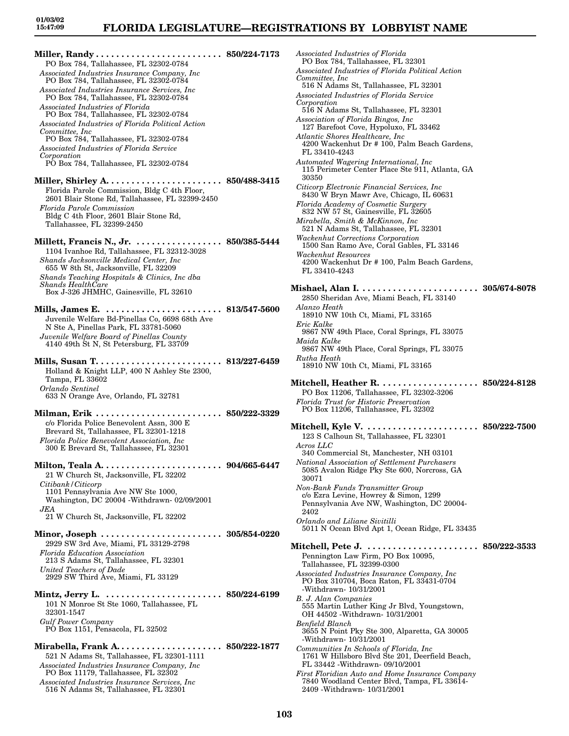**Miller, Randy . . . . . . . . . . . . . . . . . . . . . . . . . 850/224-7173** PO Box 784, Tallahassee, FL 32302-0784 *Associated Industries Insurance Company, Inc* PO Box 784, Tallahassee, FL 32302-0784 *Associated Industries Insurance Services, Inc* PO Box 784, Tallahassee, FL 32302-0784 *Associated Industries of Florida* PO Box 784, Tallahassee, FL 32302-0784 *Associated Industries of Florida Political Action Committee, Inc* PO Box 784, Tallahassee, FL 32302-0784 *Associated Industries of Florida Service Corporation* PO Box 784, Tallahassee, FL 32302-0784 **Miller, Shirley A. . . . . . . . . . . . . . . . . . . . . . . 850/488-3415** Florida Parole Commission, Bldg C 4th Floor, 2601 Blair Stone Rd, Tallahassee, FL 32399-2450 *Florida Parole Commission* Bldg C 4th Floor, 2601 Blair Stone Rd, Tallahassee, FL 32399-2450 **Millett, Francis N., Jr. . . . . . . . . . . . . . . . . . 850/385-5444** 1104 Ivanhoe Rd, Tallahassee, FL 32312-3028 *Shands Jacksonville Medical Center, Inc* 655 W 8th St, Jacksonville, FL 32209 *Shands Teaching Hospitals & Clinics, Inc dba Shands HealthCare* Box J-326 JHMHC, Gainesville, FL 32610 **Mills, James E. . . . . . . . . . . . . . . . . . . . . . . . 813/547-5600** Juvenile Welfare Bd-Pinellas Co, 6698 68th Ave N Ste A, Pinellas Park, FL 33781-5060 *Juvenile Welfare Board of Pinellas County* 4140 49th St N, St Petersburg, FL 33709 **Mills, Susan T. . . . . . . . . . . . . . . . . . . . . . . . . 813/227-6459** Holland & Knight LLP, 400 N Ashley Ste 2300, Tampa, FL 33602 *Orlando Sentinel* 633 N Orange Ave, Orlando, FL 32781 **Milman, Erik . . . . . . . . . . . . . . . . . . . . . . . . . 850/222-3329** c/o Florida Police Benevolent Assn, 300 E Brevard St, Tallahassee, FL 32301-1218 *Florida Police Benevolent Association, Inc* 300 E Brevard St, Tallahassee, FL 32301 **Milton, Teala A. . . . . . . . . . . . . . . . . . . . . . . . 904/665-6447** 21 W Church St, Jacksonville, FL 32202 *Citibank/Citicorp* 1101 Pennsylvania Ave NW Ste 1000, Washington, DC 20004 -Withdrawn- 02/09/2001 *JEA* 21 W Church St, Jacksonville, FL 32202 **Minor, Joseph . . . . . . . . . . . . . . . . . . . . . . . . 305/854-0220** 2929 SW 3rd Ave, Miami, FL 33129-2798 *Florida Education Association* 213 S Adams St, Tallahassee, FL 32301 *United Teachers of Dade* 2929 SW Third Ave, Miami, FL 33129 **Mintz, Jerry L. . . . . . . . . . . . . . . . . . . . . . . . 850/224-6199** 101 N Monroe St Ste 1060, Tallahassee, FL 32301-1547 *Gulf Power Company* PO Box 1151, Pensacola, FL 32502 **Mirabella, Frank A. . . . . . . . . . . . . . . . . . . . . 850/222-1877** 521 N Adams St, Tallahassee, FL 32301-1111 *Associated Industries Insurance Company, Inc* PO Box 11179, Tallahassee, FL 32302

*Associated Industries Insurance Services, Inc* 516 N Adams St, Tallahassee, FL 32301

*Associated Industries of Florida* PO Box 784, Tallahassee, FL 32301 *Associated Industries of Florida Political Action Committee, Inc* 516 N Adams St, Tallahassee, FL 32301 *Associated Industries of Florida Service Corporation* 516 N Adams St, Tallahassee, FL 32301 *Association of Florida Bingos, Inc* 127 Barefoot Cove, Hypoluxo, FL 33462 *Atlantic Shores Healthcare, Inc* 4200 Wackenhut Dr # 100, Palm Beach Gardens, FL 33410-4243 *Automated Wagering International, Inc* 115 Perimeter Center Place Ste 911, Atlanta, GA 30350 *Citicorp Electronic Financial Services, Inc* 8430 W Bryn Mawr Ave, Chicago, IL 60631 *Florida Academy of Cosmetic Surgery* 832 NW 57 St, Gainesville, FL 32605 *Mirabella, Smith & McKinnon, Inc* 521 N Adams St, Tallahassee, FL 32301 *Wackenhut Corrections Corporation* 1500 San Ramo Ave, Coral Gables, FL 33146 *Wackenhut Resources* 4200 Wackenhut Dr # 100, Palm Beach Gardens, FL 33410-4243 **Mishael, Alan I. . . . . . . . . . . . . . . . . . . . . . . . 305/674-8078** 2850 Sheridan Ave, Miami Beach, FL 33140 *Alanzo Heath* 18910 NW 10th Ct, Miami, FL 33165 *Eric Kalke* 9867 NW 49th Place, Coral Springs, FL 33075 *Maida Kalke* 9867 NW 49th Place, Coral Springs, FL 33075 *Rutha Heath* 18910 NW 10th Ct, Miami, FL 33165 **Mitchell, Heather R. . . . . . . . . . . . . . . . . . . . 850/224-8128** PO Box 11206, Tallahassee, FL 32302-3206 *Florida Trust for Historic Preservation* PO Box 11206, Tallahassee, FL 32302 **Mitchell, Kyle V. . . . . . . . . . . . . . . . . . . . . . . 850/222-7500** 123 S Calhoun St, Tallahassee, FL 32301 *Acros LLC* 340 Commercial St, Manchester, NH 03101 *National Association of Settlement Purchasers* 5085 Avalon Ridge Pky Ste 600, Norcross, GA 30071 *Non-Bank Funds Transmitter Group* c/o Ezra Levine, Howrey & Simon, 1299 Pennsylvania Ave NW, Washington, DC 20004- 2402 *Orlando and Liliane Sivitilli* 5011 N Ocean Blvd Apt 1, Ocean Ridge, FL 33435 **Mitchell, Pete J. . . . . . . . . . . . . . . . . . . . . . . 850/222-3533** Pennington Law Firm, PO Box 10095, Tallahassee, FL 32399-0300 *Associated Industries Insurance Company, Inc* PO Box 310704, Boca Raton, FL 33431-0704 -Withdrawn- 10/31/2001 *B. J. Alan Companies* 555 Martin Luther King Jr Blvd, Youngstown, OH 44502 -Withdrawn- 10/31/2001 *Benfield Blanch* 3655 N Point Pky Ste 300, Alparetta, GA 30005 -Withdrawn- 10/31/2001 *Communities In Schools of Florida, Inc* 1761 W Hillsboro Blvd Ste 201, Deerfield Beach, FL 33442 -Withdrawn- 09/10/2001 *First Floridian Auto and Home Insurance Company* 7840 Woodland Center Blvd, Tampa, FL 33614- 2409 -Withdrawn- 10/31/2001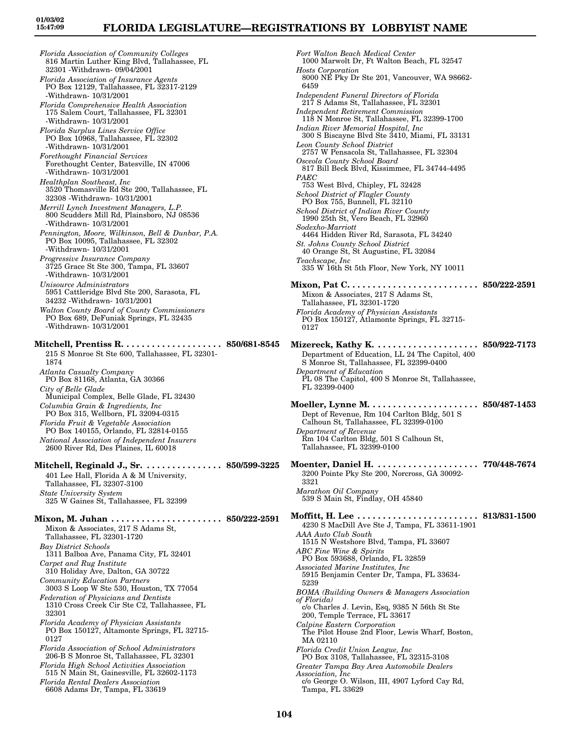*Florida Association of Community Colleges* 816 Martin Luther King Blvd, Tallahassee, FL 32301 -Withdrawn- 09/04/2001 *Florida Association of Insurance Agents* PO Box 12129, Tallahassee, FL 32317-2129 -Withdrawn- 10/31/2001 *Florida Comprehensive Health Association* 175 Salem Court, Tallahassee, FL 32301 -Withdrawn- 10/31/2001 *Florida Surplus Lines Service Office* PO Box 10968, Tallahassee, FL 32302 -Withdrawn- 10/31/2001 *Forethought Financial Services* Forethought Center, Batesville, IN 47006 -Withdrawn- 10/31/2001 *Healthplan Southeast, Inc* 3520 Thomasville Rd Ste 200, Tallahassee, FL 32308 -Withdrawn- 10/31/2001 *Merrill Lynch Investment Managers, L.P.* 800 Scudders Mill Rd, Plainsboro, NJ 08536 -Withdrawn- 10/31/2001 *Pennington, Moore, Wilkinson, Bell & Dunbar, P.A.* PO Box 10095, Tallahassee, FL 32302 -Withdrawn- 10/31/2001 *Progressive Insurance Company* 3725 Grace St Ste 300, Tampa, FL 33607 -Withdrawn- 10/31/2001 *Unisource Administrators* 5951 Cattleridge Blvd Ste 200, Sarasota, FL 34232 -Withdrawn- 10/31/2001 *Walton County Board of County Commissioners* PO Box 689, DeFuniak Springs, FL 32435 -Withdrawn- 10/31/2001 **Mitchell, Prentiss R. . . . . . . . . . . . . . . . . . . . 850/681-8545** 215 S Monroe St Ste 600, Tallahassee, FL 32301- 1874 *Atlanta Casualty Company* PO Box 81168, Atlanta, GA 30366 *City of Belle Glade* Municipal Complex, Belle Glade, FL 32430 *Columbia Grain & Ingredients, Inc* PO Box 315, Wellborn, FL 32094-0315 *Florida Fruit & Vegetable Association* PO Box 140155, Orlando, FL 32814-0155 *National Association of Independent Insurers* 2600 River Rd, Des Plaines, IL 60018 **Mitchell, Reginald J., Sr. . . . . . . . . . . . . . . . 850/599-3225** 401 Lee Hall, Florida A & M University, Tallahassee, FL 32307-3100 *State University System* 325 W Gaines St, Tallahassee, FL 32399 **Mixon, M. Juhan . . . . . . . . . . . . . . . . . . . . . . 850/222-2591** Mixon & Associates, 217 S Adams St, Tallahassee, FL 32301-1720 *Bay District Schools* 1311 Balboa Ave, Panama City, FL 32401 *Carpet and Rug Institute* 310 Holiday Ave, Dalton, GA 30722 *Community Education Partners* 3003 S Loop W Ste 530, Houston, TX 77054 *Federation of Physicians and Dentists* 1310 Cross Creek Cir Ste C2, Tallahassee, FL 32301 *Florida Academy of Physician Assistants* PO Box 150127, Altamonte Springs, FL 32715- 0127 *Florida Association of School Administrators* 206-B S Monroe St, Tallahassee, FL 32301 *Florida High School Activities Association*

515 N Main St, Gainesville, FL 32602-1173 *Florida Rental Dealers Association* 6608 Adams Dr, Tampa, FL 33619

*Fort Walton Beach Medical Center* 1000 Marwolt Dr, Ft Walton Beach, FL 32547 *Hosts Corporation* 8000 NE Pky Dr Ste 201, Vancouver, WA 98662- 6459 *Independent Funeral Directors of Florida* 217 S Adams St, Tallahassee, FL 32301 *Independent Retirement Commission* 118 N Monroe St, Tallahassee, FL 32399-1700 *Indian River Memorial Hospital, Inc* 300 S Biscayne Blvd Ste 3410, Miami, FL 33131 *Leon County School District* 2757 W Pensacola St, Tallahassee, FL 32304 *Osceola County School Board* 817 Bill Beck Blvd, Kissimmee, FL 34744-4495 *PAEC* 753 West Blvd, Chipley, FL 32428 *School District of Flagler County* PO Box 755, Bunnell, FL 32110 *School District of Indian River County* 1990 25th St, Vero Beach, FL 32960 *Sodexho-Marriott* 4464 Hidden River Rd, Sarasota, FL 34240 *St. Johns County School District* 40 Orange St, St Augustine, FL 32084 *Teachscape, Inc* 335 W 16th St 5th Floor, New York, NY 10011 **Mixon, Pat C. . . . . . . . . . . . . . . . . . . . . . . . . . 850/222-2591** Mixon & Associates, 217 S Adams St, Tallahassee, FL 32301-1720 *Florida Academy of Physician Assistants* PO Box 150127, Atlamonte Springs, FL 32715- 0127 **Mizereck, Kathy K. . . . . . . . . . . . . . . . . . . . . 850/922-7173** Department of Education, LL 24 The Capitol, 400 S Monroe St, Tallahassee, FL 32399-0400 *Department of Education* PL 08 The Capitol, 400 S Monroe St, Tallahassee, FL 32399-0400 **Moeller, Lynne M. . . . . . . . . . . . . . . . . . . . . . 850/487-1453** Dept of Revenue, Rm 104 Carlton Bldg, 501 S Calhoun St, Tallahassee, FL 32399-0100 *Department of Revenue* Rm 104 Carlton Bldg, 501 S Calhoun St, Tallahassee, FL 32399-0100 **Moenter, Daniel H. . . . . . . . . . . . . . . . . . . . . 770/448-7674** 3200 Pointe Pky Ste 200, Norcross, GA 30092- 3321 *Marathon Oil Company* 539 S Main St, Findlay, OH 45840 **Moffitt, H. Lee . . . . . . . . . . . . . . . . . . . . . . . . 813/831-1500** 4230 S MacDill Ave Ste J, Tampa, FL 33611-1901 *AAA Auto Club South* 1515 N Westshore Blvd, Tampa, FL 33607 *ABC Fine Wine & Spirits* PO Box 593688, Orlando, FL 32859 *Associated Marine Institutes, Inc* 5915 Benjamin Center Dr, Tampa, FL 33634- 5239 *BOMA (Building Owners & Managers Association of Florida)* c/o Charles J. Levin, Esq, 9385 N 56th St Ste 200, Temple Terrace, FL 33617 *Calpine Eastern Corporation* The Pilot House 2nd Floor, Lewis Wharf, Boston, MA 02110 *Florida Credit Union League, Inc* PO Box 3108, Tallahassee, FL 32315-3108 *Greater Tampa Bay Area Automobile Dealers Association, Inc* c/o George O. Wilson, III, 4907 Lyford Cay Rd, Tampa, FL 33629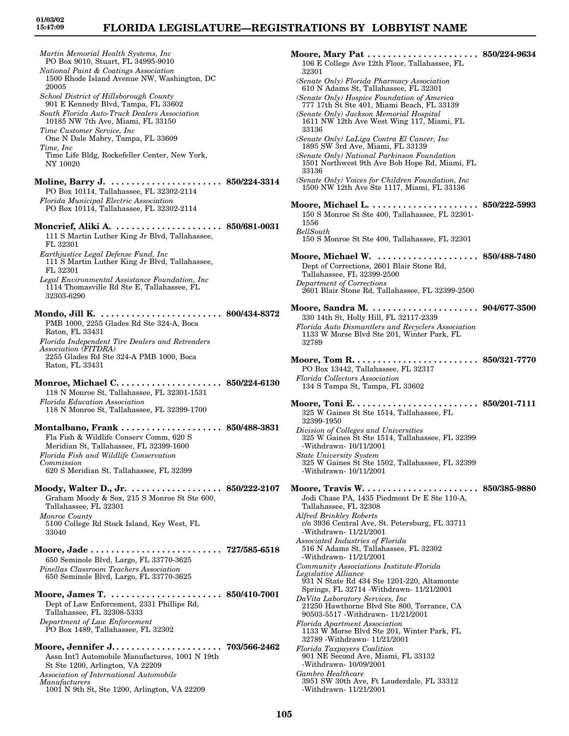*Martin Memorial Health Systems, Inc*

PO Box 9010, Stuart, FL 34995-9010 *National Paint & Coatings Association* 1500 Rhode Island Avenue NW, Washington, DC 20005 *School District of Hillsborough County* 901 E Kennedy Blvd, Tampa, FL 33602 *South Florida Auto-Truck Dealers Association* 10185 NW 7th Ave, Miami, FL 33150 *Time Customer Service, Inc* One N Dale Mabry, Tampa, FL 33609 *Time, Inc* Time Life Bldg, Rockefeller Center, New York, NY 10020 **Moline, Barry J. . . . . . . . . . . . . . . . . . . . . . . 850/224-3314** PO Box 10114, Tallahassee, FL 32302-2114 *Florida Municipal Electric Association* PO Box 10114, Tallahassee, FL 32302-2114 **Moncrief, Aliki A. . . . . . . . . . . . . . . . . . . . . . 850/681-0031** 111 S Martin Luther King Jr Blvd, Tallahassee, FL 32301 *Earthjustice Legal Defense Fund, Inc* 111 S Martin Luther King Jr Blvd, Tallahassee, FL 32301 *Legal Environmental Assistance Foundation, Inc* 1114 Thomasville Rd Ste E, Tallahassee, FL 32303-6290 **Mondo, Jill K. . . . . . . . . . . . . . . . . . . . . . . . . 800/434-8372** PMB 1000, 2255 Glades Rd Ste 324-A, Boca Raton, FL 33431 *Florida Independent Tire Dealers and Retreaders Association (FITDRA)* 2255 Glades Rd Ste 324-A PMB 1000, Boca Raton, FL 33431 **Monroe, Michael C. . . . . . . . . . . . . . . . . . . . . 850/224-6130** 118 N Monroe St, Tallahassee, FL 32301-1531 *Florida Education Association* 118 N Monroe St, Tallahassee, FL 32399-1700 **Montalbano, Frank . . . . . . . . . . . . . . . . . . . . 850/488-3831** Fla Fish & Wildlife Conserv Comm, 620 S Meridian St, Tallahassee, FL 32399-1600 *Florida Fish and Wildlife Conservation Commission* 620 S Meridian St, Tallahassee, FL 32399 **Moody, Walter D., Jr. . . . . . . . . . . . . . . . . . . 850/222-2107** Graham Moody & Sox, 215 S Monroe St Ste 600, Tallahassee, FL 32301 *Monroe County* 5100 College Rd Stock Island, Key West, FL 33040 **Moore, Jade . . . . . . . . . . . . . . . . . . . . . . . . . . 727/585-6518** 650 Seminole Blvd, Largo, FL 33770-3625 *Pinellas Classroom Teachers Association* 650 Seminole Blvd, Largo, FL 33770-3625 **Moore, James T. . . . . . . . . . . . . . . . . . . . . . . 850/410-7001** Dept of Law Enforcement, 2331 Phillips Rd, Tallahassee, FL 32308-5333 *Department of Law Enforcement* PO Box 1489, Tallahassee, FL 32302 **Moore, Jennifer J. . . . . . . . . . . . . . . . . . . . . . 703/566-2462** Assn Int'l Automobile Manufactures, 1001 N 19th St Ste 1200, Arlington, VA 22209 *Association of International Automobile Manufacturers*

1001 N 9th St, Ste 1200, Arlington, VA 22209

**Moore, Mary Pat . . . . . . . . . . . . . . . . . . . . . . 850/224-9634** 106 E College Ave 12th Floor, Tallahassee, FL 32301 *(Senate Only) Florida Pharmacy Association* 610 N Adams St, Tallahassee, FL 32301 *(Senate Only) Hospice Foundation of America* 777 17th St Ste 401, Miami Beach, FL 33139 *(Senate Only) Jackson Memorial Hospital* 1611 NW 12th Ave West Wing 117, Miami, FL 33136 *(Senate Only) LaLiga Contra El Cancer, Inc* 1895 SW 3rd Ave, Miami, FL 33139 *(Senate Only) National Parkinson Foundation* 1501 Northwest 9th Ave Bob Hope Rd, Miami, FL 33136 *(Senate Only) Voices for Children Foundation, Inc* 1500 NW 12th Ave Ste 1117, Miami, FL 33136 **Moore, Michael L. . . . . . . . . . . . . . . . . . . . . . 850/222-5993** 150 S Monroe St Ste 400, Tallahassee, FL 32301- 1556 *BellSouth* 150 S Monroe St Ste 400, Tallahassee, FL 32301 **Moore, Michael W. . . . . . . . . . . . . . . . . . . . . 850/488-7480** Dept of Corrections, 2601 Blair Stone Rd, Tallahassee, FL 32399-2500 *Department of Corrections* 2601 Blair Stone Rd, Tallahassee, FL 32399-2500 **Moore, Sandra M. . . . . . . . . . . . . . . . . . . . . . 904/677-3500** 330 14th St, Holly Hill, FL 32117-2339 *Florida Auto Dismantlers and Recyclers Association* 1133 W Morse Blvd Ste 201, Winter Park, FL 32789 **Moore, Tom R. . . . . . . . . . . . . . . . . . . . . . . . . 850/321-7770** PO Box 13442, Tallahassee, FL 32317 *Florida Collectors Association* 134 S Tampa St, Tampa, FL 33602 **Moore, Toni E. . . . . . . . . . . . . . . . . . . . . . . . . 850/201-7111** 325 W Gaines St Ste 1514, Tallahassee, FL 32399-1950 *Division of Colleges and Universities* 325 W Gaines St Ste 1514, Tallahassee, FL 32399 -Withdrawn- 10/11/2001 *State University System* 325 W Gaines St Ste 1502, Tallahassee, FL 32399 -Withdrawn- 10/11/2001 **Moore, Travis W. . . . . . . . . . . . . . . . . . . . . . . 850/385-9880** Jodi Chase PA, 1435 Piedmont Dr E Ste 110-A, Tallahassee, FL 32308 *Alfred Brinkley Roberts* c/o 3936 Central Ave, St. Petersburg, FL 33711 -Withdrawn- 11/21/2001 *Associated Industries of Florida* 516 N Adams St, Tallahassee, FL 32302 -Withdrawn- 11/21/2001 *Community Associations Institute-Florida Legislative Alliance* 931 N State Rd 434 Ste 1201-220, Altamonte Springs, FL 32714 -Withdrawn- 11/21/2001 *DaVita Laboratory Services, Inc* 21250 Hawthorne Blvd Ste 800, Torrance, CA 90503-5517 -Withdrawn- 11/21/2001 *Florida Apartment Association* 1133 W Morse Blvd Ste 201, Winter Park, FL 32789 -Withdrawn- 11/21/2001 *Florida Taxpayers Coalition* 901 NE Second Ave, Miami, FL 33132 -Withdrawn- 10/09/2001 *Gambro Healthcare* 3951 SW 30th Ave, Ft Lauderdale, FL 33312 -Withdrawn- 11/21/2001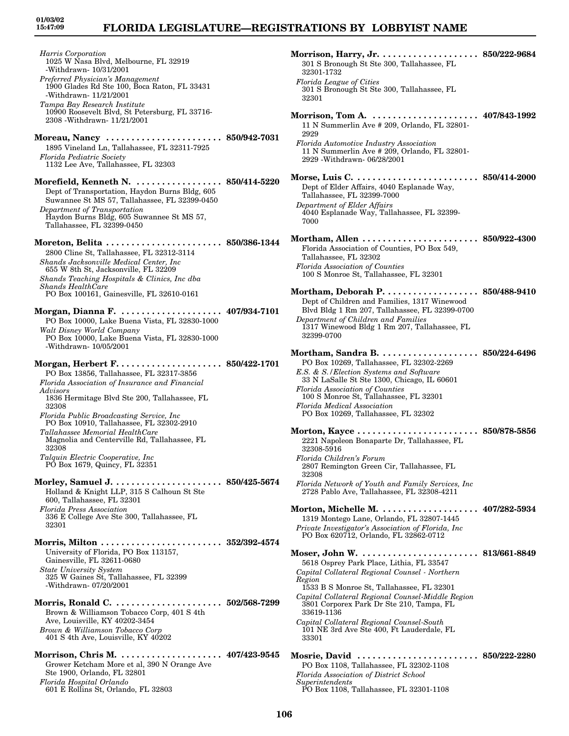## **FLORIDA LEGISLATURE—REGISTRATIONS BY LOBBYIST NAME**

32301-1732

*Florida League of Cities*

*Harris Corporation* 1025 W Nasa Blvd, Melbourne, FL 32919 -Withdrawn- 10/31/2001 *Preferred Physician's Management* 1900 Glades Rd Ste 100, Boca Raton, FL 33431 -Withdrawn- 11/21/2001 *Tampa Bay Research Institute* 10900 Roosevelt Blvd, St Petersburg, FL 33716- 2308 -Withdrawn- 11/21/2001 **Moreau, Nancy . . . . . . . . . . . . . . . . . . . . . . . 850/942-7031** 1895 Vineland Ln, Tallahassee, FL 32311-7925 *Florida Pediatric Society* 1132 Lee Ave, Tallahassee, FL 32303 **Morefield, Kenneth N. . . . . . . . . . . . . . . . . . 850/414-5220** Dept of Transportation, Haydon Burns Bldg, 605 Suwannee St MS 57, Tallahassee, FL 32399-0450 *Department of Transportation* Haydon Burns Bldg, 605 Suwannee St MS 57, Tallahassee, FL 32399-0450 **Moreton, Belita . . . . . . . . . . . . . . . . . . . . . . . 850/386-1344** 2800 Cline St, Tallahassee, FL 32312-3114 *Shands Jacksonville Medical Center, Inc* 655 W 8th St, Jacksonville, FL 32209 *Shands Teaching Hospitals & Clinics, Inc dba Shands HealthCare* PO Box 100161, Gainesville, FL 32610-0161 **Morgan, Dianna F. . . . . . . . . . . . . . . . . . . . . 407/934-7101** PO Box 10000, Lake Buena Vista, FL 32830-1000 *Walt Disney World Company* PO Box 10000, Lake Buena Vista, FL 32830-1000 -Withdrawn- 10/05/2001 **Morgan, Herbert F. . . . . . . . . . . . . . . . . . . . . 850/422-1701** PO Box 13856, Tallahassee, FL 32317-3856 *Florida Association of Insurance and Financial Advisors* 1836 Hermitage Blvd Ste 200, Tallahassee, FL 32308 *Florida Public Broadcasting Service, Inc* PO Box 10910, Tallahassee, FL 32302-2910 *Tallahassee Memorial HealthCare* Magnolia and Centerville Rd, Tallahassee, FL 32308 *Talquin Electric Cooperative, Inc* PO Box 1679, Quincy, FL 32351 **Morley, Samuel J. . . . . . . . . . . . . . . . . . . . . . 850/425-5674** Holland & Knight LLP, 315 S Calhoun St Ste 600, Tallahassee, FL 32301 *Florida Press Association* 336 E College Ave Ste 300, Tallahassee, FL 32301 **Morris, Milton . . . . . . . . . . . . . . . . . . . . . . . . 352/392-4574** University of Florida, PO Box 113157, Gainesville, FL 32611-0680 *State University System* 325 W Gaines St, Tallahassee, FL 32399 -Withdrawn- 07/20/2001 **Morris, Ronald C. . . . . . . . . . . . . . . . . . . . . . 502/568-7299** Brown & Williamson Tobacco Corp, 401 S 4th Ave, Louisville, KY 40202-3454 *Brown & Williamson Tobacco Corp* 401 S 4th Ave, Louisville, KY 40202 **Morrison, Chris M. . . . . . . . . . . . . . . . . . . . . 407/423-9545** Grower Ketcham More et al, 390 N Orange Ave Ste 1900, Orlando, FL 32801 *Florida Hospital Orlando*

601 E Rollins St, Orlando, FL 32803

301 S Bronough St Ste 300, Tallahassee, FL 32301 **Morrison, Tom A. . . . . . . . . . . . . . . . . . . . . . 407/843-1992** 11 N Summerlin Ave # 209, Orlando, FL 32801- 2929 *Florida Automotive Industry Association* 11 N Summerlin Ave # 209, Orlando, FL 32801- 2929 -Withdrawn- 06/28/2001 **Morse, Luis C. . . . . . . . . . . . . . . . . . . . . . . . . 850/414-2000** Dept of Elder Affairs, 4040 Esplanade Way, Tallahassee, FL 32399-7000 *Department of Elder Affairs* 4040 Esplanade Way, Tallahassee, FL 32399- 7000 **Mortham, Allen . . . . . . . . . . . . . . . . . . . . . . . 850/922-4300** Florida Association of Counties, PO Box 549, Tallahassee, FL 32302 *Florida Association of Counties* 100 S Monroe St, Tallahassee, FL 32301 **Mortham, Deborah P. . . . . . . . . . . . . . . . . . . 850/488-9410** Dept of Children and Families, 1317 Winewood Blvd Bldg 1 Rm 207, Tallahassee, FL 32399-0700 *Department of Children and Families* 1317 Winewood Bldg 1 Rm 207, Tallahassee, FL 32399-0700 **Mortham, Sandra B. . . . . . . . . . . . . . . . . . . . 850/224-6496** PO Box 10269, Tallahassee, FL 32302-2269 *E.S. & S./Election Systems and Software* 33 N LaSalle St Ste 1300, Chicago, IL 60601 *Florida Association of Counties* 100 S Monroe St, Tallahassee, FL 32301 *Florida Medical Association* PO Box 10269, Tallahassee, FL 32302 **Morton, Kayce . . . . . . . . . . . . . . . . . . . . . . . . 850/878-5856** 2221 Napoleon Bonaparte Dr, Tallahassee, FL 32308-5916 *Florida Children's Forum* 2807 Remington Green Cir, Tallahassee, FL 32308 *Florida Network of Youth and Family Services, Inc* 2728 Pablo Ave, Tallahassee, FL 32308-4211 **Morton, Michelle M. . . . . . . . . . . . . . . . . . . . 407/282-5934** 1319 Montego Lane, Orlando, FL 32807-1445 *Private Investigator's Association of Florida, Inc* PO Box 620712, Orlando, FL 32862-0712 **Moser, John W. . . . . . . . . . . . . . . . . . . . . . . . 813/661-8849** 5618 Osprey Park Place, Lithia, FL 33547 *Capital Collateral Regional Counsel - Northern Region* 1533 B S Monroe St, Tallahassee, FL 32301 *Capital Collateral Regional Counsel-Middle Region* 3801 Corporex Park Dr Ste 210, Tampa, FL 33619-1136 *Capital Collateral Regional Counsel-South* 101 NE 3rd Ave Ste 400, Ft Lauderdale, FL 33301 **Mosrie, David . . . . . . . . . . . . . . . . . . . . . . . . 850/222-2280** PO Box 1108, Tallahassee, FL 32302-1108 *Florida Association of District School Superintendents* PO Box 1108, Tallahassee, FL 32301-1108

**Morrison, Harry, Jr. . . . . . . . . . . . . . . . . . . . 850/222-9684**

301 S Bronough St Ste 300, Tallahassee, FL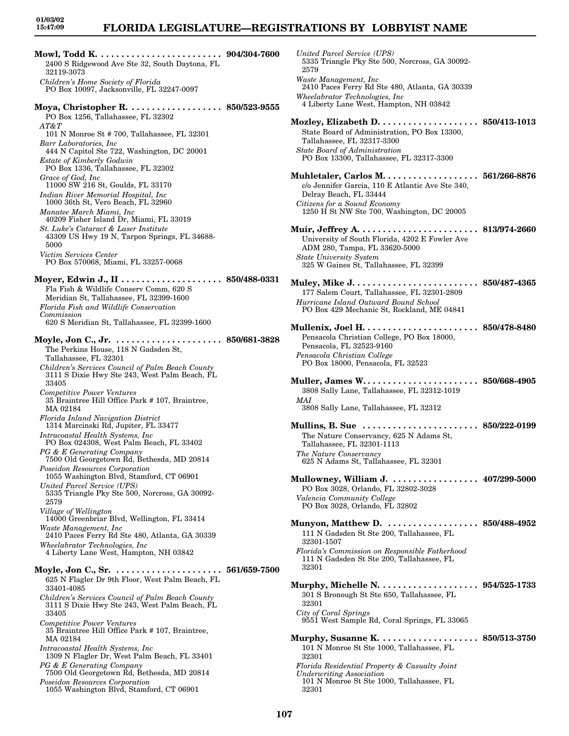# **FLORIDA LEGISLATURE—REGISTRATIONS BY LOBBYIST NAME**

**Mowl, Todd K. . . . . . . . . . . . . . . . . . . . . . . . . 904/304-7600** 2400 S Ridgewood Ave Ste 32, South Daytona, FL 32119-3073 *Children's Home Society of Florida* PO Box 10097, Jacksonville, FL 32247-0097 **Moya, Christopher R. . . . . . . . . . . . . . . . . . . 850/523-9555** PO Box 1256, Tallahassee, FL 32302 *AT&T* 101 N Monroe St # 700, Tallahassee, FL 32301 *Barr Laboratories, Inc* 444 N Capitol Ste 722, Washington, DC 20001 *Estate of Kimberly Godwin* PO Box 1336, Tallahassee, FL 32302 *Grace of God, Inc* 11000 SW 216 St, Goulds, FL 33170 *Indian River Memorial Hospital, Inc* 1000 36th St, Vero Beach, FL 32960 *Manatee March Miami, Inc* 40209 Fisher Island Dr, Miami, FL 33019 *St. Luke's Cataract & Laser Institute* 43309 US Hwy 19 N, Tarpon Springs, FL 34688- 5000 *Victim Services Center* PO Box 570068, Miami, FL 33257-0068 **Moyer, Edwin J., II . . . . . . . . . . . . . . . . . . . . 850/488-0331** Fla Fish & Wildlife Conserv Comm, 620 S Meridian St, Tallahassee, FL 32399-1600 *Florida Fish and Wildlife Conservation Commission* 620 S Meridian St, Tallahassee, FL 32399-1600 **Moyle, Jon C., Jr. . . . . . . . . . . . . . . . . . . . . . 850/681-3828** The Perkins House, 118 N Gadsden St, Tallahassee, FL 32301 *Children's Services Council of Palm Beach County* 3111 S Dixie Hwy Ste 243, West Palm Beach, FL 33405 *Competitive Power Ventures* 35 Braintree Hill Office Park # 107, Braintree, MA 02184 *Florida Inland Navigation District* 1314 Marcinski Rd, Jupiter, FL 33477 *Intracoastal Health Systems, Inc* PO Box 024308, West Palm Beach, FL 33402 *PG & E Generating Company* 7500 Old Georgetown Rd, Bethesda, MD 20814 *Poseidon Resources Corporation* 1055 Washington Blvd, Stamford, CT 06901 *United Parcel Service (UPS)* 5335 Triangle Pky Ste 500, Norcross, GA 30092- 2579 *Village of Wellington* 14000 Greenbriar Blvd, Wellington, FL 33414 *Waste Management, Inc* 2410 Paces Ferry Rd Ste 480, Atlanta, GA 30339 *Wheelabrator Technologies, Inc* 4 Liberty Lane West, Hampton, NH 03842 **Moyle, Jon C., Sr. . . . . . . . . . . . . . . . . . . . . . 561/659-7500** 625 N Flagler Dr 9th Floor, West Palm Beach, FL 33401-4085 *Children's Services Council of Palm Beach County* 3111 S Dixie Hwy Ste 243, West Palm Beach, FL 33405 *Competitive Power Ventures* 35 Braintree Hill Office Park # 107, Braintree, MA 02184 *Intracoastal Health Systems, Inc* 1309 N Flagler Dr, West Palm Beach, FL 33401 *PG & E Generating Company* 7500 Old Georgetown Rd, Bethesda, MD 20814 *Poseidon Resources Corporation* 1055 Washington Blvd, Stamford, CT 06901

*United Parcel Service (UPS)* 5335 Triangle Pky Ste 500, Norcross, GA 30092- 2579 *Waste Management, Inc* 2410 Paces Ferry Rd Ste 480, Atlanta, GA 30339 *Wheelabrator Technologies, Inc* 4 Liberty Lane West, Hampton, NH 03842 **Mozley, Elizabeth D. . . . . . . . . . . . . . . . . . . . 850/413-1013** State Board of Administration, PO Box 13300, Tallahassee, FL 32317-3300 *State Board of Administration* PO Box 13300, Tallahassee, FL 32317-3300 **Muhletaler, Carlos M. . . . . . . . . . . . . . . . . . . 561/266-8876** c/o Jennifer Garcia, 110 E Atlantic Ave Ste 340, Delray Beach, FL 33444 *Citizens for a Sound Economy* 1250 H St NW Ste 700, Washington, DC 20005 **Muir, Jeffrey A. . . . . . . . . . . . . . . . . . . . . . . . 813/974-2660** University of South Florida, 4202 E Fowler Ave ADM 280, Tampa, FL 33620-5000 *State University System* 325 W Gaines St, Tallahassee, FL 32399 **Muley, Mike J. . . . . . . . . . . . . . . . . . . . . . . . . 850/487-4365** 177 Salem Court, Tallahassee, FL 32301-2809 *Hurricane Island Outward Bound School* PO Box 429 Mechanic St, Rockland, ME 04841 **Mullenix, Joel H. . . . . . . . . . . . . . . . . . . . . . . 850/478-8480** Pensacola Christian College, PO Box 18000, Pensacola, FL 32523-9160 *Pensacola Christian College* PO Box 18000, Pensacola, FL 32523 **Muller, James W. . . . . . . . . . . . . . . . . . . . . . . 850/668-4905** 3808 Sally Lane, Tallahassee, FL 32312-1019 *MAI* 3808 Sally Lane, Tallahassee, FL 32312 **Mullins, B. Sue . . . . . . . . . . . . . . . . . . . . . . . 850/222-0199** The Nature Conservancy, 625 N Adams St, Tallahassee, FL 32301-1113 *The Nature Conservancy* 625 N Adams St, Tallahassee, FL 32301 **Mullowney, William J. . . . . . . . . . . . . . . . . . 407/299-5000** PO Box 3028, Orlando, FL 32802-3028 *Valencia Community College* PO Box 3028, Orlando, FL 32802 **Munyon, Matthew D. . . . . . . . . . . . . . . . . . . 850/488-4952** 111 N Gadsden St Ste 200, Tallahassee, FL 32301-1507 *Florida's Commission on Responsible Fatherhood* 111 N Gadsden St Ste 200, Tallahassee, FL 32301 **Murphy, Michelle N. . . . . . . . . . . . . . . . . . . . 954/525-1733** 301 S Bronough St Ste 650, Tallahassee, FL 32301 *City of Coral Springs* 9551 West Sample Rd, Coral Springs, FL 33065 **Murphy, Susanne K. . . . . . . . . . . . . . . . . . . . 850/513-3750** 101 N Monroe St Ste 1000, Tallahassee, FL 32301 *Florida Residential Property & Casualty Joint Underwriting Association* 101 N Monroe St Ste 1000, Tallahassee, FL 32301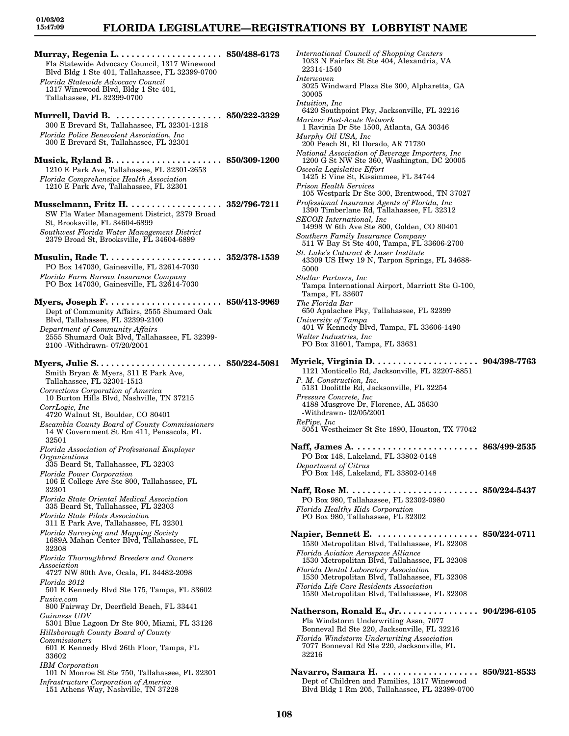### **FLORIDA LEGISLATURE—REGISTRATIONS BY LOBBYIST NAME**

**Murray, Regenia L. . . . . . . . . . . . . . . . . . . . . 850/488-6173** Fla Statewide Advocacy Council, 1317 Winewood Blvd Bldg 1 Ste 401, Tallahassee, FL 32399-0700 *Florida Statewide Advocacy Council* 1317 Winewood Blvd, Bldg 1 Ste 401, Tallahassee, FL 32399-0700 **Murrell, David B. . . . . . . . . . . . . . . . . . . . . . 850/222-3329** 300 E Brevard St, Tallahassee, FL 32301-1218 *Florida Police Benevolent Association, Inc* 300 E Brevard St, Tallahassee, FL 32301 **Musick, Ryland B. . . . . . . . . . . . . . . . . . . . . . 850/309-1200** 1210 E Park Ave, Tallahassee, FL 32301-2653 *Florida Comprehensive Health Association* 1210 E Park Ave, Tallahassee, FL 32301 **Musselmann, Fritz H. . . . . . . . . . . . . . . . . . . 352/796-7211** SW Fla Water Management District, 2379 Broad St, Brooksville, FL 34604-6899 *Southwest Florida Water Management District* 2379 Broad St, Brooksville, FL 34604-6899 **Musulin, Rade T. . . . . . . . . . . . . . . . . . . . . . . 352/378-1539** PO Box 147030, Gainesville, FL 32614-7030 *Florida Farm Bureau Insurance Company* PO Box 147030, Gainesville, FL 32614-7030 **Myers, Joseph F. . . . . . . . . . . . . . . . . . . . . . . 850/413-9969** Dept of Community Affairs, 2555 Shumard Oak Blvd, Tallahassee, FL 32399-2100 *Department of Community Affairs* 2555 Shumard Oak Blvd, Tallahassee, FL 32399- 2100 -Withdrawn- 07/20/2001 **Myers, Julie S. . . . . . . . . . . . . . . . . . . . . . . . . 850/224-5081** Smith Bryan & Myers, 311 E Park Ave, Tallahassee, FL 32301-1513 *Corrections Corporation of America* 10 Burton Hills Blvd, Nashville, TN 37215 *CorrLogic, Inc* 4720 Walnut St, Boulder, CO 80401 *Escambia County Board of County Commissioners* 14 W Government St Rm 411, Pensacola, FL 32501 *Florida Association of Professional Employer Organizations* 335 Beard St, Tallahassee, FL 32303 *Florida Power Corporation* 106 E College Ave Ste 800, Tallahassee, FL 32301 *Florida State Oriental Medical Association* 335 Beard St, Tallahassee, FL 32303 *Florida State Pilots Association* 311 E Park Ave, Tallahassee, FL 32301 *Florida Surveying and Mapping Society* 1689A Mahan Center Blvd, Tallahassee, FL 32308 *Florida Thoroughbred Breeders and Owners Association* 4727 NW 80th Ave, Ocala, FL 34482-2098 *Florida 2012* 501 E Kennedy Blvd Ste 175, Tampa, FL 33602 *Fusive.com* 800 Fairway Dr, Deerfield Beach, FL 33441 *Guinness UDV* 5301 Blue Lagoon Dr Ste 900, Miami, FL 33126 *Hillsborough County Board of County Commissioners* 601 E Kennedy Blvd 26th Floor, Tampa, FL 33602 *IBM Corporation* 101 N Monroe St Ste 750, Tallahassee, FL 32301 *Infrastructure Corporation of America* 151 Athens Way, Nashville, TN 37228

*International Council of Shopping Centers* 1033 N Fairfax St Ste 404, Alexandria, VA 22314-1540 *Interwoven* 3025 Windward Plaza Ste 300, Alpharetta, GA 30005 *Intuition, Inc* 6420 Southpoint Pky, Jacksonville, FL 32216 *Mariner Post-Acute Network* 1 Ravinia Dr Ste 1500, Atlanta, GA 30346 *Murphy Oil USA, Inc* 200 Peach St, El Dorado, AR 71730 *National Association of Beverage Importers, Inc* 1200 G St NW Ste 360, Washington, DC 20005 *Osceola Legislative Effort* 1425 E Vine St, Kissimmee, FL 34744 *Prison Health Services* 105 Westpark Dr Ste 300, Brentwood, TN 37027 *Professional Insurance Agents of Florida, Inc* 1390 Timberlane Rd, Tallahassee, FL 32312 *SECOR International, Inc* 14998 W 6th Ave Ste 800, Golden, CO 80401 *Southern Family Insurance Company* 511 W Bay St Ste 400, Tampa, FL 33606-2700 *St. Luke's Cataract & Laser Institute* 43309 US Hwy 19 N, Tarpon Springs, FL 34688- 5000 *Stellar Partners, Inc* Tampa International Airport, Marriott Ste G-100, Tampa, FL 33607 *The Florida Bar* 650 Apalachee Pky, Tallahassee, FL 32399 *University of Tampa* 401 W Kennedy Blvd, Tampa, FL 33606-1490 *Walter Industries, Inc* PO Box 31601, Tampa, FL 33631 **Myrick, Virginia D. . . . . . . . . . . . . . . . . . . . . 904/398-7763** 1121 Monticello Rd, Jacksonville, FL 32207-8851 *P. M. Construction, Inc.* 5131 Doolittle Rd, Jacksonville, FL 32254 *Pressure Concrete, Inc* 4188 Musgrove Dr, Florence, AL 35630 -Withdrawn- 02/05/2001 *RePipe, Inc* 5051 Westheimer St Ste 1890, Houston, TX 77042 **Naff, James A. . . . . . . . . . . . . . . . . . . . . . . . . 863/499-2535** PO Box 148, Lakeland, FL 33802-0148 *Department of Citrus* PO Box 148, Lakeland, FL 33802-0148 **Naff, Rose M. . . . . . . . . . . . . . . . . . . . . . . . . . 850/224-5437** PO Box 980, Tallahassee, FL 32302-0980 *Florida Healthy Kids Corporation* PO Box 980, Tallahassee, FL 32302 **Napier, Bennett E. . . . . . . . . . . . . . . . . . . . . 850/224-0711** 1530 Metropolitan Blvd, Tallahassee, FL 32308 *Florida Aviation Aerospace Alliance* 1530 Metropolitan Blvd, Tallahassee, FL 32308 *Florida Dental Laboratory Association* 1530 Metropolitan Blvd, Tallahassee, FL 32308 *Florida Life Care Residents Association* 1530 Metropolitan Blvd, Tallahassee, FL 32308 **Natherson, Ronald E., Jr. . . . . . . . . . . . . . . . 904/296-6105** Fla Windstorm Underwriting Assn, 7077 Bonneval Rd Ste 220, Jacksonville, FL 32216 *Florida Windstorm Underwriting Association* 7077 Bonneval Rd Ste 220, Jacksonville, FL 32216 **Navarro, Samara H. . . . . . . . . . . . . . . . . . . . 850/921-8533** Dept of Children and Families, 1317 Winewood Blvd Bldg 1 Rm 205, Tallahassee, FL 32399-0700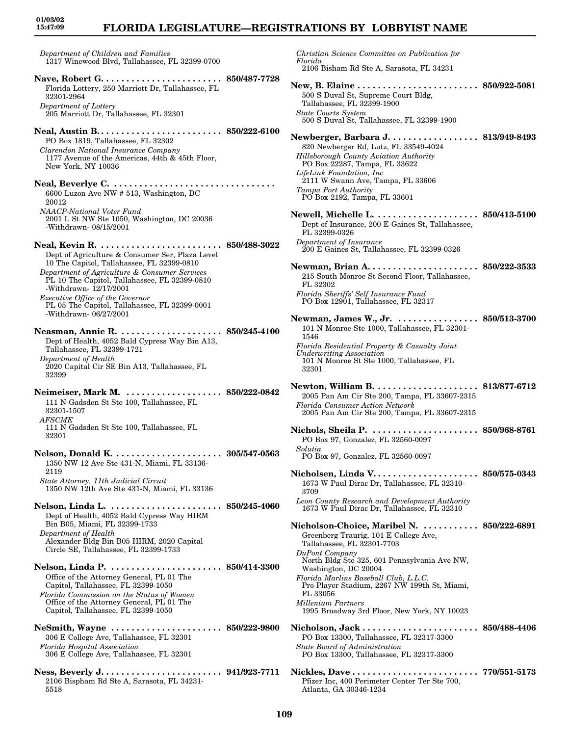*Department of Children and Families* 1317 Winewood Blvd, Tallahassee, FL 32399-0700

- **Nave, Robert G. . . . . . . . . . . . . . . . . . . . . . . . 850/487-7728** Florida Lottery, 250 Marriott Dr, Tallahassee, FL 32301-2964 *Department of Lottery* 205 Marriott Dr, Tallahassee, FL 32301
- **Neal, Austin B. . . . . . . . . . . . . . . . . . . . . . . . . 850/222-6100** PO Box 1819, Tallahassee, FL 32302 *Clarendon National Insurance Company* 1177 Avenue of the Americas, 44th & 45th Floor, New York, NY 10036
- **Neal, Beverlye C. . . . . . . . . . . . . . . . . . . . . . . . . . . . . . . . .**  6600 Luzon Ave NW # 513, Washington, DC 20012 *NAACP-National Voter Fund* 2001 L St NW Ste 1050, Washington, DC 20036 -Withdrawn- 08/15/2001
- **Neal, Kevin R. . . . . . . . . . . . . . . . . . . . . . . . . 850/488-3022** Dept of Agriculture & Consumer Ser, Plaza Level 10 The Capitol, Tallahassee, FL 32399-0810
- *Department of Agriculture & Consumer Services* PL 10 The Capitol, Tallahassee, FL 32399-0810 -Withdrawn- 12/17/2001 *Executive Office of the Governor* PL 05 The Capitol, Tallahassee, FL 32399-0001 -Withdrawn- 06/27/2001
- **Neasman, Annie R. . . . . . . . . . . . . . . . . . . . . 850/245-4100** Dept of Health, 4052 Bald Cypress Way Bin A13, Tallahassee, FL 32399-1721 *Department of Health* 2020 Capital Cir SE Bin A13, Tallahassee, FL 32399
- **Neimeiser, Mark M. . . . . . . . . . . . . . . . . . . . 850/222-0842** 111 N Gadsden St Ste 100, Tallahassee, FL 32301-1507 *AFSCME* 111 N Gadsden St Ste 100, Tallahassee, FL 32301
- **Nelson, Donald K. . . . . . . . . . . . . . . . . . . . . . 305/547-0563** 1350 NW 12 Ave Ste 431-N, Miami, FL 33136- 2119 *State Attorney, 11th Judicial Circuit* 1350 NW 12th Ave Ste 431-N, Miami, FL 33136
- **Nelson, Linda L. . . . . . . . . . . . . . . . . . . . . . . 850/245-4060** Dept of Health, 4052 Bald Cypress Way HIRM Bin B05, Miami, FL 32399-1733 *Department of Health* Alexander Bldg Bin B05 HIRM, 2020 Capital Circle SE, Tallahassee, FL 32399-1733
- **Nelson, Linda P. . . . . . . . . . . . . . . . . . . . . . . 850/414-3300** Office of the Attorney General, PL 01 The Capitol, Tallahassee, FL 32399-1050 *Florida Commission on the Status of Women* Office of the Attorney General, PL 01 The Capitol, Tallahassee, FL 32399-1050
- **NeSmith, Wayne . . . . . . . . . . . . . . . . . . . . . . 850/222-9800** 306 E College Ave, Tallahassee, FL 32301 *Florida Hospital Association* 306 E College Ave, Tallahassee, FL 32301
- **Ness, Beverly J. . . . . . . . . . . . . . . . . . . . . . . . 941/923-7711** 2106 Bispham Rd Ste A, Sarasota, FL 34231- 5518

*Christian Science Committee on Publication for Florida* 2106 Bisham Rd Ste A, Sarasota, FL 34231 **New, B. Elaine . . . . . . . . . . . . . . . . . . . . . . . . 850/922-5081** 500 S Duval St, Supreme Court Bldg, Tallahassee, FL 32399-1900 *State Courts System* 500 S Duval St, Tallahassee, FL 32399-1900 **Newberger, Barbara J. . . . . . . . . . . . . . . . . . 813/949-8493** 820 Newberger Rd, Lutz, FL 33549-4024 *Hillsborough County Aviation Authority* PO Box 22287, Tampa, FL 33622 *LifeLink Foundation, Inc* 2111 W Swann Ave, Tampa, FL 33606 *Tampa Port Authority* PO Box 2192, Tampa, FL 33601 **Newell, Michelle L. . . . . . . . . . . . . . . . . . . . . 850/413-5100** Dept of Insurance, 200 E Gaines St, Tallahassee, FL 32399-0326 *Department of Insurance* 200 E Gaines St, Tallahassee, FL 32399-0326 **Newman, Brian A. . . . . . . . . . . . . . . . . . . . . . 850/222-3533** 215 South Monroe St Second Floor, Tallahassee, FL 32302 *Florida Sheriffs' Self Insurance Fund* PO Box 12901, Tallahassee, FL 32317 **Newman, James W., Jr. . . . . . . . . . . . . . . . . 850/513-3700** 101 N Monroe Ste 1000, Tallahassee, FL 32301- 1546 *Florida Residential Property & Casualty Joint Underwriting Association* 101 N Monroe St Ste 1000, Tallahassee, FL 32301 **Newton, William B. . . . . . . . . . . . . . . . . . . . . 813/877-6712** 2005 Pan Am Cir Ste 200, Tampa, FL 33607-2315 *Florida Consumer Action Network* 2005 Pan Am Cir Ste 200, Tampa, FL 33607-2315 **Nichols, Sheila P. . . . . . . . . . . . . . . . . . . . . . 850/968-8761** PO Box 97, Gonzalez, FL 32560-0097 *Solutia* PO Box 97, Gonzalez, FL 32560-0097 **Nicholsen, Linda V. . . . . . . . . . . . . . . . . . . . . 850/575-0343** 1673 W Paul Dirac Dr, Tallahassee, FL 32310- 3709 *Leon County Research and Development Authority* 1673 W Paul Dirac Dr, Tallahassee, FL 32310 **Nicholson-Choice, Maribel N. . . . . . . . . . . . 850/222-6891** Greenberg Traurig, 101 E College Ave, Tallahassee, FL 32301-7703 *DuPont Company* North Bldg Ste 325, 601 Pennsylvania Ave NW, Washington, DC 20004 *Florida Marlins Baseball Club, L.L.C.* Pro Player Stadium, 2267 NW 199th St, Miami, FL 33056 *Millenium Partners* 1995 Broadway 3rd Floor, New York, NY 10023 **Nicholson, Jack . . . . . . . . . . . . . . . . . . . . . . . 850/488-4406** PO Box 13300, Tallahassee, FL 32317-3300 *State Board of Administration* PO Box 13300, Tallahassee, FL 32317-3300 **Nickles, Dave . . . . . . . . . . . . . . . . . . . . . . . . . 770/551-5173** Pfizer Inc, 400 Perimeter Center Ter Ste 700,

Atlanta, GA 30346-1234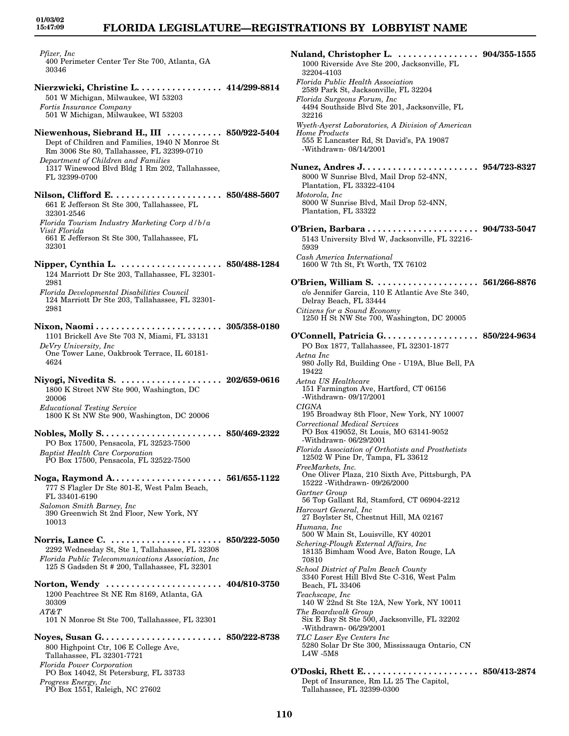*Pfizer, Inc* 400 Perimeter Center Ter Ste 700, Atlanta, GA 30346

- **Nierzwicki, Christine L. . . . . . . . . . . . . . . . . 414/299-8814** 501 W Michigan, Milwaukee, WI 53203 *Fortis Insurance Company* 501 W Michigan, Milwaukee, WI 53203
- **Niewenhous, Siebrand H., III . . . . . . . . . . . 850/922-5404** Dept of Children and Families, 1940 N Monroe St Rm 3006 Ste 80, Tallahassee, FL 32399-0710 *Department of Children and Families* 1317 Winewood Blvd Bldg 1 Rm 202, Tallahassee, FL 32399-0700
- **Nilson, Clifford E. . . . . . . . . . . . . . . . . . . . . . 850/488-5607** 661 E Jefferson St Ste 300, Tallahassee, FL 32301-2546 *Florida Tourism Industry Marketing Corp d/b/a Visit Florida* 661 E Jefferson St Ste 300, Tallahassee, FL 32301
- **Nipper, Cynthia L. . . . . . . . . . . . . . . . . . . . . 850/488-1284** 124 Marriott Dr Ste 203, Tallahassee, FL 32301- 2981 *Florida Developmental Disabilities Council*
- 124 Marriott Dr Ste 203, Tallahassee, FL 32301- 2981
- **Nixon, Naomi . . . . . . . . . . . . . . . . . . . . . . . . . 305/358-0180** 1101 Brickell Ave Ste 703 N, Miami, FL 33131 *DeVry University, Inc* One Tower Lane, Oakbrook Terrace, IL 60181- 4624
- **Niyogi, Nivedita S. . . . . . . . . . . . . . . . . . . . . 202/659-0616** 1800 K Street NW Ste 900, Washington, DC 20006 *Educational Testing Service* 1800 K St NW Ste 900, Washington, DC 20006
- **Nobles, Molly S. . . . . . . . . . . . . . . . . . . . . . . . 850/469-2322** PO Box 17500, Pensacola, FL 32523-7500 *Baptist Health Care Corporation* PO Box 17500, Pensacola, FL 32522-7500
- **Noga, Raymond A. . . . . . . . . . . . . . . . . . . . . . 561/655-1122** 777 S Flagler Dr Ste 801-E, West Palm Beach, FL 33401-6190 *Salomon Smith Barney, Inc* 390 Greenwich St 2nd Floor, New York, NY 10013
- **Norris, Lance C. . . . . . . . . . . . . . . . . . . . . . . 850/222-5050** 2292 Wednesday St, Ste 1, Tallahassee, FL 32308 *Florida Public Telecommunications Association, Inc* 125 S Gadsden St # 200, Tallahassee, FL 32301
- **Norton, Wendy . . . . . . . . . . . . . . . . . . . . . . . 404/810-3750** 1200 Peachtree St NE Rm 8169, Atlanta, GA 30309 *AT&T*
- 101 N Monroe St Ste 700, Tallahassee, FL 32301 **Noyes, Susan G. . . . . . . . . . . . . . . . . . . . . . . . 850/222-8738**
- 800 Highpoint Ctr, 106 E College Ave, Tallahassee, FL 32301-7721 *Florida Power Corporation* PO Box 14042, St Petersburg, FL 33733 *Progress Energy, Inc* PO Box 1551, Raleigh, NC 27602
- **Nuland, Christopher L. . . . . . . . . . . . . . . . . 904/355-1555** 1000 Riverside Ave Ste 200, Jacksonville, FL 32204-4103 *Florida Public Health Association* 2589 Park St, Jacksonville, FL 32204 *Florida Surgeons Forum, Inc* 4494 Southside Blvd Ste 201, Jacksonville, FL 32216 *Wyeth-Ayerst Laboratories, A Division of American Home Products* 555 E Lancaster Rd, St David's, PA 19087 -Withdrawn- 08/14/2001 **Nunez, Andres J. . . . . . . . . . . . . . . . . . . . . . . 954/723-8327** 8000 W Sunrise Blvd, Mail Drop 52-4NN, Plantation, FL 33322-4104 *Motorola, Inc* 8000 W Sunrise Blvd, Mail Drop 52-4NN, Plantation, FL 33322 **O'Brien, Barbara . . . . . . . . . . . . . . . . . . . . . . 904/733-5047** 5143 University Blvd W, Jacksonville, FL 32216- 5939 *Cash America International* 1600 W 7th St, Ft Worth, TX 76102 **O'Brien, William S. . . . . . . . . . . . . . . . . . . . . 561/266-8876** c/o Jennifer Garcia, 110 E Atlantic Ave Ste 340, Delray Beach, FL 33444 *Citizens for a Sound Economy* 1250 H St NW Ste 700, Washington, DC 20005 **O'Connell, Patricia G. . . . . . . . . . . . . . . . . . . 850/224-9634** PO Box 1877, Tallahassee, FL 32301-1877 *Aetna Inc* 980 Jolly Rd, Building One - U19A, Blue Bell, PA 19422 *Aetna US Healthcare* 151 Farmington Ave, Hartford, CT 06156 -Withdrawn- 09/17/2001 *CIGNA* 195 Broadway 8th Floor, New York, NY 10007 *Correctional Medical Services* PO Box 419052, St Louis, MO 63141-9052 -Withdrawn- 06/29/2001 *Florida Association of Orthotists and Prosthetists* 12502 W Pine Dr, Tampa, FL 33612 *FreeMarkets, Inc.* One Oliver Plaza, 210 Sixth Ave, Pittsburgh, PA 15222 -Withdrawn- 09/26/2000 *Gartner Group* 56 Top Gallant Rd, Stamford, CT 06904-2212 *Harcourt General, Inc* 27 Boylster St, Chestnut Hill, MA 02167 *Humana, Inc* 500 W Main St, Louisville, KY 40201 *Schering-Plough External Affairs, Inc* 18135 Bimham Wood Ave, Baton Rouge, LA 70810 *School District of Palm Beach County* 3340 Forest Hill Blvd Ste C-316, West Palm Beach, FL 33406 *Teachscape, Inc* 140 W 22nd St Ste 12A, New York, NY 10011 *The Boardwalk Group* Six E Bay St Ste 500, Jacksonville, FL 32202 -Withdrawn- 06/29/2001 *TLC Laser Eye Centers Inc* 5280 Solar Dr Ste 300, Mississauga Ontario, CN L4W -5M8 **O'Doski, Rhett E. . . . . . . . . . . . . . . . . . . . . . . 850/413-2874** Dept of Insurance, Rm LL 25 The Capitol,
- **110**

Tallahassee, FL 32399-0300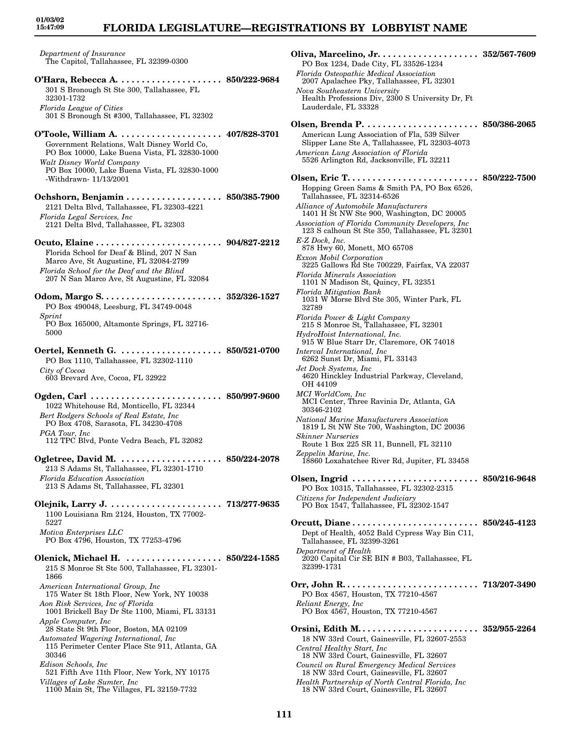### **FLORIDA LEGISLATURE—REGISTRATIONS BY LOBBYIST NAME**

*Department of Insurance* The Capitol, Tallahassee, FL 32399-0300

**O'Hara, Rebecca A. . . . . . . . . . . . . . . . . . . . . 850/222-9684** 301 S Bronough St Ste 300, Tallahassee, FL 32301-1732 *Florida League of Cities* 301 S Bronough St #300, Tallahassee, FL 32302 **O'Toole, William A. . . . . . . . . . . . . . . . . . . . . 407/828-3701** Government Relations, Walt Disney World Co, PO Box 10000, Lake Buena Vista, FL 32830-1000 *Walt Disney World Company* PO Box 10000, Lake Buena Vista, FL 32830-1000 -Withdrawn- 11/13/2001 **Ochshorn, Benjamin . . . . . . . . . . . . . . . . . . . 850/385-7900** 2121 Delta Blvd, Tallahassee, FL 32303-4221 *Florida Legal Services, Inc* 2121 Delta Blvd, Tallahassee, FL 32303 **Ocuto, Elaine . . . . . . . . . . . . . . . . . . . . . . . . . 904/827-2212** Florida School for Deaf & Blind, 207 N San Marco Ave, St Augustine, FL 32084-2799 *Florida School for the Deaf and the Blind* 207 N San Marco Ave, St Augustine, FL 32084 **Odom, Margo S. . . . . . . . . . . . . . . . . . . . . . . . 352/326-1527** PO Box 490048, Leesburg, FL 34749-0048 *Sprint* PO Box 165000, Altamonte Springs, FL 32716- 5000 **Oertel, Kenneth G. . . . . . . . . . . . . . . . . . . . . 850/521-0700** PO Box 1110, Tallahassee, FL 32302-1110 *City of Cocoa* 603 Brevard Ave, Cocoa, FL 32922 **Ogden, Carl . . . . . . . . . . . . . . . . . . . . . . . . . . 850/997-9600** 1022 Whitehouse Rd, Monticello, FL 32344 *Bert Rodgers Schools of Real Estate, Inc* PO Box 4708, Sarasota, FL 34230-4708 *PGA Tour, Inc* 112 TPC Blvd, Ponte Vedra Beach, FL 32082 **Ogletree, David M. . . . . . . . . . . . . . . . . . . . . 850/224-2078** 213 S Adams St, Tallahassee, FL 32301-1710 *Florida Education Association* 213 S Adams St, Tallahassee, FL 32301 **Olejnik, Larry J. . . . . . . . . . . . . . . . . . . . . . . 713/277-9635** 1100 Louisiana Rm 2124, Houston, TX 77002- 5227 *Motiva Enterprises LLC* PO Box 4796, Houston, TX 77253-4796 **Olenick, Michael H. . . . . . . . . . . . . . . . . . . . 850/224-1585** 215 S Monroe St Ste 500, Tallahassee, FL 32301- 1866 *American International Group, Inc* 175 Water St 18th Floor, New York, NY 10038 *Aon Risk Services, Inc of Florida* 1001 Brickell Bay Dr Ste 1100, Miami, FL 33131 *Apple Computer, Inc* 28 State St 9th Floor, Boston, MA 02109

*Automated Wagering International, Inc*

115 Perimeter Center Place Ste 911, Atlanta, GA 30346 *Edison Schools, Inc*

521 Fifth Ave 11th Floor, New York, NY 10175 *Villages of Lake Sumter, Inc*

1100 Main St, The Villages, FL 32159-7732

**Oliva, Marcelino, Jr. . . . . . . . . . . . . . . . . . . . 352/567-7609** PO Box 1234, Dade City, FL 33526-1234 *Florida Osteopathic Medical Association* 2007 Apalachee Pky, Tallahassee, FL 32301 *Nova Southeastern University* Health Professions Div, 2300 S University Dr, Ft Lauderdale, FL 33328 **Olsen, Brenda P. . . . . . . . . . . . . . . . . . . . . . . 850/386-2065** American Lung Association of Fla, 539 Silver Slipper Lane Ste A, Tallahassee, FL 32303-4073 *American Lung Association of Florida* 5526 Arlington Rd, Jacksonville, FL 32211 **Olsen, Eric T. . . . . . . . . . . . . . . . . . . . . . . . . . 850/222-7500** Hopping Green Sams & Smith PA, PO Box 6526, Tallahassee, FL 32314-6526 *Alliance of Automobile Manufacturers* 1401 H St NW Ste 900, Washington, DC 20005 *Association of Florida Community Developers, Inc* 123 S calhoun St Ste 350, Tallahassee, FL 32301 *E-Z Dock, Inc.* 878 Hwy 60, Monett, MO 65708 *Exxon Mobil Corporation* 3225 Gallows Rd Ste 700229, Fairfax, VA 22037 *Florida Minerals Association* 1101 N Madison St, Quincy, FL 32351 *Florida Mitigation Bank* 1031 W Morse Blvd Ste 305, Winter Park, FL 32789 *Florida Power & Light Company* 215 S Monroe St, Tallahassee, FL 32301 *HydroHoist International, Inc.* 915 W Blue Starr Dr, Claremore, OK 74018 *Interval International, Inc* 6262 Sunst Dr, Miami, FL 33143 *Jet Dock Systems, Inc* 4620 Hinckley Industrial Parkway, Cleveland, OH 44109 *MCI WorldCom, Inc* MCI Center, Three Ravinia Dr, Atlanta, GA 30346-2102 *National Marine Manufacturers Association* 1819 L St NW Ste 700, Washington, DC 20036 *Skinner Nurseries* Route 1 Box 225 SR 11, Bunnell, FL 32110 *Zeppelin Marine, Inc.* 18860 Loxahatchee River Rd, Jupiter, FL 33458 **Olsen, Ingrid . . . . . . . . . . . . . . . . . . . . . . . . . 850/216-9648** PO Box 10315, Tallahassee, FL 32302-2315 *Citizens for Independent Judiciary* PO Box 1547, Tallahassee, FL 32302-1547 **Orcutt, Diane . . . . . . . . . . . . . . . . . . . . . . . . . 850/245-4123** Dept of Health, 4052 Bald Cypress Way Bin C11, Tallahassee, FL 32399-3261 *Department of Health* 2020 Capital Cir SE BIN # B03, Tallahassee, FL 32399-1731 **Orr, John R. . . . . . . . . . . . . . . . . . . . . . . . . . . 713/207-3490** PO Box 4567, Houston, TX 77210-4567 *Reliant Energy, Inc* PO Box 4567, Houston, TX 77210-4567 **Orsini, Edith M. . . . . . . . . . . . . . . . . . . . . . . . 352/955-2264** 18 NW 33rd Court, Gainesville, FL 32607-2553 *Central Healthy Start, Inc* 18 NW 33rd Court, Gainesville, FL 32607 *Council on Rural Emergency Medical Services* 18 NW 33rd Court, Gainesville, FL 32607 *Health Partnership of North Central Florida, Inc* 18 NW 33rd Court, Gainesville, FL 32607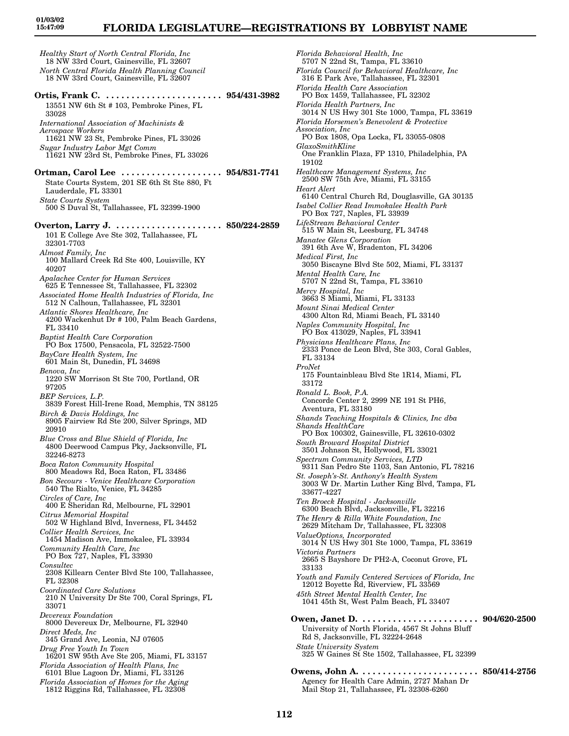# **FLORIDA LEGISLATURE—REGISTRATIONS BY LOBBYIST NAME**

*Healthy Start of North Central Florida, Inc* 18 NW 33rd Court, Gainesville, FL 32607 *North Central Florida Health Planning Council* 18 NW 33rd Court, Gainesville, FL 32607 **Ortis, Frank C. . . . . . . . . . . . . . . . . . . . . . . . 954/431-3982** 13551 NW 6th St # 103, Pembroke Pines, FL 33028 *International Association of Machinists & Aerospace Workers* 11621 NW 23 St, Pembroke Pines, FL 33026 *Sugar Industry Labor Mgt Comm* 11621 NW 23rd St, Pembroke Pines, FL 33026 **Ortman, Carol Lee . . . . . . . . . . . . . . . . . . . . 954/831-7741** State Courts System, 201 SE 6th St Ste 880, Ft Lauderdale, FL 33301 *State Courts System* 500 S Duval St, Tallahassee, FL 32399-1900 **Overton, Larry J. . . . . . . . . . . . . . . . . . . . . . 850/224-2859** 101 E College Ave Ste 302, Tallahassee, FL 32301-7703 *Almost Family, Inc* 100 Mallard Creek Rd Ste 400, Louisville, KY 40207 *Apalachee Center for Human Services* 625 E Tennessee St, Tallahassee, FL 32302 *Associated Home Health Industries of Florida, Inc* 512 N Calhoun, Tallahassee, FL 32301 *Atlantic Shores Healthcare, Inc* 4200 Wackenhut Dr # 100, Palm Beach Gardens, FL 33410 *Baptist Health Care Corporation* PO Box 17500, Pensacola, FL 32522-7500 *BayCare Health System, Inc* 601 Main St, Dunedin, FL 34698 *Benova, Inc* 1220 SW Morrison St Ste 700, Portland, OR 97205 *BEP Services, L.P.* 3839 Forest Hill-Irene Road, Memphis, TN 38125 *Birch & Davis Holdings, Inc* 8905 Fairview Rd Ste 200, Silver Springs, MD 20910 *Blue Cross and Blue Shield of Florida, Inc* 4800 Deerwood Campus Pky, Jacksonville, FL 32246-8273 *Boca Raton Community Hospital* 800 Meadows Rd, Boca Raton, FL 33486 *Bon Secours - Venice Healthcare Corporation* 540 The Rialto, Venice, FL 34285 *Circles of Care, Inc* 400 E Sheridan Rd, Melbourne, FL 32901 *Citrus Memorial Hospital* 502 W Highland Blvd, Inverness, FL 34452 *Collier Health Services, Inc* 1454 Madison Ave, Immokalee, FL 33934 *Community Health Care, Inc* PO Box 727, Naples, FL 33930 *Consultec* 2308 Killearn Center Blvd Ste 100, Tallahassee, FL 32308 *Coordinated Care Solutions* 210 N University Dr Ste 700, Coral Springs, FL 33071 *Devereux Foundation* 8000 Devereux Dr, Melbourne, FL 32940 *Direct Meds, Inc* 345 Grand Ave, Leonia, NJ 07605 *Drug Free Youth In Town* 16201 SW 95th Ave Ste 205, Miami, FL 33157 *Florida Association of Health Plans, Inc* 6101 Blue Lagoon Dr, Miami, FL 33126 *Florida Association of Homes for the Aging* 1812 Riggins Rd, Tallahassee, FL 32308

*Florida Behavioral Health, Inc* 5707 N 22nd St, Tampa, FL 33610 *Florida Council for Behavioral Healthcare, Inc* 316 E Park Ave, Tallahassee, FL 32301 *Florida Health Care Association* PO Box 1459, Tallahassee, FL 32302 *Florida Health Partners, Inc* 3014 N US Hwy 301 Ste 1000, Tampa, FL 33619 *Florida Horsemen's Benevolent & Protective Association, Inc* PO Box 1808, Opa Locka, FL 33055-0808 *GlaxoSmithKline* One Franklin Plaza, FP 1310, Philadelphia, PA 19102 *Healthcare Management Systems, Inc* 2500 SW 75th Ave, Miami, FL 33155 *Heart Alert* 6140 Central Church Rd, Douglasville, GA 30135 *Isabel Collier Read Immokalee Health Park* PO Box 727, Naples, FL 33939 *LifeStream Behavioral Center* 515 W Main St, Leesburg, FL 34748 *Manatee Glens Corporation* 391 6th Ave W, Bradenton, FL 34206 *Medical First, Inc* 3050 Biscayne Blvd Ste 502, Miami, FL 33137 *Mental Health Care, Inc* 5707 N 22nd St, Tampa, FL 33610 *Mercy Hospital, Inc* 3663 S Miami, Miami, FL 33133 *Mount Sinai Medical Center* 4300 Alton Rd, Miami Beach, FL 33140 *Naples Community Hospital, Inc* PO Box 413029, Naples, FL 33941 *Physicians Healthcare Plans, Inc* 2333 Ponce de Leon Blvd, Ste 303, Coral Gables, FL 33134 *ProNet* 175 Fountainbleau Blvd Ste 1R14, Miami, FL 33172 *Ronald L. Book, P.A.* Concorde Center 2, 2999 NE 191 St PH6, Aventura, FL 33180 *Shands Teaching Hospitals & Clinics, Inc dba Shands HealthCare* PO Box 100302, Gainesville, FL 32610-0302 *South Broward Hospital District* 3501 Johnson St, Hollywood, FL 33021 *Spectrum Community Services, LTD* 9311 San Pedro Ste 1103, San Antonio, FL 78216 *St. Joseph's-St. Anthony's Health System* 3003 W Dr. Martin Luther King Blvd, Tampa, FL 33677-4227 *Ten Broeck Hospital - Jacksonville* 6300 Beach Blvd, Jacksonville, FL 32216 *The Henry & Rilla White Foundation, Inc* 2629 Mitcham Dr, Tallahassee, FL 32308 *ValueOptions, Incorporated* 3014 N US Hwy 301 Ste 1000, Tampa, FL 33619 *Victoria Partners* 2665 S Bayshore Dr PH2-A, Coconut Grove, FL 33133 *Youth and Family Centered Services of Florida, Inc* 12012 Boyette Rd, Riverview, FL 33569 *45th Street Mental Health Center, Inc* 1041 45th St, West Palm Beach, FL 33407 **Owen, Janet D. . . . . . . . . . . . . . . . . . . . . . . . 904/620-2500** University of North Florida, 4567 St Johns Bluff Rd S, Jacksonville, FL 32224-2648 *State University System* 325 W Gaines St Ste 1502, Tallahassee, FL 32399 **Owens, John A. . . . . . . . . . . . . . . . . . . . . . . . 850/414-2756** Agency for Health Care Admin, 2727 Mahan Dr

Mail Stop 21, Tallahassee, FL 32308-6260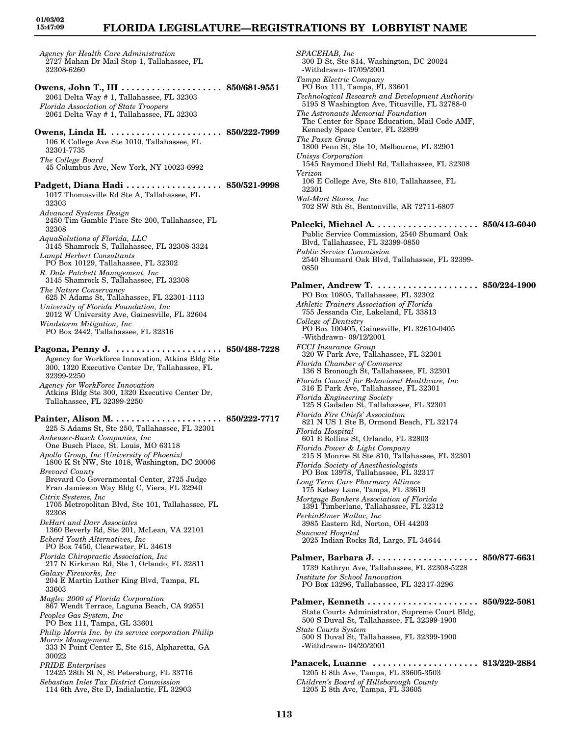# **FLORIDA LEGISLATURE—REGISTRATIONS BY LOBBYIST NAME**

*Agency for Health Care Administration* 2727 Mahan Dr Mail Stop 1, Tallahassee, FL 32308-6260 **Owens, John T., III . . . . . . . . . . . . . . . . . . . . 850/681-9551** 2061 Delta Way # 1, Tallahassee, FL 32303 *Florida Association of State Troopers* 2061 Delta Way # 1, Tallahassee, FL 32303 **Owens, Linda H. . . . . . . . . . . . . . . . . . . . . . . 850/222-7999** 106 E College Ave Ste 1010, Tallahassee, FL 32301-7735 *The College Board* 45 Columbus Ave, New York, NY 10023-6992 **Padgett, Diana Hadi . . . . . . . . . . . . . . . . . . . 850/521-9998** 1017 Thomasville Rd Ste A, Tallahassee, FL 32303 *Advanced Systems Design* 2450 Tim Gamble Place Ste 200, Tallahassee, FL 32308 *AquaSolutions of Florida, LLC* 3145 Shamrock S, Tallahassee, FL 32308-3324 *Lampl Herbert Consultants* PO Box 10129, Tallahassee, FL 32302 *R. Dale Patchett Management, Inc* 3145 Shamrock S, Tallahassee, FL 32308 *The Nature Conservancy* 625 N Adams St, Tallahassee, FL 32301-1113 *University of Florida Foundation, Inc* 2012 W University Ave, Gainesville, FL 32604 *Windstorm Mitigation, Inc* PO Box 2442, Tallahassee, FL 32316 **Pagona, Penny J. . . . . . . . . . . . . . . . . . . . . . 850/488-7228** Agency for Workforce Innovation, Atkins Bldg Ste 300, 1320 Executive Center Dr, Tallahassee, FL 32399-2250 *Agency for WorkForce Innovation* Atkins Bldg Ste 300, 1320 Executive Center Dr, Tallahassee, FL 32399-2250 **Painter, Alison M. . . . . . . . . . . . . . . . . . . . . . 850/222-7717** 225 S Adams St, Ste 250, Tallahassee, FL 32301 *Anheuser-Busch Companies, Inc* One Busch Place, St. Louis, MO 63118 *Apollo Group, Inc (University of Phoenix)* 1800 K St NW, Ste 1018, Washington, DC 20006 *Brevard County* Brevard Co Governmental Center, 2725 Judge Fran Jamieson Way Bldg C, Viera, FL 32940 *Citrix Systems, Inc* 1705 Metropolitan Blvd, Ste 101, Tallahassee, FL 32308 *DeHart and Darr Associates* 1360 Beverly Rd, Ste 201, McLean, VA 22101 *Eckerd Youth Alternatives, Inc* PO Box 7450, Clearwater, FL 34618 *Florida Chiropractic Association, Inc* 217 N Kirkman Rd, Ste 1, Orlando, FL 32811 *Galaxy Fireworks, Inc* 204 E Martin Luther King Blvd, Tampa, FL 33603 *Maglev 2000 of Florida Corporation* 867 Wendt Terrace, Laguna Beach, CA 92651 *Peoples Gas System, Inc* PO Box 111, Tampa, GL 33601 *Philip Morris Inc. by its service corporation Philip Morris Management* 333 N Point Center E, Ste 615, Alpharetta, GA 30022 *PRIDE Enterprises* 12425 28th St N, St Petersburg, FL 33716 *Sebastian Inlet Tax District Commission* 114 6th Ave, Ste D, Indialantic, FL 32903

*SPACEHAB, Inc* 300 D St, Ste 814, Washington, DC 20024 -Withdrawn- 07/09/2001 *Tampa Electric Company* PO Box 111, Tampa, FL 33601 *Technological Research and Development Authority* 5195 S Washington Ave, Titusville, FL 32788-0 *The Astronauts Memorial Foundation* The Center for Space Education, Mail Code AMF, Kennedy Space Center, FL 32899 *The Paxen Group* 1800 Penn St, Ste 10, Melbourne, FL 32901 *Unisys Corporation* 1545 Raymond Diehl Rd, Tallahassee, FL 32308 *Verizon* 106 E College Ave, Ste 810, Tallahassee, FL 32301 *Wal-Mart Stores, Inc* 702 SW 8th St, Bentonville, AR 72711-6807 **Palecki, Michael A. . . . . . . . . . . . . . . . . . . . . 850/413-6040** Public Service Commission, 2540 Shumard Oak Blvd, Tallahassee, FL 32399-0850 *Public Service Commission* 2540 Shumard Oak Blvd, Tallahassee, FL 32399- 0850 **Palmer, Andrew T. . . . . . . . . . . . . . . . . . . . . 850/224-1900** PO Box 10805, Tallahassee, FL 32302 *Athletic Trainers Association of Florida* 755 Jessanda Cir, Lakeland, FL 33813 *College of Dentistry* PO Box 100405, Gainesville, FL 32610-0405 -Withdrawn- 09/12/2001 *FCCI Insurance Group* 320 W Park Ave, Tallahassee, FL 32301 *Florida Chamber of Commerce* 136 S Bronough St, Tallahassee, FL 32301 *Florida Council for Behavioral Healthcare, Inc* 316 E Park Ave, Tallahassee, FL 32301 *Florida Engineering Society* 125 S Gadsden St, Tallahassee, FL 32301 *Florida Fire Chiefs' Association* 821 N US 1 Ste B, Ormond Beach, FL 32174 *Florida Hospital* 601 E Rollins St, Orlando, FL 32803 *Florida Power & Light Company* 215 S Monroe St Ste 810, Tallahassee, FL 32301 *Florida Society of Anesthesiologists* PO Box 13978, Tallahassee, FL 32317 *Long Term Care Pharmacy Alliance* 175 Kelsey Lane, Tampa, FL 33619 *Mortgage Bankers Association of Florida* 1391 Timberlane, Tallahassee, FL 32312 *PerkinElmer Wallac, Inc* 3985 Eastern Rd, Norton, OH 44203 *Suncoast Hospital* 2025 Indian Rocks Rd, Largo, FL 34644 **Palmer, Barbara J. . . . . . . . . . . . . . . . . . . . . 850/877-6631** 1739 Kathryn Ave, Tallahassee, FL 32308-5228 *Institute for School Innovation* PO Box 13296, Tallahassee, FL 32317-3296 **Palmer, Kenneth . . . . . . . . . . . . . . . . . . . . . . 850/922-5081** State Courts Administrator, Supreme Court Bldg, 500 S Duval St, Tallahassee, FL 32399-1900 *State Courts System* 500 S Duval St, Tallahassee, FL 32399-1900 -Withdrawn- 04/20/2001 **Panacek, Luanne . . . . . . . . . . . . . . . . . . . . . 813/229-2884** 1205 E 8th Ave, Tampa, FL 33605-3503 *Children's Board of Hillsborough County* 1205 E 8th Ave, Tampa, FL 33605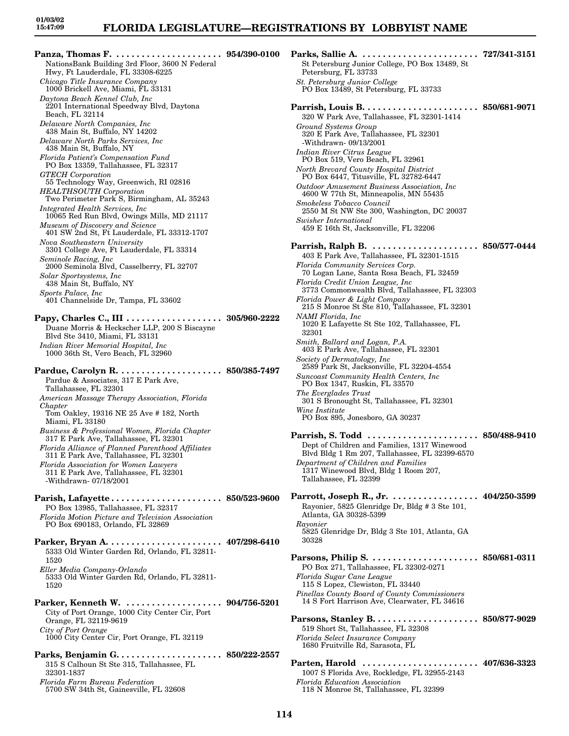### **FLORIDA LEGISLATURE—REGISTRATIONS BY LOBBYIST NAME**

**Panza, Thomas F. . . . . . . . . . . . . . . . . . . . . . 954/390-0100** NationsBank Building 3rd Floor, 3600 N Federal Hwy, Ft Lauderdale, FL 33308-6225 *Chicago Title Insurance Company* 1000 Brickell Ave, Miami, FL 33131 *Daytona Beach Kennel Club, Inc* 2201 International Speedway Blvd, Daytona Beach, FL 32114 *Delaware North Companies, Inc* 438 Main St, Buffalo, NY 14202 *Delaware North Parks Services, Inc* 438 Main St, Buffalo, NY *Florida Patient's Compensation Fund* PO Box 13359, Tallahassee, FL 32317 *GTECH Corporation* 55 Technology Way, Greenwich, RI 02816 *HEALTHSOUTH Corporation* Two Perimeter Park S, Birmingham, AL 35243 *Integrated Health Services, Inc* 10065 Red Run Blvd, Owings Mills, MD 21117 *Museum of Discovery and Science* 401 SW 2nd St, Ft Lauderdale, FL 33312-1707 *Nova Southeastern University* 3301 College Ave, Ft Lauderdale, FL 33314 *Seminole Racing, Inc* 2000 Seminola Blvd, Casselberry, FL 32707 *Solar Sportsystems, Inc* 438 Main St, Buffalo, NY *Sports Palace, Inc* 401 Channelside Dr, Tampa, FL 33602 **Papy, Charles C., III . . . . . . . . . . . . . . . . . . . 305/960-2222** Duane Morris & Heckscher LLP, 200 S Biscayne Blvd Ste 3410, Miami, FL 33131 *Indian River Memorial Hospital, Inc* 1000 36th St, Vero Beach, FL 32960 **Pardue, Carolyn R. . . . . . . . . . . . . . . . . . . . . 850/385-7497** Pardue & Associates, 317 E Park Ave, Tallahassee, FL 32301 *American Massage Therapy Association, Florida Chapter* Tom Oakley, 19316 NE 25 Ave # 182, North Miami, FL 33180 *Business & Professional Women, Florida Chapter* 317 E Park Ave, Tallahassee, FL 32301 *Florida Alliance of Planned Parenthood Affiliates* 311 E Park Ave, Tallahassee, FL 32301 *Florida Association for Women Lawyers* 311 E Park Ave, Tallahassee, FL 32301 -Withdrawn- 07/18/2001 **Parish, Lafayette . . . . . . . . . . . . . . . . . . . . . . 850/523-9600** PO Box 13985, Tallahassee, FL 32317 *Florida Motion Picture and Television Association* PO Box 690183, Orlando, FL 32869 **Parker, Bryan A. . . . . . . . . . . . . . . . . . . . . . . 407/298-6410** 5333 Old Winter Garden Rd, Orlando, FL 32811- 1520 *Eller Media Company-Orlando* 5333 Old Winter Garden Rd, Orlando, FL 32811- 1520 **Parker, Kenneth W. . . . . . . . . . . . . . . . . . . . 904/756-5201** City of Port Orange, 1000 City Center Cir, Port Orange, FL 32119-9619 *City of Port Orange* 1000 City Center Cir, Port Orange, FL 32119 **Parks, Benjamin G. . . . . . . . . . . . . . . . . . . . . 850/222-2557** 315 S Calhoun St Ste 315, Tallahassee, FL 32301-1837 *Florida Farm Bureau Federation*

5700 SW 34th St, Gainesville, FL 32608

**Parks, Sallie A. . . . . . . . . . . . . . . . . . . . . . . . 727/341-3151** St Petersburg Junior College, PO Box 13489, St Petersburg, FL 33733 *St. Petersburg Junior College* PO Box 13489, St Petersburg, FL 33733 **Parrish, Louis B. . . . . . . . . . . . . . . . . . . . . . . 850/681-9071** 320 W Park Ave, Tallahassee, FL 32301-1414 *Ground Systems Group* 320 E Park Ave, Tallahassee, FL 32301 -Withdrawn- 09/13/2001 *Indian River Citrus League* PO Box 519, Vero Beach, FL 32961 *North Brevard County Hospital District* PO Box 6447, Titusville, FL 32782-6447 *Outdoor Amusement Business Association, Inc* 4600 W 77th St, Minneapolis, MN 55435 *Smokeless Tobacco Council* 2550 M St NW Ste 300, Washington, DC 20037 *Swisher International* 459 E 16th St, Jacksonville, FL 32206 **Parrish, Ralph B. . . . . . . . . . . . . . . . . . . . . . 850/577-0444** 403 E Park Ave, Tallahassee, FL 32301-1515 *Florida Community Services Corp.* 70 Logan Lane, Santa Rosa Beach, FL 32459 *Florida Credit Union League, Inc* 3773 Commonwealth Blvd, Tallahassee, FL 32303 *Florida Power & Light Company* 215 S Monroe St Ste 810, Tallahassee, FL 32301 *NAMI Florida, Inc* 1020 E Lafayette St Ste 102, Tallahassee, FL 32301 *Smith, Ballard and Logan, P.A.* 403 E Park Ave, Tallahassee, FL 32301 *Society of Dermatology, Inc* 2589 Park St, Jacksonville, FL 32204-4554 *Suncoast Community Health Centers, Inc* PO Box 1347, Ruskin, FL 33570 *The Everglades Trust* 301 S Bronought St, Tallahassee, FL 32301 *Wine Institute* PO Box 895, Jonesboro, GA 30237 **Parrish, S. Todd . . . . . . . . . . . . . . . . . . . . . . 850/488-9410** Dept of Children and Families, 1317 Winewood Blvd Bldg 1 Rm 207, Tallahassee, FL 32399-6570 *Department of Children and Families* 1317 Winewood Blvd, Bldg 1 Room 207, Tallahassee, FL 32399 **Parrott, Joseph R., Jr. . . . . . . . . . . . . . . . . . 404/250-3599** Rayonier, 5825 Glenridge Dr, Bldg # 3 Ste 101, Atlanta, GA 30328-5399 *Rayonier* 5825 Glenridge Dr, Bldg 3 Ste 101, Atlanta, GA 30328 **Parsons, Philip S. . . . . . . . . . . . . . . . . . . . . . 850/681-0311** PO Box 271, Tallahassee, FL 32302-0271 *Florida Sugar Cane League* 115 S Lopez, Clewiston, FL 33440 *Pinellas County Board of County Commissioners* 14 S Fort Harrison Ave, Clearwater, FL 34616 **Parsons, Stanley B. . . . . . . . . . . . . . . . . . . . . 850/877-9029** 519 Short St, Tallahassee, FL 32308 *Florida Select Insurance Company* 1680 Fruitville Rd, Sarasota, FL **Parten, Harold . . . . . . . . . . . . . . . . . . . . . . . 407/636-3323** 1007 S Florida Ave, Rockledge, FL 32955-2143

*Florida Education Association* 118 N Monroe St, Tallahassee, FL 32399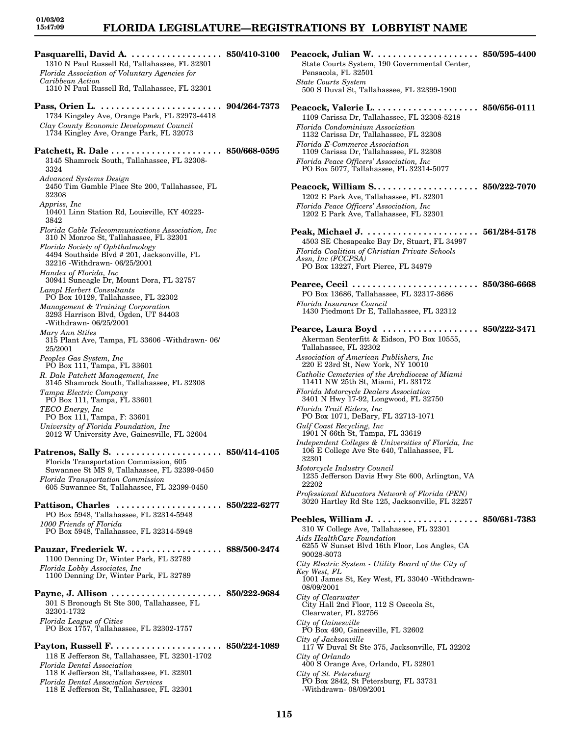### **FLORIDA LEGISLATURE—REGISTRATIONS BY LOBBYIST NAME**

1310 N Paul Russell Rd, Tallahassee, FL 32301 *Florida Association of Voluntary Agencies for Caribbean Action* 1310 N Paul Russell Rd, Tallahassee, FL 32301 **Pass, Orien L. . . . . . . . . . . . . . . . . . . . . . . . . 904/264-7373** 1734 Kingsley Ave, Orange Park, FL 32973-4418 *Clay County Economic Development Council* 1734 Kingley Ave, Orange Park, FL 32073 **Patchett, R. Dale . . . . . . . . . . . . . . . . . . . . . . 850/668-0595** 3145 Shamrock South, Tallahassee, FL 32308- 3324 *Advanced Systems Design* 2450 Tim Gamble Place Ste 200, Tallahassee, FL 32308 *Appriss, Inc* 10401 Linn Station Rd, Louisville, KY 40223- 3842 *Florida Cable Telecommunications Association, Inc* 310 N Monroe St, Tallahassee, FL 32301 *Florida Society of Ophthalmology* 4494 Southside Blvd # 201, Jacksonville, FL 32216 -Withdrawn- 06/25/2001 *Handex of Florida, Inc* 30941 Suneagle Dr, Mount Dora, FL 32757 *Lampl Herbert Consultants* PO Box 10129, Tallahassee, FL 32302 *Management & Training Corporation* 3293 Harrison Blvd, Ogden, UT 84403 -Withdrawn- 06/25/2001 *Mary Ann Stiles* 315 Plant Ave, Tampa, FL 33606 -Withdrawn- 06/ 25/2001 *Peoples Gas System, Inc* PO Box 111, Tampa, FL 33601 *R. Dale Patchett Management, Inc* 3145 Shamrock South, Tallahassee, FL 32308 *Tampa Electric Company* PO Box 111, Tampa, FL 33601 *TECO Energy, Inc* PO Box 111, Tampa, F: 33601 *University of Florida Foundation, Inc* 2012 W University Ave, Gainesville, FL 32604 **Patrenos, Sally S. . . . . . . . . . . . . . . . . . . . . . 850/414-4105** Florida Transportation Commission, 605 Suwannee St MS 9, Tallahassee, FL 32399-0450 *Florida Transportation Commission* 605 Suwannee St, Tallahassee, FL 32399-0450 **Pattison, Charles . . . . . . . . . . . . . . . . . . . . . 850/222-6277** PO Box 5948, Tallahassee, FL 32314-5948 *1000 Friends of Florida* PO Box 5948, Tallahassee, FL 32314-5948 **Pauzar, Frederick W. . . . . . . . . . . . . . . . . . . 888/500-2474** 1100 Denning Dr, Winter Park, FL 32789 *Florida Lobby Associates, Inc* 1100 Denning Dr, Winter Park, FL 32789 **Payne, J. Allison . . . . . . . . . . . . . . . . . . . . . . 850/222-9684** 301 S Bronough St Ste 300, Tallahassee, FL 32301-1732 *Florida League of Cities* PO Box 1757, Tallahassee, FL 32302-1757 **Payton, Russell F. . . . . . . . . . . . . . . . . . . . . . 850/224-1089** 118 E Jefferson St, Tallahassee, FL 32301-1702 *Florida Dental Association* 118 E Jefferson St, Tallahassee, FL 32301 *Florida Dental Association Services* 118 E Jefferson St, Tallahassee, FL 32301

**Pasquarelli, David A. . . . . . . . . . . . . . . . . . . 850/410-3100 Peacock, Julian W. . . . . . . . . . . . . . . . . . . . . 850/595-4400** State Courts System, 190 Governmental Center, Pensacola, FL 32501 *State Courts System* 500 S Duval St, Tallahassee, FL 32399-1900 **Peacock, Valerie L. . . . . . . . . . . . . . . . . . . . . 850/656-0111** 1109 Carissa Dr, Tallahassee, FL 32308-5218 *Florida Condominium Association* 1132 Carissa Dr, Tallahassee, FL 32308 *Florida E-Commerce Association* 1109 Carissa Dr, Tallahassee, FL 32308 *Florida Peace Officers' Association, Inc* PO Box 5077, Tallahassee, FL 32314-5077 **Peacock, William S. . . . . . . . . . . . . . . . . . . . . 850/222-7070** 1202 E Park Ave, Tallahassee, FL 32301 *Florida Peace Officers' Association, Inc* 1202 E Park Ave, Tallahassee, FL 32301 **Peak, Michael J. . . . . . . . . . . . . . . . . . . . . . . 561/284-5178** 4503 SE Chesapeake Bay Dr, Stuart, FL 34997 *Florida Coalition of Christian Private Schools Assn, Inc (FCCPSA)* PO Box 13227, Fort Pierce, FL 34979 **Pearce, Cecil . . . . . . . . . . . . . . . . . . . . . . . . . 850/386-6668** PO Box 13686, Tallahassee, FL 32317-3686 *Florida Insurance Council* 1430 Piedmont Dr E, Tallahassee, FL 32312 **Pearce, Laura Boyd . . . . . . . . . . . . . . . . . . . 850/222-3471** Akerman Senterfitt & Eidson, PO Box 10555, Tallahassee, FL 32302 *Association of American Publishers, Inc* 220 E 23rd St, New York, NY 10010 *Catholic Cemeteries of the Archdiocese of Miami* 11411 NW 25th St, Miami, FL 33172 *Florida Motorcycle Dealers Association* 3401 N Hwy 17-92, Longwood, FL 32750 *Florida Trail Riders, Inc* PO Box 1071, DeBary, FL 32713-1071 *Gulf Coast Recycling, Inc* 1901 N 66th St, Tampa, FL 33619 *Independent Colleges & Universities of Florida, Inc* 106 E College Ave Ste 640, Tallahassee, FL 32301 *Motorcycle Industry Council* 1235 Jefferson Davis Hwy Ste 600, Arlington, VA 22202 *Professional Educators Network of Florida (PEN)* 3020 Hartley Rd Ste 125, Jacksonville, FL 32257 **Peebles, William J. . . . . . . . . . . . . . . . . . . . . 850/681-7383** 310 W College Ave, Tallahassee, FL 32301 *Aids HealthCare Foundation* 6255 W Sunset Blvd 16th Floor, Los Angles, CA 90028-8073 *City Electric System - Utility Board of the City of Key West, FL* 1001 James St, Key West, FL 33040 -Withdrawn-08/09/2001 *City of Clearwater* City Hall 2nd Floor, 112 S Osceola St, Clearwater, FL 32756 *City of Gainesville* PO Box 490, Gainesville, FL 32602 *City of Jacksonville* 117 W Duval St Ste 375, Jacksonville, FL 32202 *City of Orlando* 400 S Orange Ave, Orlando, FL 32801 *City of St. Petersburg* PO Box 2842, St Petersburg, FL 33731 -Withdrawn- 08/09/2001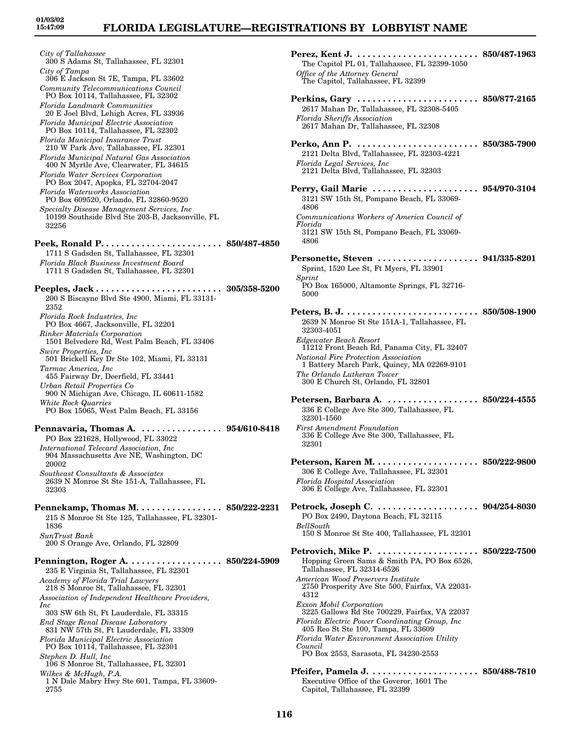*City of Tallahassee* 300 S Adams St, Tallahassee, FL 32301 *City of Tampa* 306 E Jackson St 7E, Tampa, FL 33602 *Community Telecommunications Council* PO Box 10114, Tallahassee, FL 32302 *Florida Landmark Communities* 20 E Joel Blvd, Lehigh Acres, FL 33936 *Florida Municipal Electric Association* PO Box 10114, Tallahassee, FL 32302 *Florida Municipal Insurance Trust* 210 W Park Ave, Tallahassee, FL 32301 *Florida Municipal Natural Gas Association* 400 N Myrtle Ave, Clearwater, FL 34615 *Florida Water Services Corporation* PO Box 2047, Apopka, FL 32704-2047 *Florida Waterworks Association* PO Box 609520, Orlando, FL 32860-9520 *Specialty Disease Management Services, Inc* 10199 Southside Blvd Ste 203-B, Jacksonville, FL 32256 **Peek, Ronald P. . . . . . . . . . . . . . . . . . . . . . . . 850/487-4850** 1711 S Gadsden St, Tallahassee, FL 32301 *Florida Black Business Investment Board* 1711 S Gadsden St, Tallahassee, FL 32301 **Peeples, Jack . . . . . . . . . . . . . . . . . . . . . . . . . 305/358-5200** 200 S Biscayne Blvd Ste 4900, Miami, FL 33131- 2352 *Florida Rock Industries, Inc* PO Box 4667, Jacksonville, FL 32201 *Rinker Materials Corporation* 1501 Belvedere Rd, West Palm Beach, FL 33406 *Swire Properties, Inc* 501 Brickell Key Dr Ste 102, Miami, FL 33131 *Tarmac America, Inc* 455 Fairway Dr, Deerfield, FL 33441 *Urban Retail Properties Co* 900 N Michigan Ave, Chicago, IL 60611-1582 *White Rock Quarries* PO Box 15065, West Palm Beach, FL 33156 **Pennavaria, Thomas A. . . . . . . . . . . . . . . . . 954/610-8418** PO Box 221628, Hollywood, FL 33022 *International Telecard Association, Inc* 904 Massachusetts Ave NE, Washington, DC 20002 *Southeast Consultants & Associates* 2639 N Monroe St Ste 151-A, Tallahassee, FL 32303 **Pennekamp, Thomas M. . . . . . . . . . . . . . . . . 850/222-2231** 215 S Monroe St Ste 125, Tallahassee, FL 32301- 1836 *SunTrust Bank* 200 S Orange Ave, Orlando, FL 32809 **Pennington, Roger A. . . . . . . . . . . . . . . . . . . 850/224-5909** 235 E Virginia St, Tallahassee, FL 32301 *Academy of Florida Trial Lawyers* 218 S Monroe St, Tallahassee, FL 32301 *Association of Independent Healthcare Providers, Inc* 303 SW 6th St, Ft Lauderdale, FL 33315 *End Stage Renal Disease Laboratory* 831 NW 57th St, Ft Lauderdale, FL 33309 *Florida Municipal Electric Association* PO Box 10114, Tallahassee, FL 32301 *Stephen D. Hull, Inc* 106 S Monroe St, Tallahassee, FL 32301 *Wilkes & McHugh, P.A.* 1 N Dale Mabry Hwy Ste 601, Tampa, FL 33609- 2755

| The Capitol PL 01, Tallahassee, FL 32399-1050<br><i><b>Office of the Attorney General</b></i><br>The Capitol, Tallahassee, FL 32399                                                                                                                                                                                                                                                                                                                                                      |              |
|------------------------------------------------------------------------------------------------------------------------------------------------------------------------------------------------------------------------------------------------------------------------------------------------------------------------------------------------------------------------------------------------------------------------------------------------------------------------------------------|--------------|
| Perkins, Gary  850/877-2165<br>2617 Mahan Dr, Tallahassee, FL 32308-5405<br><b>Florida Sheriffs Association</b><br>2617 Mahan Dr, Tallahassee, FL 32308                                                                                                                                                                                                                                                                                                                                  |              |
| 2121 Delta Blvd, Tallahassee, FL 32303-4221<br>Florida Legal Services, Inc.<br>2121 Delta Blvd, Tallahassee, FL 32303                                                                                                                                                                                                                                                                                                                                                                    |              |
| Perry, Gail Marie  954/970-3104<br>3121 SW 15th St, Pompano Beach, FL 33069-<br>4806<br>Communications Workers of America Council of                                                                                                                                                                                                                                                                                                                                                     |              |
| Florida<br>3121 SW 15th St, Pompano Beach, FL 33069-<br>4806                                                                                                                                                                                                                                                                                                                                                                                                                             |              |
| Sprint, 1520 Lee St, Ft Myers, FL 33901<br>Sprint<br>PO Box 165000, Altamonte Springs, FL 32716-<br>5000                                                                                                                                                                                                                                                                                                                                                                                 |              |
| 2639 N Monroe St Ste 151A-1, Tallahassee, FL<br>32303-4051<br>Edgewater Beach Resort<br>11212 Front Beach Rd, Panama City, FL 32407<br>National Fire Protection Association<br>1 Battery March Park, Quincy, MA 02269-9101<br>The Orlando Lutheran Tower<br>300 E Church St, Orlando, FL 32801                                                                                                                                                                                           |              |
| 336 E College Ave Ste 300, Tallahassee, FL<br>32301-1560<br><b>First Amendment Foundation</b><br>336 E College Ave Ste 300, Tallahassee, FL<br>32301                                                                                                                                                                                                                                                                                                                                     |              |
| Peterson, Karen M.<br>306 E College Ave, Tallahassee, FL 32301<br>Florida Hospital Association<br>306 E College Ave, Tallahassee, FL 32301                                                                                                                                                                                                                                                                                                                                               | 850/222-9800 |
| PO Box 2490, Daytona Beach, FL 32115<br>BellSouth<br>150 S Monroe St Ste 400, Tallahassee, FL 32301                                                                                                                                                                                                                                                                                                                                                                                      |              |
| Petrovich, Mike P.  850/222-7500<br>Hopping Green Sams & Smith PA, PO Box 6526,<br>Tallahassee, FL 32314-6526<br>American Wood Preservers Institute<br>2750 Prosperity Ave Ste 500, Fairfax, VA 22031-<br>4312<br>Exxon Mobil Corporation<br>3225 Gallows Rd Ste 700229, Fairfax, VA 22037<br>Florida Electric Power Coordinating Group, Inc.<br>405 Reo St Ste 100, Tampa, FL 33609<br>Florida Water Environment Association Utility<br>Council<br>PO Box 2553, Sarasota, FL 34230-2553 |              |
| Pfeifer, Pamela J.  850/488-7810<br>Executive Office of the Goveror, 1601 The<br>Capitol, Tallahassee, FL 32399                                                                                                                                                                                                                                                                                                                                                                          |              |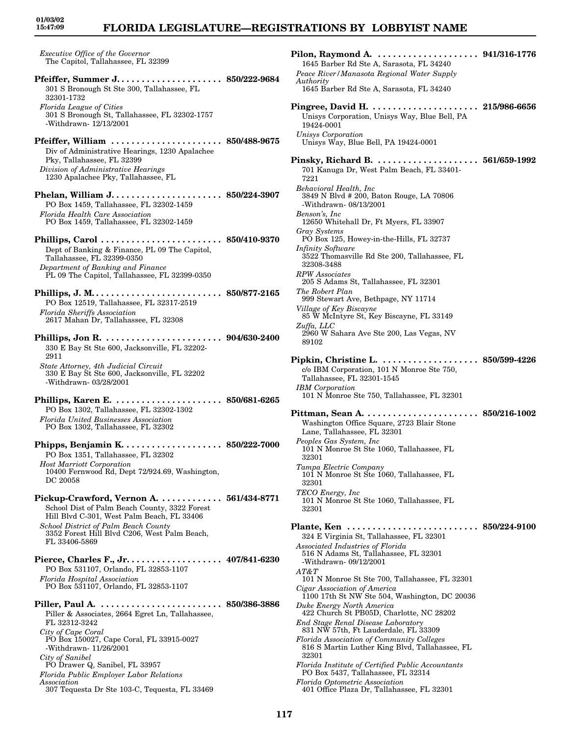# **FLORIDA LEGISLATURE—REGISTRATIONS BY LOBBYIST NAME**

| Executive Office of the Governor<br>The Capitol, Tallahassee, FL 32399                                                                                                                                                                                                                                                                                           |                               |
|------------------------------------------------------------------------------------------------------------------------------------------------------------------------------------------------------------------------------------------------------------------------------------------------------------------------------------------------------------------|-------------------------------|
| 301 S Bronough St Ste 300, Tallahassee, FL<br>32301-1732<br>Florida League of Cities<br>301 S Bronough St, Tallahassee, FL 32302-1757<br>-Withdrawn-12/13/2001                                                                                                                                                                                                   |                               |
| Pfeiffer, William  850/488-9675<br>Div of Administrative Hearings, 1230 Apalachee<br>Pky, Tallahassee, FL 32399<br>Division of Administrative Hearings<br>1230 Apalachee Pky, Tallahassee, FL                                                                                                                                                                    |                               |
| Phelan, William J 850/224-3907<br>PO Box 1459, Tallahassee, FL 32302-1459<br>Florida Health Care Association<br>PO Box 1459, Tallahassee, FL 32302-1459                                                                                                                                                                                                          |                               |
| Dept of Banking & Finance, PL 09 The Capitol,<br>Tallahassee, FL 32399-0350<br>Department of Banking and Finance<br>PL 09 The Capitol, Tallahassee, FL 32399-0350                                                                                                                                                                                                |                               |
| Phillips, J. M 850/877-2165<br>PO Box 12519, Tallahassee, FL 32317-2519<br><b>Florida Sheriffs Association</b><br>2617 Mahan Dr, Tallahassee, FL 32308                                                                                                                                                                                                           |                               |
| 330 E Bay St Ste 600, Jacksonville, FL 32202-<br>2911<br>State Attorney, 4th Judicial Circuit<br>330 E Bay St Ste 600, Jacksonville, FL 32202                                                                                                                                                                                                                    |                               |
| -Withdrawn-03/28/2001<br>Phillips, Karen E.<br>PO Box 1302, Tallahassee, FL 32302-1302<br><b>Florida United Businesses Association</b><br>PO Box 1302, Tallahassee, FL 32302                                                                                                                                                                                     | $\ldots\ldots\ 850$ /681-6265 |
| Phipps, Benjamin $K$<br>PO Box 1351, Tallahassee, FL 32302<br><b>Host Marriott Corporation</b><br>10400 Fernwood Rd, Dept 72/924.69, Washington,<br>DC 20058                                                                                                                                                                                                     | $\ldots$ 850/222-7000         |
| Pickup-Crawford, Vernon A. 561/434-8771<br>School Dist of Palm Beach County, 3322 Forest<br>Hill Blvd C-301, West Palm Beach, FL 33406<br>School District of Palm Beach County<br>3352 Forest Hill Blvd C206, West Palm Beach,<br>FL 33406-5869                                                                                                                  |                               |
| Pierce, Charles F., Jr. 407/841-6230<br>PO Box 531107, Orlando, FL 32853-1107<br>Florida Hospital Association<br>PO Box 531107, Orlando, FL 32853-1107                                                                                                                                                                                                           |                               |
| Piller, Paul A.  850/386-3886<br>Piller & Associates, 2664 Egret Ln, Tallahassee,<br>FL 32312-3242<br>City of Cape Coral<br>PO Box 150027, Cape Coral, FL 33915-0027<br>-Withdrawn- $11/26/2001$<br>City of Sanibel<br>PO Drawer Q, Sanibel, FL 33957<br>Florida Public Employer Labor Relations<br>Association<br>307 Tequesta Dr Ste 103-C, Tequesta, FL 33469 |                               |

| 1645 Barber Rd Ste A, Sarasota, FL 34240                                                             |                                 |
|------------------------------------------------------------------------------------------------------|---------------------------------|
| Peace River/Manasota Regional Water Supply<br>Authority                                              |                                 |
| 1645 Barber Rd Ste A, Sarasota, FL 34240                                                             |                                 |
|                                                                                                      |                                 |
| Unisys Corporation, Unisys Way, Blue Bell, PA                                                        |                                 |
| 19424-0001                                                                                           |                                 |
| Unisys Corporation<br>Unisys Way, Blue Bell, PA 19424-0001                                           |                                 |
| Pinsky, Richard B.  561/659-1992                                                                     |                                 |
| 701 Kanuga Dr, West Palm Beach, FL 33401-<br>7221                                                    |                                 |
| Behavioral Health, Inc<br>3849 N Blvd # 200, Baton Rouge, LA 70806<br>-Withdrawn- 08/13/2001         |                                 |
| Benson's, Inc<br>12650 Whitehall Dr, Ft Myers, FL 33907                                              |                                 |
| Gray Systems<br>PO Box 125, Howey-in-the-Hills, FL 32737                                             |                                 |
| Infinity Software<br>3522 Thomasville Rd Ste 200, Tallahassee, FL<br>32308-3488                      |                                 |
| <b>RPW</b> Associates<br>205 S Adams St, Tallahassee, FL 32301                                       |                                 |
| The Robert Plan<br>999 Stewart Ave, Bethpage, NY 11714                                               |                                 |
| Village of Key Biscayne<br>85 W McIntyre St, Key Biscayne, FL 33149                                  |                                 |
| Zuffa, LLC<br>2960 W Sahara Ave Ste 200, Las Vegas, NV<br>89102                                      |                                 |
|                                                                                                      |                                 |
| c/o IBM Corporation, 101 N Monroe Ste 750,                                                           |                                 |
| Tallahassee, FL 32301-1545                                                                           |                                 |
| <b>IBM</b> Corporation<br>101 N Monroe Ste 750, Tallahassee, FL 32301                                |                                 |
|                                                                                                      |                                 |
| Washington Office Square, 2723 Blair Stone<br>Lane, Tallahassee, FL 32301                            |                                 |
| Peoples Gas System, Inc<br>101 N Monroe St Ste 1060, Tallahassee, FL                                 |                                 |
| 32301                                                                                                |                                 |
| Tampa Electric Company<br>101 N Monroe St Ste 1060, Tallahassee, FL<br>32301                         |                                 |
| TECO Energy, Inc.                                                                                    |                                 |
| 101 N Monroe St Ste 1060, Tallahassee, FL<br>32301                                                   |                                 |
| Plante, Ken<br>324 E Virginia St, Tallahassee, FL 32301                                              | $\ldots\,\,.\,\, 850/224$ -9100 |
| Associated Industries of Florida<br>516 N Adams St, Tallahassee, FL 32301                            |                                 |
| -Withdrawn-09/12/2001<br>$AT\&T$                                                                     |                                 |
| 101 N Monroe St Ste 700, Tallahassee, FL 32301                                                       |                                 |
| Cigar Association of America<br>1100 17th St NW Ste 504, Washington, DC 20036                        |                                 |
| Duke Energy North America<br>422 Church St PB05D, Charlotte, NC 28202                                |                                 |
| End Stage Renal Disease Laboratory<br>831 NW 57th, Ft Lauderdale, FL 33309                           |                                 |
| Florida Association of Community Colleges<br>816 S Martin Luther King Blvd, Tallahassee, FL<br>32301 |                                 |
| Florida Institute of Certified Public Accountants<br>PO Box 5437, Tallahassee, FL 32314              |                                 |
| <b>Florida Optometric Association</b><br>401 Office Plaza Dr, Tallahassee, FL 32301                  |                                 |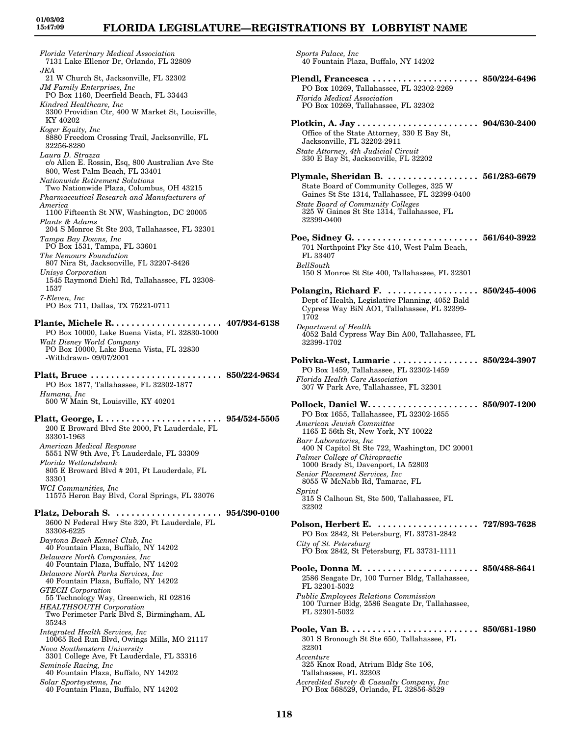*Sports Palace, Inc*

40 Fountain Plaza, Buffalo, NY 14202

*Florida Veterinary Medical Association* 7131 Lake Ellenor Dr, Orlando, FL 32809 *JEA* 21 W Church St, Jacksonville, FL 32302 *JM Family Enterprises, Inc* PO Box 1160, Deerfield Beach, FL 33443 *Kindred Healthcare, Inc* 3300 Providian Ctr, 400 W Market St, Louisville, KY 40202 *Koger Equity, Inc* 8880 Freedom Crossing Trail, Jacksonville, FL 32256-8280 *Laura D. Strazza* c/o Allen E. Rossin, Esq, 800 Australian Ave Ste 800, West Palm Beach, FL 33401 *Nationwide Retirement Solutions* Two Nationwide Plaza, Columbus, OH 43215 *Pharmaceutical Research and Manufacturers of America* 1100 Fifteenth St NW, Washington, DC 20005 *Plante & Adams* 204 S Monroe St Ste 203, Tallahassee, FL 32301 *Tampa Bay Downs, Inc* PO Box 1531, Tampa, FL 33601 *The Nemours Foundation* 807 Nira St, Jacksonville, FL 32207-8426 *Unisys Corporation* 1545 Raymond Diehl Rd, Tallahassee, FL 32308- 1537 *7-Eleven, Inc* PO Box 711, Dallas, TX 75221-0711 **Plante, Michele R. . . . . . . . . . . . . . . . . . . . . . 407/934-6138** PO Box 10000, Lake Buena Vista, FL 32830-1000 *Walt Disney World Company* PO Box 10000, Lake Buena Vista, FL 32830 -Withdrawn- 09/07/2001 **Platt, Bruce . . . . . . . . . . . . . . . . . . . . . . . . . . 850/224-9634** PO Box 1877, Tallahassee, FL 32302-1877 *Humana, Inc* 500 W Main St, Louisville, KY 40201 **Platt, George, I. . . . . . . . . . . . . . . . . . . . . . . . 954/524-5505** 200 E Broward Blvd Ste 2000, Ft Lauderdale, FL 33301-1963 *American Medical Response* 5551 NW 9th Ave, Ft Lauderdale, FL 33309 *Florida Wetlandsbank* 805 E Broward Blvd # 201, Ft Lauderdale, FL 33301 *WCI Communities, Inc* 11575 Heron Bay Blvd, Coral Springs, FL 33076 **Platz, Deborah S. . . . . . . . . . . . . . . . . . . . . . 954/390-0100** 3600 N Federal Hwy Ste 320, Ft Lauderdale, FL 33308-6225 *Daytona Beach Kennel Club, Inc* 40 Fountain Plaza, Buffalo, NY 14202 *Delaware North Companies, Inc* 40 Fountain Plaza, Buffalo, NY 14202 *Delaware North Parks Services, Inc* 40 Fountain Plaza, Buffalo, NY 14202 *GTECH Corporation* 55 Technology Way, Greenwich, RI 02816 *HEALTHSOUTH Corporation* Two Perimeter Park Blvd S, Birmingham, AL 35243 *Integrated Health Services, Inc* 10065 Red Run Blvd, Owings Mills, MO 21117 *Nova Southeastern University* 3301 College Ave, Ft Lauderdale, FL 33316 *Seminole Racing, Inc* 40 Fountain Plaza, Buffalo, NY 14202 *Solar Sportsystems, Inc* 40 Fountain Plaza, Buffalo, NY 14202

**Plendl, Francesca . . . . . . . . . . . . . . . . . . . . . 850/224-6496** PO Box 10269, Tallahassee, FL 32302-2269 *Florida Medical Association* PO Box 10269, Tallahassee, FL 32302 **Plotkin, A. Jay . . . . . . . . . . . . . . . . . . . . . . . . 904/630-2400** Office of the State Attorney, 330 E Bay St, Jacksonville, FL 32202-2911 *State Attorney, 4th Judicial Circuit* 330 E Bay St, Jacksonville, FL 32202 **Plymale, Sheridan B. . . . . . . . . . . . . . . . . . . 561/283-6679** State Board of Community Colleges, 325 W Gaines St Ste 1314, Tallahassee, FL 32399-0400 *State Board of Community Colleges* 325 W Gaines St Ste 1314, Tallahassee, FL 32399-0400 **Poe, Sidney G. . . . . . . . . . . . . . . . . . . . . . . . . 561/640-3922** 701 Northpoint Pky Ste 410, West Palm Beach, FL 33407 *BellSouth* 150 S Monroe St Ste 400, Tallahassee, FL 32301 **Polangin, Richard F. . . . . . . . . . . . . . . . . . . 850/245-4006** Dept of Health, Legislative Planning, 4052 Bald Cypress Way BiN AO1, Tallahassee, FL 32399- 1702 *Department of Health* 4052 Bald Cypress Way Bin A00, Tallahassee, FL 32399-1702 **Polivka-West, Lumarie . . . . . . . . . . . . . . . . . 850/224-3907** PO Box 1459, Tallahassee, FL 32302-1459 *Florida Health Care Association* 307 W Park Ave, Tallahassee, FL 32301 **Pollock, Daniel W. . . . . . . . . . . . . . . . . . . . . . 850/907-1200** PO Box 1655, Tallahassee, FL 32302-1655 *American Jewish Committee* 1165 E 56th St, New York, NY 10022 *Barr Laboratories, Inc* 400 N Capitol St Ste 722, Washington, DC 20001 *Palmer College of Chiropractic* 1000 Brady St, Davenport, IA 52803 *Senior Placement Services, Inc* 8055 W McNabb Rd, Tamarac, FL *Sprint* 315 S Calhoun St, Ste 500, Tallahassee, FL 32302 **Polson, Herbert E. . . . . . . . . . . . . . . . . . . . . 727/893-7628** PO Box 2842, St Petersburg, FL 33731-2842 *City of St. Petersburg* PO Box 2842, St Petersburg, FL 33731-1111 **Poole, Donna M. . . . . . . . . . . . . . . . . . . . . . . 850/488-8641** 2586 Seagate Dr, 100 Turner Bldg, Tallahassee, FL 32301-5032 *Public Employees Relations Commission* 100 Turner Bldg, 2586 Seagate Dr, Tallahassee, FL 32301-5032 **Poole, Van B. . . . . . . . . . . . . . . . . . . . . . . . . . 850/681-1980** 301 S Bronough St Ste 650, Tallahassee, FL 32301 *Accenture* 325 Knox Road, Atrium Bldg Ste 106, Tallahassee, FL 32303

*Accredited Surety & Casualty Company, Inc* PO Box 568529, Orlando, FL 32856-8529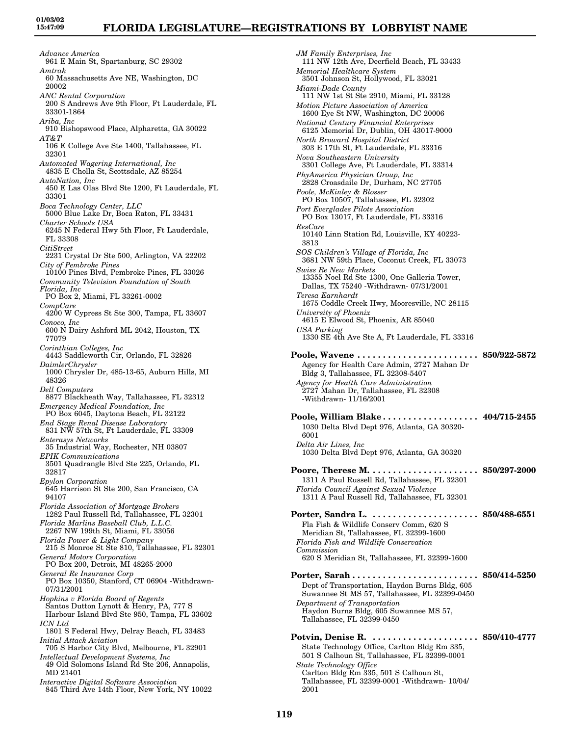*Advance America* 961 E Main St, Spartanburg, SC 29302 *Amtrak* 60 Massachusetts Ave NE, Washington, DC 20002 *ANC Rental Corporation* 200 S Andrews Ave 9th Floor, Ft Lauderdale, FL 33301-1864 *Ariba, Inc* 910 Bishopswood Place, Alpharetta, GA 30022 *AT&T* 106 E College Ave Ste 1400, Tallahassee, FL 32301 *Automated Wagering International, Inc* 4835 E Cholla St, Scottsdale, AZ 85254 *AutoNation, Inc* 450 E Las Olas Blvd Ste 1200, Ft Lauderdale, FL 33301 *Boca Technology Center, LLC* 5000 Blue Lake Dr, Boca Raton, FL 33431 *Charter Schools USA* 6245 N Federal Hwy 5th Floor, Ft Lauderdale, FL 33308 *CitiStreet* 2231 Crystal Dr Ste 500, Arlington, VA 22202 *City of Pembroke Pines* 10100 Pines Blvd, Pembroke Pines, FL 33026 *Community Television Foundation of South Florida, Inc* PO Box 2, Miami, FL 33261-0002 *CompCare* 4200 W Cypress St Ste 300, Tampa, FL 33607 *Conoco, Inc* 600 N Dairy Ashford ML 2042, Houston, TX 77079 *Corinthian Colleges, Inc* 4443 Saddleworth Cir, Orlando, FL 32826 *DaimlerChrysler* 1000 Chrysler Dr, 485-13-65, Auburn Hills, MI 48326 *Dell Computers* 8877 Blackheath Way, Tallahassee, FL 32312 *Emergency Medical Foundation, Inc* PO Box 6045, Daytona Beach, FL 32122 *End Stage Renal Disease Laboratory* 831 NW 57th St, Ft Lauderdale, FL 33309 *Enterasys Networks* 35 Industrial Way, Rochester, NH 03807 *EPIK Communications* 3501 Quadrangle Blvd Ste 225, Orlando, FL 32817 *Epylon Corporation* 645 Harrison St Ste 200, San Francisco, CA 94107 *Florida Association of Mortgage Brokers* 1282 Paul Russell Rd, Tallahassee, FL 32301 *Florida Marlins Baseball Club, L.L.C.* 2267 NW 199th St, Miami, FL 33056 *Florida Power & Light Company* 215 S Monroe St Ste 810, Tallahassee, FL 32301 *General Motors Corporation* PO Box 200, Detroit, MI 48265-2000 *General Re Insurance Corp* PO Box 10350, Stanford, CT 06904 -Withdrawn-07/31/2001 *Hopkins v Florida Board of Regents* Santos Dutton Lynott & Henry, PA, 777 S Harbour Island Blvd Ste 950, Tampa, FL 33602 *ICN Ltd* 1801 S Federal Hwy, Delray Beach, FL 33483 *Initial Attack Aviation* 705 S Harbor City Blvd, Melbourne, FL 32901 *Intellectual Development Systems, Inc* 49 Old Solomons Island Rd Ste 206, Annapolis, MD 21401 *Interactive Digital Software Association* 845 Third Ave 14th Floor, New York, NY 10022

*JM Family Enterprises, Inc* 111 NW 12th Ave, Deerfield Beach, FL 33433 *Memorial Healthcare System* 3501 Johnson St, Hollywood, FL 33021 *Miami-Dade County* 111 NW 1st St Ste 2910, Miami, FL 33128 *Motion Picture Association of America* 1600 Eye St NW, Washington, DC 20006 *National Century Financial Enterprises* 6125 Memorial Dr, Dublin, OH 43017-9000 *North Broward Hospital District* 303 E 17th St, Ft Lauderdale, FL 33316 *Nova Southeastern University* 3301 College Ave, Ft Lauderdale, FL 33314 *PhyAmerica Physician Group, Inc* 2828 Croasdaile Dr, Durham, NC 27705 *Poole, McKinley & Blosser* PO Box 10507, Tallahassee, FL 32302 *Port Everglades Pilots Association* PO Box 13017, Ft Lauderdale, FL 33316 *ResCare* 10140 Linn Station Rd, Louisville, KY 40223- 3813 *SOS Children's Village of Florida, Inc* 3681 NW 59th Place, Coconut Creek, FL 33073 *Swiss Re New Markets* 13355 Noel Rd Ste 1300, One Galleria Tower, Dallas, TX 75240 -Withdrawn- 07/31/2001 *Teresa Earnhardt* 1675 Coddle Creek Hwy, Mooresville, NC 28115 *University of Phoenix* 4615 E Elwood St, Phoenix, AR 85040 *USA Parking* 1330 SE 4th Ave Ste A, Ft Lauderdale, FL 33316 **Poole, Wavene . . . . . . . . . . . . . . . . . . . . . . . . 850/922-5872** Agency for Health Care Admin, 2727 Mahan Dr Bldg 3, Tallahassee, FL 32308-5407 *Agency for Health Care Administration* 2727 Mahan Dr, Tallahassee, FL 32308 -Withdrawn- 11/16/2001 **Poole, William Blake . . . . . . . . . . . . . . . . . . . 404/715-2455** 1030 Delta Blvd Dept 976, Atlanta, GA 30320- 6001 *Delta Air Lines, Inc* 1030 Delta Blvd Dept 976, Atlanta, GA 30320 **Poore, Therese M. . . . . . . . . . . . . . . . . . . . . . 850/297-2000** 1311 A Paul Russell Rd, Tallahassee, FL 32301 *Florida Council Against Sexual Violence* 1311 A Paul Russell Rd, Tallahassee, FL 32301 **Porter, Sandra L. . . . . . . . . . . . . . . . . . . . . . 850/488-6551** Fla Fish & Wildlife Conserv Comm, 620 S Meridian St, Tallahassee, FL 32399-1600 *Florida Fish and Wildlife Conservation Commission* 620 S Meridian St, Tallahassee, FL 32399-1600 **Porter, Sarah . . . . . . . . . . . . . . . . . . . . . . . . . 850/414-5250** Dept of Transportation, Haydon Burns Bldg, 605 Suwannee St MS 57, Tallahassee, FL 32399-0450 *Department of Transportation* Haydon Burns Bldg, 605 Suwannee MS 57, Tallahassee, FL 32399-0450 **Potvin, Denise R. . . . . . . . . . . . . . . . . . . . . . 850/410-4777** State Technology Office, Carlton Bldg Rm 335, 501 S Calhoun St, Tallahassee, FL 32399-0001 *State Technology Office* Carlton Bldg Rm 335, 501 S Calhoun St, Tallahassee, FL 32399-0001 -Withdrawn- 10/04/

2001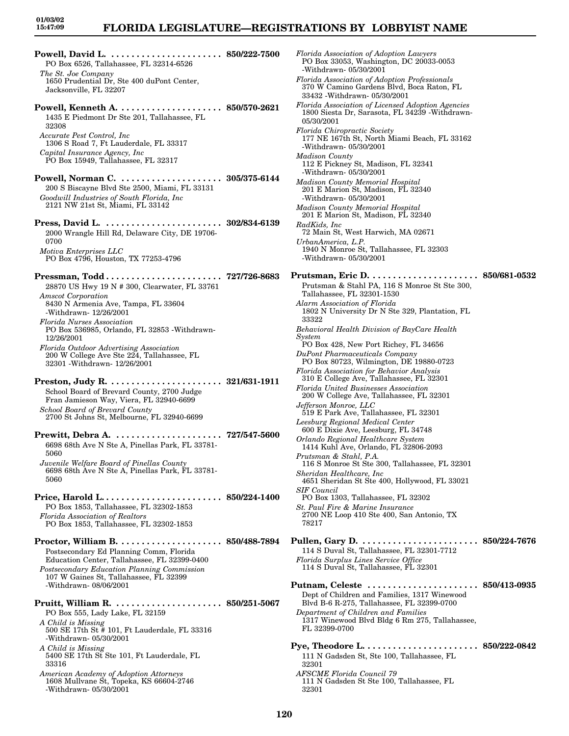**Powell, David L. . . . . . . . . . . . . . . . . . . . . . . 850/222-7500** PO Box 6526, Tallahassee, FL 32314-6526 *The St. Joe Company* 1650 Prudential Dr, Ste 400 duPont Center, Jacksonville, FL 32207 **Powell, Kenneth A. . . . . . . . . . . . . . . . . . . . . 850/570-2621** 1435 E Piedmont Dr Ste 201, Tallahassee, FL 32308 *Accurate Pest Control, Inc* 1306 S Road 7, Ft Lauderdale, FL 33317 *Capital Insurance Agency, Inc* PO Box 15949, Tallahassee, FL 32317 **Powell, Norman C. . . . . . . . . . . . . . . . . . . . . 305/375-6144** 200 S Biscayne Blvd Ste 2500, Miami, FL 33131 *Goodwill Industries of South Florida, Inc* 2121 NW 21st St, Miami, FL 33142 **Press, David L. . . . . . . . . . . . . . . . . . . . . . . . 302/834-6139** 2000 Wrangle Hill Rd, Delaware City, DE 19706- 0700 *Motiva Enterprises LLC* PO Box 4796, Houston, TX 77253-4796 **Pressman, Todd . . . . . . . . . . . . . . . . . . . . . . . 727/726-8683** 28870 US Hwy 19 N # 300, Clearwater, FL 33761 *Amscot Corporation* 8430 N Armenia Ave, Tampa, FL 33604 -Withdrawn- 12/26/2001 *Florida Nurses Association* PO Box 536985, Orlando, FL 32853 -Withdrawn-12/26/2001 *Florida Outdoor Advertising Association* 200 W College Ave Ste 224, Tallahassee, FL 32301 -Withdrawn- 12/26/2001 **Preston, Judy R. . . . . . . . . . . . . . . . . . . . . . . 321/631-1911** School Board of Brevard County, 2700 Judge Fran Jamieson Way, Viera, FL 32940-6699 *School Board of Brevard County* 2700 St Johns St, Melbourne, FL 32940-6699 **Prewitt, Debra A. . . . . . . . . . . . . . . . . . . . . . 727/547-5600** 6698 68th Ave N Ste A, Pinellas Park, FL 33781- 5060 *Juvenile Welfare Board of Pinellas County* 6698 68th Ave N Ste A, Pinellas Park, FL 33781- 5060 **Price, Harold L. . . . . . . . . . . . . . . . . . . . . . . . 850/224-1400** PO Box 1853, Tallahassee, FL 32302-1853 *Florida Association of Realtors* PO Box 1853, Tallahassee, FL 32302-1853 **Proctor, William B. . . . . . . . . . . . . . . . . . . . . 850/488-7894** Postsecondary Ed Planning Comm, Florida Education Center, Tallahassee, FL 32399-0400 *Postsecondary Education Planning Commission* 107 W Gaines St, Tallahassee, FL 32399 -Withdrawn- 08/06/2001 **Pruitt, William R. . . . . . . . . . . . . . . . . . . . . . 850/251-5067** PO Box 555, Lady Lake, FL 32159 *A Child is Missing* 500 SE 17th St # 101, Ft Lauderdale, FL 33316 -Withdrawn- 05/30/2001 *A Child is Missing* 5400 SE 17th St Ste 101, Ft Lauderdale, FL 33316 *American Academy of Adoption Attorneys* 1608 Mullvane St, Topeka, KS 66604-2746 -Withdrawn- 05/30/2001

*Florida Association of Adoption Lawyers* PO Box 33053, Washington, DC 20033-0053 -Withdrawn- 05/30/2001 *Florida Association of Adoption Professionals* 370 W Camino Gardens Blvd, Boca Raton, FL 33432 -Withdrawn- 05/30/2001 *Florida Association of Licensed Adoption Agencies* 1800 Siesta Dr, Sarasota, FL 34239 -Withdrawn-05/30/2001 *Florida Chiropractic Society* 177 NE 167th St, North Miami Beach, FL 33162 -Withdrawn- 05/30/2001 *Madison County* 112 E Pickney St, Madison, FL 32341 -Withdrawn- 05/30/2001 *Madison County Memorial Hospital* 201 E Marion St, Madison, FL 32340 -Withdrawn- 05/30/2001 *Madison County Memorial Hospital* 201 E Marion St, Madison, FL 32340 *RadKids, Inc* 72 Main St, West Harwich, MA 02671 *UrbanAmerica, L.P.* 1940 N Monroe St, Tallahassee, FL 32303 -Withdrawn- 05/30/2001 **Prutsman, Eric D. . . . . . . . . . . . . . . . . . . . . . 850/681-0532** Prutsman & Stahl PA, 116 S Monroe St Ste 300, Tallahassee, FL 32301-1530 *Alarm Association of Florida* 1802 N University Dr N Ste 329, Plantation, FL 33322 *Behavioral Health Division of BayCare Health System* PO Box 428, New Port Richey, FL 34656 *DuPont Pharmaceuticals Company* PO Box 80723, Wilmington, DE 19880-0723 *Florida Association for Behavior Analysis* 310 E College Ave, Tallahassee, FL 32301 *Florida United Businesses Association* 200 W College Ave, Tallahassee, FL 32301 *Jefferson Monroe, LLC* 519 E Park Ave, Tallahassee, FL 32301 *Leesburg Regional Medical Center* 600 E Dixie Ave, Leesburg, FL 34748 *Orlando Regional Healthcare System* 1414 Kuhl Ave, Orlando, FL 32806-2093 *Prutsman & Stahl, P.A.* 116 S Monroe St Ste 300, Tallahassee, FL 32301 *Sheridan Healthcare, Inc* 4651 Sheridan St Ste 400, Hollywood, FL 33021 *SIF Council* PO Box 1303, Tallahassee, FL 32302 *St. Paul Fire & Marine Insurance* 2700 NE Loop 410 Ste 400, San Antonio, TX 78217 **Pullen, Gary D. . . . . . . . . . . . . . . . . . . . . . . . 850/224-7676** 114 S Duval St, Tallahassee, FL 32301-7712 *Florida Surplus Lines Service Office* 114 S Duval St, Tallahassee, FL 32301 **Putnam, Celeste . . . . . . . . . . . . . . . . . . . . . . 850/413-0935** Dept of Children and Families, 1317 Winewood Blvd B-6 R-275, Tallahassee, FL 32399-0700 *Department of Children and Families* 1317 Winewood Blvd Bldg 6 Rm 275, Tallahassee, FL 32399-0700 **Pye, Theodore L. . . . . . . . . . . . . . . . . . . . . . . 850/222-0842** 111 N Gadsden St, Ste 100, Tallahassee, FL 32301 *AFSCME Florida Council 79* 111 N Gadsden St Ste 100, Tallahassee, FL 32301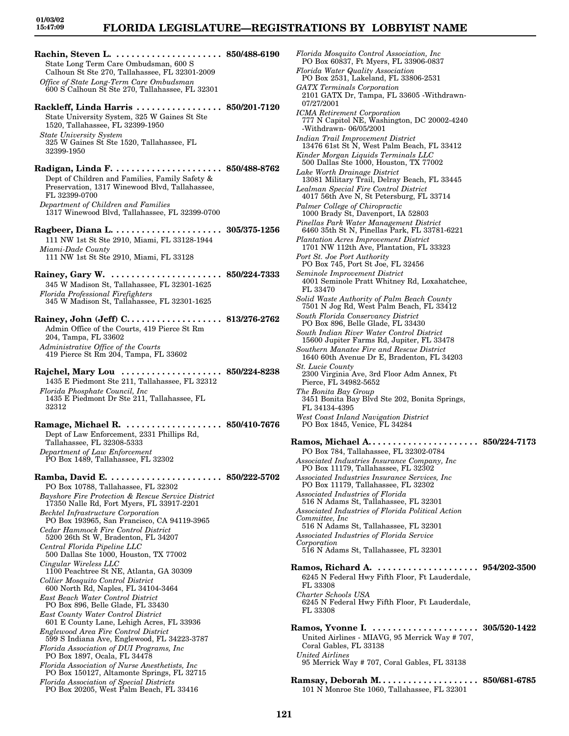**Rachin, Steven L. . . . . . . . . . . . . . . . . . . . . . 850/488-6190** State Long Term Care Ombudsman, 600 S Calhoun St Ste 270, Tallahassee, FL 32301-2009 *Office of State Long-Term Care Ombudsman* 600 S Calhoun St Ste 270, Tallahassee, FL 32301

**Rackleff, Linda Harris . . . . . . . . . . . . . . . . . 850/201-7120** State University System, 325 W Gaines St Ste 1520, Tallahassee, FL 32399-1950 *State University System* 325 W Gaines St Ste 1520, Tallahassee, FL 32399-1950

**Radigan, Linda F. . . . . . . . . . . . . . . . . . . . . . 850/488-8762** Dept of Children and Families, Family Safety & Preservation, 1317 Winewood Blvd, Tallahassee, FL 32399-0700 *Department of Children and Families* 1317 Winewood Blvd, Tallahassee, FL 32399-0700

**Ragbeer, Diana L. . . . . . . . . . . . . . . . . . . . . . 305/375-1256** 111 NW 1st St Ste 2910, Miami, FL 33128-1944 *Miami-Dade County* 111 NW 1st St Ste 2910, Miami, FL 33128

**Rainey, Gary W. . . . . . . . . . . . . . . . . . . . . . . 850/224-7333** 345 W Madison St, Tallahassee, FL 32301-1625 *Florida Professional Firefighters* 345 W Madison St, Tallahassee, FL 32301-1625

**Rainey, John (Jeff) C. . . . . . . . . . . . . . . . . . . 813/276-2762** Admin Office of the Courts, 419 Pierce St Rm 204, Tampa, FL 33602 *Administrative Office of the Courts* 419 Pierce St Rm 204, Tampa, FL 33602

**Rajchel, Mary Lou . . . . . . . . . . . . . . . . . . . . 850/224-8238** 1435 E Piedmont Ste 211, Tallahassee, FL 32312 *Florida Phosphate Council, Inc* 1435 E Piedmont Dr Ste 211, Tallahassee, FL 32312

**Ramage, Michael R. . . . . . . . . . . . . . . . . . . . 850/410-7676** Dept of Law Enforcement, 2331 Phillips Rd, Tallahassee, FL 32308-5333 *Department of Law Enforcement* PO Box 1489, Tallahassee, FL 32302

**Ramba, David E. . . . . . . . . . . . . . . . . . . . . . . 850/222-5702** PO Box 10788, Tallahassee, FL 32302 *Bayshore Fire Protection & Rescue Service District* 17350 Nalle Rd, Fort Myers, FL 33917-2201 *Bechtel Infrastructure Corporation* PO Box 193965, San Francisco, CA 94119-3965 *Cedar Hammock Fire Control District* 5200 26th St W, Bradenton, FL 34207 *Central Florida Pipeline LLC* 500 Dallas Ste 1000, Houston, TX 77002 *Cingular Wireless LLC* 1100 Peachtree St NE, Atlanta, GA 30309 *Collier Mosquito Control District* 600 North Rd, Naples, FL 34104-3464 *East Beach Water Control District* PO Box 896, Belle Glade, FL 33430 *East County Water Control District* 601 E County Lane, Lehigh Acres, FL 33936 *Englewood Area Fire Control District* 599 S Indiana Ave, Englewood, FL 34223-3787 *Florida Association of DUI Programs, Inc* PO Box 1897, Ocala, FL 34478 *Florida Association of Nurse Anesthetists, Inc* PO Box 150127, Altamonte Springs, FL 32715 *Florida Association of Special Districts* PO Box 20205, West Palm Beach, FL 33416

*Florida Mosquito Control Association, Inc* PO Box 60837, Ft Myers, FL 33906-0837 *Florida Water Quality Association* PO Box 2531, Lakeland, FL 33806-2531 *GATX Terminals Corporation* 2101 GATX Dr, Tampa, FL 33605 -Withdrawn-07/27/2001 *ICMA Retirement Corporation* 777 N Capitol NE, Washington, DC 20002-4240 -Withdrawn- 06/05/2001 *Indian Trail Improvement District* 13476 61st St N, West Palm Beach, FL 33412 *Kinder Morgan Liquids Terminals LLC* 500 Dallas Ste 1000, Houston, TX 77002 *Lake Worth Drainage District* 13081 Military Trail, Delray Beach, FL 33445 *Lealman Special Fire Control District* 4017 56th Ave N, St Petersburg, FL 33714 *Palmer College of Chiropractic* 1000 Brady St, Davenport, IA 52803 *Pinellas Park Water Management District* 6460 35th St N, Pinellas Park, FL 33781-6221 *Plantation Acres Improvement District* 1701 NW 112th Ave, Plantation, FL 33323 *Port St. Joe Port Authority* PO Box 745, Port St Joe, FL 32456 *Seminole Improvement District* 4001 Seminole Pratt Whitney Rd, Loxahatchee, FL 33470 *Solid Waste Authority of Palm Beach County* 7501 N Jog Rd, West Palm Beach, FL 33412 *South Florida Conservancy District* PO Box 896, Belle Glade, FL 33430 *South Indian River Water Control District* 15600 Jupiter Farms Rd, Jupiter, FL 33478 *Southern Manatee Fire and Rescue District* 1640 60th Avenue Dr E, Bradenton, FL 34203 *St. Lucie County* 2300 Virginia Ave, 3rd Floor Adm Annex, Ft Pierce, FL 34982-5652 *The Bonita Bay Group* 3451 Bonita Bay Blvd Ste 202, Bonita Springs, FL 34134-4395 *West Coast Inland Navigation District* PO Box 1845, Venice, FL 34284 **Ramos, Michael A. . . . . . . . . . . . . . . . . . . . . . 850/224-7173**

PO Box 784, Tallahassee, FL 32302-0784 *Associated Industries Insurance Company, Inc* PO Box 11179, Tallahassee, FL 32302 *Associated Industries Insurance Services, Inc* PO Box 11179, Tallahassee, FL 32302 *Associated Industries of Florida* 516 N Adams St, Tallahassee, FL 32301 *Associated Industries of Florida Political Action Committee, Inc* 516 N Adams St, Tallahassee, FL 32301 *Associated Industries of Florida Service Corporation* 516 N Adams St, Tallahassee, FL 32301 **Ramos, Richard A. . . . . . . . . . . . . . . . . . . . . 954/202-3500** 6245 N Federal Hwy Fifth Floor, Ft Lauderdale, FL 33308 *Charter Schools USA* 6245 N Federal Hwy Fifth Floor, Ft Lauderdale, FL 33308 **Ramos, Yvonne I. . . . . . . . . . . . . . . . . . . . . . 305/520-1422** United Airlines - MIAVG, 95 Merrick Way # 707, Coral Gables, FL 33138 *United Airlines* 95 Merrick Way # 707, Coral Gables, FL 33138 **Ramsay, Deborah M. . . . . . . . . . . . . . . . . . . . 850/681-6785** 101 N Monroe Ste 1060, Tallahassee, FL 32301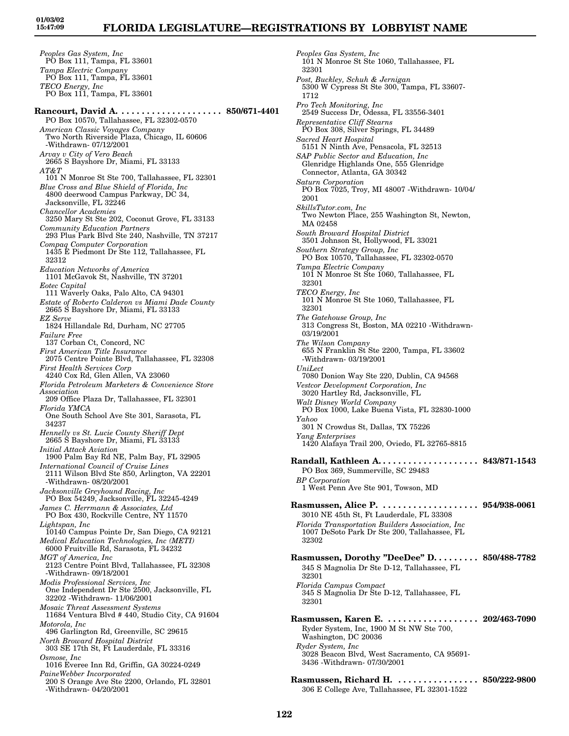*Peoples Gas System, Inc* PO Box 111, Tampa, FL 33601 *Tampa Electric Company* PO Box 111, Tampa, FL 33601 *TECO Energy, Inc* PO Box 111, Tampa, FL 33601 **Rancourt, David A. . . . . . . . . . . . . . . . . . . . . 850/671-4401** PO Box 10570, Tallahassee, FL 32302-0570 *American Classic Voyages Company* Two North Riverside Plaza, Chicago, IL 60606 -Withdrawn- 07/12/2001 *Arvay v City of Vero Beach* 2665 S Bayshore Dr, Miami, FL 33133 *AT&T* 101 N Monroe St Ste 700, Tallahassee, FL 32301 *Blue Cross and Blue Shield of Florida, Inc* 4800 deerwood Campus Parkway, DC 34, Jacksonville, FL 32246 *Chancellor Academies* 3250 Mary St Ste 202, Coconut Grove, FL 33133 *Community Education Partners* 293 Plus Park Blvd Ste 240, Nashville, TN 37217 *Compaq Computer Corporation* 1435 E Piedmont Dr Ste 112, Tallahassee, FL 32312 *Education Networks of America* 1101 McGavok St, Nashville, TN 37201 *Eotec Capital* 111 Waverly Oaks, Palo Alto, CA 94301 *Estate of Roberto Calderon vs Miami Dade County* 2665 S Bayshore Dr, Miami, FL 33133 *EZ Serve* 1824 Hillandale Rd, Durham, NC 27705 *Failure Free* 137 Corban Ct, Concord, NC *First American Title Insurance* 2075 Centre Pointe Blvd, Tallahassee, FL 32308 *First Health Services Corp*  $4240 \text{ Cox Rd}, \text{Glen Allen}, \text{VA } 23060$ *Florida Petroleum Marketers & Convenience Store Association* 209 Office Plaza Dr, Tallahassee, FL 32301 *Florida YMCA* One South School Ave Ste 301, Sarasota, FL 34237 *Hennelly vs St. Lucie County Sheriff Dept* 2665 S Bayshore Dr, Miami, FL 33133 *Initial Attack Aviation* 1900 Palm Bay Rd NE, Palm Bay, FL 32905 *International Council of Cruise Lines* 2111 Wilson Blvd Ste 850, Arlington, VA 22201 -Withdrawn- 08/20/2001 *Jacksonville Greyhound Racing, Inc* PO Box 54249, Jacksonville, FL 32245-4249 *James C. Herrmann & Associates, Ltd* PO Box 430, Rockville Centre, NY 11570 *Lightspan, Inc* 10140 Campus Pointe Dr, San Diego, CA 92121 *Medical Education Technologies, Inc (METI)* 6000 Fruitville Rd, Sarasota, FL 34232 *MGT of America, Inc* 2123 Centre Point Blvd, Tallahassee, FL 32308 -Withdrawn- 09/18/2001 *Modis Professional Services, Inc* One Independent Dr Ste 2500, Jacksonville, FL 32202 -Withdrawn- 11/06/2001 *Mosaic Threat Assessment Systems* 11684 Ventura Blvd # 440, Studio City, CA 91604 *Motorola, Inc* 496 Garlington Rd, Greenville, SC 29615 *North Broward Hospital District* 303 SE 17th St, Ft Lauderdale, FL 33316 *Osmose, Inc* 1016 Everee Inn Rd, Griffin, GA 30224-0249 *PaineWebber Incorporated* 200 S Orange Ave Ste 2200, Orlando, FL 32801 -Withdrawn- 04/20/2001

*Peoples Gas System, Inc* 101 N Monroe St Ste 1060, Tallahassee, FL 32301 *Post, Buckley, Schuh & Jernigan* 5300 W Cypress St Ste 300, Tampa, FL 33607- 1712 *Pro Tech Monitoring, Inc* 2549 Success Dr, Odessa, FL 33556-3401 *Representative Cliff Stearns* PO Box 308, Silver Springs, FL 34489 *Sacred Heart Hospital* 5151 N Ninth Ave, Pensacola, FL 32513 *SAP Public Sector and Education, Inc* Glenridge Highlands One, 555 Glenridge Connector, Atlanta, GA 30342 *Saturn Corporation* PO Box 7025, Troy, MI 48007 -Withdrawn- 10/04/ 2001 *SkillsTutor.com, Inc* Two Newton Place, 255 Washington St, Newton, MA 02458 *South Broward Hospital District* 3501 Johnson St, Hollywood, FL 33021 *Southern Strategy Group, Inc* PO Box 10570, Tallahassee, FL 32302-0570 *Tampa Electric Company* 101 N Monroe St Ste 1060, Tallahassee, FL 32301 *TECO Energy, Inc* 101 N Monroe St Ste 1060, Tallahassee, FL 32301 *The Gatehouse Group, Inc* 313 Congress St, Boston, MA 02210 -Withdrawn-03/19/2001 *The Wilson Company* 655 N Franklin St Ste 2200, Tampa, FL 33602 -Withdrawn- 03/19/2001 *UniLect* 7080 Donion Way Ste 220, Dublin, CA 94568 *Vestcor Development Corporation, Inc* 3020 Hartley Rd, Jacksonville, FL *Walt Disney World Company* PO Box 1000, Lake Buena Vista, FL 32830-1000 *Yahoo* 301 N Crowdus St, Dallas, TX 75226 *Yang Enterprises* 1420 Alafaya Trail 200, Oviedo, FL 32765-8815 **Randall, Kathleen A. . . . . . . . . . . . . . . . . . . . 843/871-1543** PO Box 369, Summerville, SC 29483 *BP Corporation* 1 West Penn Ave Ste 901, Towson, MD **Rasmussen, Alice P. . . . . . . . . . . . . . . . . . . . 954/938-0061** 3010 NE 45th St, Ft Lauderdale, FL 33308 *Florida Transportation Builders Association, Inc* 1007 DeSoto Park Dr Ste 200, Tallahassee, FL 32302 **Rasmussen, Dorothy "DeeDee" D. . . . . . . . . 850/488-7782** 345 S Magnolia Dr Ste D-12, Tallahassee, FL 32301 *Florida Campus Compact* 345 S Magnolia Dr Ste D-12, Tallahassee, FL 32301 **Rasmussen, Karen E. . . . . . . . . . . . . . . . . . . 202/463-7090** Ryder System, Inc, 1900 M St NW Ste 700, Washington, DC 20036 *Ryder System, Inc* 3028 Beacon Blvd, West Sacramento, CA 95691- 3436 -Withdrawn- 07/30/2001 **Rasmussen, Richard H. . . . . . . . . . . . . . . . . 850/222-9800** 306 E College Ave, Tallahassee, FL 32301-1522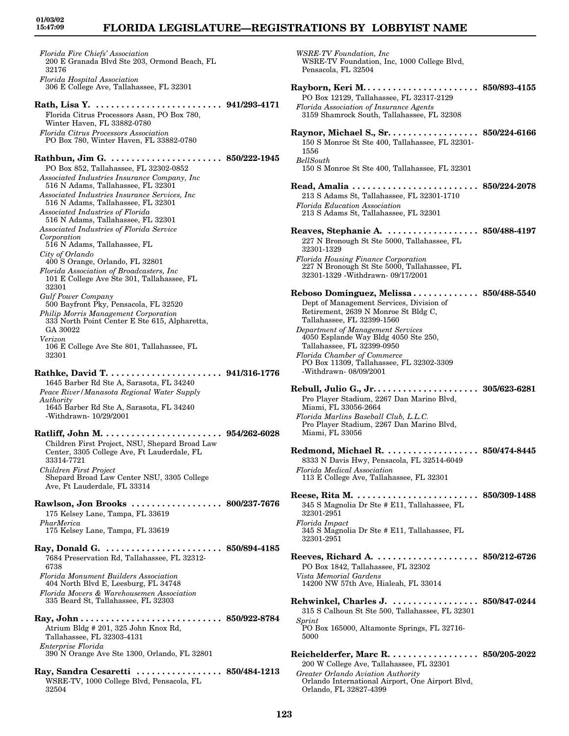### **FLORIDA LEGISLATURE—REGISTRATIONS BY LOBBYIST NAME**

*Florida Fire Chiefs' Association* 200 E Granada Blvd Ste 203, Ormond Beach, FL 32176 *Florida Hospital Association* 306 E College Ave, Tallahassee, FL 32301 **Rath, Lisa Y. . . . . . . . . . . . . . . . . . . . . . . . . . 941/293-4171** Florida Citrus Processors Assn, PO Box 780, Winter Haven, FL 33882-0780 *Florida Citrus Processors Association* PO Box 780, Winter Haven, FL 33882-0780 **Rathbun, Jim G. . . . . . . . . . . . . . . . . . . . . . . 850/222-1945** PO Box 852, Tallahassee, FL 32302-0852 *Associated Industries Insurance Company, Inc* 516 N Adams, Tallahassee, FL 32301 *Associated Industries Insurance Services, Inc* 516 N Adams, Tallahassee, FL 32301 *Associated Industries of Florida* 516 N Adams, Tallahassee, FL 32301 *Associated Industries of Florida Service Corporation* 516 N Adams, Tallahassee, FL *City of Orlando* 400 S Orange, Orlando, FL 32801 *Florida Association of Broadcasters, Inc* 101 E College Ave Ste 301, Tallahassee, FL 32301 *Gulf Power Company* 500 Bayfront Pky, Pensacola, FL 32520 *Philip Morris Management Corporation* 333 North Point Center E Ste 615, Alpharetta, GA 30022 *Verizon* 106 E College Ave Ste 801, Tallahassee, FL 32301 **Rathke, David T. . . . . . . . . . . . . . . . . . . . . . . 941/316-1776** 1645 Barber Rd Ste A, Sarasota, FL 34240 *Peace River/Manasota Regional Water Supply Authority* 1645 Barber Rd Ste A, Sarasota, FL 34240 -Withdrawn- 10/29/2001 **Ratliff, John M. . . . . . . . . . . . . . . . . . . . . . . . 954/262-6028** Children First Project, NSU, Shepard Broad Law Center, 3305 College Ave, Ft Lauderdale, FL 33314-7721 *Children First Project* Shepard Broad Law Center NSU, 3305 College Ave, Ft Lauderdale, FL 33314 **Rawlson, Jon Brooks . . . . . . . . . . . . . . . . . . 800/237-7676** 175 Kelsey Lane, Tampa, FL 33619 *PharMerica* 175 Kelsey Lane, Tampa, FL 33619 **Ray, Donald G. . . . . . . . . . . . . . . . . . . . . . . . 850/894-4185** 7684 Preservation Rd, Tallahassee, FL 32312- 6738 *Florida Monument Builders Association* 404 North Blvd E, Leesburg, FL 34748 *Florida Movers & Warehousemen Association* 335 Beard St, Tallahassee, FL 32303 **Ray, John . . . . . . . . . . . . . . . . . . . . . . . . . . . . 850/922-8784** Atrium Bldg # 201, 325 John Knox Rd, Tallahassee, FL 32303-4131 *Enterprise Florida* 390 N Orange Ave Ste 1300, Orlando, FL 32801 **Ray, Sandra Cesaretti . . . . . . . . . . . . . . . . . 850/484-1213** WSRE-TV, 1000 College Blvd, Pensacola, FL 32504

*WSRE-TV Foundation, Inc* WSRE-TV Foundation, Inc, 1000 College Blvd, Pensacola, FL 32504 **Rayborn, Keri M. . . . . . . . . . . . . . . . . . . . . . . 850/893-4155** PO Box 12129, Tallahassee, FL 32317-2129 *Florida Association of Insurance Agents* 3159 Shamrock South, Tallahassee, FL 32308 **Raynor, Michael S., Sr. . . . . . . . . . . . . . . . . . 850/224-6166** 150 S Monroe St Ste 400, Tallahassee, FL 32301- 1556 *BellSouth* 150 S Monroe St Ste 400, Tallahassee, FL 32301 **Read, Amalia . . . . . . . . . . . . . . . . . . . . . . . . . 850/224-2078** 213 S Adams St, Tallahassee, FL 32301-1710 *Florida Education Association* 213 S Adams St, Tallahassee, FL 32301 **Reaves, Stephanie A. . . . . . . . . . . . . . . . . . . 850/488-4197** 227 N Bronough St Ste 5000, Tallahassee, FL 32301-1329 *Florida Housing Finance Corporation* 227 N Bronough St Ste 5000, Tallahassee, FL 32301-1329 -Withdrawn- 09/17/2001 **Reboso Dominguez, Melissa . . . . . . . . . . . . . 850/488-5540** Dept of Management Services, Division of Retirement, 2639 N Monroe St Bldg C, Tallahassee, FL 32399-1560 *Department of Management Services* 4050 Esplande Way Bldg 4050 Ste 250, Tallahassee, FL 32399-0950 *Florida Chamber of Commerce* PO Box 11309, Tallahassee, FL 32302-3309 -Withdrawn- 08/09/2001 **Rebull, Julio G., Jr. . . . . . . . . . . . . . . . . . . . . 305/623-6281** Pro Player Stadium, 2267 Dan Marino Blvd, Miami, FL 33056-2664 *Florida Marlins Baseball Club, L.L.C.* Pro Player Stadium, 2267 Dan Marino Blvd, Miami, FL 33056 **Redmond, Michael R. . . . . . . . . . . . . . . . . . . 850/474-8445** 8333 N Davis Hwy, Pensacola, FL 32514-6049 *Florida Medical Association* 113 E College Ave, Tallahassee, FL 32301 **Reese, Rita M. . . . . . . . . . . . . . . . . . . . . . . . . 850/309-1488** 345 S Magnolia Dr Ste # E11, Tallahassee, FL 32301-2951 *Florida Impact* 345 S Magnolia Dr Ste # E11, Tallahassee, FL 32301-2951 **Reeves, Richard A. . . . . . . . . . . . . . . . . . . . . 850/212-6726** PO Box 1842, Tallahassee, FL 32302 *Vista Memorial Gardens* 14200 NW 57th Ave, Hialeah, FL 33014 **Rehwinkel, Charles J. . . . . . . . . . . . . . . . . . 850/847-0244** 315 S Calhoun St Ste 500, Tallahassee, FL 32301 *Sprint* PO Box 165000, Altamonte Springs, FL 32716- 5000 **Reichelderfer, Marc R. . . . . . . . . . . . . . . . . . 850/205-2022** 200 W College Ave, Tallahassee, FL 32301 *Greater Orlando Aviation Authority* Orlando International Airport, One Airport Blvd, Orlando, FL 32827-4399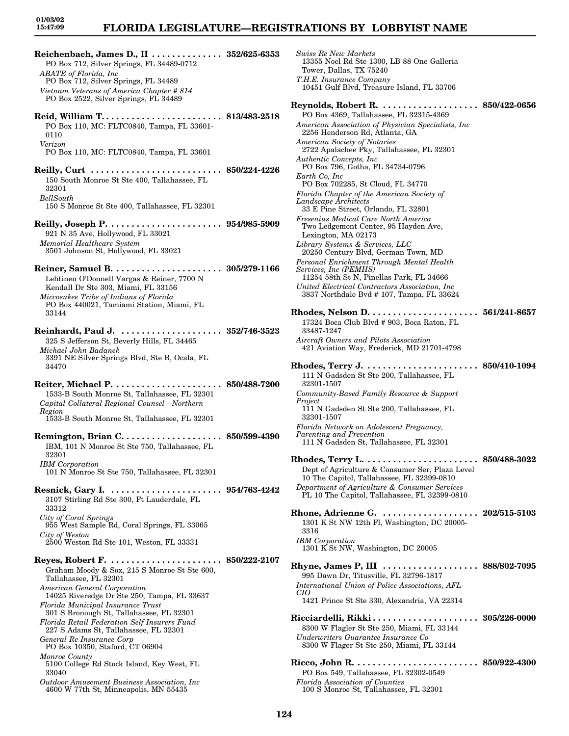### **FLORIDA LEGISLATURE—REGISTRATIONS BY LOBBYIST NAME**

*Swiss Re New Markets*

13355 Noel Rd Ste 1300, LB 88 One Galleria

**Reichenbach, James D., II . . . . . . . . . . . . . . 352/625-6353** PO Box 712, Silver Springs, FL 34489-0712 *ABATE of Florida, Inc* PO Box 712, Silver Springs, FL 34489 *Vietnam Veterans of America Chapter # 814* PO Box 2522, Silver Springs, FL 34489 **Reid, William T. . . . . . . . . . . . . . . . . . . . . . . . 813/483-2518** PO Box 110, MC: FLTC0840, Tampa, FL 33601- 0110 *Verizon* PO Box 110, MC: FLTC0840, Tampa, FL 33601 **Reilly, Curt . . . . . . . . . . . . . . . . . . . . . . . . . . 850/224-4226** 150 South Monroe St Ste 400, Tallahassee, FL 32301 *BellSouth* 150 S Monroe St Ste 400, Tallahassee, FL 32301 **Reilly, Joseph P. . . . . . . . . . . . . . . . . . . . . . . 954/985-5909** 921 N 35 Ave, Hollywood, FL 33021 *Memorial Healthcare System* 3501 Johnson St, Hollywood, FL 33021 **Reiner, Samuel B. . . . . . . . . . . . . . . . . . . . . . 305/279-1166** Lehtinen O'Donnell Vargas & Reiner, 7700 N Kendall Dr Ste 303, Miami, FL 33156 *Miccosukee Tribe of Indians of Florida* PO Box 440021, Tamiami Station, Miami, FL 33144 **Reinhardt, Paul J. . . . . . . . . . . . . . . . . . . . . 352/746-3523** 325 S Jefferson St, Beverly Hills, FL 34465 *Michael John Badanek* 3391 NE Silver Springs Blvd, Ste B, Ocala, FL 34470 **Reiter, Michael P. . . . . . . . . . . . . . . . . . . . . . 850/488-7200** 1533-B South Monroe St, Tallahassee, FL 32301 *Capital Collateral Regional Counsel - Northern Region* 1533-B South Monroe St, Tallahassee, FL 32301 **Remington, Brian C. . . . . . . . . . . . . . . . . . . . 850/599-4390** IBM, 101 N Monroe St Ste 750, Tallahassee, FL 32301 *IBM Corporation* 101 N Monroe St Ste 750, Tallahassee, FL 32301 **Resnick, Gary I. . . . . . . . . . . . . . . . . . . . . . . 954/763-4242** 3107 Stirling Rd Ste 300, Ft Lauderdale, FL 33312 *City of Coral Springs* 955 West Sample Rd, Coral Springs, FL 33065 *City of Weston* 2500 Weston Rd Ste 101, Weston, FL 33331 **Reyes, Robert F. . . . . . . . . . . . . . . . . . . . . . . 850/222-2107** Graham Moody & Sox, 215 S Monroe St Ste 600, Tallahassee, FL 32301 *American General Corporation* 14025 Riveredge Dr Ste 250, Tampa, FL 33637 *Florida Municipal Insurance Trust* 301 S Bronough St, Tallahassee, FL 32301 *Florida Retail Federation Self Insurers Fund* 227 S Adams St, Tallahassee, FL 32301 *General Re Insurance Corp* PO Box 10350, Staford, CT 06904 *Monroe County* 5100 College Rd Stock Island, Key West, FL 33040 *Outdoor Amusement Business Association, Inc* 4600 W 77th St, Minneapolis, MN 55435

Tower, Dallas, TX 75240 *T.H.E. Insurance Company* 10451 Gulf Blvd, Treasure Island, FL 33706 **Reynolds, Robert R. . . . . . . . . . . . . . . . . . . . 850/422-0656** PO Box 4369, Tallahassee, FL 32315-4369 *American Association of Physician Specialists, Inc* 2256 Henderson Rd, Atlanta, GA *American Society of Notaries* 2722 Apalachee Pky, Tallahassee, FL 32301 *Authentic Concepts, Inc* PO Box 796, Gotha, FL 34734-0796 *Earth Co, Inc* PO Box 702285, St Cloud, FL 34770 *Florida Chapter of the American Society of Landscape Architects* 33 E Pine Street, Orlando, FL 32801 *Fresenius Medical Care North America* Two Ledgemont Center, 95 Hayden Ave, Lexington, MA 02173 *Library Systems & Services, LLC* 20250 Century Blvd, German Town, MD *Personal Enrichment Through Mental Health Services, Inc (PEMHS)* 11254 58th St N, Pinellas Park, FL 34666 *United Electrical Contractors Association, Inc* 3837 Northdale Bvd # 107, Tampa, FL 33624 **Rhodes, Nelson D. . . . . . . . . . . . . . . . . . . . . . 561/241-8657** 17324 Boca Club Blvd # 903, Boca Raton, FL 33487-1247 *Aircraft Owners and Pilots Association* 421 Aviation Way, Frederick, MD 21701-4798 **Rhodes, Terry J. . . . . . . . . . . . . . . . . . . . . . . 850/410-1094** 111 N Gadsden St Ste 200, Tallahassee, FL 32301-1507 *Community-Based Family Resource & Support Project* 111 N Gadsden St Ste 200, Tallahassee, FL 32301-1507 *Florida Network on Adolescent Pregnancy, Parenting and Prevention* 111 N Gadsden St, Tallahassee, FL 32301 **Rhodes, Terry L. . . . . . . . . . . . . . . . . . . . . . . 850/488-3022** Dept of Agriculture & Consumer Ser, Plaza Level 10 The Capitol, Tallahassee, FL 32399-0810 *Department of Agriculture & Consumer Services* PL 10 The Capitol, Tallahassee, FL 32399-0810 **Rhone, Adrienne G. . . . . . . . . . . . . . . . . . . . 202/515-5103** 1301 K St NW 12th Fl, Washington, DC 20005- 3316 *IBM Corporation* 1301 K St NW, Washington, DC 20005 **Rhyne, James P, III . . . . . . . . . . . . . . . . . . . 888/802-7095** 995 Dawn Dr, Titusville, FL 32796-1817 *International Union of Police Associations, AFL-CIO* 1421 Prince St Ste 330, Alexandria, VA 22314 **Ricciardelli, Rikki . . . . . . . . . . . . . . . . . . . . . 305/226-0000** 8300 W Flagler St Ste 250, Miami, FL 33144 *Underwriters Guarantee Insurance Co* 8300 W Flager St Ste 250, Miami, FL 33144 **Ricco, John R. . . . . . . . . . . . . . . . . . . . . . . . . 850/922-4300** PO Box 549, Tallahassee, FL 32302-0549 *Florida Association of Counties* 100 S Monroe St, Tallahassee, FL 32301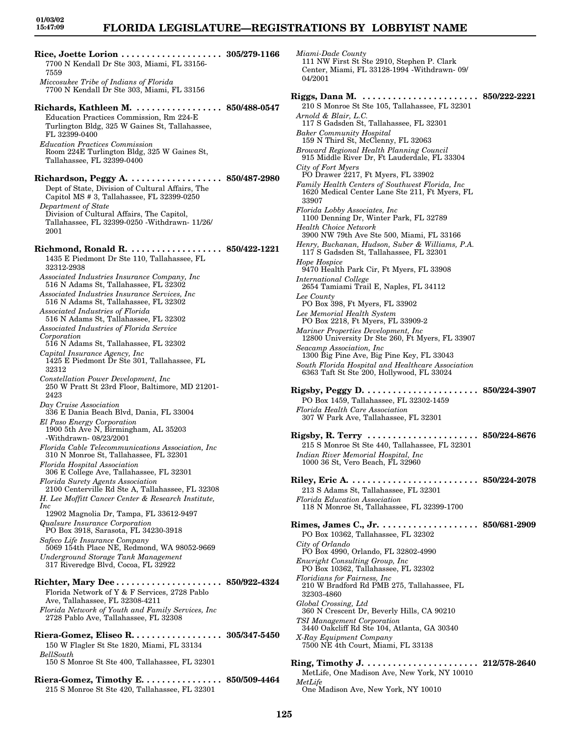**Rice, Joette Lorion . . . . . . . . . . . . . . . . . . . . 305/279-1166** 7700 N Kendall Dr Ste 303, Miami, FL 33156- 7559 *Miccosukee Tribe of Indians of Florida* 7700 N Kendall Dr Ste 303, Miami, FL 33156 **Richards, Kathleen M. . . . . . . . . . . . . . . . . . 850/488-0547** Education Practices Commission, Rm 224-E Turlington Bldg, 325 W Gaines St, Tallahassee, FL 32399-0400 *Education Practices Commission* Room 224E Turlington Bldg, 325 W Gaines St, Tallahassee, FL 32399-0400 **Richardson, Peggy A. . . . . . . . . . . . . . . . . . . 850/487-2980** Dept of State, Division of Cultural Affairs, The Capitol MS # 3, Tallahassee, FL 32399-0250 *Department of State* Division of Cultural Affairs, The Capitol, Tallahassee, FL 32399-0250 -Withdrawn- 11/26/ 2001 **Richmond, Ronald R. . . . . . . . . . . . . . . . . . . 850/422-1221** 1435 E Piedmont Dr Ste 110, Tallahassee, FL 32312-2938 *Associated Industries Insurance Company, Inc* 516 N Adams St, Tallahassee, FL 32302 *Associated Industries Insurance Services, Inc* 516 N Adams St, Tallahassee, FL 32302 *Associated Industries of Florida* 516 N Adams St, Tallahassee, FL 32302 *Associated Industries of Florida Service Corporation* 516 N Adams St, Tallahassee, FL 32302 *Capital Insurance Agency, Inc* 1425 E Piedmont Dr Ste 301, Tallahassee, FL 32312 *Constellation Power Development, Inc* 250 W Pratt St 23rd Floor, Baltimore, MD 21201- 2423 *Day Cruise Association* 336 E Dania Beach Blvd, Dania, FL 33004 *El Paso Energy Corporation* 1900 5th Ave N, Birmingham, AL 35203 -Withdrawn- 08/23/2001 *Florida Cable Telecommunications Association, Inc* 310 N Monroe St, Tallahassee, FL 32301 *Florida Hospital Association* 306 E College Ave, Tallahassee, FL 32301 *Florida Surety Agents Association* 2100 Centerville Rd Ste A, Tallahassee, FL 32308 *H. Lee Moffitt Cancer Center & Research Institute, Inc* 12902 Magnolia Dr, Tampa, FL 33612-9497 *Qualsure Insurance Corporation* PO Box 3918, Sarasota, FL 34230-3918 *Safeco Life Insurance Company* 5069 154th Place NE, Redmond, WA 98052-9669 *Underground Storage Tank Management* 317 Riveredge Blvd, Cocoa, FL 32922 **Richter, Mary Dee . . . . . . . . . . . . . . . . . . . . . 850/922-4324** Florida Network of Y & F Services, 2728 Pablo Ave, Tallahassee, FL 32308-4211 *Florida Network of Youth and Family Services, Inc* 2728 Pablo Ave, Tallahassee, FL 32308 **Riera-Gomez, Eliseo R. . . . . . . . . . . . . . . . . . 305/347-5450** 150 W Flagler St Ste 1820, Miami, FL 33134 *BellSouth* 150 S Monroe St Ste 400, Tallahassee, FL 32301

**Riera-Gomez, Timothy E. . . . . . . . . . . . . . . . 850/509-4464** 215 S Monroe St Ste 420, Tallahassee, FL 32301

*Miami-Dade County* 111 NW First St Ste 2910, Stephen P. Clark Center, Miami, FL 33128-1994 -Withdrawn- 09/ 04/2001 **Riggs, Dana M. . . . . . . . . . . . . . . . . . . . . . . . 850/222-2221** 210 S Monroe St Ste 105, Tallahassee, FL 32301 *Arnold & Blair, L.C.* 117 S Gadsden St, Tallahassee, FL 32301 *Baker Community Hospital* 159 N Third St, McClenny, FL 32063 *Broward Regional Health Planning Council* 915 Middle River Dr, Ft Lauderdale, FL 33304 *City of Fort Myers* PO Drawer 2217, Ft Myers, FL 33902 *Family Health Centers of Southwest Florida, Inc* 1620 Medical Center Lane Ste 211, Ft Myers, FL 33907 *Florida Lobby Associates, Inc* 1100 Denning Dr, Winter Park, FL 32789 *Health Choice Network* 3900 NW 79th Ave Ste 500, Miami, FL 33166 *Henry, Buchanan, Hudson, Suber & Williams, P.A.* 117 S Gadsden St, Tallahassee, FL 32301 *Hope Hospice* 9470 Health Park Cir, Ft Myers, FL 33908 *International College* 2654 Tamiami Trail E, Naples, FL 34112 *Lee County* PO Box 398, Ft Myers, FL 33902 *Lee Memorial Health System* PO Box 2218, Ft Myers, FL 33909-2 *Mariner Properties Development, Inc* 12800 University Dr Ste 260, Ft Myers, FL 33907 *Seacamp Association, Inc* 1300 Big Pine Ave, Big Pine Key, FL 33043 *South Florida Hospital and Healthcare Association* 6363 Taft St Ste 200, Hollywood, FL 33024 **Rigsby, Peggy D. . . . . . . . . . . . . . . . . . . . . . . 850/224-3907** PO Box 1459, Tallahassee, FL 32302-1459 *Florida Health Care Association* 307 W Park Ave, Tallahassee, FL 32301 **Rigsby, R. Terry . . . . . . . . . . . . . . . . . . . . . . 850/224-8676** 215 S Monroe St Ste 440, Tallahassee, FL 32301 *Indian River Memorial Hospital, Inc* 1000 36 St, Vero Beach, FL 32960 **Riley, Eric A. . . . . . . . . . . . . . . . . . . . . . . . . . 850/224-2078** 213 S Adams St, Tallahassee, FL 32301 *Florida Education Association* 118 N Monroe St, Tallahassee, FL 32399-1700 **Rimes, James C., Jr. . . . . . . . . . . . . . . . . . . . 850/681-2909** PO Box 10362, Tallahassee, FL 32302 *City of Orlando* PO Box 4990, Orlando, FL 32802-4990 *Enwright Consulting Group, Inc* PO Box 10362, Tallahassee, FL 32302 *Floridians for Fairness, Inc* 210 W Bradford Rd PMB 275, Tallahassee, FL 32303-4860 *Global Crossing, Ltd* 360 N Crescent Dr, Beverly Hills, CA 90210 *TSI Management Corporation* 3440 Oakcliff Rd Ste 104, Atlanta, GA 30340 *X-Ray Equipment Company* 7500 NE 4th Court, Miami, FL 33138 **Ring, Timothy J. . . . . . . . . . . . . . . . . . . . . . . 212/578-2640** MetLife, One Madison Ave, New York, NY 10010

*MetLife*

One Madison Ave, New York, NY 10010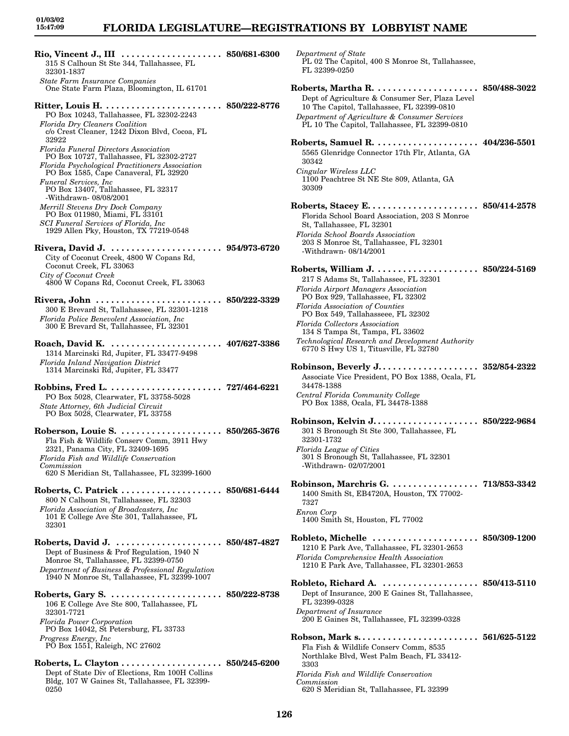### **FLORIDA LEGISLATURE—REGISTRATIONS BY LOBBYIST NAME**

| Rio, Vincent J., III<br>. 850/681-6300                                                                                                                                                                                     |                             |
|----------------------------------------------------------------------------------------------------------------------------------------------------------------------------------------------------------------------------|-----------------------------|
| 315 S Calhoun St Ste 344, Tallahassee, FL<br>32301-1837                                                                                                                                                                    |                             |
| State Farm Insurance Companies<br>One State Farm Plaza, Bloomington, IL 61701                                                                                                                                              |                             |
| Ritter, Louis H.<br>PO Box 10243, Tallahassee, FL 32302-2243<br>Florida Dry Cleaners Coalition                                                                                                                             | $\ldots \,\, 850/222$ -8776 |
| c/o Crest Cleaner, 1242 Dixon Blvd, Cocoa, FL<br>32922                                                                                                                                                                     |                             |
| <b>Florida Funeral Directors Association</b><br>PO Box 10727, Tallahassee, FL 32302-2727<br>Florida Psychological Practitioners Association                                                                                |                             |
| PO Box 1585, Cape Canaveral, FL 32920<br>Funeral Services, Inc.<br>PO Box 13407, Tallahassee, FL 32317                                                                                                                     |                             |
| -Withdrawn- 08/08/2001<br>Merrill Stevens Dry Dock Company<br>PO Box 011980, Miami, FL 33101                                                                                                                               |                             |
| SCI Funeral Services of Florida, Inc.<br>1929 Allen Pky, Houston, TX 77219-0548                                                                                                                                            |                             |
| Rivera, David J.  954/973-6720<br>City of Coconut Creek, 4800 W Copans Rd,<br>Coconut Creek, FL 33063                                                                                                                      |                             |
| City of Coconut Creek<br>4800 W Copans Rd, Coconut Creek, FL 33063                                                                                                                                                         |                             |
| Rivera, John  850/222-3329<br>300 E Brevard St, Tallahassee, FL 32301-1218<br>Florida Police Benevolent Association, Inc                                                                                                   |                             |
| 300 E Brevard St, Tallahassee, FL 32301                                                                                                                                                                                    |                             |
| 407/627-3386<br>Roach, David K.<br>1314 Marcinski Rd, Jupiter, FL 33477-9498<br>Florida Inland Navigation District<br>1314 Marcinski Rd, Jupiter, FL 33477                                                                 |                             |
| PO Box 5028, Clearwater, FL 33758-5028<br>State Attorney, 6th Judicial Circuit<br>PO Box 5028, Clearwater, FL 33758                                                                                                        |                             |
| Fla Fish & Wildlife Conserv Comm, 3911 Hwy<br>2321, Panama City, FL 32409-1695<br>Florida Fish and Wildlife Conservation<br>Commission                                                                                     |                             |
| 620 S Meridian St, Tallahassee, FL 32399-1600<br>Roberts, C. Patrick  850/681-6444                                                                                                                                         |                             |
| 800 N Calhoun St, Tallahassee, FL 32303<br>Florida Association of Broadcasters, Inc.<br>101 E College Ave Ste 301, Tallahassee, FL<br>32301                                                                                |                             |
| Roberts, David J.  850/487-4827<br>Dept of Business & Prof Regulation, 1940 N<br>Monroe St, Tallahassee, FL 32399-0750<br>Department of Business & Professional Regulation<br>1940 N Monroe St, Tallahassee, FL 32399-1007 |                             |
| 106 E College Ave Ste 800, Tallahassee, FL<br>32301-7721                                                                                                                                                                   |                             |
| <b>Florida Power Corporation</b><br>PO Box 14042, St Petersburg, FL 33733<br>Progress Energy, Inc                                                                                                                          |                             |
| PO Box 1551, Raleigh, NC 27602                                                                                                                                                                                             |                             |
|                                                                                                                                                                                                                            |                             |

Dept of State Div of Elections, Rm 100H Collins Bldg, 107 W Gaines St, Tallahassee, FL 32399- 0250

*Department of State* PL 02 The Capitol, 400 S Monroe St, Tallahassee, FL 32399-0250 **Roberts, Martha R. . . . . . . . . . . . . . . . . . . . . 850/488-3022** Dept of Agriculture & Consumer Ser, Plaza Level 10 The Capitol, Tallahassee, FL 32399-0810 *Department of Agriculture & Consumer Services* PL 10 The Capitol, Tallahassee, FL 32399-0810 **Roberts, Samuel R. . . . . . . . . . . . . . . . . . . . . 404/236-5501** 5565 Glenridge Connector 17th Flr, Atlanta, GA 30342 *Cingular Wireless LLC* 1100 Peachtree St NE Ste 809, Atlanta, GA 30309 **Roberts, Stacey E. . . . . . . . . . . . . . . . . . . . . . 850/414-2578** Florida School Board Association, 203 S Monroe St, Tallahassee, FL 32301 *Florida School Boards Association* 203 S Monroe St, Tallahassee, FL 32301 -Withdrawn- 08/14/2001 **Roberts, William J. . . . . . . . . . . . . . . . . . . . . 850/224-5169** 217 S Adams St, Tallahassee, FL 32301 *Florida Airport Managers Association* PO Box 929, Tallahassee, FL 32302 *Florida Association of Counties* PO Box 549, Tallahasseee, FL 32302 *Florida Collectors Association* 134 S Tampa St, Tampa, FL 33602 *Technological Research and Development Authority* 6770 S Hwy US 1, Titusville, FL 32780 **Robinson, Beverly J. . . . . . . . . . . . . . . . . . . . 352/854-2322** Associate Vice President, PO Box 1388, Ocala, FL 34478-1388 *Central Florida Community College* PO Box 1388, Ocala, FL 34478-1388 **Robinson, Kelvin J. . . . . . . . . . . . . . . . . . . . . 850/222-9684** 301 S Bronough St Ste 300, Tallahassee, FL 32301-1732 *Florida League of Cities* 301 S Bronough St, Tallahassee, FL 32301 -Withdrawn- 02/07/2001 **Robinson, Marchris G. . . . . . . . . . . . . . . . . . 713/853-3342** 1400 Smith St, EB4720A, Houston, TX 77002- 7327 *Enron Corp* 1400 Smith St, Houston, FL 77002 **Robleto, Michelle . . . . . . . . . . . . . . . . . . . . . 850/309-1200** 1210 E Park Ave, Tallahassee, FL 32301-2653 *Florida Comprehensive Health Association* 1210 E Park Ave, Tallahassee, FL 32301-2653

**Robleto, Richard A. . . . . . . . . . . . . . . . . . . . 850/413-5110** Dept of Insurance, 200 E Gaines St, Tallahassee, FL 32399-0328 *Department of Insurance* 200 E Gaines St, Tallahassee, FL 32399-0328 **Robson, Mark s. . . . . . . . . . . . . . . . . . . . . . . . 561/625-5122**

Fla Fish & Wildlife Conserv Comm, 8535 Northlake Blvd, West Palm Beach, FL 33412- 3303 *Florida Fish and Wildlife Conservation Commission* 620 S Meridian St, Tallahassee, FL 32399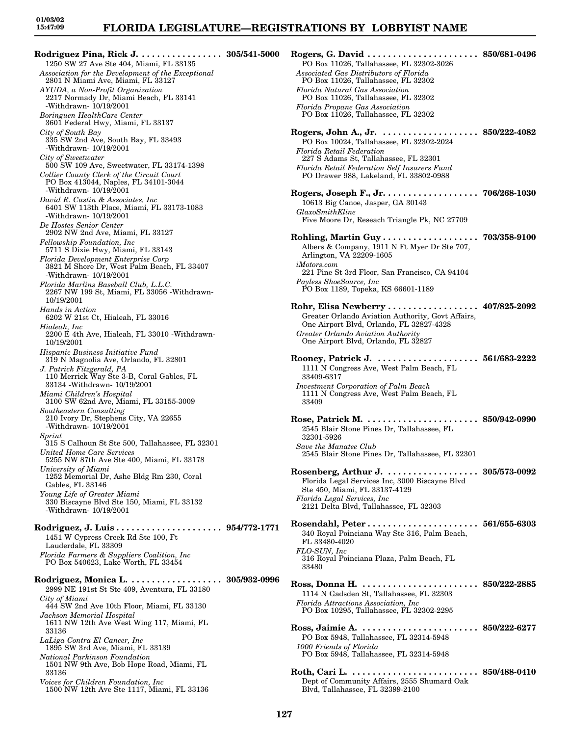**Rodriguez Pina, Rick J. . . . . . . . . . . . . . . . . 305/541-5000** 1250 SW 27 Ave Ste 404, Miami, FL 33135 *Association for the Development of the Exceptional* 2801 N Miami Ave, Miami, FL 33127 *AYUDA, a Non-Profit Organization* 2217 Normady Dr, Miami Beach, FL 33141 -Withdrawn- 10/19/2001 *Boringuen HealthCare Center* 3601 Federal Hwy, Miami, FL 33137 *City of South Bay* 335 SW 2nd Ave, South Bay, FL 33493 -Withdrawn- 10/19/2001 *City of Sweetwater* 500 SW 109 Ave, Sweetwater, FL 33174-1398 *Collier County Clerk of the Circuit Court* PO Box 413044, Naples, FL 34101-3044 -Withdrawn- 10/19/2001 *David R. Custin & Associates, Inc* 6401 SW 113th Place, Miami, FL 33173-1083 -Withdrawn- 10/19/2001 *De Hostes Senior Center* 2902 NW 2nd Ave, Miami, FL 33127 *Fellowship Foundation, Inc* 5711 S Dixie Hwy, Miami, FL 33143 *Florida Development Enterprise Corp* 3821 M Shore Dr, West Palm Beach, FL 33407 -Withdrawn- 10/19/2001 *Florida Marlins Baseball Club, L.L.C.* 2267 NW 199 St, Miami, FL 33056 -Withdrawn-10/19/2001 *Hands in Action* 6202 W 21st Ct, Hialeah, FL 33016 *Hialeah, Inc* 2200 E 4th Ave, Hialeah, FL 33010 -Withdrawn-10/19/2001 *Hispanic Business Initiative Fund* 319 N Magnolia Ave, Orlando, FL 32801 *J. Patrick Fitzgerald, PA* 110 Merrick Way Ste 3-B, Coral Gables, FL 33134 -Withdrawn- 10/19/2001 *Miami Children's Hospital* 3100 SW 62nd Ave, Miami, FL 33155-3009 *Southeastern Consulting* 210 Ivory Dr, Stephens City, VA 22655 -Withdrawn- 10/19/2001 *Sprint* 315 S Calhoun St Ste 500, Tallahassee, FL 32301 *United Home Care Services* 5255 NW 87th Ave Ste 400, Miami, FL 33178 *University of Miami* 1252 Memorial Dr, Ashe Bldg Rm 230, Coral Gables, FL 33146 *Young Life of Greater Miami* 330 Biscayne Blvd Ste 150, Miami, FL 33132 -Withdrawn- 10/19/2001 **Rodriguez, J. Luis . . . . . . . . . . . . . . . . . . . . . 954/772-1771** 1451 W Cypress Creek Rd Ste 100, Ft Lauderdale, FL 33309 *Florida Farmers & Suppliers Coalition, Inc* PO Box 540623, Lake Worth, FL 33454 **Rodriguez, Monica L. . . . . . . . . . . . . . . . . . . 305/932-0996** 2999 NE 191st St Ste 409, Aventura, FL 33180 *City of Miami* 444 SW 2nd Ave 10th Floor, Miami, FL 33130 *Jackson Memorial Hospital* 1611 NW 12th Ave West Wing 117, Miami, FL 33136 *LaLiga Contra El Cancer, Inc* 1895 SW 3rd Ave, Miami, FL 33139 *National Parkinson Foundation* 1501 NW 9th Ave, Bob Hope Road, Miami, FL 33136

*Voices for Children Foundation, Inc* 1500 NW 12th Ave Ste 1117, Miami, FL 33136

| Rogers, G. David $\ldots$<br>PO Box 11026, Tallahassee, FL 32302-3026<br>Associated Gas Distributors of Florida<br>PO Box 11026, Tallahassee, FL 32302                                                                                     | $\ldots\,\,.\,\, 850/681$ -0496 |
|--------------------------------------------------------------------------------------------------------------------------------------------------------------------------------------------------------------------------------------------|---------------------------------|
| Florida Natural Gas Association<br>PO Box 11026, Tallahassee, FL 32302<br>Florida Propane Gas Association<br>PO Box 11026, Tallahassee, FL 32302                                                                                           |                                 |
| Rogers, John A., Jr. $\dots$ .<br>PO Box 10024, Tallahassee, FL 32302-2024<br>Florida Retail Federation<br>227 S Adams St, Tallahassee, FL 32301<br>Florida Retail Federation Self Insurers Fund<br>PO Drawer 988, Lakeland, FL 33802-0988 | $850/222-4082$                  |
| Rogers, Joseph F., Jr. 706/268-1030<br>10613 Big Canoe, Jasper, GA 30143<br>GlaxoSmithKline<br>Five Moore Dr, Reseach Triangle Pk, NC 27709                                                                                                |                                 |
| Albers & Company, 1911 N Ft Myer Dr Ste 707,<br>Arlington, VA 22209-1605<br>iMotors.com<br>221 Pine St 3rd Floor, San Francisco, CA 94104<br>Payless ShoeSource, Inc<br>PO Box 1189, Topeka, KS 66601-1189                                 |                                 |
| Rohr, Elisa Newberry 407/825-2092<br>Greater Orlando Aviation Authority, Govt Affairs,<br>One Airport Blvd, Orlando, FL 32827-4328<br>Greater Orlando Aviation Authority<br>One Airport Blvd, Orlando, FL 32827                            |                                 |
| Rooney, Patrick J.  561/683-2222<br>1111 N Congress Ave, West Palm Beach, FL<br>33409-6317<br>Investment Corporation of Palm Beach<br>1111 N Congress Ave, West Palm Beach, FL<br>33409                                                    |                                 |
| Rose, Patrick M.  850/942-0990<br>2545 Blair Stone Pines Dr, Tallahassee, FL<br>32301-5926<br>Save the Manatee Club<br>2545 Blair Stone Pines Dr, Tallahassee, FL 32301                                                                    |                                 |
| Rosenberg, Arthur J.  305/573-0092<br>Florida Legal Services Inc, 3000 Biscayne Blvd<br>Ste 450, Miami, FL 33137-4129<br>Florida Legal Services, Inc.<br>2121 Delta Blvd, Tallahassee, FL 32303                                            |                                 |
| 340 Royal Poinciana Way Ste 316, Palm Beach,<br>FL 33480-4020<br>FLO-SUN, Inc<br>316 Royal Poinciana Plaza, Palm Beach, FL<br>33480                                                                                                        |                                 |
| Ross, Donna H.  850/222-2885<br>1114 N Gadsden St, Tallahassee, FL 32303<br>Florida Attractions Association, Inc.<br>PO Box 10295, Tallahassee, FL 32302-2295                                                                              |                                 |
| Ross, Jaimie A.  850/222-6277<br>PO Box 5948, Tallahassee, FL 32314-5948<br>1000 Friends of Florida<br>PO Box 5948, Tallahassee, FL 32314-5948                                                                                             |                                 |
| Roth, Cari L.  850/488-0410<br>Dept of Community Affairs, 2555 Shumard Oak<br>Blvd, Tallahassee, FL 32399-2100                                                                                                                             |                                 |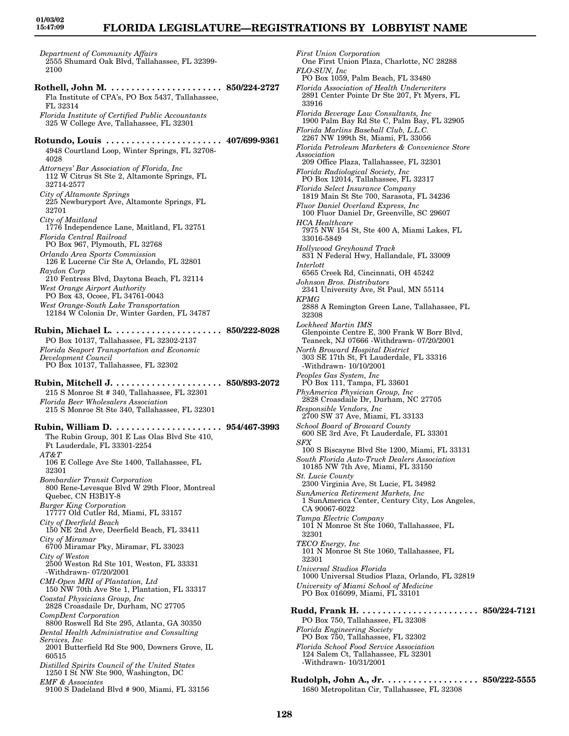### **FLORIDA LEGISLATURE—REGISTRATIONS BY LOBBYIST NAME**

*Department of Community Affairs* 2555 Shumard Oak Blvd, Tallahassee, FL 32399- 2100

**Rothell, John M. . . . . . . . . . . . . . . . . . . . . . . 850/224-2727** Fla Institute of CPA's, PO Box 5437, Tallahassee, FL 32314 *Florida Institute of Certified Public Accountants* 325 W College Ave, Tallahassee, FL 32301 **Rotundo, Louis . . . . . . . . . . . . . . . . . . . . . . . 407/699-9361** 4948 Courtland Loop, Winter Springs, FL 32708- 4028 *Attorneys' Bar Association of Florida, Inc* 112 W Citrus St Ste 2, Altamonte Springs, FL 32714-2577 *City of Altamonte Springs* 225 Newburyport Ave, Altamonte Springs, FL 32701 *City of Maitland* 1776 Independence Lane, Maitland, FL 32751 *Florida Central Railroad* PO Box 967, Plymouth, FL 32768 *Orlando Area Sports Commission* 126 E Lucerne Cir Ste A, Orlando, FL 32801 *Raydon Corp* 210 Fentress Blvd, Daytona Beach, FL 32114 *West Orange Airport Authority* PO Box 43, Ocoee, FL 34761-0043 *West Orange-South Lake Transportation* 12184 W Colonia Dr, Winter Garden, FL 34787 **Rubin, Michael L. . . . . . . . . . . . . . . . . . . . . . 850/222-8028** PO Box 10137, Tallahassee, FL 32302-2137 *Florida Seaport Transportation and Economic Development Council* PO Box 10137, Tallahassee, FL 32302 **Rubin, Mitchell J. . . . . . . . . . . . . . . . . . . . . . 850/893-2072** 215 S Monroe St # 340, Tallahassee, FL 32301 *Florida Beer Wholesalers Association* 215 S Monroe St Ste 340, Tallahassee, FL 32301 **Rubin, William D. . . . . . . . . . . . . . . . . . . . . . 954/467-3993** The Rubin Group, 301 E Las Olas Blvd Ste 410, Ft Lauderdale, FL 33301-2254 *AT&T* 106 E College Ave Ste 1400, Tallahassee, FL 32301 *Bombardier Transit Corporation* 800 Rene-Levesque Blvd W 29th Floor, Montreal Quebec, CN H3B1Y-8 *Burger King Corporation* 17777 Old Cutler Rd, Miami, FL 33157 *City of Deerfield Beach* 150 NE 2nd Ave, Deerfield Beach, FL 33411 *City of Miramar* 6700 Miramar Pky, Miramar, FL 33023 *City of Weston* 2500 Weston Rd Ste 101, Weston, FL 33331

-Withdrawn- 07/20/2001 *CMI-Open MRI of Plantation, Ltd*

*Coastal Physicians Group, Inc*

*CompDent Corporation*

*Services, Inc*

*EMF & Associates*

60515

150 NW 70th Ave Ste 1, Plantation, FL 33317 2828 Croasdaile Dr, Durham, NC 27705 8800 Roswell Rd Ste 295, Atlanta, GA 30350 *Dental Health Administrative and Consulting* 2001 Butterfield Rd Ste 900, Downers Grove, IL *Distilled Spirits Council of the United States* 1250 I St NW Ste 900, Washington, DC 9100 S Dadeland Blvd # 900, Miami, FL 33156 *Association Florida Radiological Society, Inc Florida Select Insurance Company Fluor Daniel Overland Express, Inc HCA Healthcare* 33016-5849 *Hollywood Greyhound Track Interlott Johnson Bros. Distributors KPMG* 32308 *Lockheed Martin IMS North Broward Hospital District* -Withdrawn- 10/10/2001 *Peoples Gas System, Inc* PO Box 111, Tampa, FL 33601 *PhyAmerica Physician Group, Inc Responsible Vendors, Inc School Board of Broward County SFX St. Lucie County* CA 90067-6022 *Tampa Electric Company* 32301 *TECO Energy, Inc* 32301 *Universal Studios Florida Florida Engineering Society* -Withdrawn- 10/31/2001

*First Union Corporation* One First Union Plaza, Charlotte, NC 28288 *FLO-SUN, Inc* PO Box 1059, Palm Beach, FL 33480 *Florida Association of Health Underwriters* 2891 Center Pointe Dr Ste 207, Ft Myers, FL 33916 *Florida Beverage Law Consultants, Inc* 1900 Palm Bay Rd Ste C, Palm Bay, FL 32905 *Florida Marlins Baseball Club, L.L.C.* 2267 NW 199th St, Miami, FL 33056 *Florida Petroleum Marketers & Convenience Store* 209 Office Plaza, Tallahassee, FL 32301 PO Box 12014, Tallahassee, FL 32317 1819 Main St Ste 700, Sarasota, FL 34236 100 Fluor Daniel Dr, Greenville, SC 29607 7975 NW 154 St, Ste 400 A, Miami Lakes, FL 831 N Federal Hwy, Hallandale, FL 33009 6565 Creek Rd, Cincinnati, OH 45242 2341 University Ave, St Paul, MN 55114 2888 A Remington Green Lane, Tallahassee, FL Glenpointe Centre E, 300 Frank W Borr Blvd, Teaneck, NJ 07666 -Withdrawn- 07/20/2001 303 SE 17th St, Ft Lauderdale, FL 33316 2828 Croasdaile Dr, Durham, NC 27705 2700 SW 37 Ave, Miami, FL 33133 600 SE 3rd Ave, Ft Lauderdale, FL 33301 100 S Biscayne Blvd Ste 1200, Miami, FL 33131 *South Florida Auto-Truck Dealers Association* 10185 NW 7th Ave, Miami, FL 33150 2300 Virginia Ave, St Lucie, FL 34982 *SunAmerica Retirement Markets, Inc* 1 SunAmerica Center, Century City, Los Angeles, 101 N Monroe St Ste 1060, Tallahassee, FL 101 N Monroe St Ste 1060, Tallahassee, FL 1000 Universal Studios Plaza, Orlando, FL 32819 *University of Miami School of Medicine* PO Box 016099, Miami, FL 33101 **Rudd, Frank H. . . . . . . . . . . . . . . . . . . . . . . . 850/224-7121** PO Box 750, Tallahassee, FL 32308 PO Box 750, Tallahassee, FL 32302 *Florida School Food Service Association* 124 Salem Ct, Tallahassee, FL 32301

**Rudolph, John A., Jr. . . . . . . . . . . . . . . . . . . 850/222-5555** 1680 Metropolitan Cir, Tallahassee, FL 32308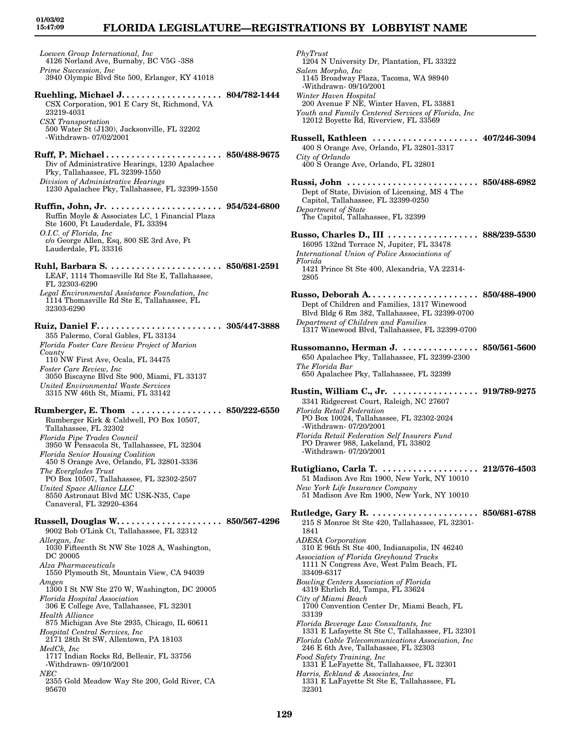# **FLORIDA LEGISLATURE—REGISTRATIONS BY LOBBYIST NAME**

*Loewen Group International, Inc* 4126 Norland Ave, Burnaby, BC V5G -3S8 *Prime Succession, Inc* 3940 Olympic Blvd Ste 500, Erlanger, KY 41018

- **Ruehling, Michael J. . . . . . . . . . . . . . . . . . . . 804/782-1444** CSX Corporation, 901 E Cary St, Richmond, VA 23219-4031 *CSX Transportation* 500 Water St (J130), Jacksonville, FL 32202
- -Withdrawn- 07/02/2001
- **Ruff, P. Michael . . . . . . . . . . . . . . . . . . . . . . . 850/488-9675** Div of Administrative Hearings, 1230 Apalachee Pky, Tallahassee, FL 32399-1550 *Division of Administrative Hearings* 1230 Apalachee Pky, Tallahassee, FL 32399-1550
- **Ruffin, John, Jr. . . . . . . . . . . . . . . . . . . . . . . 954/524-6800** Ruffin Moyle & Associates LC, 1 Financial Plaza Ste 1600, Ft Lauderdale, FL 33394 *O.I.C. of Florida, Inc* c/o George Allen, Esq, 800 SE 3rd Ave, Ft Lauderdale, FL 33316
- **Ruhl, Barbara S. . . . . . . . . . . . . . . . . . . . . . . 850/681-2591** LEAF, 1114 Thomasville Rd Ste E, Tallahassee, FL 32303-6290
- *Legal Environmental Assistance Foundation, Inc* 1114 Thomasville Rd Ste E, Tallahassee, FL 32303-6290
- **Ruiz, Daniel F. . . . . . . . . . . . . . . . . . . . . . . . . 305/447-3888** 355 Palermo, Coral Gables, FL 33134 *Florida Foster Care Review Project of Marion County* 110 NW First Ave, Ocala, FL 34475 *Foster Care Review, Inc*
- 3050 Biscayne Blvd Ste 900, Miami, FL 33137 *United Environmental Waste Services* 3315 NW 46th St, Miami, FL 33142
- **Rumberger, E. Thom . . . . . . . . . . . . . . . . . . 850/222-6550** Rumberger Kirk & Caldwell, PO Box 10507, Tallahassee, FL 32302 *Florida Pipe Trades Council* 3950 W Pensacola St, Tallahassee, FL 32304 *Florida Senior Housing Coalition* 450 S Orange Ave, Orlando, FL 32801-3336 *The Everglades Trust* PO Box 10507, Tallahassee, FL 32302-2507 *United Space Alliance LLC* 8550 Astronaut Blvd MC USK-N35, Cape Canaveral, FL 32920-4364 **Russell, Douglas W. . . . . . . . . . . . . . . . . . . . . 850/567-4296** 9002 Bob O'Link Ct, Tallahassee, FL 32312 *Allergan, Inc* 1030 Fifteenth St NW Ste 1028 A, Washington, DC 20005 *Alza Pharmaceuticals* 1550 Plymouth St, Mountain View, CA 94039
- *Amgen* 1300 I St NW Ste 270 W, Washington, DC 20005 *Florida Hospital Association*
- 306 E College Ave, Tallahassee, FL 32301 *Health Alliance*
- 875 Michigan Ave Ste 2935, Chicago, IL 60611 *Hospital Central Services, Inc*
- 2171 28th St SW, Allentown, PA 18103 *MedCk, Inc*
- 1717 Indian Rocks Rd, Belleair, FL 33756 -Withdrawn- 09/10/2001
- *NEC*
- 2355 Gold Meadow Way Ste 200, Gold River, CA 95670

*PhyTrust* 1204 N University Dr, Plantation, FL 33322 *Salem Morpho, Inc* 1145 Broadway Plaza, Tacoma, WA 98940 -Withdrawn- 09/10/2001 *Winter Haven Hospital* 200 Avenue F NE, Winter Haven, FL 33881 *Youth and Family Centered Services of Florida, Inc* 12012 Boyette Rd, Riverview, FL 33569 **Russell, Kathleen . . . . . . . . . . . . . . . . . . . . . 407/246-3094** 400 S Orange Ave, Orlando, FL 32801-3317 *City of Orlando* 400 S Orange Ave, Orlando, FL 32801 **Russi, John . . . . . . . . . . . . . . . . . . . . . . . . . . 850/488-6982** Dept of State, Division of Licensing, MS 4 The Capitol, Tallahassee, FL 32399-0250 *Department of State* The Capitol, Tallahassee, FL 32399 **Russo, Charles D., III . . . . . . . . . . . . . . . . . . 888/239-5530** 16095 132nd Terrace N, Jupiter, FL 33478 *International Union of Police Associations of Florida* 1421 Prince St Ste 400, Alexandria, VA 22314- 2805 **Russo, Deborah A. . . . . . . . . . . . . . . . . . . . . . 850/488-4900** Dept of Children and Families, 1317 Winewood Blvd Bldg 6 Rm 382, Tallahassee, FL 32399-0700 *Department of Children and Families* 1317 Winewood Blvd, Tallahassee, FL 32399-0700 **Russomanno, Herman J. . . . . . . . . . . . . . . . 850/561-5600** 650 Apalachee Pky, Tallahassee, FL 32399-2300 *The Florida Bar* 650 Apalachee Pky, Tallahassee, FL 32399 **Rustin, William C., Jr. . . . . . . . . . . . . . . . . . 919/789-9275** 3341 Ridgecrest Court, Raleigh, NC 27607 *Florida Retail Federation* PO Box 10024, Tallahassee, FL 32302-2024 -Withdrawn- 07/20/2001 *Florida Retail Federation Self Insurers Fund* PO Drawer 988, Lakeland, FL 33802 -Withdrawn- 07/20/2001 **Rutigliano, Carla T. . . . . . . . . . . . . . . . . . . . 212/576-4503** 51 Madison Ave Rm 1900, New York, NY 10010 *New York Life Insurance Company* 51 Madison Ave Rm 1900, New York, NY 10010 **Rutledge, Gary R. . . . . . . . . . . . . . . . . . . . . . 850/681-6788** 215 S Monroe St Ste 420, Tallahassee, FL 32301- 1841 *ADESA Corporation* 310 E 96th St Ste 400, Indianapolis, IN 46240 *Association of Florida Greyhound Tracks* 1111 N Congress Ave, West Palm Beach, FL 33409-6317

- *Bowling Centers Association of Florida* 4319 Ehrlich Rd, Tampa, FL 33624
- *City of Miami Beach* 1700 Convention Center Dr, Miami Beach, FL 33139
- *Florida Beverage Law Consultants, Inc* 1331 E Lafayette St Ste C, Tallahassee, FL 32301 *Florida Cable Telecommunications Association, Inc*
- 246 E 6th Ave, Tallahassee, FL 32303 *Food Safety Training, Inc* 1331 E LeFayette St, Tallahassee, FL 32301
- *Harris, Eckland & Associates, Inc* 1331 E LaFayette St Ste E, Tallahassee, FL 32301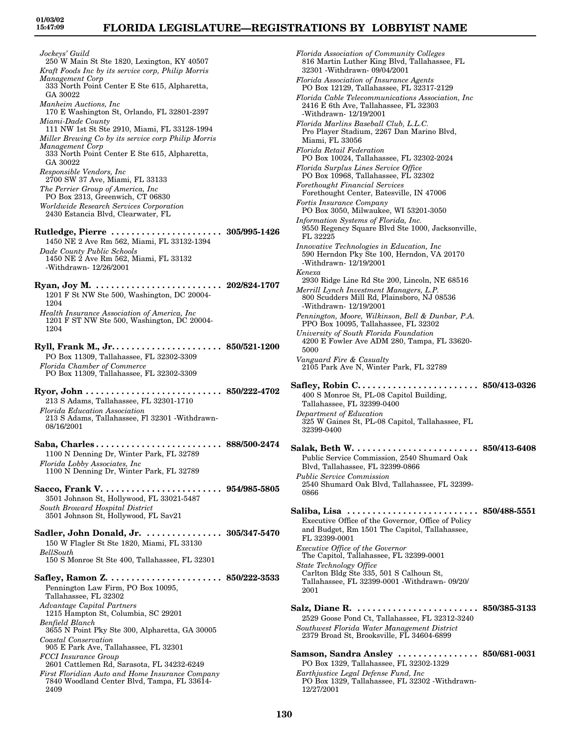*Jockeys' Guild* 250 W Main St Ste 1820, Lexington, KY 40507 *Kraft Foods Inc by its service corp, Philip Morris Management Corp* 333 North Point Center E Ste 615, Alpharetta, GA 30022 *Manheim Auctions, Inc* 170 E Washington St, Orlando, FL 32801-2397 *Miami-Dade County* 111 NW 1st St Ste 2910, Miami, FL 33128-1994 *Miller Brewing Co by its service corp Philip Morris Management Corp* 333 North Point Center E Ste 615, Alpharetta, GA 30022 *Responsible Vendors, Inc* 2700 SW 37 Ave, Miami, FL 33133 *The Perrier Group of America, Inc* PO Box 2313, Greenwich, CT 06830 *Worldwide Research Services Corporation* 2430 Estancia Blvd, Clearwater, FL **Rutledge, Pierre . . . . . . . . . . . . . . . . . . . . . . 305/995-1426** 1450 NE 2 Ave Rm 562, Miami, FL 33132-1394 *Dade County Public Schools* 1450 NE 2 Ave Rm 562, Miami, FL 33132 -Withdrawn- 12/26/2001 **Ryan, Joy M. . . . . . . . . . . . . . . . . . . . . . . . . . 202/824-1707** 1201 F St NW Ste 500, Washington, DC 20004- 1204 *Health Insurance Association of America, Inc* 1201 F ST NW Ste 500, Washington, DC 20004- 1204 **Ryll, Frank M., Jr. . . . . . . . . . . . . . . . . . . . . . 850/521-1200** PO Box 11309, Tallahassee, FL 32302-3309 *Florida Chamber of Commerce* PO Box 11309, Tallahassee, FL 32302-3309 **Ryor, John . . . . . . . . . . . . . . . . . . . . . . . . . . . 850/222-4702** 213 S Adams, Tallahassee, FL 32301-1710 *Florida Education Association* 213 S Adams, Tallahassee, Fl 32301 -Withdrawn-08/16/2001 **Saba, Charles . . . . . . . . . . . . . . . . . . . . . . . . . 888/500-2474** 1100 N Denning Dr, Winter Park, FL 32789 *Florida Lobby Associates, Inc* 1100 N Denning Dr, Winter Park, FL 32789 **Sacco, Frank V. . . . . . . . . . . . . . . . . . . . . . . . 954/985-5805** 3501 Johnson St, Hollywood, FL 33021-5487 *South Broward Hospital District* 3501 Johnson St, Hollywood, FL Sav21 **Sadler, John Donald, Jr. . . . . . . . . . . . . . . . 305/347-5470** 150 W Flagler St Ste 1820, Miami, FL 33130 *BellSouth* 150 S Monroe St Ste 400, Tallahassee, FL 32301 **Safley, Ramon Z. . . . . . . . . . . . . . . . . . . . . . . 850/222-3533** Pennington Law Firm, PO Box 10095, Tallahassee, FL 32302 *Advantage Capital Partners* 1215 Hampton St, Columbia, SC 29201 *Benfield Blanch* 3655 N Point Pky Ste 300, Alpharetta, GA 30005 *Coastal Conservation* 905 E Park Ave, Tallahassee, FL 32301 *FCCI Insurance Group* 2601 Cattlemen Rd, Sarasota, FL 34232-6249

*First Floridian Auto and Home Insurance Company* 7840 Woodland Center Blvd, Tampa, FL 33614- 2409

*Florida Association of Community Colleges* 816 Martin Luther King Blvd, Tallahassee, FL 32301 -Withdrawn- 09/04/2001 *Florida Association of Insurance Agents* PO Box 12129, Tallahassee, FL 32317-2129 *Florida Cable Telecommunications Association, Inc* 2416 E 6th Ave, Tallahassee, FL 32303 -Withdrawn- 12/19/2001 *Florida Marlins Baseball Club, L.L.C.* Pro Player Stadium, 2267 Dan Marino Blvd, Miami, FL 33056 *Florida Retail Federation* PO Box 10024, Tallahassee, FL 32302-2024 *Florida Surplus Lines Service Office* PO Box 10968, Tallahassee, FL 32302 *Forethought Financial Services* Forethought Center, Batesville, IN 47006 *Fortis Insurance Company* PO Box 3050, Milwaukee, WI 53201-3050 *Information Systems of Florida, Inc.* 9550 Regency Square Blvd Ste 1000, Jacksonville, FL 32225 *Innovative Technologies in Education, Inc* 590 Herndon Pky Ste 100, Herndon, VA 20170 -Withdrawn- 12/19/2001 *Kenexa* 2930 Ridge Line Rd Ste 200, Lincoln, NE 68516 *Merrill Lynch Investment Managers, L.P.* 800 Scudders Mill Rd, Plainsboro, NJ 08536 -Withdrawn- 12/19/2001 *Pennington, Moore, Wilkinson, Bell & Dunbar, P.A.* PPO Box 10095, Tallahassee, FL 32302 *University of South Florida Foundation* 4200 E Fowler Ave ADM 280, Tampa, FL 33620- 5000 *Vanguard Fire & Casualty* 2105 Park Ave N, Winter Park, FL 32789 **Safley, Robin C. . . . . . . . . . . . . . . . . . . . . . . . 850/413-0326** 400 S Monroe St, PL-08 Capitol Building, Tallahassee, FL 32399-0400 *Department of Education* 325 W Gaines St, PL-08 Capitol, Tallahassee, FL 32399-0400 **Salak, Beth W. . . . . . . . . . . . . . . . . . . . . . . . . 850/413-6408** Public Service Commission, 2540 Shumard Oak Blvd, Tallahassee, FL 32399-0866 *Public Service Commission* 2540 Shumard Oak Blvd, Tallahassee, FL 32399- 0866 **Saliba, Lisa . . . . . . . . . . . . . . . . . . . . . . . . . . 850/488-5551** Executive Office of the Governor, Office of Policy and Budget, Rm 1501 The Capitol, Tallahassee, FL 32399-0001 *Executive Office of the Governor* The Capitol, Tallahassee, FL 32399-0001 *State Technology Office* Carlton Bldg Ste 335, 501 S Calhoun St, Tallahassee, FL 32399-0001 -Withdrawn- 09/20/ 2001 **Salz, Diane R. . . . . . . . . . . . . . . . . . . . . . . . . 850/385-3133** 2529 Goose Pond Ct, Tallahassee, FL 32312-3240 *Southwest Florida Water Management District* 2379 Broad St, Brooksville, FL 34604-6899 **Samson, Sandra Ansley . . . . . . . . . . . . . . . . 850/681-0031** PO Box 1329, Tallahassee, FL 32302-1329 *Earthjustice Legal Defense Fund, Inc* PO Box 1329, Tallahassee, FL 32302 -Withdrawn-

12/27/2001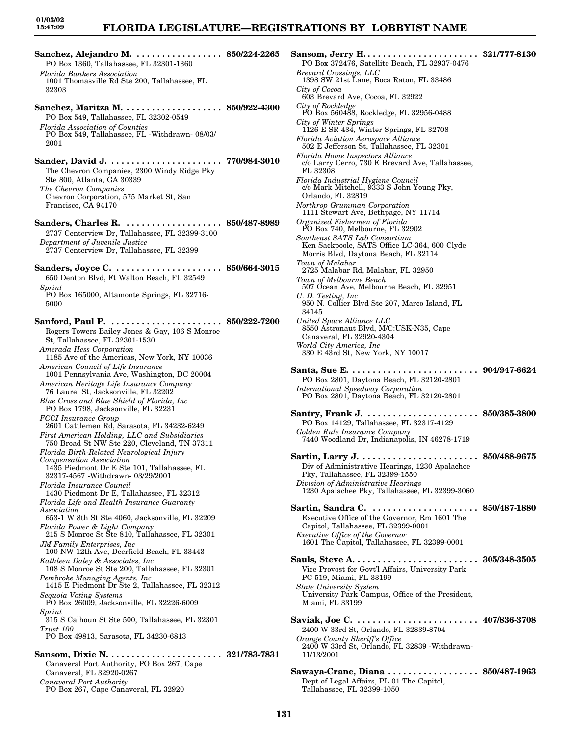**Sanchez, Alejandro M. . . . . . . . . . . . . . . . . . 850/224-2265** PO Box 1360, Tallahassee, FL 32301-1360 *Florida Bankers Association* 1001 Thomasville Rd Ste 200, Tallahassee, FL 32303 **Sanchez, Maritza M. . . . . . . . . . . . . . . . . . . . 850/922-4300** PO Box 549, Tallahassee, FL 32302-0549 *Florida Association of Counties* PO Box 549, Tallahassee, FL -Withdrawn- 08/03/ 2001 **Sander, David J. . . . . . . . . . . . . . . . . . . . . . . 770/984-3010** The Chevron Companies, 2300 Windy Ridge Pky Ste 800, Atlanta, GA 30339 *The Chevron Companies* Chevron Corporation, 575 Market St, San Francisco, CA 94170 **Sanders, Charles R. . . . . . . . . . . . . . . . . . . . 850/487-8989** 2737 Centerview Dr, Tallahassee, FL 32399-3100 *Department of Juvenile Justice* 2737 Centerview Dr, Tallahassee, FL 32399 **Sanders, Joyce C. . . . . . . . . . . . . . . . . . . . . . 850/664-3015** 650 Denton Blvd, Ft Walton Beach, FL 32549 *Sprint* PO Box 165000, Altamonte Springs, FL 32716- 5000 **Sanford, Paul P. . . . . . . . . . . . . . . . . . . . . . . 850/222-7200** Rogers Towers Bailey Jones & Gay, 106 S Monroe St, Tallahassee, FL 32301-1530 *Amerada Hess Corporation* 1185 Ave of the Americas, New York, NY 10036 *American Council of Life Insurance* 1001 Pennsylvania Ave, Washington, DC 20004 *American Heritage Life Insurance Company* 76 Laurel St, Jacksonville, FL 32202 *Blue Cross and Blue Shield of Florida, Inc* PO Box 1798, Jacksonville, FL 32231 *FCCI Insurance Group* 2601 Cattlemen Rd, Sarasota, FL 34232-6249 *First American Holding, LLC and Subsidiaries* 750 Broad St NW Ste 220, Cleveland, TN 37311 *Florida Birth-Related Neurological Injury Compensation Association* 1435 Piedmont Dr E Ste 101, Tallahassee, FL 32317-4567 -Withdrawn- 03/29/2001 *Florida Insurance Council* 1430 Piedmont Dr E, Tallahassee, FL 32312 *Florida Life and Health Insurance Guaranty Association* 653-1 W 8th St Ste 4060, Jacksonville, FL 32209 *Florida Power & Light Company* 215 S Monroe St Ste 810, Tallahassee, FL 32301 *JM Family Enterprises, Inc* 100 NW 12th Ave, Deerfield Beach, FL 33443 *Kathleen Daley & Associates, Inc* 108 S Monroe St Ste 200, Tallahassee, FL 32301 *Pembroke Managing Agents, Inc* 1415 E Piedmont Dr Ste 2, Tallahassee, FL 32312 *Sequoia Voting Systems* PO Box 26009, Jacksonville, FL 32226-6009 *Sprint* 315 S Calhoun St Ste 500, Tallahassee, FL 32301 *Trust 100* PO Box 49813, Sarasota, FL 34230-6813 **Sansom, Dixie N. . . . . . . . . . . . . . . . . . . . . . . 321/783-7831** Canaveral Port Authority, PO Box 267, Cape Canaveral, FL 32920-0267

*Canaveral Port Authority*

PO Box 267, Cape Canaveral, FL 32920

PO Box 372476, Satellite Beach, FL 32937-0476 *Brevard Crossings, LLC* 1398 SW 21st Lane, Boca Raton, FL 33486 *City of Cocoa* 603 Brevard Ave, Cocoa, FL 32922 *City of Rockledge* PO Box 560488, Rockledge, FL 32956-0488 *City of Winter Springs* 1126 E SR 434, Winter Springs, FL 32708 *Florida Aviation Aerospace Alliance* 502 E Jefferson St, Tallahassee, FL 32301 *Florida Home Inspectors Alliance* c/o Larry Cerro, 730 E Brevard Ave, Tallahassee, FL 32308 *Florida Industrial Hygiene Council* c/o Mark Mitchell, 9333 S John Young Pky, Orlando, FL 32819 *Northrop Grumman Corporation* 1111 Stewart Ave, Bethpage, NY 11714 *Organized Fishermen of Florida* PO Box 740, Melbourne, FL 32902 *Southeast SATS Lab Consortium* Ken Sackpoole, SATS Office LC-364, 600 Clyde Morris Blvd, Daytona Beach, FL 32114 *Town of Malabar* 2725 Malabar Rd, Malabar, FL 32950 *Town of Melbourne Beach* 507 Ocean Ave, Melbourne Beach, FL 32951 *U. D. Testing, Inc* 950 N. Collier Blvd Ste 207, Marco Island, FL 34145 *United Space Alliance LLC* 8550 Astronaut Blvd, M/C:USK-N35, Cape Canaveral, FL 32920-4304 *World City America, Inc* 330 E 43rd St, New York, NY 10017 **Santa, Sue E. . . . . . . . . . . . . . . . . . . . . . . . . . 904/947-6624** PO Box 2801, Daytona Beach, FL 32120-2801 *International Speedway Corporation* PO Box 2801, Daytona Beach, FL 32120-2801 **Santry, Frank J. . . . . . . . . . . . . . . . . . . . . . . 850/385-3800** PO Box 14129, Tallahassee, FL 32317-4129 *Golden Rule Insurance Company* 7440 Woodland Dr, Indianapolis, IN 46278-1719 **Sartin, Larry J. . . . . . . . . . . . . . . . . . . . . . . . 850/488-9675** Div of Administrative Hearings, 1230 Apalachee Pky, Tallahassee, FL 32399-1550 *Division of Administrative Hearings* 1230 Apalachee Pky, Tallahassee, FL 32399-3060 **Sartin, Sandra C. . . . . . . . . . . . . . . . . . . . . . 850/487-1880** Executive Office of the Governor, Rm 1601 The Capitol, Tallahassee, FL 32399-0001 *Executive Office of the Governor* 1601 The Capitol, Tallahassee, FL 32399-0001 **Sauls, Steve A. . . . . . . . . . . . . . . . . . . . . . . . . 305/348-3505** Vice Provost for Govt'l Affairs, University Park PC 519, Miami, FL 33199 *State University System* University Park Campus, Office of the President, Miami, FL 33199 **Saviak, Joe C. . . . . . . . . . . . . . . . . . . . . . . . . 407/836-3708** 2400 W 33rd St, Orlando, FL 32839-8704 *Orange County Sheriff's Office* 2400 W 33rd St, Orlando, FL 32839 -Withdrawn-11/13/2001 **Sawaya-Crane, Diana . . . . . . . . . . . . . . . . . . 850/487-1963** Dept of Legal Affairs, PL 01 The Capitol, Tallahassee, FL 32399-1050

**Sansom, Jerry H. . . . . . . . . . . . . . . . . . . . . . . 321/777-8130**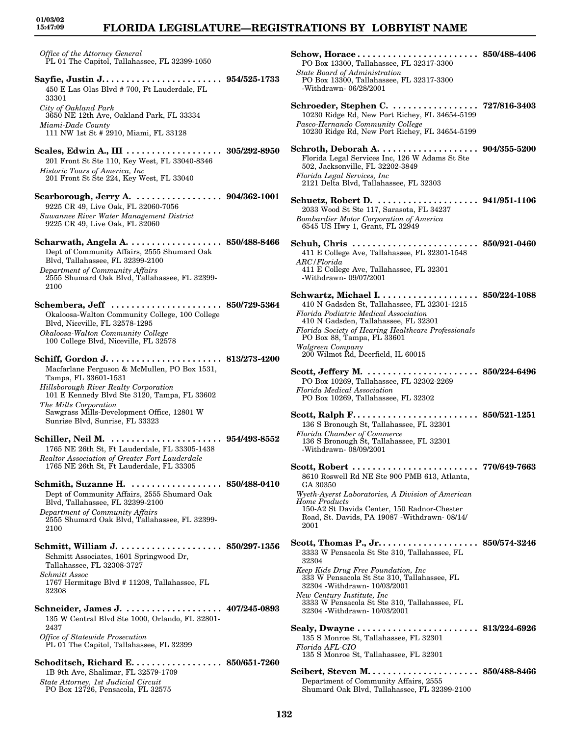### **FLORIDA LEGISLATURE—REGISTRATIONS BY LOBBYIST NAME**

*Office of the Attorney General* PL 01 The Capitol, Tallahassee, FL 32399-1050

**Sayfie, Justin J. . . . . . . . . . . . . . . . . . . . . . . . 954/525-1733** 450 E Las Olas Blvd # 700, Ft Lauderdale, FL 33301 *City of Oakland Park* 3650 NE 12th Ave, Oakland Park, FL 33334 *Miami-Dade County*

111 NW 1st St # 2910, Miami, FL 33128

- **Scales, Edwin A., III . . . . . . . . . . . . . . . . . . . 305/292-8950** 201 Front St Ste 110, Key West, FL 33040-8346 *Historic Tours of America, Inc* 201 Front St Ste 224, Key West, FL 33040
- **Scarborough, Jerry A. . . . . . . . . . . . . . . . . . 904/362-1001** 9225 CR 49, Live Oak, FL 32060-7056 *Suwannee River Water Management District* 9225 CR 49, Live Oak, FL 32060
- **Scharwath, Angela A. . . . . . . . . . . . . . . . . . . 850/488-8466** Dept of Community Affairs, 2555 Shumard Oak Blvd, Tallahassee, FL 32399-2100 *Department of Community Affairs* 2555 Shumard Oak Blvd, Tallahassee, FL 32399- 2100
- **Schembera, Jeff . . . . . . . . . . . . . . . . . . . . . . 850/729-5364** Okaloosa-Walton Community College, 100 College Blvd, Niceville, FL 32578-1295 *Okaloosa-Walton Community College* 100 College Blvd, Niceville, FL 32578
- **Schiff, Gordon J. . . . . . . . . . . . . . . . . . . . . . . 813/273-4200** Macfarlane Ferguson & McMullen, PO Box 1531, Tampa, FL 33601-1531 *Hillsborough River Realty Corporation* 101 E Kennedy Blvd Ste 3120, Tampa, FL 33602 *The Mills Corporation* Sawgrass Mills-Development Office, 12801 W Sunrise Blvd, Sunrise, FL 33323
- **Schiller, Neil M. . . . . . . . . . . . . . . . . . . . . . . 954/493-8552** 1765 NE 26th St, Ft Lauderdale, FL 33305-1438 *Realtor Association of Greater Fort Lauderdale* 1765 NE 26th St, Ft Lauderdale, FL 33305
- **Schmith, Suzanne H. . . . . . . . . . . . . . . . . . . 850/488-0410** Dept of Community Affairs, 2555 Shumard Oak Blvd, Tallahassee, FL 32399-2100 *Department of Community Affairs* 2555 Shumard Oak Blvd, Tallahassee, FL 32399- 2100
- **Schmitt, William J. . . . . . . . . . . . . . . . . . . . . 850/297-1356** Schmitt Associates, 1601 Springwood Dr, Tallahassee, FL 32308-3727 *Schmitt Assoc* 1767 Hermitage Blvd # 11208, Tallahassee, FL 32308
- **Schneider, James J. . . . . . . . . . . . . . . . . . . . 407/245-0893** 135 W Central Blvd Ste 1000, Orlando, FL 32801- 2437 *Office of Statewide Prosecution* PL 01 The Capitol, Tallahassee, FL 32399
- **Schoditsch, Richard E. . . . . . . . . . . . . . . . . . 850/651-7260** 1B 9th Ave, Shalimar, FL 32579-1709 *State Attorney, 1st Judicial Circuit* PO Box 12726, Pensacola, FL 32575

| PO Box 13300, Tallahassee, FL 32317-3300<br><b>State Board of Administration</b><br>PO Box 13300, Tallahassee, FL 32317-3300<br>-Withdrawn- 06/28/2001                                                                                                                                                                                                                   |              |
|--------------------------------------------------------------------------------------------------------------------------------------------------------------------------------------------------------------------------------------------------------------------------------------------------------------------------------------------------------------------------|--------------|
| 10230 Ridge Rd, New Port Richey, FL 34654-5199<br>Pasco-Hernando Community College<br>10230 Ridge Rd, New Port Richey, FL 34654-5199                                                                                                                                                                                                                                     |              |
| Florida Legal Services Inc, 126 W Adams St Ste<br>502, Jacksonville, FL 32202-3849<br>Florida Legal Services, Inc.<br>2121 Delta Blvd, Tallahassee, FL 32303                                                                                                                                                                                                             |              |
| Schuetz, Robert D.  941/951-1106<br>2033 Wood St Ste 117, Sarasota, FL 34237<br><b>Bombardier Motor Corporation of America</b><br>6545 US Hwy 1, Grant, FL 32949                                                                                                                                                                                                         |              |
| 411 E College Ave, Tallahassee, FL 32301-1548<br>ARC / Florida<br>411 E College Ave, Tallahassee, FL 32301<br>-Withdrawn- 09/07/2001                                                                                                                                                                                                                                     |              |
| 410 N Gadsden St, Tallahassee, FL 32301-1215<br>Florida Podiatric Medical Association<br>410 N Gadsden, Tallahassee, FL 32301<br>Florida Society of Hearing Healthcare Professionals<br>PO Box 88, Tampa, FL 33601<br>Walgreen Company<br>200 Wilmot Rd, Deerfield, IL 60015                                                                                             |              |
| PO Box 10269, Tallahassee, FL 32302-2269<br><b>Florida Medical Association</b><br>PO Box 10269, Tallahassee, FL 32302                                                                                                                                                                                                                                                    |              |
| 136 S Bronough St, Tallahassee, FL 32301<br>Florida Chamber of Commerce<br>136 S Bronough St, Tallahassee, FL 32301<br>-Withdrawn-08/09/2001                                                                                                                                                                                                                             |              |
| Scott, Robert<br>8610 Roswell Rd NE Ste 900 PMB 613, Atlanta,<br>GA 30350<br>Wyeth-Ayerst Laboratories, A Division of American<br><b>Home Products</b><br>150-A2 St Davids Center, 150 Radnor-Chester<br>Road, St. Davids, PA 19087 -Withdrawn- 08/14/<br>2001                                                                                                           | 770/649-7663 |
| Scott, Thomas P., Jr. $\dots \dots \dots \dots \dots \dots$ 850/574-3246<br>3333 W Pensacola St Ste 310, Tallahassee, FL<br>32304<br>Keep Kids Drug Free Foundation, Inc<br>333 W Pensacola St Ste 310, Tallahassee, FL<br>32304 - Withdrawn- 10/03/2001<br>New Century Institute, Inc.<br>3333 W Pensacola St Ste 310, Tallahassee, FL<br>32304 - Withdrawn- 10/03/2001 |              |
| 135 S Monroe St, Tallahassee, FL 32301<br>Florida AFL-CIO<br>135 S Monroe St, Tallahassee, FL 32301                                                                                                                                                                                                                                                                      |              |
| Department of Community Affairs, 2555                                                                                                                                                                                                                                                                                                                                    |              |

Shumard Oak Blvd, Tallahassee, FL 32399-2100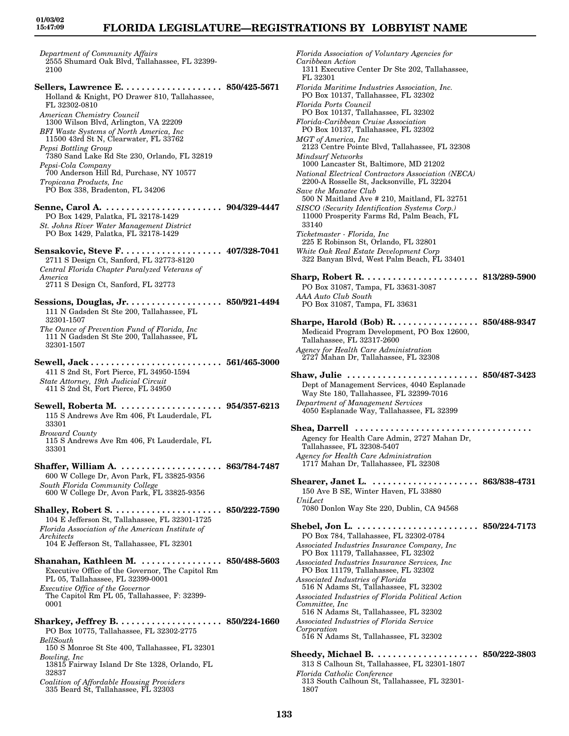*Department of Community Affairs* 2555 Shumard Oak Blvd, Tallahassee, FL 32399- 2100 **Sellers, Lawrence E. . . . . . . . . . . . . . . . . . . . 850/425-5671** Holland & Knight, PO Drawer 810, Tallahassee, FL 32302-0810 *American Chemistry Council* 1300 Wilson Blvd, Arlington, VA 22209 *BFI Waste Systems of North America, Inc* 11500 43rd St N, Clearwater, FL 33762 *Pepsi Bottling Group* 7380 Sand Lake Rd Ste 230, Orlando, FL 32819 *Pepsi-Cola Company* 700 Anderson Hill Rd, Purchase, NY 10577 *Tropicana Products, Inc* PO Box 338, Bradenton, FL 34206 **Senne, Carol A. . . . . . . . . . . . . . . . . . . . . . . . 904/329-4447** PO Box 1429, Palatka, FL 32178-1429 *St. Johns River Water Management District* PO Box 1429, Palatka, FL 32178-1429 **Sensakovic, Steve F. . . . . . . . . . . . . . . . . . . . 407/328-7041** 2711 S Design Ct, Sanford, FL 32773-8120 *Central Florida Chapter Paralyzed Veterans of America* 2711 S Design Ct, Sanford, FL 32773 **Sessions, Douglas, Jr. . . . . . . . . . . . . . . . . . . 850/921-4494** 111 N Gadsden St Ste 200, Tallahassee, FL 32301-1507 *The Ounce of Prevention Fund of Florida, Inc* 111 N Gadsden St Ste 200, Tallahassee, FL 32301-1507 **Sewell, Jack . . . . . . . . . . . . . . . . . . . . . . . . . . 561/465-3000** 411 S 2nd St, Fort Pierce, FL 34950-1594 *State Attorney, 19th Judicial Circuit* 411 S 2nd St, Fort Pierce, FL 34950 **Sewell, Roberta M. . . . . . . . . . . . . . . . . . . . . 954/357-6213** 115 S Andrews Ave Rm 406, Ft Lauderdale, FL 33301 *Broward County* 115 S Andrews Ave Rm 406, Ft Lauderdale, FL 33301 **Shaffer, William A. . . . . . . . . . . . . . . . . . . . . 863/784-7487** 600 W College Dr, Avon Park, FL 33825-9356 *South Florida Community College* 600 W College Dr, Avon Park, FL 33825-9356 **Shalley, Robert S. . . . . . . . . . . . . . . . . . . . . . 850/222-7590** 104 E Jefferson St, Tallahassee, FL 32301-1725 *Florida Association of the American Institute of Architects* 104 E Jefferson St, Tallahassee, FL 32301 **Shanahan, Kathleen M. . . . . . . . . . . . . . . . . 850/488-5603** Executive Office of the Governor, The Capitol Rm PL 05, Tallahassee, FL 32399-0001 *Executive Office of the Governor* The Capitol Rm PL 05, Tallahassee, F: 32399- 0001 **Sharkey, Jeffrey B. . . . . . . . . . . . . . . . . . . . . 850/224-1660** PO Box 10775, Tallahassee, FL 32302-2775 *BellSouth* 150 S Monroe St Ste 400, Tallahassee, FL 32301 *Bowling, Inc* 13815 Fairway Island Dr Ste 1328, Orlando, FL 32837 *Coalition of Affordable Housing Providers*

335 Beard St, Tallahassee, FL 32303

*Florida Association of Voluntary Agencies for Caribbean Action* 1311 Executive Center Dr Ste 202, Tallahassee, FL 32301 *Florida Maritime Industries Association, Inc.* PO Box 10137, Tallahassee, FL 32302 *Florida Ports Council* PO Box 10137, Tallahassee, FL 32302 *Florida-Caribbean Cruise Association* PO Box 10137, Tallahassee, FL 32302 *MGT of America, Inc* 2123 Centre Pointe Blvd, Tallahassee, FL 32308 *Mindsurf Networks* 1000 Lancaster St, Baltimore, MD 21202 *National Electrical Contractors Association (NECA)* 2200-A Rosselle St, Jacksonville, FL 32204 *Save the Manatee Club* 500 N Maitland Ave # 210, Maitland, FL 32751 *SISCO (Security Identification Systems Corp.)* 11000 Prosperity Farms Rd, Palm Beach, FL 33140 *Ticketmaster - Florida, Inc* 225 E Robinson St, Orlando, FL 32801 *White Oak Real Estate Development Corp* 322 Banyan Blvd, West Palm Beach, FL 33401 **Sharp, Robert R. . . . . . . . . . . . . . . . . . . . . . . 813/289-5900** PO Box 31087, Tampa, FL 33631-3087 *AAA Auto Club South* PO Box 31087, Tampa, FL 33631 **Sharpe, Harold (Bob) R. . . . . . . . . . . . . . . . . 850/488-9347** Medicaid Program Development, PO Box 12600, Tallahassee, FL 32317-2600 *Agency for Health Care Administration* 2727 Mahan Dr, Tallahassee, FL 32308 **Shaw, Julie . . . . . . . . . . . . . . . . . . . . . . . . . . 850/487-3423** Dept of Management Services, 4040 Esplanade Way Ste 180, Tallahassee, FL 32399-7016 *Department of Management Services* 4050 Esplanade Way, Tallahassee, FL 32399 **Shea, Darrell . . . . . . . . . . . . . . . . . . . . . . . . . . . . . . . . . . .**  Agency for Health Care Admin, 2727 Mahan Dr, Tallahassee, FL 32308-5407 *Agency for Health Care Administration* 1717 Mahan Dr, Tallahassee, FL 32308 **Shearer, Janet L. . . . . . . . . . . . . . . . . . . . . . 863/838-4731** 150 Ave B SE, Winter Haven, FL 33880 *UniLect* 7080 Donlon Way Ste 220, Dublin, CA 94568 **Shebel, Jon L. . . . . . . . . . . . . . . . . . . . . . . . . 850/224-7173** PO Box 784, Tallahassee, FL 32302-0784 *Associated Industries Insurance Company, Inc* PO Box 11179, Tallahassee, FL 32302 *Associated Industries Insurance Services, Inc* PO Box 11179, Tallahassee, FL 32302 *Associated Industries of Florida* 516 N Adams St, Tallahassee, FL 32302 *Associated Industries of Florida Political Action Committee, Inc* 516 N Adams St, Tallahassee, FL 32302 *Associated Industries of Florida Service Corporation* 516 N Adams St, Tallahassee, FL 32302 **Sheedy, Michael B. . . . . . . . . . . . . . . . . . . . . 850/222-3803** 313 S Calhoun St, Tallahassee, FL 32301-1807 *Florida Catholic Conference* 313 South Calhoun St, Tallahassee, FL 32301- 1807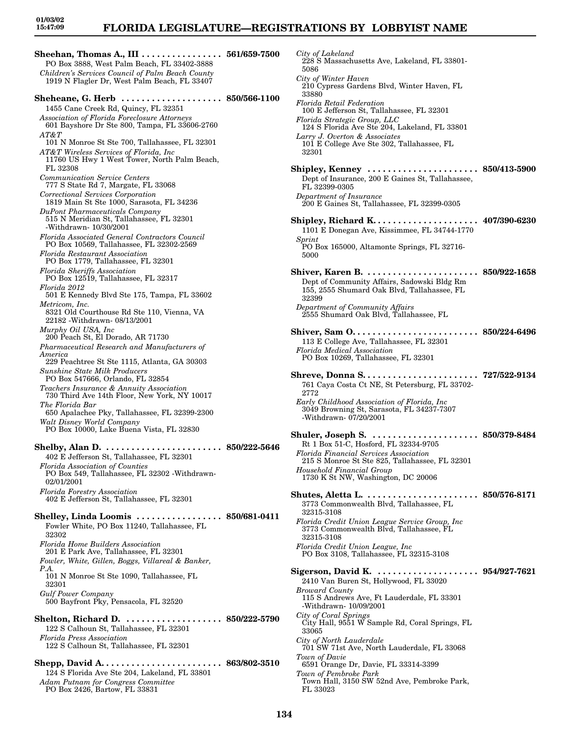### **FLORIDA LEGISLATURE—REGISTRATIONS BY LOBBYIST NAME**

**Sheehan, Thomas A., III . . . . . . . . . . . . . . . . 561/659-7500** PO Box 3888, West Palm Beach, FL 33402-3888 *Children's Services Council of Palm Beach County* 1919 N Flagler Dr, West Palm Beach, FL 33407 **Sheheane, G. Herb . . . . . . . . . . . . . . . . . . . . 850/566-1100** 1455 Cane Creek Rd, Quincy, FL 32351 *Association of Florida Foreclosure Attorneys* 601 Bayshore Dr Ste 800, Tampa, FL 33606-2760 *AT&T* 101 N Monroe St Ste 700, Tallahassee, FL 32301 *AT&T Wireless Services of Florida, Inc* 11760 US Hwy 1 West Tower, North Palm Beach, FL 32308 *Communication Service Centers* 777 S State Rd 7, Margate, FL 33068 *Correctional Services Corporation* 1819 Main St Ste 1000, Sarasota, FL 34236 *DuPont Pharmaceuticals Company* 515 N Meridian St, Tallahassee, FL 32301 -Withdrawn- 10/30/2001 *Florida Associated General Contractors Council* PO Box 10569, Tallahassee, FL 32302-2569 *Florida Restaurant Association* PO Box 1779, Tallahassee, FL 32301 *Florida Sheriffs Association* PO Box 12519, Tallahassee, FL 32317 *Florida 2012* 501 E Kennedy Blvd Ste 175, Tampa, FL 33602 *Metricom, Inc.* 8321 Old Courthouse Rd Ste 110, Vienna, VA 22182 -Withdrawn- 08/13/2001 *Murphy Oil USA, Inc* 200 Peach St, El Dorado, AR 71730 *Pharmaceutical Research and Manufacturers of America* 229 Peachtree St Ste 1115, Atlanta, GA 30303 *Sunshine State Milk Producers* PO Box 547666, Orlando, FL 32854 *Teachers Insurance & Annuity Association* 730 Third Ave 14th Floor, New York, NY 10017 *The Florida Bar* 650 Apalachee Pky, Tallahassee, FL 32399-2300 *Walt Disney World Company* PO Box 10000, Lake Buena Vista, FL 32830 **Shelby, Alan D. . . . . . . . . . . . . . . . . . . . . . . . 850/222-5646** 402 E Jefferson St, Tallahassee, FL 32301 *Florida Association of Counties* PO Box 549, Tallahassee, FL 32302 -Withdrawn-02/01/2001 *Florida Forestry Association* 402 E Jefferson St, Tallahassee, FL 32301 **Shelley, Linda Loomis . . . . . . . . . . . . . . . . . 850/681-0411** Fowler White, PO Box 11240, Tallahassee, FL 32302 *Florida Home Builders Association* 201 E Park Ave, Tallahassee, FL 32301 *Fowler, White, Gillen, Boggs, Villareal & Banker, P.A.* 101 N Monroe St Ste 1090, Tallahassee, FL 32301 *Gulf Power Company* 500 Bayfront Pky, Pensacola, FL 32520 **Shelton, Richard D. . . . . . . . . . . . . . . . . . . . 850/222-5790** 122 S Calhoun St, Tallahassee, FL 32301 *Florida Press Association* 122 S Calhoun St, Tallahassee, FL 32301 **Shepp, David A. . . . . . . . . . . . . . . . . . . . . . . . 863/802-3510** 124 S Florida Ave Ste 204, Lakeland, FL 33801 *Adam Putnam for Congress Committee*

PO Box 2426, Bartow, FL 33831

*City of Lakeland* 228 S Massachusetts Ave, Lakeland, FL 33801- 5086 *City of Winter Haven* 210 Cypress Gardens Blvd, Winter Haven, FL 33880 *Florida Retail Federation* 100 E Jefferson St, Tallahassee, FL 32301 *Florida Strategic Group, LLC* 124 S Florida Ave Ste 204, Lakeland, FL 33801 *Larry J. Overton & Associates* 101 E College Ave Ste 302, Tallahassee, FL 32301 **Shipley, Kenney . . . . . . . . . . . . . . . . . . . . . . 850/413-5900** Dept of Insurance, 200 E Gaines St, Tallahassee, FL 32399-0305 *Department of Insurance* 200 E Gaines St, Tallahassee, FL 32399-0305 **Shipley, Richard K. . . . . . . . . . . . . . . . . . . . . 407/390-6230** 1101 E Donegan Ave, Kissimmee, FL 34744-1770 *Sprint* PO Box 165000, Altamonte Springs, FL 32716- 5000 **Shiver, Karen B. . . . . . . . . . . . . . . . . . . . . . . 850/922-1658** Dept of Community Affairs, Sadowski Bldg Rm 155, 2555 Shumard Oak Blvd, Tallahassee, FL 32399 *Department of Community Affairs* 2555 Shumard Oak Blvd, Tallahassee, FL **Shiver, Sam O. . . . . . . . . . . . . . . . . . . . . . . . . 850/224-6496** 113 E College Ave, Tallahassee, FL 32301 *Florida Medical Association* PO Box 10269, Tallahassee, FL 32301 **Shreve, Donna S. . . . . . . . . . . . . . . . . . . . . . . 727/522-9134** 761 Caya Costa Ct NE, St Petersburg, FL 33702- 2772 *Early Childhood Association of Florida, Inc* 3049 Browning St, Sarasota, FL 34237-7307 -Withdrawn- 07/20/2001 **Shuler, Joseph S. . . . . . . . . . . . . . . . . . . . . . 850/379-8484** Rt 1 Box 51-C, Hosford, FL 32334-9705 *Florida Financial Services Association* 215 S Monroe St Ste 825, Tallahassee, FL 32301 *Household Financial Group* 1730 K St NW, Washington, DC 20006 **Shutes, Aletta L. . . . . . . . . . . . . . . . . . . . . . . 850/576-8171** 3773 Commonwealth Blvd, Tallahassee, FL 32315-3108 *Florida Credit Union League Service Group, Inc* 3773 Commonwealth Blvd, Tallahassee, FL 32315-3108 *Florida Credit Union League, Inc* PO Box 3108, Tallahassee, FL 32315-3108 **Sigerson, David K. . . . . . . . . . . . . . . . . . . . . 954/927-7621** 2410 Van Buren St, Hollywood, FL 33020 *Broward County* 115 S Andrews Ave, Ft Lauderdale, FL 33301 -Withdrawn- 10/09/2001 *City of Coral Springs* City Hall, 9551 W Sample Rd, Coral Springs, FL 33065 *City of North Lauderdale* 701 SW 71st Ave, North Lauderdale, FL 33068 *Town of Davie* 6591 Orange Dr, Davie, FL 33314-3399 *Town of Pembroke Park* Town Hall, 3150 SW 52nd Ave, Pembroke Park,

FL 33023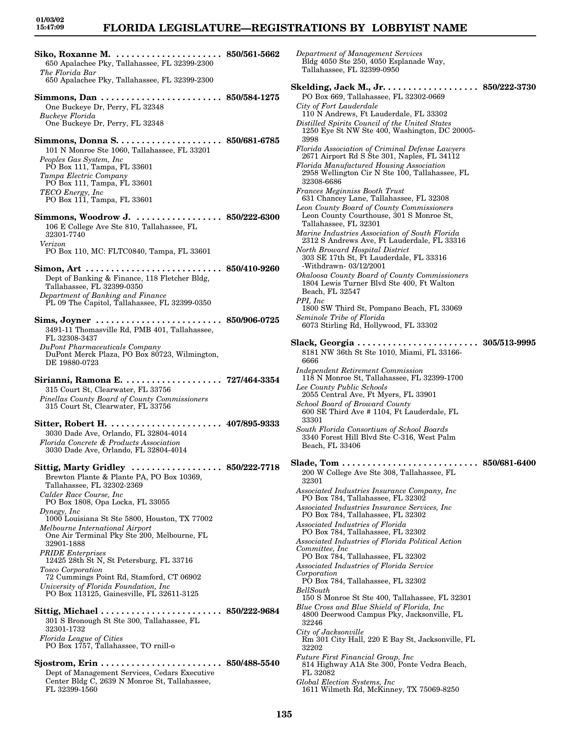*Department of Management Services* Bldg 4050 Ste 250, 4050 Esplanade Way,

Tallahassee, FL 32399-0950

**Siko, Roxanne M. . . . . . . . . . . . . . . . . . . . . . 850/561-5662** 650 Apalachee Pky, Tallahassee, FL 32399-2300 *The Florida Bar* 650 Apalachee Pky, Tallahassee, FL 32399-2300 **Simmons, Dan . . . . . . . . . . . . . . . . . . . . . . . . 850/584-1275** One Buckeye Dr, Perry, FL 32348 *Buckeye Florida* One Buckeye Dr, Perry, FL 32348 **Simmons, Donna S. . . . . . . . . . . . . . . . . . . . . 850/681-6785** 101 N Monroe Ste 1060, Tallahassee, FL 33201 *Peoples Gas System, Inc* PO Box 111, Tampa, FL 33601 *Tampa Electric Company* PO Box 111, Tampa, FL 33601 *TECO Energy, Inc* PO Box 111, Tampa, FL 33601 **Simmons, Woodrow J. . . . . . . . . . . . . . . . . . 850/222-6300** 106 E College Ave Ste 810, Tallahassee, FL 32301-7740 *Verizon* PO Box 110, MC: FLTC0840, Tampa, FL 33601 **Simon, Art . . . . . . . . . . . . . . . . . . . . . . . . . . . 850/410-9260** Dept of Banking & Finance, 118 Fletcher Bldg, Tallahassee, FL 32399-0350 *Department of Banking and Finance* PL 09 The Capitol, Tallahassee, FL 32399-0350 **Sims, Joyner . . . . . . . . . . . . . . . . . . . . . . . . . 850/906-0725** 3491-11 Thomasville Rd, PMB 401, Tallahassee, FL 32308-3437 *DuPont Pharmaceuticals Company* DuPont Merck Plaza, PO Box 80723, Wilmington, DE 19880-0723 **Sirianni, Ramona E. . . . . . . . . . . . . . . . . . . . 727/464-3354** 315 Court St, Clearwater, FL 33756 *Pinellas County Board of County Commissioners* 315 Court St, Clearwater, FL 33756 **Sitter, Robert H. . . . . . . . . . . . . . . . . . . . . . . 407/895-9333** 3030 Dade Ave, Orlando, FL 32804-4014 *Florida Concrete & Products Association* 3030 Dade Ave, Orlando, FL 32804-4014 **Sittig, Marty Gridley . . . . . . . . . . . . . . . . . . 850/222-7718** Brewton Plante & Plante PA, PO Box 10369, Tallahassee, FL 32302-2369 *Calder Race Course, Inc* PO Box 1808, Opa Locka, FL 33055 *Dynegy, Inc* 1000 Louisiana St Ste 5800, Houston, TX 77002 *Melbourne International Airport* One Air Terminal Pky Ste 200, Melbourne, FL 32901-1888 *PRIDE Enterprises* 12425 28th St N, St Petersburg, FL 33716 *Tosco Corporation* 72 Cummings Point Rd, Stamford, CT 06902 *University of Florida Foundation, Inc* PO Box 113125, Gainesville, FL 32611-3125 **Sittig, Michael . . . . . . . . . . . . . . . . . . . . . . . . 850/222-9684** 301 S Bronough St Ste 300, Tallahassee, FL 32301-1732 *Florida League of Cities* PO Box 1757, Tallahassee, TO rnill-o **Sjostrom, Erin . . . . . . . . . . . . . . . . . . . . . . . . 850/488-5540** Dept of Management Services, Cedars Executive Center Bldg C, 2639 N Monroe St, Tallahassee, FL 32399-1560

**Skelding, Jack M., Jr. . . . . . . . . . . . . . . . . . . 850/222-3730** PO Box 669, Tallahassee, FL 32302-0669 *City of Fort Lauderdale* 110 N Andrews, Ft Lauderdale, FL 33302 *Distilled Spirits Council of the United States* 1250 Eye St NW Ste 400, Washington, DC 20005- 3998 *Florida Association of Criminal Defense Lawyers* 2671 Airport Rd S Ste 301, Naples, FL 34112 *Florida Manufactured Housing Association* 2958 Wellington Cir N Ste 100, Tallahassee, FL 32308-6686 *Frances Meginniss Booth Trust* 631 Chancey Lane, Tallahassee, FL 32308 *Leon County Board of County Commissioners* Leon County Courthouse, 301 S Monroe St, Tallahassee, FL 32301 *Marine Industries Association of South Florida* 2312 S Andrews Ave, Ft Lauderdale, FL 33316 *North Broward Hospital District* 303 SE 17th St, Ft Lauderdale, FL 33316 -Withdrawn- 03/12/2001 *Okaloosa County Board of County Commissioners* 1804 Lewis Turner Blvd Ste 400, Ft Walton Beach, FL 32547 *PPI, Inc* 1800 SW Third St, Pompano Beach, FL 33069 *Seminole Tribe of Florida* 6073 Stirling Rd, Hollywood, FL 33302 **Slack, Georgia . . . . . . . . . . . . . . . . . . . . . . . . 305/513-9995** 8181 NW 36th St Ste 1010, Miami, FL 33166- 6666 *Independent Retirement Commission* 118 N Monroe St, Tallahassee, FL 32399-1700 *Lee County Public Schools* 2055 Central Ave, Ft Myers, FL 33901 *School Board of Broward County* 600 SE Third Ave # 1104, Ft Lauderdale, FL 33301 *South Florida Consortium of School Boards* 3340 Forest Hill Blvd Ste C-316, West Palm Beach, FL 33406 **Slade, Tom . . . . . . . . . . . . . . . . . . . . . . . . . . . 850/681-6400** 200 W College Ave Ste 308, Tallahassee, FL 32301 *Associated Industries Insurance Company, Inc* PO Box 784, Tallahassee, FL 32302 *Associated Industries Insurance Services, Inc* PO Box 784, Tallahassee, FL 32302 *Associated Industries of Florida* PO Box 784, Tallahassee, FL 32302 *Associated Industries of Florida Political Action Committee, Inc* PO Box 784, Tallahassee, FL 32302 *Associated Industries of Florida Service Corporation* PO Box 784, Tallahassee, FL 32302 *BellSouth* 150 S Monroe St Ste 400, Tallahassee, FL 32301 *Blue Cross and Blue Shield of Florida, Inc* 4800 Deerwood Campus Pky, Jacksonville, FL 32246 *City of Jacksonville* Rm 301 City Hall, 220 E Bay St, Jacksonville, FL 32202 *Future First Financial Group, Inc* 814 Highway A1A Ste 300, Ponte Vedra Beach, FL 32082 *Global Election Systems, Inc* 1611 Wilmeth Rd, McKinney, TX 75069-8250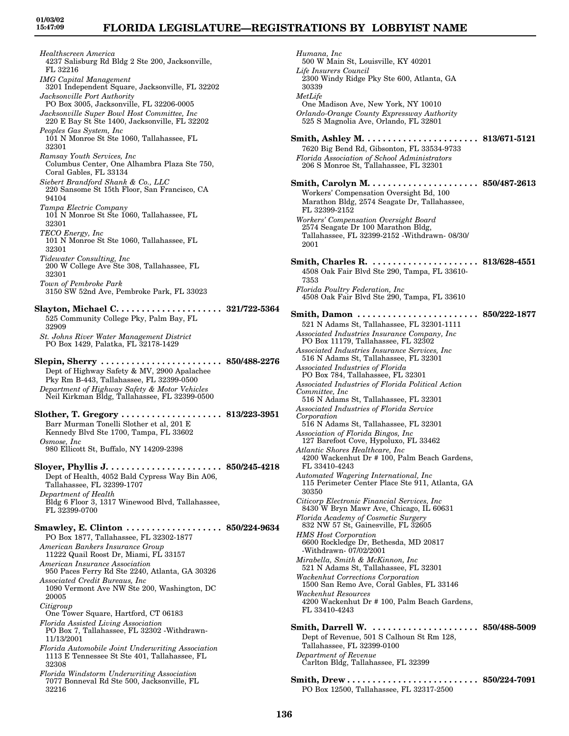*Healthscreen America* 4237 Salisburg Rd Bldg 2 Ste 200, Jacksonville, FL 32216 *IMG Capital Management* 3201 Independent Square, Jacksonville, FL 32202 *Jacksonville Port Authority* PO Box 3005, Jacksonville, FL 32206-0005 *Jacksonville Super Bowl Host Committee, Inc* 220 E Bay St Ste 1400, Jacksonville, FL 32202 *Peoples Gas System, Inc* 101 N Monroe St Ste 1060, Tallahassee, FL 32301 *Ramsay Youth Services, Inc* Columbus Center, One Alhambra Plaza Ste 750, Coral Gables, FL 33134 *Siebert Brandford Shank & Co., LLC* 220 Sansome St 15th Floor, San Francisco, CA 94104 *Tampa Electric Company* 101 N Monroe St Ste 1060, Tallahassee, FL 32301 *TECO Energy, Inc* 101 N Monroe St Ste 1060, Tallahassee, FL 32301 *Tidewater Consulting, Inc* 200 W College Ave Ste 308, Tallahassee, FL 32301 *Town of Pembroke Park* 3150 SW 52nd Ave, Pembroke Park, FL 33023 **Slayton, Michael C. . . . . . . . . . . . . . . . . . . . . 321/722-5364** 525 Community College Pky, Palm Bay, FL 32909 *St. Johns River Water Management District* PO Box 1429, Palatka, FL 32178-1429 **Slepin, Sherry . . . . . . . . . . . . . . . . . . . . . . . . 850/488-2276** Dept of Highway Safety & MV, 2900 Apalachee Pky Rm B-443, Tallahassee, FL 32399-0500 *Department of Highway Safety & Motor Vehicles* Neil Kirkman Bldg, Tallahassee, FL 32399-0500 **Slother, T. Gregory . . . . . . . . . . . . . . . . . . . . 813/223-3951** Barr Murman Tonelli Slother et al, 201 E Kennedy Blvd Ste 1700, Tampa, FL 33602 *Osmose, Inc* 980 Ellicott St, Buffalo, NY 14209-2398 **Sloyer, Phyllis J. . . . . . . . . . . . . . . . . . . . . . . 850/245-4218** Dept of Health, 4052 Bald Cypress Way Bin A06, Tallahassee, FL 32399-1707 *Department of Health* Bldg 6 Floor 3, 1317 Winewood Blvd, Tallahassee, FL 32399-0700 **Smawley, E. Clinton . . . . . . . . . . . . . . . . . . . 850/224-9634** PO Box 1877, Tallahassee, FL 32302-1877 *American Bankers Insurance Group* 11222 Quail Roost Dr, Miami, FL 33157 *American Insurance Association* 950 Paces Ferry Rd Ste 2240, Atlanta, GA 30326 *Associated Credit Bureaus, Inc* 1090 Vermont Ave NW Ste 200, Washington, DC 20005 *Citigroup* One Tower Square, Hartford, CT 06183 *Florida Assisted Living Association* PO Box 7, Tallahassee, FL 32302 -Withdrawn-11/13/2001 *Florida Automobile Joint Underwriting Association* 1113 E Tennessee St Ste 401, Tallahassee, FL 32308 *Florida Windstorm Underwriting Association* 7077 Bonneval Rd Ste 500, Jacksonville, FL 32216

*Humana, Inc* 500 W Main St, Louisville, KY 40201 *Life Insurers Council* 2300 Windy Ridge Pky Ste 600, Atlanta, GA 30339 *MetLife* One Madison Ave, New York, NY 10010 *Orlando-Orange County Expressway Authority* 525 S Magnolia Ave, Orlando, FL 32801 **Smith, Ashley M. . . . . . . . . . . . . . . . . . . . . . . 813/671-5121** 7620 Big Bend Rd, Gibsonton, FL 33534-9733 *Florida Association of School Administrators* 206 S Monroe St, Tallahassee, FL 32301 **Smith, Carolyn M. . . . . . . . . . . . . . . . . . . . . . 850/487-2613** Workers' Compensation Oversight Bd, 100 Marathon Bldg, 2574 Seagate Dr, Tallahassee, FL 32399-2152 *Workers' Compensation Oversight Board* 2574 Seagate Dr 100 Marathon Bldg, Tallahassee, FL 32399-2152 -Withdrawn- 08/30/ 2001 **Smith, Charles R. . . . . . . . . . . . . . . . . . . . . . 813/628-4551** 4508 Oak Fair Blvd Ste 290, Tampa, FL 33610- 7353 *Florida Poultry Federation, Inc* 4508 Oak Fair Blvd Ste 290, Tampa, FL 33610 **Smith, Damon . . . . . . . . . . . . . . . . . . . . . . . . 850/222-1877** 521 N Adams St, Tallahassee, FL 32301-1111 *Associated Industries Insurance Company, Inc* PO Box 11179, Tallahassee, FL 32302 *Associated Industries Insurance Services, Inc* 516 N Adams St, Tallahassee, FL 32301 *Associated Industries of Florida* PO Box 784, Tallahassee, FL 32301 *Associated Industries of Florida Political Action Committee, Inc* 516 N Adams St, Tallahassee, FL 32301 *Associated Industries of Florida Service Corporation* 516 N Adams St, Tallahassee, FL 32301 *Association of Florida Bingos, Inc* 127 Barefoot Cove, Hypoluxo, FL 33462 *Atlantic Shores Healthcare, Inc* 4200 Wackenhut Dr # 100, Palm Beach Gardens, FL 33410-4243 *Automated Wagering International, Inc* 115 Perimeter Center Place Ste 911, Atlanta, GA 30350 *Citicorp Electronic Financial Services, Inc* 8430 W Bryn Mawr Ave, Chicago, IL 60631 *Florida Academy of Cosmetic Surgery* 832 NW 57 St, Gainesville, FL 32605 *HMS Host Corporation* 6600 Rockledge Dr, Bethesda, MD 20817 -Withdrawn- 07/02/2001 *Mirabella, Smith & McKinnon, Inc* 521 N Adams St, Tallahassee, FL 32301 *Wackenhut Corrections Corporation* 1500 San Remo Ave, Coral Gables, FL 33146 *Wackenhut Resources* 4200 Wackenhut Dr # 100, Palm Beach Gardens, FL 33410-4243 **Smith, Darrell W. . . . . . . . . . . . . . . . . . . . . . 850/488-5009** Dept of Revenue, 501 S Calhoun St Rm 128, Tallahassee, FL 32399-0100 *Department of Revenue* Carlton Bldg, Tallahassee, FL 32399 **Smith, Drew . . . . . . . . . . . . . . . . . . . . . . . . . . 850/224-7091**

PO Box 12500, Tallahassee, FL 32317-2500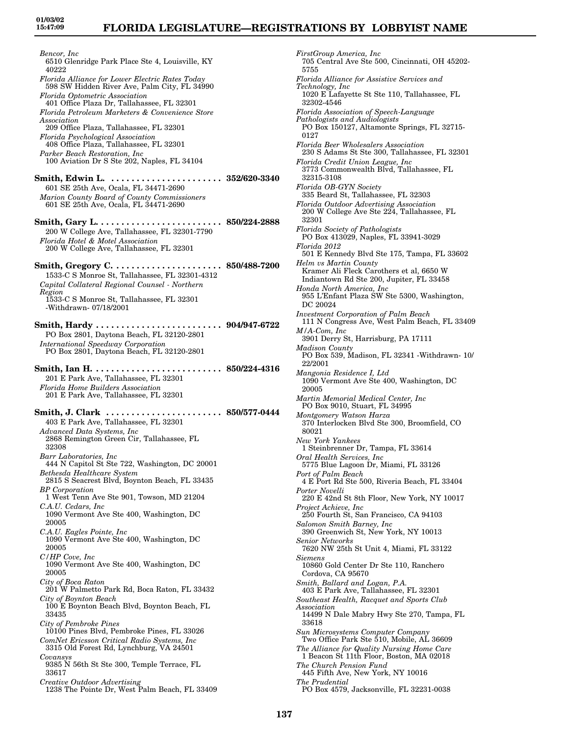*Bencor, Inc* 6510 Glenridge Park Place Ste 4, Louisville, KY 40222 *Florida Alliance for Lower Electric Rates Today* 598 SW Hidden River Ave, Palm City, FL 34990 *Florida Optometric Association* 401 Office Plaza Dr, Tallahassee, FL 32301 *Florida Petroleum Marketers & Convenience Store Association* 209 Office Plaza, Tallahassee, FL 32301 *Florida Psychological Association* 408 Office Plaza, Tallahassee, FL 32301 *Parker Beach Restoration, Inc* 100 Aviation Dr S Ste 202, Naples, FL 34104 **Smith, Edwin L. . . . . . . . . . . . . . . . . . . . . . . 352/620-3340** 601 SE 25th Ave, Ocala, FL 34471-2690 *Marion County Board of County Commissioners* 601 SE 25th Ave, Ocala, FL 34471-2690 **Smith, Gary L. . . . . . . . . . . . . . . . . . . . . . . . . 850/224-2888** 200 W College Ave, Tallahassee, FL 32301-7790 *Florida Hotel & Motel Association* 200 W College Ave, Tallahassee, FL 32301 **Smith, Gregory C. . . . . . . . . . . . . . . . . . . . . . 850/488-7200** 1533-C S Monroe St, Tallahassee, FL 32301-4312 *Capital Collateral Regional Counsel - Northern Region* 1533-C S Monroe St, Tallahassee, FL 32301 -Withdrawn- 07/18/2001 **Smith, Hardy . . . . . . . . . . . . . . . . . . . . . . . . . 904/947-6722** PO Box 2801, Daytona Beach, FL 32120-2801 *International Speedway Corporation* PO Box 2801, Daytona Beach, FL 32120-2801 **Smith, Ian H. . . . . . . . . . . . . . . . . . . . . . . . . . 850/224-4316** 201 E Park Ave, Tallahassee, FL 32301 *Florida Home Builders Association* 201 E Park Ave, Tallahassee, FL 32301 **Smith, J. Clark . . . . . . . . . . . . . . . . . . . . . . . 850/577-0444** 403 E Park Ave, Tallahassee, FL 32301 *Advanced Data Systems, Inc* 2868 Remington Green Cir, Tallahassee, FL 32308 *Barr Laboratories, Inc* 444 N Capitol St Ste 722, Washington, DC 20001 *Bethesda Healthcare System* 2815 S Seacrest Blvd, Boynton Beach, FL 33435 *BP Corporation* 1 West Tenn Ave Ste 901, Towson, MD 21204 *C.A.U. Cedars, Inc* 1090 Vermont Ave Ste 400, Washington, DC 20005 *C.A.U. Eagles Pointe, Inc* 1090 Vermont Ave Ste 400, Washington, DC 20005 *C/HP Cove, Inc* 1090 Vermont Ave Ste 400, Washington, DC 20005 *City of Boca Raton* 201 W Palmetto Park Rd, Boca Raton, FL 33432 *City of Boynton Beach* 100 E Boynton Beach Blvd, Boynton Beach, FL 33435 *City of Pembroke Pines* 10100 Pines Blvd, Pembroke Pines, FL 33026 *ComNet Ericsson Critical Radio Systems, Inc* 3315 Old Forest Rd, Lynchburg, VA 24501 *Covansys* 9385 N 56th St Ste 300, Temple Terrace, FL 33617 *Creative Outdoor Advertising* 1238 The Pointe Dr, West Palm Beach, FL 33409

*FirstGroup America, Inc* 705 Central Ave Ste 500, Cincinnati, OH 45202- 5755 *Florida Alliance for Assistive Services and Technology, Inc* 1020 E Lafayette St Ste 110, Tallahassee, FL 32302-4546 *Florida Association of Speech-Language Pathologists and Audiologists* PO Box 150127, Altamonte Springs, FL 32715- 0127 *Florida Beer Wholesalers Association* 230 S Adams St Ste 300, Tallahassee, FL 32301 *Florida Credit Union League, Inc* 3773 Commonwealth Blvd, Tallahassee, FL 32315-3108 *Florida OB-GYN Society* 335 Beard St, Tallahassee, FL 32303 *Florida Outdoor Advertising Association* 200 W College Ave Ste 224, Tallahassee, FL 32301 *Florida Society of Pathologists* PO Box 413029, Naples, FL 33941-3029 *Florida 2012* 501 E Kennedy Blvd Ste 175, Tampa, FL 33602 *Helm vs Martin County* Kramer Ali Fleck Carothers et al, 6650 W Indiantown Rd Ste 200, Jupiter, FL 33458 *Honda North America, Inc* 955 L'Enfant Plaza SW Ste 5300, Washington, DC 20024 *Investment Corporation of Palm Beach* 111 N Congress Ave, West Palm Beach, FL 33409 *M/A-Com, Inc* 3901 Derry St, Harrisburg, PA 17111 *Madison County* PO Box 539, Madison, FL 32341 -Withdrawn- 10/ 22/2001 *Mangonia Residence I, Ltd* 1090 Vermont Ave Ste 400, Washington, DC 20005 *Martin Memorial Medical Center, Inc* PO Box 9010, Stuart, FL 34995 *Montgomery Watson Harza* 370 Interlocken Blvd Ste 300, Broomfield, CO 80021 *New York Yankees* 1 Steinbrenner Dr, Tampa, FL 33614 *Oral Health Services, Inc* 5775 Blue Lagoon Dr, Miami, FL 33126 *Port of Palm Beach* 4 E Port Rd Ste 500, Riveria Beach, FL 33404 *Porter Novelli* 220 E 42nd St 8th Floor, New York, NY 10017 *Project Achieve, Inc* 250 Fourth St, San Francisco, CA 94103 *Salomon Smith Barney, Inc* 390 Greenwich St, New York, NY 10013 *Senior Networks* 7620 NW 25th St Unit 4, Miami, FL 33122 *Siemens* 10860 Gold Center Dr Ste 110, Ranchero Cordova, CA 95670 *Smith, Ballard and Logan, P.A.* 403 E Park Ave, Tallahassee, FL 32301 *Southeast Health, Racquet and Sports Club Association* 14499 N Dale Mabry Hwy Ste 270, Tampa, FL 33618 *Sun Microsystems Computer Company* Two Office Park Ste 510, Mobile, AL 36609 *The Alliance for Quality Nursing Home Care* 1 Beacon St 11th Floor, Boston, MA 02018 *The Church Pension Fund* 445 Fifth Ave, New York, NY 10016 *The Prudential* PO Box 4579, Jacksonville, FL 32231-0038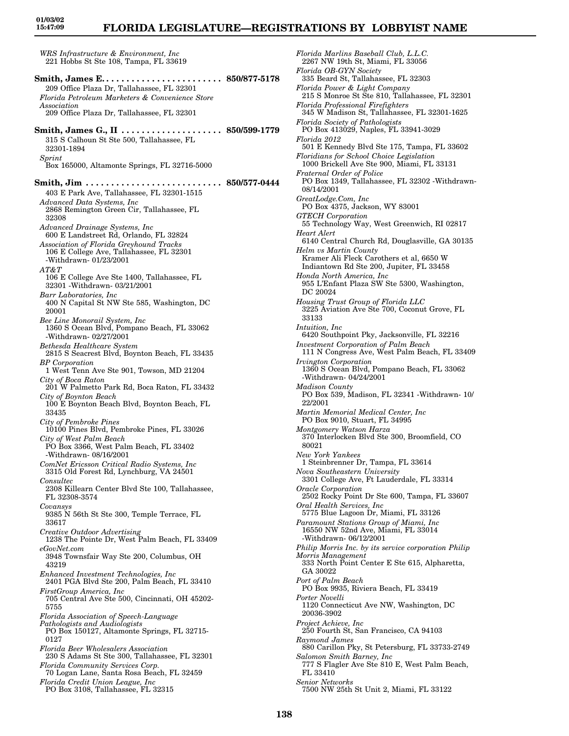# **FLORIDA LEGISLATURE—REGISTRATIONS BY LOBBYIST NAME**

*WRS Infrastructure & Environment, Inc* 221 Hobbs St Ste 108, Tampa, FL 33619 **Smith, James E. . . . . . . . . . . . . . . . . . . . . . . . 850/877-5178** 209 Office Plaza Dr, Tallahassee, FL 32301 *Florida Petroleum Marketers & Convenience Store Association* 209 Office Plaza Dr, Tallahassee, FL 32301 **Smith, James G., II . . . . . . . . . . . . . . . . . . . . 850/599-1779** 315 S Calhoun St Ste 500, Tallahassee, FL 32301-1894 *Sprint* Box 165000, Altamonte Springs, FL 32716-5000 **Smith, Jim . . . . . . . . . . . . . . . . . . . . . . . . . . . 850/577-0444** 403 E Park Ave, Tallahassee, FL 32301-1515 *Advanced Data Systems, Inc* 2868 Remington Green Cir, Tallahassee, FL 32308 *Advanced Drainage Systems, Inc* 600 E Landstreet Rd, Orlando, FL 32824 *Association of Florida Greyhound Tracks* 106 E College Ave, Tallahassee, FL 32301 -Withdrawn- 01/23/2001 *AT&T* 106 E College Ave Ste 1400, Tallahassee, FL 32301 -Withdrawn- 03/21/2001 *Barr Laboratories, Inc* 400 N Capital St NW Ste 585, Washington, DC 20001 *Bee Line Monorail System, Inc* 1360 S Ocean Blvd, Pompano Beach, FL 33062 -Withdrawn- 02/27/2001 *Bethesda Healthcare System* 2815 S Seacrest Blvd, Boynton Beach, FL 33435 *BP Corporation* 1 West Tenn Ave Ste 901, Towson, MD 21204 *City of Boca Raton* 201 W Palmetto Park Rd, Boca Raton, FL 33432 *City of Boynton Beach* 100 E Boynton Beach Blvd, Boynton Beach, FL 33435 *City of Pembroke Pines* 10100 Pines Blvd, Pembroke Pines, FL 33026 *City of West Palm Beach* PO Box 3366, West Palm Beach, FL 33402 -Withdrawn- 08/16/2001 *ComNet Ericsson Critical Radio Systems, Inc* 3315 Old Forest Rd, Lynchburg, VA 24501 *Consultec* 2308 Killearn Center Blvd Ste 100, Tallahassee, FL 32308-3574 *Covansys* 9385 N 56th St Ste 300, Temple Terrace, FL 33617 *Creative Outdoor Advertising* 1238 The Pointe Dr, West Palm Beach, FL 33409 *eGovNet.com* 3948 Townsfair Way Ste 200, Columbus, OH 43219 *Enhanced Investment Technologies, Inc* 2401 PGA Blvd Ste 200, Palm Beach, FL 33410 *FirstGroup America, Inc* 705 Central Ave Ste 500, Cincinnati, OH 45202- 5755 *Florida Association of Speech-Language Pathologists and Audiologists* PO Box 150127, Altamonte Springs, FL 32715- 0127 *Florida Beer Wholesalers Association* 230 S Adams St Ste 300, Tallahassee, FL 32301 *Florida Community Services Corp.* 70 Logan Lane, Santa Rosa Beach, FL 32459 *Florida Credit Union League, Inc* PO Box 3108, Tallahassee, FL 32315

*Florida Marlins Baseball Club, L.L.C.* 2267 NW 19th St, Miami, FL 33056 *Florida OB-GYN Society* 335 Beard St, Tallahassee, FL 32303 *Florida Power & Light Company* 215 S Monroe St Ste 810, Tallahassee, FL 32301 *Florida Professional Firefighters* 345 W Madison St, Tallahassee, FL 32301-1625 *Florida Society of Pathologists* PO Box 413029, Naples, FL 33941-3029 *Florida 2012* 501 E Kennedy Blvd Ste 175, Tampa, FL 33602 *Floridians for School Choice Legislation* 1000 Brickell Ave Ste 900, Miami, FL 33131 *Fraternal Order of Police* PO Box 1349, Tallahassee, FL 32302 -Withdrawn-08/14/2001 *GreatLodge.Com, Inc* PO Box 4375, Jackson, WY 83001 *GTECH Corporation* 55 Technology Way, West Greenwich, RI 02817 *Heart Alert* 6140 Central Church Rd, Douglasville, GA 30135 *Helm vs Martin County* Kramer Ali Fleck Carothers et al, 6650 W Indiantown Rd Ste 200, Jupiter, FL 33458 *Honda North America, Inc* 955 L'Enfant Plaza SW Ste 5300, Washington, DC 20024 *Housing Trust Group of Florida LLC* 3225 Aviation Ave Ste 700, Coconut Grove, FL 33133 *Intuition, Inc* 6420 Southpoint Pky, Jacksonville, FL 32216 *Investment Corporation of Palm Beach* 111 N Congress Ave, West Palm Beach, FL 33409 *Irvington Corporation* 1360 S Ocean Blvd, Pompano Beach, FL 33062 -Withdrawn- 04/24/2001 *Madison County* PO Box 539, Madison, FL 32341 -Withdrawn- 10/ 22/2001 *Martin Memorial Medical Center, Inc* PO Box 9010, Stuart, FL 34995 *Montgomery Watson Harza* 370 Interlocken Blvd Ste 300, Broomfield, CO 80021 *New York Yankees* 1 Steinbrenner Dr, Tampa, FL 33614 *Nova Southeastern University* 3301 College Ave, Ft Lauderdale, FL 33314 *Oracle Corporation* 2502 Rocky Point Dr Ste 600, Tampa, FL 33607 *Oral Health Services, Inc* 5775 Blue Lagoon Dr, Miami, FL 33126 *Paramount Stations Group of Miami, Inc* 16550 NW 52nd Ave, Miami, FL 33014 -Withdrawn- 06/12/2001 *Philip Morris Inc. by its service corporation Philip Morris Management* 333 North Point Center E Ste 615, Alpharetta, GA 30022 *Port of Palm Beach* PO Box 9935, Riviera Beach, FL 33419 *Porter Novelli* 1120 Connecticut Ave NW, Washington, DC 20036-3902 *Project Achieve, Inc* 250 Fourth St, San Francisco, CA 94103 *Raymond James* 880 Carillon Pky, St Petersburg, FL 33733-2749 *Salomon Smith Barney, Inc* 777 S Flagler Ave Ste 810 E, West Palm Beach, FL 33410 *Senior Networks* 7500 NW 25th St Unit 2, Miami, FL 33122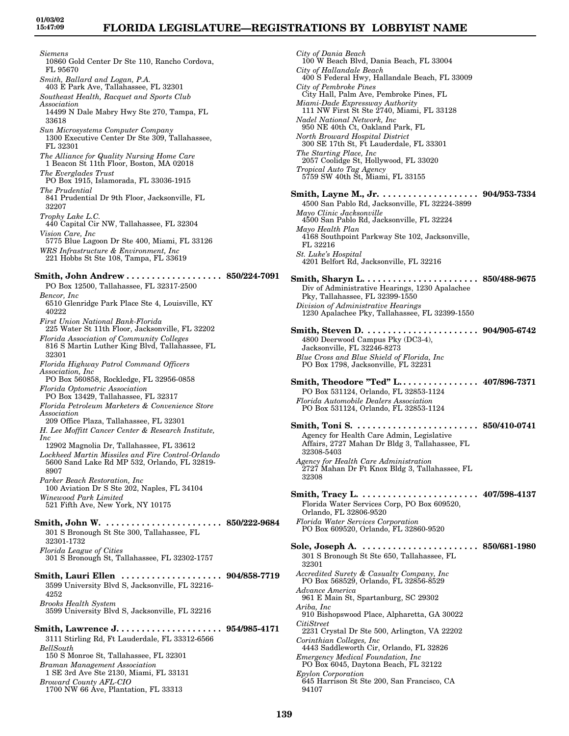*Siemens* 10860 Gold Center Dr Ste 110, Rancho Cordova, FL 95670 *Smith, Ballard and Logan, P.A.* 403 E Park Ave, Tallahassee, FL 32301 *Southeast Health, Racquet and Sports Club Association* 14499 N Dale Mabry Hwy Ste 270, Tampa, FL 33618 *Sun Microsystems Computer Company* 1300 Executive Center Dr Ste 309, Tallahassee, FL 32301 *The Alliance for Quality Nursing Home Care* 1 Beacon St 11th Floor, Boston, MA 02018 *The Everglades Trust* PO Box 1915, Islamorada, FL 33036-1915 *The Prudential* 841 Prudential Dr 9th Floor, Jacksonville, FL 32207 *Trophy Lake L.C.* 440 Capital Cir NW, Tallahassee, FL 32304 *Vision Care, Inc* 5775 Blue Lagoon Dr Ste 400, Miami, FL 33126 *WRS Infrastructure & Environment, Inc* 221 Hobbs St Ste 108, Tampa, FL 33619 **Smith, John Andrew . . . . . . . . . . . . . . . . . . . 850/224-7091** PO Box 12500, Tallahassee, FL 32317-2500 *Bencor, Inc* 6510 Glenridge Park Place Ste 4, Louisville, KY 40222 *First Union National Bank-Florida* 225 Water St 11th Floor, Jacksonville, FL 32202 *Florida Association of Community Colleges* 816 S Martin Luther King Blvd, Tallahassee, FL 32301 *Florida Highway Patrol Command Officers Association, Inc* PO Box 560858, Rockledge, FL 32956-0858 *Florida Optometric Association* PO Box 13429, Tallahassee, FL 32317 *Florida Petroleum Marketers & Convenience Store Association* 209 Office Plaza, Tallahassee, FL 32301 *H. Lee Moffitt Cancer Center & Research Institute, Inc* 12902 Magnolia Dr, Tallahassee, FL 33612 *Lockheed Martin Missiles and Fire Control-Orlando* 5600 Sand Lake Rd MP 532, Orlando, FL 32819- 8907 *Parker Beach Restoration, Inc* 100 Aviation Dr S Ste 202, Naples, FL 34104 *Winewood Park Limited* 521 Fifth Ave, New York, NY 10175 **Smith, John W. . . . . . . . . . . . . . . . . . . . . . . . 850/222-9684** 301 S Bronough St Ste 300, Tallahassee, FL 32301-1732 *Florida League of Cities* 301 S Bronough St, Tallahassee, FL 32302-1757 **Smith, Lauri Ellen . . . . . . . . . . . . . . . . . . . . 904/858-7719** 3599 University Blvd S, Jacksonville, FL 32216- 4252 *Brooks Health System* 3599 University Blvd S, Jacksonville, FL 32216 **Smith, Lawrence J. . . . . . . . . . . . . . . . . . . . . 954/985-4171** 3111 Stirling Rd, Ft Lauderdale, FL 33312-6566 *BellSouth* 150 S Monroe St, Tallahassee, FL 32301 *Braman Management Association* 1 SE 3rd Ave Ste 2130, Miami, FL 33131 *Broward County AFL-CIO* 1700 NW 66 Ave, Plantation, FL 33313

*City of Dania Beach* 100 W Beach Blvd, Dania Beach, FL 33004 *City of Hallandale Beach* 400 S Federal Hwy, Hallandale Beach, FL 33009 *City of Pembroke Pines* City Hall, Palm Ave, Pembroke Pines, FL *Miami-Dade Expressway Authority* 111 NW First St Ste 2740, Miami, FL 33128 *Nadel National Network, Inc* 950 NE 40th Ct, Oakland Park, FL *North Broward Hospital District* 300 SE 17th St, Ft Lauderdale, FL 33301 *The Starting Place, Inc* 2057 Coolidge St, Hollywood, FL 33020 *Tropical Auto Tag Agency* 5759 SW 40th St, Miami, FL 33155 **Smith, Layne M., Jr. . . . . . . . . . . . . . . . . . . . 904/953-7334** 4500 San Pablo Rd, Jacksonville, FL 32224-3899 *Mayo Clinic Jacksonville* 4500 San Pablo Rd, Jacksonville, FL 32224 *Mayo Health Plan* 4168 Southpoint Parkway Ste 102, Jacksonville, FL 32216 *St. Luke's Hospital* 4201 Belfort Rd, Jacksonville, FL 32216 **Smith, Sharyn L. . . . . . . . . . . . . . . . . . . . . . . 850/488-9675** Div of Administrative Hearings, 1230 Apalachee Pky, Tallahassee, FL 32399-1550 *Division of Administrative Hearings* 1230 Apalachee Pky, Tallahassee, FL 32399-1550 **Smith, Steven D. . . . . . . . . . . . . . . . . . . . . . . 904/905-6742** 4800 Deerwood Campus Pky (DC3-4), Jacksonville, FL 32246-8273 *Blue Cross and Blue Shield of Florida, Inc* PO Box 1798, Jacksonville, FL 32231 **Smith, Theodore "Ted" L. . . . . . . . . . . . . . . . 407/896-7371** PO Box 531124, Orlando, FL 32853-1124 *Florida Automobile Dealers Association* PO Box 531124, Orlando, FL 32853-1124 **Smith, Toni S. . . . . . . . . . . . . . . . . . . . . . . . . 850/410-0741** Agency for Health Care Admin, Legislative Affairs, 2727 Mahan Dr Bldg 3, Tallahassee, FL 32308-5403 *Agency for Health Care Administration* 2727 Mahan Dr Ft Knox Bldg 3, Tallahassee, FL 32308 **Smith, Tracy L. . . . . . . . . . . . . . . . . . . . . . . . 407/598-4137** Florida Water Services Corp, PO Box 609520, Orlando, FL 32806-9520 *Florida Water Services Corporation* PO Box 609520, Orlando, FL 32860-9520 **Sole, Joseph A. . . . . . . . . . . . . . . . . . . . . . . . 850/681-1980** 301 S Bronough St Ste 650, Tallahassee, FL 32301 *Accredited Surety & Casualty Company, Inc* PO Box 568529, Orlando, FL 32856-8529 *Advance America* 961 E Main St, Spartanburg, SC 29302 *Ariba, Inc* 910 Bishopswood Place, Alpharetta, GA 30022 *CitiStreet* 2231 Crystal Dr Ste 500, Arlington, VA 22202 *Corinthian Colleges, Inc* 4443 Saddleworth Cir, Orlando, FL 32826 *Emergency Medical Foundation, Inc* PO Box 6045, Daytona Beach, FL 32122 *Epylon Corporation* 645 Harrison St Ste 200, San Francisco, CA

94107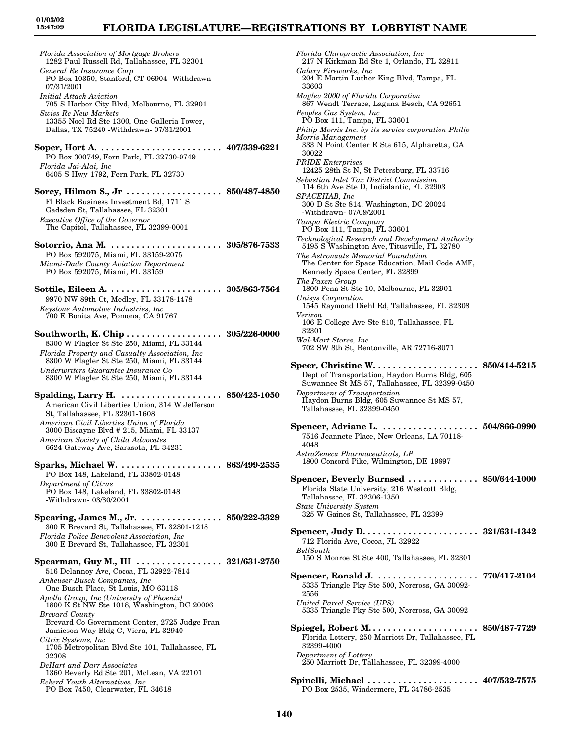*Florida Association of Mortgage Brokers* 1282 Paul Russell Rd, Tallahassee, FL 32301 *General Re Insurance Corp* PO Box 10350, Stanford, CT 06904 -Withdrawn-07/31/2001 *Initial Attack Aviation* 705 S Harbor City Blvd, Melbourne, FL 32901 *Swiss Re New Markets* 13355 Noel Rd Ste 1300, One Galleria Tower, Dallas, TX 75240 -Withdrawn- 07/31/2001 **Soper, Hort A. . . . . . . . . . . . . . . . . . . . . . . . . 407/339-6221** PO Box 300749, Fern Park, FL 32730-0749 *Florida Jai-Alai, Inc* 6405 S Hwy 1792, Fern Park, FL 32730 **Sorey, Hilmon S., Jr . . . . . . . . . . . . . . . . . . . 850/487-4850** Fl Black Business Investment Bd, 1711 S Gadsden St, Tallahassee, FL 32301 *Executive Office of the Governor* The Capitol, Tallahassee, FL 32399-0001 **Sotorrio, Ana M. . . . . . . . . . . . . . . . . . . . . . . 305/876-7533** PO Box 592075, Miami, FL 33159-2075 *Miami-Dade County Aviation Department* PO Box 592075, Miami, FL 33159 **Sottile, Eileen A. . . . . . . . . . . . . . . . . . . . . . . 305/863-7564** 9970 NW 89th Ct, Medley, FL 33178-1478 *Keystone Automotive Industries, Inc* 700 E Bonita Ave, Pomona, CA 91767 **Southworth, K. Chip . . . . . . . . . . . . . . . . . . . 305/226-0000** 8300 W Flagler St Ste 250, Miami, FL 33144 *Florida Property and Casualty Association, Inc* 8300 W Flagler St Ste 250, Miami, FL 33144 *Underwriters Guarantee Insurance Co* 8300 W Flagler St Ste 250, Miami, FL 33144 **Spalding, Larry H. . . . . . . . . . . . . . . . . . . . . 850/425-1050** American Civil Liberties Union, 314 W Jefferson St, Tallahassee, FL 32301-1608 *American Civil Liberties Union of Florida* 3000 Biscayne Blvd # 215, Miami, FL 33137 *American Society of Child Advocates* 6624 Gateway Ave, Sarasota, FL 34231 **Sparks, Michael W. . . . . . . . . . . . . . . . . . . . . 863/499-2535** PO Box 148, Lakeland, FL 33802-0148 *Department of Citrus* PO Box 148, Lakeland, FL 33802-0148 -Withdrawn- 03/30/2001 **Spearing, James M., Jr. . . . . . . . . . . . . . . . . 850/222-3329** 300 E Brevard St, Tallahassee, FL 32301-1218 *Florida Police Benevolent Association, Inc* 300 E Brevard St, Tallahassee, FL 32301 **Spearman, Guy M., III . . . . . . . . . . . . . . . . . 321/631-2750** 516 Delannoy Ave, Cocoa, FL 32922-7814 *Anheuser-Busch Companies, Inc* One Busch Place, St Louis, MO 63118 *Apollo Group, Inc (University of Phoenix)* 1800 K St NW Ste 1018, Washington, DC 20006 *Brevard County* Brevard Co Government Center, 2725 Judge Fran Jamieson Way Bldg C, Viera, FL 32940 *Citrix Systems, Inc* 1705 Metropolitan Blvd Ste 101, Tallahassee, FL 32308 *DeHart and Darr Associates* 1360 Beverly Rd Ste 201, McLean, VA 22101 *Eckerd Youth Alternatives, Inc* PO Box 7450, Clearwater, FL 34618

*Florida Chiropractic Association, Inc* 217 N Kirkman Rd Ste 1, Orlando, FL 32811 *Galaxy Fireworks, Inc* 204 E Martin Luther King Blvd, Tampa, FL 33603 *Maglev 2000 of Florida Corporation* 867 Wendt Terrace, Laguna Beach, CA 92651 *Peoples Gas System, Inc* PO Box 111, Tampa, FL 33601 *Philip Morris Inc. by its service corporation Philip Morris Management* 333 N Point Center E Ste 615, Alpharetta, GA 30022 *PRIDE Enterprises* 12425 28th St N, St Petersburg, FL 33716 *Sebastian Inlet Tax District Commission* 114 6th Ave Ste D, Indialantic, FL 32903 *SPACEHAB, Inc* 300 D St Ste 814, Washington, DC 20024 -Withdrawn- 07/09/2001 *Tampa Electric Company* PO Box 111, Tampa, FL 33601 *Technological Research and Development Authority* 5195 S Washington Ave, Titusville, FL 32780 *The Astronauts Memorial Foundation* The Center for Space Education, Mail Code AMF, Kennedy Space Center, FL 32899 *The Paxen Group* 1800 Penn St Ste 10, Melbourne, FL 32901 *Unisys Corporation* 1545 Raymond Diehl Rd, Tallahassee, FL 32308 *Verizon* 106 E College Ave Ste 810, Tallahassee, FL 32301 *Wal-Mart Stores, Inc* 702 SW 8th St, Bentonville, AR 72716-8071 **Speer, Christine W. . . . . . . . . . . . . . . . . . . . . 850/414-5215** Dept of Transportation, Haydon Burns Bldg, 605 Suwannee St MS 57, Tallahassee, FL 32399-0450 *Department of Transportation* Haydon Burns Bldg, 605 Suwannee St MS 57, Tallahassee, FL 32399-0450 **Spencer, Adriane L. . . . . . . . . . . . . . . . . . . . 504/866-0990** 7516 Jeannete Place, New Orleans, LA 70118- 4048 *AstraZeneca Pharmaceuticals, LP* 1800 Concord Pike, Wilmington, DE 19897 **Spencer, Beverly Burnsed . . . . . . . . . . . . . . 850/644-1000** Florida State University, 216 Westcott Bldg, Tallahassee, FL 32306-1350 *State University System* 325 W Gaines St, Tallahassee, FL 32399 **Spencer, Judy D. . . . . . . . . . . . . . . . . . . . . . . 321/631-1342** 712 Florida Ave, Cocoa, FL 32922 *BellSouth* 150 S Monroe St Ste 400, Tallahassee, FL 32301 **Spencer, Ronald J. . . . . . . . . . . . . . . . . . . . . 770/417-2104** 5335 Triangle Pky Ste 500, Norcross, GA 30092- 2556 *United Parcel Service (UPS)* 5335 Triangle Pky Ste 500, Norcross, GA 30092 **Spiegel, Robert M. . . . . . . . . . . . . . . . . . . . . . 850/487-7729** Florida Lottery, 250 Marriott Dr, Tallahassee, FL 32399-4000 *Department of Lottery* 250 Marriott Dr, Tallahassee, FL 32399-4000 **Spinelli, Michael . . . . . . . . . . . . . . . . . . . . . . 407/532-7575** PO Box 2535, Windermere, FL 34786-2535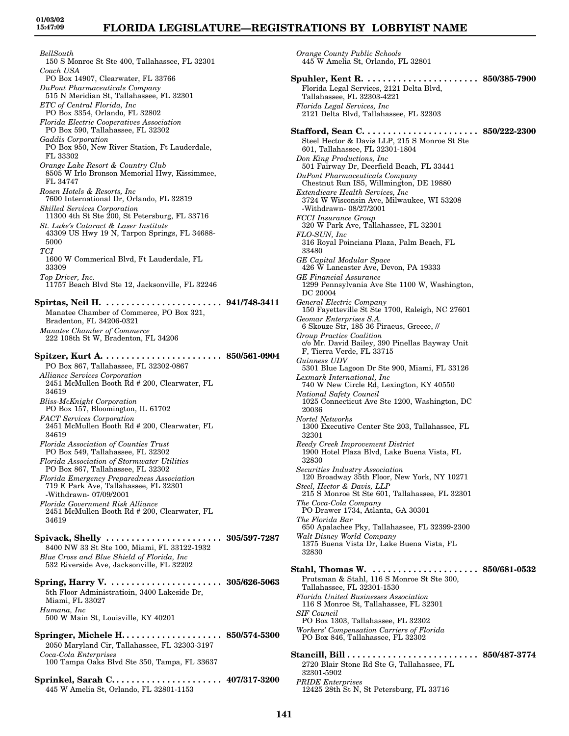*BellSouth* 150 S Monroe St Ste 400, Tallahassee, FL 32301 *Coach USA* PO Box 14907, Clearwater, FL 33766 *DuPont Pharmaceuticals Company* 515 N Meridian St, Tallahassee, FL 32301 *ETC of Central Florida, Inc* PO Box 3354, Orlando, FL 32802 *Florida Electric Cooperatives Association* PO Box 590, Tallahassee, FL 32302 *Gaddis Corporation* PO Box 950, New River Station, Ft Lauderdale, FL 33302 *Orange Lake Resort & Country Club* 8505 W Irlo Bronson Memorial Hwy, Kissimmee, FL 34747 *Rosen Hotels & Resorts, Inc* 7600 International Dr, Orlando, FL 32819 *Skilled Services Corporation* 11300 4th St Ste 200, St Petersburg, FL 33716 *St. Luke's Cataract & Laser Institute* 43309 US Hwy 19 N, Tarpon Springs, FL 34688- 5000 *TCI* 1600 W Commerical Blvd, Ft Lauderdale, FL 33309 *Top Driver, Inc.* 11757 Beach Blvd Ste 12, Jacksonville, FL 32246 **Spirtas, Neil H. . . . . . . . . . . . . . . . . . . . . . . . 941/748-3411** Manatee Chamber of Commerce, PO Box 321, Bradenton, FL 34206-0321 *Manatee Chamber of Commerce* 222 108th St W, Bradenton, FL 34206 **Spitzer, Kurt A. . . . . . . . . . . . . . . . . . . . . . . . 850/561-0904** PO Box 867, Tallahassee, FL 32302-0867 *Alliance Services Corporation* 2451 McMullen Booth Rd # 200, Clearwater, FL 34619 *Bliss-McKnight Corporation* PO Box 157, Bloomington, IL 61702 *FACT Services Corporation* 2451 McMullen Booth Rd # 200, Clearwater, FL 34619 *Florida Association of Counties Trust* PO Box 549, Tallahassee, FL 32302 *Florida Association of Stormwater Utilities* PO Box 867, Tallahassee, FL 32302 *Florida Emergency Preparedness Association* 719 E Park Ave, Tallahassee, FL 32301 -Withdrawn- 07/09/2001 *Florida Government Risk Alliance* 2451 McMullen Booth Rd # 200, Clearwater, FL 34619 **Spivack, Shelly . . . . . . . . . . . . . . . . . . . . . . . 305/597-7287** 8400 NW 33 St Ste 100, Miami, FL 33122-1932 *Blue Cross and Blue Shield of Florida, Inc* 532 Riverside Ave, Jacksonville, FL 32202 **Spring, Harry V. . . . . . . . . . . . . . . . . . . . . . . 305/626-5063** 5th Floor Administratioin, 3400 Lakeside Dr, Miami, FL 33027 *Humana, Inc* 500 W Main St, Louisville, KY 40201 **Springer, Michele H. . . . . . . . . . . . . . . . . . . . 850/574-5300** 2050 Maryland Cir, Tallahassee, FL 32303-3197 *Coca-Cola Enterprises* 100 Tampa Oaks Blvd Ste 350, Tampa, FL 33637

**Sprinkel, Sarah C. . . . . . . . . . . . . . . . . . . . . . 407/317-3200** 445 W Amelia St, Orlando, FL 32801-1153

*Orange County Public Schools* 445 W Amelia St, Orlando, FL 32801 **Spuhler, Kent R. . . . . . . . . . . . . . . . . . . . . . . 850/385-7900** Florida Legal Services, 2121 Delta Blvd, Tallahassee, FL 32303-4221 *Florida Legal Services, Inc* 2121 Delta Blvd, Tallahassee, FL 32303 **Stafford, Sean C. . . . . . . . . . . . . . . . . . . . . . . 850/222-2300** Steel Hector & Davis LLP, 215 S Monroe St Ste 601, Tallahassee, FL 32301-1804 *Don King Productions, Inc* 501 Fairway Dr, Deerfield Beach, FL 33441 *DuPont Pharmaceuticals Company* Chestnut Run IS5, Willmington, DE 19880 *Extendicare Health Services, Inc* 3724 W Wisconsin Ave, Milwaukee, WI 53208 -Withdrawn- 08/27/2001 *FCCI Insurance Group* 320 W Park Ave, Tallahassee, FL 32301 *FLO-SUN, Inc* 316 Royal Poinciana Plaza, Palm Beach, FL 33480 *GE Capital Modular Space* 426 W Lancaster Ave, Devon, PA 19333 *GE Financial Assurance* 1299 Pennsylvania Ave Ste 1100 W, Washington, DC 20004 *General Electric Company* 150 Fayetteville St Ste 1700, Raleigh, NC 27601 *Geomar Enterprises S.A.* 6 Skouze Str, 185 36 Piraeus, Greece, // *Group Practice Coalition* c/o Mr. David Bailey, 390 Pinellas Bayway Unit F, Tierra Verde, FL 33715 *Guinness UDV* 5301 Blue Lagoon Dr Ste 900, Miami, FL 33126 *Lexmark International, Inc* 740 W New Circle Rd, Lexington, KY 40550 *National Safety Council* 1025 Connecticut Ave Ste 1200, Washington, DC 20036 *Nortel Networks* 1300 Executive Center Ste 203, Tallahassee, FL 32301 *Reedy Creek Improvement District* 1900 Hotel Plaza Blvd, Lake Buena Vista, FL 32830 *Securities Industry Association* 120 Broadway 35th Floor, New York, NY 10271 *Steel, Hector & Davis, LLP* 215 S Monroe St Ste 601, Tallahassee, FL 32301 *The Coca-Cola Company* PO Drawer 1734, Atlanta, GA 30301 *The Florida Bar* 650 Apalachee Pky, Tallahassee, FL 32399-2300 *Walt Disney World Company* 1375 Buena Vista Dr, Lake Buena Vista, FL 32830 **Stahl, Thomas W. . . . . . . . . . . . . . . . . . . . . . 850/681-0532** Prutsman & Stahl, 116 S Monroe St Ste 300, Tallahassee, FL 32301-1530 *Florida United Businesses Association* 116 S Monroe St, Tallahassee, FL 32301 *SIF Council* PO Box 1303, Tallahassee, FL 32302 *Workers' Compensation Carriers of Florida* PO Box 846, Tallahassee, FL 32302 **Stancill, Bill . . . . . . . . . . . . . . . . . . . . . . . . . . 850/487-3774** 2720 Blair Stone Rd Ste G, Tallahassee, FL 32301-5902 *PRIDE Enterprises* 12425 28th St N, St Petersburg, FL 33716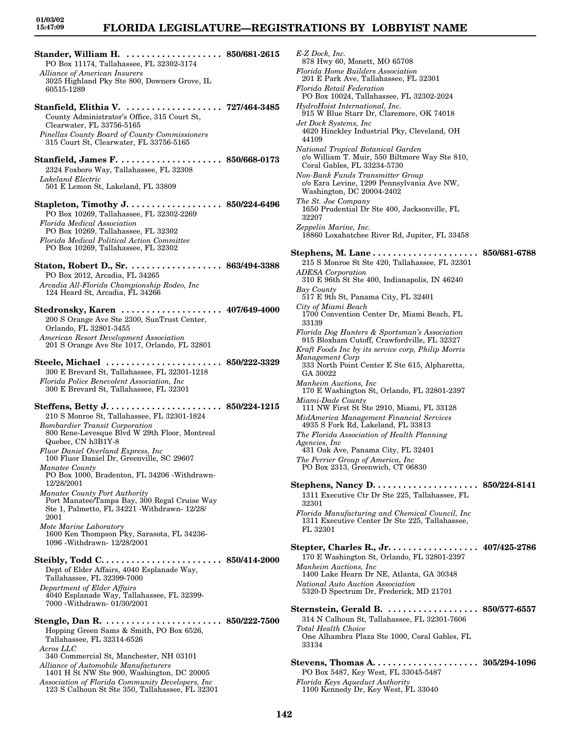# **FLORIDA LEGISLATURE—REGISTRATIONS BY LOBBYIST NAME**

**Stander, William H. . . . . . . . . . . . . . . . . . . . 850/681-2615** PO Box 11174, Tallahassee, FL 32302-3174 *Alliance of American Insurers* 3025 Highland Pky Ste 800, Downers Grove, IL 60515-1289 **Stanfield, Elithia V. . . . . . . . . . . . . . . . . . . . 727/464-3485** County Administrator's Office, 315 Court St, Clearwater, FL 33756-5165 *Pinellas County Board of County Commissioners* 315 Court St, Clearwater, FL 33756-5165 **Stanfield, James F. . . . . . . . . . . . . . . . . . . . . 850/668-0173** 2324 Foxboro Way, Tallahassee, FL 32308 *Lakeland Electric* 501 E Lemon St, Lakeland, FL 33809 **Stapleton, Timothy J. . . . . . . . . . . . . . . . . . . 850/224-6496** PO Box 10269, Tallahassee, FL 32302-2269 *Florida Medical Association* PO Box 10269, Tallahassee, FL 32302 *Florida Medical Political Action Committee* PO Box 10269, Tallahassee, FL 32302 **Staton, Robert D., Sr. . . . . . . . . . . . . . . . . . . 863/494-3388** PO Box 2012, Arcadia, FL 34265 *Arcadia All-Florida Championship Rodeo, Inc* 124 Heard St, Arcadia, FL 34266 **Stedronsky, Karen . . . . . . . . . . . . . . . . . . . . 407/649-4000** 200 S Orange Ave Ste 2300, SunTrust Center, Orlando, FL 32801-3455 *American Resort Development Association* 201 S Orange Ave Ste 1017, Orlando, FL 32801 **Steele, Michael . . . . . . . . . . . . . . . . . . . . . . . 850/222-3329** 300 E Brevard St, Tallahassee, FL 32301-1218 *Florida Police Benevolent Association, Inc* 300 E Brevard St, Tallahassee, FL 32301 **Steffens, Betty J. . . . . . . . . . . . . . . . . . . . . . . 850/224-1215** 210 S Monroe St, Tallahassee, FL 32301-1824 *Bombardier Transit Corporation* 800 Rene-Levesque Blvd W 29th Floor, Montreal Quebec, CN h3B1Y-8 *Fluor Daniel Overland Express, Inc* 100 Fluor Daniel Dr, Greenville, SC 29607 *Manatee County* PO Box 1000, Bradenton, FL 34206 -Withdrawn-12/28/2001 *Manatee County Port Authority* Port Manatee/Tampa Bay, 300 Regal Cruise Way Ste 1, Palmetto, FL 34221 -Withdrawn- 12/28/ 2001 *Mote Marine Laboratory* 1600 Ken Thompson Pky, Sarasota, FL 34236- 1096 -Withdrawn- 12/28/2001 **Steibly, Todd C. . . . . . . . . . . . . . . . . . . . . . . . 850/414-2000** Dept of Elder Affairs, 4040 Esplanade Way, Tallahassee, FL 32399-7000 *Department of Elder Affairs* 4040 Esplanade Way, Tallahassee, FL 32399- 7000 -Withdrawn- 01/30/2001 **Stengle, Dan R. . . . . . . . . . . . . . . . . . . . . . . . 850/222-7500** Hopping Green Sams & Smith, PO Box 6526, Tallahassee, FL 32314-6526 *Acros LLC* 340 Commercial St, Manchester, NH 03101 *Alliance of Automobile Manufacturers* 1401 H St NW Ste 900, Washington, DC 20005 *Association of Florida Community Developers, Inc* 123 S Calhoun St Ste 350, Tallahassee, FL 32301

*E-Z Dock, Inc.* 878 Hwy 60, Monett, MO 65708 *Florida Home Builders Association* 201 E Park Ave, Tallahassee, FL 32301 *Florida Retail Federation* PO Box 10024, Tallahassee, FL 32302-2024 *HydroHoist International, Inc.* 915 W Blue Starr Dr, Claremore, OK 74018 *Jet Dock Systems, Inc* 4620 Hinckley Industrial Pky, Cleveland, OH 44109 *National Tropical Botanical Garden* c/o William T. Muir, 550 Biltmore Way Ste 810, Coral Gables, FL 33234-5730 *Non-Bank Funds Transmitter Group* c/o Ezra Levine, 1299 Pennsylvania Ave NW, Washington, DC 20004-2402 *The St. Joe Company* 1650 Prudential Dr Ste 400, Jacksonville, FL 32207 *Zeppelin Marine, Inc.* 18860 Loxahatchee River Rd, Jupiter, FL 33458 **Stephens, M. Lane . . . . . . . . . . . . . . . . . . . . . 850/681-6788** 215 S Monroe St Ste 420, Tallahassee, FL 32301 *ADESA Corporation* 310 E 96th St Ste 400, Indianapolis, IN 46240 *Bay County* 517 E 9th St, Panama City, FL 32401 *City of Miami Beach* 1700 Convention Center Dr, Miami Beach, FL 33139 *Florida Dog Hunters & Sportsman's Association* 915 Bloxham Cutoff, Crawfordville, FL 32327 *Kraft Foods Inc by its service corp, Philip Morris Management Corp* 333 North Point Center E Ste 615, Alpharetta, GA 30022 *Manheim Auctions, Inc* 170 E Washington St, Orlando, FL 32801-2397 *Miami-Dade County* 111 NW First St Ste 2910, Miami, FL 33128 *MidAmerica Management Financial Services* 4935 S Fork Rd, Lakeland, FL 33813 *The Florida Association of Health Planning Agencies, Inc* 431 Oak Ave, Panama City, FL 32401 *The Perrier Group of America, Inc* PO Box 2313, Greenwich, CT 06830 **Stephens, Nancy D. . . . . . . . . . . . . . . . . . . . . 850/224-8141** 1311 Executive Ctr Dr Ste 225, Tallahassee, FL 32301 *Florida Manufacturing and Chemical Council, Inc* 1311 Executive Center Dr Ste 225, Tallahassee, FL 32301 **Stepter, Charles R., Jr. . . . . . . . . . . . . . . . . . 407/425-2786** 170 E Washington St, Orlando, FL 32801-2397 *Manheim Auctions, Inc* 1400 Lake Hearn Dr NE, Atlanta, GA 30348 *National Auto Auction Association* 5320-D Spectrum Dr, Frederick, MD 21701 **Sternstein, Gerald B. . . . . . . . . . . . . . . . . . . 850/577-6557** 314 N Calhoun St, Tallahassee, FL 32301-7606 *Total Health Choice* One Alhambra Plaza Ste 1000, Coral Gables, FL 33134 **Stevens, Thomas A. . . . . . . . . . . . . . . . . . . . . 305/294-1096** PO Box 5487, Key West, FL 33045-5487 *Florida Keys Aqueduct Authority* 1100 Kennedy Dr, Key West, FL 33040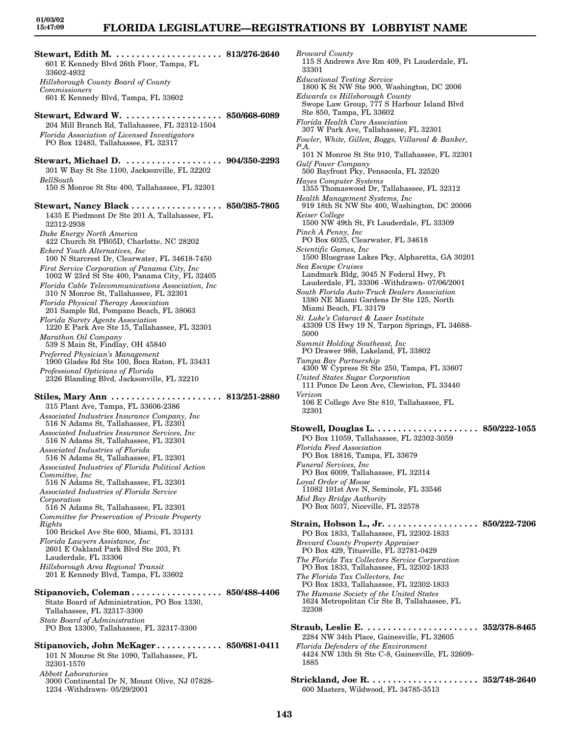**Stewart, Edith M. . . . . . . . . . . . . . . . . . . . . . 813/276-2640** 601 E Kennedy Blvd 26th Floor, Tampa, FL 33602-4932 *Hillsborough County Board of County Commissioners* 601 E Kennedy Blvd, Tampa, FL 33602 **Stewart, Edward W. . . . . . . . . . . . . . . . . . . . 850/668-6089** 204 Mill Branch Rd, Tallahassee, FL 32312-1504 *Florida Association of Licensed Investigators* PO Box 12483, Tallahassee, FL 32317 **Stewart, Michael D. . . . . . . . . . . . . . . . . . . . 904/350-2293** 301 W Bay St Ste 1100, Jacksonville, FL 32202 *BellSouth* 150 S Monroe St Ste 400, Tallahassee, FL 32301 **Stewart, Nancy Black . . . . . . . . . . . . . . . . . . 850/385-7805** 1435 E Piedmont Dr Ste 201 A, Tallahassee, FL 32312-2938 *Duke Energy North America* 422 Church St PB05D, Charlotte, NC 28202 *Eckerd Youth Alternatives, Inc* 100 N Starcrest Dr, Clearwater, FL 34618-7450 *First Service Corporation of Panama City, Inc* 1002 W 23rd St Ste 400, Panama City, FL 32405 *Florida Cable Telecommunications Association, Inc* 310 N Monroe St, Tallahassee, FL 32301 *Florida Physical Therapy Association* 201 Sample Rd, Pompano Beach, FL 38063 *Florida Surety Agents Association* 1220 E Park Ave Ste 15, Tallahassee, FL 32301 *Marathon Oil Company* 539 S Main St, Findlay, OH 45840 *Preferred Physician's Management* 1900 Glades Rd Ste 100, Boca Raton, FL 33431 *Professional Opticians of Florida* 2326 Blanding Blvd, Jacksonville, FL 32210 **Stiles, Mary Ann . . . . . . . . . . . . . . . . . . . . . . 813/251-2880** 315 Plant Ave, Tampa, FL 33606-2386 *Associated Industries Insurance Company, Inc* 516 N Adams St, Tallahassee, FL 32301 *Associated Industries Insurance Services, Inc* 516 N Adams St, Tallahassee, FL 32301 *Associated Industries of Florida* 516 N Adams St, Tallahassee, FL 32301 *Associated Industries of Florida Political Action Committee, Inc* 516 N Adams St, Tallahassee, FL 32301 *Associated Industries of Florida Service Corporation* 516 N Adams St, Tallahassee, FL 32301 *Committee for Preservation of Private Property Rights* 100 Brickel Ave Ste 600, Miami, FL 33131 *Florida Lawyers Assistance, Inc* 2601 E Oakland Park Blvd Ste 203, Ft Lauderdale, FL 33306 *Hillsborough Area Regional Transit* 201 E Kennedy Blvd, Tampa, FL 33602 **Stipanovich, Coleman . . . . . . . . . . . . . . . . . . 850/488-4406** State Board of Administration, PO Box 1330, Tallahassee, FL 32317-3300 *State Board of Administration* PO Box 13300, Tallahassee, FL 32317-3300 **Stipanovich, John McKager . . . . . . . . . . . . . 850/681-0411** 101 N Monroe St Ste 1090, Tallahassee, FL 32301-1570 *Abbott Laboratories*

3000 Continental Dr N, Mount Olive, NJ 07828-

1234 -Withdrawn- 05/29/2001

*Broward County* 115 S Andrews Ave Rm 409, Ft Lauderdale, FL 33301 *Educational Testing Service* 1800 K St NW Ste 900, Washington, DC 2006 *Edwards vs Hillsborough County* Swope Law Group, 777 S Harbour Island Blvd Ste 850, Tampa, FL 33602 *Florida Health Care Association* 307 W Park Ave, Tallahassee, FL 32301 *Fowler, White, Gillen, Boggs, Villareal & Banker, P.A.* 101 N Monroe St Ste 910, Tallahassee, FL 32301 *Gulf Power Company* 500 Bayfront Pky, Pensacola, FL 32520 *Hayes Computer Systems* 1355 Thomaswood Dr, Tallahassee, FL 32312 *Health Management Systems, Inc* 919 18th St NW Ste 400, Washington, DC 20006 *Keiser College* 1500 NW 49th St, Ft Lauderdale, FL 33309 *Pinch A Penny, Inc* PO Box 6025, Clearwater, FL 34618 *Scientific Games, Inc* 1500 Bluegrass Lakes Pky, Alpharetta, GA 30201 *Sea Escape Cruises* Landmark Bldg, 3045 N Federal Hwy, Ft Lauderdale, FL 33306 -Withdrawn- 07/06/2001 *South Florida Auto-Truck Dealers Association* 1380 NE Miami Gardens Dr Ste 125, North Miami Beach, FL 33179 *St. Luke's Cataract & Laser Institute* 43309 US Hwy 19 N, Tarpon Springs, FL 34688- 5000 *Summit Holding Southeast, Inc* PO Drawer 988, Lakeland, FL 33802 *Tampa Bay Partnership* 4300 W Cypress St Ste 250, Tampa, FL 33607 *United States Sugar Corporation* 111 Ponce De Leon Ave, Clewiston, FL 33440 *Verizon* 106 E College Ave Ste 810, Tallahassee, FL 32301 **Stowell, Douglas L. . . . . . . . . . . . . . . . . . . . . 850/222-1055** PO Box 11059, Tallahassee, FL 32302-3059 *Florida Feed Association* PO Box 18816, Tampa, FL 33679 *Funeral Services, Inc* PO Box 6009, Tallahassee, FL 32314 *Loyal Order of Moose* 11082 101st Ave N, Seminole, FL 33546 *Mid Bay Bridge Authority* PO Box 5037, Niceville, FL 32578 **Strain, Hobson L., Jr. . . . . . . . . . . . . . . . . . . 850/222-7206** PO Box 1833, Tallahassee, FL 32302-1833 *Brevard County Property Appraiser* PO Box 429, Titusville, FL 32781-0429 *The Florida Tax Collectors Service Corporation* PO Box 1833, Tallahassee, FL 32302-1833 *The Florida Tax Collectors, Inc* PO Box 1833, Tallahassee, FL 32302-1833 *The Humane Society of the United States* 1624 Metropolitan Cir Ste B, Tallahassee, FL 32308 **Straub, Leslie E. . . . . . . . . . . . . . . . . . . . . . . 352/378-8465** 2284 NW 34th Place, Gainesville, FL 32605 *Florida Defenders of the Environment* 4424 NW 13th St Ste C-8, Gainesville, FL 32609- 1885

**Strickland, Joe R. . . . . . . . . . . . . . . . . . . . . . 352/748-2640** 600 Masters, Wildwood, FL 34785-3513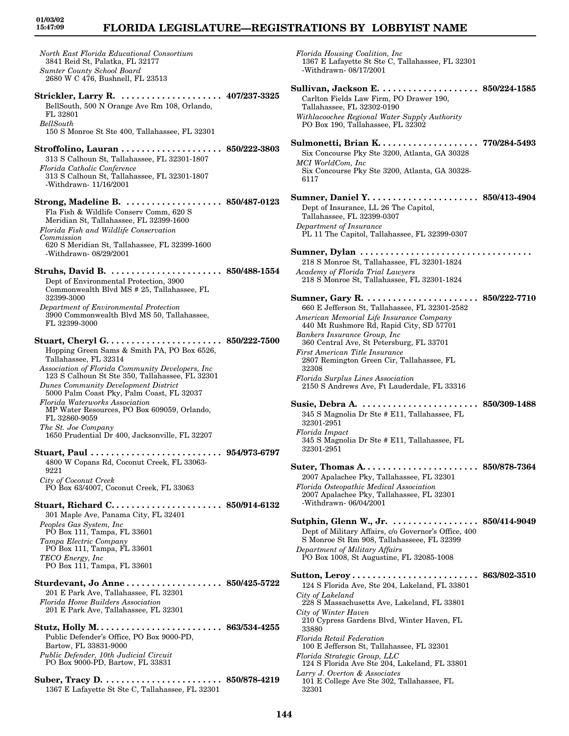# **FLORIDA LEGISLATURE—REGISTRATIONS BY LOBBYIST NAME**

*North East Florida Educational Consortium* 3841 Reid St, Palatka, FL 32177 *Sumter County School Board* 2680 W C 476, Bushnell, FL 23513 **Strickler, Larry R. . . . . . . . . . . . . . . . . . . . . 407/237-3325** BellSouth, 500 N Orange Ave Rm 108, Orlando, FL 32801 *BellSouth* 150 S Monroe St Ste 400, Tallahassee, FL 32301 **Stroffolino, Lauran . . . . . . . . . . . . . . . . . . . . 850/222-3803** 313 S Calhoun St, Tallahassee, FL 32301-1807 *Florida Catholic Conference* 313 S Calhoun St, Tallahassee, FL 32301-1807 -Withdrawn- 11/16/2001 **Strong, Madeline B. . . . . . . . . . . . . . . . . . . . 850/487-0123** Fla Fish & Wildlife Conserv Comm, 620 S Meridian St, Tallahassee, FL 32399-1600 *Florida Fish and Wildlife Conservation Commission* 620 S Meridian St, Tallahassee, FL 32399-1600 -Withdrawn- 08/29/2001 **Struhs, David B. . . . . . . . . . . . . . . . . . . . . . . 850/488-1554** Dept of Environmental Protection, 3900 Commonwealth Blvd MS # 25, Tallahassee, FL 32399-3000 *Department of Environmental Protection* 3900 Commonwealth Blvd MS 50, Tallahassee, FL 32399-3000 **Stuart, Cheryl G. . . . . . . . . . . . . . . . . . . . . . . 850/222-7500** Hopping Green Sams & Smith PA, PO Box 6526, Tallahassee, FL 32314 *Association of Florida Community Developers, Inc* 123 S Calhoun St Ste 350, Tallahassee, FL 32301 *Dunes Community Development District* 5000 Palm Coast Pky, Palm Coast, FL 32037 *Florida Waterworks Association* MP Water Resources, PO Box 609059, Orlando, FL 32860-9059 *The St. Joe Company* 1650 Prudential Dr 400, Jacksonville, FL 32207 **Stuart, Paul . . . . . . . . . . . . . . . . . . . . . . . . . . 954/973-6797** 4800 W Copans Rd, Coconut Creek, FL 33063- 9221 *City of Coconut Creek* PO Box 63/4007, Coconut Creek, FL 33063 **Stuart, Richard C. . . . . . . . . . . . . . . . . . . . . . 850/914-6132** 301 Maple Ave, Panama City, FL 32401 *Peoples Gas System, Inc* PO Box 111, Tampa, FL 33601 *Tampa Electric Company* PO Box 111, Tampa, FL 33601 *TECO Energy, Inc* PO Box 111, Tampa, FL 33601 **Sturdevant, Jo Anne . . . . . . . . . . . . . . . . . . . 850/425-5722** 201 E Park Ave, Tallahassee, FL 32301 *Florida Home Builders Association* 201 E Park Ave, Tallahassee, FL 32301 **Stutz, Holly M. . . . . . . . . . . . . . . . . . . . . . . . . 863/534-4255** Public Defender's Office, PO Box 9000-PD, Bartow, FL 33831-9000 *Public Defender, 10th Judicial Circuit* PO Box 9000-PD, Bartow, FL 33831

**Suber, Tracy D. . . . . . . . . . . . . . . . . . . . . . . . 850/878-4219** 1367 E Lafayette St Ste C, Tallahassee, FL 32301

*Florida Housing Coalition, Inc* 1367 E Lafayette St Ste C, Tallahassee, FL 32301 -Withdrawn- 08/17/2001 **Sullivan, Jackson E. . . . . . . . . . . . . . . . . . . . 850/224-1585** Carlton Fields Law Firm, PO Drawer 190, Tallahassee, FL 32302-0190 *Withlacoochee Regional Water Supply Authority* PO Box 190, Tallahassee, FL 32302 **Sulmonetti, Brian K. . . . . . . . . . . . . . . . . . . . 770/284-5493** Six Concourse Pky Ste 3200, Atlanta, GA 30328 *MCI WorldCom, Inc* Six Concourse Pky Ste 3200, Atlanta, GA 30328- 6117 **Sumner, Daniel Y. . . . . . . . . . . . . . . . . . . . . . 850/413-4904** Dept of Insurance, LL 26 The Capitol, Tallahassee, FL 32399-0307 *Department of Insurance* PL 11 The Capitol, Tallahassee, FL 32399-0307 **Sumner, Dylan . . . . . . . . . . . . . . . . . . . . . . . . . . . . . . . . . .**  218 S Monroe St, Tallahassee, FL 32301-1824 *Academy of Florida Trial Lawyers* 218 S Monroe St, Tallahassee, FL 32301-1824 **Sumner, Gary R. . . . . . . . . . . . . . . . . . . . . . . 850/222-7710** 660 E Jefferson St, Tallahassee, FL 32301-2582 *American Memorial Life Insurance Company* 440 Mt Rushmore Rd, Rapid City, SD 57701 *Bankers Insurance Group, Inc* 360 Central Ave, St Petersburg, FL 33701 *First American Title Insurance* 2807 Remington Green Cir, Tallahassee, FL 32308 *Florida Surplus Lines Association* 2150 S Andrews Ave, Ft Lauderdale, FL 33316 **Susie, Debra A. . . . . . . . . . . . . . . . . . . . . . . . 850/309-1488** 345 S Magnolia Dr Ste # E11, Tallahassee, FL 32301-2951 *Florida Impact* 345 S Magnolia Dr Ste # E11, Tallahassee, FL 32301-2951 **Suter, Thomas A. . . . . . . . . . . . . . . . . . . . . . . 850/878-7364** 2007 Apalachee Pky, Tallahassee, FL 32301 *Florida Osteopathic Medical Association* 2007 Apalachee Pky, Tallahassee, FL 32301 -Withdrawn- 06/04/2001 **Sutphin, Glenn W., Jr. . . . . . . . . . . . . . . . . . 850/414-9049** Dept of Military Affairs, c/o Governor's Office, 400 S Monroe St Rm 908, Tallahasseee, FL 32399 *Department of Military Affairs* PO Box 1008, St Augustine, FL 32085-1008 **Sutton, Leroy . . . . . . . . . . . . . . . . . . . . . . . . . 863/802-3510** 124 S Florida Ave, Ste 204, Lakeland, FL 33801 *City of Lakeland* 228 S Massachusetts Ave, Lakeland, FL 33801 *City of Winter Haven* 210 Cypress Gardens Blvd, Winter Haven, FL 33880 *Florida Retail Federation* 100 E Jefferson St, Tallahassee, FL 32301 *Florida Strategic Group, LLC* 124 S Florida Ave Ste 204, Lakeland, FL 33801 *Larry J. Overton & Associates* 101 E College Ave Ste 302, Tallahassee, FL 32301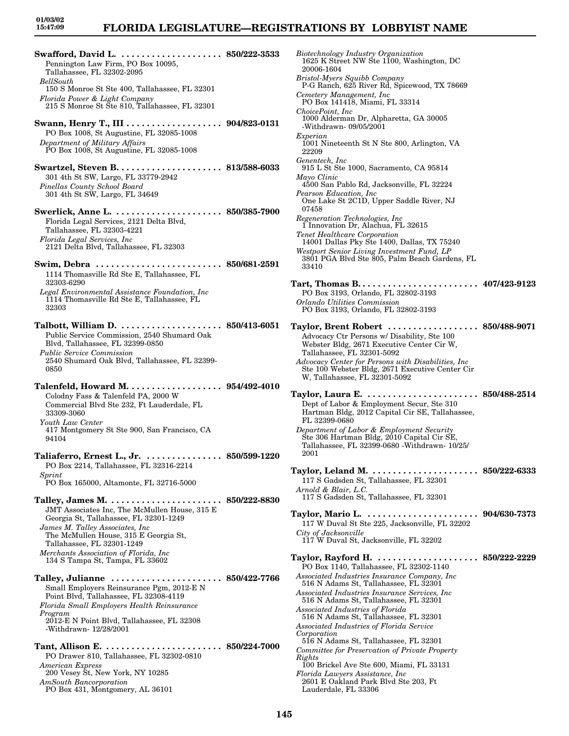**Swafford, David L. . . . . . . . . . . . . . . . . . . . . 850/222-3533** Pennington Law Firm, PO Box 10095, Tallahassee, FL 32302-2095 *BellSouth* 150 S Monroe St Ste 400, Tallahassee, FL 32301 *Florida Power & Light Company* 215 S Monroe St Ste 810, Tallahassee, FL 32301 **Swann, Henry T., III . . . . . . . . . . . . . . . . . . . 904/823-0131**

PO Box 1008, St Augustine, FL 32085-1008 *Department of Military Affairs* PO Box 1008, St Augustine, FL 32085-1008

**Swartzel, Steven B. . . . . . . . . . . . . . . . . . . . . 813/588-6033** 301 4th St SW, Largo, FL 33779-2942 *Pinellas County School Board* 301 4th St SW, Largo, FL 34649

**Swerlick, Anne L. . . . . . . . . . . . . . . . . . . . . . 850/385-7900** Florida Legal Services, 2121 Delta Blvd, Tallahassee, FL 32303-4221 *Florida Legal Services, Inc* 2121 Delta Blvd, Tallahassee, FL 32303

- **Swim, Debra . . . . . . . . . . . . . . . . . . . . . . . . . 850/681-2591** 1114 Thomasville Rd Ste E, Tallahassee, FL 32303-6290
- *Legal Environmental Assistance Foundation, Inc* 1114 Thomasville Rd Ste E, Tallahassee, FL 32303
- **Talbott, William D. . . . . . . . . . . . . . . . . . . . . 850/413-6051** Public Service Commission, 2540 Shumard Oak Blvd, Tallahassee, FL 32399-0850 *Public Service Commission* 2540 Shumard Oak Blvd, Tallahassee, FL 32399- 0850
- **Talenfeld, Howard M. . . . . . . . . . . . . . . . . . . 954/492-4010** Colodny Fass & Talenfeld PA, 2000 W Commercial Blvd Ste 232, Ft Lauderdale, FL 33309-3060 *Youth Law Center* 417 Montgomery St Ste 900, San Francisco, CA 94104
- **Taliaferro, Ernest L., Jr. . . . . . . . . . . . . . . . 850/599-1220** PO Box 2214, Tallahassee, FL 32316-2214 *Sprint* PO Box 165000, Altamonte, FL 32716-5000
- **Talley, James M. . . . . . . . . . . . . . . . . . . . . . . 850/222-8830** JMT Associates Inc, The McMullen House, 315 E Georgia St, Tallahassee, FL 32301-1249 *James M. Talley Associates, Inc*

The McMullen House, 315 E Georgia St, Tallahassee, FL 32301-1249 *Merchants Association of Florida, Inc* 134 S Tampa St, Tampa, FL 33602

**Talley, Julianne . . . . . . . . . . . . . . . . . . . . . . 850/422-7766** Small Employers Reinsurance Pgm, 2012-E N Point Blvd, Tallahassee, FL 32308-4119 *Florida Small Employers Health Reinsurance Program* 2012-E N Point Blvd, Tallahassee, FL 32308 -Withdrawn- 12/28/2001

- **Tant, Allison E. . . . . . . . . . . . . . . . . . . . . . . . 850/224-7000** PO Drawer 810, Tallahassee, FL 32302-0810 *American Express* 200 Vesey St, New York, NY 10285 *AmSouth Bancorporation*
	- PO Box 431, Montgomery, AL 36101

*Biotechnology Industry Organization* 1625 K Street NW Ste 1100, Washington, DC 20006-1604 *Bristol-Myers Squibb Company* P-G Ranch, 625 River Rd, Spicewood, TX 78669 *Cemetery Management, Inc* PO Box 141418, Miami, FL 33314 *ChoicePoint, Inc* 1000 Alderman Dr, Alpharetta, GA 30005 -Withdrawn- 09/05/2001 *Experian* 1001 Nineteenth St N Ste 800, Arlington, VA 22209 *Genentech, Inc* 915 L St Ste 1000, Sacramento, CA 95814 *Mayo Clinic* 4500 San Pablo Rd, Jacksonville, FL 32224 *Pearson Education, Inc* One Lake St 2C1D, Upper Saddle River, NJ 07458 *Regeneration Technologies, Inc* 1 Innovation Dr, Alachua, FL 32615 *Tenet Healthcare Corporation* 14001 Dallas Pky Ste 1400, Dallas, TX 75240 *Westport Senior Living Investment Fund, LP* 3801 PGA Blvd Ste 805, Palm Beach Gardens, FL 33410 **Tart, Thomas B. . . . . . . . . . . . . . . . . . . . . . . . 407/423-9123** PO Box 3193, Orlando, FL 32802-3193 *Orlando Utilities Commission* PO Box 3193, Orlando, FL 32802-3193 **Taylor, Brent Robert . . . . . . . . . . . . . . . . . . 850/488-9071** Advocacy Ctr Persons w/ Disability, Ste 100 Webster Bldg, 2671 Executive Center Cir W, Tallahassee, FL 32301-5092 *Advocacy Center for Persons with Disabilities, Inc* Ste 100 Webster Bldg, 2671 Executive Center Cir W, Tallahassee, FL 32301-5092 **Taylor, Laura E. . . . . . . . . . . . . . . . . . . . . . . 850/488-2514** Dept of Labor & Employment Secur, Ste 310 Hartman Bldg, 2012 Capital Cir SE, Tallahassee, FL 32399-0680 *Department of Labor & Employment Security* Ste 306 Hartman Bldg, 2010 Capital Cir SE, Tallahassee, FL 32399-0680 -Withdrawn- 10/25/ 2001 **Taylor, Leland M. . . . . . . . . . . . . . . . . . . . . . 850/222-6333** 117 S Gadsden St, Tallahassee, FL 32301 *Arnold & Blair, L.C.* 117 S Gadsden St, Tallahassee, FL 32301 **Taylor, Mario L. . . . . . . . . . . . . . . . . . . . . . . 904/630-7373** 117 W Duval St Ste 225, Jacksonville, FL 32202 *City of Jacksonville* 117 W Duval St, Jacksonville, FL 32202 **Taylor, Rayford H. . . . . . . . . . . . . . . . . . . . . 850/222-2229** PO Box 1140, Tallahassee, FL 32302-1140 *Associated Industries Insurance Company, Inc* 516 N Adams St, Tallahassee, FL 32301 *Associated Industries Insurance Services, Inc* 516 N Adams St, Tallahassee, FL 32301 *Associated Industries of Florida* 516 N Adams St, Tallahassee, FL 32301 *Associated Industries of Florida Service Corporation* 516 N Adams St, Tallahassee, FL 32301 *Committee for Preservation of Private Property Rights* 100 Brickel Ave Ste 600, Miami, FL 33131 *Florida Lawyers Assistance, Inc*

2601 E Oakland Park Blvd Ste 203, Ft Lauderdale, FL 33306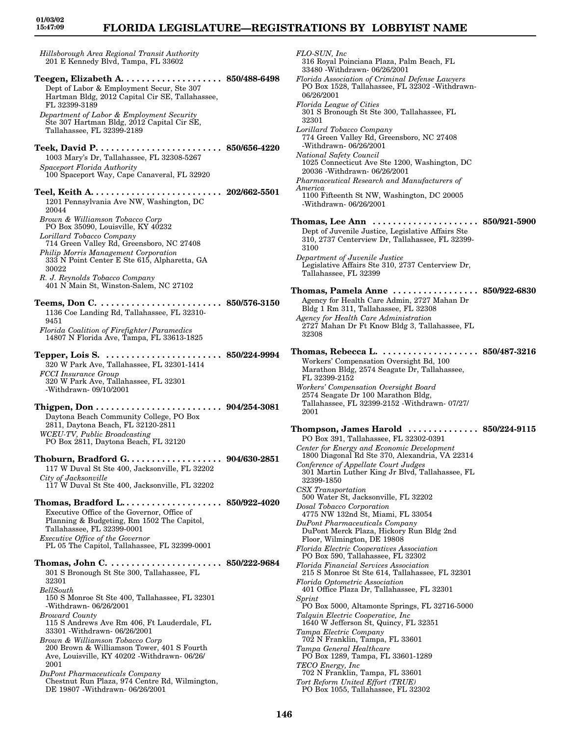## **FLORIDA LEGISLATURE—REGISTRATIONS BY LOBBYIST NAME**

*Hillsborough Area Regional Transit Authority* 201 E Kennedy Blvd, Tampa, FL 33602 **Teegen, Elizabeth A. . . . . . . . . . . . . . . . . . . . 850/488-6498** Dept of Labor & Employment Secur, Ste 307 Hartman Bldg, 2012 Capital Cir SE, Tallahassee, FL 32399-3189 *Department of Labor & Employment Security* Ste 307 Hartman Bldg, 2012 Capital Cir SE, Tallahassee, FL 32399-2189 **Teek, David P. . . . . . . . . . . . . . . . . . . . . . . . . 850/656-4220** 1003 Mary's Dr, Tallahassee, FL 32308-5267 *Spaceport Florida Authority* 100 Spaceport Way, Cape Canaveral, FL 32920 **Teel, Keith A. . . . . . . . . . . . . . . . . . . . . . . . . . 202/662-5501** 1201 Pennsylvania Ave NW, Washington, DC 20044 *Brown & Williamson Tobacco Corp* PO Box 35090, Louisville, KY 40232 *Lorillard Tobacco Company* 714 Green Valley Rd, Greensboro, NC 27408 *Philip Morris Management Corporation* 333 N Point Center E Ste 615, Alpharetta, GA 30022 *R. J. Reynolds Tobacco Company* 401 N Main St, Winston-Salem, NC 27102 **Teems, Don C. . . . . . . . . . . . . . . . . . . . . . . . . 850/576-3150** 1136 Coe Landing Rd, Tallahassee, FL 32310- 9451 *Florida Coalition of Firefighter/Paramedics* 14807 N Florida Ave, Tampa, FL 33613-1825 **Tepper, Lois S. . . . . . . . . . . . . . . . . . . . . . . . 850/224-9994** 320 W Park Ave, Tallahassee, FL 32301-1414 *FCCI Insurance Group* 320 W Park Ave, Tallahassee, FL 32301 -Withdrawn- 09/10/2001 **Thigpen, Don . . . . . . . . . . . . . . . . . . . . . . . . . 904/254-3081** Daytona Beach Community College, PO Box 2811, Daytona Beach, FL 32120-2811 *WCEU-TV, Public Broadcasting* PO Box 2811, Daytona Beach, FL 32120 **Thoburn, Bradford G. . . . . . . . . . . . . . . . . . . 904/630-2851** 117 W Duval St Ste 400, Jacksonville, FL 32202 *City of Jacksonville* 117 W Duval St Ste 400, Jacksonville, FL 32202 **Thomas, Bradford L. . . . . . . . . . . . . . . . . . . . 850/922-4020** Executive Office of the Governor, Office of Planning & Budgeting, Rm 1502 The Capitol, Tallahassee, FL 32399-0001 *Executive Office of the Governor* PL 05 The Capitol, Tallahassee, FL 32399-0001 **Thomas, John C. . . . . . . . . . . . . . . . . . . . . . . 850/222-9684** 301 S Bronough St Ste 300, Tallahassee, FL 32301 *BellSouth* 150 S Monroe St Ste 400, Tallahassee, FL 32301 -Withdrawn- 06/26/2001 *Broward County* 115 S Andrews Ave Rm 406, Ft Lauderdale, FL 33301 -Withdrawn- 06/26/2001 *Brown & Williamson Tobacco Corp* 200 Brown & Williamson Tower, 401 S Fourth Ave, Louisville, KY 40202 -Withdrawn- 06/26/ 2001 *DuPont Pharmaceuticals Company* Chestnut Run Plaza, 974 Centre Rd, Wilmington, DE 19807 -Withdrawn- 06/26/2001

*FLO-SUN, Inc* 316 Royal Poinciana Plaza, Palm Beach, FL 33480 -Withdrawn- 06/26/2001 *Florida Association of Criminal Defense Lawyers* PO Box 1528, Tallahassee, FL 32302 -Withdrawn-06/26/2001 *Florida League of Cities* 301 S Bronough St Ste 300, Tallahassee, FL 32301 *Lorillard Tobacco Company* 774 Green Valley Rd, Greensboro, NC 27408 -Withdrawn- 06/26/2001 *National Safety Council* 1025 Connecticut Ave Ste 1200, Washington, DC 20036 -Withdrawn- 06/26/2001 *Pharmaceutical Research and Manufacturers of America* 1100 Fifteenth St NW, Washington, DC 20005 -Withdrawn- 06/26/2001 **Thomas, Lee Ann . . . . . . . . . . . . . . . . . . . . . 850/921-5900** Dept of Juvenile Justice, Legislative Affairs Ste 310, 2737 Centerview Dr, Tallahassee, FL 32399- 3100 *Department of Juvenile Justice* Legislative Affairs Ste 310, 2737 Centerview Dr, Tallahassee, FL 32399 **Thomas, Pamela Anne . . . . . . . . . . . . . . . . . 850/922-6830** Agency for Health Care Admin, 2727 Mahan Dr Bldg 1 Rm 311, Tallahassee, FL 32308 *Agency for Health Care Administration* 2727 Mahan Dr Ft Know Bldg 3, Tallahassee, FL 32308 **Thomas, Rebecca L. . . . . . . . . . . . . . . . . . . . 850/487-3216** Workers' Compensation Oversight Bd, 100 Marathon Bldg, 2574 Seagate Dr, Tallahassee, FL 32399-2152 *Workers' Compensation Oversight Board* 2574 Seagate Dr 100 Marathon Bldg, Tallahassee, FL 32399-2152 -Withdrawn- 07/27/ 2001 **Thompson, James Harold . . . . . . . . . . . . . . 850/224-9115** PO Box 391, Tallahassee, FL 32302-0391 *Center for Energy and Economic Development* 1800 Diagonal Rd Ste 370, Alexandria, VA 22314 *Conference of Appellate Court Judges* 301 Martin Luther King Jr Blvd, Tallahassee, FL 32399-1850 *CSX Transportation* 500 Water St, Jacksonville, FL 32202 *Dosal Tobacco Corporation* 4775 NW 132nd St, Miami, FL 33054 *DuPont Pharmaceuticals Company* DuPont Merck Plaza, Hickory Run Bldg 2nd Floor, Wilmington, DE 19808 *Florida Electric Cooperatives Association* PO Box 590, Tallahassee, FL 32302 *Florida Financial Services Association* 215 S Monroe St Ste 614, Tallahassee, FL 32301 *Florida Optometric Association* 401 Office Plaza Dr, Tallahassee, FL 32301 *Sprint* PO Box 5000, Altamonte Springs, FL 32716-5000 *Talquin Electric Cooperative, Inc* 1640 W Jefferson St, Quincy, FL 32351 *Tampa Electric Company* 702 N Franklin, Tampa, FL 33601 *Tampa General Healthcare* PO Box 1289, Tampa, FL 33601-1289 *TECO Energy, Inc* 702 N Franklin, Tampa, FL 33601 *Tort Reform United Effort (TRUE)* PO Box 1055, Tallahassee, FL 32302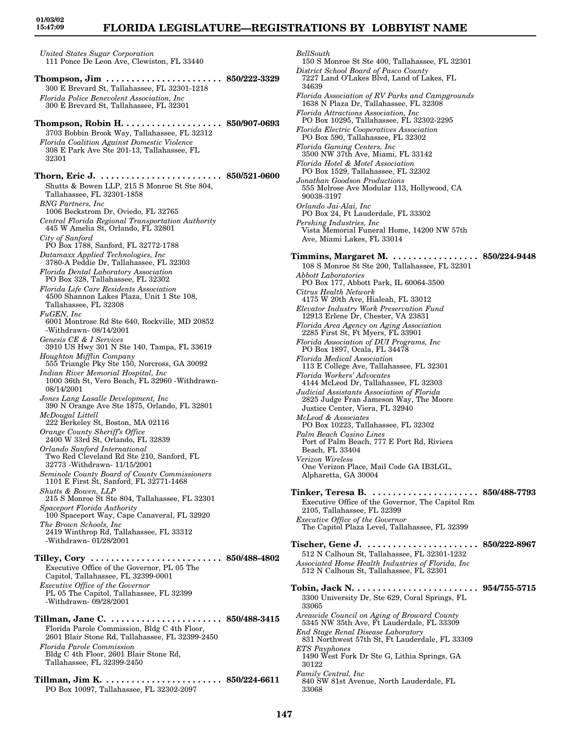## **FLORIDA LEGISLATURE—REGISTRATIONS BY LOBBYIST NAME**

*United States Sugar Corporation* 111 Ponce De Leon Ave, Clewiston, FL 33440 **Thompson, Jim . . . . . . . . . . . . . . . . . . . . . . . 850/222-3329**

300 E Brevard St, Tallahassee, FL 32301-1218 *Florida Police Benevolent Association, Inc* 300 E Brevard St, Tallahassee, FL 32301 **Thompson, Robin H. . . . . . . . . . . . . . . . . . . . 850/907-0693** 3703 Bobbin Brook Way, Tallahassee, FL 32312 *Florida Coalition Against Domestic Violence* 308 E Park Ave Ste 201-13, Tallahassee, FL 32301 **Thorn, Eric J. . . . . . . . . . . . . . . . . . . . . . . . . 850/521-0600** Shutts & Bowen LLP, 215 S Monroe St Ste 804, Tallahassee, FL 32301-1858 *BNG Partners, Inc* 1006 Beckstrom Dr, Oviedo, FL 32765 *Central Florida Regional Transportation Authority* 445 W Amelia St, Orlando, FL 32801 *City of Sanford* PO Box 1788, Sanford, FL 32772-1788 *Datamaxx Applied Technologies, Inc* 3780-A Peddie Dr, Tallahassee, FL 32303 *Florida Dental Laboratory Association* PO Box 328, Tallahassee, FL 32302 *Florida Life Care Residents Association* 4500 Shannon Lakes Plaza, Unit 1 Ste 108, Tallahassee, FL 32308 *FuGEN, Inc* 6001 Montrose Rd Ste 640, Rockville, MD 20852 -Withdrawn- 08/14/2001 *Genesis CE & I Services* 3910 US Hwy 301 N Ste 140, Tampa, FL 33619 *Houghton Mifflin Company* 555 Triangle Pky Ste 150, Norcross, GA 30092 *Indian River Memorial Hospital, Inc* 1000 36th St, Vero Beach, FL 32960 -Withdrawn-08/14/2001 *Jones Lang Lasalle Development, Inc* 390 N Orange Ave Ste 1875, Orlando, FL 32801 *McDougal Littell* 222 Berkeley St, Boston, MA 02116 *Orange County Sheriff's Office* 2400 W 33rd St, Orlando, FL 32839 *Orlando Sanford International* Two Red Cleveland Rd Ste 210, Sanford, FL 32773 -Withdrawn- 11/15/2001 *Seminole County Board of County Commissioners* 1101 E First St, Sanford, FL 32771-1468 *Shutts & Bowen, LLP* 215 S Monroe St Ste 804, Tallahassee, FL 32301 *Spaceport Florida Authority* 100 Spaceport Way, Cape Canaveral, FL 32920 *The Brown Schools, Inc* 2419 Winthrop Rd, Tallahassee, FL 33312 -Withdrawn- 01/28/2001 **Tilley, Cory . . . . . . . . . . . . . . . . . . . . . . . . . . 850/488-4802** Executive Office of the Governor, PL 05 The Capitol, Tallahassee, FL 32399-0001 *Executive Office of the Governor* PL 05 The Capitol, Tallahassee, FL 32399 -Withdrawn- 09/28/2001 **Tillman, Jane C. . . . . . . . . . . . . . . . . . . . . . . 850/488-3415** Florida Parole Commission, Bldg C 4th Floor, 2601 Blair Stone Rd, Tallahassee, FL 32399-2450 *Florida Parole Commission*

Bldg C 4th Floor, 2601 Blair Stone Rd, Tallahassee, FL 32399-2450

**Tillman, Jim K. . . . . . . . . . . . . . . . . . . . . . . . 850/224-6611** PO Box 10097, Tallahassee, FL 32302-2097

*BellSouth*

150 S Monroe St Ste 400, Tallahassee, FL 32301 *District School Board of Pasco County* 7227 Land O'Lakes Blvd, Land of Lakes, FL 34639 *Florida Association of RV Parks and Campgrounds* 1638 N Plaza Dr, Tallahassee, FL 32308 *Florida Attractions Association, Inc* PO Box 10295, Tallahassee, FL 32302-2295 *Florida Electric Cooperatives Association* PO Box 590, Tallahassee, FL 32302 *Florida Gaming Centers, Inc* 3500 NW 37th Ave, Miami, FL 33142 *Florida Hotel & Motel Association* PO Box 1529, Tallahassee, FL 32302 *Jonathan Goodson Productions* 555 Melrose Ave Modular 113, Hollywood, CA 90038-3197 *Orlando Jai-Alai, Inc* PO Box 24, Ft Lauderdale, FL 33302 *Pershing Industries, Inc* Vista Memorial Funeral Home, 14200 NW 57th Ave, Miami Lakes, FL 33014 **Timmins, Margaret M. . . . . . . . . . . . . . . . . . 850/224-9448** 108 S Monroe St Ste 200, Tallahassee, FL 32301 *Abbott Laboratories* PO Box 177, Abbott Park, IL 60064-3500 *Citrus Health Network* 4175 W 20th Ave, Hialeah, FL 33012 *Elevator Industry Work Preservation Fund* 12913 Erlene Dr, Chester, VA 23831 *Florida Area Agency on Aging Association* 2285 First St, Ft Myers, FL 33901 *Florida Association of DUI Programs, Inc* PO Box 1897, Ocala, FL 34478 *Florida Medical Association* 113 E College Ave, Tallahassee, FL 32301 *Florida Workers' Advocates* 4144 McLeod Dr, Tallahassee, FL 32303 *Judicial Assistants Association of Florida* 2825 Judge Fran Jameson Way, The Moore Justice Center, Viera, FL 32940 *McLeod & Associates* PO Box 10223, Tallahassee, FL 32302 *Palm Beach Casino Lines* Port of Palm Beach, 777 E Port Rd, Riviera Beach, FL 33404 *Verizon Wireless* One Verizon Place, Mail Code GA IB3LGL, Alpharetta, GA 30004 **Tinker, Teresa B. . . . . . . . . . . . . . . . . . . . . . 850/488-7793** Executive Office of the Governor, The Capitol Rm 2105, Tallahassee, FL 32399 *Executive Office of the Governor* The Capitol Plaza Level, Tallahassee, FL 32399 **Tischer, Gene J. . . . . . . . . . . . . . . . . . . . . . . 850/222-8967** 512 N Calhoun St, Tallahassee, FL 32301-1232 *Associated Home Health Industries of Florida, Inc* 512 N Calhoun St, Tallahassee, FL 32301 **Tobin, Jack N. . . . . . . . . . . . . . . . . . . . . . . . . 954/755-5715** 3300 University Dr, Ste 629, Coral Springs, FL 33065 *Areawide Council on Aging of Broward County* 5345 NW 35th Ave, Ft Lauderdale, FL 33309 *End Stage Renal Disease Laboratory* 831 Northwest 57th St, Ft Lauderdale, FL 33309 *ETS Payphones* 1490 West Fork Dr Ste G, Lithia Springs, GA 30122 *Family Central, Inc* 840 SW 81st Avenue, North Lauderdale, FL 33068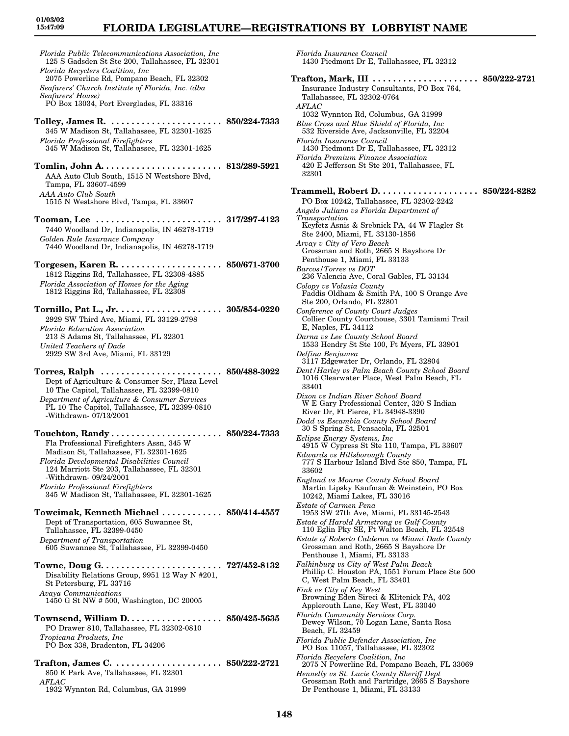### **FLORIDA LEGISLATURE—REGISTRATIONS BY LOBBYIST NAME**

*Florida Public Telecommunications Association, Inc* 125 S Gadsden St Ste 200, Tallahassee, FL 32301 *Florida Recyclers Coalition, Inc* 2075 Powerline Rd, Pompano Beach, FL 32302 *Seafarers' Church Institute of Florida, Inc. (dba Seafarers' House)* PO Box 13034, Port Everglades, FL 33316 **Tolley, James R. . . . . . . . . . . . . . . . . . . . . . . 850/224-7333** 345 W Madison St, Tallahassee, FL 32301-1625 *Florida Professional Firefighters* 345 W Madison St, Tallahassee, FL 32301-1625 **Tomlin, John A. . . . . . . . . . . . . . . . . . . . . . . . 813/289-5921** AAA Auto Club South, 1515 N Westshore Blvd, Tampa, FL 33607-4599 *AAA Auto Club South* 1515 N Westshore Blvd, Tampa, FL 33607 **Tooman, Lee . . . . . . . . . . . . . . . . . . . . . . . . . 317/297-4123** 7440 Woodland Dr, Indianapolis, IN 46278-1719 *Golden Rule Insurance Company* 7440 Woodland Dr, Indianapolis, IN 46278-1719 **Torgesen, Karen R. . . . . . . . . . . . . . . . . . . . . 850/671-3700** 1812 Riggins Rd, Tallahassee, FL 32308-4885 *Florida Association of Homes for the Aging* 1812 Riggins Rd, Tallahassee, FL 32308 **Tornillo, Pat L., Jr. . . . . . . . . . . . . . . . . . . . . 305/854-0220** 2929 SW Third Ave, Miami, FL 33129-2798 *Florida Education Association* 213 S Adams St, Tallahassee, FL 32301 *United Teachers of Dade* 2929 SW 3rd Ave, Miami, FL 33129 **Torres, Ralph . . . . . . . . . . . . . . . . . . . . . . . . 850/488-3022** Dept of Agriculture & Consumer Ser, Plaza Level 10 The Capitol, Tallahassee, FL 32399-0810 *Department of Agriculture & Consumer Services* PL 10 The Capitol, Tallahassee, FL 32399-0810 -Withdrawn- 07/13/2001 **Touchton, Randy . . . . . . . . . . . . . . . . . . . . . . 850/224-7333** Fla Professional Firefighters Assn, 345 W Madison St, Tallahassee, FL 32301-1625 *Florida Developmental Disabilities Council* 124 Marriott Ste 203, Tallahassee, FL 32301 -Withdrawn- 09/24/2001 *Florida Professional Firefighters* 345 W Madison St, Tallahassee, FL 32301-1625 **Towcimak, Kenneth Michael . . . . . . . . . . . . 850/414-4557** Dept of Transportation, 605 Suwannee St, Tallahassee, FL 32399-0450 *Department of Transportation* 605 Suwannee St, Tallahassee, FL 32399-0450 **Towne, Doug G. . . . . . . . . . . . . . . . . . . . . . . . 727/452-8132** Disability Relations Group, 9951 12 Way N #201, St Petersburg, FL 33716 *Avaya Communications* 1450 G St NW # 500, Washington, DC 20005 **Townsend, William D. . . . . . . . . . . . . . . . . . . 850/425-5635** PO Drawer 810, Tallahassee, FL 32302-0810 *Tropicana Products, Inc* PO Box 338, Bradenton, FL 34206 **Trafton, James C. . . . . . . . . . . . . . . . . . . . . . 850/222-2721** 850 E Park Ave, Tallahassee, FL 32301

*AFLAC* 1932 Wynnton Rd, Columbus, GA 31999 *Florida Insurance Council* 1430 Piedmont Dr E, Tallahassee, FL 32312

**Trafton, Mark, III . . . . . . . . . . . . . . . . . . . . . 850/222-2721** Insurance Industry Consultants, PO Box 764, Tallahassee, FL 32302-0764 *AFLAC* 1032 Wynnton Rd, Columbus, GA 31999 *Blue Cross and Blue Shield of Florida, Inc* 532 Riverside Ave, Jacksonville, FL 32204 *Florida Insurance Council* 1430 Piedmont Dr E, Tallahassee, FL 32312 *Florida Premium Finance Association* 420 E Jefferson St Ste 201, Tallahassee, FL 32301 **Trammell, Robert D. . . . . . . . . . . . . . . . . . . . 850/224-8282** PO Box 10242, Tallahassee, FL 32302-2242 *Angelo Juliano vs Florida Department of Transportation* Keyfetz Asnis & Srebnick PA, 44 W Flagler St Ste 2400, Miami, FL 33130-1856 *Arvay v City of Vero Beach* Grossman and Roth, 2665 S Bayshore Dr Penthouse 1, Miami, FL 33133 *Barcos/Torres vs DOT* 236 Valencia Ave, Coral Gables, FL 33134 *Colopy vs Volusia County* Faddis Oldham & Smith PA, 100 S Orange Ave Ste 200, Orlando, FL 32801 *Conference of County Court Judges* Collier County Courthouse, 3301 Tamiami Trail E, Naples, FL 34112 *Darna vs Lee County School Board* 1533 Hendry St Ste 100, Ft Myers, FL 33901 *Delfina Benjumea* 3117 Edgewater Dr, Orlando, FL 32804 *Dent/Harley vs Palm Beach County School Board* 1016 Clearwater Place, West Palm Beach, FL 33401 *Dixon vs Indian River School Board* W E Gary Professional Center, 320 S Indian River Dr, Ft Pierce, FL 34948-3390 *Dodd vs Escambia County School Board* 30 S Spring St, Pensacola, FL 32501 *Eclipse Energy Systems, Inc* 4915 W Cypress St Ste 110, Tampa, FL 33607 *Edwards vs Hillsborough County* 777 S Harbour Island Blvd Ste 850, Tampa, FL 33602 *England vs Monroe County School Board* Martin Lipsky Kaufman & Weinstein, PO Box 10242, Miami Lakes, FL 33016 *Estate of Carmen Pena* 1953 SW 27th Ave, Miami, FL 33145-2543 *Estate of Harold Armstrong vs Gulf County* 110 Eglin Pky SE, Ft Walton Beach, FL 32548 *Estate of Roberto Calderon vs Miami Dade County* Grossman and Roth, 2665 S Bayshore Dr Penthouse 1, Miami, FL 33133 *Falkinburg vs City of West Palm Beach* Phillip C. Houston PA, 1551 Forum Place Ste 500 C, West Palm Beach, FL 33401 *Fink vs City of Key West* Browning Eden Sireci & Klitenick PA, 402 Applerouth Lane, Key West, FL 33040 *Florida Community Services Corp.* Dewey Wilson, 70 Logan Lane, Santa Rosa Beach, FL 32459 *Florida Public Defender Association, Inc* PO Box 11057, Tallahassee, FL 32302 *Florida Recyclers Coalition, Inc* 2075 N Powerline Rd, Pompano Beach, FL 33069 *Hennelly vs St. Lucie County Sheriff Dept* Grossman Roth and Partridge, 2665 S Bayshore Dr Penthouse 1, Miami, FL 33133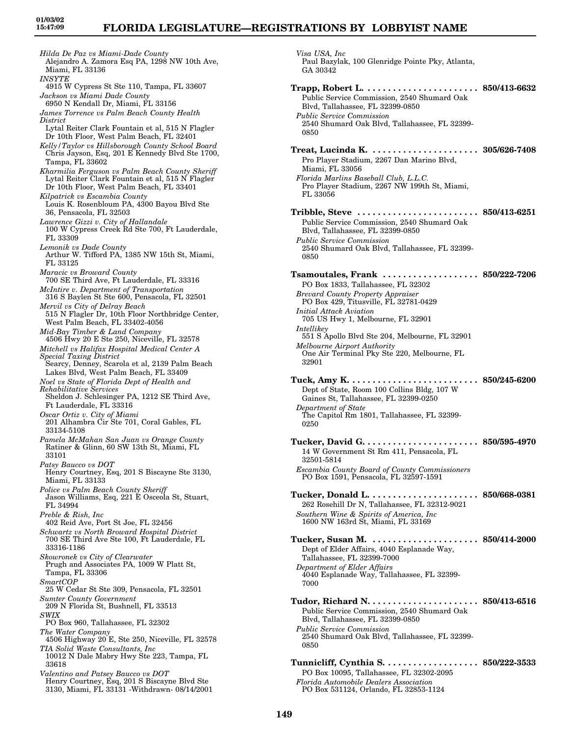*Hilda De Paz vs Miami-Dade County* Alejandro A. Zamora Esq PA, 1298 NW 10th Ave, Miami, FL 33136 *INSYTE* 4915 W Cypress St Ste 110, Tampa, FL 33607 *Jackson vs Miami Dade County* 6950 N Kendall Dr, Miami, FL 33156 *James Torrence vs Palm Beach County Health District* Lytal Reiter Clark Fountain et al, 515 N Flagler Dr 10th Floor, West Palm Beach, FL 32401 *Kelly/Taylor vs Hillsborough County School Board* Chris Jayson, Esq, 201 E Kennedy Blvd Ste 1700, Tampa, FL 33602 *Kharmilia Ferguson vs Palm Beach County Sheriff* Lytal Reiter Clark Fountain et al, 515 N Flagler Dr 10th Floor, West Palm Beach, FL 33401 *Kilpatrick vs Escambia County* Louis K. Rosenbloum PA, 4300 Bayou Blvd Ste 36, Pensacola, FL 32503 *Lawrence Gizzi v. City of Hallandale* 100 W Cypress Creek Rd Ste 700, Ft Lauderdale, FL 33309 *Lemonik vs Dade County* Arthur W. Tifford PA, 1385 NW 15th St, Miami, FL 33125 *Maracic vs Broward County* 700 SE Third Ave, Ft Lauderdale, FL 33316 *McIntire v. Department of Transportation* 316 S Baylen St Ste 600, Pensacola, FL 32501 *Mervil vs City of Delray Beach* 515 N Flagler Dr, 10th Floor Northbridge Center, West Palm Beach, FL 33402-4056 *Mid-Bay Timber & Land Company* 4506 Hwy 20 E Ste 250, Niceville, FL 32578 *Mitchell vs Halifax Hospital Medical Center A Special Taxing District* Searcy, Denney, Scarola et al, 2139 Palm Beach Lakes Blvd, West Palm Beach, FL 33409 *Noel vs State of Florida Dept of Health and Rehabilitative Services* Sheldon J. Schlesinger PA, 1212 SE Third Ave, Ft Lauderdale, FL 33316 *Oscar Ortiz v. City of Miami* 201 Alhambra Cir Ste 701, Coral Gables, FL 33134-5108 *Pamela McMahan San Juan vs Orange County* Ratiner & Glinn, 60 SW 13th St, Miami, FL 33101 *Patsy Baucco vs DOT* Henry Courtney, Esq, 201 S Biscayne Ste 3130, Miami, FL 33133 *Police vs Palm Beach County Sheriff* Jason Williams, Esq, 221 E Osceola St, Stuart, FL 34994 *Preble & Rish, Inc* 402 Reid Ave, Port St Joe, FL 32456 *Schwartz vs North Broward Hospital District* 700 SE Third Ave Ste 100, Ft Lauderdale, FL 33316-1186 *Skowronek vs City of Clearwater* Prugh and Associates PA, 1009 W Platt St, Tampa, FL 33306 *SmartCOP* 25 W Cedar St Ste 309, Pensacola, FL 32501 *Sumter County Government* 209 N Florida St, Bushnell, FL 33513 *SWIX* PO Box 960, Tallahassee, FL 32302 *The Water Company* 4506 Highway  $20$  E, Ste 250, Niceville, FL 32578 *TIA Solid Waste Consultants, Inc* 10012 N Dale Mabry Hwy Ste 223, Tampa, FL 33618 *Valentino and Patsey Baucco vs DOT* Henry Courtney, Esq, 201 S Biscayne Blvd Ste 3130, Miami, FL 33131 -Withdrawn- 08/14/2001

*Visa USA, Inc* Paul Bazylak, 100 Glenridge Pointe Pky, Atlanta, GA 30342 **Trapp, Robert L. . . . . . . . . . . . . . . . . . . . . . . 850/413-6632** Public Service Commission, 2540 Shumard Oak Blvd, Tallahassee, FL 32399-0850 *Public Service Commission* 2540 Shumard Oak Blvd, Tallahassee, FL 32399- 0850 **Treat, Lucinda K. . . . . . . . . . . . . . . . . . . . . . 305/626-7408** Pro Player Stadium, 2267 Dan Marino Blvd, Miami, FL 33056 *Florida Marlins Baseball Club, L.L.C.* Pro Player Stadium, 2267 NW 199th St, Miami, FL 33056 **Tribble, Steve . . . . . . . . . . . . . . . . . . . . . . . . 850/413-6251** Public Service Commission, 2540 Shumard Oak Blvd, Tallahassee, FL 32399-0850 *Public Service Commission* 2540 Shumard Oak Blvd, Tallahassee, FL 32399- 0850 **Tsamoutales, Frank . . . . . . . . . . . . . . . . . . . 850/222-7206** PO Box 1833, Tallahassee, FL 32302 *Brevard County Property Appraiser* PO Box 429, Titusville, FL 32781-0429 *Initial Attack Aviation* 705 US Hwy 1, Melbourne, FL 32901 *Intellikey* 551 S Apollo Blvd Ste 204, Melbourne, FL 32901 *Melbourne Airport Authority* One Air Terminal Pky Ste 220, Melbourne, FL 32901 **Tuck, Amy K. . . . . . . . . . . . . . . . . . . . . . . . . . 850/245-6200** Dept of State, Room 100 Collins Bldg, 107 W Gaines St, Tallahassee, FL 32399-0250 *Department of State* The Capitol Rm 1801, Tallahassee, FL 32399-0250 **Tucker, David G. . . . . . . . . . . . . . . . . . . . . . . 850/595-4970** 14 W Government St Rm 411, Pensacola, FL 32501-5814 *Escambia County Board of County Commissioners* PO Box 1591, Pensacola, FL 32597-1591 **Tucker, Donald L. . . . . . . . . . . . . . . . . . . . . . 850/668-0381** 262 Rosehill Dr N, Tallahassee, FL 32312-9021 *Southern Wine & Spirits of America, Inc* 1600 NW 163rd St, Miami, FL 33169 **Tucker, Susan M. . . . . . . . . . . . . . . . . . . . . . 850/414-2000** Dept of Elder Affairs, 4040 Esplanade Way, Tallahassee, FL 32399-7000 *Department of Elder Affairs* 4040 Esplanade Way, Tallahassee, FL 32399- 7000 **Tudor, Richard N. . . . . . . . . . . . . . . . . . . . . . 850/413-6516** Public Service Commission, 2540 Shumard Oak Blvd, Tallahassee, FL 32399-0850 *Public Service Commission* 2540 Shumard Oak Blvd, Tallahassee, FL 32399- 0850 **Tunnicliff, Cynthia S. . . . . . . . . . . . . . . . . . . 850/222-3533** PO Box 10095, Tallahassee, FL 32302-2095 *Florida Automobile Dealers Association* PO Box 531124, Orlando, FL 32853-1124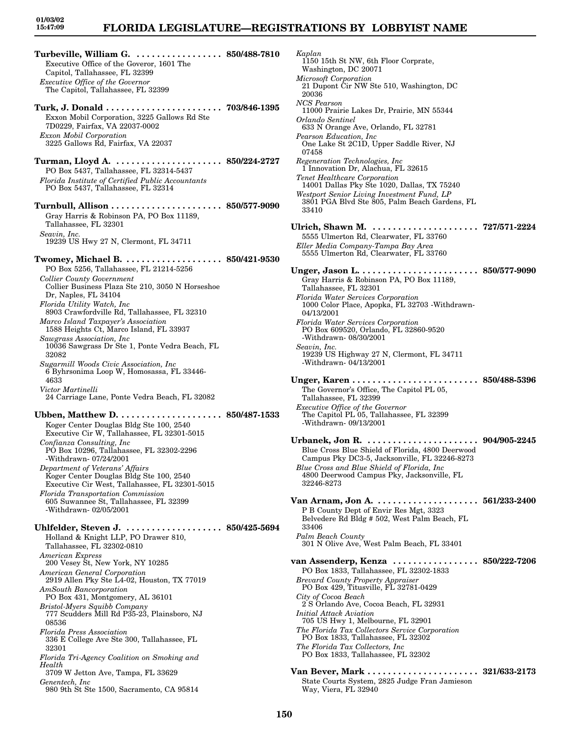## **FLORIDA LEGISLATURE—REGISTRATIONS BY LOBBYIST NAME**

- **Turbeville, William G. . . . . . . . . . . . . . . . . . 850/488-7810** Executive Office of the Goveror, 1601 The Capitol, Tallahassee, FL 32399 *Executive Office of the Governor* The Capitol, Tallahassee, FL 32399 **Turk, J. Donald . . . . . . . . . . . . . . . . . . . . . . . 703/846-1395** Exxon Mobil Corporation, 3225 Gallows Rd Ste 7D0229, Fairfax, VA 22037-0002 *Exxon Mobil Corporation* 3225 Gallows Rd, Fairfax, VA 22037 **Turman, Lloyd A. . . . . . . . . . . . . . . . . . . . . . 850/224-2727** PO Box 5437, Tallahassee, FL 32314-5437 *Florida Institute of Certified Public Accountants* PO Box 5437, Tallahassee, FL 32314 **Turnbull, Allison . . . . . . . . . . . . . . . . . . . . . . 850/577-9090** Gray Harris & Robinson PA, PO Box 11189, Tallahassee, FL 32301 *Seavin, Inc.* 19239 US Hwy 27 N, Clermont, FL 34711 **Twomey, Michael B. . . . . . . . . . . . . . . . . . . . 850/421-9530** PO Box 5256, Tallahassee, FL 21214-5256 *Collier County Government* Collier Business Plaza Ste 210, 3050 N Horseshoe Dr, Naples, FL 34104 *Florida Utility Watch, Inc* 8903 Crawfordville Rd, Tallahassee, FL 32310 *Marco Island Taxpayer's Association* 1588 Heights Ct, Marco Island, FL 33937 *Sawgrass Association, Inc* 10036 Sawgrass Dr Ste 1, Ponte Vedra Beach, FL 32082 *Sugarmill Woods Civic Association, Inc* 6 Byhrsonima Loop W, Homosassa, FL 33446- 4633 *Victor Martinelli* 24 Carriage Lane, Ponte Vedra Beach, FL 32082 **Ubben, Matthew D. . . . . . . . . . . . . . . . . . . . . 850/487-1533** Koger Center Douglas Bldg Ste 100, 2540 Executive Cir W, Tallahassee, FL 32301-5015 *Confianza Consulting, Inc* PO Box 10296, Tallahassee, FL 32302-2296 -Withdrawn- 07/24/2001 *Department of Veterans' Affairs* Koger Center Douglas Bldg Ste 100, 2540 Executive Cir West, Tallahassee, FL 32301-5015
	- *Florida Transportation Commission* 605 Suwannee St, Tallahassee, FL 32399 -Withdrawn- 02/05/2001

**Uhlfelder, Steven J. . . . . . . . . . . . . . . . . . . . 850/425-5694** Holland & Knight LLP, PO Drawer 810, Tallahassee, FL 32302-0810 *American Express* 200 Vesey St, New York, NY 10285 *American General Corporation* 2919 Allen Pky Ste L4-02, Houston, TX 77019 *AmSouth Bancorporation* PO Box 431, Montgomery, AL 36101 *Bristol-Myers Squibb Company* 777 Scudders Mill Rd P35-23, Plainsboro, NJ 08536 *Florida Press Association* 336 E College Ave Ste 300, Tallahassee, FL 32301 *Florida Tri-Agency Coalition on Smoking and Health*

3709 W Jetton Ave, Tampa, FL 33629 *Genentech, Inc* 980 9th St Ste 1500, Sacramento, CA 95814

*Kaplan* 1150 15th St NW, 6th Floor Corprate, Washington, DC 20071 *Microsoft Corporation* 21 Dupont Cir NW Ste 510, Washington, DC 20036 *NCS Pearson* 11000 Prairie Lakes Dr, Prairie, MN 55344 *Orlando Sentinel* 633 N Orange Ave, Orlando, FL 32781 *Pearson Education, Inc* One Lake St 2C1D, Upper Saddle River, NJ 07458 *Regeneration Technologies, Inc* 1 Innovation Dr, Alachua, FL 32615 *Tenet Healthcare Corporation* 14001 Dallas Pky Ste 1020, Dallas, TX 75240 *Westport Senior Living Investment Fund, LP* 3801 PGA Blvd Ste 805, Palm Beach Gardens, FL 33410 **Ulrich, Shawn M. . . . . . . . . . . . . . . . . . . . . . 727/571-2224** 5555 Ulmerton Rd, Clearwater, FL 33760 *Eller Media Company-Tampa Bay Area* 5555 Ulmerton Rd, Clearwater, FL 33760 **Unger, Jason L. . . . . . . . . . . . . . . . . . . . . . . . 850/577-9090** Gray Harris & Robinson PA, PO Box 11189, Tallahassee, FL 32301 *Florida Water Services Corporation* 1000 Color Place, Apopka, FL 32703 -Withdrawn-04/13/2001 *Florida Water Services Corporation* PO Box 609520, Orlando, FL 32860-9520 -Withdrawn- 08/30/2001 *Seavin, Inc.* 19239 US Highway 27 N, Clermont, FL 34711 -Withdrawn- 04/13/2001 **Unger, Karen . . . . . . . . . . . . . . . . . . . . . . . . . 850/488-5396** The Governor's Office, The Capitol PL 05, Tallahassee, FL 32399 *Executive Office of the Governor* The Capitol PL 05, Tallahassee, FL 32399 -Withdrawn- 09/13/2001 **Urbanek, Jon R. . . . . . . . . . . . . . . . . . . . . . . 904/905-2245** Blue Cross Blue Shield of Florida, 4800 Deerwood Campus Pky DC3-5, Jacksonville, FL 32246-8273 *Blue Cross and Blue Shield of Florida, Inc* 4800 Deerwood Campus Pky, Jacksonville, FL 32246-8273 **Van Arnam, Jon A. . . . . . . . . . . . . . . . . . . . . 561/233-2400** P B County Dept of Envir Res Mgt, 3323 Belvedere Rd Bldg # 502, West Palm Beach, FL 33406 *Palm Beach County* 301 N Olive Ave, West Palm Beach, FL 33401 **van Assenderp, Kenza . . . . . . . . . . . . . . . . . 850/222-7206** PO Box 1833, Tallahassee, FL 32302-1833 *Brevard County Property Appraiser* PO Box 429, Titusville, FL 32781-0429 *City of Cocoa Beach* 2 S Orlando Ave, Cocoa Beach, FL 32931 *Initial Attack Aviation* 705 US Hwy 1, Melbourne, FL 32901 *The Florida Tax Collectors Service Corporation* PO Box 1833, Tallahassee, FL 32302 *The Florida Tax Collectors, Inc* PO Box 1833, Tallahassee, FL 32302 **Van Bever, Mark . . . . . . . . . . . . . . . . . . . . . . 321/633-2173** State Courts System, 2825 Judge Fran Jamieson

Way, Viera, FL 32940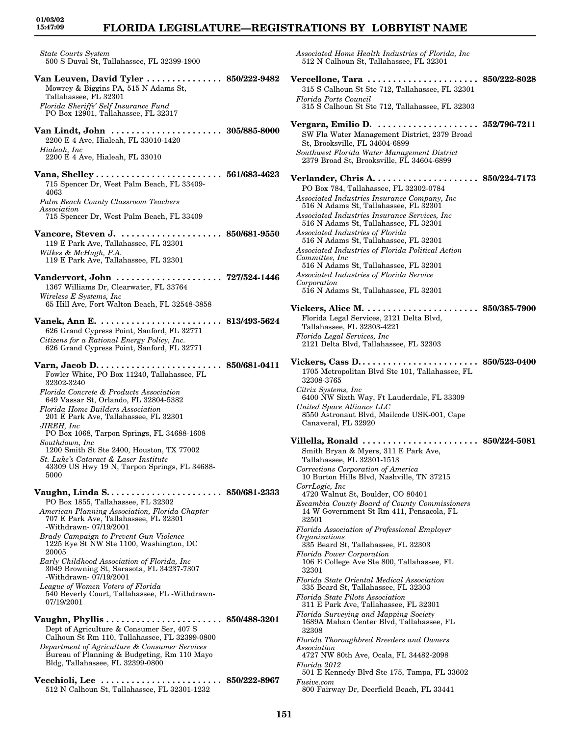## **FLORIDA LEGISLATURE—REGISTRATIONS BY LOBBYIST NAME**

*State Courts System* 500 S Duval St, Tallahassee, FL 32399-1900

- **Van Leuven, David Tyler . . . . . . . . . . . . . . . 850/222-9482** Mowrey & Biggins PA, 515 N Adams St, Tallahassee, FL 32301 *Florida Sheriffs' Self Insurance Fund* PO Box 12901, Tallahassee, FL 32317 **Van Lindt, John . . . . . . . . . . . . . . . . . . . . . . 305/885-8000** 2200 E 4 Ave, Hialeah, FL 33010-1420 *Hialeah, Inc* 2200 E 4 Ave, Hialeah, FL 33010 **Vana, Shelley . . . . . . . . . . . . . . . . . . . . . . . . . 561/683-4623** 715 Spencer Dr, West Palm Beach, FL 33409- 4063 *Palm Beach County Classroom Teachers Association* 715 Spencer Dr, West Palm Beach, FL 33409 **Vancore, Steven J. . . . . . . . . . . . . . . . . . . . . 850/681-9550** 119 E Park Ave, Tallahassee, FL 32301 *Wilkes & McHugh, P.A.* 119 E Park Ave, Tallahassee, FL 32301 **Vandervort, John . . . . . . . . . . . . . . . . . . . . . 727/524-1446** 1367 Williams Dr, Clearwater, FL 33764 *Wireless E Systems, Inc* 65 Hill Ave, Fort Walton Beach, FL 32548-3858 **Vanek, Ann E. . . . . . . . . . . . . . . . . . . . . . . . . 813/493-5624** 626 Grand Cypress Point, Sanford, FL 32771 *Citizens for a Rational Energy Policy, Inc.* 626 Grand Cypress Point, Sanford, FL 32771 **Varn, Jacob D. . . . . . . . . . . . . . . . . . . . . . . . . 850/681-0411** Fowler White, PO Box 11240, Tallahassee, FL 32302-3240 *Florida Concrete & Products Association* 649 Vassar St, Orlando, FL 32804-5382
	- *Florida Home Builders Association* 201 E Park Ave, Tallahassee, FL 32301 *JIREH, Inc*
	- PO Box 1068, Tarpon Springs, FL 34688-1608 *Southdown, Inc*
	- 1200 Smith St Ste 2400, Houston, TX 77002 *St. Luke's Cataract & Laser Institute* 43309 US Hwy 19 N, Tarpon Springs, FL 34688- 5000

**Vaughn, Linda S. . . . . . . . . . . . . . . . . . . . . . . 850/681-2333** PO Box 1855, Tallahassee, FL 32302

- *American Planning Association, Florida Chapter* 707 E Park Ave, Tallahassee, FL 32301 -Withdrawn- 07/19/2001
- *Brady Campaign to Prevent Gun Violence* 1225 Eye St NW Ste 1100, Washington, DC 20005
- *Early Childhood Association of Florida, Inc* 3049 Browning St, Sarasota, FL 34237-7307 -Withdrawn- 07/19/2001
- *League of Women Voters of Florida* 540 Beverly Court, Tallahassee, FL -Withdrawn-07/19/2001
- **Vaughn, Phyllis . . . . . . . . . . . . . . . . . . . . . . . 850/488-3201** Dept of Agriculture & Consumer Ser, 407 S Calhoun St Rm 110, Tallahassee, FL 32399-0800 *Department of Agriculture & Consumer Services* Bureau of Planning & Budgeting, Rm 110 Mayo Bldg, Tallahassee, FL 32399-0800
- **Vecchioli, Lee . . . . . . . . . . . . . . . . . . . . . . . . 850/222-8967** 512 N Calhoun St, Tallahassee, FL 32301-1232

*Associated Home Health Industries of Florida, Inc* 512 N Calhoun St, Tallahassee, FL 32301

**Vercellone, Tara . . . . . . . . . . . . . . . . . . . . . . 850/222-8028** 315 S Calhoun St Ste 712, Tallahassee, FL 32301 *Florida Ports Council* 315 S Calhoun St Ste 712, Tallahassee, FL 32303 **Vergara, Emilio D. . . . . . . . . . . . . . . . . . . . . 352/796-7211** SW Fla Water Management District, 2379 Broad St, Brooksville, FL 34604-6899 *Southwest Florida Water Management District* 2379 Broad St, Brooksville, FL 34604-6899 **Verlander, Chris A. . . . . . . . . . . . . . . . . . . . . 850/224-7173** PO Box 784, Tallahassee, FL 32302-0784 *Associated Industries Insurance Company, Inc* 516 N Adams St, Tallahassee, FL 32301 *Associated Industries Insurance Services, Inc* 516 N Adams St, Tallahassee, FL 32301 *Associated Industries of Florida* 516 N Adams St, Tallahassee, FL 32301 *Associated Industries of Florida Political Action Committee, Inc* 516 N Adams St, Tallahassee, FL 32301 *Associated Industries of Florida Service Corporation* 516 N Adams St, Tallahassee, FL 32301 **Vickers, Alice M. . . . . . . . . . . . . . . . . . . . . . . 850/385-7900** Florida Legal Services, 2121 Delta Blvd, Tallahassee, FL 32303-4221 *Florida Legal Services, Inc* 2121 Delta Blvd, Tallahassee, FL 32303 **Vickers, Cass D. . . . . . . . . . . . . . . . . . . . . . . . 850/523-0400** 1705 Metropolitan Blvd Ste 101, Tallahassee, FL 32308-3765 *Citrix Systems, Inc* 6400 NW Sixth Way, Ft Lauderdale, FL 33309 *United Space Alliance LLC* 8550 Astronaut Blvd, Mailcode USK-001, Cape Canaveral, FL 32920 **Villella, Ronald . . . . . . . . . . . . . . . . . . . . . . . 850/224-5081** Smith Bryan & Myers, 311 E Park Ave, Tallahassee, FL 32301-1513 *Corrections Corporation of America* 10 Burton Hills Blvd, Nashville, TN 37215 *CorrLogic, Inc* 4720 Walnut St, Boulder, CO 80401 *Escambia County Board of County Commissioners* 14 W Government St Rm 411, Pensacola, FL 32501 *Florida Association of Professional Employer Organizations* 335 Beard St, Tallahassee, FL 32303 *Florida Power Corporation* 106 E College Ave Ste 800, Tallahassee, FL 32301 *Florida State Oriental Medical Association* 335 Beard St, Tallahassee, FL 32303 *Florida State Pilots Association* 311 E Park Ave, Tallahassee, FL 32301 *Florida Surveying and Mapping Society* 1689A Mahan Center Blvd, Tallahassee, FL 32308 *Florida Thoroughbred Breeders and Owners Association* 4727 NW 80th Ave, Ocala, FL 34482-2098 *Florida 2012* 501 E Kennedy Blvd Ste 175, Tampa, FL 33602 *Fusive.com* 800 Fairway Dr, Deerfield Beach, FL 33441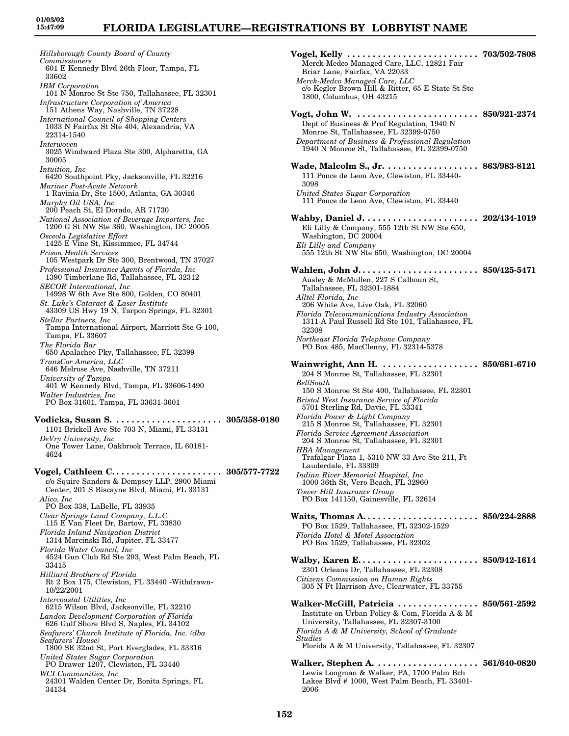*Hillsborough County Board of County Commissioners* 601 E Kennedy Blvd 26th Floor, Tampa, FL 33602 *IBM Corporation* 101 N Monroe St Ste 750, Tallahassee, FL 32301 *Infrastructure Corporation of America* 151 Athens Way, Nashville, TN 37228 *International Council of Shopping Centers* 1033 N Fairfax St Ste 404, Alexandria, VA 22314-1540 *Interwoven* 3025 Windward Plaza Ste 300, Alpharetta, GA 30005 *Intuition, Inc* 6420 Southpoint Pky, Jacksonville, FL 32216 *Mariner Post-Acute Network* 1 Ravinia Dr, Ste 1500, Atlanta, GA 30346 *Murphy Oil USA, Inc* 200 Peach St, El Dorado, AR 71730 *National Association of Beverage Importers, Inc* 1200 G St NW Ste 360, Washington, DC 20005 *Osceola Legislative Effort* 1425 E Vine St, Kissimmee, FL 34744 *Prison Health Services* 105 Westpark Dr Ste 300, Brentwood, TN 37027 *Professional Insurance Agents of Florida, Inc* 1390 Timberlane Rd, Tallahassee, FL 32312 *SECOR International, Inc* 14998 W 6th Ave Ste 800, Golden, CO 80401 *St. Luke's Cataract & Laser Institute* 43309 US Hwy 19 N, Tarpon Springs, FL 32301 *Stellar Partners, Inc* Tampa International Airport, Marriott Ste G-100, Tampa, FL 33607 *The Florida Bar* 650 Apalachee Pky, Tallahassee, FL 32399 *TransCor America, LLC* 646 Melrose Ave, Nashville, TN 37211 *University of Tampa* 401 W Kennedy Blvd, Tampa, FL 33606-1490 *Walter Industries, Inc* PO Box 31601, Tampa, FL 33631-3601 **Vodicka, Susan S. . . . . . . . . . . . . . . . . . . . . . 305/358-0180** 1101 Brickell Ave Ste 703 N, Miami, FL 33131 *DeVry University, Inc* One Tower Lane, Oakbrook Terrace, IL 60181- 4624 **Vogel, Cathleen C. . . . . . . . . . . . . . . . . . . . . . 305/577-7722** c/o Squire Sanders & Dempsey LLP, 2900 Miami Center, 201 S Biscayne Blvd, Miami, FL 33131 *Alico, Inc* PO Box 338, LaBelle, FL 33935 *Clear Springs Land Company, L.L.C.* 115 E Van Fleet Dr, Bartow, FL 33830 *Florida Inland Navigation District* 1314 Marcinski Rd, Jupiter, FL 33477 *Florida Water Council, Inc* 4524 Gun Club Rd Ste 203, West Palm Beach, FL 33415 *Hilliard Brothers of Florida* Rt 2 Box 175, Clewiston, FL 33440 -Withdrawn-10/22/2001 *Intercoastal Utilities, Inc* 6215 Wilson Blvd, Jacksonville, FL 32210 *Landon Development Corporation of Florida* 626 Gulf Shore Blvd S, Naples, FL 34102 *Seafarers' Church Institute of Florida, Inc. (dba Seafarers' House)* 1800 SE 32nd St, Port Everglades, FL 33316 *United States Sugar Corporation* PO Drawer 1207, Clewiston, FL 33440 *WCI Communities, Inc* 24301 Walden Center Dr, Bonita Springs, FL 34134

**Vogel, Kelly . . . . . . . . . . . . . . . . . . . . . . . . . . 703/502-7808** Merck-Medco Managed Care, LLC, 12821 Fair Briar Lane, Fairfax, VA 22033 *Merck-Medco Managed Care, LLC* c/o Kegler Brown Hill & Ritter, 65 E State St Ste 1800, Columbus, OH 43215 **Vogt, John W. . . . . . . . . . . . . . . . . . . . . . . . . 850/921-2374** Dept of Business & Prof Regulation, 1940 N Monroe St, Tallahassee, FL 32399-0750 *Department of Business & Professional Regulation* 1940 N Monroe St, Tallahassee, FL 32399-0750 **Wade, Malcolm S., Jr. . . . . . . . . . . . . . . . . . . 863/983-8121** 111 Ponce de Leon Ave, Clewiston, FL 33440- 3098 *United States Sugar Corporation* 111 Ponce de Leon Ave, Clewiston, FL 33440 **Wahby, Daniel J. . . . . . . . . . . . . . . . . . . . . . . 202/434-1019** Eli Lilly & Company, 555 12th St NW Ste 650, Washington, DC 20004 *Eli Lilly and Company* 555 12th St NW Ste 650, Washington, DC 20004 **Wahlen, John J. . . . . . . . . . . . . . . . . . . . . . . . 850/425-5471** Ausley & McMullen, 227 S Calhoun St, Tallahassee, FL 32301-1884 *Alltel Florida, Inc* 206 White Ave, Live Oak, FL 32060 *Florida Telecommunications Industry Association* 1311-A Paul Russell Rd Ste 101, Tallahassee, FL 32308 *Northeast Florida Telephone Company* PO Box 485, MacClenny, FL 32314-5378 **Wainwright, Ann H. . . . . . . . . . . . . . . . . . . . 850/681-6710** 204 S Monroe St, Tallahassee, FL 32301 *BellSouth* 150 S Monroe St Ste 400, Tallahassee, FL 32301 *Bristol West Insurance Service of Florida* 5701 Sterling Rd, Davie, FL 33341 *Florida Power & Light Company* 215 S Monroe St, Tallahassee, FL 32301 *Florida Service Agreement Association* 204 S Monroe St, Tallahassee, FL 32301 *HBA Management* Trafalgar Plaza 1, 5310 NW 33 Ave Ste 211, Ft Lauderdale, FL 33309 *Indian River Memorial Hospital, Inc* 1000 36th St, Vero Beach, FL 32960 *Tower Hill Insurance Group* PO Box 141150, Gainesville, FL 32614 **Waits, Thomas A. . . . . . . . . . . . . . . . . . . . . . . 850/224-2888** PO Box 1529, Tallahassee, FL 32302-1529 *Florida Hotel & Motel Association* PO Box 1529, Tallahassee, FL 32302 **Walby, Karen E. . . . . . . . . . . . . . . . . . . . . . . . 850/942-1614** 2301 Orleans Dr, Tallahassee, FL 32308 *Citizens Commission on Human Rights* 305 N Ft Harrison Ave, Clearwater, FL 33755 **Walker-McGill, Patricia . . . . . . . . . . . . . . . . 850/561-2592** Institute on Urban Policy & Com, Florida A & M University, Tallahassee, FL 32307-3100 *Florida A & M University, School of Graduate Studies* Florida A & M University, Tallahassee, FL 32307 **Walker, Stephen A. . . . . . . . . . . . . . . . . . . . . 561/640-0820** Lewis Longman & Walker, PA, 1700 Palm Bch Lakes Blvd # 1000, West Palm Beach, FL 33401- 2006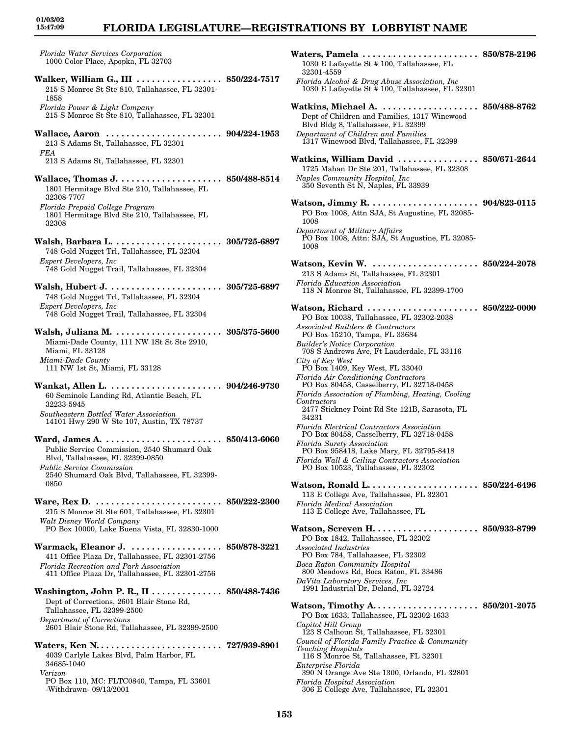## **FLORIDA LEGISLATURE—REGISTRATIONS BY LOBBYIST NAME**

*Florida Water Services Corporation* 1000 Color Place, Apopka, FL 32703 **Walker, William G., III . . . . . . . . . . . . . . . . . 850/224-7517** 215 S Monroe St Ste 810, Tallahassee, FL 32301- 1858 *Florida Power & Light Company* 215 S Monroe St Ste 810, Tallahassee, FL 32301 **Wallace, Aaron . . . . . . . . . . . . . . . . . . . . . . . 904/224-1953** 213 S Adams St, Tallahassee, FL 32301 *FEA* 213 S Adams St, Tallahassee, FL 32301 **Wallace, Thomas J. . . . . . . . . . . . . . . . . . . . . 850/488-8514** 1801 Hermitage Blvd Ste 210, Tallahassee, FL 32308-7707 *Florida Prepaid College Program* 1801 Hermitage Blvd Ste 210, Tallahassee, FL 32308 **Walsh, Barbara L. . . . . . . . . . . . . . . . . . . . . . 305/725-6897** 748 Gold Nugget Trl, Tallahassee, FL 32304 *Expert Developers, Inc* 748 Gold Nugget Trail, Tallahassee, FL 32304 **Walsh, Hubert J. . . . . . . . . . . . . . . . . . . . . . . 305/725-6897** 748 Gold Nugget Trl, Tallahassee, FL 32304 *Expert Developers, Inc* 748 Gold Nugget Trail, Tallahassee, FL 32304 **Walsh, Juliana M. . . . . . . . . . . . . . . . . . . . . . 305/375-5600** Miami-Dade County, 111 NW 1St St Ste 2910, Miami, FL 33128 *Miami-Dade County* 111 NW 1st St, Miami, FL 33128 **Wankat, Allen L. . . . . . . . . . . . . . . . . . . . . . . 904/246-9730** 60 Seminole Landing Rd, Atlantic Beach, FL 32233-5945 *Southeastern Bottled Water Association* 14101 Hwy 290 W Ste 107, Austin, TX 78737 **Ward, James A. . . . . . . . . . . . . . . . . . . . . . . . 850/413-6060** Public Service Commission, 2540 Shumard Oak Blvd, Tallahassee, FL 32399-0850 *Public Service Commission* 2540 Shumard Oak Blvd, Tallahassee, FL 32399- 0850 **Ware, Rex D. . . . . . . . . . . . . . . . . . . . . . . . . . 850/222-2300** 215 S Monroe St Ste 601, Tallahassee, FL 32301 *Walt Disney World Company* PO Box 10000, Lake Buena Vista, FL 32830-1000 **Warmack, Eleanor J. . . . . . . . . . . . . . . . . . . 850/878-3221** 411 Office Plaza Dr, Tallahassee, FL 32301-2756 *Florida Recreation and Park Association* 411 Office Plaza Dr, Tallahassee, FL 32301-2756 **Washington, John P. R., II . . . . . . . . . . . . . . 850/488-7436** Dept of Corrections, 2601 Blair Stone Rd, Tallahassee, FL 32399-2500 *Department of Corrections* 2601 Blair Stone Rd, Tallahassee, FL 32399-2500 **Waters, Ken N. . . . . . . . . . . . . . . . . . . . . . . . . 727/939-8901** 4039 Carlyle Lakes Blvd, Palm Harbor, FL 34685-1040 *Verizon* PO Box 110, MC: FLTC0840, Tampa, FL 33601

-Withdrawn- 09/13/2001

32301-4559 *Florida Alcohol & Drug Abuse Association, Inc* 1030 E Lafayette St # 100, Tallahassee, FL 32301 **Watkins, Michael A. . . . . . . . . . . . . . . . . . . . 850/488-8762** Dept of Children and Families, 1317 Winewood Blvd Bldg 8, Tallahassee, FL 32399 *Department of Children and Families* 1317 Winewood Blvd, Tallahassee, FL 32399 **Watkins, William David . . . . . . . . . . . . . . . . 850/671-2644** 1725 Mahan Dr Ste 201, Tallahassee, FL 32308 *Naples Community Hospital, Inc* 350 Seventh St N, Naples, FL 33939 **Watson, Jimmy R. . . . . . . . . . . . . . . . . . . . . . 904/823-0115** PO Box 1008, Attn SJA, St Augustine, FL 32085- 1008 *Department of Military Affairs* PO Box 1008, Attn: SJA, St Augustine, FL 32085- 1008 **Watson, Kevin W. . . . . . . . . . . . . . . . . . . . . . 850/224-2078** 213 S Adams St, Tallahassee, FL 32301 *Florida Education Association* 118 N Monroe St, Tallahassee, FL 32399-1700 **Watson, Richard . . . . . . . . . . . . . . . . . . . . . . 850/222-0000** PO Box 10038, Tallahassee, FL 32302-2038 *Associated Builders & Contractors* PO Box 15210, Tampa, FL 33684 *Builder's Notice Corporation* 708 S Andrews Ave, Ft Lauderdale, FL 33116 *City of Key West* PO Box 1409, Key West, FL 33040 *Florida Air Conditioning Contractors* PO Box 80458, Casselberry, FL 32718-0458 *Florida Association of Plumbing, Heating, Cooling Contractors* 2477 Stickney Point Rd Ste 121B, Sarasota, FL 34231 *Florida Electrical Contractors Association* PO Box 80458, Casselberry, FL 32718-0458 *Florida Surety Association* PO Box 958418, Lake Mary, FL 32795-8418 *Florida Wall & Ceiling Contractors Association* PO Box 10523, Tallahassee, FL 32302 **Watson, Ronald L. . . . . . . . . . . . . . . . . . . . . . 850/224-6496** 113 E College Ave, Tallahassee, FL 32301 *Florida Medical Association* 113 E College Ave, Tallahassee, FL **Watson, Screven H. . . . . . . . . . . . . . . . . . . . . 850/933-8799** PO Box 1842, Tallahassee, FL 32302 *Associated Industries* PO Box 784, Tallahassee, FL 32302 *Boca Raton Community Hospital* 800 Meadows Rd, Boca Raton, FL 33486 *DaVita Laboratory Services, Inc* 1991 Industrial Dr, Deland, FL 32724 **Watson, Timothy A. . . . . . . . . . . . . . . . . . . . . 850/201-2075** PO Box 1633, Tallahassee, FL 32302-1633 *Capitol Hill Group* 123 S Calhoun St, Tallahassee, FL 32301 *Council of Florida Family Practice & Community Teaching Hospitals* 116 S Monroe St, Tallahassee, FL 32301 *Enterprise Florida* 390 N Orange Ave Ste 1300, Orlando, FL 32801 *Florida Hospital Association* 306 E College Ave, Tallahassee, FL 32301

**Waters, Pamela . . . . . . . . . . . . . . . . . . . . . . . 850/878-2196**

1030 E Lafayette St # 100, Tallahassee, FL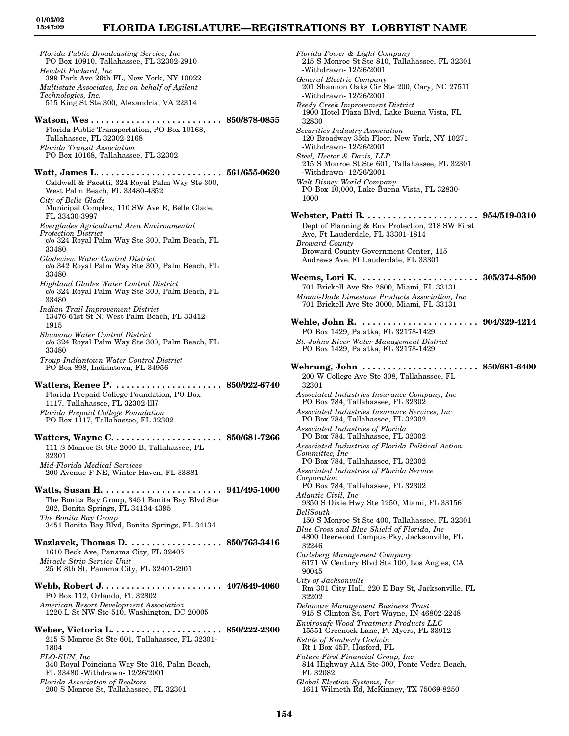*Florida Public Broadcasting Service, Inc* PO Box 10910, Tallahassee, FL 32302-2910 *Hewlett Packard, Inc* 399 Park Ave 26th FL, New York, NY 10022 *Multistate Associates, Inc on behalf of Agilent Technologies, Inc.* 515 King St Ste 300, Alexandria, VA 22314 **Watson, Wes . . . . . . . . . . . . . . . . . . . . . . . . . . 850/878-0855** Florida Public Transportation, PO Box 10168, Tallahassee, FL 32302-2168 *Florida Transit Association* PO Box 10168, Tallahassee, FL 32302 **Watt, James L. . . . . . . . . . . . . . . . . . . . . . . . . 561/655-0620** Caldwell & Pacetti, 324 Royal Palm Way Ste 300, West Palm Beach, FL 33480-4352 *City of Belle Glade* Municipal Complex, 110 SW Ave E, Belle Glade, FL 33430-3997 *Everglades Agricultural Area Environmental Protection District* c/o 324 Royal Palm Way Ste 300, Palm Beach, FL 33480 *Gladeview Water Control District* c/o 342 Royal Palm Way Ste 300, Palm Beach, FL 33480 *Highland Glades Water Control District* c/o 324 Royal Palm Way Ste 300, Palm Beach, FL 33480 *Indian Trail Improvement District* 13476 61st St N, West Palm Beach, FL 33412- 1915 *Shawano Water Control District* c/o 324 Royal Palm Way Ste 300, Palm Beach, FL 33480 *Troup-Indiantown Water Control District* PO Box 898, Indiantown, FL 34956 **Watters, Renee P. . . . . . . . . . . . . . . . . . . . . . 850/922-6740** Florida Prepaid College Foundation, PO Box 1117, Tallahassee, FL 32302-lll7 *Florida Prepaid College Foundation* PO Box 1117, Tallahassee, FL 32302 **Watters, Wayne C. . . . . . . . . . . . . . . . . . . . . . 850/681-7266** 111 S Monroe St Ste 2000 B, Tallahassee, FL 32301 *Mid-Florida Medical Services* 200 Avenue F NE, Winter Haven, FL 33881 **Watts, Susan H. . . . . . . . . . . . . . . . . . . . . . . . 941/495-1000** The Bonita Bay Group, 3451 Bonita Bay Blvd Ste 202, Bonita Springs, FL 34134-4395 *The Bonita Bay Group* 3451 Bonita Bay Blvd, Bonita Springs, FL 34134 **Wazlavek, Thomas D. . . . . . . . . . . . . . . . . . . 850/763-3416** 1610 Beck Ave, Panama City, FL 32405 *Miracle Strip Service Unit* 25 E 8th St, Panama City, FL 32401-2901 **Webb, Robert J. . . . . . . . . . . . . . . . . . . . . . . . 407/649-4060** PO Box 112, Orlando, FL 32802 *American Resort Development Association* 1220 L St NW Ste 510, Washington, DC 20005 **Weber, Victoria L. . . . . . . . . . . . . . . . . . . . . . 850/222-2300** 215 S Monroe St Ste 601, Tallahassee, FL 32301- 1804 *FLO-SUN, Inc* 340 Royal Poinciana Way Ste 316, Palm Beach, FL 33480 -Withdrawn- 12/26/2001 *Florida Association of Realtors*

200 S Monroe St, Tallahassee, FL 32301

*Florida Power & Light Company* 215 S Monroe St Ste 810, Tallahassee, FL 32301 -Withdrawn- 12/26/2001 *General Electric Company* 201 Shannon Oaks Cir Ste 200, Cary, NC 27511 -Withdrawn- 12/26/2001 *Reedy Creek Improvement District* 1900 Hotel Plaza Blvd, Lake Buena Vista, FL 32830 *Securities Industry Association* 120 Broadway 35th Floor, New York, NY 10271 -Withdrawn- 12/26/2001 *Steel, Hector & Davis, LLP* 215 S Monroe St Ste 601, Tallahassee, FL 32301 -Withdrawn- 12/26/2001 *Walt Disney World Company* PO Box 10,000, Lake Buena Vista, FL 32830- 1000 **Webster, Patti B. . . . . . . . . . . . . . . . . . . . . . . 954/519-0310** Dept of Planning & Env Protection, 218 SW First Ave, Ft Lauderdale, FL 33301-1814 *Broward County* Broward County Government Center, 115 Andrews Ave, Ft Lauderdale, FL 33301 **Weems, Lori K. . . . . . . . . . . . . . . . . . . . . . . . 305/374-8500** 701 Brickell Ave Ste 2800, Miami, FL 33131 *Miami-Dade Limestone Products Association, Inc* 701 Brickell Ave Ste 3000, Miami, FL 33131 **Wehle, John R. . . . . . . . . . . . . . . . . . . . . . . . 904/329-4214** PO Box 1429, Palatka, FL 32178-1429 *St. Johns River Water Management District* PO Box 1429, Palatka, FL 32178-1429 **Wehrung, John . . . . . . . . . . . . . . . . . . . . . . . 850/681-6400** 200 W College Ave Ste 308, Tallahassee, FL 32301 *Associated Industries Insurance Company, Inc* PO Box 784, Tallahassee, FL 32302 *Associated Industries Insurance Services, Inc* PO Box 784, Tallahassee, FL 32302 *Associated Industries of Florida* PO Box 784, Tallahassee, FL 32302 *Associated Industries of Florida Political Action Committee, Inc* PO Box 784, Tallahassee, FL 32302 *Associated Industries of Florida Service Corporation* PO Box 784, Tallahassee, FL 32302 *Atlantic Civil, Inc* 9350 S Dixie Hwy Ste 1250, Miami, FL 33156 *BellSouth* 150 S Monroe St Ste 400, Tallahassee, FL 32301 *Blue Cross and Blue Shield of Florida, Inc* 4800 Deerwood Campus Pky, Jacksonville, FL 32246 *Carlsberg Management Company* 6171 W Century Blvd Ste 100, Los Angles, CA 90045 *City of Jacksonville* Rm 301 City Hall, 220 E Bay St, Jacksonville, FL 32202 *Delaware Management Business Trust* 915 S Clinton St, Fort Wayne, IN 46802-2248 *Envirosafe Wood Treatment Products LLC* 15551 Greenock Lane, Ft Myers, FL 33912 *Estate of Kimberly Godwin* Rt 1 Box 45P, Hosford, FL *Future First Financial Group, Inc* 814 Highway A1A Ste 300, Ponte Vedra Beach, FL 32082 *Global Election Systems, Inc* 1611 Wilmeth Rd, McKinney, TX 75069-8250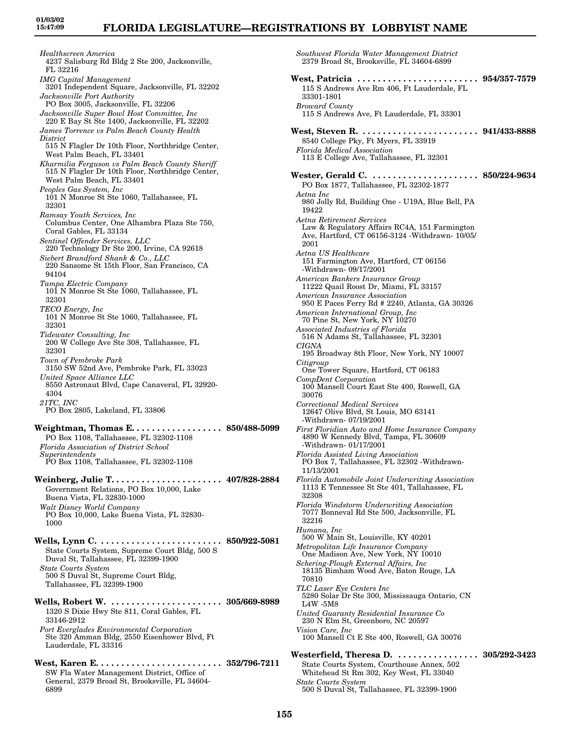*Healthscreen America* 4237 Salisburg Rd Bldg 2 Ste 200, Jacksonville, FL 32216 *IMG Capital Management* 3201 Independent Square, Jacksonville, FL 32202 *Jacksonville Port Authority* PO Box 3005, Jacksonville, FL 32206 *Jacksonville Super Bowl Host Committee, Inc* 220 E Bay St Ste 1400, Jacksonville, FL 32202 *James Torrence vs Palm Beach County Health District* 515 N Flagler Dr 10th Floor, Northbridge Center, West Palm Beach, FL 33401 *Kharmilia Ferguson vs Palm Beach County Sheriff* 515 N Flagler Dr 10th Floor, Northbridge Center, West Palm Beach, FL 33401 *Peoples Gas System, Inc* 101 N Monroe St Ste 1060, Tallahassee, FL 32301 *Ramsay Youth Services, Inc* Columbus Center, One Alhambra Plaza Ste 750, Coral Gables, FL 33134 *Sentinel Offender Services, LLC* 220 Technology Dr Ste 200, Irvine, CA 92618 *Siebert Brandford Shank & Co., LLC* 220 Sansome St 15th Floor, San Francisco, CA 94104 *Tampa Electric Company* 101 N Monroe St Ste 1060, Tallahassee, FL 32301 *TECO Energy, Inc* 101 N Monroe St Ste 1060, Tallahassee, FL 32301 *Tidewater Consulting, Inc* 200 W College Ave Ste 308, Tallahassee, FL 32301 *Town of Pembroke Park* 3150 SW 52nd Ave, Pembroke Park, FL 33023 *United Space Alliance LLC* 8550 Astronaut Blvd, Cape Canaveral, FL 32920- 4304 *21TC, INC* PO Box 2805, Lakeland, FL 33806 **Weightman, Thomas E. . . . . . . . . . . . . . . . . . 850/488-5099** PO Box 1108, Tallahassee, FL 32302-1108 *Florida Association of District School Superintendents* PO Box 1108, Tallahassee, FL 32302-1108 **Weinberg, Julie T. . . . . . . . . . . . . . . . . . . . . . 407/828-2884** Government Relations, PO Box 10,000, Lake Buena Vista, FL 32830-1000 *Walt Disney World Company* PO Box 10,000, Lake Buena Vista, FL 32830-1000 **Wells, Lynn C. . . . . . . . . . . . . . . . . . . . . . . . . 850/922-5081** State Courts System, Supreme Court Bldg, 500 S Duval St, Tallahassee, FL 32399-1900 *State Courts System* 500 S Duval St, Supreme Court Bldg, Tallahassee, FL 32399-1900 **Wells, Robert W. . . . . . . . . . . . . . . . . . . . . . . 305/669-8989** 1320 S Dixie Hwy Ste 811, Coral Gables, FL 33146-2912 *Port Everglades Environmental Corporation*

Ste 320 Amman Bldg, 2550 Eisenhower Blvd, Ft Lauderdale, FL 33316

**West, Karen E. . . . . . . . . . . . . . . . . . . . . . . . . 352/796-7211** SW Fla Water Management District, Office of General, 2379 Broad St, Brooksville, FL 34604- 6899

*Southwest Florida Water Management District* 2379 Broad St, Brooksville, FL 34604-6899 **West, Patricia . . . . . . . . . . . . . . . . . . . . . . . . 954/357-7579** 115 S Andrews Ave Rm 406, Ft Lauderdale, FL 33301-1801 *Broward County* 115 S Andrews Ave, Ft Lauderdale, FL 33301 **West, Steven R. . . . . . . . . . . . . . . . . . . . . . . . 941/433-8888** 8540 College Pky, Ft Myers, FL 33919 *Florida Medical Association* 113 E College Ave, Tallahassee, FL 32301 **Wester, Gerald C. . . . . . . . . . . . . . . . . . . . . . 850/224-9634** PO Box 1877, Tallahassee, FL 32302-1877 *Aetna Inc* 980 Jolly Rd, Building One - U19A, Blue Bell, PA 19422 *Aetna Retirement Services* Law & Regulatory Affairs RC4A, 151 Farmington Ave, Hartford, CT 06156-3124 -Withdrawn- 10/05/ 2001 *Aetna US Healthcare* 151 Farmington Ave, Hartford, CT 06156 -Withdrawn- 09/17/2001 *American Bankers Insurance Group* 11222 Quail Roost Dr, Miami, FL 33157 *American Insurance Association* 950 E Paces Ferry Rd # 2240, Atlanta, GA 30326 *American International Group, Inc* 70 Pine St, New York, NY 10270 *Associated Industries of Florida* 516 N Adams St, Tallahassee, FL 32301 *CIGNA* 195 Broadway 8th Floor, New York, NY 10007 *Citigroup* One Tower Square, Hartford, CT 06183 *CompDent Corporation* 100 Mansell Court East Ste 400, Roswell, GA 30076 *Correctional Medical Services* 12647 Olive Blvd, St Louis, MO 63141 -Withdrawn- 07/19/2001 *First Floridian Auto and Home Insurance Company* 4890 W Kennedy Blvd, Tampa, FL 30609 -Withdrawn- 01/17/2001 *Florida Assisted Living Association* PO Box 7, Tallahassee, FL 32302 -Withdrawn-11/13/2001 *Florida Automobile Joint Underwriting Association* 1113 E Tennessee St Ste 401, Tallahassee, FL 32308 *Florida Windstorm Underwriting Association* 7077 Bonneval Rd Ste 500, Jacksonville, FL 32216 *Humana, Inc* 500 W Main St, Louisville, KY 40201 *Metropolitan Life Insurance Company* One Madison Ave, New York, NY 10010 *Schering-Plough External Affairs, Inc* 18135 Bimham Wood Ave, Baton Rouge, LA 70810 *TLC Laser Eye Centers Inc* 5280 Solar Dr Ste 300, Mississauga Ontario, CN L4W -5M8 *United Guaranty Residential Insurance Co* 230 N Elm St, Greenboro, NC 20597 *Vision Care, Inc* 100 Mansell Ct E Ste 400, Roswell, GA 30076 **Westerfield, Theresa D. . . . . . . . . . . . . . . . . 305/292-3423** State Courts System, Courthouse Annex, 502 Whitehead St Rm 302, Key West, FL 33040 *State Courts System*

**155**

500 S Duval St, Tallahassee, FL 32399-1900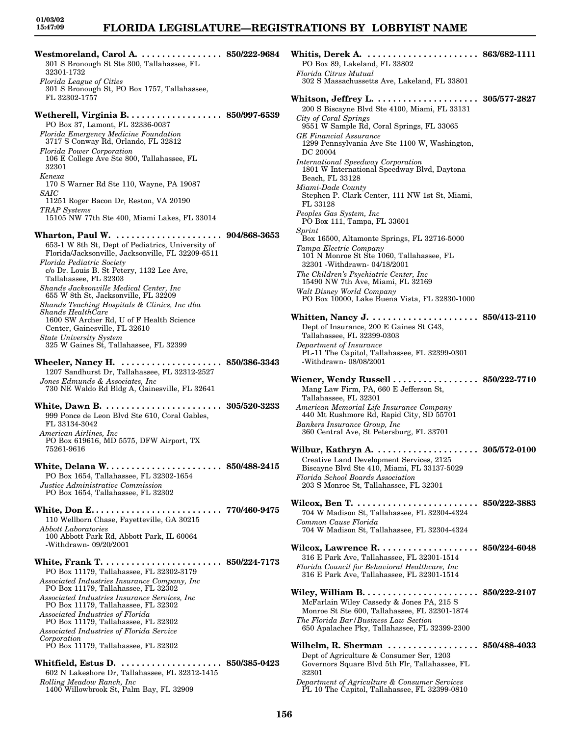## **FLORIDA LEGISLATURE—REGISTRATIONS BY LOBBYIST NAME**

**Westmoreland, Carol A. . . . . . . . . . . . . . . . . 850/222-9684** 301 S Bronough St Ste 300, Tallahassee, FL 32301-1732 *Florida League of Cities* 301 S Bronough St, PO Box 1757, Tallahassee, FL 32302-1757 **Wetherell, Virginia B. . . . . . . . . . . . . . . . . . . 850/997-6539** PO Box 37, Lamont, FL 32336-0037 *Florida Emergency Medicine Foundation* 3717 S Conway Rd, Orlando, FL 32812 *Florida Power Corporation* 106 E College Ave Ste 800, Tallahassee, FL 32301 *Kenexa* 170 S Warner Rd Ste 110, Wayne, PA 19087 *SAIC* 11251 Roger Bacon Dr, Reston, VA 20190 *TRAP Systems* 15105 NW 77th Ste 400, Miami Lakes, FL 33014 **Wharton, Paul W. . . . . . . . . . . . . . . . . . . . . . 904/868-3653** 653-1 W 8th St, Dept of Pediatrics, University of Florida/Jacksonville, Jacksonville, FL 32209-6511 *Florida Pediatric Society* c/o Dr. Louis B. St Petery, 1132 Lee Ave, Tallahassee, FL 32303 *Shands Jacksonville Medical Center, Inc* 655 W 8th St, Jacksonville, FL 32209 *Shands Teaching Hospitals & Clinics, Inc dba Shands HealthCare* 1600 SW Archer Rd, U of F Health Science Center, Gainesville, FL 32610 *State University System* 325 W Gaines St, Tallahassee, FL 32399 **Wheeler, Nancy H. . . . . . . . . . . . . . . . . . . . . 850/386-3343** 1207 Sandhurst Dr, Tallahassee, FL 32312-2527 *Jones Edmunds & Associates, Inc* 730 NE Waldo Rd Bldg A, Gainesville, FL 32641 **White, Dawn B. . . . . . . . . . . . . . . . . . . . . . . . 305/520-3233** 999 Ponce de Leon Blvd Ste 610, Coral Gables, FL 33134-3042 *American Airlines, Inc* PO Box 619616, MD 5575, DFW Airport, TX 75261-9616 **White, Delana W. . . . . . . . . . . . . . . . . . . . . . . 850/488-2415** PO Box 1654, Tallahassee, FL 32302-1654 *Justice Administrative Commission* PO Box 1654, Tallahassee, FL 32302 **White, Don E. . . . . . . . . . . . . . . . . . . . . . . . . . 770/460-9475** 110 Wellborn Chase, Fayetteville, GA 30215 *Abbott Laboratories* 100 Abbott Park Rd, Abbott Park, IL 60064 -Withdrawn- 09/20/2001 **White, Frank T. . . . . . . . . . . . . . . . . . . . . . . . 850/224-7173** PO Box 11179, Tallahassee, FL 32302-3179 *Associated Industries Insurance Company, Inc* PO Box 11179, Tallahassee, FL 32302 *Associated Industries Insurance Services, Inc* PO Box 11179, Tallahassee, FL 32302 *Associated Industries of Florida* PO Box 11179, Tallahassee, FL 32302 *Associated Industries of Florida Service Corporation* PO Box 11179, Tallahassee, FL 32302 **Whitfield, Estus D. . . . . . . . . . . . . . . . . . . . . 850/385-0423** 602 N Lakeshore Dr, Tallahassee, FL 32312-1415 *Rolling Meadow Ranch, Inc* 1400 Willowbrook St, Palm Bay, FL 32909

PO Box 89, Lakeland, FL 33802 *Florida Citrus Mutual* 302 S Massachussetts Ave, Lakeland, FL 33801 **Whitson, Jeffrey L. . . . . . . . . . . . . . . . . . . . . 305/577-2827** 200 S Biscayne Blvd Ste 4100, Miami, FL 33131 *City of Coral Springs* 9551 W Sample Rd, Coral Springs, FL 33065 *GE Financial Assurance* 1299 Pennsylvania Ave Ste 1100 W, Washington, DC 20004 *International Speedway Corporation* 1801 W International Speedway Blvd, Daytona Beach, FL 33128 *Miami-Dade County* Stephen P. Clark Center, 111 NW 1st St, Miami, FL 33128 *Peoples Gas System, Inc* PO Box 111, Tampa, FL 33601 *Sprint* Box 16500, Altamonte Springs, FL 32716-5000 *Tampa Electric Company* 101 N Monroe St Ste 1060, Tallahassee, FL 32301 -Withdrawn- 04/18/2001 *The Children's Psychiatric Center, Inc* 15490 NW 7th Ave, Miami, FL 32169 *Walt Disney World Company* PO Box 10000, Lake Buena Vista, FL 32830-1000 **Whitten, Nancy J. . . . . . . . . . . . . . . . . . . . . . 850/413-2110** Dept of Insurance, 200 E Gaines St G43, Tallahassee, FL 32399-0303 *Department of Insurance* PL-11 The Capitol, Tallahassee, FL 32399-0301 -Withdrawn- 08/08/2001 **Wiener, Wendy Russell . . . . . . . . . . . . . . . . . 850/222-7710** Mang Law Firm, PA, 660 E Jefferson St, Tallahassee, FL 32301 *American Memorial Life Insurance Company* 440 Mt Rushmore Rd, Rapid City, SD 55701 *Bankers Insurance Group, Inc* 360 Central Ave, St Petersburg, FL 33701 **Wilbur, Kathryn A. . . . . . . . . . . . . . . . . . . . . 305/572-0100** Creative Land Development Services, 2125 Biscayne Blvd Ste 410, Miami, FL 33137-5029 *Florida School Boards Association* 203 S Monroe St, Tallahassee, FL 32301 **Wilcox, Ben T. . . . . . . . . . . . . . . . . . . . . . . . . 850/222-3883** 704 W Madison St, Tallahassee, FL 32304-4324 *Common Cause Florida* 704 W Madison St, Tallahassee, FL 32304-4324 **Wilcox, Lawrence R. . . . . . . . . . . . . . . . . . . . 850/224-6048** 316 E Park Ave, Tallahassee, FL 32301-1514 *Florida Council for Behavioral Healthcare, Inc* 316 E Park Ave, Tallahassee, FL 32301-1514 **Wiley, William B. . . . . . . . . . . . . . . . . . . . . . . 850/222-2107** McFarlain Wiley Cassedy & Jones PA, 215 S Monroe St Ste 600, Tallahassee, FL 32301-1874 *The Florida Bar/Business Law Section* 650 Apalachee Pky, Tallahassee, FL 32399-2300 **Wilhelm, R. Sherman . . . . . . . . . . . . . . . . . . 850/488-4033** Dept of Agriculture & Consumer Ser, 1203 Governors Square Blvd 5th Flr, Tallahassee, FL 32301

**Whitis, Derek A. . . . . . . . . . . . . . . . . . . . . . . 863/682-1111**

*Department of Agriculture & Consumer Services* PL 10 The Capitol, Tallahassee, FL 32399-0810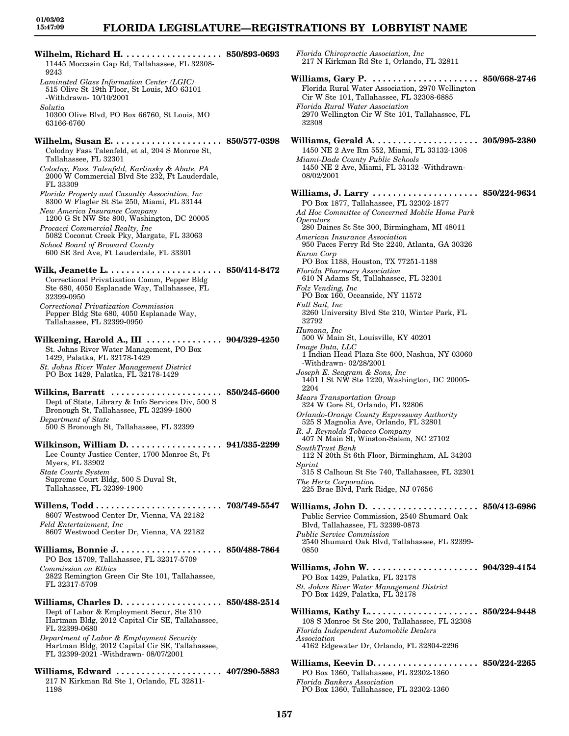## **FLORIDA LEGISLATURE—REGISTRATIONS BY LOBBYIST NAME**

*Florida Chiropractic Association, Inc*

| Wilhelm, Richard H.  850/893-0693<br>11445 Moccasin Gap Rd, Tallahassee, FL 32308-<br>9243                                                                                                                                                                                                                                                             | Florida Chiropractic Association, Inc.<br>217 N Kirkman Rd Ste 1, Orlando, FL 328                                                                                                                                                                                                                                  |
|--------------------------------------------------------------------------------------------------------------------------------------------------------------------------------------------------------------------------------------------------------------------------------------------------------------------------------------------------------|--------------------------------------------------------------------------------------------------------------------------------------------------------------------------------------------------------------------------------------------------------------------------------------------------------------------|
| Laminated Glass Information Center (LGIC)<br>515 Olive St 19th Floor, St Louis, MO 63101<br>-Withdrawn- 10/10/2001                                                                                                                                                                                                                                     | Williams, Gary P. $\dots\dots\dots\dots\dots$<br>Florida Rural Water Association, 2970 We<br>Cir W Ste 101, Tallahassee, FL 32308-688                                                                                                                                                                              |
| Solutia<br>10300 Olive Blvd, PO Box 66760, St Louis, MO<br>63166-6760                                                                                                                                                                                                                                                                                  | Florida Rural Water Association<br>2970 Wellington Cir W Ste 101, Tallahass<br>32308                                                                                                                                                                                                                               |
| Colodny Fass Talenfeld, et al, 204 S Monroe St,<br>Tallahassee, FL 32301<br>Colodny, Fass, Talenfeld, Karlinsky & Abate, PA<br>2000 W Commercial Blvd Ste 232, Ft Lauderdale,                                                                                                                                                                          | Williams, Gerald A. $\dots\dots\dots\dots\dots$<br>1450 NE 2 Ave Rm 552, Miami, FL 33132-<br>Miami-Dade County Public Schools<br>1450 NE 2 Ave, Miami, FL 33132 - Withdra<br>08/02/2001                                                                                                                            |
| FL 33309<br>Florida Property and Casualty Association, Inc.<br>8300 W Flagler St Ste 250, Miami, FL 33144<br>New America Insurance Company<br>1200 G St NW Ste 800, Washington, DC 20005<br>Procacci Commercial Realty, Inc.<br>5082 Coconut Creek Pky, Margate, FL 33063<br>School Board of Broward County<br>600 SE 3rd Ave, Ft Lauderdale, FL 33301 | Williams, J. Larry<br>PO Box 1877, Tallahassee, FL 32302-1877<br>Ad Hoc Committee of Concerned Mobile Hon<br><i><b>Operators</b></i><br>280 Daines St Ste 300, Birmingham, MI 4<br>American Insurance Association<br>950 Paces Ferry Rd Ste 2240, Atlanta, GA<br>Enron Corp<br>PO Box 1188, Houston, TX 77251-1188 |
| Correctional Privatization Comm, Pepper Bldg<br>Ste 680, 4050 Esplanade Way, Tallahassee, FL<br>32399-0950<br>Correctional Privatization Commission<br>Pepper Bldg Ste 680, 4050 Esplanade Way,<br>Tallahassee, FL 32399-0950                                                                                                                          | <b>Florida Pharmacy Association</b><br>610 N Adams St, Tallahassee, FL 32301<br>Folz Vending, Inc.<br>PO Box 160, Oceanside, NY 11572<br>Full Sail, Inc<br>3260 University Blvd Ste 210, Winter Parl<br>32792                                                                                                      |
| Wilkening, Harold A., III  904/329-4250<br>St. Johns River Water Management, PO Box<br>1429, Palatka, FL 32178-1429<br>St. Johns River Water Management District                                                                                                                                                                                       | Humana, Inc<br>500 W Main St, Louisville, KY 40201<br>Image Data, LLC<br>1 Indian Head Plaza Ste 600, Nashua, NY<br>-Withdrawn-02/28/2001                                                                                                                                                                          |
| PO Box 1429, Palatka, FL 32178-1429<br>Wilkins, Barratt  850/245-6600<br>Dept of State, Library & Info Services Div, 500 S<br>Bronough St, Tallahassee, FL 32399-1800                                                                                                                                                                                  | Joseph E. Seagram & Sons, Inc.<br>1401 I St NW Ste 1220, Washington, DC 2<br>2204<br><i>Mears Transportation Group</i><br>324 W Gore St, Orlando, FL 32806<br>Orlando-Orange County Expressway Author                                                                                                              |
| Department of State<br>500 S Bronough St, Tallahassee, FL 32399<br>Wilkinson, William D.  941/335-2299                                                                                                                                                                                                                                                 | 525 S Magnolia Ave, Orlando, FL 32801<br>R. J. Reynolds Tobacco Company<br>407 N Main St, Winston-Salem, NC 27102<br>SouthTrust Bank                                                                                                                                                                               |
| Lee County Justice Center, 1700 Monroe St, Ft<br>Myers, FL 33902<br><b>State Courts System</b><br>Supreme Court Bldg, 500 S Duval St,<br>Tallahassee, FL 32399-1900                                                                                                                                                                                    | 112 N 20th St 6th Floor, Birmingham, AL<br>Sprint<br>315 S Calhoun St Ste 740, Tallahassee, FI<br>The Hertz Corporation<br>225 Brae Blvd, Park Ridge, NJ 07656                                                                                                                                                     |
| 8607 Westwood Center Dr, Vienna, VA 22182<br><b>Feld Entertainment, Inc.</b><br>8607 Westwood Center Dr, Vienna, VA 22182                                                                                                                                                                                                                              | Williams, John D.<br>Public Service Commission, 2540 Shumard<br>Blvd, Tallahassee, FL 32399-0873<br><b>Public Service Commission</b><br>2540 Shumard Oak Blvd, Tallahassee, FL                                                                                                                                     |
| PO Box 15709, Tallahassee, FL 32317-5709<br>Commission on Ethics                                                                                                                                                                                                                                                                                       | 0850<br>Williams, John W.                                                                                                                                                                                                                                                                                          |
| 2822 Remington Green Cir Ste 101, Tallahassee,<br>FL 32317-5709<br>Williams, Charles D.  850/488-2514                                                                                                                                                                                                                                                  | PO Box 1429, Palatka, FL 32178<br>St. Johns River Water Management District<br>PO Box 1429, Palatka, FL 32178                                                                                                                                                                                                      |
| Dept of Labor & Employment Secur, Ste 310<br>Hartman Bldg, 2012 Capital Cir SE, Tallahassee,<br>FL 32399-0680<br>Department of Labor & Employment Security<br>Hartman Bldg, 2012 Capital Cir SE, Tallahassee,                                                                                                                                          | 108 S Monroe St Ste 200, Tallahassee, FL<br>Florida Independent Automobile Dealers<br>Association<br>4162 Edgewater Dr, Orlando, FL 32804-22                                                                                                                                                                       |
| FL 32399-2021 - Withdrawn- 08/07/2001<br>Williams, Edward  407/290-5883<br>217 N Kirkman Rd Ste 1, Orlando, FL 32811-<br>1198                                                                                                                                                                                                                          | Williams, Keevin D<br>PO Box 1360, Tallahassee, FL 32302-1360<br><b>Florida Bankers Association</b><br>PO Box 1360, Tallahassee, FL 32302-1360                                                                                                                                                                     |

Kirkman Rd Ste 1, Orlando, FL 32811 **Williams, Gary P. . . . . . . . . . . . . . . . . . . . . . 850/668-2746** a Rural Water Association, 2970 Wellington Ste 101, Tallahassee, FL 32308-6885 *Florida Rural Water Association* 2970 Wellington Cir W Ste 101, Tallahassee, FL **Williams, Gerald A. . . . . . . . . . . . . . . . . . . . . 305/995-2380** NE 2 Ave Rm 552, Miami, FL 33132-1308 *Miami-Dade County Public Schools* NE 2 Ave, Miami, FL 33132 -Withdrawn-2001 **Williams, J. Larry . . . . . . . . . . . . . . . . . . . . . 850/224-9634** ox 1877, Tallahassee, FL 32302-1877 *Ad Hoc Committee of Concerned Mobile Home Park Operators* aines St Ste 300, Birmingham, MI 48011 *American Insurance Association* aces Ferry Rd Ste 2240, Atlanta, GA 30326 *Enron Corp* x 1188, Houston, TX 77251-1188 *Florida Pharmacy Association* 610 N Adams St, Tallahassee, FL 32301  $nding, Inc$ 0x 160, Oceanside, NY 11572 *Full Sail, Inc* 3260 University Blvd Ste 210, Winter Park, FL *Humana, Inc* 500 W Main St, Louisville, KY 40201 *Image Data, LLC* 1 Indian Head Plaza Ste 600, Nashua, NY 03060 drawn- 02/28/2001  $E.$  Seagram & Sons, Inc. St NW Ste 1220, Washington, DC 20005-*Mears Transportation Group* 324 W Gore St, Orlando, FL 32806 *Orlando-Orange County Expressway Authority* Magnolia Ave, Orlando, FL 32801 *R. J. Reynolds Tobacco Company* Main St, Winston-Salem, NC 27102 *SouthTrust Bank* 20th St 6th Floor, Birmingham, AL 34203 Calhoun St Ste 740, Tallahassee, FL 32301 *The Hertz Corporation* rae Blvd, Park Ridge, NJ 07656 **Williams, John D. . . . . . . . . . . . . . . . . . . . . . 850/413-6986** Service Commission, 2540 Shumard Oak Tallahassee, FL 32399-0873 *Public Service Commission* 2540 Shumard Oak Blvd, Tallahassee, FL 32399- **Williams, John W. . . . . . . . . . . . . . . . . . . . . . 904/329-4154** ox 1429, Palatka, FL 32178 *St. Johns River Water Management District* PO Box 1429, Palatka, FL 32178 **Williams, Kathy L. . . . . . . . . . . . . . . . . . . . . . 850/224-9448** Monroe St Ste 200, Tallahassee, FL 32308 *Florida Independent Automobile Dealers Association* 4162 Edgewater Dr, Orlando, FL 32804-2296 **Williams, Keevin D. . . . . . . . . . . . . . . . . . . . . 850/224-2265** x 1360, Tallahassee, FL 32302-1360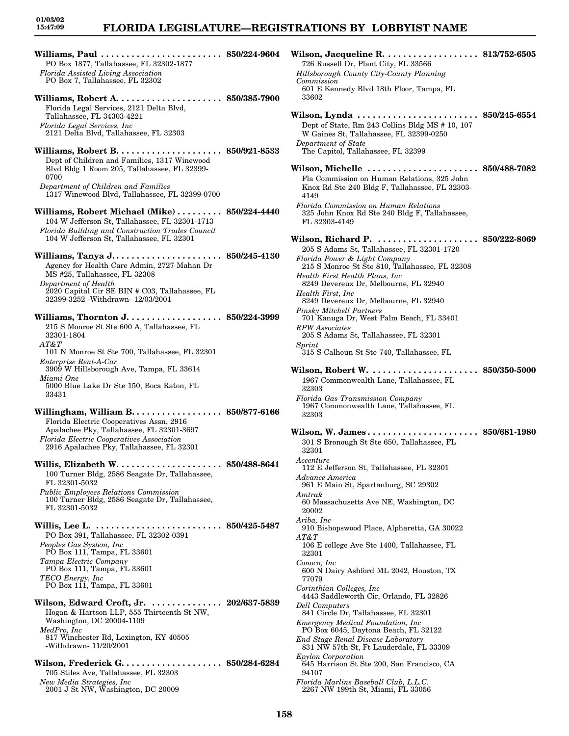## **FLORIDA LEGISLATURE—REGISTRATIONS BY LOBBYIST NAME**

**Williams, Paul . . . . . . . . . . . . . . . . . . . . . . . . 850/224-9604** PO Box 1877, Tallahassee, FL 32302-1877 *Florida Assisted Living Association* PO Box 7, Tallahassee, FL 32302 **Williams, Robert A. . . . . . . . . . . . . . . . . . . . . 850/385-7900** Florida Legal Services, 2121 Delta Blvd, Tallahassee, FL 34303-4221 *Florida Legal Services, Inc* 2121 Delta Blvd, Tallahassee, FL 32303 **Williams, Robert B. . . . . . . . . . . . . . . . . . . . . 850/921-8533** Dept of Children and Families, 1317 Winewood Blvd Bldg 1 Room 205, Tallahassee, FL 32399- 0700 *Department of Children and Families* 1317 Winewood Blvd, Tallahassee, FL 32399-0700 **Williams, Robert Michael (Mike) . . . . . . . . . 850/224-4440** 104 W Jefferson St, Tallahassee, FL 32301-1713 *Florida Building and Construction Trades Council* 104 W Jefferson St, Tallahassee, FL 32301 **Williams, Tanya J. . . . . . . . . . . . . . . . . . . . . . 850/245-4130** Agency for Health Care Admin, 2727 Mahan Dr MS #25, Tallahassee, FL 32308 *Department of Health* 2020 Capital Cir SE BIN # C03, Tallahassee, FL 32399-3252 -Withdrawn- 12/03/2001 **Williams, Thornton J. . . . . . . . . . . . . . . . . . . 850/224-3999** 215 S Monroe St Ste 600 A, Tallahassee, FL 32301-1804 *AT&T* 101 N Monroe St Ste 700, Tallahassee, FL 32301 *Enterprise Rent-A-Car* 3909 W Hillsborough Ave, Tampa, FL 33614 *Miami One* 5000 Blue Lake Dr Ste 150, Boca Raton, FL 33431 **Willingham, William B. . . . . . . . . . . . . . . . . . 850/877-6166** Florida Electric Cooperatives Assn, 2916 Apalachee Pky, Tallahassee, FL 32301-3697 *Florida Electric Cooperatives Association* 2916 Apalachee Pky, Tallahassee, FL 32301 **Willis, Elizabeth W. . . . . . . . . . . . . . . . . . . . . 850/488-8641** 100 Turner Bldg, 2586 Seagate Dr, Tallahassee, FL 32301-5032 *Public Employees Relations Commission* 100 Turner Bldg, 2586 Seagate Dr, Tallahassee, FL 32301-5032 **Willis, Lee L. . . . . . . . . . . . . . . . . . . . . . . . . . 850/425-5487** PO Box 391, Tallahassee, FL 32302-0391 *Peoples Gas System, Inc* PO Box 111, Tampa, FL 33601 *Tampa Electric Company* PO Box 111, Tampa, FL 33601 *TECO Energy, Inc* PO Box 111, Tampa, FL 33601 **Wilson, Edward Croft, Jr. . . . . . . . . . . . . . . 202/637-5839** Hogan & Hartson LLP, 555 Thirteenth St NW, Washington, DC 20004-1109 *MedPro, Inc* 817 Winchester Rd, Lexington, KY 40505 -Withdrawn- 11/20/2001 **Wilson, Frederick G. . . . . . . . . . . . . . . . . . . . 850/284-6284** 705 Stiles Ave, Tallahassee, FL 32303 *New Media Strategies, Inc* 2001 J St NW, Washington, DC 20009

**Wilson, Jacqueline R. . . . . . . . . . . . . . . . . . . 813/752-6505** 726 Russell Dr, Plant City, FL 33566 *Hillsborough County City-County Planning Commission* 601 E Kennedy Blvd 18th Floor, Tampa, FL 33602 **Wilson, Lynda . . . . . . . . . . . . . . . . . . . . . . . . 850/245-6554** Dept of State, Rm 243 Collins Bldg MS # 10, 107 W Gaines St, Tallahassee, FL 32399-0250 *Department of State* The Capitol, Tallahassee, FL 32399 **Wilson, Michelle . . . . . . . . . . . . . . . . . . . . . . 850/488-7082** Fla Commission on Human Relations, 325 John Knox Rd Ste 240 Bldg F, Tallahassee, FL 32303- 4149 *Florida Commission on Human Relations* 325 John Knox Rd Ste 240 Bldg F, Tallahassee, FL 32303-4149 **Wilson, Richard P. . . . . . . . . . . . . . . . . . . . . 850/222-8069** 205 S Adams St, Tallahassee, FL 32301-1720 *Florida Power & Light Company* 215 S Monroe St Ste 810, Tallahassee, FL 32308 *Health First Health Plans, Inc* 8249 Devereux Dr, Melbourne, FL 32940 *Health First, Inc* 8249 Devereux Dr, Melbourne, FL 32940 *Pinsky Mitchell Partners* 701 Kanuga Dr, West Palm Beach, FL 33401 *RPW Associates* 205 S Adams St, Tallahassee, FL 32301 *Sprint* 315 S Calhoun St Ste 740, Tallahassee, FL **Wilson, Robert W. . . . . . . . . . . . . . . . . . . . . . 850/350-5000** 1967 Commonwealth Lane, Tallahassee, FL 32303 *Florida Gas Transmission Company* 1967 Commonwealth Lane, Tallahassee, FL 32303 **Wilson, W. James . . . . . . . . . . . . . . . . . . . . . . 850/681-1980** 301 S Bronough St Ste 650, Tallahassee, FL 32301 *Accenture* 112 E Jefferson St, Tallahassee, FL 32301 *Advance America* 961 E Main St, Spartanburg, SC 29302 *Amtrak* 60 Massachusetts Ave NE, Washington, DC 20002 *Ariba, Inc* 910 Bishopswood Place, Alpharetta, GA 30022 *AT&T* 106 E college Ave Ste 1400, Tallahassee, FL 32301 *Conoco, Inc* 600 N Dairy Ashford ML 2042, Houston, TX 77079 *Corinthian Colleges, Inc* 4443 Saddleworth Cir, Orlando, FL 32826 *Dell Computers* 841 Circle Dr, Tallahassee, FL 32301 *Emergency Medical Foundation, Inc* PO Box 6045, Daytona Beach, FL 32122 *End Stage Renal Disease Laboratory* 831 NW 57th St, Ft Lauderdale, FL 33309 *Epylon Corporation* 645 Harrison St Ste 200, San Francisco, CA 94107 *Florida Marlins Baseball Club, L.L.C.* 2267 NW 199th St, Miami, FL 33056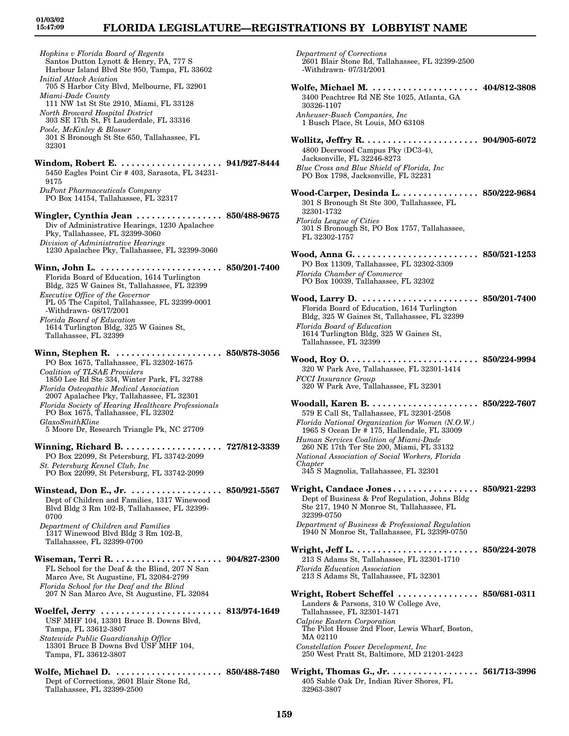## **FLORIDA LEGISLATURE—REGISTRATIONS BY LOBBYIST NAME**

*Hopkins v Florida Board of Regents* Santos Dutton Lynott & Henry, PA, 777 S Harbour Island Blvd Ste 950, Tampa, FL 33602 *Initial Attack Aviation* 705 S Harbor City Blvd, Melbourne, FL 32901 *Miami-Dade County* 111 NW 1st St Ste 2910, Miami, FL 33128 *North Broward Hospital District* 303 SE 17th St, Ft Lauderdale, FL 33316 *Poole, McKinley & Blosser* 301 S Bronough St Ste 650, Tallahassee, FL 32301 **Windom, Robert E. . . . . . . . . . . . . . . . . . . . . 941/927-8444** 5450 Eagles Point Cir # 403, Sarasota, FL 34231- 9175 *DuPont Pharmaceuticals Company* PO Box 14154, Tallahassee, FL 32317 **Wingler, Cynthia Jean . . . . . . . . . . . . . . . . . 850/488-9675** Div of Administrative Hearings, 1230 Apalachee Pky, Tallahassee, FL 32399-3060 *Division of Administrative Hearings* 1230 Apalachee Pky, Tallahassee, FL 32399-3060 **Winn, John L. . . . . . . . . . . . . . . . . . . . . . . . . 850/201-7400** Florida Board of Education, 1614 Turlington Bldg, 325 W Gaines St, Tallahassee, FL 32399 *Executive Office of the Governor* PL 05 The Capitol, Tallahassee, FL 32399-0001 -Withdrawn- 08/17/2001 *Florida Board of Education* 1614 Turlington Bldg, 325 W Gaines St, Tallahassee, FL 32399 **Winn, Stephen R. . . . . . . . . . . . . . . . . . . . . . 850/878-3056** PO Box 1675, Tallahassee, FL 32302-1675 *Coalition of TLSAE Providers* 1850 Lee Rd Ste 334, Winter Park, FL 32788 *Florida Osteopathic Medical Association* 2007 Apalachee Pky, Tallahassee, FL 32301 *Florida Society of Hearing Healthcare Professionals* PO Box 1675, Tallahassee, FL 32302 *GlaxoSmithKline* 5 Moore Dr, Research Triangle Pk, NC 27709 **Winning, Richard B. . . . . . . . . . . . . . . . . . . . 727/812-3339** PO Box 22099, St Petersburg, FL 33742-2099 *St. Petersburg Kennel Club, Inc* PO Box 22099, St Petersburg, FL 33742-2099 **Winstead, Don E., Jr. . . . . . . . . . . . . . . . . . . 850/921-5567** Dept of Children and Families, 1317 Winewood Blvd Bldg 3 Rm 102-B, Tallahassee, FL 32399- 0700 *Department of Children and Families* 1317 Winewood Blvd Bldg 3 Rm 102-B, Tallahassee, FL 32399-0700 **Wiseman, Terri R. . . . . . . . . . . . . . . . . . . . . . 904/827-2300** FL School for the Deaf & the Blind, 207 N San Marco Ave, St Augustine, FL 32084-2799 *Florida School for the Deaf and the Blind* 207 N San Marco Ave, St Augustine, FL 32084 **Woelfel, Jerry . . . . . . . . . . . . . . . . . . . . . . . . 813/974-1649** USF MHF 104, 13301 Bruce B. Downs Blvd, Tampa, FL 33612-3807 *Statewide Public Guardianship Office* 13301 Bruce B Downs Bvd USF MHF 104, Tampa, FL 33612-3807

**Wolfe, Michael D. . . . . . . . . . . . . . . . . . . . . . 850/488-7480** Dept of Corrections, 2601 Blair Stone Rd, Tallahassee, FL 32399-2500

*Department of Corrections* 2601 Blair Stone Rd, Tallahassee, FL 32399-2500 -Withdrawn- 07/31/2001 **Wolfe, Michael M. . . . . . . . . . . . . . . . . . . . . . 404/812-3808** 3400 Peachtree Rd NE Ste 1025, Atlanta, GA 30326-1107 *Anheuser-Busch Companies, Inc* 1 Busch Place, St Louis, MO 63108 **Wollitz, Jeffry R. . . . . . . . . . . . . . . . . . . . . . . 904/905-6072** 4800 Deerwood Campus Pky (DC3-4), Jacksonville, FL 32246-8273 *Blue Cross and Blue Shield of Florida, Inc* PO Box 1798, Jacksonville, FL 32231 **Wood-Carper, Desinda L. . . . . . . . . . . . . . . . 850/222-9684** 301 S Bronough St Ste 300, Tallahassee, FL 32301-1732 *Florida League of Cities* 301 S Bronough St, PO Box 1757, Tallahassee, FL 32302-1757 **Wood, Anna G. . . . . . . . . . . . . . . . . . . . . . . . . 850/521-1253** PO Box 11309, Tallahassee, FL 32302-3309 *Florida Chamber of Commerce* PO Box 10039, Tallahassee, FL 32302 **Wood, Larry D. . . . . . . . . . . . . . . . . . . . . . . . 850/201-7400** Florida Board of Education, 1614 Turlington Bldg, 325 W Gaines St, Tallahassee, FL 32399 *Florida Board of Education* 1614 Turlington Bldg, 325 W Gaines St, Tallahassee, FL 32399 **Wood, Roy O. . . . . . . . . . . . . . . . . . . . . . . . . . 850/224-9994** 320 W Park Ave, Tallahassee, FL 32301-1414 *FCCI Insurance Group* 320 W Park Ave, Tallahassee, FL 32301 **Woodall, Karen B. . . . . . . . . . . . . . . . . . . . . . 850/222-7607** 579 E Call St, Tallahassee, FL 32301-2508 *Florida National Organization for Women (N.O.W.)* 1965 S Ocean Dr # 175, Hallendale, FL 33009 *Human Services Coalition of Miami-Dade* 260 NE 17th Ter Ste 200, Miami, FL 33132 *National Association of Social Workers, Florida Chapter* 345 S Magnolia, Tallahassee, FL 32301 **Wright, Candace Jones . . . . . . . . . . . . . . . . . 850/921-2293** Dept of Business & Prof Regulation, Johns Bldg Ste 217, 1940 N Monroe St, Tallahassee, FL 32399-0750 *Department of Business & Professional Regulation* 1940 N Monroe St, Tallahassee, FL 32399-0750 **Wright, Jeff L. . . . . . . . . . . . . . . . . . . . . . . . . 850/224-2078** 213 S Adams St, Tallahassee, FL 32301-1710 *Florida Education Association* 213 S Adams St, Tallahassee, FL 32301 **Wright, Robert Scheffel . . . . . . . . . . . . . . . . 850/681-0311** Landers & Parsons, 310 W College Ave, Tallahassee, FL 32301-1471 *Calpine Eastern Corporation* The Pilot House 2nd Floor, Lewis Wharf, Boston, MA 02110 *Constellation Power Development, Inc* 250 West Pratt St, Baltimore, MD 21201-2423 **Wright, Thomas G., Jr. . . . . . . . . . . . . . . . . . 561/713-3996** 405 Sable Oak Dr, Indian River Shores, FL 32963-3807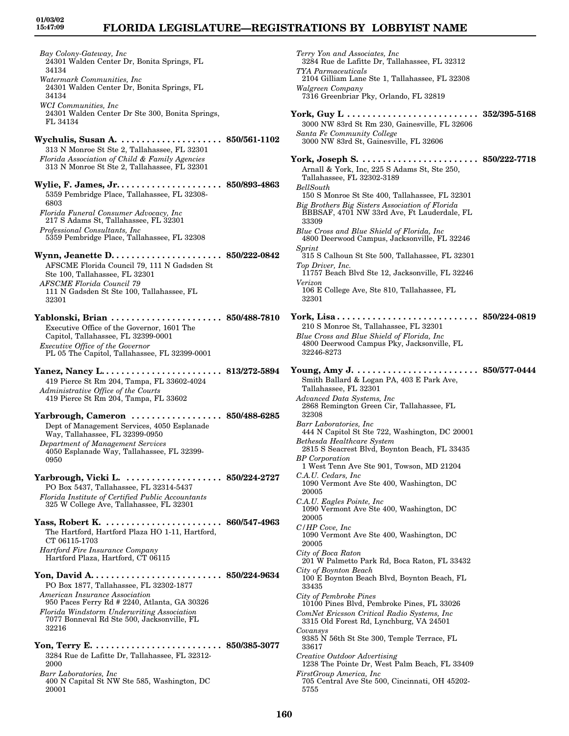*Bay Colony-Gateway, Inc* 24301 Walden Center Dr, Bonita Springs, FL 34134 *Watermark Communities, Inc* 24301 Walden Center Dr, Bonita Springs, FL 34134 *WCI Communities, Inc* 24301 Walden Center Dr Ste 300, Bonita Springs, FL 34134 **Wychulis, Susan A. . . . . . . . . . . . . . . . . . . . . 850/561-1102** 313 N Monroe St Ste 2, Tallahassee, FL 32301 *Florida Association of Child & Family Agencies* 313 N Monroe St Ste 2, Tallahassee, FL 32301 **Wylie, F. James, Jr. . . . . . . . . . . . . . . . . . . . . 850/893-4863** 5359 Pembridge Place, Tallahassee, FL 32308- 6803 *Florida Funeral Consumer Advocacy, Inc* 217 S Adams St, Tallahassee, FL 32301 *Professional Consultants, Inc* 5359 Pembridge Place, Tallahassee, FL 32308 **Wynn, Jeanette D. . . . . . . . . . . . . . . . . . . . . . 850/222-0842** AFSCME Florida Council 79, 111 N Gadsden St Ste 100, Tallahassee, FL 32301 *AFSCME Florida Council 79* 111 N Gadsden St Ste 100, Tallahassee, FL 32301 **Yablonski, Brian . . . . . . . . . . . . . . . . . . . . . . 850/488-7810** Executive Office of the Governor, 1601 The Capitol, Tallahassee, FL 32399-0001 *Executive Office of the Governor* PL 05 The Capitol, Tallahassee, FL 32399-0001 **Yanez, Nancy L. . . . . . . . . . . . . . . . . . . . . . . . 813/272-5894** 419 Pierce St Rm 204, Tampa, FL 33602-4024 *Administrative Office of the Courts* 419 Pierce St Rm 204, Tampa, FL 33602 **Yarbrough, Cameron . . . . . . . . . . . . . . . . . . 850/488-6285** Dept of Management Services, 4050 Esplanade Way, Tallahassee, FL 32399-0950 *Department of Management Services* 4050 Esplanade Way, Tallahassee, FL 32399- 0950 **Yarbrough, Vicki L. . . . . . . . . . . . . . . . . . . . 850/224-2727** PO Box 5437, Tallahassee, FL 32314-5437 *Florida Institute of Certified Public Accountants* 325 W College Ave, Tallahassee, FL 32301 **Yass, Robert K. . . . . . . . . . . . . . . . . . . . . . . . 860/547-4963** The Hartford, Hartford Plaza HO 1-11, Hartford, CT 06115-1703 *Hartford Fire Insurance Company* Hartford Plaza, Hartford, CT 06115 **Yon, David A. . . . . . . . . . . . . . . . . . . . . . . . . . 850/224-9634** PO Box 1877, Tallahassee, FL 32302-1877 *American Insurance Association* 950 Paces Ferry Rd # 2240, Atlanta, GA 30326 *Florida Windstorm Underwriting Association* 7077 Bonneval Rd Ste 500, Jacksonville, FL 32216 **Yon, Terry E. . . . . . . . . . . . . . . . . . . . . . . . . . 850/385-3077** 3284 Rue de Lafitte Dr, Tallahassee, FL 32312- 2000 *Barr Laboratories, Inc* 400 N Capital St NW Ste 585, Washington, DC 20001

*Terry Yon and Associates, Inc* 3284 Rue de Lafitte Dr, Tallahassee, FL 32312 *TYA Parmaceuticals* 2104 Gilliam Lane Ste 1, Tallahassee, FL 32308 *Walgreen Company* 7316 Greenbriar Pky, Orlando, FL 32819 **York, Guy L . . . . . . . . . . . . . . . . . . . . . . . . . . 352/395-5168** 3000 NW 83rd St Rm 230, Gainesville, FL 32606 *Santa Fe Community College* 3000 NW 83rd St, Gainesville, FL 32606 **York, Joseph S. . . . . . . . . . . . . . . . . . . . . . . . 850/222-7718** Arnall & York, Inc, 225 S Adams St, Ste 250, Tallahassee, FL 32302-3189 *BellSouth* 150 S Monroe St Ste 400, Tallahassee, FL 32301 *Big Brothers Big Sisters Association of Florida* BBBSAF, 4701 NW 33rd Ave, Ft Lauderdale, FL 33309 *Blue Cross and Blue Shield of Florida, Inc* 4800 Deerwood Campus, Jacksonville, FL 32246 *Sprint* 315 S Calhoun St Ste 500, Tallahassee, FL 32301 *Top Driver, Inc.* 11757 Beach Blvd Ste 12, Jacksonville, FL 32246 *Verizon* 106 E College Ave, Ste 810, Tallahassee, FL 32301 **York, Lisa . . . . . . . . . . . . . . . . . . . . . . . . . . . . 850/224-0819** 210 S Monroe St, Tallahassee, FL 32301 *Blue Cross and Blue Shield of Florida, Inc* 4800 Deerwood Campus Pky, Jacksonville, FL 32246-8273 **Young, Amy J. . . . . . . . . . . . . . . . . . . . . . . . . 850/577-0444** Smith Ballard & Logan PA, 403 E Park Ave, Tallahassee, FL 32301 *Advanced Data Systems, Inc* 2868 Remington Green Cir, Tallahassee, FL 32308 *Barr Laboratories, Inc* 444 N Capitol St Ste 722, Washington, DC 20001 *Bethesda Healthcare System* 2815 S Seacrest Blvd, Boynton Beach, FL 33435 *BP Corporation* 1 West Tenn Ave Ste 901, Towson, MD 21204 *C.A.U. Cedars, Inc* 1090 Vermont Ave Ste 400, Washington, DC 20005 *C.A.U. Eagles Pointe, Inc* 1090 Vermont Ave Ste 400, Washington, DC 20005 *C/HP Cove, Inc* 1090 Vermont Ave Ste 400, Washington, DC 20005 *City of Boca Raton* 201 W Palmetto Park Rd, Boca Raton, FL 33432 *City of Boynton Beach* 100 E Boynton Beach Blvd, Boynton Beach, FL 33435 *City of Pembroke Pines* 10100 Pines Blvd, Pembroke Pines, FL 33026 *ComNet Ericsson Critical Radio Systems, Inc* 3315 Old Forest Rd, Lynchburg, VA 24501 *Covansys* 9385 N 56th St Ste 300, Temple Terrace, FL 33617 *Creative Outdoor Advertising* 1238 The Pointe Dr, West Palm Beach, FL 33409 *FirstGroup America, Inc* 705 Central Ave Ste 500, Cincinnati, OH 45202- 5755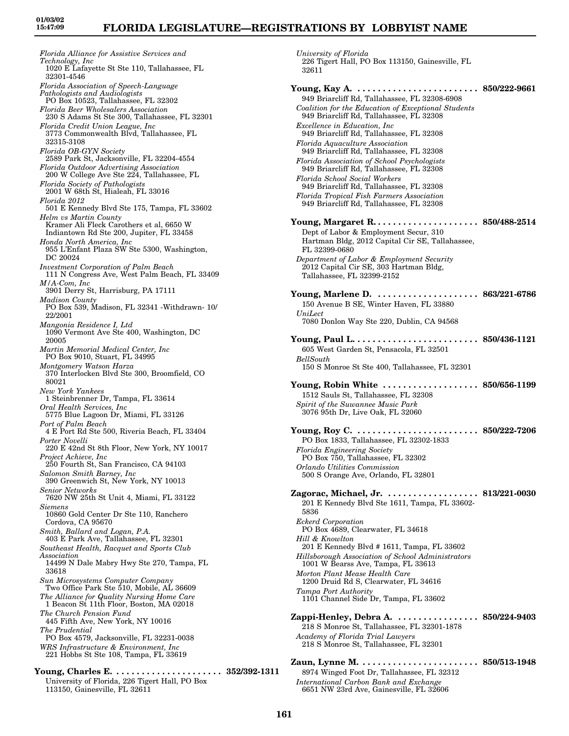*University of Florida*

*Florida Alliance for Assistive Services and Technology, Inc* 1020 E Lafayette St Ste 110, Tallahassee, FL 32301-4546 *Florida Association of Speech-Language Pathologists and Audiologists* PO Box 10523, Tallahassee, FL 32302 *Florida Beer Wholesalers Association* 230 S Adams St Ste 300, Tallahassee, FL 32301 *Florida Credit Union League, Inc* 3773 Commonwealth Blvd, Tallahassee, FL 32315-3108 *Florida OB-GYN Society* 2589 Park St, Jacksonville, FL 32204-4554 *Florida Outdoor Advertising Association* 200 W College Ave Ste 224, Tallahassee, FL *Florida Society of Pathologists* 2001 W 68th St, Hialeah, FL 33016 *Florida 2012* 501 E Kennedy Blvd Ste 175, Tampa, FL 33602 *Helm vs Martin County* Kramer Ali Fleck Carothers et al, 6650 W Indiantown Rd Ste 200, Jupiter, FL 33458 *Honda North America, Inc* 955 L'Enfant Plaza SW Ste 5300, Washington, DC 20024 *Investment Corporation of Palm Beach* 111 N Congress Ave, West Palm Beach, FL 33409 *M/A-Com, Inc* 3901 Derry St, Harrisburg, PA 17111 *Madison County* PO Box 539, Madison, FL 32341 -Withdrawn- 10/ 22/2001 *Mangonia Residence I, Ltd* 1090 Vermont Ave Ste 400, Washington, DC 20005 *Martin Memorial Medical Center, Inc* PO Box 9010, Stuart, FL 34995 *Montgomery Watson Harza* 370 Interlocken Blvd Ste 300, Broomfield, CO 80021 *New York Yankees* 1 Steinbrenner Dr, Tampa, FL 33614 *Oral Health Services, Inc* 5775 Blue Lagoon Dr, Miami, FL 33126 *Port of Palm Beach* 4 E Port Rd Ste 500, Riveria Beach, FL 33404 *Porter Novelli* 220 E 42nd St 8th Floor, New York, NY 10017 *Project Achieve, Inc* 250 Fourth St, San Francisco, CA 94103 *Salomon Smith Barney, Inc* 390 Greenwich St, New York, NY 10013 *Senior Networks* 7620 NW 25th St Unit 4, Miami, FL 33122 *Siemens* 10860 Gold Center Dr Ste 110, Ranchero Cordova, CA 95670 *Smith, Ballard and Logan, P.A.* 403 E Park Ave, Tallahassee, FL 32301 *Southeast Health, Racquet and Sports Club Association* 14499 N Dale Mabry Hwy Ste 270, Tampa, FL 33618 *Sun Microsystems Computer Company* Two Office Park Ste 510, Mobile, AL 36609 *The Alliance for Quality Nursing Home Care* 1 Beacon St 11th Floor, Boston, MA 02018 *The Church Pension Fund* 445 Fifth Ave, New York, NY 10016 *The Prudential* PO Box 4579, Jacksonville, FL 32231-0038 *WRS Infrastructure & Environment, Inc* 221 Hobbs St Ste 108, Tampa, FL 33619 **Young, Charles E. . . . . . . . . . . . . . . . . . . . . . 352/392-1311**

226 Tigert Hall, PO Box 113150, Gainesville, FL 32611 **Young, Kay A. . . . . . . . . . . . . . . . . . . . . . . . . 850/222-9661** 949 Briarcliff Rd, Tallahassee, FL 32308-6908 *Coalition for the Education of Exceptional Students* 949 Briarcliff Rd, Tallahassee, FL 32308 *Excellence in Education, Inc* 949 Briarcliff Rd, Tallahassee, FL 32308 *Florida Aquaculture Association* 949 Briarcliff Rd, Tallahassee, FL 32308 *Florida Association of School Psychologists* 949 Briarcliff Rd, Tallahassee, FL 32308 *Florida School Social Workers* 949 Briarcliff Rd, Tallahassee, FL 32308 *Florida Tropical Fish Farmers Association* 949 Briarcliff Rd, Tallahassee, FL 32308 **Young, Margaret R. . . . . . . . . . . . . . . . . . . . . 850/488-2514** Dept of Labor & Employment Secur, 310 Hartman Bldg, 2012 Capital Cir SE, Tallahassee, FL 32399-0680 *Department of Labor & Employment Security* 2012 Capital Cir SE, 303 Hartman Bldg, Tallahassee, FL 32399-2152 **Young, Marlene D. . . . . . . . . . . . . . . . . . . . . 863/221-6786** 150 Avenue B SE, Winter Haven, FL 33880 *UniLect* 7080 Donlon Way Ste 220, Dublin, CA 94568 **Young, Paul L. . . . . . . . . . . . . . . . . . . . . . . . . 850/436-1121** 605 West Garden St, Pensacola, FL 32501 *BellSouth* 150 S Monroe St Ste 400, Tallahassee, FL 32301 **Young, Robin White . . . . . . . . . . . . . . . . . . . 850/656-1199** 1512 Sauls St, Tallahassee, FL 32308 *Spirit of the Suwannee Music Park* 3076 95th Dr, Live Oak, FL 32060 **Young, Roy C. . . . . . . . . . . . . . . . . . . . . . . . . 850/222-7206** PO Box 1833, Tallahassee, FL 32302-1833 *Florida Engineering Society* PO Box 750, Tallahassee, FL 32302 *Orlando Utilities Commission* 500 S Orange Ave, Orlando, FL 32801 **Zagorac, Michael, Jr. . . . . . . . . . . . . . . . . . . 813/221-0030** 201 E Kennedy Blvd Ste 1611, Tampa, FL 33602- 5836 *Eckerd Corporation* PO Box 4689, Clearwater, FL 34618 *Hill & Knowlton* 201 E Kennedy Blvd # 1611, Tampa, FL 33602 *Hillsborough Association of School Administrators* 1001 W Bearss Ave, Tampa, FL 33613 *Morton Plant Mease Health Care* 1200 Druid Rd S, Clearwater, FL 34616 *Tampa Port Authority* 1101 Channel Side Dr, Tampa, FL 33602 **Zappi-Henley, Debra A. . . . . . . . . . . . . . . . . 850/224-9403** 218 S Monroe St, Tallahassee, FL 32301-1878 *Academy of Florida Trial Lawyers* 218 S Monroe St, Tallahassee, FL 32301 **Zaun, Lynne M. . . . . . . . . . . . . . . . . . . . . . . . 850/513-1948** 8974 Winged Foot Dr, Tallahassee, FL 32312

*International Carbon Bank and Exchange* 6651 NW 23rd Ave, Gainesville, FL 32606